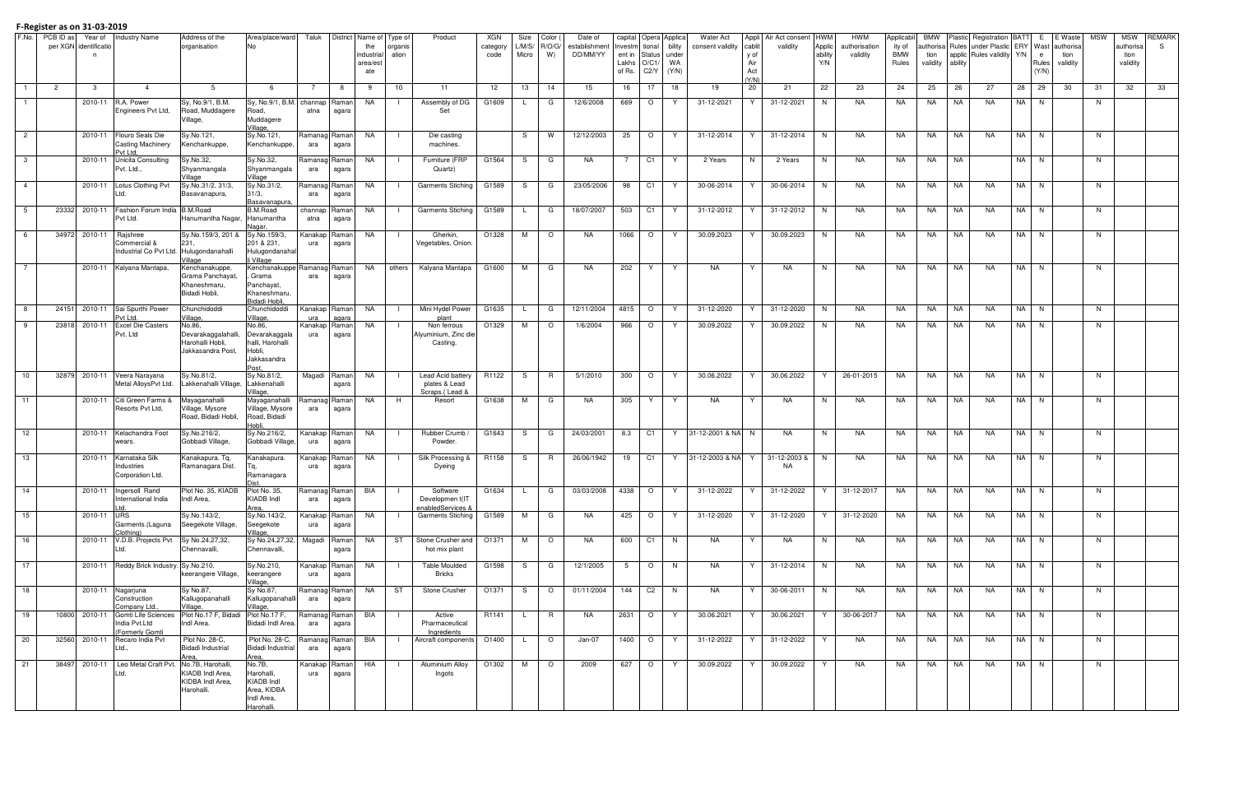|                 | F.No. PCB ID as | Year of                    | <b>Industry Name</b>                   | Address of the                        | Area/place/ward                          | Taluk                |                |                   | District   Name of   Type of<br>Product     | XGN             | Size            | Color (     | Date of                  |                   | capital Opera Applica   |                 | <b>Water Act</b>  |                | Appli Air Act consent | <b>HWM</b>        | <b>HWM</b>                | Applicabil    | BMW              |           | Plastic Registration BATT                                                    |    | E.     | E Waste  | <b>MSW</b> | <b>MSW</b>        | <b>REMARK</b> |
|-----------------|-----------------|----------------------------|----------------------------------------|---------------------------------------|------------------------------------------|----------------------|----------------|-------------------|---------------------------------------------|-----------------|-----------------|-------------|--------------------------|-------------------|-------------------------|-----------------|-------------------|----------------|-----------------------|-------------------|---------------------------|---------------|------------------|-----------|------------------------------------------------------------------------------|----|--------|----------|------------|-------------------|---------------|
|                 |                 | per XGN identificatio<br>n |                                        | organisation                          | No.                                      |                      |                | the<br>industrial | organis<br>ation                            | categor<br>code | L/M/S/<br>Micro | R/O/G<br>W) | establishmen<br>DD/MM/YY | Investm<br>ent in | tional<br><b>Status</b> | bility<br>under | consent validity  | cablit<br>y of | validity              | Applic<br>ability | authorisation<br>validity | ity of<br>BMW | tion             |           | uthorisa Rules under Plastic ERY Wast authorisa<br>applic Rules validity Y/N |    | e      | tion     |            | authorisa<br>tion | S.            |
|                 |                 |                            |                                        |                                       |                                          |                      |                | area/es           |                                             |                 |                 |             |                          | Lakhs             | O/C1/                   | WA              |                   | Air            |                       | Y/N               |                           | Rules         | validity ability |           |                                                                              |    | Rules  | validity |            | validity          |               |
|                 |                 |                            |                                        |                                       |                                          |                      |                | ate               |                                             |                 |                 |             |                          | of Rs.            | C2/Y                    | (Y/N)           |                   | Act<br>(Y/N)   |                       |                   |                           |               |                  |           |                                                                              |    | (Y/N)  |          |            |                   |               |
| $\mathbf{1}$    | $\overline{2}$  | 3                          | $\overline{4}$                         | -5                                    |                                          | -7                   | -8             | -9                | 10<br>11                                    | 12 <sup>2</sup> | 13              | 14          | 15                       | 16                | 17                      | 18              | 19                | 20             | 21                    | 22                | 23                        | 24            | 25               | -26       | -27                                                                          | 28 | 29     | 30       | -31        | 32                | 33            |
|                 |                 | 2010-11                    | R.A. Power                             | Sy, No.9/1, B.M.                      | Sy, No.9/1, B.M. channap                 |                      | Raman          | NA                | Assembly of DG<br>$\blacksquare$            | G1609           |                 | G           | 12/6/2008                | 669               | $\circ$                 | Y               | 31-12-2021        | Y              | 31-12-2021            | N                 | NA                        | NA            | NA.              | NA        | <b>NA</b>                                                                    |    | NA N   |          | N          |                   |               |
|                 |                 |                            | Engineers Pvt Ltd,                     | Road, Muddagere                       | Road.                                    | atna                 | agara          |                   | Set                                         |                 |                 |             |                          |                   |                         |                 |                   |                |                       |                   |                           |               |                  |           |                                                                              |    |        |          |            |                   |               |
|                 |                 |                            |                                        | Village,                              | Muddagere<br>Village,                    |                      |                |                   |                                             |                 |                 |             |                          |                   |                         |                 |                   |                |                       |                   |                           |               |                  |           |                                                                              |    |        |          |            |                   |               |
| $\overline{2}$  |                 | 2010-11                    | Flouro Seals Die                       | Sy.No.121,                            | Sy.No.121,                               | Ramanag Raman        |                | NA                | Die casting                                 |                 | -S              | W           | 12/12/2003               | 25                | $\circ$                 | Y               | 31-12-2014        |                | 31-12-2014            | N                 | NA                        | NA.           | NA.              | NA        | NA.                                                                          |    | NA N   |          | N          |                   |               |
|                 |                 |                            | <b>Casting Machinery</b><br>Pvt Ltd    | Kenchankuppe,                         | Kenchankuppe,                            | ara                  | agara          |                   | machines.                                   |                 |                 |             |                          |                   |                         |                 |                   |                |                       |                   |                           |               |                  |           |                                                                              |    |        |          |            |                   |               |
| $\mathbf{3}$    |                 | 2010-11                    | <b>Unicita Consulting</b>              | Sy.No.32,                             | Sy.No.32,                                | Ramanag Raman        |                | NA                | Furniture (FRP                              | G1564           | S               | G           | NA.                      |                   | C <sub>1</sub>          | Y               | 2 Years           | N              | 2 Years               | N                 | NA                        | NA            | NA.              | NA        |                                                                              |    | NA N   |          | N          |                   |               |
|                 |                 |                            | Pvt. Ltd.,                             | Shyanmangala                          | Shyanmangala                             | ara                  | agara          |                   | Quartz)                                     |                 |                 |             |                          |                   |                         |                 |                   |                |                       |                   |                           |               |                  |           |                                                                              |    |        |          |            |                   |               |
| $\overline{4}$  |                 | 2010-11                    | Lotus Clothing Pvt                     | Village<br>Sy.No.31/2, 31/3,          | Village<br>Sy.No.31/2,                   | Ramanag Raman        |                | NA                | <b>Garments Stiching</b>                    | G1589           | S.              | G           | 23/05/2006               | 98                | C1                      | Y               | 30-06-2014        |                | 30-06-2014            | N.                | NA                        | NA.           | NA.              | NA        | NA.                                                                          |    | NA N   |          | N          |                   |               |
|                 |                 |                            |                                        | Basavanapura,                         | 31/3,                                    | ara                  | agara          |                   |                                             |                 |                 |             |                          |                   |                         |                 |                   |                |                       |                   |                           |               |                  |           |                                                                              |    |        |          |            |                   |               |
| $5\overline{)}$ | 23332           | 2010-11                    | Fashion Forum India                    | <b>B.M.Road</b>                       | Basavanapura<br>B.M.Road                 | channap              | Raman          | NA                | <b>Garments Stiching</b>                    | G1589           |                 | G           | 18/07/2007               | 503               | C <sub>1</sub>          | Y               | 31-12-2012        | Y              | 31-12-2012            | N                 | NA                        | NA            | NA.              | NA        | <b>NA</b>                                                                    |    | NA N   |          | N          |                   |               |
|                 |                 |                            | Pvt Ltd.                               | Hanumantha Nagar.                     | Hanumantha                               | atna                 | agara          |                   |                                             |                 |                 |             |                          |                   |                         |                 |                   |                |                       |                   |                           |               |                  |           |                                                                              |    |        |          |            |                   |               |
|                 |                 |                            |                                        |                                       | <u>Vagar</u>                             |                      |                |                   |                                             |                 |                 |             |                          |                   |                         |                 |                   |                |                       |                   |                           |               |                  |           |                                                                              |    |        |          |            |                   |               |
| 6               | 34972           | 2010-11                    | Rajshree<br>Commercial &               | Sy.No.159/3, 201<br>231,              | Sy.No.159/3,<br>201 & 231,               | Kanakap<br>ura       | Raman<br>agara | NA                | Gherkin,<br>Vegetables, Onion               | O1328           | M               | $\circ$     | NA.                      | 1066              | $\circ$                 | Y               | 30.09.2023        | Y              | 30.09.2023            | N                 | NA                        | NA            | NA.              | NA        | <b>NA</b>                                                                    |    | NA N   |          | N          |                   |               |
|                 |                 |                            | Industrial Co Pvt Ltd.                 | Hulugondanahalli                      | Hulugondanaha                            |                      |                |                   |                                             |                 |                 |             |                          |                   |                         |                 |                   |                |                       |                   |                           |               |                  |           |                                                                              |    |        |          |            |                   |               |
|                 |                 | 2010-11                    | Kalvana Mantapa.                       | /illage<br>Kenchanakuppe.             | i Village<br>Kenchanakuppe Ramanag Raman |                      |                | NA                | others Kalyana Mantapa                      | G1600           | M               | G           | NA.                      | 202               | Y                       | Y               | <b>NA</b>         | Y              | <b>NA</b>             | N                 | NA                        | NA            | NA.              | NA        | <b>NA</b>                                                                    |    | NA N   |          | N          |                   |               |
|                 |                 |                            |                                        | Grama Panchayat                       | Grama                                    | ara                  | agara          |                   |                                             |                 |                 |             |                          |                   |                         |                 |                   |                |                       |                   |                           |               |                  |           |                                                                              |    |        |          |            |                   |               |
|                 |                 |                            |                                        | Khaneshmaru,                          | Panchayat,                               |                      |                |                   |                                             |                 |                 |             |                          |                   |                         |                 |                   |                |                       |                   |                           |               |                  |           |                                                                              |    |        |          |            |                   |               |
|                 |                 |                            |                                        | Bidadi Hobli,                         | Khaneshmaru,<br>Bidadi Hobli,            |                      |                |                   |                                             |                 |                 |             |                          |                   |                         |                 |                   |                |                       |                   |                           |               |                  |           |                                                                              |    |        |          |            |                   |               |
| 8               | 24151           | 2010-11                    | Sai Spurthi Power                      | Chunchidoddi                          | Chunchidoddi                             | Kanakap              | Raman          | NA                | Mini Hydel Power                            | G1635           |                 | G           | 12/11/2004               | 4815              | $\circ$                 | Y               | 31-12-2020        | Y              | 31-12-2020            | N                 | NA                        | NA            | NA.              | NA        | <b>NA</b>                                                                    |    | $NA$ N |          | N          |                   |               |
| 9               | 23818           | 2010-11                    | Pvt Ltd.<br><b>Excel Die Casters</b>   | Village,<br>No.86,                    | /illage,<br>No.86,                       | ura<br>Kanakap       | agara<br>Raman | NA                | plant<br>Non ferrous                        | O1329           | M               | $\circ$     | 1/6/2004                 | 966               | $\circ$                 | Y               | 30.09.2022        | Y              | 30.09.2022            | N                 | NA                        | NA            | NA.              | NA        | <b>NA</b>                                                                    |    | NA N   |          | N          |                   |               |
|                 |                 |                            | Pvt. Ltd                               | Devarakaggalahalli                    | Devarakaggala                            | ura                  | agara          |                   | Alyuminium, Zinc die                        |                 |                 |             |                          |                   |                         |                 |                   |                |                       |                   |                           |               |                  |           |                                                                              |    |        |          |            |                   |               |
|                 |                 |                            |                                        | Harohalli Hobli,<br>Jakkasandra Post, | halli, Harohalli<br>Hobli,               |                      |                |                   | Casting.                                    |                 |                 |             |                          |                   |                         |                 |                   |                |                       |                   |                           |               |                  |           |                                                                              |    |        |          |            |                   |               |
|                 |                 |                            |                                        |                                       | Jakkasandra                              |                      |                |                   |                                             |                 |                 |             |                          |                   |                         |                 |                   |                |                       |                   |                           |               |                  |           |                                                                              |    |        |          |            |                   |               |
|                 |                 |                            |                                        |                                       |                                          |                      |                |                   |                                             |                 |                 |             |                          |                   |                         |                 |                   |                |                       |                   |                           |               |                  |           |                                                                              |    |        |          |            |                   |               |
| 10              | 32879           | 2010-11                    | Veera Narayana<br>Metal AlloysPvt Ltd. | Sy.No.81/2,<br>Lakkenahalli Village,  | Sy.No.81/2,<br><b>akkenahalli</b>        | Magadi Raman         | agara          | NA                | Lead Acid battery<br>plates & Lead          | R1122           | S.              | R           | 5/1/2010                 | 300               | $\circ$                 | Y               | 30.06.2022        | Y              | 30.06.2022            | Y                 | 26-01-2015                | NA            | NA.              | NA        | <b>NA</b>                                                                    |    | NA N   |          | N          |                   |               |
|                 |                 |                            |                                        |                                       | /illage,                                 |                      |                |                   | Scraps.(Lead &                              |                 |                 |             |                          |                   |                         |                 |                   |                |                       |                   |                           |               |                  |           |                                                                              |    |        |          |            |                   |               |
| 11              |                 | 2010-11                    | Citi Green Farms &<br>Resorts Pvt Ltd, | Mayaganahalli<br>Village, Mysore      | Mayaganahalli<br>Village, Mysore         | Ramanag Raman<br>ara | agara          | NA                | Resort<br>H                                 | G1638           | M               | G           | NA.                      | 305               | Y                       | Y               | <b>NA</b>         | Y              | NA.                   | N                 | NA.                       | NA.           | NA               | NA        | NA.                                                                          |    | NA N   |          | N          |                   |               |
|                 |                 |                            |                                        | Road, Bidadi Hobli,                   | Road, Bidadi                             |                      |                |                   |                                             |                 |                 |             |                          |                   |                         |                 |                   |                |                       |                   |                           |               |                  |           |                                                                              |    |        |          |            |                   |               |
| 12              |                 | 2010-11                    | Kelachandra Foot                       | Sy.No.216/2,                          | Hobli<br>Sy.No.216/2,                    | Kanakap              | Raman          | NA                | Rubber Crumb /                              | G1643           | S               | G           | 24/03/2001               | 8.3               | C <sub>1</sub>          | Y               | 31-12-2001 & NA   | N              | <b>NA</b>             | N                 | NA                        | NA            | NA.              | NA        | <b>NA</b>                                                                    |    | NA N   |          | N          |                   |               |
|                 |                 |                            | wears.                                 | Gobbadi Village,                      | Gobbadi Village,                         | ura                  | agara          |                   | Powder.                                     |                 |                 |             |                          |                   |                         |                 |                   |                |                       |                   |                           |               |                  |           |                                                                              |    |        |          |            |                   |               |
|                 |                 |                            |                                        |                                       |                                          |                      |                |                   |                                             |                 |                 |             |                          |                   |                         |                 |                   |                |                       |                   |                           |               |                  |           |                                                                              |    |        |          |            |                   |               |
| 13              |                 | 2010-11                    | Karnataka Silk<br>Industries           | Kanakapura. Tq,<br>Ramanagara Dist.   | Kanakapura.                              | Kanakap<br>ura       | Raman<br>agara | NA                | Silk Processing &<br>Dyeing                 | R1158           | S.              | R           | 26/06/1942               | 19                | C1                      |                 | Y 31-12-2003 & NA | Y.             | 31-12-2003 &<br>NA    | N                 | NA                        | NA            | NA.              | NA        | <b>NA</b>                                                                    |    | NA N   |          | N          |                   |               |
|                 |                 |                            | Corporation Ltd.                       |                                       | Ramanagara                               |                      |                |                   |                                             |                 |                 |             |                          |                   |                         |                 |                   |                |                       |                   |                           |               |                  |           |                                                                              |    |        |          |            |                   |               |
| 14              |                 | 2010-11                    | Ingersoll Rand                         | Plot No. 35, KIADB                    | <b>Dist</b><br>Plot No. 35,              | Ramanag Raman        |                | BIA               | Software<br>$\blacksquare$                  | G1634           | L.              | G           | 03/03/2008               | 4338              | $\circ$                 | Y               | 31-12-2022        | Y              | 31-12-2022            |                   | 31-12-2017                | NA.           | NA               | NA        | NA                                                                           |    | NA N   |          | N.         |                   |               |
|                 |                 |                            | nternational India                     | Indl Area.                            | KIADB Indl                               | ara                  | agara          |                   | Developmen t(IT                             |                 |                 |             |                          |                   |                         |                 |                   |                |                       |                   |                           |               |                  |           |                                                                              |    |        |          |            |                   |               |
| 15              |                 | 2010-11                    | <b>URS</b>                             | Sy.No.143/2,                          | Area<br>Sy.No.143/2,                     | Kanakap Raman        |                | NA                | enabledServices &<br>Garments Stiching      | G1589           | M               | G           | NA                       | 425               | $\circ$                 | Y               | 31-12-2020        | Y              | 31-12-2020            |                   | 31-12-2020                | NA.           | NA               | NA        | NA                                                                           |    | NA N   |          | N          |                   |               |
|                 |                 |                            | Garments.(Laguna                       | Seegekote Village,                    | Seegekote                                | ura                  | agara          |                   |                                             |                 |                 |             |                          |                   |                         |                 |                   |                |                       |                   |                           |               |                  |           |                                                                              |    |        |          |            |                   |               |
| 16              |                 | 2010-11                    | (lothina<br>V.D.B. Projects Pvt        | Sy No.24,27,32,                       | 'illage.<br>Sy No.24,27,32,              | Magadi Raman         |                | NA                | ST<br>Stone Crusher and                     | O1371           | M               | $\circ$     | NA                       | 600               | C <sub>1</sub>          | N.              | NA                | Y              | NA                    | N                 | NA                        | NA            | NA               | NA        | NA                                                                           |    | NA N   |          | N          |                   |               |
|                 |                 |                            | td.                                    | Chennavalli,                          | Chennavalli,                             |                      | agara          |                   | hot mix plant                               |                 |                 |             |                          |                   |                         |                 |                   |                |                       |                   |                           |               |                  |           |                                                                              |    |        |          |            |                   |               |
|                 |                 |                            |                                        |                                       |                                          |                      |                |                   |                                             |                 |                 |             |                          |                   |                         |                 |                   |                |                       |                   |                           |               |                  |           |                                                                              |    |        |          |            |                   |               |
| 17              |                 | 2010-11                    | Reddy Brick Industry. Sy.No.210,       | keerangere Village,                   | Sy.No.210,<br>keerangere                 | Kanakap<br>ura       | Raman<br>agara | NA                | Table Moulded<br>Bricks                     | G1598           | S               | G           | 12/1/2005                | 5                 | $\circ$                 | N <sub>N</sub>  | NA                | Y              | 31-12-2014            | N                 | NA                        | NA            | NA               | NA        | NA                                                                           |    | NA N   |          | N          |                   |               |
|                 |                 |                            |                                        |                                       | <u>'illage,</u>                          |                      |                |                   |                                             |                 |                 |             |                          |                   |                         |                 |                   |                |                       |                   |                           |               |                  |           |                                                                              |    |        |          |            |                   |               |
| 18              |                 |                            | 2010-11 Nagarjuna<br>Construction      | Sy No.87,<br>Kallugopanahalli         | Sy No.87,<br>Kallugopanahalli            | Ramanag Raman<br>ara | agara          | NA                | ST<br>Stone Crusher                         | O1371           | S.              | $\circ$     | 01/11/2004               | 144 C2            |                         | N               | NA                | Y              | 30-06-2011            | <b>N</b>          | NA                        | NA            | NA               | NA        | NA                                                                           |    | NA N   |          | N          |                   |               |
|                 |                 |                            | Company Ltd                            | Village                               | /illage,                                 |                      |                |                   |                                             |                 |                 |             |                          |                   |                         |                 |                   |                |                       |                   |                           |               |                  |           |                                                                              |    |        |          |            |                   |               |
| 19              | 10800           | 2010-11                    | Gomti Life Sciences<br>India Pvt.Ltd   | Plot No.17 F, Bidadi<br>Indl Area.    | Plot No.17 F,<br>Bidadi Indl Area.       | Ramanag Raman<br>ara | agara          | BIA               | Active<br>Pharmaceutical                    | R1141           |                 | R           | NA                       | 2631   O          |                         | Y               | 30.06.2021        | Y              | 30.06.2021            | Y                 | 30-06-2017                | NA            | <b>NA</b>        | <b>NA</b> | NA                                                                           |    | NA N   |          | N          |                   |               |
|                 |                 |                            | (Formerly Gomti                        |                                       |                                          |                      |                |                   | Ingredients                                 |                 |                 |             |                          |                   |                         |                 |                   |                |                       |                   |                           |               |                  |           |                                                                              |    |        |          |            |                   |               |
| 20              |                 | 32560 2010-11              | Recaro India Pvt                       | Plot No. 28-C,                        | Plot No. 28-C,                           | Ramanag Raman        |                | BIA               | Aircraft components 01400<br>$\blacksquare$ |                 |                 | $\circ$     | Jan-07                   | 1400 O            |                         | Y               | 31-12-2022        | Y              | 31-12-2022            | Y                 | NA                        | NA            | NA NA            |           | NA                                                                           |    | NA N   |          | N          |                   |               |
|                 |                 |                            | .td.,                                  | Bidadi Industrial<br>Area.            | Bidadi Industrial<br>Area                | ara                  | agara          |                   |                                             |                 |                 |             |                          |                   |                         |                 |                   |                |                       |                   |                           |               |                  |           |                                                                              |    |        |          |            |                   |               |
| 21              | 38497           | 2010-11                    | Leo Metal Craft Pvt.                   | No.7B, Harohalli,                     | No.7B,                                   | Kanakap              | Raman          | HIA               | Aluminium Alloy                             | O1302           | M               | $\circ$     | 2009                     | 627               | $\circ$                 | Y.              | 30.09.2022        | Y              | 30.09.2022            | Y                 | NA                        | NA            | <b>NA</b>        | <b>NA</b> | NA                                                                           |    | NA N   |          | N          |                   |               |
|                 |                 |                            | td.                                    | KIADB Indl Area.<br>KIDBA Indl Area,  | Harohalli,<br><b>KIADB Indl</b>          | ura                  | agara          |                   | Ingots                                      |                 |                 |             |                          |                   |                         |                 |                   |                |                       |                   |                           |               |                  |           |                                                                              |    |        |          |            |                   |               |
|                 |                 |                            |                                        | Harohalli.                            | Area, KIDBA                              |                      |                |                   |                                             |                 |                 |             |                          |                   |                         |                 |                   |                |                       |                   |                           |               |                  |           |                                                                              |    |        |          |            |                   |               |
|                 |                 |                            |                                        |                                       | Indl Area,<br>Harohalli                  |                      |                |                   |                                             |                 |                 |             |                          |                   |                         |                 |                   |                |                       |                   |                           |               |                  |           |                                                                              |    |        |          |            |                   |               |
|                 |                 |                            |                                        |                                       |                                          |                      |                |                   |                                             |                 |                 |             |                          |                   |                         |                 |                   |                |                       |                   |                           |               |                  |           |                                                                              |    |        |          |            |                   |               |

## **F-Register as on 31-03-2019**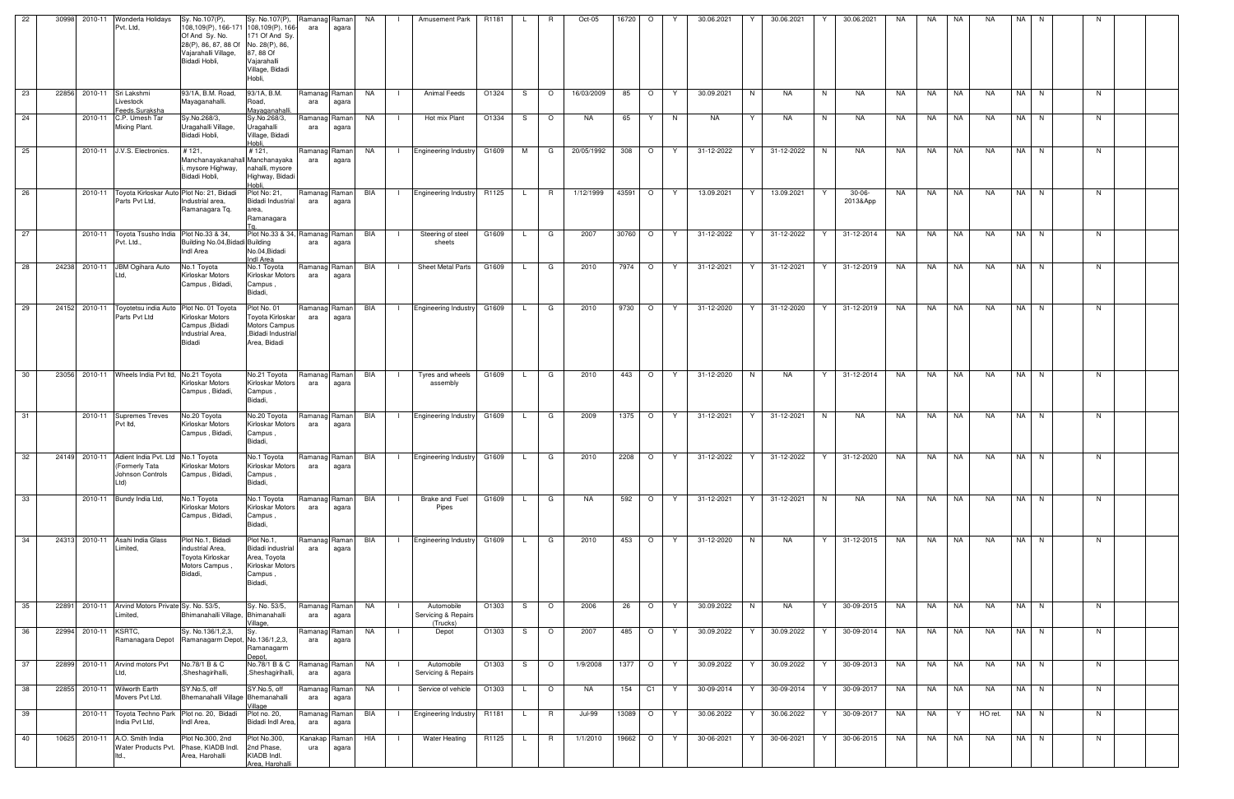| 22 | 30998<br>2010-11                | Wonderla Holidays<br>Pvt. Ltd.                                                               | Sy. No.107(P),<br>108,109(P), 166-171 108,109(P), 166-<br>Of And Sy. No.<br>28(P), 86, 87, 88 Of<br>Vajarahalli Village,<br>Bidadi Hobli, | Sy. No.107(P),<br>171 Of And Sy<br>No. 28(P), 86,<br>87, 88 Of<br>Vajarahalli<br>Village, Bidadi<br>Hobli, | Ramanag<br>ara         | Ramanl<br>agara | <b>NA</b> |              | <b>Amusement Park</b>                         | R1181 |              |                | Oct-05        | 16720     | $\circ$                  |    | 30.06.2021 |    | 30.06.2021   |    | 30.06.2021           | NA. | NA.       | NA.       | NA.       | NA.  |      |    |  |
|----|---------------------------------|----------------------------------------------------------------------------------------------|-------------------------------------------------------------------------------------------------------------------------------------------|------------------------------------------------------------------------------------------------------------|------------------------|-----------------|-----------|--------------|-----------------------------------------------|-------|--------------|----------------|---------------|-----------|--------------------------|----|------------|----|--------------|----|----------------------|-----|-----------|-----------|-----------|------|------|----|--|
| 23 | 22856 2010-11 Sri Lakshmi       | Livestock<br>Feeds.Suraksha                                                                  | 93/1A, B.M. Road,<br>Mayaganahalli.                                                                                                       | 93/1A, B.M.<br>Road,<br>Mayaganahalli.                                                                     | Ramanag Raman<br>ara   | agara           | NA        | $\Box$       | Animal Feeds                                  | O1324 | S.           | $\circ$        | 16/03/2009    | 85        | $\overline{\phantom{0}}$ | Y. | 30.09.2021 | N  | <b>NA</b>    | N  | NA                   | NA  | NA        | NA        | <b>NA</b> | NA N |      | N  |  |
| 24 |                                 | 2010-11 C.P. Umesh Tar<br>Mixing Plant.                                                      | Sy.No.268/3,<br>Uragahalli Village,<br>Bidadi Hobli,                                                                                      | Sy.No.268/3,<br>Uragahalli<br>Village, Bidadi<br>Hobli,                                                    | Ramanag<br>ara         | Raman<br>agara  | NA        |              | Hot mix Plant                                 | O1334 | S.           | $\circ$        | NA            | 65        | Y                        | N  | NA         | Y  | NA           | N  | NA                   | NA. | NA        | NA        | NA.       | NA N |      | N  |  |
| 25 |                                 | 2010-11 J.V.S. Electronics.                                                                  | #121,<br>Manchanayakanahall Manchanayaka<br>, mysore Highway,<br>Bidadi Hobli,                                                            | #121,<br>nahalli, mysore<br>Highway, Bidadi<br>Hobli.                                                      | Ramanag Raman<br>ara   | agara           | NA        |              | Engineering Industry G1609                    |       | M            | G              | 20/05/1992    | 308       | $\circ$                  | Y  | 31-12-2022 | Y. | 31-12-2022   | N  | NA                   | NA  | NA        | NA        | <b>NA</b> |      | NA N | N  |  |
| 26 |                                 | 2010-11 Toyota Kirloskar Auto Plot No: 21, Bidadi<br>Parts Pvt Ltd.                          | Industrial area,<br>Ramanagara Tq.                                                                                                        | Plot No: 21,<br>Bidadi Industrial<br>area,<br>Ramanagara                                                   | Ramanag Raman<br>ara   | agara           | BIA       | $\mathbf{1}$ | Engineering Industry R1125                    |       | L.           | R              | 1/12/1999     | 43591     | $\circ$                  | Y. | 13.09.2021 | Y  | 13.09.2021   |    | $30-06-$<br>2013&App | NA  | NA        | NA        | <b>NA</b> | NA N |      | N  |  |
| 27 |                                 | 2010-11 Toyota Tsusho India Plot No.33 & 34,<br>Pvt. Ltd.,                                   | Building No.04, Bidadi Building<br>Indl Area                                                                                              | Plot No.33 & 34, Ramanag<br>No.04, Bidadi<br>Indl Area                                                     | ara                    | Raman<br>agara  | BIA       | $\Box$       | Steering of steel<br>sheets                   | G1609 | $\mathsf{L}$ | G              | 2007          | 30760     | $\circ$                  | Y. | 31-12-2022 | Y  | 31-12-2022   | Y  | 31-12-2014           | NA  | NA        | <b>NA</b> | NA        |      | NA N | N. |  |
| 28 | 24238 2010-11 JBM Ogihara Auto  | Ltd,                                                                                         | No.1 Toyota<br>Kirloskar Motors<br>Campus, Bidadi,                                                                                        | No.1 Toyota<br>Kirloskar Motors<br>Campus,<br>Bidadi,                                                      | Ramanag<br>ara         | Raman<br>agara  | BIA       |              | <b>Sheet Metal Parts</b>                      | G1609 |              | G              | 2010          | 7974      | $\circ$                  | Y  | 31-12-2021 | Y  | 31-12-2021   | Y  | 31-12-2019           | NA  | NA        | NA        | <b>NA</b> |      | NA N | N. |  |
| 29 |                                 | 24152 2010-11 Toyotetsu india Auto Plot No. 01 Toyota<br>Parts Pvt Ltd                       | Kirloskar Motors<br>Campus , Bidadi<br>Industrial Area,<br>Bidadi                                                                         | Plot No. 01<br>Toyota Kirloskar<br><b>Motors Campus</b><br>,Bidadi Industrial<br>Area, Bidadi              | Ramanag Raman<br>ara   | agara           | BIA       | $\Box$       | Engineering Industry G1609                    |       | L.           | G              | 2010          | 9730 O    |                          | Y  | 31-12-2020 | Y  | 31-12-2020   | Y. | 31-12-2019           | NA  | NA        | <b>NA</b> | <b>NA</b> | NA N |      | N  |  |
| 30 |                                 | 23056 2010-11 Wheels India Pvt ltd, No.21 Toyota                                             | Kirloskar Motors<br>Campus, Bidadi,                                                                                                       | No.21 Toyota<br>Kirloskar Motors<br>Campus,<br>Bidadi,                                                     | Ramanag Raman<br>ara   | agara           | BIA       | $\mathbf{I}$ | Tyres and wheels<br>assembly                  | G1609 | L.           | G              | 2010          | 443       | $\circ$                  | Y  | 31-12-2020 | N  | <b>NA</b>    | Y  | 31-12-2014           | NA  | NA        | NA        | NA.       | NA N |      | N  |  |
| 31 |                                 | 2010-11 Supremes Treves<br>Pvt Itd,                                                          | No.20 Toyota<br>Kirloskar Motors<br>Campus, Bidadi,                                                                                       | No.20 Toyota<br>Kirloskar Motors<br>Campus,<br>Bidadi,                                                     | Ramanag<br>ara         | Raman<br>agara  | BIA       | $\Box$       | Engineering Industry G1609                    |       | L.           | G              | 2009          | 1375   O  |                          | Y  | 31-12-2021 | Y  | 31-12-2021   | N  | NA                   | NA  | NA        | <b>NA</b> | NA        |      | NA N | N  |  |
| 32 |                                 | 24149 2010-11 Adient India Pvt. Ltd No.1 Toyota<br>(Formerly lata<br>Johnson Controls<br>Ltd | Kirloskar Motors<br>Campus, Bidadi,                                                                                                       | No.1 Toyota<br>Kirloskar Motors<br>Campus,<br>Bidadi,                                                      | Ramanag Raman<br>ara   | agara           | BIA       | - 1 -        | Engineering Industry G1609                    |       |              | G              | 2010          | 2208      | $\circ$                  | Y  | 31-12-2022 | Y  | 31-12-2022   | Y  | 31-12-2020           | NA  | <b>NA</b> | <b>NA</b> | NA        |      | NA N | N. |  |
| 33 |                                 | 2010-11 Bundy India Ltd,                                                                     | No.1 Toyota<br><b>Kirloskar Motors</b><br>Campus, Bidadi,                                                                                 | No.1 Toyota<br>Kirloskar Motors<br>Campus,<br>Bidadi,                                                      | Ramanag Raman<br>ara   | agara           | BIA       | $\Box$       | Brake and Fuel<br>Pipes                       | G1609 | $\mathsf{L}$ | G              | <b>NA</b>     |           | 592 O                    | Y  | 31-12-2021 |    | Y 31-12-2021 | N  | <b>NA</b>            | NA  |           | NA NA     | <b>NA</b> | NA N |      | N  |  |
| 34 | 24313 2010-11 Asahi India Glass | Limited,                                                                                     | Plot No.1, Bidadi<br>industrial Area,<br>Toyota Kirloskar<br>Motors Campus,<br>Bidadi,                                                    | Plot No.1,<br><b>Bidadi</b> industrial<br>Area, Toyota<br>Kirloskar Motors<br>Campus,<br>Bidadi,           | Ramanag Raman<br>ara   | agara           | BIA       | $\Box$       | Engineering Industry G1609                    |       | L.           | G              | 2010          | 453 O     |                          | Y  | 31-12-2020 | N  | NA           | Y  | 31-12-2015           | NA  | NA NA     |           | <b>NA</b> |      | NA N | N  |  |
| 35 | 22891                           | 2010-11 Arvind Motors Private Sy. No. 53/5,<br>Limited,                                      | Bhimanahalli Village, Bhimanahalli                                                                                                        | Sy. No. 53/5,<br>Village.                                                                                  | Ramanag Raman I<br>ara | agara           | NA        |              | Automobile<br>Servicing & Repairs<br>(Trucks) | O1303 | S.           | $\circ$        | 2006          | 26        | $\circ$                  | Y  | 30.09.2022 | N  | NA           | Y  | 30-09-2015           | NA  | <b>NA</b> | <b>NA</b> | <b>NA</b> |      | NA N | N  |  |
| 36 | 22994 2010-11 KSRTC,            |                                                                                              | Sy. No.136/1,2,3,<br>Ramanagara Depot   Ramanagarm Depot, No.136/1,2,3,                                                                   | Sy.<br>Ramanagarm<br>Depot,                                                                                | Ramanag<br>ara         | Raman<br>agara  | <b>NA</b> | $\Box$       | Depot                                         | O1303 | S.           | $\overline{O}$ | 2007          | 485       | $\overline{\phantom{0}}$ | Y  | 30.09.2022 | Y  | 30.09.2022   | Y  | 30-09-2014           | NA  | NA NA     |           | <b>NA</b> | NA N |      | N  |  |
| 37 | 22899                           | 2010-11 Arvind motors Pvt<br>Ltd.                                                            | No.78/1 B & C<br>,Sheshagirihalli,                                                                                                        | No.78/1 B & C<br>,Sheshagirihalli,                                                                         | Ramanag<br>ara         | Raman<br>agara  | NA .      | $\Box$       | Automobile<br>Servicing & Repairs             | O1303 | S.           | $\circ$        | 1/9/2008      | 1377   O  |                          | Y  | 30.09.2022 | Y. | 30.09.2022   | Y  | 30-09-2013           | NA  | NA NA     |           | NA        | NA N |      | N  |  |
| 38 | 22855 2010-11 Wilworth Earth    | Movers Pvt Ltd.                                                                              | SY.No.5, off<br>Bhemanahalli Village Bhemanahalli                                                                                         | SY.No.5, off<br>Village                                                                                    | Ramanag<br>ara         | Raman<br>agara  | NA        |              | Service of vehicle                            | O1303 | L.           | $\circ$        | NA            | 154       | C1                       | Y. | 30-09-2014 | Y  | 30-09-2014   | Y  | 30-09-2017           | NA  | NA        | NA        | <b>NA</b> |      | NA N | N  |  |
| 39 |                                 | 2010-11 Toyota Techno Park Plot no. 20, Bidadi<br>India Pvt Ltd,                             | Indl Area,                                                                                                                                | Plot no. 20,<br>Bidadi Indl Area,                                                                          | Ramanag<br>ara         | Raman<br>agara  | BIA       | $\mathbf{1}$ | Engineering Industry R1181                    |       | $\mathsf{L}$ | R              | <b>Jul-99</b> | 13089   O |                          | Y. | 30.06.2022 | Y  | 30.06.2022   | Y  | 30-09-2017           | NA  | NA        | Y         | HO ret.   | NA N |      | N  |  |
| 40 | 10625 2010-11 A.O. Smith India  | Water Products Pvt. Phase, KIADB Indl.<br>ltd.,                                              | Plot No.300, 2nd<br>Area, Harohalli                                                                                                       | Plot No.300,<br>2nd Phase,<br>KIADB Indl.<br>Area, Harohalli                                               | Kanakap<br>ura         | Raman<br>agara  | HIA       |              | <b>Water Heating</b>                          | R1125 |              | R              | 1/1/2010      | 19662     | $\circ$                  | Y. | 30-06-2021 | Y  | 30-06-2021   |    | 30-06-2015           | NA  | NA        | NA        | NA        |      | NA N | N  |  |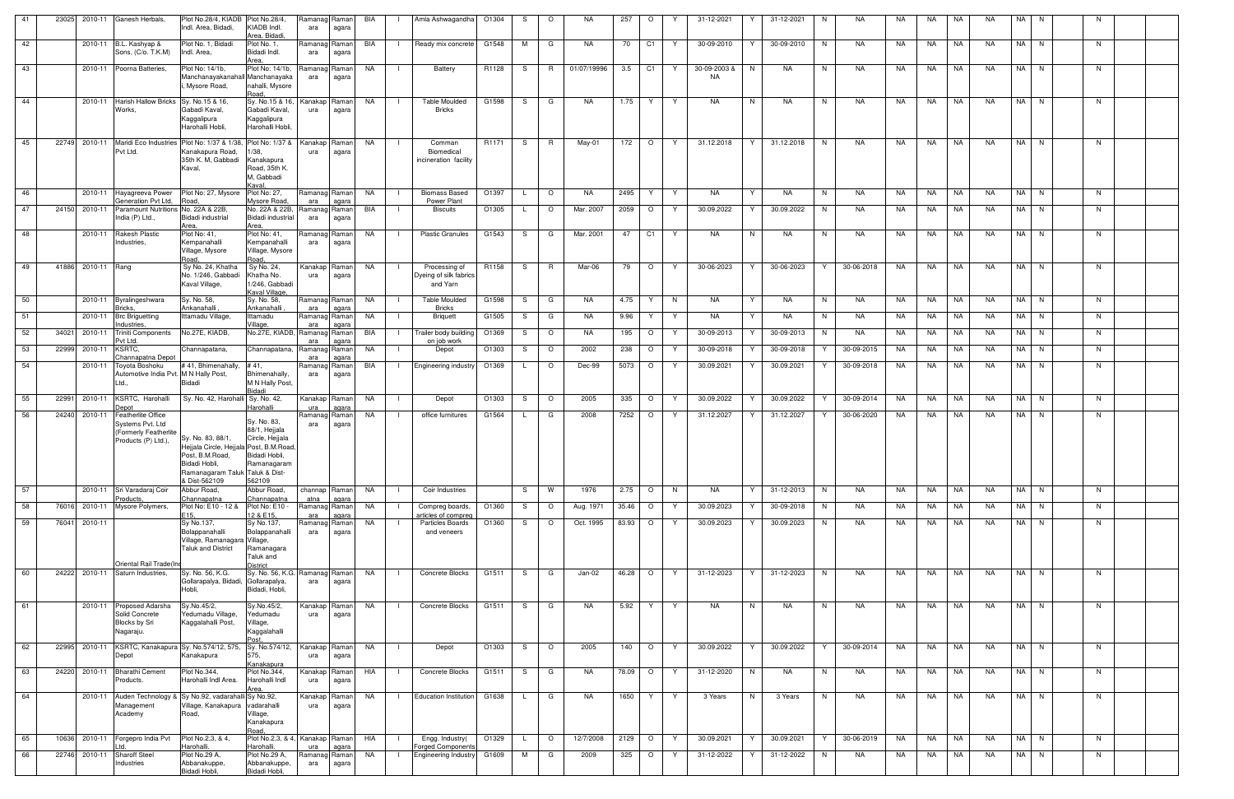| 41              | 23025 | 2010-11            | Ganesh Herbals,                                                                                        | Plot No.28/4, KIADB Plot No.28/4,<br>Indl. Area, Bidadi,                                                                                            | KIADB Indl.<br>Area, Bidadi.                                                                           | Ramanag Raman<br>ara        | agara          | BIA       | Amla Ashwagandha                                    | O1304 | S.           | $\circ$  | NA.         | 257       | $\circ$<br>Y        | 31-12-2021                | Y  | 31-12-2021 | N. | NA.        | NA. | NA        | NA        | <b>NA</b> | NA N |     |  |
|-----------------|-------|--------------------|--------------------------------------------------------------------------------------------------------|-----------------------------------------------------------------------------------------------------------------------------------------------------|--------------------------------------------------------------------------------------------------------|-----------------------------|----------------|-----------|-----------------------------------------------------|-------|--------------|----------|-------------|-----------|---------------------|---------------------------|----|------------|----|------------|-----|-----------|-----------|-----------|------|-----|--|
| 42              |       |                    | 2010-11 B.L. Kashyap &<br>Sons, (C/o. T.K.M)                                                           | Plot No. 1, Bidadi<br>Indl. Area,                                                                                                                   | Plot No. 1,<br>Bidadi Indl.<br>Area.                                                                   | Ramanag Raman<br>ara        | agara          | BIA       | Ready mix concrete                                  | G1548 | M            | G        | NA.         | 70        | C <sub>1</sub><br>Y | 30-09-2010                |    | 30-09-2010 | N  | NA         | NA  | NA        | NA        | <b>NA</b> | NA N | N   |  |
| 43              |       |                    | 2010-11 Poorna Batteries.                                                                              | Plot No: 14/1b.<br>Manchanavakanahall Manchanavaka<br>Mysore Road,                                                                                  | Plot No: 14/1b,<br>nahalli, Mysore<br>Road,                                                            | Ramanag Raman<br>ara        | agara          | NA        | Battery                                             | R1128 | S            | R        | 01/07/19996 | 3.5       | C <sub>1</sub><br>Y | 30-09-2003 &<br><b>NA</b> | N. | NA         | N  | <b>NA</b>  | NA. | NA.       | <b>NA</b> | NA.       | NA N | N   |  |
| 44              |       | 2010-11            | <b>Harish Hallow Bricks</b><br>Works,                                                                  | Sy. No.15 & 16,<br>Gabadi Kaval.<br>Kaggalipura<br>Harohalli Hobli,                                                                                 | Sy. No.15 & 16,<br>Gabadi Kaval,<br>Kaggalipura<br>Harohalli Hobli,                                    | Kanakap Raman<br>ura        | agara          | NA        | <b>Table Moulded</b><br><b>Bricks</b>               | G1598 | S.           | G        | <b>NA</b>   | 1.75      | Y<br>Y              | <b>NA</b>                 | N  | NA         | N  | NA         | NA. | NA.       | NA.       | <b>NA</b> | NA N | N   |  |
| 45              |       | 22749 2010-11      | Maridi Eco Industries Plot No: 1/37 & 1/38, Plot No: 1/37 &<br>Pvt Ltd.                                | Kanakapura Road,<br>35th K. M, Gabbadi<br>Kaval,                                                                                                    | 1/38,<br>Kanakapura<br>Road, 35th K.<br>M, Gabbadi<br>Kaval.                                           | Kanakap Raman<br>ura        | agara          | NA        | Comman<br>Biomedical<br>incineration facility       | R1171 | S.           | R        | May-01      | 172       | $\circ$<br>Y.       | 31.12.2018                | Y  | 31.12.2018 | N. | <b>NA</b>  | NA. | <b>NA</b> | NA        | NA.       | NA N | N   |  |
| 46              |       | 2010-11            | Hayagreeva Power<br>Generation Pvt Ltd,                                                                | Plot No: 27, Mysore<br>Road.                                                                                                                        | <b>Plot No: 27,</b><br>Mysore Road,                                                                    | Ramanag Raman<br>ara        | agara          | NA        | <b>Biomass Based</b><br>Power Plant                 | O1397 | L.           | $\circ$  | NA.         | 2495      | Y<br>Y              | <b>NA</b>                 | Y  | NA         | N  | NA         | NA  | NA        | NA        | NA        | NA N | N   |  |
| 47              |       | 24150 2010-11      | Paramount Nutritions No. 22A & 22B,<br>India (P) Ltd.,                                                 | Bidadi industrial<br>Area.                                                                                                                          | No. 22A & 22B,<br>Bidadi industrial<br>Area,                                                           | Ramanag Raman<br>ara        | agara          | BIA       | <b>Biscuits</b>                                     | O1305 | L.           | $\circ$  | Mar. 2007   | 2059      | $\circ$<br>Y        | 30.09.2022                |    | 30.09.2022 | N  | NA         | NA  | NA        | NA        | <b>NA</b> | NA N | N   |  |
| 48              |       | 2010-11            | Rakesh Plastic<br>Industries,                                                                          | Plot No: 41,<br>Kempanahalli<br>Village, Mysore<br>Road.                                                                                            | Plot No: 41,<br>Kempanahalli<br>Village, Mysore<br>Road.                                               | Ramanag Raman<br>ara        | agara          | NA        | <b>Plastic Granules</b>                             | G1543 | S.           | G        | Mar. 2001   | 47        | C1<br>Y             | <b>NA</b>                 | N. | NA.        | N  | NA         | NA. | NA.       | NA.       | <b>NA</b> | NA N | N   |  |
| 49              |       | 41886 2010-11 Rang |                                                                                                        | Sy No. 24, Khatha<br>No. 1/246, Gabbadi<br>Kaval Village,                                                                                           | Sy No. 24,<br>Khatha No.<br>1/246, Gabbadi<br>Kaval Village.                                           | Kanakap Raman<br>ura        | agara          | NA        | Processing of<br>Dyeing of silk fabrics<br>and Yarn | R1158 | S.           | <b>R</b> | Mar-06      | 79        | $\circ$<br>Y.       | 30-06-2023                | Y  | 30-06-2023 | Y  | 30-06-2018 | NA  | <b>NA</b> | NA        | <b>NA</b> | NA N | N   |  |
| 50              |       |                    | 2010-11 Byralingeshwara<br>Bricks,                                                                     | Sy. No. 58,<br>Ankanahalli                                                                                                                          | Sy. No. 58,<br>Ankanahalli                                                                             | Ramanag Raman<br>ara        | agara          | <b>NA</b> | <b>Table Moulded</b><br><b>Bricks</b>               | G1598 | S.           | G        | NA.         | 4.75      | Y<br>N              | NA.                       | Y  | NA         | N  | <b>NA</b>  | NA  | NA        | <b>NA</b> | <b>NA</b> | NA N | N   |  |
| 51              |       |                    | 2010-11 Brc Briguetting<br>ndustries.                                                                  | Ittamadu Village,                                                                                                                                   | Ittamadu<br>Village,                                                                                   | Ramanag Raman<br>ara        | agara          | NA        | <b>Briquett</b>                                     | G1505 | S.           | G        | NA.         | 9.96      | Y<br>Y              | NA                        | Y  | NA         | N. | NA         | NA  | NA        | NA        | NA.       | NA N | N   |  |
| 52              |       | 34021 2010-11      | <b>Triniti Components</b><br>Pvt Ltd.                                                                  | No.27E, KIADB,                                                                                                                                      | No.27E, KIADB, Ramanag Raman                                                                           | ara                         | agara          | BIA       | Trailer body building<br>on job work                | O1369 | S.           | $\circ$  | NA.         | 195       | $\circ$<br>Y        | 30-09-2013                | Y  | 30-09-2013 | N  | NA         | NA  | NA        | NA        | <b>NA</b> | NA N | N   |  |
| 53              |       | 22999 2010-11      | KSRTC.<br>hannapatna Depot                                                                             | Channapatana,                                                                                                                                       | Channapatana,                                                                                          | Ramanag Raman<br>ara        | agara          | NA        | Depot                                               | O1303 | S.           | $\circ$  | 2002        | 238       | $\circ$<br>Y        | 30-09-2018                | Y  | 30-09-2018 | Y  | 30-09-2015 | NA  | NA        | <b>NA</b> | <b>NA</b> | NA N | N   |  |
| 54              |       | 2010-11            | Toyota Boshoku<br>Automotive India Pvt. M N Hally Post,<br>Ltd.,                                       | #41, Bhimenahally,<br>Bidadi                                                                                                                        | #41,<br>Bhimenahally,<br>M N Hally Post,                                                               | Ramanag Raman<br>ara        | agara          | BIA       | <b>Engineering industry</b>                         | O1369 | L.           | $\circ$  | Dec-99      | 5073      | $\circ$<br>Y        | 30.09.2021                |    | 30.09.2021 |    | 30-09-2018 | NA  | NA        | NA        | NA.       | NA N | N.  |  |
| 55              |       | 22991 2010-11      | KSRTC, Harohalli                                                                                       | Sy. No. 42, Harohalli Sy. No. 42,                                                                                                                   | Bidadi                                                                                                 | Kanakap Raman               |                | NA        | Depot                                               | O1303 | S.           | $\circ$  | 2005        | 335       | $\circ$<br>Y        | 30.09.2022                | Y  | 30.09.2022 | Y  | 30-09-2014 | NA  | NA        | NA        | NA        | NA N | - N |  |
| 56              |       | 24240 2010-11      | Jepot<br><b>Featherlite Office</b><br>Systems Pvt. Ltd<br>(Formerly Featherlite<br>Products (P) Ltd.), | Sy. No. 83, 88/1,<br>Hejjala Circle, Hejjala Post, B.M.Road<br>Post, B.M.Road,<br>Bidadi Hobli,<br>Ramanagaram Taluk Taluk & Dist-<br>& Dist-562109 | Harohalli<br>Sy. No. 83,<br>88/1, Hejjala<br>Circle, Hejjala<br>Bidadi Hobli,<br>Ramanagaram<br>562109 | ura<br>Ramanag Raman<br>ara | agara<br>agara | NA        | office furnitures                                   | G1564 | L.           | G        | 2008        | 7252      | $\circ$<br>Y        | 31.12.2027                | Y  | 31.12.2027 | Y  | 30-06-2020 | NA  | NA        | NA        | <b>NA</b> | NA N | N   |  |
| 57              |       |                    | 2010-11 Sri Varadaraj Coir<br>Products,                                                                | Abbur Road,<br>Channapatna                                                                                                                          | Abbur Road,<br>Channapatna                                                                             | channap Raman<br>atna       | agara          | NA        | Coir Industries                                     |       | S.           | W        | 1976        | 2.75      | $\circ$<br>N        | <b>NA</b>                 | Y  | 31-12-2013 | N  | NA         | NA  | NA        | NA        | NA        | NA N | N   |  |
| 58              |       |                    | 76016 2010-11 Mysore Polymers,                                                                         | Plot No: E10 - 12 &<br>E15.                                                                                                                         | Plot No: E10 -<br>12 & E15,                                                                            | Ramanag Raman<br>ara        | agara          | NA        | Compreg boards,<br>articles of compred              | O1360 | S.           | $\circ$  | Aug. 1971   | 35.46     | $\circ$<br>Y        | 30.09.2023                | Y  | 30-09-2018 | N  | NA         | NA  | NA        | NA        | NA        | NA N | N   |  |
| 59              |       | 76041 2010-11      | Oriental Rail Trade(Ind                                                                                | Sy No.137,<br>Bolappanahalli<br>Village, Ramanagara Village,<br><b>Taluk and District</b>                                                           | Sy No.137,<br>Bolappanahalli<br>Ramanagara<br>Taluk and<br>District                                    | Ramanag Raman<br>ara        | agara          | <b>NA</b> | Particles Boards<br>and veneers                     | O1360 | S.           | $\circ$  | Oct. 1995   | 83.93     | $\circ$<br>Y        | 30.09.2023                |    | 30.09.2023 | N  | NA         | NA  | NA        | <b>NA</b> | <b>NA</b> | NA N | N   |  |
| $\overline{60}$ |       |                    | 24222 2010-11 Saturn Industries,                                                                       | Sy. No. 56, K.G.<br>Gollarapalya, Bidadi,<br>Hobli,                                                                                                 | Sy. No. 56, K.G. Ramanag Raman<br>Gollarapalya,<br>Bidadi, Hobli,                                      | ara                         | agara          | <b>NA</b> | Concrete Blocks                                     | G1511 | S —          | G        | Jan-02      | 46.28   O | Y                   | 31-12-2023                | Y. | 31-12-2023 | N  | NA         | NA  |           | NA NA     | NA        | NA N | N   |  |
| 61              |       |                    | 2010-11 Proposed Adarsha<br>Solid Concrete<br>Blocks by Sri<br>Nagaraju.                               | Sy.No.45/2,<br>Yedumadu Village,<br>Kaggalahalli Post,                                                                                              | Sy.No.45/2,<br>Yedumadu<br>Village,<br>Kaggalahalli                                                    | Kanakap Raman<br>ura        | agara          | NA        | Concrete Blocks                                     | G1511 | S.           | G        | <b>NA</b>   | 5.92      | Y<br>Y              | <b>NA</b>                 | N  | <b>NA</b>  | N  | <b>NA</b>  | NA. | <b>NA</b> | <b>NA</b> | NA        | NA N | N   |  |
| 62              |       | 22995 2010-11      | KSRTC, Kanakapura Sy. No.574/12, 575,<br>Depot                                                         | Kanakapura                                                                                                                                          | Sy. No.574/12,<br>575,                                                                                 | Kanakap Raman<br>ura        | agara          | NA        | Depot                                               | O1303 | S.           | $\circ$  | 2005        | 140       | $\circ$<br>Y.       | 30.09.2022                | Y  | 30.09.2022 | Y  | 30-09-2014 | NA  | NA   NA   |           | NA        | NA N | N   |  |
| 63              |       | 24220 2010-11      | <b>Bharathi Cement</b><br>Products.                                                                    | Plot No.344,<br>Harohalli Indl Area.                                                                                                                | Kanakapura<br>Plot No.344,<br>Harohalli Indl                                                           | Kanakap Raman<br>ura        | agara          | HIA       | Concrete Blocks                                     | G1511 | S.           | G        | <b>NA</b>   | 78.09     | $\circ$<br>Y.       | 31-12-2020                | N  | NA         | N  | NA         | NA  | NA        | <b>NA</b> | <b>NA</b> | NA N | N   |  |
| 64              |       | 2010-11            | Auden Technology & Sy No.92, vadarahalli Sy No.92,<br>Management<br>Academy                            | Village, Kanakapura<br>Road,                                                                                                                        | Area.<br>vadarahalli<br>Village,<br>Kanakapura                                                         | Kanakap Raman<br>ura        | agara          | NA        | <b>Education Institution</b>                        | G1638 | L.           | G        | <b>NA</b>   | 1650      | Y<br>Y.             | 3 Years                   | N  | 3 Years    | N  | <b>NA</b>  | NA  | <b>NA</b> | <b>NA</b> | <b>NA</b> | NA N | N   |  |
| 65              |       | 10636 2010-11      | Forgepro India Pvt                                                                                     | Plot No.2,3, & 4,                                                                                                                                   | Road,<br>Plot No.2,3, & 4,                                                                             | Kanakap Raman               |                | HIA       | Engg. Industry(                                     | O1329 | $\mathsf{L}$ | $\circ$  | 12/7/2008   | 2129      | $\circ$<br>Y.       | 30.09.2021                | Y. | 30.09.2021 | Y  | 30-06-2019 | NA  | NA        | <b>NA</b> | <b>NA</b> | NA N | N   |  |
| 66              |       | 22746 2010-11      | <b>Sharoff Steel</b><br>Industries                                                                     | Harohalli.<br>Plot No.29 A,<br>Abbanakuppe,<br>Bidadi Hobli,                                                                                        | Harohalli.<br>Plot No.29 A,<br>Abbanakuppe,<br>Bidadi Hobli,                                           | ura<br>Ramanag Raman<br>ara | agara<br>agara | NA        | Forged Component<br><b>Engineering Industry</b>     | G1609 | M            | G        | 2009        | 325       | $\circ$<br>Y.       | 31-12-2022                | Y  | 31-12-2022 | N  | NA         | NA  | NA NA     |           | NA        | NA N | N   |  |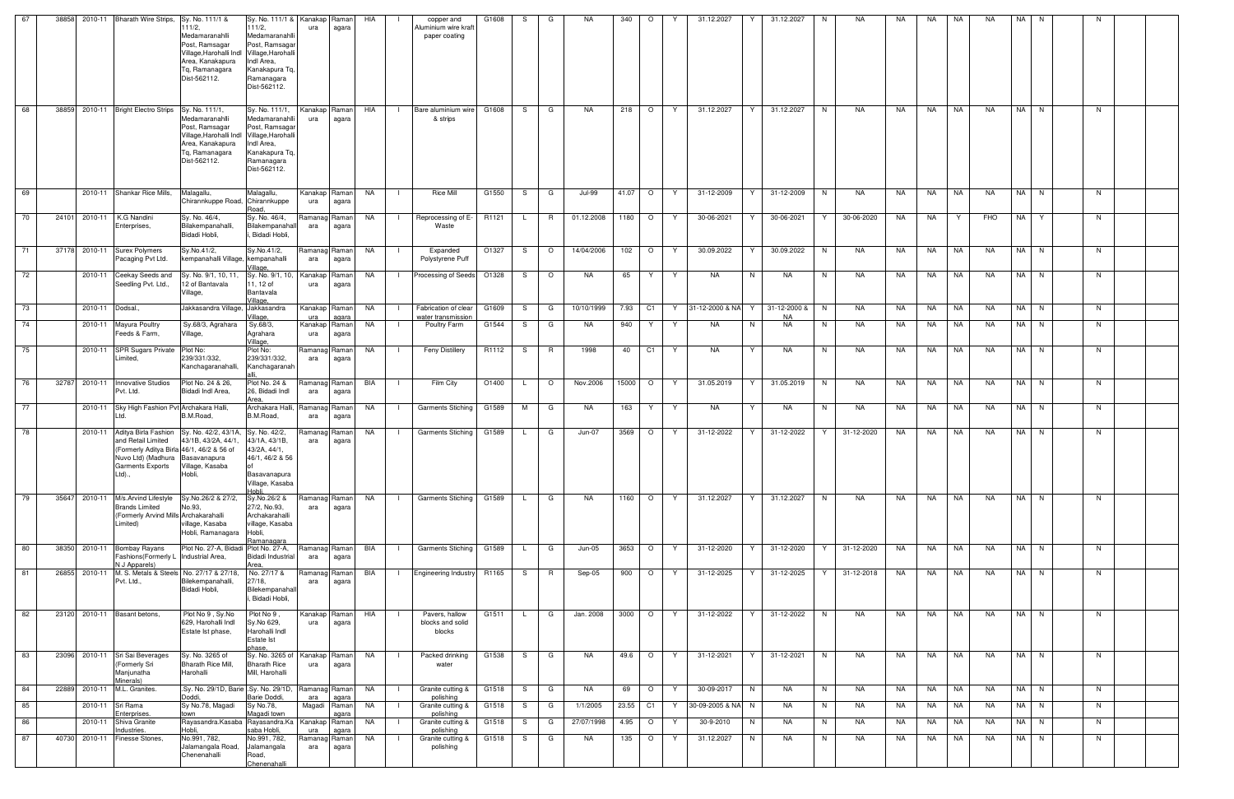| 67 | 38858 |                  | 2010-11 Bharath Wire Strips, Sy. No. 111/1 &                                                               | 111/2,<br>Medamaranahlli<br>Post, Ramsagar<br>Village, Harohalli Indl Village, Harohalli<br>Area, Kanakapura<br>Tq, Ramanagara<br>Dist-562112. | Sy. No. 111/1 &   Kanakap   Raman  <br>111/2,<br>Medamaranahlli<br>Post, Ramsaga<br>Indl Area,<br>Kanakapura Tq,<br>Ramanagara<br>Dist-562112. | ura                  | agara                   | HIA       |                | copper and<br>Aluminium wire kraft<br>paper coating | G1608 | S. | G       | NA.           | 340      | $\circ$        |    | 31.12.2027        | Y | 31.12.2027                | NA.<br>N.        | NA. | <b>NA</b> | NA.       | <b>NA</b> | NA I | - N  |    |  |
|----|-------|------------------|------------------------------------------------------------------------------------------------------------|------------------------------------------------------------------------------------------------------------------------------------------------|------------------------------------------------------------------------------------------------------------------------------------------------|----------------------|-------------------------|-----------|----------------|-----------------------------------------------------|-------|----|---------|---------------|----------|----------------|----|-------------------|---|---------------------------|------------------|-----|-----------|-----------|-----------|------|------|----|--|
| 68 | 38859 |                  | 2010-11 Bright Electro Strips Sy. No. 111/1,                                                               | Medamaranahlli<br>Post, Ramsagar<br>Village, Harohalli Indl Village, Harohalli<br>Area, Kanakapura<br>Tq, Ramanagara<br>Dist-562112.           | Sy. No. 111/1,<br>Medamaranahlli<br>Post, Ramsagar<br>Indl Area,<br>Kanakapura Tq,<br>Ramanagara<br>Dist-562112.                               | Kanakap Raman<br>ura | agara                   | HIA       |                | Bare aluminium wire<br>& strips                     | G1608 | S. | G       | NA.           | 218      | $\circ$        | Y  | 31.12.2027        | Y | 31.12.2027                | N<br>NA.         | NA  | NA.       | NA.       | <b>NA</b> |      | NA N | N. |  |
| 69 |       |                  | 2010-11 Shankar Rice Mills,                                                                                | Malagallu,<br>Chirannkuppe Road,                                                                                                               | Malagallu,<br>Chirannkuppe                                                                                                                     | Kanakap Raman<br>ura | agara                   | NA        | -1             | <b>Rice Mill</b>                                    | G1550 | S  | G       | <b>Jul-99</b> | 41.07    | $\circ$        | Y  | 31-12-2009        | Y | 31-12-2009                | N<br>NA          | NA  | NA        | <b>NA</b> | NA        | NA N |      | N. |  |
| 70 | 24101 | 2010-11          | K.G Nandini<br>Enterprises,                                                                                | Sy. No. 46/4,<br>Bilakempanahalli,<br>Bidadi Hobli,                                                                                            | Road<br>Sy. No. 46/4,<br>Bilakempanahal<br>Bidadi Hobli,                                                                                       | Ramanag Raman<br>ara | agara                   | NA        | $\Box$         | Reprocessing of E-<br>Waste                         | R1121 | L. | R       | 01.12.2008    | 1180     | $\circ$        | Y. | 30-06-2021        | Y | 30-06-2021                | 30-06-2020<br>Y  | NA  | NA.       | Y         | FHO       | NA Y |      | N. |  |
| 71 | 37178 |                  | 2010-11 Surex Polymers<br>Pacaging Pvt Ltd.                                                                | Sy.No.41/2,<br>kempanahalli Village. kempanahalli                                                                                              | Sy.No.41/2,                                                                                                                                    | Ramanag Raman<br>ara | agara                   | NA        | $\Box$         | Expanded<br>Polystyrene Puff                        | O1327 |    | S O     | 14/04/2006    |          | $102$ 0        | Y  | 30.09.2022        | Y | 30.09.2022                | NA<br>N          | NA  | NA.       | NA        | <b>NA</b> | NA N |      | N  |  |
| 72 |       |                  | 2010-11 Ceekay Seeds and<br>Seedling Pvt. Ltd.,                                                            | Sy. No. 9/1, 10, 11,<br>12 of Bantavala<br>Village,                                                                                            | Village,<br>Sy. No. 9/1, 10.<br>11, 12 of<br>Bantavala                                                                                         | Kanakap<br>ura       | Raman<br>agara          | NA        | $\Box$         | Processing of Seeds                                 | O1328 | S. | $\circ$ | NA.           | 65       | Y.             | Y. | <b>NA</b>         | N | NA.                       | N<br>NA.         | NA  | NA        | NA        | <b>NA</b> |      | NA N | N  |  |
| 73 |       | 2010-11 Dodsal., |                                                                                                            | Jakkasandra Village, Jakkasandra                                                                                                               | Village.<br>/illage.                                                                                                                           | Kanakap Raman<br>ura |                         | NA        | $\blacksquare$ | Fabrication of clear                                | G1609 | S. | G       | 10/10/1999    | 7.93     | C <sub>1</sub> | Y. | 31-12-2000 & NA Y |   | 31-12-2000 &<br><b>NA</b> | <b>NA</b><br>N   | NA  | NA.       | NA        | <b>NA</b> |      | NA N | N  |  |
| 74 |       |                  | 2010-11 Mayura Poultry<br>Feeds & Farm,                                                                    | Sy.68/3, Agrahara<br>Village,                                                                                                                  | Sy.68/3,<br>Agrahara                                                                                                                           | Kanakap<br>ura       | agara<br>Raman<br>agara | NA        | $\blacksquare$ | water transmission<br>Poultry Farm                  | G1544 | S. | G       | NA            | 940      | Y              | Y  | NA                | N | NA                        | N<br>NA          | NA  | NA        | NA        | NA        |      | NA N | N  |  |
| 75 |       | 2010-11          | <b>SPR Sugars Private</b><br>Limited,                                                                      | Plot No:<br>239/331/332,<br>Kanchagaranahalli,                                                                                                 | Village,<br>Plot No:<br>239/331/332,<br>Kanchagaranah                                                                                          | Ramanag<br>ara       | Raman<br>agara          | NA        | $\mathbf{I}$   | <b>Feny Distillery</b>                              | R1112 | S. | R       | 1998          | 40       | C1             | Y  | <b>NA</b>         | Y | NA                        | N<br><b>NA</b>   | NA  | NA.       | NA        | <b>NA</b> |      | NA N | N  |  |
| 76 | 32787 |                  | 2010-11 Innovative Studios<br>Pvt. Ltd.                                                                    | Plot No. 24 & 26,<br><b>Bidadi Indl Area</b>                                                                                                   | Plot No. 24 &<br>26, Bidadi Indl                                                                                                               | ara                  | Ramanag  Raman<br>agara | BIA       | - 1            | Film City                                           | O1400 |    | $\circ$ | Nov.2006      | 15000    | $\circ$        | Y. | 31.05.2019        |   | 31.05.2019                | N<br>NA          | NA  | NA.       | NA        | <b>NA</b> |      | NA N | N. |  |
| 77 |       |                  | 2010-11 Sky High Fashion Pvt Archakara Halli,<br>td.                                                       | B.M.Road,                                                                                                                                      | Area<br>Archakara Halli.<br>B.M.Road,                                                                                                          | Ramanag<br>ara       | Raman<br>agara          | NA        | $\blacksquare$ | <b>Garments Stiching</b>                            | G1589 | М  | G       | NA.           | 163      | Y              | Y  | NA                | Y | NA                        | NA<br>N          | NA  | NA.       | NA        | <b>NA</b> | NA N |      | N. |  |
| 78 |       | 2010-11          | Aditya Birla Fashion<br>and Retail Limited<br>Nuvo Ltd) (Madhura Basavanapura<br>Garments Exports<br>Ltd). | Sy. No. 42/2, 43/1A,<br>43/1B, 43/2A, 44/1,<br>(Formerly Aditya Birla 46/1, 46/2 & 56 of<br>Village, Kasaba<br>Hobli,                          | Sy. No. 42/2,<br>43/1A, 43/1B,<br>43/2A, 44/1,<br>46/1, 46/2 & 56<br>Basavanapura<br>Village, Kasaba<br>ildok                                  | Ramanag<br>ara       | Raman<br>agara          | NA        |                | <b>Garments Stiching</b>                            | G1589 | L. | G       | Jun-07        | 3569     | $\circ$        | Y  | 31-12-2022        | Y | 31-12-2022                | 31-12-2020       | NA  | NA.       | NA        | NA.       | NA N |      | N. |  |
| 79 | 35647 | 2010-11          | M/s.Arvind Lifestyle<br><b>Brands Limited</b><br>(Formerly Arvind Mills Archakarahalli<br>Limited)         | Sy.No.26/2 & 27/2,<br>No.93,<br>village, Kasaba<br>Hobli, Ramanagara                                                                           | Sy.No.26/2 &<br>27/2, No.93,<br>Archakarahalli<br>village, Kasaba<br>Hobli,<br>Ramanagara                                                      | Ramanag Raman<br>ara | agara                   | <b>NA</b> |                | <b>Garments Stiching</b>                            | G1589 | L. | G       | <b>NA</b>     | 1160     | $\circ$        | Y  | 31.12.2027        |   | 31.12.2027                | <b>NA</b><br>N   | NA  | <b>NA</b> | <b>NA</b> | <b>NA</b> |      | NA N | N  |  |
| 80 | 38350 |                  | 2010-11 Bombay Rayans<br>Fashions (Formerly L Industrial Area,<br>N J Apparels)                            | Plot No. 27-A, Bidadi Plot No. 27-A,                                                                                                           | Bidadi Industrial<br>Area.                                                                                                                     | Ramanag Raman<br>ara | agara                   | BIA       |                | Garments Stiching G1589                             |       |    | G       | Jun-05        |          | 3653 O         | Y  | 31-12-2020        | Y | 31-12-2020                | 31-12-2020<br>Y  | NA  |           | NA NA     | <b>NA</b> |      | NA N | N  |  |
| 81 | 26855 |                  | Pvt. Ltd.,                                                                                                 | 2010-11 M. S. Metals & Steels No. 27/17 & 27/18,<br>Bilekempanahalli,<br>Bidadi Hobli,                                                         | No. 27/17 &<br>27/18,<br>Bilekempanahal<br>, Bidadi Hobli,                                                                                     | Ramanag Raman<br>ara | agara                   | BIA       | $\Box$         | Engineering Industry R1165                          |       |    | S R     | Sep-05        | 900      | $\circ$        | Y  | 31-12-2025        | Y | 31-12-2025                | 31-12-2018<br>Y. | NA  | NA 1      | <b>NA</b> | <b>NA</b> |      | NA N | N  |  |
| 82 | 23120 |                  | 2010-11 Basant betons,                                                                                     | Plot No 9, Sy.No<br>629, Harohalli Indl<br>Estate Ist phase,                                                                                   | Plot No 9,<br>Sy.No 629,<br>Harohalli Indl<br>Estate Ist<br>bhase.                                                                             | ura                  | Kanakap Raman<br>agara  | HIA       |                | Pavers, hallow<br>blocks and solid<br>blocks        | G1511 | L. | G       | Jan. 2008     | 3000     | $\circ$        | Y  | 31-12-2022        | Y | 31-12-2022                | N<br><b>NA</b>   | NA  | NA        | <b>NA</b> | NA.       |      | NA N | N  |  |
| 83 | 23096 |                  | 2010-11 Sri Sai Beverages<br>(Formerly Sri<br>Manjunatha<br>Minerals)                                      | Sy. No. 3265 of<br>Bharath Rice Mill,<br>Harohalli                                                                                             | Sy. No. 3265 of<br><b>Bharath Rice</b><br>Mill, Harohalli                                                                                      | Kanakap Raman<br>ura | agara                   | <b>NA</b> | $\blacksquare$ | Packed drinking<br>water                            | G1538 | S. | G       | <b>NA</b>     | 49.6     | $\circ$        | Y  | 31-12-2021        | Y | 31-12-2021                | <b>NA</b><br>N   | NA  | <b>NA</b> | <b>NA</b> | <b>NA</b> |      | NA N | N  |  |
| 84 | 22889 | 2010-11          | M.L. Granites.                                                                                             | .Sy. No. 29/1D, Barie .Sy. No. 29/1D,<br>Doddi,                                                                                                | Barie Doddi,                                                                                                                                   | Ramanag Raman<br>ara | agara                   | NA        | $\Box$         | Granite cutting &<br>polishing                      | G1518 | S. | G       | NA            | 69       | $\circ$        | Y  | 30-09-2017        | N | NA                        | N<br>NA          | NA  | NA        | NA        | <b>NA</b> |      | NA N | N  |  |
| 85 |       |                  | 2010-11 Sri Rama<br>Enterprises.                                                                           | Sy No.78, Magadi<br>town                                                                                                                       | Sy No.78,<br>Magadi town                                                                                                                       |                      | Magadi Raman<br>agara   | <b>NA</b> | $\blacksquare$ | Granite cutting &<br>polishing                      | G1518 | S. | G       | 1/1/2005      | 23.55 C1 |                | Y  | 30-09-2005 & NA N |   | NA                        | N<br>NA          | NA  | NA 1      | NA        | <b>NA</b> |      | NA N | N  |  |
| 86 |       | 2010-11          | Shiva Granite<br>Industries.                                                                               | Rayasandra.Kasaba Rayasandra.Ka<br>Hobli.                                                                                                      | saba Hobli                                                                                                                                     | Kanakap Raman<br>ura | agara                   | NA        |                | Granite cutting &<br>polishing                      | G1518 | S  | G       | 27/07/1998    | 4.95     | $\circ$        | Y  | 30-9-2010         | N | NA                        | N<br>NA          | NA  | NA        | NA        | <b>NA</b> |      | NA N | N  |  |
| 87 | 40730 |                  | 2010-11 Finesse Stones,                                                                                    | No.991, 782,<br>Jalamangala Road,<br>Chenenahalli                                                                                              | No.991, 782,<br>Jalamangala<br>Road,<br>Chenenahalli                                                                                           | Ramanag Raman<br>ara | agara                   | NA        |                | Granite cutting &<br>polishing                      | G1518 | S. | G       | NA            | 135      | $\circ$        | Y  | 31.12.2027        | N | NA                        | N<br><b>NA</b>   | NA  | <b>NA</b> | NA        | NA        |      | NA N | N  |  |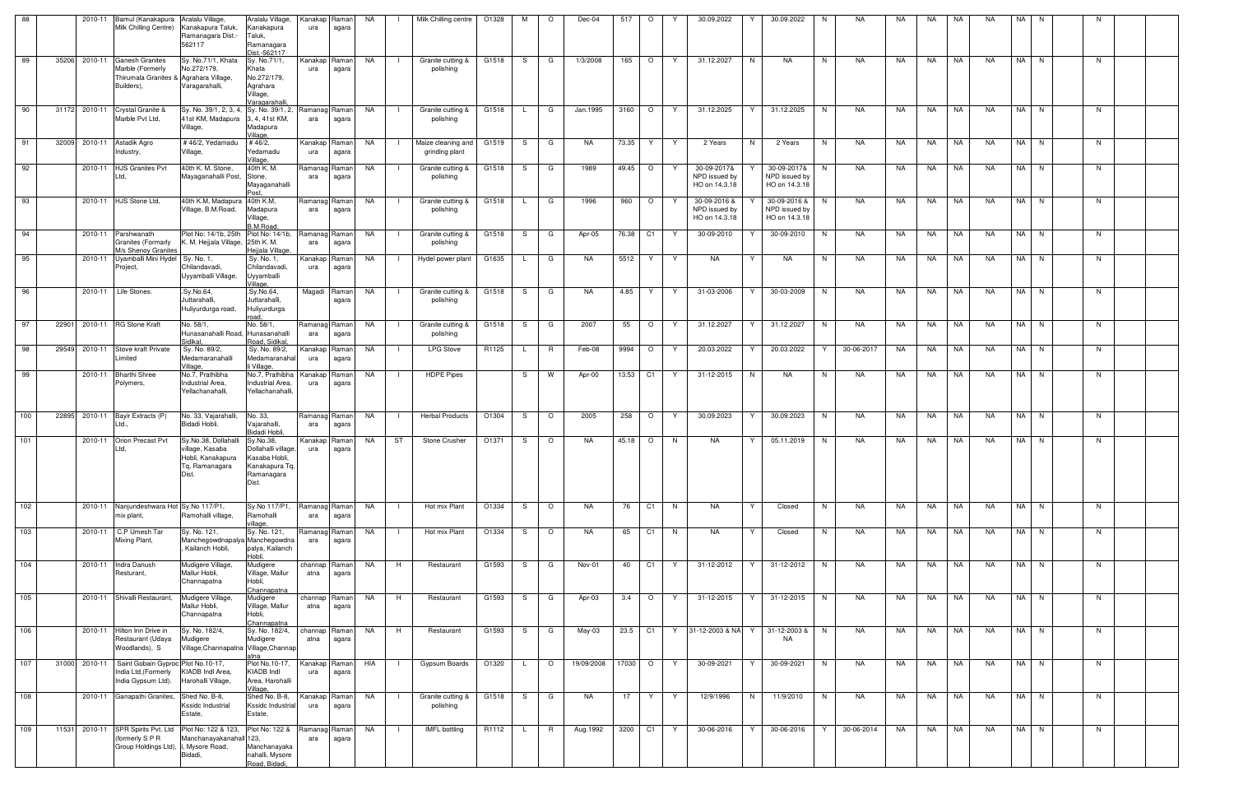| 88  | 2010-11       | Bamul (Kanakapura Aralalu Village,<br>Milk Chilling Centre)                                                       | Kanakapura Taluk,<br>Ramanagara Dist.-<br>562117                                        | Aralalu Village,<br>Kanakapura<br>Taluk,<br>Ramanagara<br>Dist.-562117                     | Kanakap   Raman  <br>ura  | agara                 | NA        | Milk Chilling centre                 | O1328 | M            | $\circ$ | Dec-04     | 517       | $\circ$            |    | 30.09.2022                                     | 30.09.2022<br>Y                                | NA.<br>N.            | NA  | NA.  | <b>NA</b> | <b>NA</b> | NA I | - N  | - N |  |
|-----|---------------|-------------------------------------------------------------------------------------------------------------------|-----------------------------------------------------------------------------------------|--------------------------------------------------------------------------------------------|---------------------------|-----------------------|-----------|--------------------------------------|-------|--------------|---------|------------|-----------|--------------------|----|------------------------------------------------|------------------------------------------------|----------------------|-----|------|-----------|-----------|------|------|-----|--|
| 89  | 35206 2010-11 | <b>Ganesh Granites</b><br>Marble (Formerly<br>Thirumala Granites & Agrahara Village,<br>Builders),                | Sy. No.71/1, Khata<br>No.272/179,<br>Varagarahalli,                                     | Sy. No.71/1,<br>Khata<br>No.272/179,<br>Agrahara<br>Village,<br>Varagarahalli,             | Kanakap<br>ura            | Raman<br>agara        | NA        | Granite cutting &<br>polishing       | G1518 | S.           | G       | 1/3/2008   | 165 O     |                    | Y. | 31.12.2027                                     | N<br>NA                                        | N <sub>1</sub><br>NA | NA  |      | NA NA     | NA        | NA N |      | N.  |  |
| 90  | 31172 2010-11 | Crystal Granite &<br>Marble Pvt Ltd,                                                                              | Sy. No. 39/1, 2, 3, 4, Sy. No. 39/1, 2,<br>41st KM, Madapura<br>Village,                | 3, 4, 41st KM,<br>Madapura<br>Village.                                                     | Ramanag<br>ara            | Ramanl<br>agara       | NA        | Granite cutting &<br>polishing       | G1518 | $\mathsf{L}$ | G       | Jan.1995   | 3160      | $\circ$            | Y  | 31.12.2025                                     | 31.12.2025<br>Y                                | N<br>NA              | NA  | NA   | NA        | <b>NA</b> | NA N |      | N   |  |
| 91  |               | 32009 2010-11 Astadik Agro<br>Industry,                                                                           | #46/2, Yedamadu<br>Village,                                                             | # $46/2,$<br>Yedamadu<br>Village,                                                          | Kanakap<br>ura            | Raman<br>agara        | NA.       | Maize cleaning and<br>grinding plant | G1519 | S            | G       | <b>NA</b>  | 73.35     | Y                  | Y  | 2 Years                                        | N<br>2 Years                                   | <b>NA</b><br>N       | NA  | NA   | <b>NA</b> | <b>NA</b> | NA N |      | N   |  |
| 92  |               | 2010-11 HJS Granites Pvt<br>.td.                                                                                  | 40th K. M. Stone,<br>Mayaganahalli Post,                                                | 40th K. M.<br>Stone,<br>Mayaganahalli<br>Post                                              | Ramanag<br>ara            | Raman I<br>agara      | NA        | Granite cutting &<br>polishing       | G1518 | S.           | G       | 1989       | $49.45$ 0 |                    | Y  | 30-09-2017&<br>NPD issued by<br>HO on 14.3.18  | 30-09-2017&<br>NPD issued by<br>HO on 14.3.18  | NA<br>N.             | NA  | NA   | <b>NA</b> | <b>NA</b> | NA N |      | N   |  |
| 93  |               | 2010-11 HJS Stone Ltd,                                                                                            | 40th K.M, Madapura 40th K.M,<br>Village, B.M.Road,                                      | Madapura<br>Village,<br><b>B.M.Road</b>                                                    | Ramanag<br>ara            | Raman<br>agara        | NA        | Granite cutting &<br>polishing       | G1518 | L.           | G       | 1996       | 960       | $\circ$            | Y  | 30-09-2016 &<br>NPD issued by<br>HO on 14.3.18 | 30-09-2016 &<br>NPD issued by<br>HO on 14.3.18 | <b>NA</b><br>N       | NA  | NA   | NA        | <b>NA</b> | NA N |      | N   |  |
| 94  |               | 2010-11 Parshwanath<br><b>Granites (Formarly</b><br>M/s Shenoy Granites                                           | Plot No: 14/1b, 25th<br>K. M. Hejjala Village, 25th K. M.                               | Plot No: 14/1b,<br>Hejjala Village                                                         | Ramanag<br>ara            | Raman<br>agara        | NA        | Granite cutting &<br>polishing       | G1518 | S            | G       | Apr-05     | 76.38 C1  |                    | Y. | 30-09-2010                                     | 30-09-2010                                     | <b>NA</b><br>N       | NA  | NA   | <b>NA</b> | <b>NA</b> | NA N |      | N   |  |
| 95  |               | 2010-11 Uyamballi Mini Hydel Sy. No. 1,<br>Project,                                                               | Chilandavadi,<br>Uyyamballi Village,                                                    | Sy. No. 1,<br>Chilandavadi,<br>Uyyamballi<br>Village,                                      | Kanakap<br>ura            | Ramanl<br>agara       | NA        | Hydel power plant                    | G1635 | $\mathsf{L}$ | G       | NA         | 5512   Y  |                    | Y  | NA.                                            | Y<br>NA.                                       | N<br>NA              | NA  | NA   | NA        | <b>NA</b> | NA N |      | N   |  |
| 96  |               | 2010-11 Life Stones.                                                                                              | .Sy.No.64,<br>Juttarahalli,<br>Huliyurdurga road,                                       | .Sy.No.64,<br>Juttarahalli,<br>Huliyurdurga<br>road.                                       |                           | Magadi Raman<br>agara | NA        | Granite cutting &<br>polishing       | G1518 | S.           | G       | NA.        | 4.85      | Y                  | Y  | 31-03-2006                                     | Y<br>30-03-2009                                | NA<br>N              | NA  | NA   | <b>NA</b> | <b>NA</b> | NA N |      | N   |  |
| 97  |               | 22901 2010-11 RG Stone Kraft                                                                                      | No. 58/1<br>Hunasanahalli Road, Hunasanahalli<br>Sidikal,                               | No. 58/1,<br>Road, Sidikal                                                                 | Ramanag Raman<br>ara      | agara                 | NA        | Granite cutting &<br>polishing       | G1518 | S.           | G       | 2007       | 55        | $\overline{O}$     | Y  | 31.12.2027                                     | Y<br>31.12.2027                                | N<br>NA              | NA  | NA   | NA        | <b>NA</b> | NA N |      | N   |  |
| 98  |               | 29549 2010-11 Stove kraft Private<br>Limited                                                                      | Sy. No. 89/2,<br>Medamaranahalli<br>Village,                                            | Sy. No. 89/2,<br>Medamaranahal<br>li Village                                               | Kanakap<br>ura            | Raman<br>agara        | <b>NA</b> | <b>LPG Stove</b>                     | R1125 |              | R.      | Feb-08     | 9994 O    |                    | Y  | 20.03.2022                                     | 20.03.2022<br>Y                                | 30-06-2017<br>Y      | NA  | NA   | NA        | <b>NA</b> | NA N |      | N   |  |
| 99  |               | 2010-11 Bharthi Shree<br>Polymers,                                                                                | No.7, Prathibha<br>Industrial Area,<br>Yellachanahalli,                                 | No.7, Prathibha<br>Industrial Area,<br>Yellachanahalli,                                    | Kanakap<br>ura            | Raman<br>agara        | <b>NA</b> | <b>HDPE Pipes</b>                    |       | S.           | W       | Apr-00     | 13.53 C1  |                    | Y. | 31-12-2015                                     | N<br><b>NA</b>                                 | N<br>NA              | NA  | NA   | NA        | <b>NA</b> |      | NA N | N   |  |
| 100 |               | 22895 2010-11 Bayir Extracts (P)<br>Ltd.,                                                                         | No. 33, Vajarahalli,<br>Bidadi Hobli,                                                   | No. 33,<br>Vajarahalli,<br>Bidadi Hobli,                                                   | Ramanag Raman<br>ara      | agara                 | NA        | <b>Herbal Products</b>               | O1304 | S.           | $\circ$ | 2005       | 258       | $\overline{\circ}$ | Y  | 30.09.2023                                     | 30.09.2023<br>Y                                | N<br>NA              | NA  | NA   | <b>NA</b> | <b>NA</b> | NA N |      | N   |  |
| 101 | 2010-11       | Orion Precast Pvt<br>_td.                                                                                         | Sy.No.38, Dollahalli<br>village, Kasaba<br>Hobli, Kanakapura<br>Tq, Ramanagara<br>Dist. | Sy.No.38,<br>Dollahalli village,<br>Kasaba Hobli,<br>Kanakapura Tq,<br>Ramanagara<br>Dist. | Kanakap<br>ura            | Raman<br>agara        | NA        | ST<br>Stone Crusher                  | O1371 | S.           | $\circ$ | NA         | $45.18$ 0 |                    | N. | NA.                                            | 05.11.2019<br>Y                                | NA<br>N              | NA  | NA   | NA        | NA.       | NA N |      | N   |  |
| 102 |               | 2010-11 Nanjundeshwara Hot Sy. No 117/P1,<br>mix plant,                                                           | Ramohalli village,                                                                      | Sy.No 117/P1,<br>Ramohalli<br>village,                                                     | Ramanag Raman<br>ara      | agara                 | NA        | Hot mix Plant                        | O1334 | S.           | $\circ$ | NA         | 76        | C1                 | N  | NA                                             | Y<br>Closed                                    | N<br>NA              | NA  | NA . | NA        | <b>NA</b> | NA N |      | N   |  |
| 103 | 2010-11       | C.P Umesh Tar<br>Mixing Plant,                                                                                    | Sy. No. 121,<br>Manchegowdnapalya Manchegowdna<br>, Kailanch Hobli,                     | Sy. No. 121,<br>palya, Kailanch<br>Hobli,                                                  | Ramanag<br>ara            | Raman<br>agara        | <b>NA</b> | Hot mix Plant                        | O1334 | S.           | $\circ$ | NA         | 65        | C1                 | N  | NA.                                            | Closed<br>Y                                    | N<br>NA              | NA  | NA   | NA        | <b>NA</b> | NA N |      | N   |  |
| 104 |               | 2010-11 Indra Danush<br>Resturant,                                                                                | Mudigere Village,<br>Mallur Hobli,<br>Channapatna                                       | Mudigere<br>Village, Mallur<br>Hobli,<br>Channapatna                                       | channap   Raman  <br>atna | agara                 | NA        | Restaurant<br>H                      | G1593 | S.           | G       | Nov-01     | 40        | C <sub>1</sub>     | Y  | 31-12-2012                                     | 31-12-2012<br>Y                                | NA<br>N              | NA. | NA.  | NA.       | <b>NA</b> | NA N |      | N   |  |
| 105 |               | 2010-11 Shivalli Restaurant,                                                                                      | Mudigere Village,<br>Mallur Hobli,<br>Channapatna                                       | Mudigere<br>Village, Mallur<br>Hobli,<br>Channapatna                                       | channap Raman<br>atna     | agara                 | <b>NA</b> | H<br>Restaurant                      | G1593 | S.           | G       | Apr-03     |           | 3.4 O              | Y  | 31-12-2015                                     | Y<br>31-12-2015                                | N<br>NA              | NA  |      | NA NA     | <b>NA</b> | NA N |      | N   |  |
| 106 |               | 2010-11 Hilton Inn Drive in<br>Restaurant (Udaya<br>Woodlands), S                                                 | Sy. No. 182/4,<br>Mudigere<br>Village, Channapatna Village, Channap                     | Sy. No. 182/4,<br>Mudigere<br>atna                                                         | channap Raman<br>atna     | agara                 | NA        | H<br>Restaurant                      | G1593 | S.           | G       | May-03     | 23.5 C1   |                    |    |                                                | Y 31-12-2003 & NA Y 31-12-2003 &<br><b>NA</b>  | N<br>NA              | NA  | NA   | NA        | <b>NA</b> |      | NA N | N   |  |
| 107 | 31000 2010-11 | Saint Gobain Gyproc Plot No.10-17,<br>India Ltd, (Formerly<br>India Gypsum Ltd).                                  | KIADB Indl Area,<br>Harohalli Village,                                                  | Plot No.10-17,<br>KIADB Indl<br>Area, Harohalli<br>Village,                                | Kanakap Raman<br>ura      | agara                 | HIA       | Gypsum Boards                        | O1320 | $\mathsf{L}$ | $\circ$ | 19/09/2008 | 17030 O   |                    | Y  | 30-09-2021                                     | Y<br>30-09-2021                                | N<br>NA              | NA  | NA   | NA        | <b>NA</b> | NA N |      | N   |  |
| 108 |               | 2010-11 Ganapathi Granites,                                                                                       | Shed No. B-8,<br>Kssidc Industrial<br>Estate,                                           | Shed No. B-8,<br>Kssidc Industrial<br>Estate,                                              | Kanakap Raman<br>ura      | agara                 | NA        | Granite cutting &<br>polishing       | G1518 | S.           | G       | NA.        | 17        | $\mathsf{Y}$       | Y. | 12/9/1996                                      | N<br>11/9/2010                                 | NA<br>N.             | NA  | NA   | NA        | NA.       | NA N |      | N.  |  |
| 109 |               | 11531 2010-11 SPR Spirits Pvt. Ltd Plot No: 122 & 123,<br>(formerly S P R<br>Group Holdings Ltd), i, Mysore Road, | Manchanayakanahall 123,<br>Bidadi,                                                      | Plot No: 122 &<br>Manchanayaka<br>nahalli, Mysore<br>Road, Bidadi,                         | Ramanag Raman<br>ara      | agara                 | NA        | <b>IMFL</b> bottling                 | R1112 | L.           | R       | Aug.1992   |           | 3200 C1            | Y  | 30-06-2016                                     | 30-06-2016<br>Y                                | 30-06-2014<br>Y      | NA  |      | NA NA     | NA        | NA N |      | N   |  |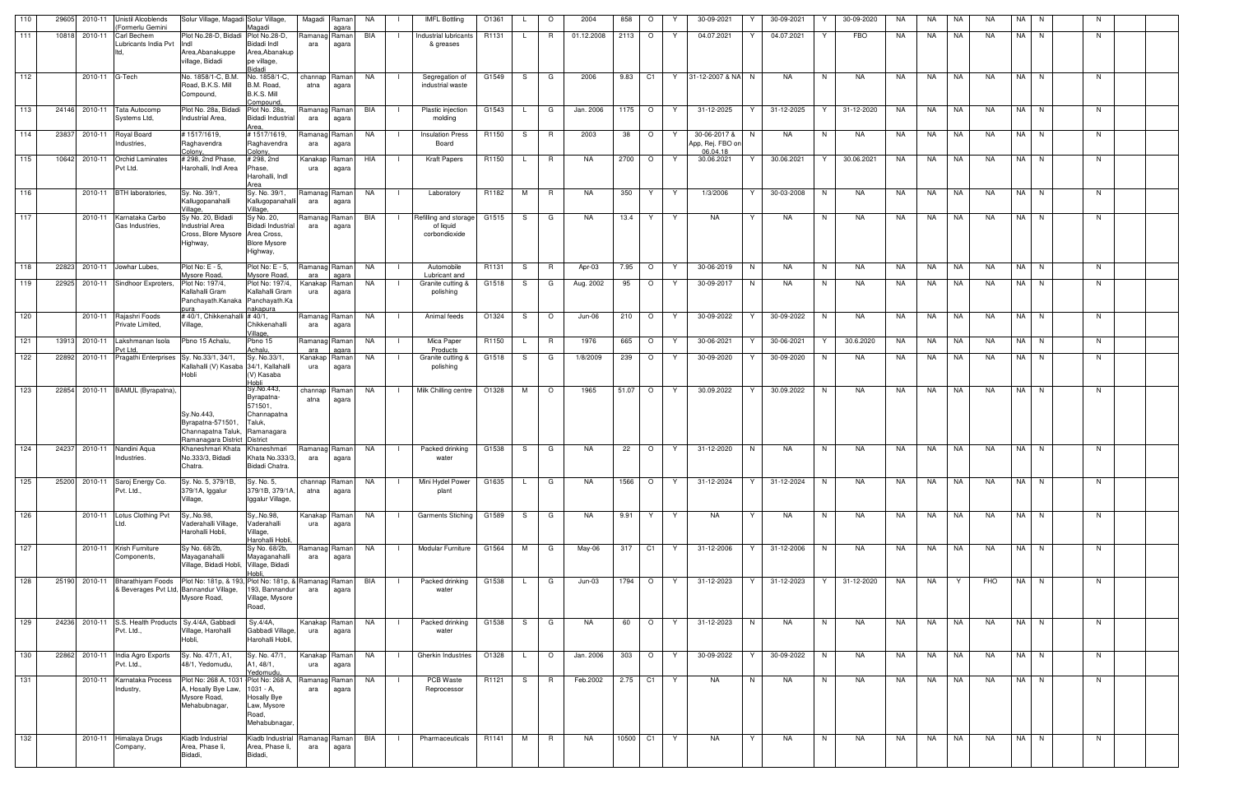| 110 | 29605 | 2010-11        | <b>Unistil Alcoblends</b><br>(Formerlu Gemini                       | Solur Village, Magadi Solur Village,                                                                       | Magadi                                                                                   | Magadi                | Raman<br>agara              | NA        | <b>IMFL Bottling</b>                                | O1361 |    | $\circ$        | 2004       | 858       | $\circ$ | Y  | 30-09-2021                                        | 30-09-2021 | Y  | 30-09-2020 | NA        | NA        | NA        | NA         |      | NA N | N.             |  |
|-----|-------|----------------|---------------------------------------------------------------------|------------------------------------------------------------------------------------------------------------|------------------------------------------------------------------------------------------|-----------------------|-----------------------------|-----------|-----------------------------------------------------|-------|----|----------------|------------|-----------|---------|----|---------------------------------------------------|------------|----|------------|-----------|-----------|-----------|------------|------|------|----------------|--|
| 111 |       | 10818 2010-11  | <b>Carl Bechem</b><br>Lubricants India Pvt                          | Plot No.28-D, Bidadi Plot No.28-D,<br>llndl<br>Area, Abanakuppe                                            | Bidadi Indl<br>Area, Abanakup                                                            | Ramanag Raman<br>ara  | agara                       | BIA       | Industrial lubricants<br>& greases                  | R1131 |    | <b>R</b>       | 01.12.2008 | $2113$ 0  |         | Y. | 04.07.2021                                        | 04.07.2021 | Y  | <b>FBO</b> | NA.       | <b>NA</b> | <b>NA</b> | <b>NA</b>  |      | NA N | N              |  |
|     |       |                |                                                                     | village, Bidadi                                                                                            | pe village,<br>idadi                                                                     |                       |                             |           |                                                     |       |    |                |            |           |         |    |                                                   |            |    |            |           |           |           |            |      |      |                |  |
| 112 |       | 2010-11 G-Tech |                                                                     | No. 1858/1-C. B.M.<br>Road, B.K.S. Mill<br>Compound,                                                       | No. 1858/1-C,<br>B.M. Road,<br>B.K.S. Mill<br>Compound,                                  | channap Raman<br>atna | agara                       | NA        | Segregation of<br>industrial waste                  | G1549 | S. | G              | 2006       | 9.83      | C1      |    | Y 31-12-2007 & NA N                               | <b>NA</b>  | N  | <b>NA</b>  | <b>NA</b> | NA.       | NA        | <b>NA</b>  |      | NA N | N              |  |
| 113 |       |                | 24146 2010-11 Tata Autocomp<br>Systems Ltd,                         | Plot No. 28a, Bidadi<br>Industrial Area.                                                                   | Plot No. 28a,<br><b>Bidadi Industrial</b><br>Area                                        | Ramanag Raman<br>ara  | agara                       | BIA       | Plastic injection<br>molding                        | G1543 |    | G              | Jan. 2006  | 1175   O  |         | Y  | 31-12-2025<br>Y                                   | 31-12-2025 | Y  | 31-12-2020 | NA        | NA        | NA        | <b>NA</b>  |      | NA N | N.             |  |
| 114 | 23837 | 2010-11        | Royal Board<br>Industries,                                          | #1517/1619,<br>Raghavendra<br>Colony,                                                                      | #1517/1619,<br>Raghavendra<br>Colony,                                                    | Ramanag Raman<br>ara  | agara                       | NA        | <b>Insulation Press</b><br>Board                    | R1150 | S. | R              | 2003       | 38        | $\circ$ | Y  | 30-06-2017 &<br>N<br>App, Rej. FBO or<br>06.04.18 | NA         | N  | NA         | NA        | NA        | <b>NA</b> | NA         |      | NA N | N              |  |
| 115 |       | 10642 2010-11  | <b>Orchid Laminates</b><br>Pvt Ltd.                                 | # 298, 2nd Phase,<br>Harohalli, Indl Area                                                                  | # 298, 2nd<br>Phase,<br>Harohalli, Indl<br>Area                                          | Kanakap<br>ura        | Raman <sup>®</sup><br>agara | HIA       | Kraft Papers                                        | R1150 | L. | R              | NA.        | 2700 O    |         | Y  | 30.06.2021<br>Y                                   | 30.06.2021 | Y  | 30.06.2021 | NA        | NA        | <b>NA</b> | <b>NA</b>  |      | NA N | N              |  |
| 116 |       |                | 2010-11 BTH laboratories,                                           | Sy. No. 39/1,<br>Kallugopanahalli<br>Village,                                                              | Sy. No. 39/1,<br>Kallugopanahalli<br>Village,                                            | Ramanag Raman<br>ara  | agara                       | <b>NA</b> | Laboratory                                          | R1182 | M  | R              | <b>NA</b>  | 350       | Y.      | Y. | 1/3/2006<br>Y                                     | 30-03-2008 | N  | <b>NA</b>  | NA        | <b>NA</b> | <b>NA</b> | <b>NA</b>  |      | NA N | N              |  |
| 117 |       |                | 2010-11 Karnataka Carbo<br>Gas Industries,                          | Sy No. 20, Bidadi<br><b>Industrial Area</b><br>Cross, Blore Mysore Area Cross,<br>Highway,                 | Sy No. 20,<br><b>Bidadi Industrial</b><br><b>Blore Mysore</b><br>Highway,                | Ramanag Raman<br>ara  | agara                       | BIA       | Refilling and storage<br>of liquid<br>corbondioxide | G1515 | S. | G              | NA.        | 13.4      | Y       | Y  | <b>NA</b><br>Y                                    | NA         | N  | NA.        | NA        | NA        | NA        | <b>NA</b>  |      | NA N | N              |  |
| 118 |       |                | 22823 2010-11 Jowhar Lubes,                                         | Plot No: E - 5,<br>Mysore Road                                                                             | Plot No: E - 5,<br>Mysore Road,                                                          | Ramanag Raman<br>ara  | agara                       | NA        | Automobile<br>Lubricant and                         | R1131 | -S | R              | Apr-03     | 7.95      | $\circ$ | Y  | 30-06-2019<br>N                                   | NA         | N. | NA         | NA        | NA        | NA        | NA         |      | NA N | N              |  |
| 119 |       |                | 22925 2010-11 Sindhoor Exproters,                                   | Plot No: 197/4,<br>Kallahalli Gram<br>Panchayath.Kanaka Panchayath.Ka<br>pura                              | Plot No: 197/4,<br>Kallahalli Gram<br>nakapura                                           | Kanakap Raman<br>ura  | agara                       | <b>NA</b> | Granite cutting &<br>polishing                      | G1518 | S. | G              | Aug. 2002  | 95        | $\circ$ | Y  | 30-09-2017<br>N                                   | NA         | N. | NA         | NA        | <b>NA</b> | $N_A$     | <b>NA</b>  |      | NA N | N              |  |
| 120 |       | 2010-11        | Rajashri Foods<br>Private Limited,                                  | #40/1, Chikkenahalli #40/1,<br>Village,                                                                    | Chikkenahalli<br>Village,                                                                | Ramanag Raman<br>ara  | agara                       | NA        | Animal feeds                                        | O1324 | S. | $\circ$        | Jun-06     | 210       | $\circ$ | Y  | 30-09-2022<br>Y                                   | 30-09-2022 | N  | NA         | NA        | NA        | NA        | <b>NA</b>  |      | NA N | N              |  |
| 121 |       | 13913 2010-11  | Lakshmanan Isola<br>Pvt Ltd.                                        | Pbno 15 Achalu,                                                                                            | Pbno 15<br>Achalu,                                                                       | Ramanag Raman<br>ara  | agara                       | NA        | Mica Paper<br>$\blacksquare$<br>Products            | R1150 |    | R              | 1976       | 665       | $\circ$ | Y  | 30-06-2021<br>Y                                   | 30-06-2021 | Y  | 30.6.2020  | NA        | NA        | <b>NA</b> | <b>NA</b>  |      | NA N | N              |  |
| 122 |       |                | 22892 2010-11 Pragathi Enterprises Sy. No.33/1, 34/1,               | Kallahalli (V) Kasaba 34/1, Kallahalli<br>Hobli                                                            | Sy. No.33/1,<br>(V) Kasaba                                                               | Kanakap<br>ura        | Raman<br>agara              | NA        | Granite cutting &<br>$\Box$<br>polishing            | G1518 | -S | G              | 1/8/2009   | 239       | $\circ$ | Y  | $30-09-2020$                                      | 30-09-2020 | N. | NA         | NA        | NA        | NA        | NA         |      | NA N | N.             |  |
| 123 | 22854 |                | 2010-11 BAMUL (Byrapatna),                                          | Sy.No.443,<br>Byrapatna-571501<br>Channapatna Taluk, Ramanagara<br>Ramanagara District                     | Hobli<br>Sy.No.443,<br>Byrapatna-<br>571501,<br>Channapatna<br>Taluk,<br><b>District</b> | channap<br>atna       | Raman<br>agara              | <b>NA</b> | Milk Chilling centre                                | O1328 | M  | $\circ$        | 1965       | 51.07     | $\circ$ | Y  | 30.09.2022                                        | 30.09.2022 | N. | NA         | NA        | <b>NA</b> | <b>NA</b> | <b>NA</b>  | NA I | N    | N.             |  |
| 124 |       | 24237 2010-11  | Nandini Aqua<br>Industries.                                         | Khaneshmari Khata<br>No.333/3, Bidadi<br>Chatra.                                                           | Khaneshmari<br>Khata No.333/3,<br>Bidadi Chatra.                                         | Ramanag Raman<br>ara  | agara                       | NA        | Packed drinking<br>water                            | G1538 | S. | G              | NA         | 22        | $\circ$ | Y  | 31-12-2020<br>N                                   | NA         | N. | NA         | NA        | NA        | NA        | NA         |      | NA N | N              |  |
| 125 |       |                | 25200 2010-11 Saroj Energy Co.<br>Pvt. Ltd.,                        | Sy. No. 5, 379/1B,<br>379/1A, Iggalur<br>Village,                                                          | Sy. No. 5,<br>379/1B, 379/1A,<br>Iggalur Village,                                        | channap Raman<br>atna | agara                       | NA        | Mini Hydel Power<br>plant                           | G1635 |    | G              | NA.        | 1566 O    |         | Y  | 31-12-2024                                        | 31-12-2024 | N  | NA         | NA        | NA        | NA        | <b>NA</b>  |      | NA N | N              |  |
| 126 |       |                | 2010-11 Lotus Clothing Pvt<br>Ltd.                                  | Sy, No.98,<br>Vaderahalli Village,<br>Harohalli Hobli,                                                     | Sy, No.98,<br>Vaderahalli<br>Village,                                                    | Kanakap Raman<br>ura  | agara                       | NA        | Garments Stiching G1589<br>$\Box$                   |       | S. | G              | NA.        | 9.91      | Y       | Y  | NA<br>Y                                           | NA         | N  | NA         | NA        |           | NA NA     | NA         |      | NA N | N              |  |
| 127 |       |                | 2010-11 Krish Furniture<br>Components,                              | Sy No. 68/2b,<br>Mayaganahalli<br>Village, Bidadi Hobli, Village, Bidadi                                   | Harohalli Hobli,<br>Sy No. 68/2b,<br>Mayaganahalli                                       | Ramanag Raman<br>ara  | agara                       | NA.       | Modular Furniture                                   | G1564 | M  | G              | May-06     | 317 C1    |         | Y. | 31-12-2006                                        | 31-12-2006 | N. | NA.        | NA.       | NA.       | NA.       | <b>NA</b>  |      | NA N | N.             |  |
| 128 |       | 25190 2010-11  | <b>Bharathiyam Foods</b><br>& Beverages Pvt Ltd, Bannandur Village, | Plot No: 181p, & 193, Plot No: 181p, & Ramanag Raman<br>Mysore Road,                                       | 193, Bannandur<br>Village, Mysore<br>Road,                                               | ara                   | agara                       | BIA       | Packed drinking<br>water                            | G1538 |    | G              | Jun-03     | 1794 O    |         | Y  | 31-12-2023<br>Y                                   | 31-12-2023 | Y  | 31-12-2020 | NA        | NA 1      | Y         | <b>FHO</b> |      | NA N | N              |  |
| 129 |       |                | 24236 2010-11 S.S. Health Products Sy.4/4A, Gabbadi<br>Pvt. Ltd.,   | Village, Harohalli<br>Hobli,                                                                               | Sy.4/4A,<br>Gabbadi Village,<br>Harohalli Hobli,                                         | Kanakap Raman<br>ura  | agara                       | NA        | Packed drinking<br>water                            | G1538 | S. | G              | NA         | 60        | $\circ$ | Y  | 31-12-2023<br>N                                   | NA         | N  | NA         | NA        | NA NA     |           | <b>NA</b>  |      | NA N | N              |  |
| 130 |       |                | 22862 2010-11 India Agro Exports<br>Pvt. Ltd.,                      | Sy. No. 47/1, A1,<br>48/1, Yedomudu,                                                                       | Sy. No. 47/1,<br>A1, 48/1,<br>Yedomudu.                                                  | Kanakap Raman<br>ura  | agara                       | NA        | Gherkin Industries                                  | O1328 |    | $\circ$        | Jan. 2006  | 303       | $\circ$ | Y  | 30-09-2022<br>Y                                   | 30-09-2022 | N  | NA         | NA        | NA        | <b>NA</b> | <b>NA</b>  |      | NA N | $\overline{N}$ |  |
| 131 |       | 2010-11        | Karnataka Process<br>Industry,                                      | Plot No: 268 A, 1031 Plot No: 268 A, Ramanag Raman<br>A, Hosally Bye Law,<br>Mysore Road,<br>Mehabubnagar, | 1031 - A,<br>Hosally Bye<br>Law, Mysore<br>Road,<br>Mehabubnagar,                        | ara                   | agara                       | NA        | PCB Waste<br>$\blacksquare$<br>Reprocessor          | R1121 | S. | $\overline{R}$ | Feb.2002   | $2.75$ C1 |         | Y  | <b>NA</b><br>N                                    | <b>NA</b>  | N  | NA         | NA        | NA        | NA        | <b>NA</b>  |      | NA N | N              |  |
| 132 |       |                | 2010-11 Himalaya Drugs<br>Company,                                  | Kiadb Industrial<br>Area, Phase li,<br>Bidadi,                                                             | Kiadb Industrial<br>Area, Phase li,<br>Bidadi,                                           | Ramanag Raman<br>ara  | agara                       | BIA       | Pharmaceuticals                                     | R1141 | M  | R.             | NA         | 10500     | C1      | Y  | <b>NA</b><br>Y                                    | NA         | N  | NA         | NA        | NA        | NA        | NA         |      | NA N | N              |  |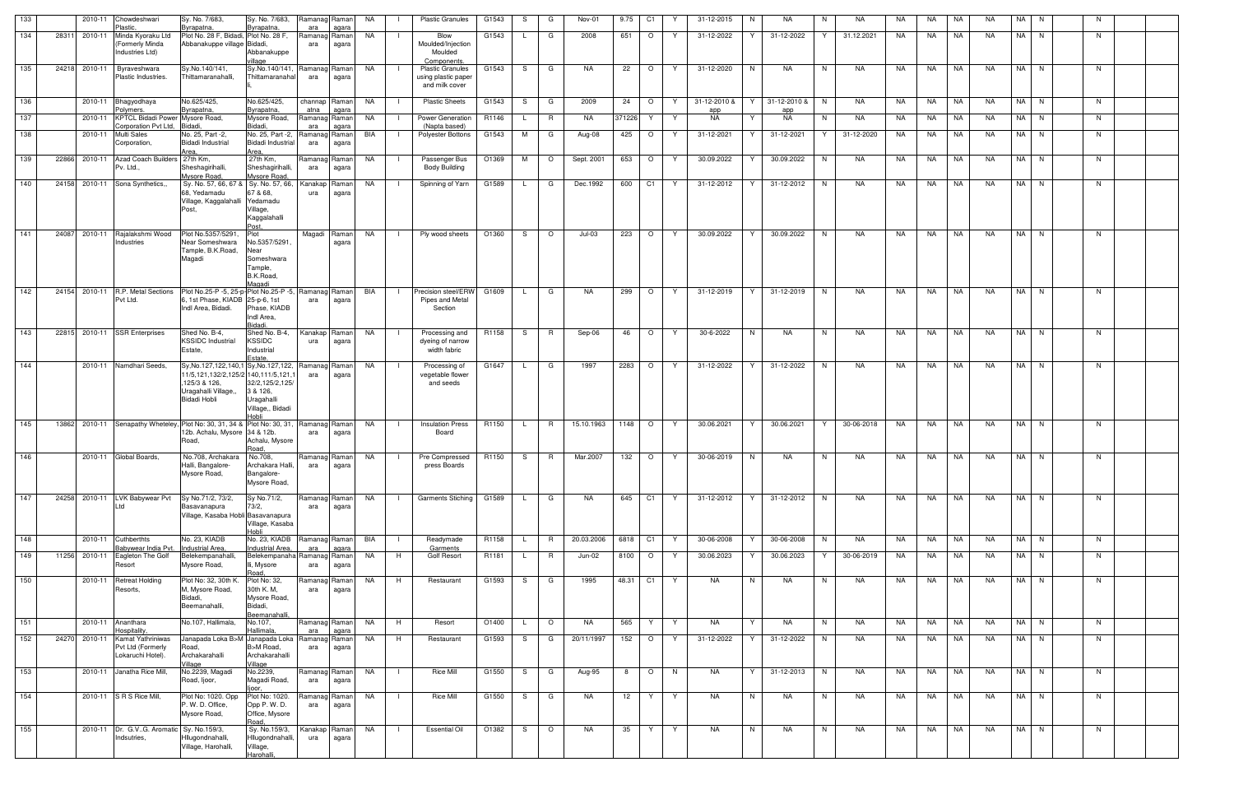| 133 |       | 2010-11       | Chowdeshwari<br>Plastic.                                      | Sy. No. 7/683,<br>Byrapatna,                                                                                                            | Sy. No. 7/683,<br>Byrapatna,                                                  | Ramanag Raman<br>ara        | agara          | NA        | $\mathbf{1}$   | <b>Plastic Granules</b>                                                         | G1543 | S. | G            | Nov-01     | 9.75   | C1      | Y  | 31-12-2015       | N. | NA           | N. | NA         | NA  | NA        | NA        | NA        | NA I      | N.       | N. |  |
|-----|-------|---------------|---------------------------------------------------------------|-----------------------------------------------------------------------------------------------------------------------------------------|-------------------------------------------------------------------------------|-----------------------------|----------------|-----------|----------------|---------------------------------------------------------------------------------|-------|----|--------------|------------|--------|---------|----|------------------|----|--------------|----|------------|-----|-----------|-----------|-----------|-----------|----------|----|--|
| 134 | 28311 | 2010-11       | Minda Kyoraku Ltd<br><b>Formerly Minda</b><br>Industries Ltd) | Plot No. 28 F, Bidadi, Plot No. 28 F,<br>Abbanakuppe village Bidadi,                                                                    | Abbanakuppe                                                                   | Ramanag Raman<br>ara        | agara          | <b>NA</b> |                | Blow<br>Moulded/Injection<br>Moulded                                            | G1543 |    | G            | 2008       | 651    | $\circ$ | Y  | 31-12-2022       | Y  | 31-12-2022   |    | 31.12.2021 | NA  | NA        | NA        | NA.       |           | $NA$ $N$ | N  |  |
| 135 | 24218 | 2010-11       | Byraveshwara<br>Plastic Industries.                           | Sy.No.140/141,<br>Thittamaranahalli,                                                                                                    | illage<br>Sy.No.140/141, Ramanag Raman<br>Thittamaranahal                     | ara                         | agara          | NA        |                | Components.<br><b>Plastic Granules</b><br>using plastic paper<br>and milk cover | G1543 | S. | G            | NA.        | 22     | $\circ$ | Y  | 31-12-2020       | N. | NA.          | N  | <b>NA</b>  | NA. | NA.       | NA        | NA.       |           | NA N     | N  |  |
| 136 |       | 2010-11       | Bhagyodhaya                                                   | No.625/425,                                                                                                                             | No.625/425,                                                                   | channap Raman               |                | NA        |                | <b>Plastic Sheets</b>                                                           | G1543 | S  | G            | 2009       | 24     | $\circ$ | Y  | 31-12-2010 &     |    | 31-12-2010 & | N. | NA         | NA  | NA        | <b>NA</b> | <b>NA</b> |           | NA N     | N  |  |
| 137 |       | 2010-11       | Polymers.<br>KPTCL Bidadi Power Mysore Road,                  | Byrapatna,                                                                                                                              | Byrapatna<br>Mysore Road,                                                     | atna<br>Ramanag Raman       | agara          | NA        |                | Power Generation                                                                | R1146 |    | R            | <b>NA</b>  | 371226 | Y       | Y  | app<br><b>NA</b> | Y  | app<br>NA    | N. | NA         | NA  | NA        | NA        | <b>NA</b> | NA I      | N        | N  |  |
| 138 |       | 2010-11       | Corporation Pvt Ltd.<br><b>Multi Sales</b><br>Corporation,    | <b>Bidadi</b><br>No. 25, Part -2,<br><b>Bidadi Industrial</b><br>Area.                                                                  | Bidadi,<br>No. 25, Part -2,<br>Bidadi Industrial<br>Area.                     | ara<br>Ramanag Raman<br>ara | agara<br>agara | BIA       |                | (Napta based)<br>Polyester Bottons                                              | G1543 | M  | G            | Aug-08     | 425    | $\circ$ | Y  | 31-12-2021       | Y  | 31-12-2021   | Y  | 31-12-2020 | NA  | NA        | NA        | <b>NA</b> |           | NA N     | N  |  |
| 139 | 22866 | 2010-11       | <b>Azad Coach Builders</b><br>Pv. Ltd.,                       | 27th Km,<br>Sheshagirihalli,<br>Mysore Road,                                                                                            | 27th Km,<br>Sheshagirihalli,<br>Mysore Road                                   | Ramanag Raman<br>ara        | agara          | NA        |                | Passenger Bus<br><b>Body Building</b>                                           | O1369 | M  | $\circ$      | Sept. 2001 | 653    | $\circ$ | Y. | 30.09.2022       | Y  | 30.09.2022   | N. | NA         | NA  | NA        | NA        | NA.       | <b>NA</b> | N.       | N. |  |
| 140 |       | 24158 2010-11 | Sona Synthetics,,                                             | Sy. No. 57, 66, 67 & Sy. No. 57, 66,<br>68. Yedamadu<br>Village, Kaggalahalli<br>Post,                                                  | 67 & 68,<br>Yedamadu<br>Village,<br>Kaggalahalli<br>Post                      | Kanakap<br>ura              | Raman<br>agara | NA        |                | Spinning of Yarn                                                                | G1589 |    | G            | Dec.1992   | 600    | C1      | Y. | 31-12-2012       | Y  | 31-12-2012   | N. | NA         | NA  | NA.       | NA.       | NA.       | NA I      | N        | N  |  |
| 141 | 24087 | 2010-11       | Rajalakshmi Wood<br>Industries                                | Plot No.5357/5291<br>Near Someshwara<br>Tample, B.K.Road,<br>Magadi                                                                     | Plot<br>No.5357/5291.<br>Near<br>Someshwara<br>Tample,<br>B.K.Road,<br>Jagadi | Magadi Raman                | agara          | NA        |                | Ply wood sheets                                                                 | O1360 | S. | $\circ$      | $Jul-03$   | 223    | $\circ$ | Y  | 30.09.2022       |    | 30.09.2022   | N  | NA         | NA  | NA        | NA        | <b>NA</b> |           | NA N     | N. |  |
| 142 | 24154 | 2010-11       | R.P. Metal Sections<br>Pvt Ltd.                               | Plot No.25-P -5, 25-p-Plot No.25-P -5, Ramanag Raman<br>6, 1st Phase, KIADB 25-p-6, 1st<br>Indl Area, Bidadi.                           | Phase, KIADB<br>Indl Area,<br>Bidadi.                                         | ara                         | agara          | BIA       | $\blacksquare$ | Precision steel/ERW<br>Pipes and Metal<br>Section                               | G1609 |    | G            | NA.        | 299    | $\circ$ | Y  | 31-12-2019       | Y  | 31-12-2019   | N  | NA         | NA  | NA        | NA        | NA        |           | NA N     | N  |  |
| 143 | 22815 |               | 2010-11 SSR Enterprises                                       | Shed No. B-4,<br><b>KSSIDC Industrial</b><br>Estate,                                                                                    | Shed No. B-4,<br><b>KSSIDC</b><br>Industrial<br>Estate.                       | Kanakap<br>ura              | Raman<br>agara | NA        |                | Processing and<br>dyeing of narrow<br>width fabric                              | R1158 | S. | R            | Sep-06     | 46     | $\circ$ | Y  | 30-6-2022        | N  | NA           | N. | NA         | NA  | NA        | NA        | NA        |           | NA N     | N  |  |
| 144 |       | 2010-11       | Namdhari Seeds,                                               | Sy, No.127, 122, 140, 1 Sy, No.127, 122,<br>11/5,121,132/2,125/2 140,111/5,121,1<br>125/3 & 126,<br>Uragahalli Village,<br>Bidadi Hobli | 32/2,125/2,125/<br>3 & 126,<br>Uragahalli<br>Village,, Bidadi<br>Hobli        | Ramanag Raman<br>ara        | agara          | NA        |                | Processing of<br>vegetable flower<br>and seeds                                  | G1647 |    | G            | 1997       | 2283   | $\circ$ | Y  | 31-12-2022       | Y  | 31-12-2022   | N  | NA         | NA  | NA        | NA        | <b>NA</b> | NA I      | N.       | N  |  |
| 145 | 13862 |               |                                                               | 2010-11 Senapathy Wheteley, Plot No: 30, 31, 34 & Plot No: 30, 31,<br>12b. Achalu, Mysore 34 & 12b.<br>Road,                            | Achalu, Mysore<br>Road                                                        | Ramanag Raman<br>ara        | agara          | NA        |                | <b>Insulation Press</b><br>Board                                                | R1150 |    | R            | 15.10.1963 | 1148   | $\circ$ | Y. | 30.06.2021       | Y  | 30.06.2021   | Y  | 30-06-2018 | NA  | NA        | NA        | NA        |           | NA N     | N. |  |
| 146 |       | 2010-11       | Global Boards,                                                | No.708, Archakara No.708,<br>Halli, Bangalore-<br>Mysore Road,                                                                          | Archakara Halli.<br>Bangalore-<br>Mysore Road,                                | Ramanag Raman<br>ara        | agara          | NA        |                | Pre Compressed<br>press Boards                                                  | R1150 | S. | <b>R</b>     | Mar.2007   | 132    | $\circ$ | Y  | 30-06-2019       | N  | NA           | N. | NA         | NA  | NA        | <b>NA</b> | NA        | NA I      | N        | N  |  |
| 147 | 24258 | 2010-11       | LVK Babywear Pvt                                              | Sy No.71/2, 73/2,<br>Basavanapura<br>Village, Kasaba Hobli Basavanapura                                                                 | Sy No.71/2,<br>73/2,<br>Village, Kasaba<br>Hobli                              | Ramanag Raman<br>ara        | agara          | NA        | $\mathbf{I}$   | <b>Garments Stiching</b>                                                        | G1589 | L. | G            | NA.        | 645    | C1      | Y  | 31-12-2012       | Y  | 31-12-2012   | N. | <b>NA</b>  | NA  | <b>NA</b> | <b>NA</b> | NA.       |           | NA N     | N  |  |
| 148 |       | 2010-11       | Cuthberthts<br>abywear India Pvt.                             | No. 23, KIADB<br>Industrial Area,                                                                                                       | No. 23, KIADB<br>Industrial Area,                                             | Ramanag Raman<br>ara        | agara          | BIA       |                | Readymade<br>Garments                                                           | R1158 |    | <b>R</b>     | 20.03.2006 | 6818   | C1      | Y  | 30-06-2008       | Y  | 30-06-2008   | N. | NA         | NA  | NA        | NA        | NA        |           | NA N     | N  |  |
| 149 |       | 11256 2010-11 | Eagleton The Golf<br>Resort                                   | Belekempanahalli,<br>Mysore Road,                                                                                                       | Belekempanaha Ramanag Raman<br>lli, Mysore<br>Road,                           | ara                         | agara          | NA        | H              | Golf Resort                                                                     | R1181 |    | $\mathsf{R}$ | Jun-02     | 8100   | $\circ$ | Y  | 30.06.2023       | Y  | 30.06.2023   | Y  | 30-06-2019 | NA  | NA        | <b>NA</b> | NA        |           | NA N     | N  |  |
| 150 |       | 2010-11       | Retreat Holding<br>Resorts,                                   | Plot No: 32, 30th K<br>M, Mysore Road,<br>Bidadi,<br>Beemanahalli,                                                                      | Plot No: 32,<br>30th K. M,<br>Mysore Road,<br>Bidadi,<br><u>Beemanahalli</u>  | Ramanag Raman<br>ara        | agara          | <b>NA</b> | H              | Restaurant                                                                      | G1593 | S  | G            | 1995       | 48.31  | C1      | Y  | <b>NA</b>        | N  | NA           | N. | NA         | NA  | NA        | NA        | NA.       |           | NA N     | N  |  |
| 151 |       | 2010-11       | Ananthara<br>lospitality.                                     | No.107, Hallimala,                                                                                                                      | No.107,<br>Hallimala                                                          | Ramanag Raman<br>ara        | agara          | NA        | H              | Resort                                                                          | O1400 |    | $\circ$      | NA         | 565    | Y       | Y  | NA               | Y  | NA           | N  | NA         | NA  | NA        | <b>NA</b> | <b>NA</b> |           | NA N     | N  |  |
| 152 | 24270 | 2010-11       | Kamat Yathriniwas<br>Pvt Ltd (Formerly<br>Lokaruchi Hotel).   | Janapada Loka B>M Janapada Loka Ramanag Raman<br>Road,<br>Archakarahalli<br>Village                                                     | B>M Road,<br>Archakarahalli<br>Village                                        | ara                         | agara          | <b>NA</b> | H              | Restaurant                                                                      | G1593 | S  | G            | 20/11/1997 | 152    | $\circ$ | Y  | 31-12-2022       |    | 31-12-2022   | N. | NA         | NA  | NA        | NA        | NA        |           | NA N     | N. |  |
| 153 |       |               | 2010-11 Janatha Rice Mill,                                    | No.2239, Magadi<br>Road, Ijoor,                                                                                                         | No.2239,<br>Magadi Road,<br>ljoor.                                            | Ramanag Raman<br>ara        | agara          | <b>NA</b> | -1             | <b>Rice Mill</b>                                                                | G1550 | S. | G            | Aug-95     | 8      | $\circ$ | N  | NA               | Y  | 31-12-2013   | N  | NA         | NA  | NA        | <b>NA</b> | NA        |           | NA N     | N  |  |
| 154 |       |               | 2010-11 S R S Rice Mill,                                      | Plot No: 1020. Opp<br>P. W. D. Office,<br>Mysore Road,                                                                                  | Plot No: 1020.<br>Opp P.W.D.<br>Office, Mysore<br>Road.                       | Ramanag<br>ara              | Raman<br>agara | NA        |                | <b>Rice Mill</b>                                                                | G1550 | S. | G            | NA         | 12     | Y       | Y  | <b>NA</b>        | N  | NA           | N  | NA         | NA  | NA        | NA        | NA        |           | NA N     | N. |  |
| 155 |       | 2010-11       | Dr. G.VG. Aromatic Sy. No.159/3,<br>Indsutries                | Hllugondnahalli,<br>Village, Harohalli,                                                                                                 | Sy. No.159/3,<br>Hllugondnahalli,<br>Village,<br>Harohalli,                   | Kanakap<br>ura              | Raman<br>agara | <b>NA</b> |                | <b>Essential Oil</b>                                                            | O1382 | S. | $\circ$      | <b>NA</b>  | 35     | Y       | Y  | <b>NA</b>        | N  | NA           | N  | NA         | NA  | NA        | NA        | <b>NA</b> |           | NA N     | N. |  |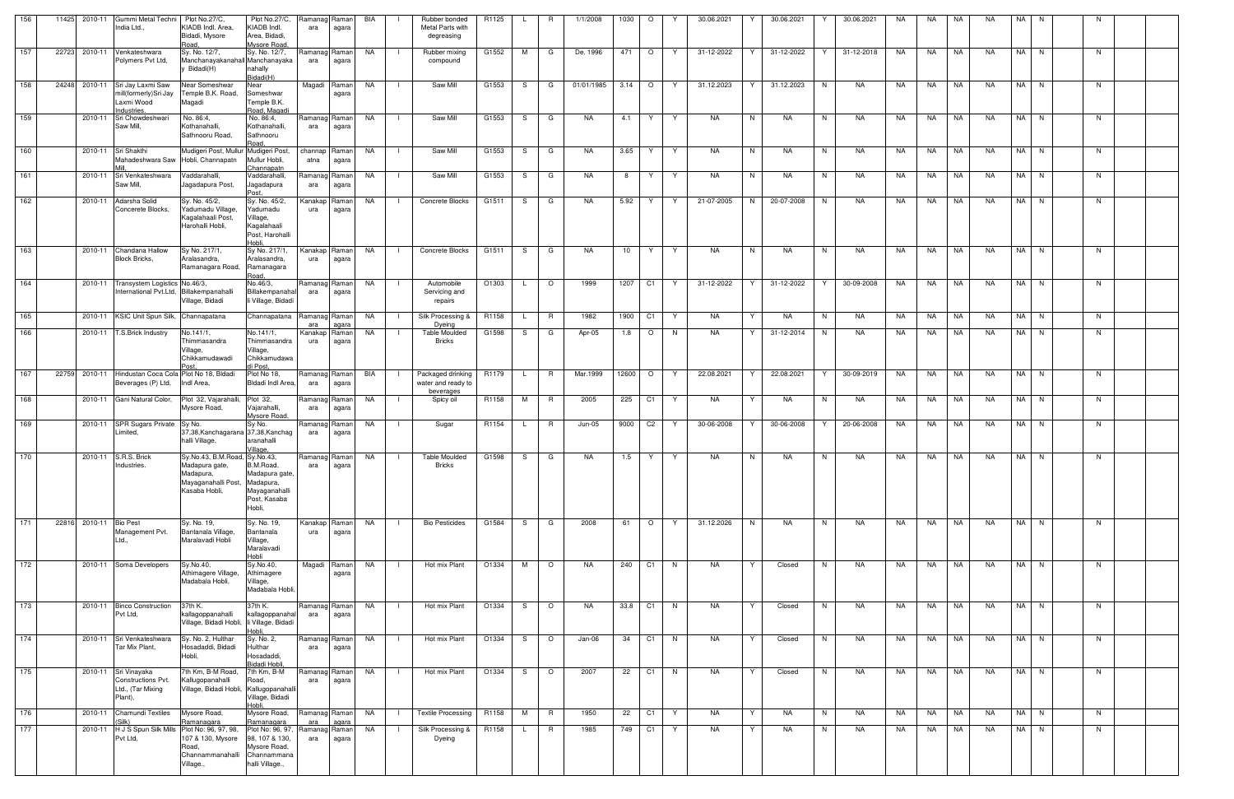| 156 |       | 11425 2010-11 | Gummi Metal Techni                                        | Plot No.27/C,                                                             | Plot No.27/C,                                                                       | Ramanag Raman        |                | BIA       | Rubber bonded                               | R1125 |              | R               | 1/1/2008   | 1030    | $\circ$        |    | 30.06.2021 | 30.06.2021      | 30.06.2021      | NA. | NA.       | NA        | <b>NA</b> | NA |             |  |
|-----|-------|---------------|-----------------------------------------------------------|---------------------------------------------------------------------------|-------------------------------------------------------------------------------------|----------------------|----------------|-----------|---------------------------------------------|-------|--------------|-----------------|------------|---------|----------------|----|------------|-----------------|-----------------|-----|-----------|-----------|-----------|----|-------------|--|
|     |       |               | India Ltd.,                                               | KIADB Indl. Area,<br>Bidadi, Mysore                                       | KIADB Indl.<br>Area, Bidadi,                                                        | ara                  | agara          |           | Metal Parts with                            |       |              |                 |            |         |                |    |            |                 |                 |     |           |           |           |    |             |  |
|     |       |               |                                                           | Road.                                                                     | Mysore Road                                                                         |                      |                |           | degreasing                                  |       |              |                 |            |         |                |    |            |                 |                 |     |           |           |           |    |             |  |
| 157 |       | 22723 2010-11 | Venkateshwara<br>Polymers Pvt Ltd,                        | Sy. No. 12/7,<br>Manchanayakanahall Manchanayaka<br>Bidadi(H)             | Sy. No. 12/7,<br>nahally                                                            | Ramanag Raman<br>ara | agara          | NA        | Rubber mixing<br>$\blacksquare$<br>compound | G1552 | M            | G               | De. 1996   | 471     | $\overline{O}$ | Y  | 31-12-2022 | 31-12-2022<br>Y | Y<br>31-12-2018 | NA  | NA        | INA       | NA        |    | NA N<br>- N |  |
| 158 |       |               | 24248 2010-11 Sri Jay Laxmi Saw                           | Near Someshwar                                                            | Bidadi(H)<br>Near                                                                   | Magadi               | Raman          | NA        | Saw Mill                                    | G1553 | -S           | G               | 01/01/1985 | 3.14    | $\circ$        | Y  | 31.12.2023 | 31.12.2023      | N<br>NA         | NA. | NA        | NA        | NA.       |    | NA N<br>N.  |  |
|     |       |               | mill(formerly)Sri Jay<br>Laxmi Wood<br>Industries.        | Temple B.K. Road,<br>Magadi                                               | Someshwar<br>Temple B.K.<br>Road, Magadi                                            |                      | agara          |           |                                             |       |              |                 |            |         |                |    |            |                 |                 |     |           |           |           |    |             |  |
| 159 |       | 2010-11       | Sri Chowdeshwari                                          | No. 86:4,                                                                 | No. 86:4,                                                                           | Ramanag Raman        |                | NA        | Saw Mill                                    | G1553 | S.           | G               | NA.        | 4.1     | Y.             | Y  | NA         | N<br>NA         | N<br>NA         | NA  | NA        | NA        | NA        |    | NA N<br>N   |  |
|     |       |               | Saw Mill,                                                 | Kothanahalli,<br>Sathnooru Road,                                          | Kothanahalli,<br>Sathnooru<br>Road.                                                 | ara                  | agara          |           |                                             |       |              |                 |            |         |                |    |            |                 |                 |     |           |           |           |    |             |  |
| 160 |       |               | 2010-11 Sri Shakthi<br>Mahadeshwara Saw Hobli, Channapatn | Mudigeri Post, Mullur Mudigeri Post,                                      | Mullur Hobli,<br>Channapatn                                                         | channap<br>atna      | Raman<br>agara | NA        | Saw Mill                                    | G1553 | S            | G               | NA         | 3.65    | Y.             | Y  | NA         | N<br>NA         | N<br>NA         | NA. | NA        | NA        | NA        |    | NA N<br>N   |  |
| 161 |       | 2010-11       | Sri Venkateshwara<br>Saw Mill,                            | Vaddarahalli,<br>Jagadapura Post,                                         | Vaddarahalli,<br>lagadapura<br>Post.                                                | Ramanag Raman<br>ara | agara          | NA        | Saw Mill<br>- 1                             | G1553 | -S           | G               | NA.        | 8       | Y              | Y  | NA         | N<br>NA         | N<br>NA.        | NA. | NA        | NA        | NA.       |    | NA N<br>N   |  |
| 162 |       | 2010-11       | Adarsha Solid<br>Concerete Blocks.                        | Sy. No. 45/2,<br>Yadumadu Village,                                        | Sy. No. 45/2,<br>Yadumadu                                                           | Kanakap<br>ura       | Raman<br>agara | NA        | Concrete Blocks                             | G1511 | -S           | G               | NA.        | 5.92    | Y              | Y  | 21-07-2005 | N<br>20-07-2008 | NA<br>N         | NA  | NA.       | NA        | NA.       |    | NA N<br>N   |  |
|     |       |               |                                                           | Kagalahaali Post,<br>Harohalli Hobli,                                     | Village,<br>Kagalahaali<br>Post, Harohalli<br>Hobli.                                |                      |                |           |                                             |       |              |                 |            |         |                |    |            |                 |                 |     |           |           |           |    |             |  |
| 163 |       | 2010-11       | Chandana Hallow<br>Block Bricks,                          | Sy No. 217/1,<br>Aralasandra,<br>Ramanagara Road,                         | Sy No. 217/1,<br>Aralasandra,<br>Ramanagara                                         | Kanakap Raman<br>ura | agara          | NA        | Concrete Blocks                             | G1511 | S.           | G               | NA         | 10      | Y              | Y  | NA         | N<br>NA         | N<br>NA         | NA  | NA        | NA        | <b>NA</b> |    | NA N<br>N   |  |
| 164 |       | 2010-11       | Transystem Logistics No.46/3,                             |                                                                           | Road.<br>No.46/3,                                                                   | Ramanag Raman        |                | NA        | Automobile                                  | O1303 |              | $\circ$         | 1999       | 1207    | C1             | Y  | 31-12-2022 | 31-12-2022<br>Y | 30-09-2008<br>Y | NA  | NA        | NA        | <b>NA</b> |    | N<br>NA N   |  |
|     |       |               | International Pvt.Ltd,                                    | Billakempanahalli<br>Village, Bidadi                                      | Billakempanahal<br>li Village, Bidadi                                               | ara                  | agara          |           | Servicing and<br>repairs                    |       |              |                 |            |         |                |    |            |                 |                 |     |           |           |           |    |             |  |
| 165 |       | 2010-11       | KSIC Unit Spun Silk,                                      | Channapatana                                                              | Channapatana                                                                        | Ramanag Raman<br>ara | agara          | NA        | Silk Processing &<br>Dyeing                 | R1158 |              | R               | 1982       | 1900    | C <sub>1</sub> | Y  | NA         | NA<br>Y         | NA<br>N         | NA  | NA        | NA        | <b>NA</b> |    | NA N<br>N   |  |
| 166 |       | 2010-11       | T.S.Brick Industry                                        | No.141/1,<br>Thimmasandra<br>Village,<br>Chikkamudawadi                   | No.141/1,<br>Thimmasandra<br>Village,<br>Chikkamudawa                               | Kanakap<br>ura       | Raman<br>agara | NA        | Table Moulded<br><b>Bricks</b>              | G1598 | -S           | G               | Apr-05     | 1.8     | $\circ$        | N. | <b>NA</b>  | 31-12-2014<br>Y | NA.<br>N.       | NA. | NA.       | NA        | NA.       |    | NA N<br>N   |  |
| 167 |       |               | 22759 2010-11 Hindustan Coca Cola Plot No 18, Bldadi      |                                                                           | di Post.<br>Plot No 18,                                                             | Ramanag Raman        |                | BIA       | Packaged drinking   R1179                   |       | $\mathsf{L}$ | R               | Mar.1999   | 12600 O |                | Y  | 22.08.2021 | 22.08.2021<br>Y | 30-09-2019<br>Y | NA  | NA        | <b>NA</b> | NA        |    | NA N<br>N   |  |
|     |       |               | Beverages (P) Ltd,                                        | Indl Area,                                                                | Bldadi Indl Area,                                                                   | ara                  | agara          |           | water and ready to<br>beverages             |       |              |                 | 2005       |         |                |    |            | Y               |                 |     |           |           | <b>NA</b> |    |             |  |
| 168 |       | 2010-11       | Gani Natural Color,                                       | Plot 32, Vajarahalli,<br>Mysore Road,                                     | Plot 32,<br>Vajarahalli,<br>Mysore Road,                                            | Ramanag Raman<br>ara | agara          | NA        | Spicy oil<br>- 1                            | R1158 | M            | R               |            | 225     | C <sub>1</sub> | Y  | NA         | NA              | N<br>NA         | NA  | NA        | NA        |           |    | NA N<br>N   |  |
| 169 |       | 2010-11       | <b>SPR Sugars Private</b><br>Limited,                     | Sy No.<br>37,38, Kanchagarana 37, 38, Kanchag<br>halli Village,           | Sy No.<br>aranahalli<br>Village,                                                    | Ramanag Raman<br>ara | agara          | NA        | Sugar<br>- 1                                | R1154 |              | R               | Jun-05     | 9000    | C <sub>2</sub> | Y  | 30-06-2008 | 30-06-2008      | 20-06-2008      | NA. | NA        | NA        | NA.       |    | NA N<br>N.  |  |
| 170 |       |               | 2010-11 S.R.S. Brick                                      | Sy.No.43, B.M.Road, Sy.No.43,                                             |                                                                                     | Ramanag Raman        |                | <b>NA</b> | <b>Table Moulded</b>                        | G1598 | S.           | G               | NA         | 1.5     | Y              | Y  | NA         | N<br>NA         | N<br>NA         | NA  | <b>NA</b> | NA        | NA        |    | N<br>NA N   |  |
|     |       |               | ndustries.                                                | Madapura gate,<br>Madapura,<br>Mayaganahalli Post,<br>Kasaba Hobli,       | B.M.Road,<br>Madapura gate,<br>Madapura,<br>Mayaganahalli<br>Post, Kasaba<br>Hobli, | ara                  | agara          |           | <b>Bricks</b>                               |       |              |                 |            |         |                |    |            |                 |                 |     |           |           |           |    |             |  |
| 171 | 22816 | 2010-11       | <b>Bio Pest</b>                                           | Sy. No. 19,                                                               | Sy. No. 19,                                                                         | Kanakap Raman        |                | NA        | <b>Bio Pesticides</b>                       | G1584 | S.           | G               | 2008       | 61      | $\circ$        | Y  | 31.12.2026 | N<br>NA         | N<br>NA         | NA  | NA 1      | NA        | NA        |    | NA N<br>N   |  |
|     |       |               | Management Pvt.<br>Ltd.,                                  | Bantanala Village,<br>Maralavadi Hobli                                    | Bantanala<br>Village,<br>Maralavadi<br>Hobli                                        | ura                  | agara          |           |                                             |       |              |                 |            |         |                |    |            |                 |                 |     |           |           |           |    |             |  |
| 172 |       | 2010-11       | Soma Developers                                           | Sy.No.40,<br>Athimagere Village,                                          | Sy.No.40,<br>Athimagere                                                             | Magadi Raman         | agara          | NA        | Hot mix Plant                               | O1334 | M            | $\circ$         | <b>NA</b>  | 240     | C1             | N  | NA         | Y<br>Closed     | NA<br>N         | NA  | NA        | NA        | <b>NA</b> |    | NA N<br>N   |  |
|     |       |               |                                                           | Madabala Hobli,                                                           | Village,<br>Madabala Hobli,                                                         |                      |                |           |                                             |       |              |                 |            |         |                |    |            |                 |                 |     |           |           |           |    |             |  |
| 173 |       | 2010-11       | <b>Binco Construction</b><br>Pvt Ltd,                     | 37th K.<br>kallagoppanahalli<br>Village, Bidadi Hobli, li Village, Bidadi | 37th K.<br>kallagoppanahal<br>Hobli.                                                | Ramanag Raman<br>ara | agara          | NA        | Hot mix Plant                               | O1334 | S            | $\circ$         | NA         | 33.8 C1 |                | N. | NA         | Closed<br>Y     | N<br>NA         | NA  | <b>NA</b> | NA        | NA        |    | NA N<br>N.  |  |
| 174 |       | 2010-11       | Sri Venkateshwara                                         | Sy. No. 2, Hulthar                                                        | Sy. No. 2,                                                                          | Ramanag Raman        |                | NA        | Hot mix Plant                               | O1334 | S            | $\circ$         | Jan-06     | 34      | C1             | N  | NA         | Closed<br>Y     | NA<br>N         | NA  | NA 11     | <b>NA</b> | NA        |    | NA N<br>N   |  |
|     |       |               | Tar Mix Plant,                                            | Hosadaddi, Bidadi<br>Hobli,                                               | <b>Hulthar</b><br>Hosadaddi,<br>Bidadi Hobli,                                       | ara                  | agara          |           |                                             |       |              |                 |            |         |                |    |            |                 |                 |     |           |           |           |    |             |  |
| 175 |       | 2010-11       | Sri Vinayaka<br>Constructions Pvt.                        | 7th Km, B-M Road,<br>Kallugopanahalli                                     | 7th Km, B-M<br>Road,                                                                | Ramanag Raman<br>ara | agara          | NA        | Hot mix Plant                               | O1334 | -S           | $\circ$         | 2007       | 22      | C <sub>1</sub> | N. | NA         | Y<br>Closed     | N<br>NA         | NA. | NA        | NA        | NA.       |    | NA N<br>N.  |  |
|     |       |               | Ltd., (Tar Mixing<br>Plant),                              | Village, Bidadi Hobli, Kallugopanahalli                                   | Village, Bidadi<br>Hobli                                                            |                      |                |           |                                             |       |              |                 |            |         |                |    |            |                 |                 |     |           |           |           |    |             |  |
| 176 |       | 2010-11       | Chamundi Textiles<br>Silk)                                | Mysore Road,<br>Ramanagara                                                | Mysore Road,<br>Ramanagara                                                          | Ramanag Raman<br>ara | agara          | NA        | Textile Processing<br>$\Box$                | R1158 | M            | <b>R</b>        | 1950       | 22      | C1             | Y  | NA         | Y<br>NA         | N<br>NA         | NA  | NA        | NA        | NA        |    | NA N<br>N   |  |
| 177 |       | 2010-11       | H J S Spun Silk Mills<br>Pvt Ltd,                         | Plot No: 96, 97, 98,<br>107 & 130, Mysore<br>Road,<br>Channammanahalli    | Plot No: 96, 97,<br>98, 107 & 130,<br>Mysore Road,<br>Channammana                   | Ramanag<br>ara       | Raman<br>agara | NA        | Silk Processing &<br>Dyeing                 | R1158 |              | $R_{\parallel}$ | 1985       | 749     | C <sub>1</sub> | Y  | NA         | Y<br>NA         | N<br>NA.        | NA  | <b>NA</b> | <b>NA</b> | NA        |    | NA N<br>N   |  |
|     |       |               |                                                           | Village.,                                                                 | halli Village.,                                                                     |                      |                |           |                                             |       |              |                 |            |         |                |    |            |                 |                 |     |           |           |           |    |             |  |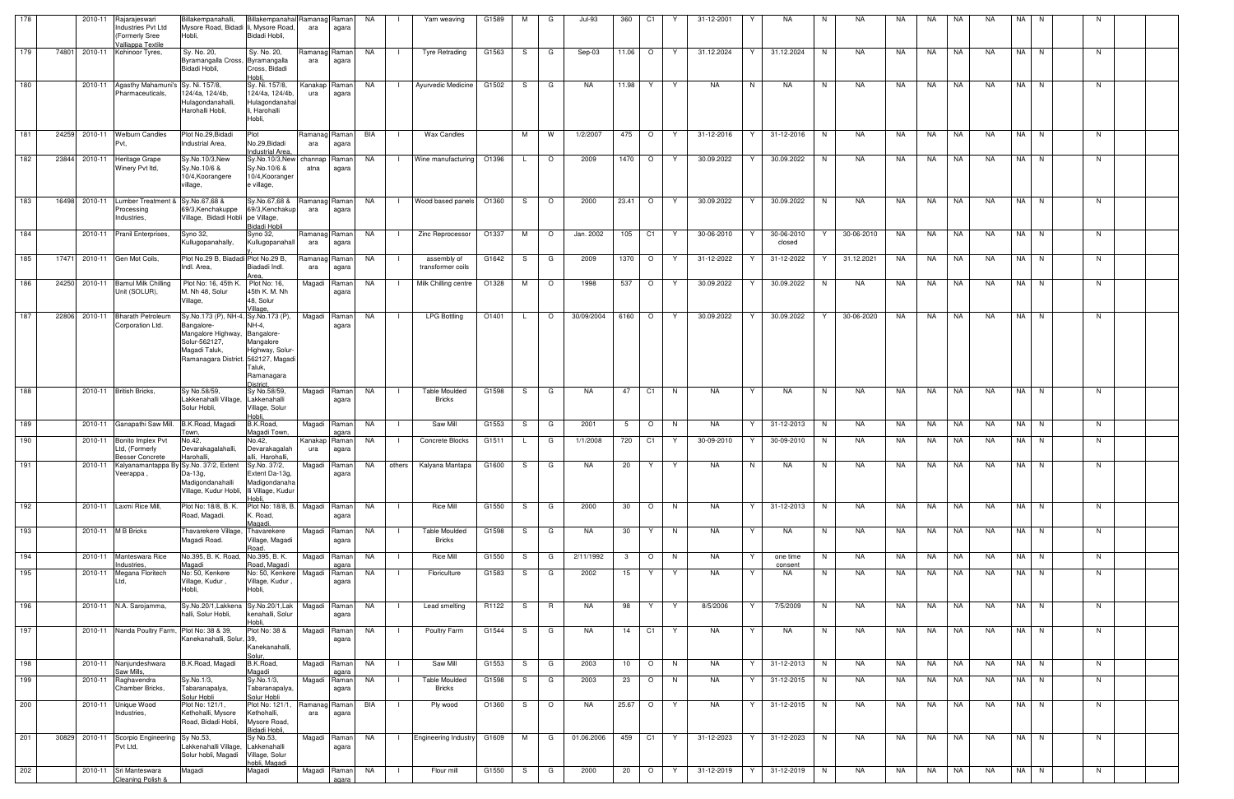| 178 |       | 2010-11       | Rajarajeswari                                                                                     | Billakempanahalli                                                                                                                                           | Billakempanahal Ramanag Raman                                                          |                      |                        | NA   | Yarn weaving                     | G1589 | м  | G       | $Jul-93$   | 360             | C1             |     | 31-12-2001 | NA.                       | <b>NA</b>            | NA  | NA        | <b>NA</b> | <b>NA</b> | NA.   |             |  |
|-----|-------|---------------|---------------------------------------------------------------------------------------------------|-------------------------------------------------------------------------------------------------------------------------------------------------------------|----------------------------------------------------------------------------------------|----------------------|------------------------|------|----------------------------------|-------|----|---------|------------|-----------------|----------------|-----|------------|---------------------------|----------------------|-----|-----------|-----------|-----------|-------|-------------|--|
|     |       |               | Industries Pvt Ltd<br>(Formerly Sree                                                              | Mysore Road, Bidadi Ii, Mysore Road,<br>Hobli,                                                                                                              | Bidadi Hobli,                                                                          | ara                  | agara                  |      |                                  |       |    |         |            |                 |                |     |            |                           |                      |     |           |           |           |       |             |  |
| 179 | 74801 |               | Valliappa Textile<br>2010-11 Kohinoor Tyres,                                                      | Sy. No. 20,<br>Byramangalla Cross, Byramangalla<br>Bidadi Hobli,                                                                                            | Sy. No. 20,                                                                            | ara                  | Ramanag Raman<br>agara | NA . | <b>Tyre Retrading</b>            | G1563 | S. | G       | Sep-03     | 11.06           | $\circ$        | Y   | 31.12.2024 | Y<br>31.12.2024           | N<br>NA              | NA  | NA        | NA        | NA        |       | NA N<br>N.  |  |
|     |       |               |                                                                                                   |                                                                                                                                                             | Cross, Bidadi<br>lobli                                                                 |                      |                        |      |                                  |       |    |         |            |                 |                |     |            |                           |                      |     |           |           |           |       |             |  |
| 180 |       |               | 2010-11 Agasthy Mahamuni's Sy. Ni. 157/8,<br>Pharmaceuticals,                                     | 124/4a, 124/4b,<br>Hulagondanahalli,<br>Harohalli Hobli,                                                                                                    | Sy. Ni. 157/8,<br>124/4a, 124/4b,<br>Hulagondanaha<br>li, Harohalli<br>Hobli,          | Kanakap Raman<br>ura | agara                  | NA   | Ayurvedic Medicine               | G1502 | -S | G       | NA         | 11.98           | Y.             | Y   | NA         | N.<br>NA                  | N<br>NA              | NA  | NA        | NA        | NA.       |       | NA N<br>- N |  |
| 181 |       |               | 24259 2010-11 Welburn Candles<br>Pvt,                                                             | Plot No.29, Bidadi<br>Industrial Area.                                                                                                                      | Plot<br>No.29, Bidadi<br>Industrial Area,                                              | Ramanag Raman<br>ara | agara                  | BIA  | <b>Wax Candles</b>               |       | M  | W       | 1/2/2007   | 475 O           |                | Y   | 31-12-2016 | 31-12-2016<br>Y           | NA<br>N              | NA. | NA.       | NA        | NA.       |       | N<br>NA N   |  |
| 182 |       | 23844 2010-11 | Heritage Grape<br>Winery Pvt Itd,                                                                 | Sy.No.10/3,New<br>Sy.No.10/6 &<br>10/4, Koorangere<br>village,                                                                                              | Sy.No.10/3,New<br>Sy.No.10/6 &<br>10/4, Kooranger<br>e village,                        | channap<br>atna      | Raman<br>agara         | NA . | Wine manufacturing               | O1396 |    | $\circ$ | 2009       | 1470   O        |                | Y   | 30.09.2022 | 30.09.2022                | N<br>NA.             | NA. | NA        | NA        | NA.       |       | N<br>NA N   |  |
| 183 | 16498 | 2010-11       | Lumber Treatment<br>Processing<br>Industries,                                                     | Sy.No.67,68 &<br>69/3, Kenchakuppe<br>Village, Bidadi Hobli pe Village,                                                                                     | Sy.No.67,68 &<br>69/3, Kenchakup<br>Bidadi Hobli                                       | Ramanag Raman<br>ara | agara                  | NA   | Wood based panels                | O1360 | S. | $\circ$ | 2000       | $23.41$ 0       |                | - Y | 30.09.2022 | 30.09.2022<br>Y           | NA<br>N              | NA  | NA.       | NA        | NA.       |       | NA N<br>N   |  |
| 184 |       |               | 2010-11 Pranil Enterprises,                                                                       | Syno 32,<br>Kullugopanahally,                                                                                                                               | Syno 32,<br>Kullugopanahall                                                            | Ramanag Raman<br>ara | agara                  | NA   | Zinc Reprocessor                 | O1337 | M  | $\circ$ | Jan. 2002  | 105             | C1             | Y.  | 30-06-2010 | 30-06-2010<br>Y<br>closed | 30-06-2010           | NA  | NA.       | NA        | NA        | NA N  | N           |  |
| 185 | 17471 |               | 2010-11 Gen Mot Coils,                                                                            | Plot No.29 B, Biadadi Plot No.29 B,<br>Indl. Area.                                                                                                          | Biadadi Indl.                                                                          | ara                  | Ramanag Raman<br>agara | NA.  | assembly of<br>transformer coils | G1642 | S. | G       | 2009       | 1370            | $\circ$        | Y   | 31-12-2022 | 31-12-2022<br>Y           | 31.12.2021           | NA  | NA        | NA        | NA        | NA I  | N<br>N.     |  |
| 186 |       | 24250 2010-11 | <b>Bamul Milk Chilling</b><br>Unit (SOLUR),                                                       | Plot No: 16, 45th<br>M. Nh 48, Solur<br>Village,                                                                                                            | Area<br>Plot No: 16,<br>45th K. M. Nh<br>48, Solur                                     | Magadi               | Raman<br>agara         | NA   | Milk Chilling centre             | O1328 | M  | $\circ$ | 1998       | 537             | $\circ$        | Y   | 30.09.2022 | 30.09.2022<br>Y           | NA<br>N.             | NA. | NA        | NA        | NA        |       | NA N<br>N.  |  |
| 187 |       | 22806 2010-11 | <b>Bharath Petroleum</b><br>Corporation Ltd.                                                      | Sy.No.173 (P), NH-4, Sy.No.173 (P),<br>Bangalore-<br>Mangalore Highway, Bangalore-<br>Solur-562127,<br>Magadi Taluk,<br>Ramanagara District. 562127, Magadi | Village.<br>NH-4,<br>Mangalore<br>Highway, Solur-<br>Taluk,<br>Ramanagara<br>District. |                      | Magadi Raman<br>agara  | NA   | <b>LPG Bottling</b>              | O1401 | L. | $\circ$ | 30/09/2004 | 6160 O          |                | Y   | 30.09.2022 | 30.09.2022<br>Y           | 30-06-2020<br>Y      | NA  | NA.       | NA        | <b>NA</b> |       | NA N<br>N   |  |
| 188 |       |               | 2010-11 British Bricks,                                                                           | Sy No.58/59,<br>Lakkenahalli Village,<br>Solur Hobli,                                                                                                       | Sy No.58/59,<br>.akkenahalli<br>Village, Solur<br>lobli                                | Magadi               | Raman<br>agara         | NA   | <b>Table Moulded</b><br>Bricks   | G1598 | S  | G       | NA         | 47              | C <sub>1</sub> | N   | NA         | Y<br>NA                   | N<br>NA.             | NA  | NA.       | NA        | NA        |       | NA N<br>N   |  |
| 189 |       |               | 2010-11 Ganapathi Saw Mill.                                                                       | B.K.Road, Magadi<br>Town,                                                                                                                                   | B.K.Road,<br>Magadi Town,                                                              |                      | Magadi Raman<br>agara  | NA   | Saw Mill                         | G1553 | -S | G       | 2001       | 5               | $\circ$        | N   | NA         | 31-12-2013<br>Y           | N<br>NA              | NA  | NA        | NA        | NA.       |       | NA N<br>N.  |  |
| 190 |       |               | 2010-11 Bonito Implex Pvt<br>Ltd, (Formerly                                                       | No.42,<br>Devarakagalahalli,                                                                                                                                | No.42,<br>Devarakagalah                                                                | Kanakap Raman<br>ura | agara                  | NA . | Concrete Blocks                  | G1511 |    | G       | 1/1/2008   | 720             | C1             | - Y | 30-09-2010 | 30-09-2010<br>Y           | NA<br>N              | NA  | NA        | NA        | NA        |       | N<br>NA N   |  |
| 191 |       |               | <b>Besser Concrete</b><br>2010-11 Kalyanamantappa By Sy.No. 37/2, Extent Sy.No. 37/2,<br>Veerappa | Harohalli<br>Da-13g,<br>Madigondanahalli<br>Village, Kudur Hobli, Ili Village, Kudur                                                                        | alli, Harohalli,<br>Extent Da-13g,<br>Madigondanaha                                    | Magadi Raman         | agara                  | NA   | others   Kalyana Mantapa   G1600 |       | S. | G       | NA.        | 20              | Y.             |     | NA.        | N<br>NA.                  | NA.                  | NA  | NA        | NA        | NA.       | NA IN |             |  |
| 192 |       |               | 2010-11 Laxmi Rice Mill,                                                                          | Plot No: 18/8, B. K.<br>Road, Magadi.                                                                                                                       | Plot No: 18/8, B. Magadi Raman<br>K. Road,<br>Maqadi.                                  |                      | agara                  | NA   | <b>Rice Mill</b>                 | G1550 | S. | G       | 2000       | 30              | $\circ$        | N   | NA         | Y<br>31-12-2013           | NA<br>N              | NA  | NA        | NA        | <b>NA</b> |       | N<br>NA N   |  |
| 193 |       |               | 2010-11 M B Bricks                                                                                | Thavarekere Village, Thavarekere<br>Magadi Road.                                                                                                            | Village, Magadi<br>Road                                                                |                      | Magadi Raman<br>agara  | NA   | <b>Table Moulded</b><br>Bricks   | G1598 | S. | G       | NA         | 30              | Y              | N   | NA         | Y<br>NA                   | N<br>NA              | NA  | NA        | NA        | NA        |       | N<br>NA N   |  |
| 194 |       |               | 2010-11 Manteswara Rice<br>Industries,                                                            | No.395, B. K. Road, No.395, B. K.<br>Magadi                                                                                                                 | Road, Magadi                                                                           |                      | Magadi Raman<br>agara  | NA   | Rice Mill                        | G1550 | -S | G       | 2/11/1992  | $\mathbf{3}$    | $\circ$        | N   | NA         | Y<br>one time<br>consent  | NA<br>N              | NA  | NA        | NA        | <b>NA</b> |       | N<br>NA N   |  |
| 195 |       | 2010-11       | Megana Floritech<br>Ltd.                                                                          | No: 50, Kenkere<br>Village, Kudur,<br>Hobli,                                                                                                                | No: 50, Kenkere<br>Village, Kudur<br>Hobli,                                            | Magadi               | Raman<br>agara         | NA   | Floriculture                     | G1583 | S. | G       | 2002       | 15              | Y              | Y   | NA         | NA<br>Y                   | NA<br>N              | NA  | NA        | NA        | NA        |       | NA N<br>N   |  |
| 196 |       |               | 2010-11 N.A. Sarojamma,                                                                           | Sy.No.20/1,Lakkena Sy.No.20/1,Lak<br>halli, Solur Hobli,                                                                                                    | kenahalli, Solur<br>ldoH                                                               |                      | Magadi Raman<br>agara  | NA   | Lead smelting                    | R1122 | S  | R.      | NA         | 98              | Y              | Y   | 8/5/2006   | Y<br>7/5/2009             | N<br>NA              | NA  | NA        | NA        | <b>NA</b> |       | NA N<br>N   |  |
| 197 |       |               | 2010-11 Nanda Poultry Farm,                                                                       | Plot No: 38 & 39,<br>Kanekanahalli, Solur, 39,                                                                                                              | Plot No: 38 &<br>Kanekanahalli,<br>Solur.                                              | Magadi               | Raman<br>agara         | NA   | Poultry Farm                     | G1544 | S  | G       | <b>NA</b>  | 14              | C1             | Y   | <b>NA</b>  | Y<br>NA                   | N<br>NA              | NA  | NA        | NA        | <b>NA</b> |       | NA N<br>N   |  |
| 198 |       |               | 2010-11 Nanjundeshwara<br>Saw Mills,                                                              | B.K.Road, Magadi                                                                                                                                            | B.K.Road,<br>Magadi                                                                    | Magadi               | Raman<br>agara         | NA   | Saw Mill                         | G1553 | S. | G       | 2003       | 10 <sup>1</sup> | $\circ$        | N   | NA         | 31-12-2013<br>Y           | N<br>NA              | NA  | NA        | NA        | <b>NA</b> |       | NA N<br>N   |  |
| 199 |       |               | 2010-11 Raghavendra<br>Chamber Bricks,                                                            | Sy.No.1/3,<br>Tabaranapalya,<br>Solur Hobli                                                                                                                 | Sy.No.1/3,<br>Tabaranapalya,<br>Solur Hobli                                            |                      | Magadi Raman<br>agara  | NA   | <b>Table Moulded</b><br>Bricks   | G1598 | S  | G       | 2003       | 23              | $\circ$        | N   | NA         | Y<br>31-12-2015           | N <sub>1</sub><br>NA | NA  |           | NA NA     | NA        |       | NA N<br>N   |  |
| 200 |       |               | 2010-11 Unique Wood<br>Industries,                                                                | Plot No: 121/1,<br>Kethohalli, Mysore<br>Road, Bidadi Hobli,                                                                                                | Plot No: 121/1,<br>Kethohalli,<br>Mysore Road,<br>Bidadi Hobli,                        | Ramanag Raman<br>ara | agara                  | BIA  | Ply wood                         | O1360 | S. | $\circ$ | NA         | 25.67 O         |                | Y.  | NA         | Y<br>31-12-2015           | NA<br>N              | NA  | <b>NA</b> | NA        | NA        |       | NA N<br>N   |  |
| 201 | 30829 |               | 2010-11 Scorpio Engineering<br>Pvt Ltd,                                                           | Sy No.53,<br>Lakkenahalli Village, Lakkenahalli<br>Solur hobli, Magadi                                                                                      | Sy No.53,<br>Village, Solur<br>hobli, Magadi                                           |                      | Magadi Raman<br>agara  | NA   | <b>Engineering Industry</b>      | G1609 | M  | G       | 01.06.2006 | 459             | C1             | Y   | 31-12-2023 | Y<br>31-12-2023           | NA<br>N              | NA  | NA        | NA        | NA        |       | NA N<br>N   |  |
| 202 |       |               | 2010-11 Sri Manteswara<br>Cleaning Polish &                                                       | Magadi                                                                                                                                                      | Magadi                                                                                 |                      | Magadi Raman<br>agara  | NA   | Flour mill                       | G1550 | S  | G       | 2000       | 20              | $\circ$        | Y   | 31-12-2019 | 31-12-2019<br>Y           | NA<br>N <sub>1</sub> | NA  | <b>NA</b> | NA        | NA        |       | NA N<br>N   |  |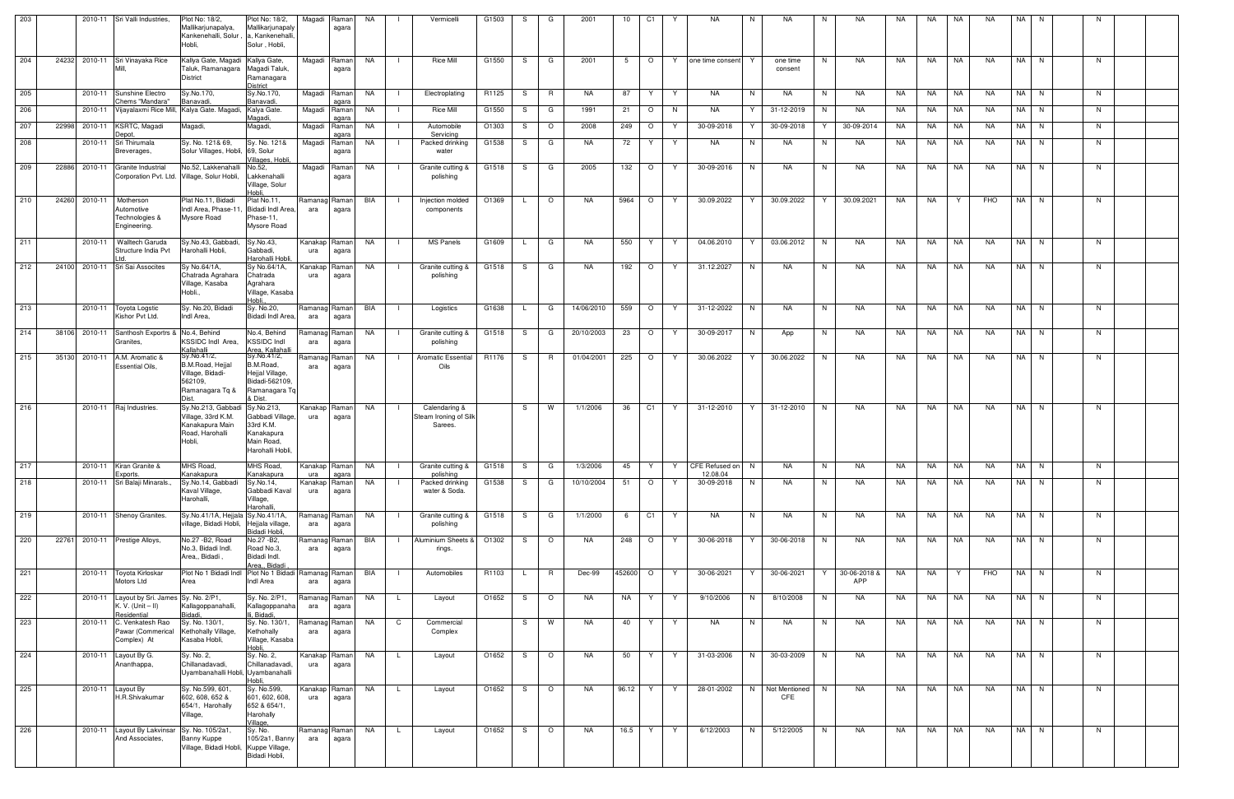| 203 |       |         | 2010-11 Sri Valli Industries,                                                    | Plot No: 18/2,<br>Mallikarjunapalya,<br>Kankenehalli, Solur,<br>Hobli,                            | Plot No: 18/2,<br>Mallikarjunapaly<br>u, Kankenehalli<br>Solur, Hobli,                      | Magadi                        | Raman<br>agara         | NA        |                | Vermicelli                                        | G1503 | S  | G              | 2001       | 10     | C <sub>1</sub> | <b>NA</b>                                                                                                               | N  | <b>NA</b>              | NA.<br>N                 | NA.       | NA        | NA        | <b>NA</b>         | <b>NA</b> | N.   |    |  |
|-----|-------|---------|----------------------------------------------------------------------------------|---------------------------------------------------------------------------------------------------|---------------------------------------------------------------------------------------------|-------------------------------|------------------------|-----------|----------------|---------------------------------------------------|-------|----|----------------|------------|--------|----------------|-------------------------------------------------------------------------------------------------------------------------|----|------------------------|--------------------------|-----------|-----------|-----------|-------------------|-----------|------|----|--|
| 204 | 24232 |         | 2010-11 Sri Vinayaka Rice                                                        | Kallya Gate, Magadi Kallya Gate,<br>Taluk, Ramanagara<br><b>District</b>                          | Magadi Taluk,<br>Ramanagara<br>District                                                     |                               | Magadi Raman<br>agara  | NA        |                | <b>Rice Mill</b>                                  | G1550 | S. | G              | 2001       | 5      | $\circ$        | one time consent<br>Y.                                                                                                  |    | one time<br>consent    | <b>NA</b><br>N.          | NA        | NA.       | NA        | <b>NA</b>         |           | NA N | N  |  |
| 205 |       |         | 2010-11 Sunshine Electro<br>Chems "Mandara"                                      | Sy.No.170,<br><b>Banavadi</b>                                                                     | Sy.No.170,<br>Banavadi.                                                                     | Magadi                        | Raman<br>agara         | NA        |                | Electroplating                                    | R1125 | S. | R              | <b>NA</b>  | 87     | Y              | <b>NA</b><br>Y                                                                                                          | N  | <b>NA</b>              | N<br>NA.                 | <b>NA</b> | NA.       | <b>NA</b> | <b>NA</b>         |           | NA N | N  |  |
| 206 |       |         |                                                                                  | 2010-11 Vijayalaxmi Rice Mill, Kalya Gate. Magadi, Kalya Gate.                                    | Aaqadi.                                                                                     | Magadi                        | Raman<br>aaara         | NA        |                | <b>Rice Mill</b>                                  | G1550 | S. | G              | 1991       | 21     | $\circ$        | NA<br>N.                                                                                                                | Y  | 31-12-2019             | NA.<br>N                 | NA        | NA        | NA        | <b>NA</b>         |           | NA N | N  |  |
| 207 | 22998 | 2010-11 | KSRTC, Magadi<br>Depot,                                                          | Magadi,                                                                                           | Magadi,                                                                                     | Magadi                        | Raman<br>agara         | NA        | - 1            | Automobile<br>Servicing                           | O1303 | S  | $\circ$        | 2008       | 249    | $\circ$        | 30-09-2018<br>Y                                                                                                         | Y  | 30-09-2018             | Y<br>30-09-2014          | NA        | NA.       | NA        | <b>NA</b>         |           | NA N | N  |  |
| 208 |       |         | 2010-11 Sri Thirumala<br>Breverages,                                             | Sy. No. 121& 69,<br>Solur Villages, Hobli, 69, Solur                                              | Sy. No. 121&<br>Villages, Hobli,                                                            | Magadi                        | Raman<br>agara         | NA        | - 1            | Packed drinking<br>water                          | G1538 | S. | G              | NA         | 72     | Y.             | NA<br>Y                                                                                                                 | N. | NA                     | N<br>NA                  | NA.       | NA.       | NA        | <b>NA</b>         |           | NA N | N  |  |
| 209 | 22886 |         | 2010-11 Granite Industrial                                                       | No.52, Lakkenahalli<br>Corporation Pvt. Ltd. Village, Solur Hobli,                                | No.52,<br>Lakkenahalli<br>Village, Solur<br>Hobli.                                          | Magadi                        | Raman<br>agara         | NA        |                | Granite cutting &<br>polishing                    | G1518 | S  | G              | 2005       | 132    | $\circ$        | 30-09-2016<br>Y                                                                                                         | N  | NA.                    | N<br>NA.                 | NA        | NA        | NA        | <b>NA</b>         |           | NA N | N  |  |
| 210 | 24260 | 2010-11 | Motherson<br>Automotive<br>Technologies &<br>Engineering.                        | Plat No.11, Bidadi<br>Indl Area, Phase-11<br>Mysore Road                                          | Plat No.11,<br>Bidadi Indl Area.<br>hase-11,<br>Mysore Road                                 | Ramanag Raman<br>ara          | agara                  | BIA       |                | Injection molded<br>components                    | O1369 |    | $\circ$        | NA.        | 5964   | $\circ$        | 30.09.2022<br>Y                                                                                                         | Y  | 30.09.2022             | 30.09.2021<br>Y          | NA        | <b>NA</b> |           | FHO               |           | NA N | N  |  |
| 211 |       | 2010-11 | <b>Walltech Garuda</b><br>Structure India Pvt                                    | Sy.No.43, Gabbadi,<br>Harohalli Hobli,                                                            | Sy.No.43,<br>Gabbadi,<br>Harohalli Hobli,                                                   | Kanakap Raman<br>ura          | agara                  | NA        |                | MS Panels                                         | G1609 | L. | G              | <b>NA</b>  | 550    | Y              | 04.06.2010<br>Y                                                                                                         | Y  | 03.06.2012             | N<br><b>NA</b>           | NA        | <b>NA</b> | NA        | NA.               |           | NA N | N  |  |
| 212 | 24100 |         | 2010-11 Sri Sai Assocites                                                        | Sy No.64/1A,<br>Chatrada Agrahara<br>Village, Kasaba<br>Hobli.,                                   | Sy No.64/1A,<br>Chatrada<br>Agrahara<br>Village, Kasaba<br>Hobli.                           | Kanakap<br>ura                | Raman<br>agara         | NA.       |                | Granite cutting &<br>polishing                    | G1518 | S. | G              | NA.        | 192    | $\circ$        | 31.12.2027<br>Y                                                                                                         | N. | <b>NA</b>              | N<br>NA.                 | <b>NA</b> | <b>NA</b> | NA        | <b>NA</b>         |           | NA N | N  |  |
| 213 |       | 2010-11 | Toyota Logstic<br>Kishor Pvt Ltd.                                                | Sy. No.20, Bidadi<br>Indl Area.                                                                   | Sy. No.20,<br>Bidadi Indl Area,                                                             | Ramanag Raman<br>ara          | agara                  | BIA       | - 1            | Logistics                                         | G1638 | L. | G              | 14/06/2010 | 559    | $\circ$        | 31-12-2022<br>Y                                                                                                         | N  | <b>NA</b>              | N<br>NA.                 | NA        | <b>NA</b> | NA        | <b>NA</b>         |           | NA N | N  |  |
| 214 | 38106 |         | 2010-11 Santhosh Exportrs & No.4, Behind<br>Granites,                            | KSSIDC Indl Area.<br>Kallahalli                                                                   | No.4, Behind<br><b>KSSIDC Indl</b><br>Area, Kallahalli                                      | Ramanag Raman<br>ara          | agara                  | NA        |                | Granite cutting &<br>polishing                    | G1518 | S. | G              | 20/10/2003 | 23     | $\circ$        | 30-09-2017<br>Y                                                                                                         | N. | App                    | N<br>NA.                 | NA        | NA.       | NA        | NA.               |           | NA N | N. |  |
| 215 | 35130 | 2010-11 | A.M. Aromatic &<br><b>Essential Oils,</b>                                        | Sy.No.41/2,<br><b>B.M.Road, Heijal</b><br>Village, Bidadi-<br>562109,<br>Ramanagara Tq &<br>Dist. | Sy.No.41/2,<br>B.M.Road,<br>Hejjal Village,<br>Bidadi-562109.<br>Ramanagara Tq<br>& Dist.   | Ramanag Raman<br>ara          | agara                  | NA        | $\blacksquare$ | <b>Aromatic Essential</b><br>Oils                 | R1176 | S. | $\overline{R}$ | 01/04/2001 | 225    | $\circ$        | Y<br>30.06.2022                                                                                                         | Y  | 30.06.2022             | N<br><b>NA</b>           | NA        | <b>NA</b> | NA        | <b>NA</b>         |           | NA N | N  |  |
| 216 |       |         | 2010-11 Raj Industries.                                                          | Sy.No.213, Gabbadi<br>Village, 33rd K.M.<br>Kanakapura Main<br>Road, Harohalli<br>Hobli,          | Sy.No.213,<br>Gabbadi Village,<br>33rd K.M.<br>Kanakapura<br>Main Road,<br>Harohalli Hobli. | Kanakap<br>ura                | Raman<br>agara         | NA        | $\blacksquare$ | Calendaring &<br>Steam Ironing of Silk<br>Sarees. |       | S. | <b>W</b>       | 1/1/2006   | 36     | C1             | 31-12-2010                                                                                                              |    | 31-12-2010             | NA.<br>N.                | NA        | <b>NA</b> | NA        | <b>NA</b>         |           | NA N | N. |  |
| 217 |       |         | 2010-11 Kiran Granite &<br>Exports.                                              | MHS Road,<br>Kanakapura                                                                           | Kanakapura                                                                                  | ura                           | agara                  |           |                | polishing                                         |       |    |                |            |        |                | MHS Road, Kanakap Raman NA     Granite cutting & G1518   S   G   1/3/2006   45   Y   Y   CFE Refused on N  <br>12.08.04 |    | <b>NA</b>              | N NA                     |           |           |           | NA   NA   NA   NA | NA N      |      | N  |  |
| 218 |       |         | 2010-11 Sri Balaji Minarals.                                                     | Sy.No.14, Gabbadi<br>Kaval Village,<br>Harohalli,                                                 | Sy.No.14,<br>Gabbadi Kaval<br>Village,<br>Harohalli,                                        | Kanakap <mark> </mark><br>ura | Raman<br>agara         | <b>NA</b> |                | Packed drinking<br>water & Soda.                  | G1538 | S  | G              | 10/10/2004 | 51     | $\circ$        | Y<br>30-09-2018                                                                                                         | N  | NA                     | N<br>NA                  | NA        | <b>NA</b> | NA        | NA                |           | NA N | N  |  |
| 219 |       |         | 2010-11 Shenoy Granites.                                                         | Sy.No.41/1A, Hejjala Sy.No.41/1A,<br>village, Bidadi Hobli,                                       | Hejjala village,                                                                            | Ramanag Raman<br>ara          | agara                  | NA        |                | Granite cutting &<br>polishing                    | G1518 | S. | G              | 1/1/2000   | 6      | C <sub>1</sub> | NA<br>Y.                                                                                                                | N  | NA                     | N<br>NA                  | NA        | NA        | NA        | NA                |           | NA N | N  |  |
| 220 | 22761 |         | 2010-11 Prestige Alloys,                                                         | No.27 - B2, Road<br>No.3, Bidadi Indl.<br>Area,, Bidadi,                                          | Bidadi Hobli.<br>No.27 -B2,<br>Road No.3,<br>Bidadi Indl.<br>Area., Bidadi                  | Ramanag Raman<br>ara          | agara                  | BIA       |                | Aluminium Sheets &<br>rings.                      | O1302 | S. | $\circ$        | NA         | 248    | $\circ$        | 30-06-2018<br>Y.                                                                                                        | Y  | 30-06-2018             | NA<br>N                  | NA.       | NA        | NA        | <b>NA</b>         |           | NA N | N. |  |
| 221 |       |         | 2010-11 Toyota Kirloskar<br>Motors Ltd                                           | Plot No 1 Bidadi Indl Plot No 1 Bidadi<br>Area                                                    | Indl Area                                                                                   | Ramanag Raman<br>ara          | agara                  | BIA       |                | Automobiles                                       | R1103 | L. | R              | Dec-99     | 452600 | $\circ$        | 30-06-2021<br>Y                                                                                                         | Y  | 30-06-2021             | 30-06-2018 &<br>Y<br>APP | NA        | NA        | Y         | FHO               |           | NA N | N  |  |
| 222 |       |         | 2010-11 Layout by Sri. James Sy. No. 2/P1,<br>K. V. $(Unit - II)$<br>Residential | Kallagoppanahalli,<br>Bidadi,                                                                     | Sy. No. 2/P1,<br>Kallagoppanaha<br>i, Bidadi,                                               | Ramanag Raman<br>ara          | agara                  | NA        | $\mathsf{L}$   | Layout                                            | O1652 | S. | $\circ$        | NA         | NA     | Y.             | 9/10/2006<br>Y.                                                                                                         | N  | 8/10/2008              | N<br>NA                  | NA        |           | NA NA     | NA                |           | NA N | N  |  |
| 223 |       | 2010-11 | C. Venkatesh Rao<br>Pawar (Commerical<br>Complex) At                             | Sy. No. 130/1,<br>Kethohally Village,<br>Kasaba Hobli,                                            | Sy. No. 130/1,<br>Kethohally<br>Village, Kasaba<br>Hobli,                                   | Ramanag<br>ara                | Raman<br>agara         | NA        | $\mathbf{C}$   | Commercial<br>Complex                             |       |    | S W            | NA         | 40     | Y              | NA<br>Y                                                                                                                 | N  | NA                     | N<br>NA                  | NA        | NA        | NA        | NA                | NA N      |      | N  |  |
| 224 |       |         | 2010-11 Layout By G.<br>Ananthappa,                                              | Sy. No. 2,<br>Chillanadavadi,<br>Uyambanahalli Hobli, Uyambanahalli                               | Sy. No. 2,<br>Chillanadavadi,<br>Hobli,                                                     | ura                           | Kanakap Raman<br>agara | <b>NA</b> | $\mathsf{L}$   | Layout                                            | O1652 | S. | $\circ$        | NA         | 50     | Y.             | 31-03-2006<br>Y                                                                                                         | N  | 30-03-2009             | N<br>NA                  | NA        | NA 1      | <b>NA</b> | <b>NA</b>         |           | NA N | N  |  |
| 225 |       |         | 2010-11 Layout By<br>H.R.Shivakumar                                              | Sy. No.599, 601<br>602, 608, 652 &<br>654/1, Harohally<br>Village,                                | Sy. No.599,<br>601, 602, 608,<br>652 & 654/1,<br>Harohally<br>Village,                      | Kanakap<br>ura                | Raman<br>agara         | NA        | $\mathsf{L}$   | Layout                                            | O1652 | S. | $\circ$        | NA         | 96.12  | Y.             | 28-01-2002<br>Y                                                                                                         |    | N Not Mentioned<br>CFE | NA<br>N                  | NA        | NA        | <b>NA</b> | NA                |           | NA N | N  |  |
| 226 |       |         | 2010-11 Layout By Lakvinsar Sy. No. 105/2a1,<br>And Associates,                  | Banny Kuppe<br>Village, Bidadi Hobli, Kuppe Village,                                              | Sy. No.<br>105/2a1, Banny<br>Bidadi Hobli,                                                  | Ramanag Raman<br>ara          | agara                  | <b>NA</b> | $\mathsf{L}$   | Layout                                            | O1652 | S. | $\circ$        | <b>NA</b>  | 16.5   | Y              | 6/12/2003<br>Y                                                                                                          | N  | 5/12/2005              | N<br>NA                  | NA        | <b>NA</b> | <b>NA</b> | NA                |           | NA N | N  |  |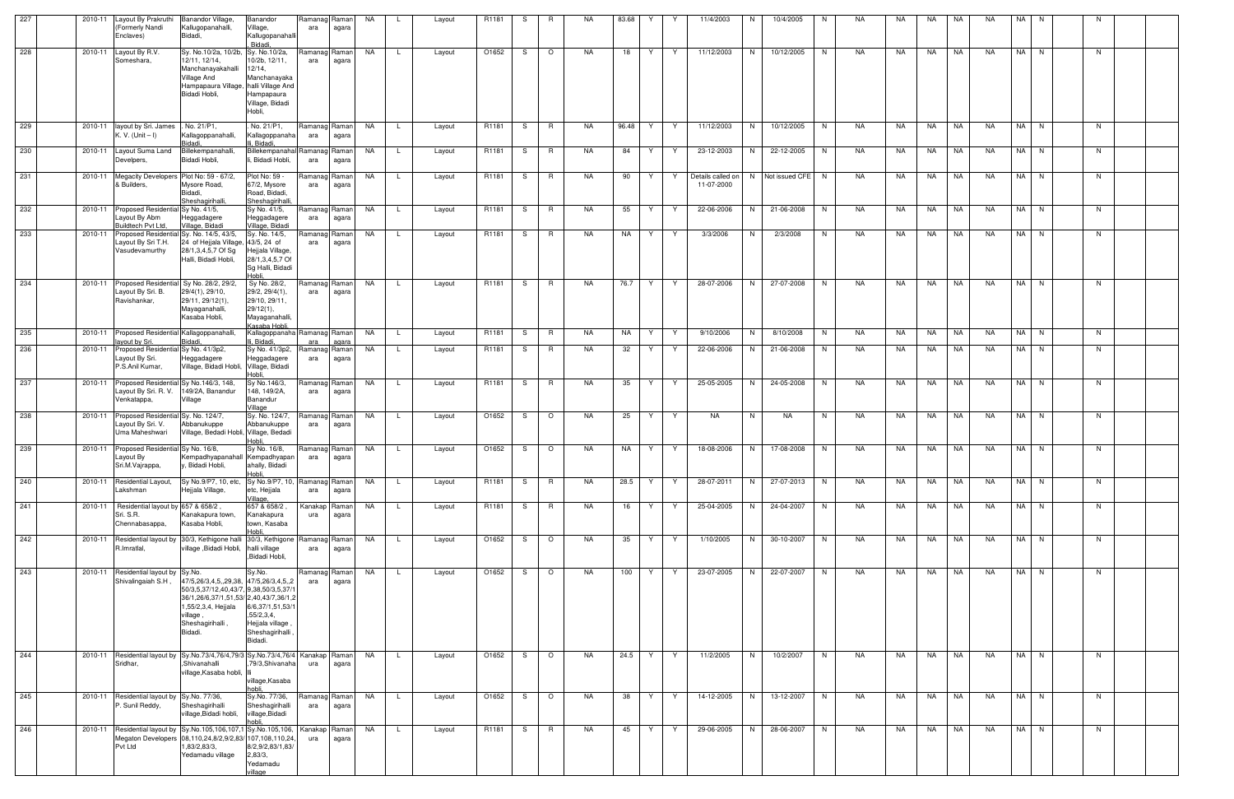| 227 | 2010-11 | Layout By Prakruthi<br>(Formerly Nandi<br>Enclaves)                      | Banandor Village,<br>Kallugopanahalli,<br>Bidadi,                                                                                                                                           | Banandor<br>Village,<br>Kallugopanahalli<br>, Bidadi,                                                  | Ramanag Raman<br>ara   | agara          | NA        |     | Layout | R <sub>1181</sub> | S   | R              | NA.       | 83.68 | Y  | Y  | 11/4/2003                       | N. | 10/4/2005          | N. | NA  | NA. | NA.   | NA | NA.       | NA   | N.   |              |  |
|-----|---------|--------------------------------------------------------------------------|---------------------------------------------------------------------------------------------------------------------------------------------------------------------------------------------|--------------------------------------------------------------------------------------------------------|------------------------|----------------|-----------|-----|--------|-------------------|-----|----------------|-----------|-------|----|----|---------------------------------|----|--------------------|----|-----|-----|-------|----|-----------|------|------|--------------|--|
| 228 | 2010-11 | Layout By R.V.<br>Someshara,                                             | Sy. No.10/2a, 10/2b,<br>12/11, 12/14,<br>Manchanayakahalli<br>Village And<br>Hampapaura Village, halli Village And<br>Bidadi Hobli,                                                         | Sy. No.10/2a,<br>10/2b, 12/11,<br>$12/14$ ,<br>Manchanayaka<br>Hampapaura<br>Village, Bidadi<br>Hobli, | Ramanag Raman I<br>ara | agara          | NA .      |     | Layout | O1652             | S   | $\circ$        | NA.       | 18    | Y. | Y. | 11/12/2003                      | N. | 10/12/2005         | N. | NA  | NA. | NA    | NA | NA.       |      | NA N | <sup>N</sup> |  |
| 229 | 2010-11 | layout by Sri. James<br>K. V. (Unit – I)                                 | . No. 21/P1,<br>Kallagoppanahalli,<br>Bidadi                                                                                                                                                | No. 21/P1,<br>Kallagoppanaha<br>li. Bidadi.                                                            | Ramanag Raman<br>ara   | agara          | NA        | -L  | Layout | R1181             | S.  | <b>R</b>       | NA.       | 96.48 | Y  | Y  | 11/12/2003                      | N  | 10/12/2005         | N. | NA  | NA  | NA    | NA | <b>NA</b> |      | NA N | N.           |  |
| 230 | 2010-11 | Layout Suma Land<br>Develpers,                                           | Billekempanahalli,<br>Bidadi Hobli,                                                                                                                                                         | Billekempanahal Ramanag Raman<br>, Bidadi Hobli,                                                       | ara                    | agara          | NA        | L.  | Layout | R1181             | S.  | R              | NA.       | 84    | Y  | Y  | 23-12-2003                      | N. | 22-12-2005         | N. | NA  | NA  | NA    | NA | NA.       |      | NA N | N            |  |
| 231 | 2010-11 | Megacity Developers Plot No: 59 - 67/2,<br>& Builders,                   | Mysore Road,<br>Bidadi,<br>Sheshagirihalli.                                                                                                                                                 | Plot No: 59 -<br>67/2, Mysore<br>Road, Bidadi,<br>Sheshaqirihalli                                      | Ramanag Raman<br>ara   | agara          | NA        | L.  | Layout | R1181             | S   | R              | NA.       | 90    | Y  | Y. | Details called on<br>11-07-2000 |    | N Not issued CFE N |    | NA  | NA  | NA    | NA | NA.       |      | NA N | N            |  |
| 232 | 2010-11 | <b>Proposed Residenti</b><br>ayout By Abm<br>Buildtech Pvt Ltd.          | ISy No. 41/5,<br>Heggadagere<br>Village, Bidadi                                                                                                                                             | Sy No. 41/5,<br>Heggadagere<br>Village, Bidadi                                                         | Ramanag Raman<br>ara   | agara          | NA        | -L  | Layout | R1181             | S.  | R.             | NA.       | 55    | Y. | Y  | 22-06-2006                      | N  | 21-06-2008         | N  | NA  | NA. | NA    | NA | NA.       |      | NA N | N            |  |
| 233 | 2010-11 | Proposed Residentia<br>ayout By Sri T.H.<br>Vasudevamurthy               | Sy. No. 14/5, 43/5,<br>24 of Hejjala Village, 43/5, 24 of<br>28/1,3,4,5,7 Of Sg<br>Halli, Bidadi Hobli,                                                                                     | Sy. No. 14/5,<br>Hejjala Village,<br>28/1,3,4,5,7 Of<br>Sg Halli, Bidadi<br>Hobli.                     | Ramanag Raman I<br>ara | agara          | <b>NA</b> |     | Layout | R1181             | S   | R              | NA.       | NA    | Y  | Y  | 3/3/2006                        | N  | 2/3/2008           | N. | NA  | NA  | NA    | NA | <b>NA</b> |      | NA N | N            |  |
| 234 | 2010-11 | <b>Proposed Residenti</b><br>Layout By Sri. B.<br>Ravishankar,           | Sv No. 28/2, 29/2,<br>29/4(1), 29/10,<br>29/11, 29/12(1),<br>Mayaganahalli,<br>Kasaba Hobli,                                                                                                | Sy No. 28/2,<br>29/2, 29/4(1),<br>29/10, 29/11,<br>29/12(1),<br>Mayaganahalli,<br>Kasaba Hobli,        | Ramanag Raman<br>ara   | agara          | NA        | L.  | Layout | R1181             | S.  | R.             | NA.       | 76.7  | Y  | Y  | 28-07-2006                      | N  | 27-07-2008         | N. | NA  | NA  | NA    | NA | NA        |      | NA N | - N          |  |
| 235 | 2010-11 | Proposed Residential Kallagoppanahalli,<br>ayout by Sri.                 | Bidadi                                                                                                                                                                                      | Kallagoppanaha Ramanag Raman<br>li, Bidadi.                                                            | ara                    | agara          | NA .      | L.  | Layout | R1181             | S.  | R              | <b>NA</b> | NA    | Y  | Y  | 9/10/2006                       | N  | 8/10/2008          | N  | NA  | NA  | NA    | NA | <b>NA</b> |      | NA N | N            |  |
| 236 | 2010-11 | Proposed Residential Sy No. 41/3p2,<br>Layout By Sri.<br>P.S.Anil Kumar, | Heggadagere<br>Village, Bidadi Hobli, Village, Bidadi                                                                                                                                       | Sy No. 41/3p2,<br>Heggadagere<br>Hobli                                                                 | Ramanag Raman<br>ara   | agara          | <b>NA</b> | L   | Layout | R1181             | S.  | R.             | NA        | 32    | Y  | Y  | 22-06-2006                      | N  | 21-06-2008         | N  | NA. | NA. | NA    | NA | NA        |      | NA N | N.           |  |
| 237 | 2010-11 | <b>Proposed Residentia</b><br>Layout By Sri. R. V.<br>Venkatappa,        | I Sy No.146/3, 148,<br>149/2A, Banandur<br>Village                                                                                                                                          | Sy No.146/3,<br>148, 149/2A,<br>Banandur<br>Village                                                    | Ramanag Raman<br>ara   | agara          | NA        |     | Layout | R1181             | S   | R              | NA.       | 35    | Y  | Y  | 25-05-2005                      | N  | 24-05-2008         | N  | NA  | NA. | NA    | NA | NA.       |      | NA N | N            |  |
| 238 | 2010-11 | Proposed Residentia<br>Layout By Sri. V.<br>Uma Maheshwari               | Sy. No. 124/7,<br>Abbanukuppe<br>Village, Bedadi Hobli, Village, Bedadi                                                                                                                     | Sy. No. 124/7,<br>Abbanukuppe<br>Hobli                                                                 | Ramanag Raman<br>ara   | agara          | NA        | L   | Layout | O1652             | S.  | $\circ$        | NA.       | 25    | Y. | Y  | <b>NA</b>                       | N  | NA                 | N. | NA. | NA  | NA    | NA | NA        |      | NA N | N            |  |
| 239 | 2010-11 | Proposed Residential Sy No. 16/8,<br>Layout By<br>Sri.M.Vajrappa,        | Kempadhyapanahall Kempadhyapan<br>y, Bidadi Hobli,                                                                                                                                          | Sy No. 16/8,<br>ahally, Bidadi<br>Hobli,                                                               | Ramanag Raman<br>ara   | agara          | NA        | L.  | Layout | O1652             | S   | $\circ$        | NA.       | NA    | Y  | Y  | 18-08-2006                      | N  | 17-08-2008         | N  | NA  | NA  | NA    | NA | NA        | NA I | N.   | N            |  |
| 240 | 2010-11 | Residential Layout,<br>Lakshman                                          | Sy No.9/P7, 10, etc,<br>Hejjala Village,                                                                                                                                                    | Sy No.9/P7, 10, Ramanag Raman<br>etc, Hejjala<br>Village,                                              | ara                    | agara          | NA .      | L.  | Layout | R1181             | S.  | R              | NA        | 28.5  | Y  | Y  | 28-07-2011                      | N  | 27-07-2013         | N  | NA  | NA  | NA    | NA | NA        |      | NA N | N            |  |
| 241 | 2010-11 | Residential layout by 657 & 658/2,<br>Sri. S.R.<br>Chennabasappa,        | Kanakapura town,<br>Kasaba Hobli,                                                                                                                                                           | 657 & 658/2,<br>Kanakapura<br>town, Kasaba<br>Hobli                                                    | Kanakap<br>ura         | Raman<br>agara | <b>NA</b> |     | Layout | R1181             | S.  | $\overline{R}$ | NA        | 16    | Y  | Y  | 25-04-2005                      | N  | 24-04-2007         | N. | NA  | NA  | NA 1  | NA | NA        |      | NA N | N            |  |
| 242 | 2010-11 | Residential layout by<br>R.Imratlal,                                     | 30/3, Kethigone halli 30/3, Kethigone<br>village ,Bidadi Hobli,                                                                                                                             | halli village<br>,Bidadi Hobli,                                                                        | Ramanag Raman<br>ara   | agara          | NA        |     | Layout | O1652             | S   | $\circ$        | NA        | 35    | Y  | Y  | 1/10/2005                       | N  | 30-10-2007         | N  | NA  | NA. | NA    | NA | NA        |      | NA N | N            |  |
| 243 | 2010-11 | Residential layout by Sy.No.<br>Shivalingaiah S.H,                       | 47/5,26/3,4,5,,29,38, 47/5,26/3,4,5,,2<br>50/3,5,37/12,40,43/7, 9,38,50/3,5,37/<br>36/1,26/6,37/1,51,53/ 2,40,43/7,36/1,2<br>,55/2,3,4, Hejjala<br>, illage<br>Sheshagirihalli ,<br>Bidadi. | Sy.No.<br>6/6,37/1,51,53/1<br>,55/2,3,4,<br>Hejjala village<br>Sheshagirihalli<br>Bidadi.              | Ramanag Raman<br>ara   | agara          | NA        | L.  | Layout | O1652             | S.  | $\circ$        | NA        | 100   | Y  | Y  | 23-07-2005                      | N  | 22-07-2007         | N  | NA  | NA  | NA NA |    | NA        |      | NA N | N            |  |
| 244 | 2010-11 | Residential layout by<br>Sridhar,                                        | Sy.No.73/4,76/4,79/3 Sy.No.73/4,76/4   Kanakap   Raman  <br>,Shivanahalli<br>village,Kasaba hobli,                                                                                          | 79/3, Shivanaha<br>village, Kasaba<br>hobli.                                                           | ura                    | agara          | <b>NA</b> | - L | Layout | O1652             | S.  | $\circ$        | NA.       | 24.5  | Y  | Y  | 11/2/2005                       | N  | 10/2/2007          | N  | NA  | NA  | NA NA |    | NA        |      | NA N | N.           |  |
| 245 | 2010-11 | Residential layout by Sy.No. 77/36,<br>P. Sunil Reddy,                   | Sheshagirihalli<br>village, Bidadi hobli,                                                                                                                                                   | Sy.No. 77/36,<br>Sheshagirihalli<br>village, Bidadi<br>hobli.                                          | Ramanag Raman<br>ara   | agara          | NA        |     | Layout | O1652             | - S | $\circ$        | NA        | 38    | Y  | Y  | 14-12-2005                      | N  | 13-12-2007         | N  | NA  | NA. | NA    | NA | NA        |      | NA N | N            |  |
| 246 | 2010-11 | Pvt Ltd                                                                  | Residential layout by Sy.No.105,106,107,1 Sy.No.105,106,<br>Megaton Developers 08,110,24,8/2,9/2,83/ 107,108,110,24<br>,83/2,83/3,<br>Yedamadu village                                      | 8/2,9/2,83/1,83/<br>2,83/3,<br>Yedamadu                                                                | Kanakap Raman<br>ura   | agara          | NA        | L.  | Layout | R1181             | S.  | R              | NA        | 45    | Y  | Y  | 29-06-2005                      | N  | 28-06-2007         | N  | NA  | NA  | NA NA |    | NA        |      | NA N | N            |  |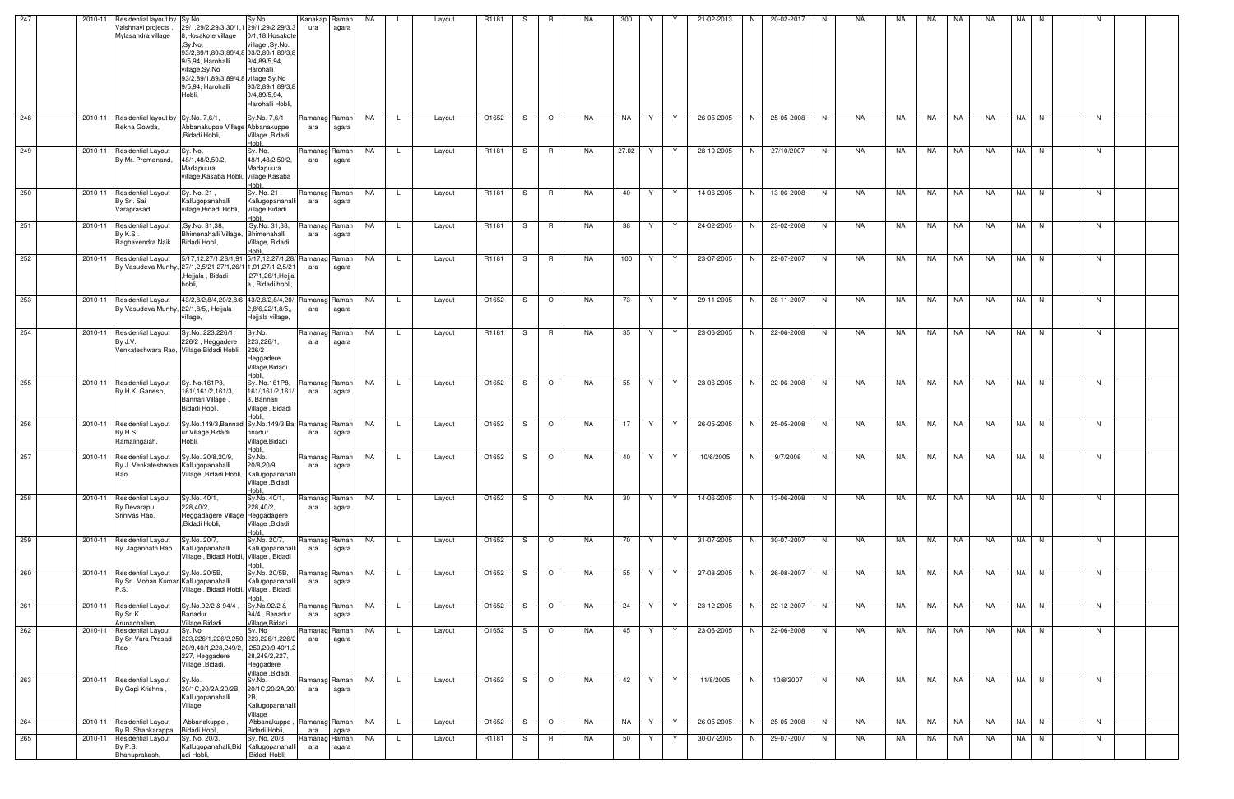| 247 | 2010-11<br>Residential layout by Sy.No.                                    |                                                                                                                                                                                                 | Sy.No.                                                                        | Kanakap                | Raman          | NA        | -L<br>Layout           | R1181 | -S | R       | NA.       | 300   | Y  |              | 21-02-2013 | N. | 20-02-2017 | N.       | NA        | NA        | NA        | NA        | NA        | NA I      | N.   | N  |  |
|-----|----------------------------------------------------------------------------|-------------------------------------------------------------------------------------------------------------------------------------------------------------------------------------------------|-------------------------------------------------------------------------------|------------------------|----------------|-----------|------------------------|-------|----|---------|-----------|-------|----|--------------|------------|----|------------|----------|-----------|-----------|-----------|-----------|-----------|-----------|------|----|--|
|     | Vaishnavi projects<br>Mylasandra village                                   | 29/1,29/2,29/3,30/1,1 29/1,29/2,29/3,3<br>8, Hosakote village<br>,Sy.No.<br>93/2,89/1,89/3,89/4,8 93/2,89/1,89/3,8<br>9/5,94, Harohalli<br>village,Sy.No<br>93/2,89/1,89/3,89/4,8 village,Sy.No | 0/1,18, Hosakote<br>village, Sy.No.<br>9/4,89/5,94,<br>Harohalli              | ura                    | agara          |           |                        |       |    |         |           |       |    |              |            |    |            |          |           |           |           |           |           |           |      |    |  |
|     |                                                                            | 9/5,94, Harohalli<br>Hobli,                                                                                                                                                                     | 93/2,89/1,89/3,8<br>9/4,89/5,94,<br>Harohalli Hobli,                          |                        |                |           |                        |       |    |         |           |       |    |              |            |    |            |          |           |           |           |           |           |           |      |    |  |
| 248 | 2010-11 Residential layout by Sy.No. 7,6/1,<br>Rekha Gowda,                | Abbanakuppe Village Abbanakuppe<br>,Bidadi Hobli,                                                                                                                                               | Sy.No. 7,6/1,<br>Village, Bidadi<br>Hobli.                                    | Ramanag Raman  <br>ara | agara          | NA        | L.<br>Layout           | O1652 | S  | $\circ$ | NA.       | NA    | Y. | Y            | 26-05-2005 | N. | 25-05-2008 | N        | NA        | NA        | NA        | NA        | NA        |           | NA N | N. |  |
| 249 | 2010-11 Residential Layout<br>By Mr. Premanand,                            | Sy. No.<br>48/1,48/2,50/2,<br>Madapuura<br>village, Kasaba Hobli, village, Kasaba                                                                                                               | Sy. No.<br>48/1,48/2,50/2,<br>Madapuura<br>Hobli.                             | Ramanag Raman<br>ara   | agara          | NA        | L.<br>Layout           | R1181 | S. | R       | NA.       | 27.02 | Y. | Y            | 28-10-2005 | N  | 27/10/2007 | N        | NA        | NA        | NA        | NA        | NA        |           | NA N | N. |  |
| 250 | 2010-11 Residential Layout<br>By Sri. Sai<br>Varaprasad,                   | Sy. No. 21,<br>Kallugopanahalli<br>village, Bidadi Hobli,                                                                                                                                       | Sy. No. 21,<br>Kallugopanahalli<br>village, Bidadi<br>Hobli.                  | Ramanag Raman<br>ara   | agara          | NA        | L.<br>Layout           | R1181 | S. | R.      | NA        | 40    | Y. | Y            | 14-06-2005 | N  | 13-06-2008 | N        | NA        | NA        | NA        | NA        | NA        |           | NA N | N. |  |
| 251 | 2010-11<br><b>Residential Layout</b><br>By K.S.<br>Raghavendra Naik        | , Sy.No. 31, 38,<br>Bhimenahalli Village, Bhimenahalli<br>Bidadi Hobli,                                                                                                                         | ,Sy.No. 31,38,<br>Village, Bidadi<br>Hobli                                    | Ramanag Raman<br>ara   | agara          | NA        | L.<br>Layout           | R1181 | S. | R.      | NA        | 38    | Y. | Y            | 24-02-2005 | N  | 23-02-2008 | N        | NA        | NA        | NA        | NA        | NA        | NA I      | N.   | N. |  |
| 252 | 2010-11<br><b>Residential Layout</b>                                       | 5/17,12,27/1,28/1,91, 5/17,12,27/1,28/ Ramanag Raman<br>By Vasudeva Murthy, 27/1,2,5/21,27/1,26/1 1,91,27/1,2,5/21<br>,Hejjala, Bidadi<br>hobli,                                                | ,27/1,26/1,Hejjal<br>a, Bidadi hobli,                                         | ara                    | agara          | NA.       | Layout<br>-L           | R1181 | S. | R.      | NA.       | 100   | Y. | Y            | 23-07-2005 | N  | 22-07-2007 | N.       | NA        | NA        | NA        | NA        | NA.       |           | NA N | N. |  |
| 253 | 2010-11 Residential Layout<br>By Vasudeva Murthy, 22/1,8/5,, Hejjala       | 43/2,8/2,8/4,20/2,8/6, 43/2,8/2,8/4,20/<br>village,                                                                                                                                             | 2,8/6,22/1,8/5,,<br>Hejjala village,                                          | Ramanag Raman<br>ara   | agara          | NA        | . L .<br>Layout        | O1652 | -S | $\circ$ | NA        | 73    | Y. | Y.           | 29-11-2005 | N. | 28-11-2007 | <b>N</b> | NA        | NA        | NA        | NA        | NA        |           | NA N | N. |  |
| 254 | 2010-11 Residential Layout<br>By J.V.                                      | Sy.No. 223,226/1,<br>226/2, Heggadere<br>Venkateshwara Rao, Village, Bidadi Hobli,                                                                                                              | Sy.No.<br>223,226/1,<br>$226/2$ ,<br>Heggadere<br>Village, Bidadi<br>Hobli    | Ramanag<br>ara         | Raman<br>agara | NA        | L.<br>Layout           | R1181 | S. | R       | NA        | 35    | Y. | Y            | 23-06-2005 | N  | 22-06-2008 | N        | NA        | NA        | NA        | NA        | NA        |           | NA N | N. |  |
| 255 | 2010-11 Residential Layout<br>By H.K. Ganesh,                              | Sy. No.161P8,<br>161/, 161/2, 161/3,<br>Bannari Village<br>Bidadi Hobli,                                                                                                                        | Sy. No.161P8,<br>161/, 161/2, 161/<br>3, Bannari<br>Village, Bidadi<br>Hobli, | Ramanag Raman<br>ara   | agara          | NA        | L.<br>Layout           | O1652 | S  | $\circ$ | NA.       | 55    | Y. | Y.           | 23-06-2005 | N  | 22-06-2008 | N.       | NA        | NA        | NA        | NA        | NA.       | NA I      | N.   | N. |  |
| 256 | 2010-11 Residential Layout<br>By H.S.<br>Ramalingaiah,                     | Sy.No.149/3, Bannad Sy.No.149/3, Ba Ramanag Raman<br>ur Village, Bidadi<br>Hobli,                                                                                                               | nnadur<br>Village, Bidadi<br>Hobli                                            | ara                    | agara          | NA        | L.<br>Layout           | O1652 | S. | $\circ$ | NA        | 17    | Y. | Y            | 26-05-2005 | N  | 25-05-2008 | N        | NA        | NA        | NA        | NA        | NA        |           | NA N | N. |  |
| 257 | 2010-11 Residential Layout<br>By J. Venkateshwara Kallugopanahalli<br>Rao  | Sy.No. 20/8,20/9,<br>Village , Bidadi Hobli, Kallugopanahalli                                                                                                                                   | Sy.No.<br>20/8,20/9,<br>Village, Bidadi<br>Hobli.                             | Ramanag Raman<br>ara   | agara          | NA        | . L .<br>Layout        | O1652 | -S | $\circ$ | NA        | 40    | Y. | Y            | 10/6/2005  | N  | 9/7/2008   | N.       | NA        | NA        | NA        | NA        | NA        |           | NA N | N. |  |
| 258 | 2010-11<br><b>Residential Layout</b><br>By Devarapu<br>Srinivas Rao.       | Sy.No. 40/1,<br>228,40/2,<br>Heggadagere Village Heggadagere<br>,Bidadi Hobli,                                                                                                                  | Sy.No. 40/1,<br>228,40/2,<br>Village , Bidadi<br>Hobli,                       | Ramanag Raman<br>ara   | agara          | NA        | L.<br>Layout           | O1652 | S. | $\circ$ | NA        | 30    | Y. | Y            | 14-06-2005 | N  | 13-06-2008 | N        | NA        | NA        | NA        | NA        | <b>NA</b> |           | NA N | N  |  |
| 259 | 2010-11 Residential Layout<br>By Jagannath Rao                             | Sy.No. 20/7,<br>Kallugopanahalli<br>Village, Bidadi Hobli, Village, Bidadi                                                                                                                      | Sy.No. 20/7,<br>Kallugopanahalli<br>Hobli,                                    | Ramanag Raman<br>ara   | agara          | NA        | L.<br>Layout           | O1652 | S  | $\circ$ | <b>NA</b> | 70    | Y  | Y            | 31-07-2005 | N  | 30-07-2007 | N        | NA        | <b>NA</b> | <b>NA</b> | NA        | <b>NA</b> |           | NA N | N  |  |
| 260 | 2010-11 Residential Layout<br>By Sri. Mohan Kumar Kallugopanahalli<br>P.S, | Sy.No. 20/5B,<br>Village, Bidadi Hobli, Village, Bidadi                                                                                                                                         | Sy.No. 20/5B,<br>Kallugopanahalli<br>ildoH                                    | Ramanag Raman<br>ara   | agara          | <b>NA</b> | L.<br>Layout           | O1652 | S. | $\circ$ | <b>NA</b> | 55    | Y  | Y            | 27-08-2005 | N  | 26-08-2007 | N        | <b>NA</b> | <b>NA</b> | <b>NA</b> | NA        | <b>NA</b> |           | NA N | N. |  |
| 261 | 2010-11<br><b>Residential Layout</b><br>By Sri.K.<br>Arunachalam           | Sy.No.92/2 & 94/4<br>Banadur<br>Village, Bidadi                                                                                                                                                 | Sy.No.92/2 &<br>94/4, Banadur<br>Village, Bidadi                              | Ramanag Raman<br>ara   | agara          | NA        | L.<br>Layout           | O1652 | -S | $\circ$ | NA        | 24    | Y  | <sup>Y</sup> | 23-12-2005 | N  | 22-12-2007 | N        | NA        | NA        | NA        | NA        | NA        | NA I      | N    | N  |  |
| 262 | 2010-11<br><b>Residential Layout</b><br>By Sri Vara Prasad<br>Rao          | Sy. No<br>223,226/1,226/2,250, 223,226/1,226/2<br>20/9,40/1,228,249/2, .250,20/9,40/1,2<br>227, Heggadere<br>Village, Bidadi,                                                                   | Sy. No<br>28,249/2,227,<br>Heggadere<br>Village .Bidadi.                      | Ramanag<br>ara         | Raman<br>agara | NA        | L.<br>Layout           | O1652 | S. | $\circ$ | NA.       | 45    | Y  | Y            | 23-06-2005 | N  | 22-06-2008 | N        | NA        | NA.       | NA        | NA        | <b>NA</b> | NA I      | N    | N  |  |
| 263 | 2010-11 Residential Layout<br>By Gopi Krishna,                             | Sy.No.<br>20/1C,20/2A,20/2B,<br>Kallugopanahalli<br>Village                                                                                                                                     | Sy.No.<br>20/1C,20/2A,20/<br>2B,<br>Kallugopanahalli<br>Village               | Ramanag Raman<br>ara   | agara          | <b>NA</b> | Layout<br>-L           | O1652 | -S | $\circ$ | <b>NA</b> | 42    | Y  | Y            | 11/8/2005  | N  | 10/8/2007  | N        | NA        | <b>NA</b> | <b>NA</b> | <b>NA</b> | <b>NA</b> | NA I      | N    | N  |  |
| 264 | 2010-11 Residential Layout<br>By R. Shankarappa                            | Abbanakuppe<br>Bidadi Hobli.                                                                                                                                                                    | Abbanakuppe,<br>Bidadi Hobli,                                                 | Ramanag Raman<br>ara   | agara          | NA        | $\mathsf{L}$<br>Layout | O1652 | S. | $\circ$ | NA        | NA    | Y  | Y            | 26-05-2005 | N  | 25-05-2008 | N        | NA        | NA        | NA        | NA        | <b>NA</b> |           | NA N | N  |  |
| 265 | <b>Residential Layout</b><br>2010-11<br>By P.S.                            | Sy. No. 20/3,<br>Kallugopanahalli, Bid Kallugopanahalli                                                                                                                                         | Sy. No. 20/3,                                                                 | Ramanag Raman<br>ara   | agara          | NA        | L.<br>Layout           | R1181 | S. | R       | NA        | 50    | Y  | Y            | 30-07-2005 | N  | 29-07-2007 | N        | NA        | NA        | NA        | NA        | NA        | <b>NA</b> | N    | N. |  |
|     | Bhanuprakash,                                                              | adi Hobli,                                                                                                                                                                                      | ,Bidadi Hobli,                                                                |                        |                |           |                        |       |    |         |           |       |    |              |            |    |            |          |           |           |           |           |           |           |      |    |  |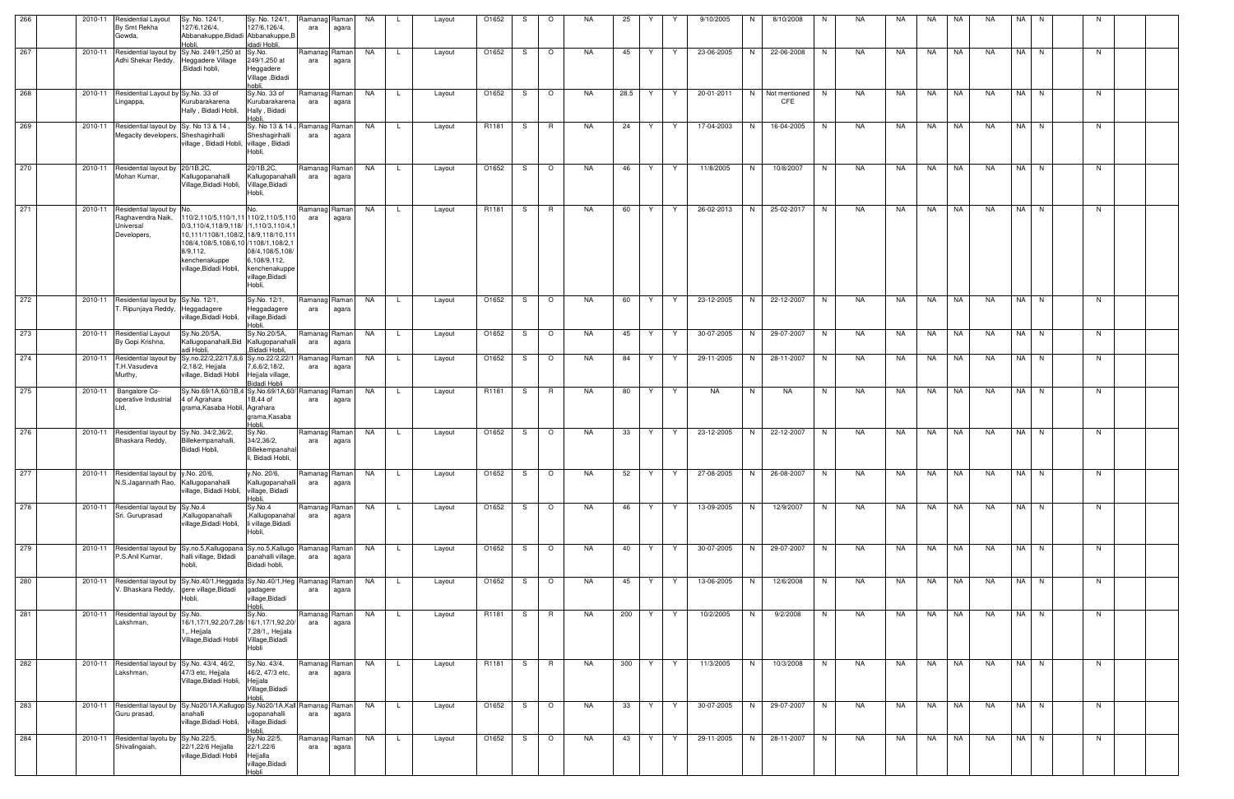| 266 | 2010-11 | <b>Residential Layout</b><br>By Smt Rekha<br>Gowda,                                           | Sy. No. 124/1<br>127/6,126/4,<br>Abbanakuppe, Bidadi Abbanakuppe, B<br>Hobli.                                                                                                                                        | Sy. No. 124/1,<br>127/6,126/4,<br>idadi Hobli,                                        | Ramanag Raman<br>ara | agara          | NA        |              | Layout | O1652 |    | $\circ$  | <b>NA</b> | 25   |    |    | 9/10/2005  | N  | 8/10/2008                   | N  | <b>NA</b> | NA        | <b>NA</b> | <b>NA</b> | <b>NA</b> |      |          |    |  |
|-----|---------|-----------------------------------------------------------------------------------------------|----------------------------------------------------------------------------------------------------------------------------------------------------------------------------------------------------------------------|---------------------------------------------------------------------------------------|----------------------|----------------|-----------|--------------|--------|-------|----|----------|-----------|------|----|----|------------|----|-----------------------------|----|-----------|-----------|-----------|-----------|-----------|------|----------|----|--|
| 267 | 2010-11 | Adhi Shekar Reddy,                                                                            | Residential layout by Sy.No. 249/1,250 at<br>Heggadere Village<br>,Bidadi hobli,                                                                                                                                     | Sy.No.<br>249/1,250 at<br>Heggadere<br>Village, Bidadi<br>hobli.                      | Ramanag Raman<br>ara | agara          | NA        | L.           | Layout | O1652 | S. | $\circ$  | NA.       | 45   | Y  | Y  | 23-06-2005 | N. | 22-06-2008                  | N  | NA        | NA        | NA        | NA        | NA.       |      | NA N     | N. |  |
| 268 | 2010-11 | Residential Layout by Sy No. 33 of<br>.ingappa,                                               | Kurubarakarena<br>Hally, Bidadi Hobli,                                                                                                                                                                               | Sy.No. 33 of<br>Kurubarakarena<br>Hally, Bidadi<br>Hobli                              | Ramanag Raman<br>ara | agara          | <b>NA</b> | <b>L</b>     | Layout | O1652 | S  | $\circ$  | NA.       | 28.5 | Y  | Y. | 20-01-2011 | N  | Not mentioned<br><b>CFE</b> | N  | NA        | NA        | NA        | NA        | NA        |      | NA N     | N  |  |
| 269 | 2010-11 | Residential layout by Sy. No 13 & 14,<br>Megacity developers, Sheshagirihalli                 | village, Bidadi Hobli,                                                                                                                                                                                               | Sy. No 13 & 14, Ramanag Raman<br>Sheshagirihalli<br>village, Bidadi<br>Hobli,         | ara                  | agara          | NA        | L.           | Layout | R1181 | S  | R.       | NA.       | 24   | Y  | Y  | 17-04-2003 | N  | 16-04-2005                  | N  | NA        | NA        | NA        | NA        | <b>NA</b> | NA I | N        | N  |  |
| 270 | 2010-11 | Residential layout by 20/1B,2C,<br>Mohan Kumar,                                               | Kallugopanahalli<br>Village, Bidadi Hobli,                                                                                                                                                                           | 20/1B, 2C,<br>Kallugopanahalli<br>Village, Bidadi<br>Hobli,                           | Ramanag Raman<br>ara | agara          | NA        | L.           | Layout | O1652 | S. | $\circ$  | NA.       | 46   | Y. | Y  | 11/8/2005  | N  | 10/8/2007                   | N  | <b>NA</b> | <b>NA</b> | <b>NA</b> | <b>NA</b> | <b>NA</b> |      | NA N     | N  |  |
| 271 | 2010-11 | Residential layout by No.<br>Raghavendra Naik,<br>Universal<br>Developers,                    | 110/2,110/5,110/1,11 110/2,110/5,110<br>0/3,110/4,118/9,118/  /1,110/3,110/4,1<br>10,111/1108/1,108/2, 18/9,118/10,111<br>108/4,108/5,108/6,10 /1108/1,108/2,1<br>8/9,112,<br>kenchenakuppe<br>village.Bidadi Hobli. | INo.<br>08/4,108/5,108/<br>6,108/9,112,<br>kenchenakuppe<br>village, Bidadi<br>Hobli, | Ramanag Raman<br>ara | agara          | NA        | L.           | Layout | R1181 | S. | R        | NA.       | 60   | Y  | Y  | 26-02-2013 | N  | 25-02-2017                  | N  | NA        | NA        | NA        | NA        | NA        |      | NA N     | N  |  |
| 272 | 2010-11 | Residential layout by Sy.No. 12/1,<br>T. Ripunjaya Reddy,                                     | Heggadagere<br>village, Bidadi Hobli,                                                                                                                                                                                | Sy.No. 12/1,<br>Heggadagere<br>village, Bidadi<br>-lobli.                             | Ramanag Raman<br>ara | agara          | NA        | $\mathsf{L}$ | Layout | O1652 | S. | $\circ$  | NA.       | 60   | Y. | Y  | 23-12-2005 | N  | 22-12-2007                  | N  | NA        | NA        | NA        | NA        | NA        |      | NA N     | N  |  |
| 273 |         | 2010-11 Residential Layout<br>By Gopi Krishna,                                                | Sy.No.20/5A,<br>Kallugopanahalli, Bid Kallugopanahalli<br>adi Hobli,                                                                                                                                                 | Sy.No.20/5A,<br>Bidadi Hobli,                                                         | Ramanag Raman<br>ara | agara          | NA        | $\mathsf{L}$ | Layout | O1652 | S  | $\circ$  | NA.       | 45   | Y  | Y  | 30-07-2005 | N  | 29-07-2007                  | N  | <b>NA</b> | NA        | NA        | NA        | <b>NA</b> |      | NA N     | N  |  |
| 274 | 2010-11 | Residential layout by<br>T.H.Vasudeva<br>Murthy,                                              | Sy.no.22/2,22/17,6<br>/2,18/2, Hejjala<br>village, Bidadi Hobli                                                                                                                                                      | Sy.no.22/2,22/1<br>7,6,6/2,18/2,<br>Hejjala village,<br>Bidadi Hobli                  | Ramanag Raman<br>ara | agara          | NA        | L.           | Layout | O1652 | S  | $\circ$  | NA.       | 84   | Y  | Y  | 29-11-2005 | N. | 28-11-2007                  | N. | <b>NA</b> | NA        | NA        | NA        | <b>NA</b> |      | NA N     | N  |  |
| 275 | 2010-11 | Bangalore Co-<br>operative Industrial<br>Ltd,                                                 | Sy.No.69/1A,60/1B,4 Sy.No.69/1A,60/ Ramanag Raman<br>4 of Agrahara<br>grama, Kasaba Hobli, Agrahara                                                                                                                  | 1B,44 of<br>grama, Kasaba<br>Hobli.                                                   | ara                  | agara          | NA        | -L.          | Layout | R1181 | S  | R        | NA.       | 80   | Y  | Y  | <b>NA</b>  | N  | NA                          | N. | <b>NA</b> | NA        | NA        | NA        | <b>NA</b> |      | NA N     | N  |  |
| 276 | 2010-11 | Residential layout by Sy.No. 34/2,36/2,<br>Bhaskara Reddy,                                    | Billekempanahalli.<br>Bidadi Hobli,                                                                                                                                                                                  | Sy.No.<br>34/2,36/2,<br>Billekempanahal<br>li, Bidadi Hobli,                          | Ramanag Raman<br>ara | agara          | NA        | $\mathsf{L}$ | Layout | O1652 | S. | $\circ$  | NA.       | 33   | Y  | Y  | 23-12-2005 | N  | 22-12-2007                  | N  | NA        | NA        | NA        | NA        | NA        |      | NA N     | N. |  |
| 277 | 2010-11 | Residential layout by y.No. 20/6,<br>V.S.Jagannath Rao,                                       | Kallugopanahalli<br>village, Bidadi Hobli,                                                                                                                                                                           | y.No. 20/6,<br>Kallugopanahalli<br>village, Bidadi<br>Hobli                           | Ramanag Raman<br>ara | agara          | NA        |              | Layout | O1652 | S. | $\circ$  | <b>NA</b> | 52   | Y  | Y  | 27-08-2005 | N  | 26-08-2007                  | N  | NA        | NA        | NA        | NA        | <b>NA</b> |      | NA N     | N  |  |
| 278 | 2010-11 | Residential layout by Sy.No.4<br>Sri. Guruprasad                                              | ,Kallugopanahalli<br>village, Bidadi Hobli,                                                                                                                                                                          | Sy.No.4<br>,Kallugopanahal<br>li village, Bidadi<br>Hobli,                            | Ramanag Raman<br>ara | agara          | <b>NA</b> | $\mathsf{L}$ | Layout | O1652 | S. | $\circ$  | NA        | 46   | Y  | Y  | 13-09-2005 | N  | 12/9/2007                   | N  | NA        | <b>NA</b> | <b>NA</b> | <b>NA</b> | <b>NA</b> |      | NA N     | N  |  |
| 279 | 2010-11 | Residential layout by Sy.no.5, Kallugopana Sy.no.5, Kallugo Ramanag Raman<br>P.S.Anil Kumar,  | halli village, Bidadi<br>hobli,                                                                                                                                                                                      | anahalli village,<br>Bidadi hobli,                                                    | ara                  | agara          | NA        | <b>L</b>     | Layout | O1652 | S. | $\circ$  | NA        | 40   | Y. | Y  | 30-07-2005 | N  | 29-07-2007                  | N  | NA        | NA        | NA        | <b>NA</b> | NA        |      | NA N     | N  |  |
| 280 | 2010-11 | Residential layout by Sy.No.40/1, Heggada Sy.No.40/1, Heg Ramanag Raman<br>V. Bhaskara Reddy, | gere village, Bidadi<br>Hobli,                                                                                                                                                                                       | gadagere<br>village, Bidadi<br>Hobli.                                                 | ara                  | agara          | <b>NA</b> | $\mathsf{L}$ | Layout | O1652 | S. | $\circ$  | <b>NA</b> | 45   | Y  | Y  | 13-06-2005 | N  | 12/6/2008                   | N  | NA        | NA        | NA        | NA        | <b>NA</b> |      | NA N     | N  |  |
| 281 | 2010-11 | Residential layout by Sy.No.<br>.akshman,                                                     | 16/1, 17/1, 92, 20/7, 28/ 16/1, 17/1, 92, 20/<br>1., Hejjala<br>Village, Bidadi Hobli                                                                                                                                | Sy.No.<br>7,28/1,, Hejjala<br>Village, Bidadi<br>Hobli                                | Ramanag<br>ara       | Raman<br>agara | <b>NA</b> | $\mathsf{L}$ | Layout | R1181 | S. | R        | <b>NA</b> | 200  | Y  | Y. | 10/2/2005  | N  | 9/2/2008                    | N  | NA        | NA        | NA        | <b>NA</b> | NA        |      | $NA$ $N$ | N  |  |
| 282 | 2010-11 | Residential layout by Sy.No. 43/4, 46/2,<br>Lakshman,                                         | 47/3 etc, Hejjala<br>Village, Bidadi Hobli,                                                                                                                                                                          | Sy.No. 43/4,<br>46/2, 47/3 etc,<br>Hejjala<br>Village,Bidadi<br><b>Hobli</b>          | Ramanag Raman<br>ara | agara          | NA        | L.           | Layout | R1181 | S. | <b>R</b> | NA.       | 300  | Y  | Y  | 11/3/2005  | N  | 10/3/2008                   | N  | NA        | NA        | NA        | NA        | NA.       |      | NA N     | N  |  |
| 283 | 2010-11 | Guru prasad,                                                                                  | Residential layout by Sy.No20/1A,Kallugop Sy.No20/1A,Kall Ramanag Raman<br>anahalli<br>village, Bidadi Hobli,                                                                                                        | ugopanahalli<br>village, Bidadi<br>Hobli.                                             | ara                  | agara          | <b>NA</b> | <b>L</b>     | Layout | O1652 | S. | $\circ$  | <b>NA</b> | 33   | Y. | Y  | 30-07-2005 | N  | 29-07-2007                  | N  | NA        | NA        | NA        | <b>NA</b> | NA        |      | NA N     | N  |  |
| 284 |         | 2010-11 Residential layotu by Sy.No.22/5,<br>Shivalingaiah,                                   | 22/1,22/6 Hejjalla<br>village, Bidadi Hobli                                                                                                                                                                          | Sy.No.22/5,<br>22/1,22/6<br>Hejjalla<br>village, Bidadi<br>Hobli                      | Ramanag Raman<br>ara | agara          | <b>NA</b> | L.           | Layout | O1652 | S  | $\circ$  | NA.       | 43   | Y  | Y. | 29-11-2005 | N  | 28-11-2007                  | N. | NA        | NA        | NA        | NA        | <b>NA</b> |      | NA N     | N. |  |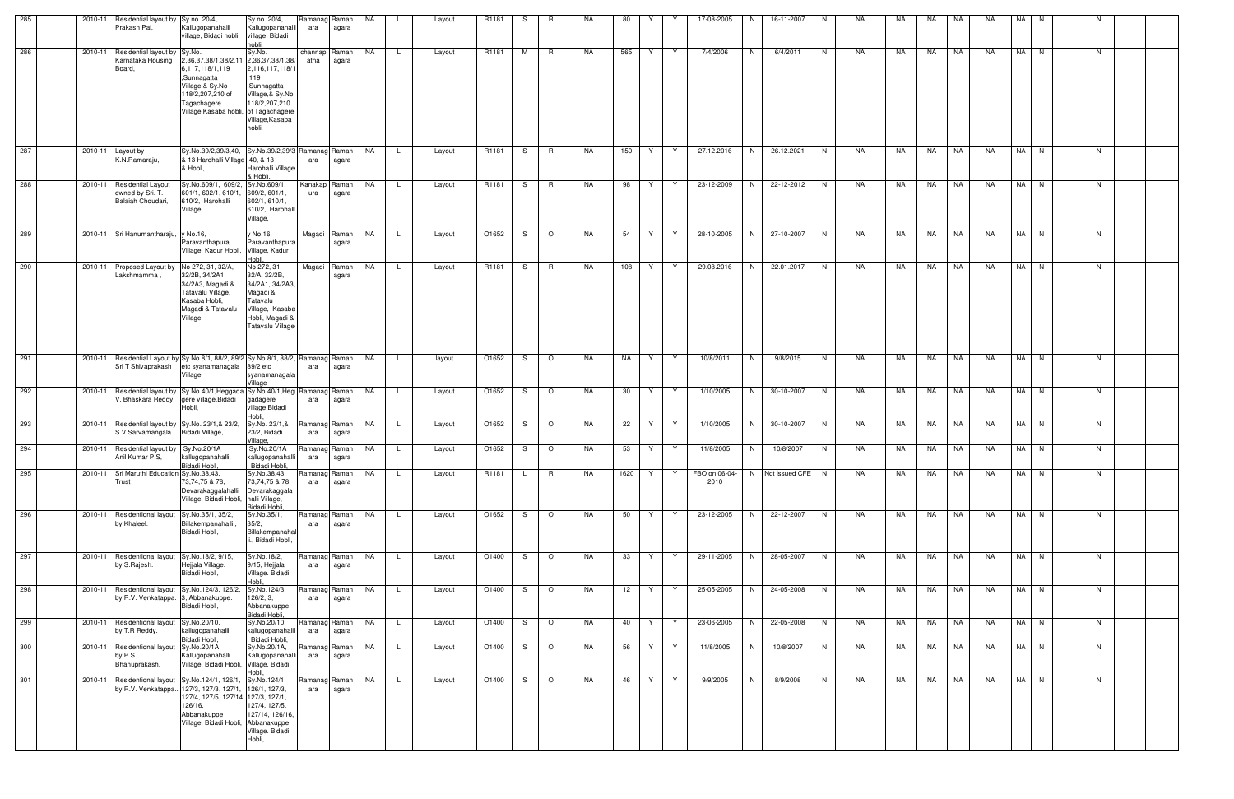| 285        | 2010-11     | Residential layout by Sy.no. 20/4,<br>Prakash Pai,                                                   | Kallugopanahalli<br>village, Bidadi hobli,                                                                                                                             | Sy.no. 20/4,<br>Kallugopanahalli<br>village, Bidadi<br>hobli.                                                                          | Ramanag Raman<br>ara | agara                  | NA        |              | Layout | R <sub>1181</sub> | S.  | R       | NA.       | 80   | Y       | 17-08-2005            | N. | 16-11-2007         | N. | NA | NA. | NA.       | NA | NA        | NA I | N.       |    |  |
|------------|-------------|------------------------------------------------------------------------------------------------------|------------------------------------------------------------------------------------------------------------------------------------------------------------------------|----------------------------------------------------------------------------------------------------------------------------------------|----------------------|------------------------|-----------|--------------|--------|-------------------|-----|---------|-----------|------|---------|-----------------------|----|--------------------|----|----|-----|-----------|----|-----------|------|----------|----|--|
| 286        | 2010-11     | Residential layout by Sy.No.<br>Karnataka Housing<br>Board,                                          | 2,36,37,38/1,38/2,11 2,36,37,38/1,38/<br>6,117,118/1,119<br>,Sunnagatta<br>Village,& Sy.No<br>118/2,207,210 of<br>Tagachagere<br>Village, Kasaba hobli, of Tagachagere | Sy.No.<br>2,116,117,118/1<br>119<br>,Sunnagatta<br>Village, & Sy.No<br>118/2,207,210<br>Village, Kasaba<br>hobli.                      | atna                 | channap Raman<br>agara | NA        |              | Layout | R1181             | M   | R       | NA.       | 565  | Y<br>Y  | 7/4/2006              | N  | 6/4/2011           | N. | NA | NA  | NA        | NA | NA.       | NA N |          | N. |  |
| 287        | 2010-11     | Layout by<br>K.N.Ramaraju,                                                                           | Sy.No.39/2,39/3,40, Sy.No.39/2,39/3 Ramanag Raman<br>& 13 Harohalli Village 40, & 13<br>& Hobli,                                                                       | Harohalli Village<br>& Hobli,                                                                                                          | ara                  | agara                  | <b>NA</b> |              | Layout | R1181             | S.  | R.      | <b>NA</b> | 150  | Y<br>Y. | 27.12.2016            | N  | 26.12.2021         | N  | NA | NA  | NA        | NA | NA        | NA N |          | N. |  |
| 288        | 2010-11     | <b>Residential Layout</b><br>owned by Sri. T.<br>Balaiah Choudari,                                   | Sy.No.609/1, 609/2, Sy.No.609/1,<br>601/1, 602/1, 610/1,<br>610/2, Harohalli<br>Village,                                                                               | 609/2, 601/1,<br>602/1, 610/1,<br>610/2, Harohalli<br>Village,                                                                         | Kanakap Raman<br>ura | agara                  | NA        |              | Layout | R1181             | S.  | R       | <b>NA</b> | 98   | Y<br>Y  | 23-12-2009            | N. | 22-12-2012         | N. | NA | NA  | NA        | NA | NA        | NA I | N        | N  |  |
| 289        |             | 2010-11 Sri Hanumantharaju,                                                                          | y No.16,<br>Paravanthapura<br>Village, Kadur Hobli, Village, Kadur                                                                                                     | y No.16,<br>Paravanthapura<br>Hobli,                                                                                                   | Magadi               | Raman<br>agara         | NA        |              | Layout | O1652             | S.  | $\circ$ | NA        | 54   | Y<br>Y  | 28-10-2005            | N. | 27-10-2007         | N. | NA | NA  | NA        | NA | NA        | NA N |          | N. |  |
| 290        | 2010-11     | Proposed Layout by<br>Lakshmamma,                                                                    | No 272, 31, 32/A,<br>32/2B, 34/2A1,<br>34/2A3, Magadi &<br>Tatavalu Village,<br>Kasaba Hobli,<br>Magadi & Tatavalu<br>Village                                          | No 272, 31,<br>32/A, 32/2B,<br>34/2A1, 34/2A3<br>Magadi &<br>Tatavalu<br>Village, Kasaba<br>Hobli, Magadi &<br><b>Tatavalu Village</b> | Magadi               | Raman<br>agara         | NA        |              | Layout | R1181             | S.  | R.      | NA        | 108  | Y<br>Y  | 29.08.2016            | N  | 22.01.2017         | N  | NA | NA  | NA        | NA | NA        | NA N |          | N. |  |
| 291        | 2010-11     | Residential Layout by Sy No.8/1, 88/2, 89/2 Sy No.8/1, 88/2, Ramanag Raman<br>Sri T Shivaprakash     | etc syanamanagala 89/2 etc<br>Village                                                                                                                                  | syanamanagala<br>Village                                                                                                               | ara                  | agara                  | NA        |              | layout | O1652             | S.  | $\circ$ | NA        | NA   | Y<br>Y  | 10/8/2011             | N  | 9/8/2015           | N  | NA | NA  | NA        | NA | NA        | NA N |          | N. |  |
| 292        | 2010-11     | Residential layout by Sy.No.40/1, Heggada Sy.No.40/1, Heg<br>V. Bhaskara Reddy, gere village, Bidadi | Hobli,                                                                                                                                                                 | gadagere<br>village, Bidadi                                                                                                            | Ramanag Raman<br>ara | agara                  | NA        |              | Layout | O1652             | S.  | $\circ$ | NA        | 30   | Y<br>Y  | 1/10/2005             | N  | 30-10-2007         | N  | NA | NA  | NA        | NA | <b>NA</b> | NA N |          | N. |  |
| 293        | 2010-11     | Residential layout by Sy.No. 23/1,& 23/2,<br>S.V.Sarvamangala.                                       | Bidadi Village,                                                                                                                                                        | Sy.No. 23/1,&<br>23/2, Bidadi<br>Village,                                                                                              | Ramanag Raman<br>ara | agara                  | NA        | -L           | Layout | O1652             | S.  | $\circ$ | NA        | 22   | Y<br>Y. | 1/10/2005             | N  | 30-10-2007         | N  | NA | NA  | NA        | NA | NA        | NA N |          | N. |  |
| 294<br>295 | 2010-11     | Residential layout by Sy.No.20/1A<br>Anil Kumar P.S,                                                 | kallugopanahalli,<br>Bidadi Hobli.                                                                                                                                     | Sy.No.20/1A<br>kallugopanahalli<br>. Bidadi Hobli.                                                                                     | ara                  | Ramanag Raman<br>agara | NA        |              | Layout | O1652             | S.  | $\circ$ | NA        | 53   | Y<br>Y  | 11/8/2005             | N  | 10/8/2007          | N  | NA | NA  | NA        | NA | NA        | NA I | N        | N. |  |
|            | 2010-11     | Sri Maruthi Education Sy.No.38,43,<br>Trust                                                          | 73,74,75 & 78,<br>Devarakaggalahalli<br>Village, Bidadi Hobli, halli Village,                                                                                          | Sy.No.38,43,<br>73,74,75 & 78,<br>Devarakaggala<br>Bidadi Hobli,                                                                       | Ramanag Raman<br>ara | agara                  | NA        | L.           | Layout | R1181             | L.  | R       | NA        | 1620 | Y<br>Y  | FBO on 06-04-<br>2010 |    | N Not issued CFE N |    | NA | NA  | NA        | NA | NA.       | NA I | <b>N</b> | N. |  |
| 296        | 2010-11     | Residentional layout<br>by Khaleel.                                                                  | Sy.No.35/1, 35/2,<br>Billakempanahalli.<br>Bidadi Hobli,                                                                                                               | Sy.No.35/1,<br>35/2,<br>Billakempanahal<br>li., Bidadi Hobli,                                                                          | Ramanag Raman<br>ara | agara                  | NA        |              | Layout | O1652             | S.  | $\circ$ | NA        | 50   | Y<br>Y. | 23-12-2005            | N  | 22-12-2007         | N  | NA | NA  | NA        | NA | NA        | NA N |          | N  |  |
| 297        | 2010-11     | Residentional layout Sy.No.18/2, 9/15,<br>by S.Rajesh.                                               | Hejjala Village.<br>Bidadi Hobli,                                                                                                                                      | Sy.No.18/2,<br>9/15, Hejjala<br>Village. Bidadi<br>Hobli                                                                               | ara                  | Ramanag Raman<br>agara | NA        |              | Layout | O1400             | S.  | $\circ$ | <b>NA</b> | 33   | Y<br>Y. | 29-11-2005            | N  | 28-05-2007         | N  | NA | NA  | NA        | NA | NA        |      | NA N     | N  |  |
| 298        | $2010 - 11$ | Residentional layout Sy.No.124/3, 126/2,<br>by R.V. Venkatappa.                                      | 3, Abbanakuppe.<br>Bidadi Hobli,                                                                                                                                       | Sy.No.124/3,<br>126/2, 3,<br>Abbanakuppe.<br>Bidadi Hobli,                                                                             | Ramanag Raman<br>ara | agara                  | NA        |              | Layout | O1400             | S.  | $\circ$ | NA        | 12   | Y<br>Y  | 25-05-2005            | N. | 24-05-2008         | N. | NA | NA  | NA        | NA | NA        | NA N |          | N  |  |
| 299        | 2010-11     | Residentional layout Sy.No.20/10,<br>by T.R Reddy.                                                   | kallugopanahalli.<br>Bidadi Hobli,                                                                                                                                     | Sy.No.20/10,<br>kallugopanahalli<br>. Bidadi Hobli,                                                                                    | Ramanag Raman<br>ara | agara                  | NA        | $\mathsf{L}$ | Layout | O1400             | S — | $\circ$ | NA        | 40   | Y.<br>Y | 23-06-2005            | N  | 22-05-2008         | N  | NA | NA  | <b>NA</b> | NA | NA        | NA N |          | N  |  |
| 300        | 2010-11     | Residentional layout<br>by P.S.<br>Bhanuprakash.                                                     | Sy.No.20/1A,<br>Kallugopanahalli<br>Village. Bidadi Hobli, Village. Bidadi                                                                                             | Sy.No.20/1A,<br>Kallugopanahall<br>Hobli                                                                                               | ara                  | Ramanag Raman<br>agara | NA        |              | Layout | O1400             | S.  | $\circ$ | NA        | 56   | Y<br>Y. | 11/8/2005             | N  | 10/8/2007          | N. | NA | NA  | NA        | NA | NA        | NA N |          | N. |  |
| 301        |             | 2010-11 Residentional layout<br>by R.V. Venkatappa                                                   | Sy.No.124/1, 126/1,<br>127/3, 127/3, 127/1,<br>127/4, 127/5, 127/14, 127/3, 127/1,<br>126/16,<br>Abbanakuppe<br>Village. Bidadi Hobli, Abbanakuppe                     | Sy.No.124/1,<br>126/1, 127/3,<br>127/4, 127/5,<br>127/14, 126/16,<br>Village. Bidadi<br>Hobli,                                         | Ramanag Raman<br>ara | agara                  | NA        |              | Layout | O1400             | S.  | $\circ$ | <b>NA</b> | 46   | Y<br>Y  | 9/9/2005              | N  | 8/9/2008           | N  | NA | NA  | NA        | NA | NA        |      | NA N     | N  |  |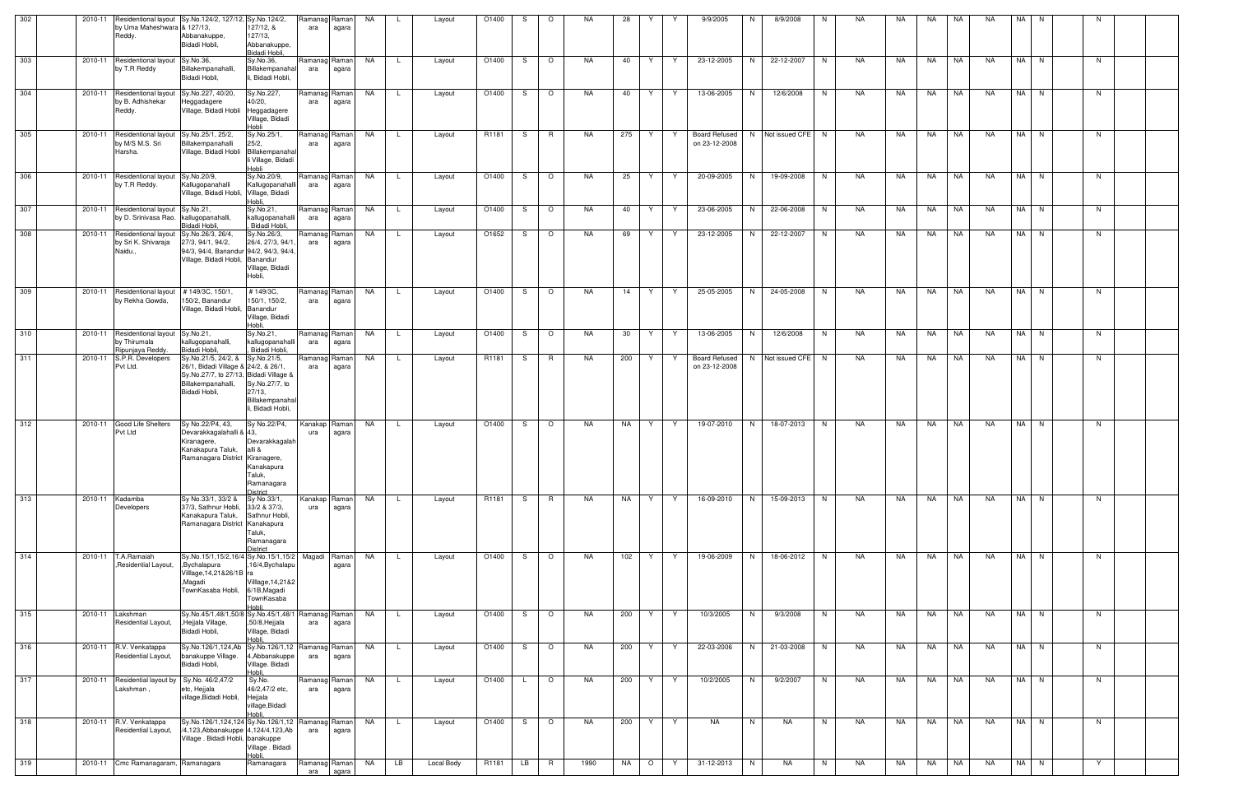| 302 | 2010-11 | by Uma Maheshwara & 127/13,<br>Reddy.                              | Residentional layout Sy.No.124/2, 127/12, Sy.No.124/2,<br>Abbanakuppe,<br>Bidadi Hobli,                                                      | 127/12, &<br>127/13,<br>Abbanakuppe,<br>Bidadi Hobli,                                      | Ramanag Raman<br>ara | agara          | NA        |              | Layout     | O1400 | S. | $\Omega$       | NA.       | 28  |         |    | 9/9/2005                              | N  | 8/9/2008         | N              | NA | NA | NA        | NA        | NA.       | NA.  | <b>N</b> |    |   |  |
|-----|---------|--------------------------------------------------------------------|----------------------------------------------------------------------------------------------------------------------------------------------|--------------------------------------------------------------------------------------------|----------------------|----------------|-----------|--------------|------------|-------|----|----------------|-----------|-----|---------|----|---------------------------------------|----|------------------|----------------|----|----|-----------|-----------|-----------|------|----------|----|---|--|
| 303 | 2010-11 | Residentional layout Sy.No.36,<br>by T.R Reddy                     | Billakempanahalli,<br>Bidadi Hobli,                                                                                                          | Sy.No.36,<br>Billakempanahal<br>, Bidadi Hobli,                                            | Ramanag Raman<br>ara | agara          | NA        | <b>L</b>     | Layout     | O1400 | S. | $\circ$        | NA.       | 40  | Y.      | Y. | 23-12-2005                            | N  | 22-12-2007       | N              | NA | NA | NA        | NA        | NA        |      | NA N     | N. |   |  |
| 304 | 2010-11 | <b>Residentional layout</b><br>by B. Adhishekar<br>Reddy.          | Sy.No.227, 40/20.<br>Heggadagere<br>Village, Bidadi Hobli                                                                                    | Sy.No.227,<br>40/20,<br>Heggadagere<br>Village, Bidadi<br><b>Hobli</b>                     | Ramanag Raman<br>ara | agara          | NA        | $\mathsf{L}$ | Layout     | O1400 | S. | $\circ$        | NA.       | 40  | Y.      | Y  | 13-06-2005                            | N  | 12/6/2008        | N              | NA | NA | NA        | <b>NA</b> | NA.       |      | NA N     | N  |   |  |
| 305 | 2010-11 | Residentional layout<br>y M/S M.S. Sri<br>Harsha.                  | Sy.No.25/1, 25/2,<br>Billakempanahalli<br>Village, Bidadi Hobli                                                                              | Sy.No.25/1,<br>25/2,<br>Billakempanahal<br>li Village, Bidadi<br>Hobli                     | Ramanag Raman<br>ara | agara          | NA        | -L           | Layout     | R1181 | S  | R              | NA.       | 275 | Y       | Y  | <b>Board Refused</b><br>on 23-12-2008 |    | N Not issued CFE | N <sub>N</sub> | NA | NA | NA        | NA        | <b>NA</b> |      | NA N     | N  |   |  |
| 306 | 2010-11 | Residentional layout Sy.No.20/9,<br>by T.R Reddy.                  | Kallugopanahalli<br>Village, Bidadi Hobli,                                                                                                   | Sy.No.20/9,<br>Kallugopanahalli<br>Village, Bidadi<br>Hobli.                               | Ramanag Raman<br>ara | agara          | <b>NA</b> | L.           | Layout     | O1400 | S  | $\circ$        | NA.       | 25  | Y       | Y  | 20-09-2005                            | N  | 19-09-2008       | N              | NA | NA | <b>NA</b> | NA        | <b>NA</b> |      | NA N     | N  |   |  |
| 307 | 2010-11 | Residentional layout<br>by D. Srinivasa Rao. kallugopanahalli,     | Sy.No.21,<br>Bidadi Hobli,                                                                                                                   | Sy.No.21,<br>kallugopanahalli<br>Bidadi Hobli,                                             | Ramanag Raman<br>ara | agara          | NA        | $\mathsf{L}$ | Layout     | O1400 | S  | $\circ$        | NA.       | 40  | Y       | Y  | 23-06-2005                            | N  | 22-06-2008       | N.             | NA | NA | NA        | NA        | NA        |      | NA N     | N  |   |  |
| 308 | 2010-11 | Residentional layout<br>by Sri K. Shivaraja<br>Naidu.,             | Sy.No.26/3, 26/4,<br>27/3, 94/1, 94/2,<br>94/3, 94/4, Banandur 94/2, 94/3, 94/4.<br>Village, Bidadi Hobli, Banandur                          | Sy.No.26/3,<br>26/4, 27/3, 94/1<br>Village, Bidadi<br>Hobli,                               | Ramanag<br>ara       | Raman<br>agara | NA        | L.           | Layout     | O1652 | S  | $\circ$        | NA.       | 69  | Y       | Y  | 23-12-2005                            | N  | 22-12-2007       | N              | NA | NA | NA        | NA        | NA        |      | NA N     | N  |   |  |
| 309 | 2010-11 | Residentional layout<br>by Rekha Gowda,                            | #149/3C, 150/1<br>150/2, Banandur<br>Village, Bidadi Hobli, Banandur                                                                         | #149/3C.<br>150/1, 150/2,<br>Village, Bidadi<br>Hobli.                                     | Ramanag Raman<br>ara | agara          | NA        | L.           | Layout     | O1400 | S  | $\circ$        | NA.       | 14  | Y       | Y  | 25-05-2005                            | N. | 24-05-2008       | N              | NA | NA | NA        | NA        | <b>NA</b> |      | NA N     | N  |   |  |
| 310 | 2010-11 | Residentional layout Sy.No.21,<br>by Thirumala<br>Ripunjaya Reddy. | kallugopanahalli,<br>Bidadi Hobli,                                                                                                           | Sy.No.21,<br>kallugopanahalli<br>Bidadi Hobli,                                             | Ramanag Raman<br>ara | agara          | NA        | $\mathsf{L}$ | Layout     | O1400 | S. | $\circ$        | NA.       | 30  | Y       | Y  | 13-06-2005                            | N  | 12/6/2008        | N              | NA | NA | NA        | NA        | NA        | NA I | N        | N  |   |  |
| 311 | 2010-11 | S.P.R. Developers<br>Pvt Ltd.                                      | Sy.No.21/5, 24/2, &<br>26/1, Bidadi Village & 24/2, & 26/1,<br>Sy.No.27/7, to 27/13, Bidadi Village &<br>Billakempanahalli,<br>Bidadi Hobli, | Sy.No.21/5,<br>Sy.No.27/7, to<br>$27/13$ ,<br><b>Billakempanaha</b><br>, Bidadi Hobli,     | Ramanag<br>ara       | Raman<br>agara | NA        | $\mathsf{L}$ | Layout     | R1181 | S. | R              | NA.       | 200 | Y       | Y. | <b>Board Refused</b><br>on 23-12-2008 | N. | Not issued CFE N |                | NA | NA | NA        | NA        | NA.       |      | NA N     | N. |   |  |
| 312 | 2010-11 | Good Life Shelters<br>Pvt Ltd                                      | Sy No.22/P4, 43,<br>Devarakkagalahalli & 43,<br>Kiranagere,<br>Kanakapura Taluk,<br>Ramanagara District Kiranagere,                          | Sy No.22/P4,<br>Devarakkagalah<br>alli &<br>Kanakapura<br>Taluk,<br>Ramanagara<br>District | Kanakap<br>ura       | Raman<br>agara | <b>NA</b> | L.           | Layout     | O1400 | S  | $\circ$        | NA.       | NA  | Y       | Y  | 19-07-2010                            | N  | 18-07-2013       | N.             | NA | NA | NA        | NA        | NA        | NA I | N.       | N. |   |  |
| 313 | 2010-11 | Kadamba<br>Developers                                              | Sy No.33/1, 33/2 &<br>37/3, Sathnur Hobli,<br>Kanakapura Taluk,<br>Ramanagara District Kanakapura                                            | Sy No.33/1,<br>33/2 & 37/3,<br>Sathnur Hobli,<br>Taluk,<br>Ramanagara<br><b>District</b>   | Kanakap Raman<br>ura | agara          | NA        | L.           | Layout     | R1181 | S. | R              | NA.       | NA  | YY      |    | 16-09-2010                            | N  | 15-09-2013       | N              | NA | NA |           | NA NA     | <b>NA</b> |      | NA N     | N  |   |  |
| 314 | 2010-11 | T.A.Ramaiah<br>, Residential Layout,                               | Sy.No.15/1,15/2,16/4 Sy.No.15/1,15/2 Magadi Raman<br>,Bychalapura<br>Village, 14, 21& 26/1B ra<br>,Magadi<br>TownKasaba Hobli,               | ,16/4, Bychalapu<br>Villlage,14,21&2<br>6/1B, Magadi<br>TownKasaba<br>Hobli                |                      | agara          | <b>NA</b> | <b>L</b>     | Layout     | O1400 | S. | $\circ$        | NA.       | 102 | Y       | Y  | 19-06-2009                            | N  | 18-06-2012       | N              | NA | NA | NA        | NA        | <b>NA</b> |      | NA N     | N  |   |  |
| 315 | 2010-11 | Lakshman<br>Residential Layout,                                    | Sy.No.45/1,48/1,50/8 Sy.No.45/1,48/1 Ramanag Raman<br>,Hejjala Village,<br>Bidadi Hobli,                                                     | ,50/8,Hejjala<br>Village, Bidadi<br>Hobli                                                  | ara                  | agara          | NA        | L.           | Layout     | O1400 | S  | $\circ$        | NA        | 200 | Y       | Y. | 10/3/2005                             | N  | 9/3/2008         | N              | NA | NA | NA        | NA        | NA        |      | NA N     | N  |   |  |
| 316 | 2010-11 | R.V. Venkatappa<br>Residential Layout,                             | Sy.No.126/1,124,Ab<br>banakuppe Village.<br>Bidadi Hobli,                                                                                    | Sy.No.126/1,12 Ramanag Raman<br>4, Abbanakuppe<br>Village. Bidadi<br>Hobli.                | ara                  | agara          | NA        | $\mathsf{L}$ | Layout     | O1400 | S. | $\circ$        | NA.       | 200 | Y.      | Y  | 22-03-2006                            | N  | 21-03-2008       | N              | NA | NA | NA        | NA        | NA        |      | NA N     | N  |   |  |
| 317 | 2010-11 | Residential layout by Sy.No. 46/2,47/2<br>akshman,                 | etc, Hejjala<br>village, Bidadi Hobli,                                                                                                       | Sy.No.<br>46/2,47/2 etc,<br>Hejjala<br>village,Bidadi<br>Hobl                              | Ramanag Raman<br>ara | agara          | <b>NA</b> | $\mathsf{L}$ | Layout     | O1400 |    | $\circ$        | NA        | 200 | Y.      | Y  | 10/2/2005                             | N  | 9/2/2007         | N              | NA | NA | NA .      | NA        | <b>NA</b> |      | NA N     | N  |   |  |
| 318 | 2010-11 | R.V. Venkatappa<br>Residential Layout,                             | Sy.No.126/1,124,124 Sy.No.126/1,12<br>/4,123,Abbanakuppe 4,124/4,123,Ab<br>Village . Bidadi Hobli, banakuppe                                 | Village . Bidadi<br>Hobli.                                                                 | Ramanag Raman<br>ara | agara          | NA        |              | Layout     | O1400 | S  | $\circ$        | <b>NA</b> | 200 | Y       | Y  | <b>NA</b>                             | N  | NA               | N.             | NA | NA | NA        | NA        | <b>NA</b> |      | NA N     | N  |   |  |
| 319 |         | 2010-11 Cmc Ramanagaram, Ramanagara                                |                                                                                                                                              | Ramanagara                                                                                 | Ramanag Raman<br>ara | agara          | NA        | LB           | Local Body | R1181 | LB | $\overline{R}$ | 1990      | NA  | $\circ$ | Y  | 31-12-2013                            | N  | NA               | N              | NA | NA | NA        | NA        | NA        |      | NA N     |    | Y |  |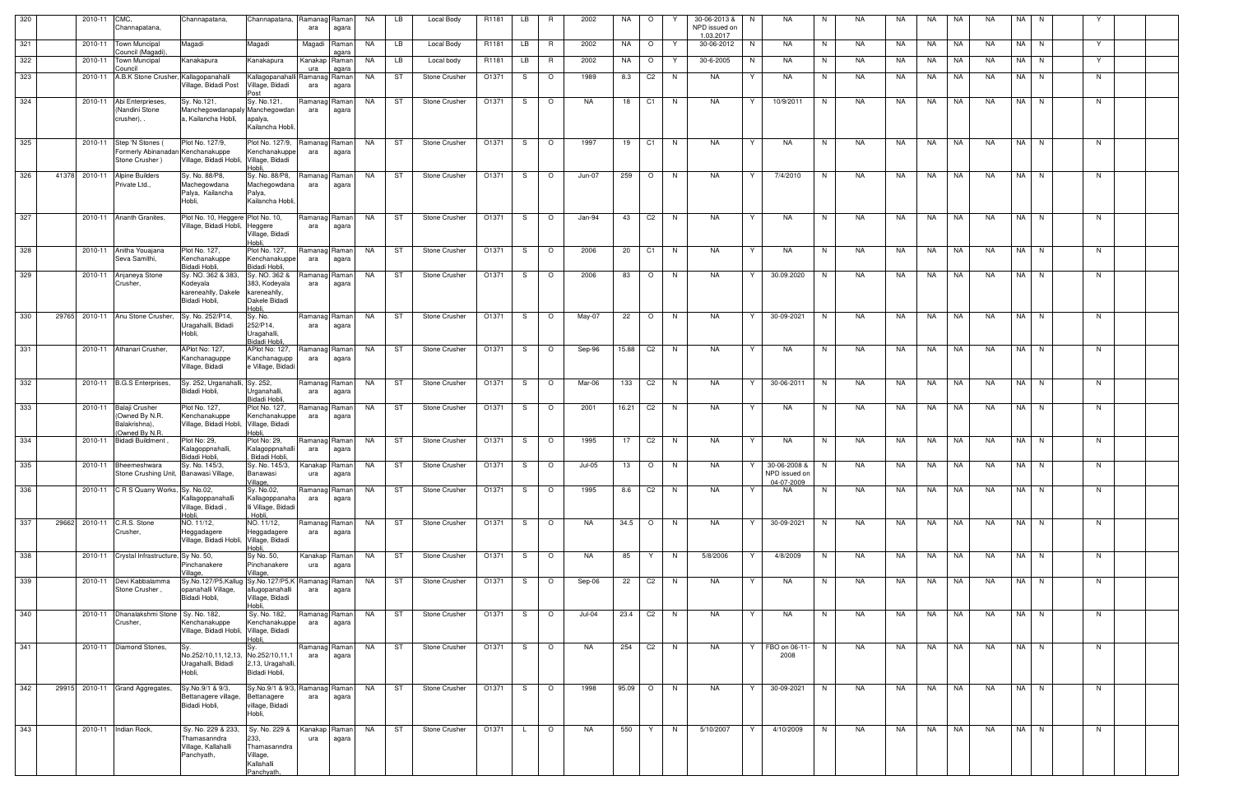| 320   |       | 2010-11 | CMC.<br>Channapatana,                                                      | Channapatana,                                                                            | Channapatana,                                                                | Ramanag Raman<br>ara | agara          | <b>NA</b> | LB | Local Body                                                               | R1181 | LB | R.      | 2002      | NA       | $\circ$        |          | 30-06-2013 &<br>N<br>NPD issued on<br>1.03.2017 | <b>NA</b>                                     | N  | <b>NA</b> | NA.      | NA        | <b>NA</b> | <b>NA</b> | NA.  | <b>N</b> |    |  |
|-------|-------|---------|----------------------------------------------------------------------------|------------------------------------------------------------------------------------------|------------------------------------------------------------------------------|----------------------|----------------|-----------|----|--------------------------------------------------------------------------|-------|----|---------|-----------|----------|----------------|----------|-------------------------------------------------|-----------------------------------------------|----|-----------|----------|-----------|-----------|-----------|------|----------|----|--|
| 321   |       |         | 2010-11 Town Muncipal<br>Council (Magadi).                                 | Magadi                                                                                   | Magadi                                                                       | Magadi               | Raman<br>agara | NA        | LB | Local Body                                                               | R1181 | LB | R.      | 2002      | NA       | $\circ$        | Y        | 30-06-2012<br>N                                 | NA                                            | N  | NA        | NA.      | NA        | NA        | <b>NA</b> |      | NA N     | Y  |  |
| 322   |       | 2010-11 | <b>Town Muncipal</b><br>Council                                            | Kanakapura                                                                               | Kanakapura                                                                   | Kanakap Raman<br>ura | agara          | NA        | LB | Local body                                                               | R1181 | LB | R       | 2002      | NA       | $\circ$        | Y        | 30-6-2005<br>N                                  | <b>NA</b>                                     | N. | NA        | NA       | NA        | NA        | <b>NA</b> | NA I | N.       | Y  |  |
| 323   |       | 2010-11 | A.B.K Stone Crusher, Kallagopanahalli                                      | Village, Bidadi Post                                                                     | Kallagopanahalli Ramanag Raman<br>Village, Bidadi<br>Post                    | ara                  | agara          | NA        | ST | Stone Crusher                                                            | O1371 | -S | $\circ$ | 1989      | 8.3      | C <sub>2</sub> | N,       | <b>NA</b><br>Y                                  | NA                                            | N  | NA.       | NA       | NA        | NA        | NA        | NA   | N        | N  |  |
| 324   |       | 2010-11 | Abi Enterprieses,<br>(Nandini Stone<br>crusher),                           | Sy. No.121,<br>Manchegowdanapaly Manchegowdan<br>a. Kailancha Hobli.                     | Sy. No.121,<br>apalya,<br>Kailancha Hobli,                                   | Ramanag Raman<br>ara | agara          | NA        | ST | Stone Crusher                                                            | O1371 | -S | $\circ$ | NA.       | 18       | C <sub>1</sub> | N,       | NA<br>Y                                         | 10/9/2011                                     | N. | NA        | NA       | NA        | NA        | <b>NA</b> | NA I | N        | N  |  |
| 325   |       | 2010-11 | Step 'N Stones (<br>Formerly Abinanadan Kenchanakuppe<br>Stone Crusher)    | Plot No. 127/9,<br>Village, Bidadi Hobli, Village, Bidadi                                | Plot No. 127/9,<br>Kenchanakuppe<br>Hobli                                    | Ramanag Raman<br>ara | agara          | NA        | ST | Stone Crusher                                                            | O1371 | -S | $\circ$ | 1997      | 19       | C1             | N        | <b>NA</b><br>Y                                  | NA                                            | N. | NA        | NA       | <b>NA</b> | NA        | NA        | NA I | N        | N  |  |
| 326   | 41378 | 2010-11 | <b>Alpine Builders</b><br>Private Ltd.,                                    | Sy. No. 88/P8,<br>Machegowdana<br>Palya, Kailancha<br>Hobli,                             | Sy. No. 88/P8,<br>Machegowdana<br>Palya,<br>Kailancha Hobli,                 | Ramanag Raman<br>ara | agara          | NA        | ST | Stone Crusher                                                            | O1371 | -S | $\circ$ | Jun-07    | 259      | $\circ$        | N        | <b>NA</b><br>Y                                  | 7/4/2010                                      | N  | <b>NA</b> | NA       | NA        | <b>NA</b> | <b>NA</b> | NA I | N        | N  |  |
| 327   |       |         | 2010-11 Ananth Granites,                                                   | Plot No. 10, Heggere Plot No. 10,<br>Village, Bidadi Hobli,                              | Heggere<br>Village, Bidadi<br>Hobli                                          | Ramanag Raman<br>ara | agara          | NA        | ST | <b>Stone Crusher</b>                                                     | O1371 | S. | $\circ$ | Jan-94    | 43       | C <sub>2</sub> | N.       | NA<br>Y                                         | NA                                            | N. | NA        | NA       | NA        | <b>NA</b> | NA.       |      | NA N     | N  |  |
| 328   |       | 2010-11 | Anitha Youajana<br>Seva Samithi,                                           | Plot No. 127,<br>Kenchanakuppe<br>Bidadi Hobli,                                          | Plot No. 127,<br>Kenchanakuppe<br>Bidadi Hobli,                              | Ramanag Raman<br>ara | agara          | <b>NA</b> | ST | Stone Crusher                                                            | O1371 | -S | $\circ$ | 2006      | 20       | C1             | N.       | NA<br>Y                                         | NA                                            | N  | NA        | NA       | NA        | NA        | <b>NA</b> |      | NA N     | N  |  |
| 329   |       | 2010-11 | Anjaneya Stone<br>Crusher,                                                 | Sy. NO. 362 & 383,<br>Kodeyala<br>kareneahlly, Dakele<br>Bidadi Hobli,                   | Sy. NO. 362 &<br>383, Kodeyala<br>kareneahlly,<br>Dakele Bidadi<br>Hobli     | Ramanag Raman<br>ara | agara          | NA.       | ST | Stone Crusher                                                            | O1371 | -S | $\circ$ | 2006      | 83       | $\circ$        | N.       | <b>NA</b><br>Y                                  | 30.09.2020                                    | N. | <b>NA</b> | NA.      | NA        | <b>NA</b> | <b>NA</b> |      | NA N     | N. |  |
| 330   | 29765 |         | 2010-11 Anu Stone Crusher,                                                 | Sy. No. 252/P14<br>Uragahalli, Bidadi<br>Hobli,                                          | Sy. No.<br>252/P14,<br>Uragahalli,<br>Bidadi Hobli,                          | Ramanag Raman<br>ara | agara          | NA        | ST | Stone Crusher                                                            | O1371 | -S | $\circ$ | May-07    | 22       | $\circ$        | N,       | <b>NA</b>                                       | 30-09-2021                                    | N. | NA        | NA       | NA        | NA        | <b>NA</b> |      | NA N     | N  |  |
| 331   |       |         | 2010-11 Athanari Crusher,                                                  | APlot No: 127,<br>Kanchanaguppe<br>Village, Bidadi                                       | APlot No: 127,<br>Kanchanagupp<br>e Village, Bidadi                          | Ramanag Raman<br>ara | agara          | NA        | ST | Stone Crusher                                                            | O1371 | S. | $\circ$ | Sep-96    | 15.88    | C <sub>2</sub> | <b>N</b> | NA<br>Y.                                        | NA                                            | N. | NA        | NA       | NA        | NA        | NA        | NA I | N        | N. |  |
| 332   |       |         | 2010-11 B.G.S Enterprises,                                                 | Sy. 252, Urganahalli, Sy. 252,<br>Bidadi Hobli,                                          | Urganahalli,<br>Bidadi Hobli,                                                | Ramanag Raman<br>ara | agara          | NA        | ST | Stone Crusher                                                            | O1371 |    | $\circ$ | Mar-06    | 133      | C <sub>2</sub> | N,       | NA                                              | 30-06-2011                                    | N. | NA        | NA       | NA        | NA        | <b>NA</b> |      | NA N     | N. |  |
| 333   |       |         | 2010-11 Balaji Crusher<br>(Owned By N.R.<br>Balakrishna),<br>Owned By N.R. | Plot No. 127,<br>Kenchanakuppe<br>Village, Bidadi Hobli, Village, Bidadi                 | Plot No. 127,<br>Kenchanakuppe<br>ildoH                                      | Ramanag Raman<br>ara | agara          | NA        | ST | <b>Stone Crusher</b>                                                     | O1371 | -S | $\circ$ | 2001      | 16.21    | C <sub>2</sub> | N,       | <b>NA</b><br>Y                                  | <b>NA</b>                                     | N  | NA        | NA       | NA        | NA        | <b>NA</b> |      | NA N     | N  |  |
| 334   |       | 2010-11 | Bidadi Buildment                                                           | Plot No: 29,<br>Kalagoppnahalli,<br>Bidadi Hobli,                                        | Plot No: 29,<br>Kalagoppnahalli<br>Bidadi Hobli,                             | Ramanag Raman<br>ara | agara          | NA        | ST | Stone Crusher                                                            | O1371 | S. | $\circ$ | 1995      | 17       | C <sub>2</sub> | N        | <b>NA</b><br>Y                                  | NA                                            | N. | NA        | NA       | NA        | NA        | <b>NA</b> |      | NA N     | N  |  |
| $335$ |       |         | 2010-11 Bheemeshwara<br>Stone Crushing Unit, Banawasi Village,             | Sy. No. 145/3,                                                                           | Banawasi<br>/illage,                                                         | ura                  | agara          |           |    | Sy. No. 145/3, Kanakap Raman NA ST Stone Crusher 01371 S 0 Jul-05 13 0 N |       |    |         |           |          |                |          | <b>NA</b>                                       | Y 30-06-2008 &<br>NPD issued on<br>04-07-2009 | N  | <b>NA</b> | NA NA NA |           |           | NA        |      | NA N     | N  |  |
| 336   |       |         | 2010-11 C R S Quarry Works, Sy. No.02,                                     | Kallagoppanahalli<br>Village, Bidadi,<br>Hobli.                                          | Sy. No.02,<br>Kallagoppanaha<br>Ili Village, Bidadi<br>Hobli,                | Ramanag Raman<br>ara | agara          | NA 1      | ST | Stone Crusher                                                            | O1371 | S. | $\circ$ | 1995      | 8.6      | C <sub>2</sub> | N        | NA<br>Y                                         | NA                                            | N  | NA        | NA       | NA INA    |           | <b>NA</b> |      | NA N     | N  |  |
| 337   |       |         | 29662 2010-11 C.R.S. Stone<br>Crusher,                                     | NO. 11/12,<br>Heggadagere<br>Village, Bidadi Hobli, Village, Bidadi                      | NO. 11/12,<br>Heggadagere<br>Hobli                                           | Ramanag Raman<br>ara | agara          | NA        | ST | Stone Crusher                                                            | O1371 | S. | $\circ$ | <b>NA</b> | $34.5$ O |                | N        | NA<br>Y                                         | 30-09-2021                                    | N  | NA        | NA       | <b>NA</b> | <b>NA</b> | <b>NA</b> |      | NA N     | N  |  |
| 338   |       |         | 2010-11 Crystal Infrastructure, Sy No. 50,                                 | Pinchanakere<br>Village,                                                                 | Sy No. 50,<br>Pinchanakere<br>/illage,                                       | Kanakap Raman<br>ura | agara          | NA        | ST | Stone Crusher                                                            | O1371 | S. | $\circ$ | NA        | 85       | Y.             | N        | 5/8/2006<br>Y                                   | 4/8/2009                                      | N. | NA        | NA       | NA        | NA        | NA        |      | NA N     | N  |  |
| 339   |       |         | 2010-11 Devi Kabbalamma<br><b>Stone Crusher</b>                            | Sy.No.127/P5,Kallug Sy.No.127/P5,K Ramanag Raman<br>opanahalli Village.<br>Bidadi Hobli, | allugopanahalli<br>Village, Bidadi<br>Hobli                                  | ara                  | agara          | NA        | ST | <b>Stone Crusher</b>                                                     | O1371 | S. | $\circ$ | Sep-06    | 22       | C2             | N        | NA<br>Y                                         | NA                                            | N  | NA        | NA       | NA        | NA        | NA.       |      | NA N     | N  |  |
| 340   |       |         | 2010-11   Dhanalakshmi Stone   Sy. No. 182,<br>Crusher,                    | Kenchanakuppe<br>Village, Bidadi Hobli, Village, Bidadi                                  | Sy. No. 182,<br>Kenchanakuppe<br>Hobli                                       | Ramanag Raman<br>ara | agara          | NA        | ST | <b>Stone Crusher</b>                                                     | O1371 | S. | $\circ$ | Jul-04    | 23.4 C2  |                | N        | NA<br>Y                                         | NA                                            | N. | NA        | NA       | NA        | NA        | NA.       |      | NA N     | N. |  |
| 341   |       |         | 2010-11 Diamond Stones,                                                    | No.252/10,11,12,13,<br>Uragahalli, Bidadi<br>Hobli,                                      | No.252/10,11,1<br>2,13, Uragahalli,<br>Bidadi Hobli,                         | Ramanag Raman<br>ara | agara          | NA        | ST | Stone Crusher                                                            | O1371 | S. | $\circ$ | NA        | 254      | C <sub>2</sub> | N        | NA                                              | Y FBO on 06-11-<br>2008                       | N. | NA        | NA       | NA        | <b>NA</b> | <b>NA</b> |      | NA N     | N  |  |
| 342   |       |         | 29915 2010-11 Grand Aggregates,                                            | Sy.No.9/1 & 9/3,<br>Bettanagere village,<br>Bidadi Hobli,                                | Sy.No.9/1 & 9/3, Ramanag Raman<br>Bettanagere<br>village, Bidadi<br>Hobli,   | ara                  | agara          | NA        | ST | <b>Stone Crusher</b>                                                     | O1371 | S. | $\circ$ | 1998      | 95.09    | $\circ$        | N        | NA<br>Y                                         | 30-09-2021                                    | N  | NA        | NA       | NA        | <b>NA</b> | NA        |      | NA N     | N. |  |
| 343   |       |         | 2010-11 Indian Rock,                                                       | Sy. No. 229 & 233,<br>Thamasanndra<br>Village, Kallahalli<br>Panchyath,                  | Sy. No. 229 &<br>233,<br>Thamasanndra<br>Village,<br>Kallahalli<br>Panchvath | Kanakap Raman<br>ura | agara          | <b>NA</b> | ST | Stone Crusher                                                            | O1371 |    | $\circ$ | NA        | 550      | Y              | N        | 5/10/2007<br>Y                                  | 4/10/2009                                     | N  | NA        | NA       |           | NA NA     | <b>NA</b> |      | NA N     | N  |  |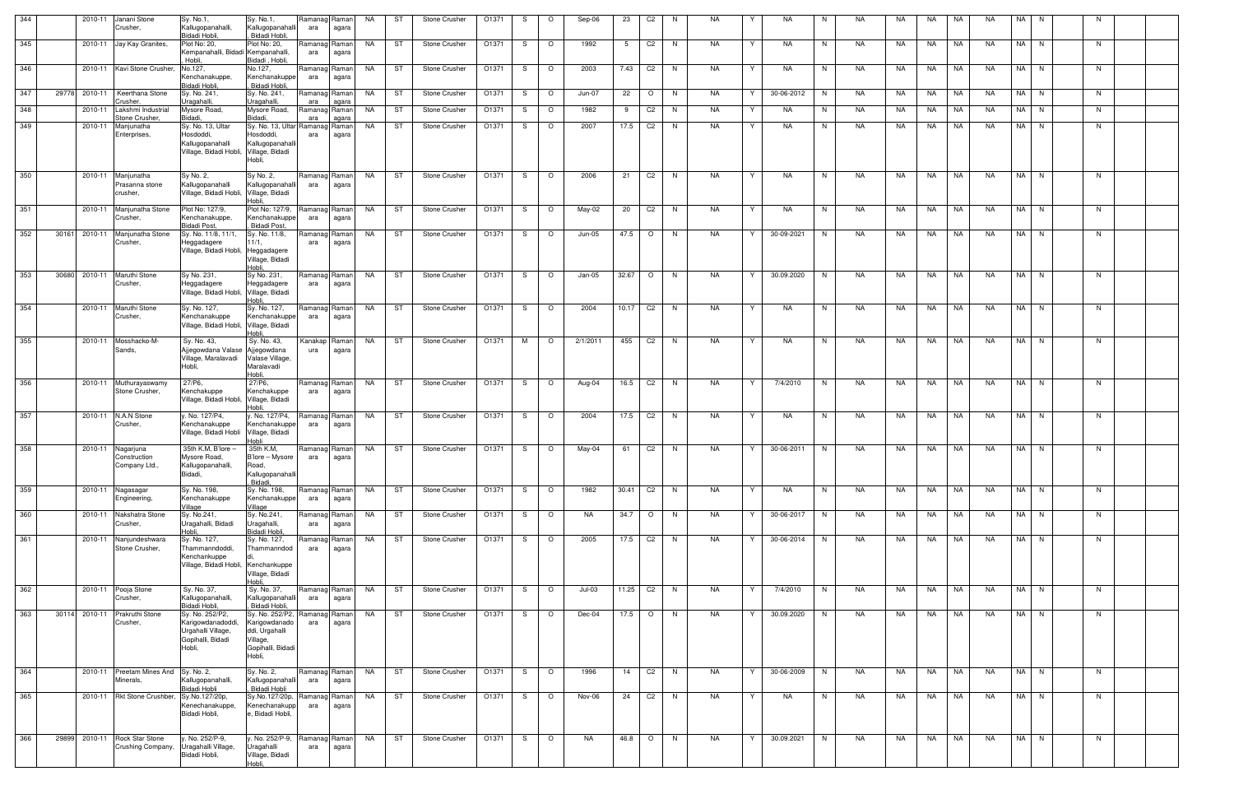| 344 |       | 2010-11 | Janani Stone<br>Crusher,                    | Sy. No.1,<br>Kallugopanahalli,<br>Bidadi Hobli,                                              | Sy. No.1,<br>Kallugopanahalli<br>Bidadi Hobli,                                                | Ramanag Raman<br>ara   | agara | NA        | ST | Stone Crusher        | O1371 | S  | $\circ$  | Sep-06        | 23       | C2             | - N          | NA        |              | NA.        | N. | NA.       | NA. | NA   | NA        | <b>NA</b> | NA.  | N.   | -N |  |
|-----|-------|---------|---------------------------------------------|----------------------------------------------------------------------------------------------|-----------------------------------------------------------------------------------------------|------------------------|-------|-----------|----|----------------------|-------|----|----------|---------------|----------|----------------|--------------|-----------|--------------|------------|----|-----------|-----|------|-----------|-----------|------|------|----|--|
| 345 |       |         | 2010-11 Jay Kay Granites,                   | Plot No: 20,<br>Kempanahalli, Bidadi Kempanahalli,<br>Hobli.                                 | Plot No: 20,<br>Bidadi, Hobli,                                                                | Ramanag Raman<br>ara   | agara | NA        | ST | Stone Crusher        | O1371 | -S | $\circ$  | 1992          | -5       | C <sub>2</sub> | - N          | <b>NA</b> |              | <b>NA</b>  | N. | NA        | NA  | NA   | NA        | <b>NA</b> | NA I | N    | N  |  |
| 346 |       |         | 2010-11 Kavi Stone Crusher,                 | No.127,<br>Kenchanakuppe,<br><b>Bidadi Hobli</b>                                             | No.127,<br>Kenchanakuppe<br>Bidadi Hobli,                                                     | Ramanag Raman<br>ara   | agara | NA        | ST | Stone Crusher        | O1371 | S. | $\circ$  | 2003          | 7.43     | C <sub>2</sub> | N,           | NA        | Y            | NA         | N  | NA        | NA. | NA   | NA        | <b>NA</b> | NA I | N    | N  |  |
| 347 | 29778 |         | 2010-11 Keerthana Stone<br>Crusher          | Sy. No. 241,<br>Uragahalli,                                                                  | Sy. No. 241,<br>Uragahalli,                                                                   | Ramanag Raman<br>ara   | agara | NA        | ST | Stone Crusher        | O1371 |    | $\circ$  | Jun-07        | 22       | $\circ$        | N,           | NA        |              | 30-06-2012 | N  | NA        | NA. | NA   | NA        | NA.       |      | NA N | N. |  |
| 348 |       | 2010-11 | Lakshmi Industrial<br>Stone Crusher         | Mysore Road,<br>Bidadi                                                                       | Mysore Road,<br><b>Bidadi</b>                                                                 | Ramanag Raman<br>ara   | 202r  | NA        | ST | Stone Crusher        | O1371 | S  | $\circ$  | 1982          | 9        | C <sub>2</sub> | N.           | NA        | Y            | NA         | N. | NA        | NA  | NA   | <b>NA</b> | <b>NA</b> | NA I | N.   | N  |  |
| 349 |       | 2010-11 | Manjunatha<br>Enterprises,                  | Sy. No. 13, Ultar<br>Hosdoddi,<br>Kallugopanahalli<br>Village, Bidadi Hobli, Village, Bidadi | Sy. No. 13, Ultar Ramanag Raman<br>Hosdoddi,<br>Kallugopanahalli<br>Hobli,                    | ara                    | agara | NA        | ST | Stone Crusher        | O1371 | S. | $\circ$  | 2007          | 17.5     | C <sub>2</sub> | N,           | <b>NA</b> | Y            | NA         | N  | NA.       | NA  | NA   | NA        | NA        |      | NA N | N  |  |
| 350 |       | 2010-11 | Manjunatha<br>Prasanna stone<br>crusher,    | Sy No. 2,<br>Kallugopanahalli<br>Village, Bidadi Hobli, Village, Bidadi                      | Sy No. 2,<br>Kallugopanahalli<br>lobli                                                        | Ramanag Raman<br>ara   | agara | NA        | ST | Stone Crusher        | O1371 | S. | $\circ$  | 2006          | 21       | C <sub>2</sub> | N,           | <b>NA</b> | $\mathsf{v}$ | <b>NA</b>  | N. | <b>NA</b> | NA  | NA   | <b>NA</b> | <b>NA</b> |      | NA N | N  |  |
| 351 |       | 2010-11 | Manjunatha Stone<br>Crusher,                | Plot No: 127/9,<br>Kenchanakuppe,<br><b>Bidadi Post</b>                                      | Plot No: 127/9,<br>Kenchanakuppe<br>Bidadi Post.                                              | Ramanag Raman<br>ara   | agara | NA        | ST | Stone Crusher        | O1371 | S  | $\circ$  | May-02        | 20       | C <sub>2</sub> | N,           | NA        |              | NA         | N  | NA        | NA  | NA   | NA        | <b>NA</b> |      | NA N | N  |  |
| 352 | 30161 | 2010-11 | Manjunatha Stone<br>Crusher,                | Sy. No. 11/8, 11/1.<br>Heggadagere<br>Village, Bidadi Hobli,                                 | Sy. No. 11/8,<br>11/1,<br>Heggadagere<br>Village, Bidadi<br>Hobli                             | Ramanag Raman<br>ara   | agara | <b>NA</b> | ST | Stone Crusher        | O1371 | -S | $\circ$  | <b>Jun-05</b> | 47.5     | $\circ$        | N            | <b>NA</b> |              | 30-09-2021 | N  | NA        | NA. | NA   | NA        | <b>NA</b> | NA I | N    | N  |  |
| 353 | 30680 | 2010-11 | Maruthi Stone<br>Crusher,                   | Sy No. 231,<br>Heggadagere<br>Village, Bidadi Hobli, Village, Bidadi                         | Sy No. 231,<br>Heggadagere<br>lobli                                                           | Ramanag Raman<br>ara   | agara | NA        | ST | <b>Stone Crusher</b> | O1371 | -S | $\circ$  | Jan-05        | 32.67    | $\circ$        | N,           | NA        |              | 30.09.2020 | N  | NA        | NA. | NA   | NA        | NA.       |      | NA N | N. |  |
| 354 |       | 2010-11 | Maruthi Stone<br>Crusher,                   | Sy. No. 127,<br>Kenchanakuppe<br>Village, Bidadi Hobli, Village, Bidadi                      | Sy. No. 127,<br>Kenchanakuppe                                                                 | Ramanag Raman<br>ara   | agara | NA        | ST | <b>Stone Crusher</b> | O1371 | -S | $\circ$  | 2004          | 10.17    | C <sub>2</sub> | N,           | NA        | Y            | NA         | N. | NA        | NA  | NA   | NA        | NA        |      | NA N | N. |  |
| 355 |       | 2010-11 | Mosshacko-M-<br>Sands,                      | Sy. No. 43,<br>Ajjegowdana Valase Ajjegowdana<br>Village, Maralavadi<br>Hobli,               | Hobli<br>Sy. No. 43,<br>Valase Village,<br>Maralavadi<br>Hobli                                | Kanakap   Raman<br>ura | agara | NA        | ST | Stone Crusher        | O1371 | м  | $\Omega$ | 2/1/2011      | 455      | C <sub>2</sub> | N,           | NA        | Y            | NA         | N  | NA.       | NA  | NA   | NA        | NA.       | NA I | N.   | N. |  |
| 356 |       |         | 2010-11 Muthurayaswamy<br>Stone Crusher,    | 27/P6,<br>Kenchakuppe<br>Village, Bidadi Hobli, Village, Bidadi                              | 27/P6,<br>Kenchakuppe<br>l∩hli                                                                | Ramanag Raman<br>ara   | agara | NA        | ST | Stone Crusher        | O1371 | -S | $\circ$  | Aug-04        | 16.5     | C <sub>2</sub> | $\mathsf{N}$ | NA        | Y            | 7/4/2010   | N. | NA        | NA  | NA   | NA        | <b>NA</b> | NA I | N    | N  |  |
| 357 |       | 2010-11 | N.A.N Stone<br>Crusher,                     | y. No. 127/P4,<br>Kenchanakuppe<br>Village, Bidadi Hobli                                     | y. No. 127/P4,<br>Kenchanakuppe<br>Village, Bidadi<br>Hobli                                   | Ramanag Raman<br>ara   | agara | NA        | ST | Stone Crusher        | O1371 | -S | $\circ$  | 2004          | 17.5     | C <sub>2</sub> | N.           | <b>NA</b> | Y            | NA         | N. | NA        | NA  | NA   | <b>NA</b> | <b>NA</b> |      | NA N | N  |  |
| 358 |       | 2010-11 | Nagarjuna<br>Construction<br>Company Ltd.,  | 35th K.M, B'lore -<br>Mysore Road,<br>Kallugopanahalli,<br>Bidadi,                           | 35th K.M,<br>B'lore - Mysore<br>Road,<br>Kallugopanahalli                                     | Ramanag Raman<br>ara   | agara | NA        | ST | Stone Crusher        | O1371 | S. | $\circ$  | May-04        | 61       | C <sub>2</sub> | N.           | NA        | Y            | 30-06-2011 | N  | NA        | NA. | NA   | NA        | <b>NA</b> | NA I | N.   | N  |  |
| 359 |       | 2010-11 | Nagasagar<br>Engineering,                   | Sy. No. 198,<br>Kenchanakuppe                                                                | Bidadi,<br>Sy. No. 198,<br>Kenchanakuppe                                                      | Ramanag Raman<br>ara   | agara | NA        | ST | Stone Crusher        | O1371 | S. | $\circ$  | 1982          | 30.41 C2 |                | N            | NA        | Y            | NA         | N. | NA        | NA  | NA 1 | I NA      | NA        |      | NA N | N  |  |
| 360 |       | 2010-11 | Nakshatra Stone<br>Crusher,                 | Village<br>Sy. No.241,<br>Uragahalli, Bidadi<br>Hobli.                                       | Village<br>Sy. No.241,<br>Uragahalli,<br>Bidadi Hobli,                                        | Ramanag Raman<br>ara   | agara | NA        | ST | <b>Stone Crusher</b> | O1371 | S. | $\circ$  | NA.           | 34.7     | $\circ$        | N            | NA        | Y            | 30-06-2017 | N. | NA        | NA  | NA   | <b>NA</b> | <b>NA</b> |      | NA N | N  |  |
| 361 |       | 2010-11 | Nanjundeshwara<br>Stone Crusher,            | Sy. No. 127,<br>Thammanndoddi,<br>Kenchankuppe<br>Village, Bidadi Hobli, Kenchankuppe        | Sy. No. 127,<br>Thammanndod<br>Village, Bidadi<br>Hobli.                                      | Ramanag Raman<br>ara   | agara | NA        | ST | Stone Crusher        | O1371 | S. | $\circ$  | 2005          | 17.5 C2  |                | N            | NA        | Y            | 30-06-2014 | N  | NA        | NA  | NA   | <b>NA</b> | <b>NA</b> |      | NA N | N  |  |
| 362 |       | 2010-11 | Pooja Stone<br>Crusher,                     | Sy. No. 37,<br>Kallugopanahalli,<br>Bidadi Hobli,                                            | Sy. No. 37,<br>Kallugopanahalli<br>Bidadi Hobli,                                              | Ramanag Raman<br>ara   | agara | NA        | ST | Stone Crusher        | O1371 | S. | $\circ$  | Jul-03        | 11.25    | C <sub>2</sub> | N.           | NA        | Y            | 7/4/2010   | N  | NA        | NA  | NA   | NA        | <b>NA</b> |      | NA N | N. |  |
| 363 | 30114 | 2010-11 | Prakruthi Stone<br>Crusher,                 | Sy. No. 252/P2,<br>Karigowdanadoddi<br>Urgahalli Village,<br>Gopihalli, Bidadi<br>Hobli,     | Sy. No. 252/P2,<br>Karigowdanado<br>ddi, Urgahalli<br>Village,<br>Gopihalli, Bidadi<br>Hobli, | Ramanag Raman<br>ara   | agara | NA.       | ST | <b>Stone Crusher</b> | O1371 | -S | $\circ$  | Dec-04        | 17.5 O   |                | N            | <b>NA</b> | Y            | 30.09.2020 | N. | NA        | NA  | NA   | NA        | <b>NA</b> |      | NA N | N  |  |
| 364 |       | 2010-11 | Preetam Mines And Sy. No. 2,<br>Minerals,   | Kallugopanahalli,<br>Bidadi Hobli                                                            | Sy. No. 2,<br>Kallugopanahalli<br>Bidadi Hobli                                                | Ramanag Raman<br>ara   | agara | NA        | ST | Stone Crusher        | O1371 | S. | $\circ$  | 1996          | 14       | C <sub>2</sub> | N            | NA        | Y            | 30-06-2009 | N  | NA        | NA  | NA   | <b>NA</b> | NA        |      | NA N | N  |  |
| 365 |       |         | 2010-11 Rkt Stone Crushber,                 | Sy.No.127/20p,<br>Kenechanakuppe<br>Bidadi Hobli,                                            | Sy.No.127/20p,<br>Kenechanakupp<br>, Bidadi Hobli,                                            | Ramanag Raman<br>ara   | agara | NA        | ST | <b>Stone Crusher</b> | O1371 | S  | $\circ$  | Nov-06        | 24       | C2             | N            | NA.       | Y            | NA         | N. | NA        | NA  | NA   | NA        | NA.       |      | NA N | N. |  |
| 366 | 29899 | 2010-11 | <b>Rock Star Stone</b><br>Crushing Company, | y. No. 252/P-9,<br>Uragahalli Village,<br>Bidadi Hobli,                                      | y. No. 252/P-9,<br>Uragahalli<br>Village, Bidadi<br>Hobli.                                    | Ramanag Raman<br>ara   | agara | NA        | ST | <b>Stone Crusher</b> | O1371 | S. | $\circ$  | NA            | 46.8     | $\circ$        | N            | NA        | Y            | 30.09.2021 | N  | NA        | NA  | NA   | NA        | NA        |      | NA N | N  |  |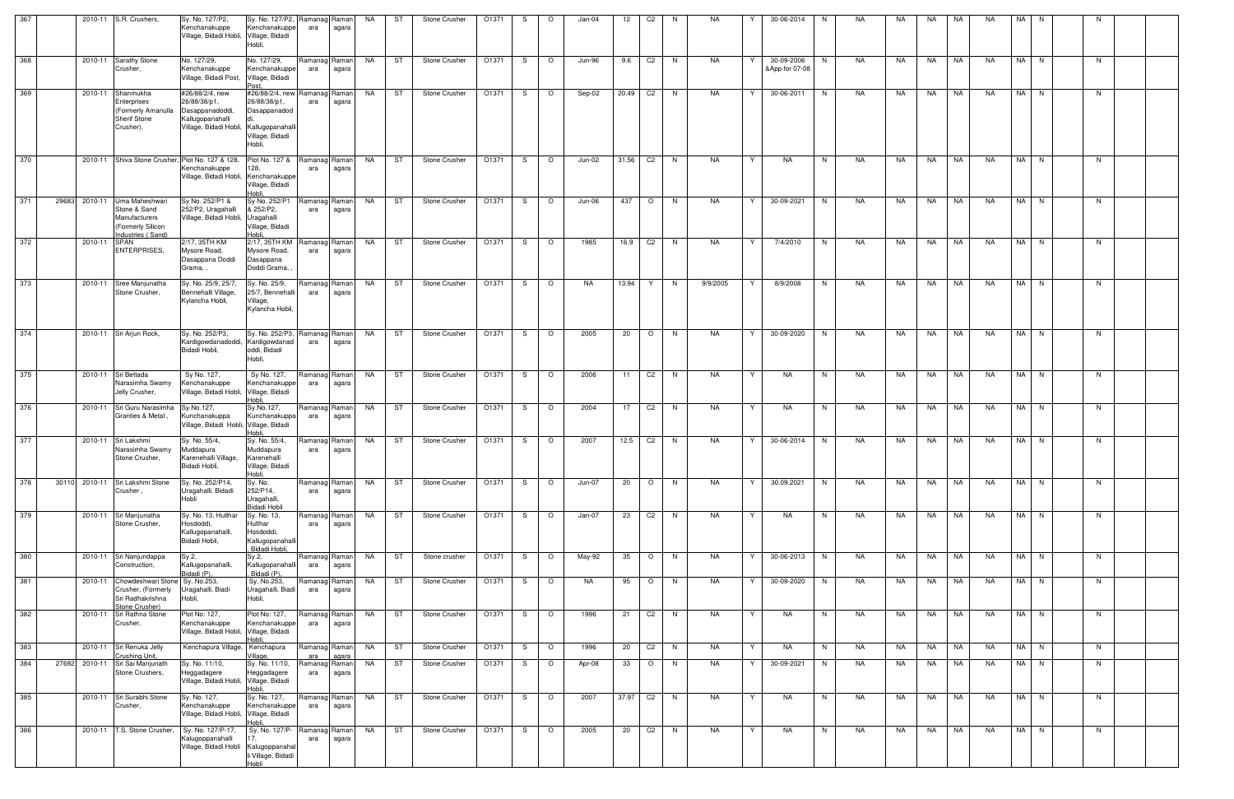| 367 |       |         | 2010-11 S.R. Crushers,                                                                             | Sy. No. 127/P2,<br>Kenchanakuppe<br>Village, Bidadi Hobli, Village, Bidadi                                        | Sy. No. 127/P2,<br>Kenchanakuppe<br>Hobli,                                   | Ramanag Raman<br>ara | agara          | NA        | ST | Stone Crusher        | O1371 | S. | $\circ$ | Jan-04    | 12      | C <sub>2</sub> | N  | NA        |   | 30-06-2014                   | N. | NA  | NA. | NA        | NA        | <b>NA</b> | NA.  | N. |    |  |
|-----|-------|---------|----------------------------------------------------------------------------------------------------|-------------------------------------------------------------------------------------------------------------------|------------------------------------------------------------------------------|----------------------|----------------|-----------|----|----------------------|-------|----|---------|-----------|---------|----------------|----|-----------|---|------------------------------|----|-----|-----|-----------|-----------|-----------|------|----|----|--|
| 368 |       |         | 2010-11 Sarathy Stone<br>Crusher,                                                                  | No. 127/29,<br>Kenchanakuppe<br>Village, Bidadi Post,                                                             | No. 127/29,<br>Kenchanakuppe<br>Village, Bidadi                              | Ramanag Raman<br>ara | agara          | NA        | ST | <b>Stone Crusher</b> | O1371 | S. | $\circ$ | Jun-96    | 9.6     | C <sub>2</sub> | N  | NA        |   | 30-09-2006<br>&App for 07-08 | N. | NA. | NA  | NA        | <b>NA</b> | NA.       | NA N |    | N. |  |
| 369 |       |         | 2010-11 Shanmukha<br>Enterprises<br>(Formerly Amanulla<br><b>Sherif Stone</b><br>Crusher),         | #26/88/2/4, new<br>26/88/38/p1,<br>Dasappanadoddi,<br>Kallugopanahalli<br>Village, Bidadi Hobli, Kallugopanahalli | #26/88/2/4, new<br>26/88/38/p1,<br>Dasappanadod<br>Village, Bidadi<br>Hobli, | Ramanag Raman<br>ara | agara          | <b>NA</b> | ST | Stone Crusher        | O1371 | S. | $\circ$ | Sep-02    | 20.49   | C <sub>2</sub> | N. | <b>NA</b> | Y | 30-06-2011                   | N  | NA. | NA  | <b>NA</b> | <b>NA</b> | <b>NA</b> | NA N |    | N  |  |
| 370 |       |         |                                                                                                    | 2010-11 Shiva Stone Crusher. Plot No. 127 & 128.<br>Kenchanakuppe<br>Village, Bidadi Hobli, Kenchanakuppe         | Plot No. 127 &<br>Village, Bidadi<br>Hobli.                                  | Ramanag Raman<br>ara | agara          | <b>NA</b> | ST | Stone Crusher        | O1371 | S. | $\circ$ | Jun-02    | 31.56   | C <sub>2</sub> | N. | NA        | Y | NA                           | N  | NA  | NA  | NA        | NA        | <b>NA</b> | NA N |    | N. |  |
| 371 | 29683 |         | 2010-11 Uma Maheshwari<br>Stone & Sand<br>Manufacturers<br>(Formerly Silicon<br>Industries (Sand)  | Sy No. 252/P1 &<br>252/P2, Uragahalli<br>Village, Bidadi Hobli, Uragahalli                                        | Sy No. 252/P1<br>& 252/P2,<br>Village, Bidadi<br>Hobli.                      | Ramanag Raman<br>ara | agara          | NA        | ST | Stone Crusher        | O1371 | S. | $\circ$ | Jun-06    | 437     | $\circ$        | N  | NA.       | Y | 30-09-2021                   | N  | NA. | NA  | <b>NA</b> | NA        | <b>NA</b> | NA I | N  | N  |  |
| 372 |       | 2010-11 | <b>SPAN</b><br><b>ENTERPRISES,</b>                                                                 | 2/17, 35TH KM<br>Mysore Road,<br>Dasappana Doddi<br>Grama,,                                                       | 2/17, 35TH KM<br>Mysore Road,<br>Dasappana<br>Doddi Grama,                   | Ramanag Raman<br>ara | agara          | NA        | ST | Stone Crusher        | O1371 | S. | $\circ$ | 1985      | 16.9    | C <sub>2</sub> | N  | NA        | Y | 7/4/2010                     | N  | NA  | NA  | NA        | NA        | <b>NA</b> | NA I | N  | N. |  |
| 373 |       |         | 2010-11 Sree Manjunatha<br>Stone Crusher,                                                          | Sy. No. 25/9, 25/7,<br>Bennehalli Village,<br>Kylancha Hobli,                                                     | Sy. No. 25/9,<br>25/7, Bennehalli<br>Village,<br>Kylancha Hobli.             | Ramanag Raman<br>ara | agara          | NA        | ST | Stone Crusher        | O1371 | S. | $\circ$ | <b>NA</b> | 13.94   | Y              | N  | 9/9/2005  | Y | 8/9/2008                     | N. | NA. | NA  | NA        | NA        | <b>NA</b> | NA N |    | N  |  |
| 374 |       |         | 2010-11 Sri Arjun Rock,                                                                            | Sy. No. 252/P3,<br>Kardigowdanadoddi,<br>Bidadi Hobli,                                                            | Sy. No. 252/P3,<br>Kardigowdanad<br>oddi, Bidadi<br>Hobli,                   | Ramanag Raman<br>ara | agara          | NA        | ST | Stone Crusher        | O1371 | S. | $\circ$ | 2005      | 20      | $\circ$        | N  | NA        | Y | 30-09-2020                   | N. | NA  | NA  | NA        | NA        | NA.       | NA N |    | N. |  |
| 375 |       | 2010-11 | Sri Bettada<br>Narasimha Swamy<br>Jelly Crusher,                                                   | Sy No. 127,<br>Kenchanakuppe<br>Village, Bidadi Hobli,                                                            | Sy No. 127,<br>Kenchanakuppe<br>Village, Bidadi<br>lobli.                    | Ramanag Raman<br>ara | agara          | NA        | ST | Stone Crusher        | O1371 | S  | $\circ$ | 2006      | 11      | C <sub>2</sub> | N. | NA        | Y | NA                           | N  | NA. | NA  | NA        | NA        | <b>NA</b> | NA I | N  | N  |  |
| 376 |       |         | 2010-11 Sri Guru Narasimha<br>Granties & Metal,                                                    | Sy.No.127,<br>Kunchanakuppa<br>Village, Bidadi Hobli, Village, Bidadi                                             | Sy.No.127,<br>Kunchanakuppa<br>Hobli,                                        | Ramanag Raman<br>ara | agara          | NA        | ST | Stone Crusher        | O1371 | S  | $\circ$ | 2004      | 17      | C <sub>2</sub> | N  | NA        | Y | NA                           | N  | NA  | NA  | NA        | NA        | <b>NA</b> | NA N |    | N  |  |
| 377 |       | 2010-11 | Sri Lakshmi<br>Narasimha Swamy<br>Stone Crusher,                                                   | Sy. No. 55/4,<br>Muddapura<br>Karenehalli Village,<br>Bidadi Hobli,                                               | Sy. No. 55/4,<br>Muddapura<br>Karenehalli<br>Village, Bidadi<br>Hobli.       | Ramanag<br>ara       | Raman<br>agara | NA        | ST | Stone Crusher        | O1371 | S. | $\circ$ | 2007      | 12.5 C2 |                | N  | NA.       | Y | 30-06-2014                   | N  | NA  | NA  | NA        | NA        | NA        | NA N |    | N. |  |
| 378 | 30110 |         | 2010-11 Sri Lakshmi Stone<br>Crusher,                                                              | Sy. No. 252/P14,<br>Uragahalli, Bidadi<br>Hobli                                                                   | Sy. No.<br>252/P14,<br>Uragahalli,<br>Bidadi Hobli                           | Ramanag Raman<br>ara | agara          | NA        | ST | Stone Crusher        | O1371 | S  | $\circ$ | Jun-07    | 20      | $\circ$        | N  | NA        | Y | 30.09.2021                   | N  | NA  | NA  | NA        | NA        | NA        | NA N |    | N. |  |
| 379 |       |         | 2010-11 Sri Manjunatha<br>Stone Crusher,                                                           | Sy. No. 13, Hulthar<br>Hosdoddi,<br>Kallugopanahalli,<br>Bidadi Hobli,                                            | Sy. No. 13,<br>Hulthar<br>Hosdoddi,<br>Kallugopanahalli<br>Bidadi Hobli.     | Ramanag Raman<br>ara | agara          | NA        | ST | Stone Crusher        | O1371 | S. | $\circ$ | Jan-07    | 23      | C <sub>2</sub> | N  | NA        | Y | NA                           | N  | NA  | NA  | NA        | NA        | <b>NA</b> | NA N |    | N. |  |
| 380 |       |         | 2010-11 Sri Nanjundappa<br>Construction,                                                           | Sy.2,<br>Kallugopanahalli,<br>Bidadi (P).                                                                         | Sy.2,<br>Kallugopanahalli<br>Bidadi (P),                                     | Ramanag Raman<br>ara | agara          | NA        | ST | Stone crusher        | O1371 | S. | $\circ$ | May-92    | 35      | $\circ$        | N. | NA        | Y | 30-06-2013                   | N. | NA  | NA  | NA        | NA        | NA        | NA I | N  | N  |  |
| 381 |       |         | 2010-11 Chowdeshwari Stone Sy. No.253,<br>Crusher, (Formerly<br>Sri Radhakrishna<br>Stone Crusher) | Uragahalli, Biadi<br>Hobli,                                                                                       | Sy. No.253,<br>Uragahalli, Biadi  <br>Hobli,                                 | Ramanag Raman<br>ara | agara          | NA        | ST | Stone Crusher        | O1371 | S. | $\circ$ | NA        | 95      | $\circ$        | N  | NA.       | Y | 30-09-2020                   | N. | NA  | NA  | NA        | NA        | NA.       | NA N |    | N. |  |
| 382 |       |         | 2010-11 Sri Rathna Stone<br>Crusher,                                                               | Plot No: 127,<br>Kenchanakuppe<br>Village, Bidadi Hobli,                                                          | Plot No: 127,<br>Kenchanakuppe<br>Village, Bidadi<br>Hobli.                  | Ramanag Raman<br>ara | agara          | NA        | ST | <b>Stone Crusher</b> | O1371 | S. | $\circ$ | 1996      | 21      | C <sub>2</sub> | N  | NA        | Y | NA                           | N  | NA  | NA  | NA        | NA        | NA.       | NA N |    | N  |  |
| 383 |       |         | 2010-11 Sri Renuka Jelly<br>Crushing Unit,                                                         | Kenchapura Village,                                                                                               | Kenchapura<br>Village,                                                       | Ramanag Raman<br>ara | agara          | NA        | ST | Stone Crusher        | O1371 | S. | $\circ$ | 1996      | 20      | C <sub>2</sub> | N. | NA        | Y | NA                           | N. | NA  | NA  | NA        | NA        | NA        | NA I | N. | N  |  |
| 384 | 27692 |         | 2010-11 Sri Sai Manjunath<br>Stone Crushers,                                                       | Sy. No. 11/10,<br>Heggadagere<br>Village, Bidadi Hobli, Village, Bidadi                                           | Sy. No. 11/10,<br>Heggadagere<br>Hobli.                                      | Ramanag Raman<br>ara | agara          | NA        | ST | Stone Crusher        | O1371 | S. | $\circ$ | Apr-08    | 33      | $\circ$        | N. | NA        | Y | 30-09-2021                   | N. | NA  | NA  | NA        | NA        | NA        | NA N |    | N. |  |
| 385 |       |         | 2010-11 Sri Surabhi Stone<br>Crusher,                                                              | Sy. No. 127,<br>Kenchanakuppe<br>Village, Bidadi Hobli, Village, Bidadi                                           | Sy. No. 127,<br>Kenchanakuppe<br>Hobli.                                      | Ramanag Raman<br>ara | agara          | NA        | ST | Stone Crusher        | O1371 | S. | $\circ$ | 2007      | 37.97   | C <sub>2</sub> | N. | NA        | Y | NA                           | N  | NA  | NA  | NA        | NA        | NA        | NA   | N  | N. |  |
| 386 |       |         | 2010-11   T.S. Stone Crusher,                                                                      | Sy. No. 127/P-17,<br>Kalugoppanahalli<br>Village, Bidadi Hobli Kalugoppanahal                                     | Sy. No. 127/P-<br>li Village, Bidadi<br>Hobli                                | Ramanag Raman<br>ara | agara          | NA        | ST | Stone Crusher        | O1371 | S  | $\circ$ | 2005      | 20      | C <sub>2</sub> | N  | NA        | Y | NA                           | N  | NA  | NA  | NA        | NA        | NA        | NA N |    | N. |  |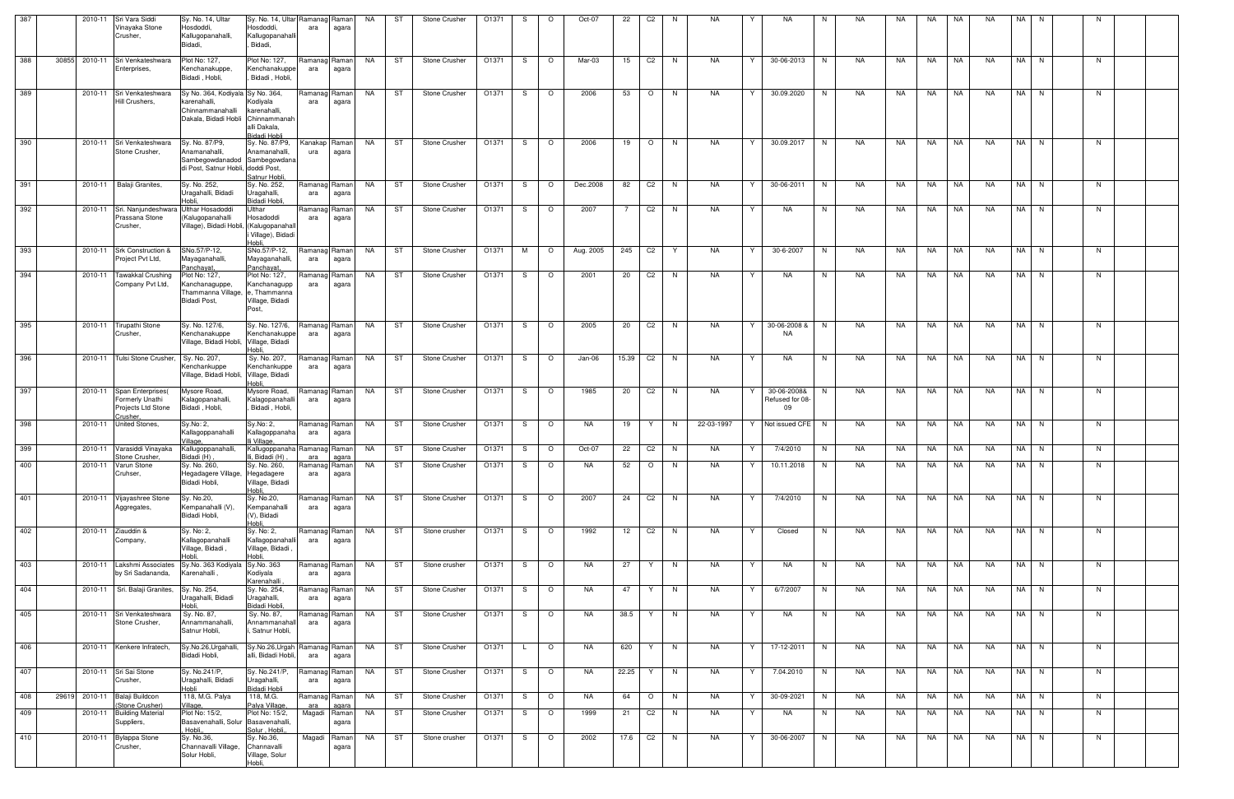| 387 |       | 2010-11 | Sri Vara Siddi<br>Vinayaka Stone<br>Crusher,                                  | Sy. No. 14, Ultar<br>Hosdoddi,<br>Kallugopanahalli,<br>Bidadi,                                        | Sy. No. 14, Ultar Ramanag Raman<br>Hosdoddi,<br>Kallugopanahalli<br>Bidadi, | ara                   | agara          | NA        | ST | Stone Crusher                                                             | O1371 | S.  | $\circ$ | Oct-07    | 22              | C <sub>2</sub> | N.       | NA         |   | <b>NA</b>                            | N  | NA.       | NA  | NA        | NA        | <b>NA</b>   | NA | N.   |    |  |
|-----|-------|---------|-------------------------------------------------------------------------------|-------------------------------------------------------------------------------------------------------|-----------------------------------------------------------------------------|-----------------------|----------------|-----------|----|---------------------------------------------------------------------------|-------|-----|---------|-----------|-----------------|----------------|----------|------------|---|--------------------------------------|----|-----------|-----|-----------|-----------|-------------|----|------|----|--|
| 388 | 30855 | 2010-11 | Sri Venkateshwara<br>Enterprises,                                             | Plot No: 127,<br>Kenchanakuppe.<br>Bidadi, Hobli,                                                     | Plot No: 127,<br>Kenchanakuppe<br>Bidadi, Hobli,                            | Ramanag Raman<br>ara  | agara          | NA        | ST | Stone Crusher                                                             | O1371 | S.  | $\circ$ | Mar-03    | 15              | C <sub>2</sub> | N        | NA         | Y | 30-06-2013                           | N  | NA        | NA  | NA        | NA        | <b>NA</b>   |    | NA N | N  |  |
| 389 |       |         | 2010-11 Sri Venkateshwara<br>Hill Crushers,                                   | Sy No. 364, Kodiyala Sy No. 364,<br>karenahalli.<br>Chinnammanahalli<br>Dakala, Bidadi Hobli          | Kodiyala<br>karenahalli,<br>Chinnammanah<br>alli Dakala,<br>Bidadi Hobli    | Ramanag Raman<br>ara  | agara          | NA        | ST | Stone Crusher                                                             | O1371 | S   | $\circ$ | 2006      | 53              | $\circ$        | N        | <b>NA</b>  | Y | 30.09.2020                           | N  | NA.       | NA  | <b>NA</b> | NA        | <b>NA</b>   |    | NA N | N  |  |
| 390 |       |         | 2010-11 Sri Venkateshwara<br>Stone Crusher,                                   | Sy. No. 87/P9,<br>Anamanahalli.<br>Sambegowdanadod Sambegowdana<br>di Post, Satnur Hobli, doddi Post, | Sy. No. 87/P9.<br>Anamanahalli,<br>Satnur Hobli                             | Kanakap Raman<br>ura  | agara          | NA        | ST | Stone Crusher                                                             | O1371 | S.  | $\circ$ | 2006      | 19              | $\circ$        | N        | NA         | Y | 30.09.2017                           | N  | NA        | NA  | NA        | <b>NA</b> | <b>NA</b>   |    | NA N | N  |  |
| 391 |       |         | 2010-11   Balaji Granites,                                                    | Sy. No. 252,<br>Uragahalli, Bidadi<br>Hobli.                                                          | Sy. No. 252,<br>Uragahalli,<br>Bidadi Hobli,                                | Ramanag Raman<br>ara  | agara          | NA        | ST | Stone Crusher                                                             | O1371 | S.  | $\circ$ | Dec.2008  | 82              | C <sub>2</sub> | N.       | NA         | Y | 30-06-2011                           | N  | NA.       | NA. | <b>NA</b> | NA        | NA.         |    | NA N | N  |  |
| 392 |       |         | 2010-11 Sri. Nanjundeshwara Ulthar Hosadoddi<br>Prassana Stone<br>Crusher,    | (Kalugopanahalli<br>Village), Bidadi Hobli,                                                           | Jlthar<br>Hosadoddi<br>(Kalugopanahal<br>Village), Bidadi<br>Hobli.         | Ramanag Raman<br>ara  | agara          | NA        | ST | Stone Crusher                                                             | O1371 | S.  | $\circ$ | 2007      | $7\overline{ }$ | C <sub>2</sub> | N.       | NA         | Y | <b>NA</b>                            | N  | NA        | NA. | NA.       | NA        | NA.         |    | NA N | N  |  |
| 393 |       |         | 2010-11 Srk Construction &<br>Project Pvt Ltd,                                | SNo.57/P-12,<br>Mayaganahalli<br>Panchayat,                                                           | SNo.57/P-12,<br>Mayaganahalli,<br>Panchayat                                 | Ramanag  Raman<br>ara | agara          | NA        | ST | Stone Crusher                                                             | O1371 | м   | $\circ$ | Aug. 2005 | 245             | C <sub>2</sub> |          | <b>NA</b>  | Y | 30-6-2007                            | N  | NA        | NA  | NA.       | NA        | <b>NA</b>   |    | NA N | N  |  |
| 394 |       |         | 2010-11 Tawakkal Crushing<br>Company Pvt Ltd,                                 | Plot No: 127,<br>Kanchanaguppe,<br>Thammanna Village,<br>Bidadi Post,                                 | Plot No: 127,<br>Kanchanagupp<br>e, Thammanna<br>Village, Bidadi<br>Post,   | Ramanag Raman<br>ara  | agara          | NA        | ST | Stone Crusher                                                             | O1371 | S.  | $\circ$ | 2001      | 20              | C <sub>2</sub> | N.       | NA         | Y | NA.                                  | N  | NA.       | NA. | NA        | NA        | NA.         |    | NA N | N  |  |
| 395 |       |         | 2010-11 Tirupathi Stone<br>Crusher,                                           | Sy. No. 127/6,<br>Kenchanakuppe<br>Village, Bidadi Hobli, Village, Bidadi                             | Sy. No. 127/6,<br>Kenchanakuppe<br>Hobli,                                   | Ramanag Raman <br>ara | agara          | NA        | ST | Stone Crusher                                                             | O1371 | S.  | $\circ$ | 2005      | 20              | C <sub>2</sub> | N        | NA         | Y | 30-06-2008 &<br>NA                   | N. | NA.       | NA. | NA        | NA        | NA          |    | NA N | N  |  |
| 396 |       |         | 2010-11 Tulsi Stone Crusher,                                                  | Sy. No. 207,<br>Kenchankuppe<br>Village, Bidadi Hobli, Village, Bidadi                                | Sy. No. 207,<br>Kenchankuppe<br>Hobli.                                      | Ramanag Raman<br>ara  | agara          | NA        | ST | <b>Stone Crusher</b>                                                      | O1371 | S.  | $\circ$ | Jan-06    | 15.39           | C <sub>2</sub> | N.       | NA         | Y | NA                                   | N  | NA.       | NA. | NA.       | NA        | <b>NA</b>   |    | NA N | N  |  |
| 397 |       |         | 2010-11 Span Enterprises<br>Formerly Unathi<br>Projects Ltd Stone<br>Crusher, | Mysore Road,<br>Kalagopanahalli,<br>Bidadi, Hobli,                                                    | Mysore Road,<br>Kalagopanahalli<br>Bidadi, Hobli,                           | Ramanag Raman<br>ara  | agara          | NA        | ST | Stone Crusher                                                             | O1371 | S.  | $\circ$ | 1985      | 20              | C <sub>2</sub> | N        | NA         | Y | 30-06-2008&<br>Refused for 08-<br>09 | N  | NA        | NA  | NA.       | NA        | <b>NA</b>   |    | NA N | N  |  |
| 398 |       |         | 2010-11 United Stones,                                                        | Sy.No: 2,<br>Kallagoppanahalli<br>Village                                                             | Sy.No: 2,<br>Kallagoppanaha<br>li Village,                                  | Ramanag Raman<br>ara  | agara          | NA        | ST | Stone Crusher                                                             | O1371 | S.  | $\circ$ | NA        | 19              | Y.             | N.       | 22-03-1997 |   | Y   Not issued CFE   N               |    | NA        | NA  | NA        | NA        | NA          |    | NA N | N. |  |
| 399 |       |         | 2010-11 Varasiddi Vinayaka<br>Stone Crusher,                                  | Kallugoppanahalli,<br>Bidadi (H)                                                                      | Kallugoppanaha Ramanag Raman<br>i, Bidadi (H),                              | ara                   | agara          | NA        | ST | Stone Crusher                                                             | O1371 | S.  | $\circ$ | Oct-07    | 22              | C <sub>2</sub> | N        | NA         | Y | 7/4/2010                             | N. | NA        | NA  | NA.       | NA        | NA          |    | NA N | N  |  |
| 400 |       |         | 2010-11 Varun Stone<br>Cruhser,                                               | Sy. No. 260,<br>Hegadagere Village,<br>Bidadi Hobli,                                                  | Sy. No. 260,<br>Hegadagere<br>Village, Bidadi<br>Hobli,                     | ara                   | agara          |           |    | Ramanag Raman   NA   ST   Stone Crusher   01371   S   O   NA   52   O   N |       |     |         |           |                 |                |          | <b>NA</b>  |   | Y   10.11.2018   N   NA              |    |           |     |           |           | NA NA NA NA |    | NA N | N  |  |
| 401 |       |         | 2010-11 Vijayashree Stone<br>Aggregates,                                      | Sy. No.20,<br>Kempanahalli (V),<br>Bidadi Hobli,                                                      | Sy. No.20,<br>Kempanahalli<br>(V), Bidadi<br>Hobli,                         | Ramanag Raman<br>ara  | agara          | NA        | ST | Stone Crusher                                                             | O1371 | S O |         | 2007      | 24              | C2             | N        | NA         | Y | 7/4/2010                             | N  | <b>NA</b> | NA  | NA        | <b>NA</b> | <b>NA</b>   |    | NA N | N  |  |
| 402 |       | 2010-11 | Ziauddin &<br>Company,                                                        | Sy. No: 2,<br>Kallagopanahalli<br>Village, Bidadi,<br>Hobli.                                          | Sy. No: 2,<br>Kallagopanahalli<br>Village, Bidadi<br>Hobli,                 | Ramanag Raman<br>ara  | agara          | NA        | ST | Stone crusher                                                             | O1371 | S.  | $\circ$ | 1992      | 12              | C <sub>2</sub> | N        | NA         | Y | Closed                               | N  | NA        | NA  | NA        | NA        | <b>NA</b>   |    | NA N | N  |  |
| 403 |       |         | 2010-11 Lakshmi Associates<br>by Sri Sadananda,                               | Sy.No. 363 Kodiyala<br>Karenahalli.                                                                   | Sy.No. 363<br>Kodiyala<br>Karenahalli                                       | Ramanag Raman<br>ara  | agara          | <b>NA</b> | ST | Stone crusher                                                             | O1371 | S.  | $\circ$ | NA        | 27              | Y.             | <b>N</b> | NA         | Y | NA                                   | N  | NA        | NA  | NA        | NA        | <b>NA</b>   |    | NA N | N  |  |
| 404 |       |         | 2010-11 Sri. Balaji Granites,                                                 | Sy. No. 254,<br>Uragahalli, Bidadi<br>Hobli.                                                          | Sy. No. 254,<br>Uragahalli,                                                 | Ramanag Raman<br>ara  | agara          | NA        | ST | Stone Crusher                                                             | O1371 | S.  | $\circ$ | NA        | 47              | Y              | N        | NA         | Y | 6/7/2007                             | N  | NA        | NA  | NA.       | NA        | <b>NA</b>   |    | NA N | N  |  |
| 405 |       |         | 2010-11 Sri Venkateshwara<br>Stone Crusher,                                   | Sy. No. 87,<br>Annammanahalli,<br>Satnur Hobli,                                                       | Bidadi Hobli.<br>Sy. No. 87,<br>Annammanahall<br>Satnur Hobli,              | Ramanag Raman<br>ara  | agara          | NA        | ST | Stone Crusher                                                             | O1371 | S.  | $\circ$ | NA.       | 38.5            | Y              | N.       | NA         | Y | <b>NA</b>                            | N  | NA        | NA  | NA.       | NA        | NA.         |    | NA N | N  |  |
| 406 |       |         | 2010-11 Kenkere Infratech,                                                    | Sy.No.26, Urgahalli,<br>Bidadi Hobli,                                                                 | Sy.No.26,Urgah<br>alli, Bidadi Hobli,                                       | Ramanag Raman<br>ara  | agara          | NA        | ST | Stone Crusher                                                             | O1371 | L.  | $\circ$ | NA        | 620             | Y              | N        | NA         | Y | 17-12-2011                           | N  | NA        | NA  | NA.       | NA        | NA          |    | NA N | N  |  |
| 407 |       |         | 2010-11 Sri Sai Stone<br>Crusher,                                             | Sy. No.241/P,<br>Uragahalli, Bidadi<br>Hobli                                                          | Sy. No.241/P,<br>Uragahalli,<br>Bidadi Hobli                                | Ramanag Raman<br>ara  | agara          | NA        | ST | Stone Crusher                                                             | O1371 | S.  | $\circ$ | NA        | 22.25           | Y              | N        | NA         | Y | 7.04.2010                            | N  | NA        | NA  | NA        | <b>NA</b> | <b>NA</b>   |    | NA N | N  |  |
| 408 | 29619 |         | 2010-11 Balaji Buildcon<br>(Stone Crusher)                                    | 118, M.G. Palya<br>Village,                                                                           | 118, M.G.<br>Palya Village,                                                 | Ramanag Raman<br>ara  | agara          | NA        | ST | Stone Crusher                                                             | O1371 | S.  | $\circ$ | NA        | 64              | $\circ$        | <b>N</b> | NA         | Y | 30-09-2021                           | N  | NA        | NA  | NA        | NA        | NA          |    | NA N | N  |  |
| 409 |       |         | 2010-11 Building Material<br>Suppliers,                                       | Plot No: 15/2,<br>Basavenahalli, Solur Basavenahalli,<br>Hobli,                                       | Plot No: 15/2,<br>Solur, Hobli,                                             | Magadi                | Raman<br>agara | NA        | ST | Stone Crusher                                                             | O1371 | S   | $\circ$ | 1999      | 21              | C <sub>2</sub> | N        | NA         | Y | NA                                   | N  | NA        | NA  | NA        | NA        | NA          |    | NA N | N  |  |
| 410 |       |         | 2010-11 Bylappa Stone<br>Crusher,                                             | Sy. No.36,<br>Channavalli Village,<br>Solur Hobli,                                                    | Sy. No.36,<br>Channavalli<br>Village, Solur<br>Hobli.                       | Magadi                | Raman<br>agara | NA        | ST | Stone crusher                                                             | O1371 | S.  | $\circ$ | 2002      | 17.6            | C <sub>2</sub> | N        | NA         | Y | 30-06-2007                           | N  | <b>NA</b> | NA  | NA        | NA        | NA.         |    | NA N | N  |  |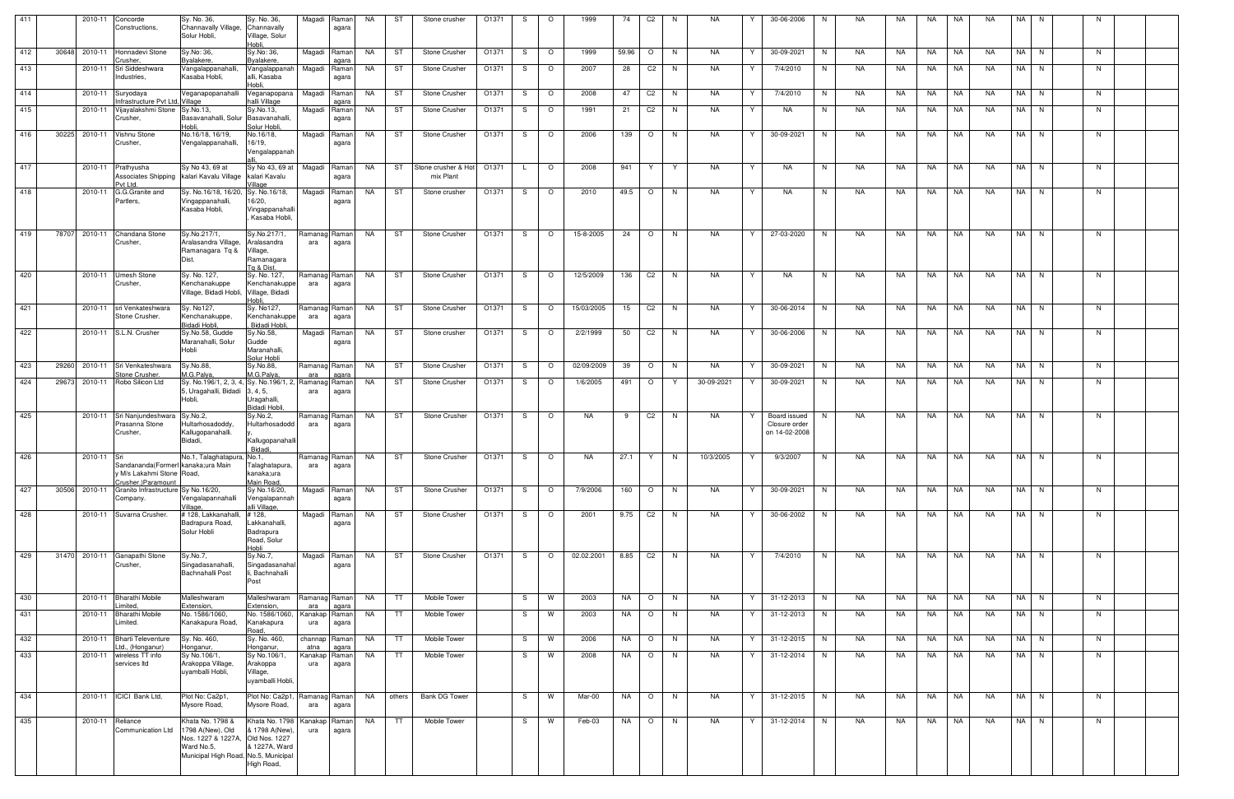| 411 |       | 2010-11         | Concorde<br>Constructions,                                                             | Sy. No. 36,<br>Channavally Village,<br>Solur Hobli,                                    | Sy. No. 36,<br>Channavally<br>Village, Solur      | Magadi                | Raman<br>agara                 | NA        | ST        | Stone crusher                    | O1371 | -S | $\circ$ | 1999       | 74      | C <sub>2</sub>           | -N | NA         |    | 30-06-2006                                     | N. | NA        | NA  | NA.       | NA        | NA.       | NA   | N.   |     |  |
|-----|-------|-----------------|----------------------------------------------------------------------------------------|----------------------------------------------------------------------------------------|---------------------------------------------------|-----------------------|--------------------------------|-----------|-----------|----------------------------------|-------|----|---------|------------|---------|--------------------------|----|------------|----|------------------------------------------------|----|-----------|-----|-----------|-----------|-----------|------|------|-----|--|
| 412 |       |                 | 30648 2010-11 Honnadevi Stone                                                          | Sy.No: 36,                                                                             | Hobli.<br>Sy.No: 36,                              |                       | Magadi Raman                   | NA        | ST        | Stone Crusher                    | O1371 | -S | $\circ$ | 1999       | 59.96   | $\circ$                  | N. | NA.        | Y  | 30-09-2021                                     | N  | NA        | NA. | NA        | NA        | NA.       |      | NA N | N   |  |
| 413 |       | 2010-11         | ;rusher<br>Sri Siddeshwara<br>Industries,                                              | Byalakere,<br>Vangalappanahalli<br>Kasaba Hobli,                                       | <b>Byalakere</b><br>Vangalappanah<br>alli, Kasaba | Magadi                | Raman<br>agara                 | NA .      | ST        | Stone Crusher                    | O1371 | -S | $\circ$ | 2007       | 28      | C <sub>2</sub>           | N. | NA         |    | 7/4/2010                                       | N  | NA        | NA  | NA        | NA        | NA.       |      | NA N | - N |  |
| 414 |       | 2010-11         | Suryodaya                                                                              | Veganapopanahall                                                                       | ldoH<br>Veganapopana                              | Magadi                | Raman                          | NA        | ST        | Stone Crusher                    | O1371 | S  | $\circ$ | 2008       | 47      | C <sub>2</sub>           | N. | NA         | Y  | 7/4/2010                                       | N  | NA        | NA. | NA        | NA        | <b>NA</b> |      | NA N | N   |  |
| 415 |       | 2010-11         | Infrastructure Pvt Ltd, Village<br>Vijayalakshmi Stone Sy.No.13,<br>Crusher,           | Basavanahalli, Solur Basavanahalli,                                                    | halli Village<br>Sy.No.13,                        |                       | agara<br>Magadi Raman<br>agara | NA        | ST        | <b>Stone Crusher</b>             | O1371 | -S | $\circ$ | 1991       | 21      | C <sub>2</sub>           | N. | NA         | Y  | NA                                             | N  | NA        | NA  | <b>NA</b> | NA        | <b>NA</b> |      | NA N | N   |  |
| 416 | 30225 | 2010-11         | Vishnu Stone                                                                           | Hobli.<br>No.16/18, 16/19,                                                             | Solur Hobli.<br>No.16/18,                         | Magadi                | Raman                          | NA.       | ST        | Stone Crusher                    | O1371 | -S | $\circ$ | 2006       | 139     | $\circ$                  | N  | NA         | Y  | 30-09-2021                                     | N  | NA.       | NA. | NA        | NA        | NA.       | NA I | N.   | N   |  |
|     |       |                 | Crusher,                                                                               | Vengalappanahalli,                                                                     | 16/19,<br>Vengalappanah                           |                       | agara                          |           |           |                                  |       |    |         |            |         |                          |    |            |    |                                                |    |           |     |           |           |           |      |      |     |  |
| 417 |       |                 | 2010-11 Prathyusha                                                                     | Sy No 43, 69 at<br>Associates Shipping kalari Kavalu Village kalari Kavalu             | Sy No 43, 69 at                                   | Magadi                | I Raman!<br>agara              | NA        | ST        | Stone crusher & Hot<br>mix Plant | O1371 |    | $\circ$ | 2008       | 941     | Y                        | Y  | NA         | Y  | NA                                             | N  | NA        | NA. | NA        | NA        | NA        |      | NA N | N   |  |
| 418 |       | 2010-11         | Pvt Ltd.<br>G.G.Granite and                                                            | Sy. No.16/18, 16/20,                                                                   | /illage<br>Sy. No.16/18,<br>16/20,                | Magadi                | Raman                          | NA        | ST        | Stone crusher                    | O1371 | -S | $\circ$ | 2010       | 49.5    | $\circ$                  | N  | NA         | Y  | NA                                             | N  | NA        | NA  | NA        | NA        | NA.       |      | NA N | N   |  |
|     |       |                 | Partlers,                                                                              | Vingappanahalli,<br>Kasaba Hobli,                                                      | Vingappanahalli<br>Kasaba Hobli,                  |                       | agara                          |           |           |                                  |       |    |         |            |         |                          |    |            |    |                                                |    |           |     |           |           |           |      |      |     |  |
| 419 | 78707 | 2010-11         | Chandana Stone<br>Crusher,                                                             | Sy.No.217/1,<br>Aralasandra Village,                                                   | Sy.No.217/1,<br>Aralasandra                       | Ramanag Raman<br>ara  | agara                          | NA        | ST        | Stone Crusher                    | O1371 | S  | $\circ$ | 15-8-2005  | 24      | $\circ$                  | N  | NA.        | Y  | 27-03-2020                                     | N  | <b>NA</b> | NA  | NA        | NA        | <b>NA</b> |      | NA N | N   |  |
|     |       |                 |                                                                                        | Ramanagara Tq &<br>Dist.                                                               | Village,<br>Ramanagara                            |                       |                                |           |           |                                  |       |    |         |            |         |                          |    |            |    |                                                |    |           |     |           |           |           |      |      |     |  |
| 420 |       |                 | 2010-11 Umesh Stone                                                                    | Sy. No. 127,<br>Kenchanakuppe                                                          | Tg & Dist.<br>Sy. No. 127,                        | Ramanag Raman         |                                | NA.       | ST        | Stone Crusher                    | O1371 | S. | $\circ$ | 12/5/2009  | 136     | $\overline{C2}$          | N. | NA         | Y  | NA                                             | N  | NA.       | NA. | <b>NA</b> | NA        | NA.       |      | NA N | N.  |  |
|     |       |                 | Crusher,                                                                               | Village, Bidadi Hobli, Village, Bidadi                                                 | Kenchanakuppe<br>Hobli                            | ara                   | agara                          |           |           |                                  |       |    |         |            |         |                          |    |            |    |                                                |    |           |     |           |           |           |      |      |     |  |
| 421 |       |                 | 2010-11 sri Venkateshwara<br>Stone Crusher.                                            | Sy. No127,<br>Kenchanakuppe,<br><b>Bidadi Hobli</b>                                    | Sy. No127,<br>Kenchanakuppe<br>Bidadi Hobli,      | Ramanag Raman<br>ara  | agara                          | NA        | ST        | <b>Stone Crusher</b>             | O1371 | S. | $\circ$ | 15/03/2005 | 15      | C <sub>2</sub>           | N. | NA         | Y  | 30-06-2014                                     | N  | NA.       | NA  | <b>NA</b> | NA        | NA.       |      | NA N | N   |  |
| 422 |       |                 | 2010-11 S.L.N. Crusher                                                                 | Sy.No.58, Gudde<br>Maranahalli, Solur<br>Hobli                                         | Sy.No.58,<br>Gudde<br>Maranahalli,                | Magadi                | Raman<br>agara                 | NA        | ST        | Stone crusher                    | O1371 | S. | $\circ$ | 2/2/1999   | 50      | C <sub>2</sub>           | N. | NA.        | Y  | 30-06-2006                                     | N  | NA.       | NA  | NA        | NA        | NA.       |      | NA N | N   |  |
| 423 | 29260 | 2010-11         | Sri Venkateshwara                                                                      | Sy.No.88,                                                                              | Solur Hobli<br>Sy.No.88,                          | Ramanag Raman         |                                | NA        | ST        | Stone Crusher                    | O1371 | S  | $\circ$ | 02/09/2009 | 39      | $\circ$                  | N  | NA         | Y  | 30-09-2021                                     | N  | NA        | NA  | <b>NA</b> | NA        | <b>NA</b> |      | NA N | N   |  |
| 424 | 29673 |                 | <b>Stone Crusher</b><br>2010-11 Robo Silicon Ltd                                       | M.G.Palya,<br>Sy. No.196/1, 2, 3, 4, Sy. No.196/1, 2, Ramanag Raman                    | M.G.Palya                                         | ara                   | agara                          | NA        | ST        | Stone Crusher                    | O1371 | -S | $\circ$ | 1/6/2005   | 491     | $\circ$                  | Y  | 30-09-2021 |    | 30-09-2021                                     | N. | NA.       | NA  | NA        | NA        | NA.       |      | NA N | N.  |  |
|     |       |                 |                                                                                        | 5, Uragahalli, Bidadi 3, 4, 5,<br>Hobli,                                               | Uragahalli,<br>Bidadi Hobli.                      | ara                   | agara                          |           |           |                                  |       |    |         |            |         |                          |    |            |    |                                                |    |           |     |           |           |           |      |      |     |  |
| 425 |       |                 | 2010-11 Sri Nanjundeshwara<br>Prasanna Stone<br>Crusher,                               | Sy.No.2,<br>Hultarhosadoddy,<br>Kallugopanahalli.                                      | Sy.No.2,<br>Hultarhosadodd                        | Ramanag Raman<br>ara  | agara                          | NA        | ST        | Stone Crusher                    | O1371 | S. | $\circ$ | <b>NA</b>  | 9       | C <sub>2</sub>           | N  | NA.        | Y  | Board issued<br>Closure order<br>on 14-02-2008 | N. | <b>NA</b> | NA  | NA        | NA        | <b>NA</b> |      | NA N | N   |  |
|     |       |                 |                                                                                        | Bidadi,                                                                                | Kallugopanahalli<br>Bidadi,                       |                       |                                |           |           |                                  |       |    |         |            |         |                          |    |            |    |                                                |    |           |     |           |           |           |      |      |     |  |
| 426 |       | $2010 - 11$ Sri | Sandananda (Formerl kanaka;ura Main<br>y M/s Lakahmi Stone Road,<br>Crusher.)Paramount | No.1, Talaghatapura, No.1,                                                             | Talaghatapura,<br>kanaka;ura<br>Main Road,        | Ramanag Raman<br>ara  | agara                          | NA        | ST        | Stone Crusher                    | O1371 | S. | $\circ$ | NA         | 27.1    | Y                        | N. | 10/3/2005  | Y  | 9/3/2007                                       | N  | NA.       | NA  | NA        | NA        | NA        |      | NA N | N   |  |
| 427 |       | 30506 2010-11   | Granito Infrastructure Sy No.16/20,<br>Company.                                        | Vengalapannahalli                                                                      | Sy No.16/20,<br>Vengalapannah                     | Magadi Raman          | agara                          | NA        | ST        | Stone Crusher                    | O1371 | S. | $\circ$ | 7/9/2006   | 160     | $\overline{\phantom{0}}$ | N  | NA         | YI | 30-09-2021                                     | N  | NA.       | NA  | NA        | NA        | <b>NA</b> |      | NA N | N   |  |
| 428 |       |                 | 2010-11 Suvarna Crusher.                                                               | Village,<br># 128, Lakkanahalli,<br>Badrapura Road,                                    | alli Village,<br>#128,<br>Lakkanahalli,           |                       | Magadi Raman<br>agara          | NA        | ST        | Stone Crusher                    | O1371 | S. | $\circ$ | 2001       | 9.75 C2 |                          | N  | NA         | Y  | 30-06-2002                                     | N  | <b>NA</b> | NA  | <b>NA</b> | NA        | <b>NA</b> |      | NA N | N   |  |
|     |       |                 |                                                                                        | Solur Hobli                                                                            | Badrapura<br>Road, Solur<br>Hobli                 |                       |                                |           |           |                                  |       |    |         |            |         |                          |    |            |    |                                                |    |           |     |           |           |           |      |      |     |  |
| 429 |       | 31470 2010-11   | Ganapathi Stone<br>Crusher,                                                            | Sy.No.7,<br>Singadasanahalli,<br><b>Bachnahalli Post</b>                               | Sy.No.7,<br>Singadasanahal<br>i, Bachnahalli      | Magadi                | Raman<br>agara                 | NA        | ST        | Stone Crusher                    | O1371 | S. | $\circ$ | 02.02.2001 |         | $8.85$ C <sub>2</sub>    | N  | NA         | Y  | 7/4/2010                                       | N  | <b>NA</b> | NA  | NA.       | NA        | <b>NA</b> |      | NA N | N   |  |
|     |       |                 |                                                                                        |                                                                                        | Post                                              |                       |                                |           |           |                                  |       |    |         |            |         |                          |    |            |    |                                                |    |           |     |           |           |           |      |      |     |  |
| 430 |       |                 | 2010-11 Bharathi Mobile<br>.imited,                                                    | Malleshwaram<br>Extension,                                                             | Malleshwaram<br>Extension,                        | Ramanag Raman<br>ara  | agara                          | NA        | TT        | Mobile Tower                     |       | S  | W       | 2003       | NA      | $\overline{O}$           | N  | NA         | Y  | 31-12-2013                                     | N  | NA        | NA  | NA 1      | <b>NA</b> | <b>NA</b> |      | NA N | N   |  |
| 431 |       | 2010-11         | <b>Bharathi Mobile</b><br>Limited.                                                     | No. 1586/1060,<br>Kanakapura Road,                                                     | No. 1586/1060,<br>Kanakapura<br>Road,             | Kanakap Raman<br>ura  | agara                          | <b>NA</b> | TT        | Mobile Tower                     |       | S. | W       | 2003       | NA      | $\circ$                  | N, | <b>NA</b>  | Y  | 31-12-2013                                     | N  | NA        | NA  | <b>NA</b> | NA        | NA        |      | NA N | N   |  |
| 432 |       |                 | 2010-11 Bharti Televenture<br>Ltd., (Honganur)                                         | Sy. No. 460,<br>Honganur,                                                              | Sy. No. 460,<br>Honganur,                         | channap Raman<br>atna | agara                          | NA        | <b>TT</b> | Mobile Tower                     |       | S  | W       | 2006       | NA 1    | $\overline{\circ}$       | N  | NA         | Y  | 31-12-2015                                     | N  | NA        | NA  |           | NA NA     | <b>NA</b> |      | NA N | N   |  |
| 433 |       |                 | 2010-11 wireless TT info<br>services Itd                                               | Sy No.106/1,<br>Arakoppa Village,                                                      | Sy No.106/1,<br>Arakoppa                          | Kanakap Raman<br>ura  | agara                          | NA        | TT.       | Mobile Tower                     |       | -S | W       | 2008       | NA      | $\circ$                  | N. | NA         | Y  | 31-12-2014                                     | N  | NA        | NA  | NA        | NA        | NA        |      | NA N | N.  |  |
|     |       |                 |                                                                                        | uyamballi Hobli,                                                                       | Village,<br>uyamballi Hobli,                      |                       |                                |           |           |                                  |       |    |         |            |         |                          |    |            |    |                                                |    |           |     |           |           |           |      |      |     |  |
| 434 |       |                 | 2010-11   ICICI Bank Ltd,                                                              | Plot No: Ca2p1,<br>Mysore Road,                                                        | Plot No: Ca2p1,<br>Mysore Road,                   | Ramanag Raman<br>ara  | agara                          | NA        |           | others Bank DG Tower             |       | S  | W       | Mar-00     | NA      | $\circ$                  | N  | NA         | Y  | 31-12-2015                                     | N  | NA        | NA  | NA        | NA        | NA        |      | NA N | N   |  |
| 435 |       |                 | 2010-11 Reliance<br><b>Communication Ltd</b>                                           | Khata No. 1798 &<br>1798 A(New), Old                                                   | Khata No. 1798<br>& 1798 A(New),                  | Kanakap<br>ura        | Raman<br>agara                 | <b>NA</b> | TT.       | Mobile Tower                     |       | S. | W       | Feb-03     | NA      | $\circ$                  | N  | NA         | Y  | 31-12-2014                                     | N  | NA        | NA  | NA        | NA        | <b>NA</b> |      | NA N | N   |  |
|     |       |                 |                                                                                        | Nos. 1227 & 1227A, Old Nos. 1227<br>Ward No.5,<br>Municipal High Road, No.5, Municipal | & 1227A, Ward                                     |                       |                                |           |           |                                  |       |    |         |            |         |                          |    |            |    |                                                |    |           |     |           |           |           |      |      |     |  |
|     |       |                 |                                                                                        |                                                                                        | High Road,                                        |                       |                                |           |           |                                  |       |    |         |            |         |                          |    |            |    |                                                |    |           |     |           |           |           |      |      |     |  |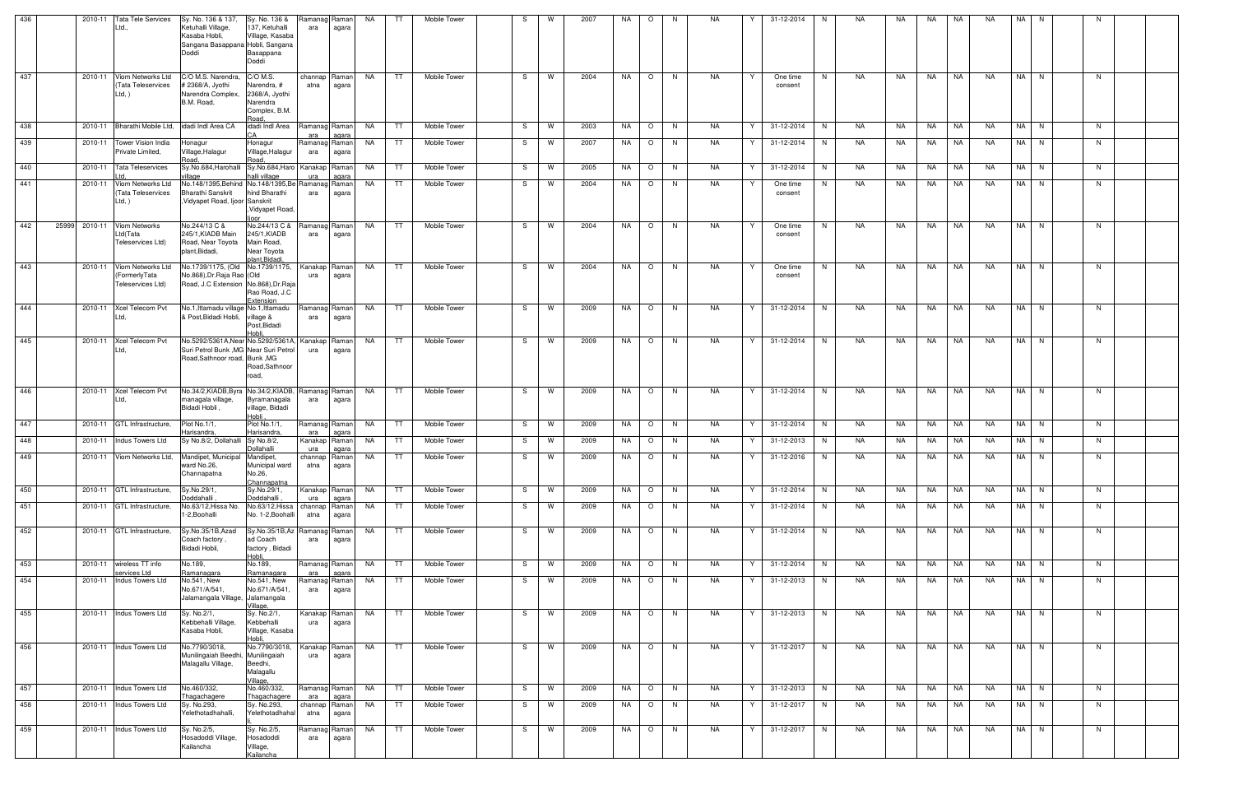| 436 |                  | 2010-11 Tata Tele Services<br>Ltd.,                             | Sy. No. 136 & 137,<br>Ketuhalli Village,<br>Kasaba Hobli,<br>Sangana Basappana Hobli, Sangana<br>Doddi               | Sy. No. 136 &<br>137, Ketuhalli<br>Village, Kasaba<br>Basappana<br>Doddi        | Ramanag<br>ara       | Raman<br>agara          | NA        | TT   | Mobile Tower        | -S | W | 2007 | NA. | $\circ$ | - N | NA        | 31-12-2014<br>Y          | N. | NA | NA  | NA        | NA        | NA        | NA I     | N. |    |  |
|-----|------------------|-----------------------------------------------------------------|----------------------------------------------------------------------------------------------------------------------|---------------------------------------------------------------------------------|----------------------|-------------------------|-----------|------|---------------------|----|---|------|-----|---------|-----|-----------|--------------------------|----|----|-----|-----------|-----------|-----------|----------|----|----|--|
| 437 |                  | 2010-11 Viom Networks Ltd<br>(Tata Teleservices<br>Ltd, )       | C/O M.S. Narendra,<br># 2368/A, Jyothi<br>Narendra Complex,<br>B.M. Road,                                            | C/O M.S.<br>Narendra, #<br>2368/A, Jyothi<br>Narendra<br>Complex, B.M.<br>Road. | channap<br>atna      | Raman<br>agara          | NA        | TT   | Mobile Tower        | S. | W | 2004 | NA  | $\circ$ | N.  | NA        | One time<br>consent      | N  | NA | NA  | NA        | NA        | <b>NA</b> | NA N     |    | N  |  |
| 438 |                  | 2010-11 Bharathi Mobile Ltd, idadi Indi Area CA                 |                                                                                                                      | idadi Indl Area                                                                 | Ramanag Raman<br>ara | aɑara                   | NA        | TT   | Mobile Tower        | S  | W | 2003 | NA  | $\circ$ | N   | NA        | Y<br>31-12-2014          | N  | NA | NA  | NA        | NA        | NA        | NA N     |    | N. |  |
| 439 |                  | 2010-11 Tower Vision India<br>Private Limited,                  | Honagur<br>Village,Halagur<br>Road                                                                                   | Honagur<br>Village, Halagur<br>Road.                                            | Ramanag<br>ara       | Raman<br>agara          | NA        | TT   | Mobile Tower        | S. | W | 2007 | NA  | $\circ$ | N   | NA        | 31-12-2014               | N. | NA | NA  | NA        | NA        | NA        | NA N     |    | N. |  |
| 440 |                  | 2010-11 Tata Teleservices                                       | Sy.No.684, Harohalli Sy.No.684, Haro<br>rillage                                                                      | halli village                                                                   | Kanakap<br>ura       | Raman<br>agara          | NA        | TT   | Mobile Tower        | S. | W | 2005 | NA  | $\circ$ | N.  | NA        | 31-12-2014               | N. | NA | NA  | NA        | NA        | NA        | NA N     |    | N. |  |
| 441 |                  | 2010-11 Viom Networks Ltd<br>(Tata Teleservices<br>Ltd, )       | No.148/1395, Behind No.148/1395, Be Ramana<br>Bharathi Sanskrit<br>Vidyapet Road, Ijoor Sanskrit                     | hind Bharathi<br>, Vidyapet Road,<br>ioor                                       | ara                  | Raman<br>agara          | NA        | TT.  | Mobile Tower        | -S | W | 2004 | NA  | $\circ$ | N.  | NA        | One time<br>consent      | N. | NA | NA  | NA        | NA        | NA        | NA I     | N  | N. |  |
| 442 | 25999<br>2010-11 | Viom Networks<br>Ltd(Tata<br>Teleservices Ltd)                  | No.244/13 C &<br>245/1, KIADB Main<br>Road, Near Toyota<br>plant, Bidadi,                                            | No.244/13 C &<br>245/1, KIADB<br>Main Road,<br>Near Toyota<br>plant, Bidadi,    | Ramanag<br>ara       | Raman  <br>agara        | NA        | TT.  | Mobile Tower        | S. | W | 2004 | NA  | $\circ$ | N   | NA        | Y<br>One time<br>consent | N. | NA | NA  | NA        | NA        | NA.       | NA N     |    | N. |  |
| 443 |                  | 2010-11 Viom Networks Ltd<br>(FormerlyTata<br>Teleservices Ltd) | No.1739/1175, (Old No.1739/1175,<br>No.868), Dr. Raja Rao (Old<br>Road, J.C Extension No.868), Dr.Raja               | Rao Road, J.C<br>Extension                                                      | Kanakap<br>ura       | Raman<br>agara          | NA        | TT   | <b>Mobile Tower</b> | S. | W | 2004 | NA  | $\circ$ | N.  | NA        | Y<br>One time<br>consent | N. | NA | NA  | NA        | <b>NA</b> | NA        | NA N     |    | N. |  |
| 444 |                  | 2010-11 Xcel Telecom Pvt<br>Ltd.                                | No.1, Ittamadu village No.1, Ittamadu<br>& Post, Bidadi Hobli,                                                       | village &<br>Post, Bidadi<br>Hobli.                                             | Ramanag<br>ara       | Raman<br>agara          | NA .      | TT . | Mobile Tower        | S. | W | 2009 | NA  | $\circ$ | N   | NA        | Y<br>31-12-2014          | N. | NA | NA  | NA        | NA        | NA        | NA N     |    | N  |  |
| 445 |                  | 2010-11 Xcel Telecom Pvt<br>Ltd,                                | No.5292/5361A, Near No.5292/5361A, Kanakap<br>Suri Petrol Bunk, MG Near Suri Petrol<br>Road, Sathnoor road, Bunk, MG | Road, Sathnoor<br>road,                                                         | ura                  | Ramanl<br>agara         | NA        | TT   | Mobile Tower        | S. | W | 2009 | NA  | $\circ$ | N   | NA.       | 31-12-2014<br>Y          | N. | NA | NA  | NA        | NA        | NA        | NA I     | N  | N. |  |
| 446 |                  | 2010-11 Xcel Telecom Pvt<br>Ltd,                                | No.34/2,KIADB,Byra No.34/2,KIADB,<br>managala village,<br>Bidadi Hobli,                                              | Byramanagala<br>village, Bidadi<br>Hobli                                        | Ramanag<br>ara       | Raman<br>agara          | NA        | TT.  | Mobile Tower        | S  | W | 2009 | NA  | $\circ$ | N.  | NA        | Y<br>31-12-2014          | N. | NA | NA  | NA        | NA        | <b>NA</b> | NA N     |    | N  |  |
| 447 |                  | 2010-11 GTL Infrastructure,                                     | Plot No.1/1,<br>Harisandra.                                                                                          | Plot No.1/1,<br>Harisandra                                                      | Ramanag<br>ara       | Raman<br>agara          | NA        | TT   | Mobile Tower        | S  | W | 2009 | NA  | $\circ$ | N.  | NA        | 31-12-2014<br>Y          | N  | NA | NA  | NA        | NA        | NA        | NA N     |    | N. |  |
| 448 |                  | 2010-11 Indus Towers Ltd                                        | Sy No.8/2, Dollahalli Sy No.8/2,                                                                                     | Dollahalli                                                                      | Kanakap Raman<br>ura | agara                   | NA        | TT   | Mobile Tower        | S  | W | 2009 | NA  | $\circ$ | N.  | NA        | 31-12-2013<br>Y          | N  | NA | NA  | NA        | NA        | NA        | NA N     |    | N. |  |
| 449 |                  |                                                                 | 2010-11 Viom Networks Ltd, Mandipet, Municipal Mandipet,<br>ward No.26,<br>Channapatna                               | Municipal ward<br>No.26,<br>Channapatna                                         | channap<br>atna      | Raman <br>anara<br>ayu. | NA        | TT   | Mobile Tower        | S. | W | 2009 | NA  | $\circ$ | N.  | NA        | 31-12-2016<br>Y          | N. | NA | NA  | NA        | NA        | NA        | NA I     | N. | N. |  |
| 450 |                  | 2010-11 GTL Infrastructure,                                     | Sy.No.29/1,<br>Doddahalli                                                                                            | Sy.No.29/1,<br>Doddahalli                                                       | Kanakap Raman<br>ura | agara                   | <b>NA</b> | TT   | Mobile Tower        | S. | W | 2009 | NA  | $\circ$ | N   | NA        | 31-12-2014<br>Y          | N  | NA | NA  | NA        | NA        | NA        | $NA$ $N$ |    | N. |  |
| 451 |                  | 2010-11 GTL Infrastructure,                                     | No.63/12, Hissa No.<br>1-2, Boohalli                                                                                 | No.63/12, Hissa<br>No. 1-2, Boohall                                             | channap<br>atna      | Raman<br>agara          | NA        | TT   | Mobile Tower        | S  | W | 2009 | NA  | $\circ$ | N.  | NA        | 31-12-2014<br>Y          | N. | NA | NA  | NA        | NA        | NA        | NA N     |    | N. |  |
| 452 |                  | 2010-11 GTL Infrastructure,                                     | Sy.No.35/1B,Azad<br>Coach factory,<br>Bidadi Hobli,                                                                  | Sy.No.35/1B,Az Ramanag<br>ad Coach<br>factory, Bidadi<br>Hobli.                 | ara                  | Raman<br>agara          | NA        | TT   | Mobile Tower        | S  | W | 2009 | NA  | $\circ$ | N   | <b>NA</b> | Y<br>31-12-2014          | N  | NA | NA  | <b>NA</b> | <b>NA</b> | <b>NA</b> | NA N     |    | N. |  |
| 453 |                  | 2010-11 wireless TT info<br>services Ltd                        | No.189,<br>Ramanagara                                                                                                | No.189,<br>Ramanagara                                                           | Ramanag Raman<br>ara | agara                   | NA        | TT   | Mobile Tower        | S. | W | 2009 | NA  | $\circ$ | N.  | NA.       | Y<br>31-12-2014          | N  | NA | NA  | NA        | <b>NA</b> | <b>NA</b> | NA N     |    | N. |  |
| 454 |                  | 2010-11 Indus Towers Ltd                                        | No.541, New<br>No.671/A/541,<br>Jalamangala Village, Jalamangala                                                     | No.541, New<br>No.671/A/541<br>Village,                                         | Ramanaq<br>ara       | Raman<br>agara          | NA .      | TT   | Mobile Tower        | S. | W | 2009 | NA  | $\circ$ | N   | NA        | 31-12-2013<br>Y          | N  | NA | NA  | NA        | NA        | NA        | NA N     |    | N. |  |
| 455 |                  | 2010-11 Indus Towers Ltd                                        | Sy. No.2/1,<br>Kebbehalli Village,<br>Kasaba Hobli.                                                                  | Sy. No.2/1,<br>Kebbehalli<br>Village, Kasaba<br>Hobli.                          | Kanakap<br>ura       | Ramanl<br>agara         | NA        | TT   | Mobile Tower        | S. | W | 2009 | NA  | $\circ$ | N.  | NA.       | Y<br>31-12-2013          | N. | NA | NA. | <b>NA</b> | NA        | <b>NA</b> | NA I     | N  | N. |  |
| 456 |                  | 2010-11 Indus Towers Ltd                                        | No.7790/3018,<br>Munilingaiah Beedhi, Munilingaiah<br>Malagallu Village,                                             | No.7790/3018,<br>Beedhi,<br>Malagallu<br>Village,                               | Kanakap<br>ura       | Raman<br>agara          | NA        | TT   | Mobile Tower        | S  | W | 2009 | NA  | $\circ$ | N   | NA.       | Y<br>31-12-2017          | N  | NA | NA  | <b>NA</b> | NA        | <b>NA</b> | NA N     |    | N  |  |
| 457 |                  | 2010-11   Indus Towers Ltd                                      | No.460/332,<br>Thagachagere                                                                                          | No.460/332,<br>Thagachagere                                                     | Ramanag<br>ara       | Raman<br>agara          | NA        | TT   | Mobile Tower        | S  | W | 2009 | NA  | $\circ$ | N.  | NA        | 31-12-2013<br>Y          | N  | NA | NA  | NA        | NA        | <b>NA</b> | NA N     |    | N. |  |
| 458 |                  | 2010-11 Indus Towers Ltd                                        | Sy. No.293,<br>Yelethotadhahalli,                                                                                    | Sy. No.293,<br>Yelethotadhahal                                                  | channap<br>atna      | Raman<br>agara          | <b>NA</b> | TT   | Mobile Tower        | S. | W | 2009 | NA  | $\circ$ | N.  | NA        | 31-12-2017<br>Y          | N  | NA | NA  | NA        | NA        | NA        | NA N     |    | N. |  |
| 459 |                  | 2010-11 Indus Towers Ltd                                        | Sy. No.2/5,<br>Hosadoddi Village,<br>Kailancha                                                                       | Sy. No.2/5,<br>Hosadoddi<br>Village,<br>Kailancha                               | Ramanac<br>ara       | Raman<br>agara          | NA .      | TT   | Mobile Tower        | S. | W | 2009 | NA  | $\circ$ | N.  | NA        | 31-12-2017<br>Y          | N. | NA | NA  | NA        | NA        | NA        | NA N     |    | N. |  |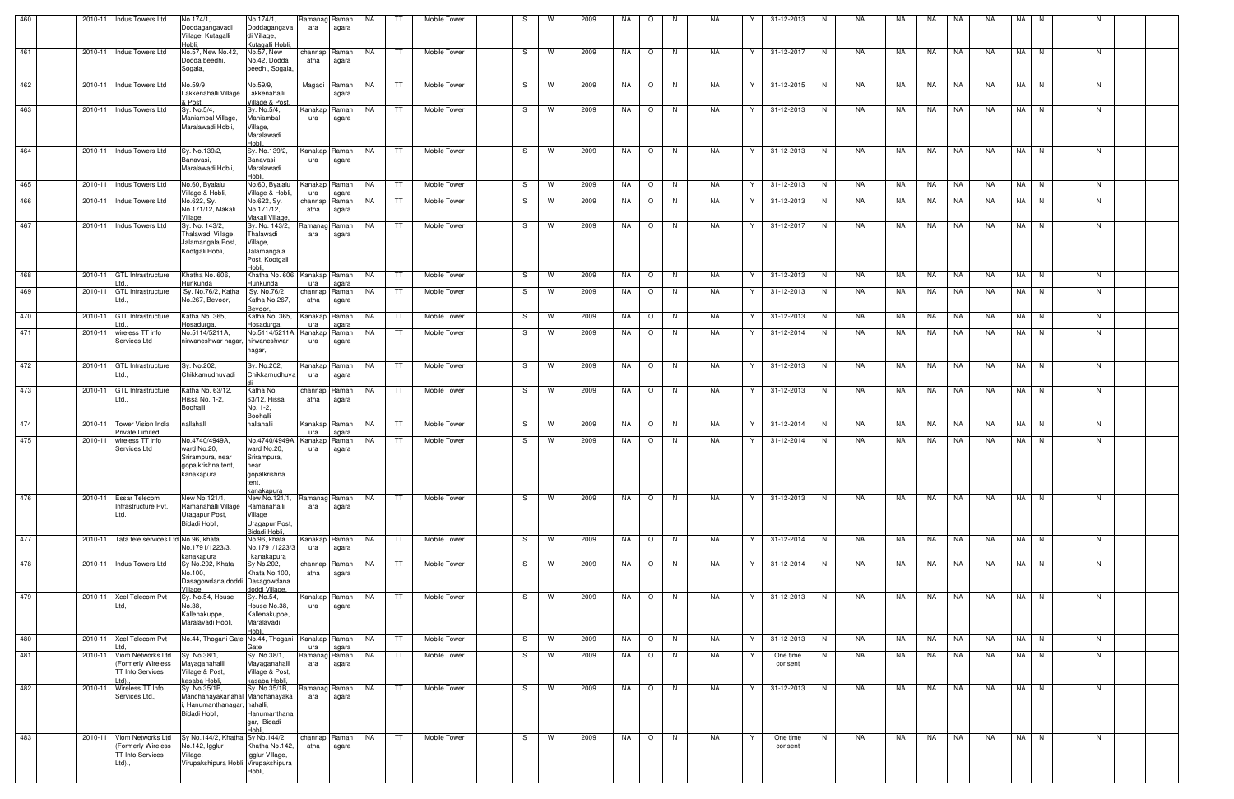| 460 |         | 2010-11 Indus Towers Ltd                                                     | No.174/1,<br>Doddagangavadi<br>Village, Kutagalli<br>Hobli.                                            | No.174/1,<br>Doddagangava<br>di Village,<br>Kutagalli Hobli.                       | Ramanag Raman<br>ara  | agara          | NA        | TT. | Mobile Tower |    | W        | 2009 | NA | $\circ$ | -N             | NA.       |   | 31-12-2013          | N. | NA | NA  | NA.  | NA        | NA.       | NA.  |      | N  |  |
|-----|---------|------------------------------------------------------------------------------|--------------------------------------------------------------------------------------------------------|------------------------------------------------------------------------------------|-----------------------|----------------|-----------|-----|--------------|----|----------|------|----|---------|----------------|-----------|---|---------------------|----|----|-----|------|-----------|-----------|------|------|----|--|
| 461 |         | 2010-11 Indus Towers Ltd                                                     | No.57, New No.42,<br>Dodda beedhi,<br>Sogala,                                                          | No.57, New<br>No.42, Dodda<br>beedhi, Sogala,                                      | channap Raman<br>atna | agara          | NA        | TT. | Mobile Tower | S. | <b>W</b> | 2009 | NA | $\circ$ | <b>N</b>       | NA        | Y | 31-12-2017          | N  | NA | NA  | NA   | NA        | NA        |      | NA N | N. |  |
| 462 |         | 2010-11 Indus Towers Ltd                                                     | No.59/9,<br>Lakkenahalli Village<br>& Post.                                                            | No.59/9,<br>Lakkenahalli<br>Village & Post,                                        | Magadi Raman          | agara          | NA        | TT. | Mobile Tower | S  | W        | 2009 | NA | $\circ$ | N <sub>N</sub> | NA        | Y | 31-12-2015          | N. | NA | NA  | NA   | NA        | NA.       | NA I | N.   | N. |  |
| 463 |         | 2010-11   Indus Towers Ltd                                                   | Sy. No.5/4,<br>Maniambal Village,<br>Maralawadi Hobli,                                                 | Sy. No.5/4,<br>Maniambal<br>Village,<br>Maralawadi<br>Hobli.                       | Kanakap<br>ura        | Raman<br>agara | NA        | TT. | Mobile Tower | S  | W        | 2009 | NA | $\circ$ | N <sub>N</sub> | <b>NA</b> | Y | 31-12-2013          | N. | NA | NA  | NA   | NA        | NA.       |      | NA N | N. |  |
| 464 | 2010-11 | Indus Towers Ltd                                                             | Sy. No.139/2,<br>Banavasi.<br>Maralawadi Hobli,                                                        | Sy. No.139/2,<br>Banavasi,<br>Maralawadi<br>Hobli.                                 | Kanakap<br>ura        | Raman<br>agara | NA        | TT. | Mobile Tower | S. | W        | 2009 | NA | $\circ$ | <b>N</b>       | <b>NA</b> | Y | 31-12-2013          | N. | NA | NA  | NA   | NA        | NA        |      | NA N | N  |  |
| 465 | 2010-11 | Indus Towers Ltd                                                             | No.60, Byalalu<br>Village & Hobli,                                                                     | No.60, Byalalu<br>Village & Hobli,                                                 | Kanakap Raman<br>ura  | agara          | NA        | TT  | Mobile Tower | S. | W        | 2009 | NA | $\circ$ | N <sub>N</sub> | NA        | Y | 31-12-2013          | N. | NA | NA  | NA   | NA        | NA        |      | NA N | N  |  |
| 466 | 2010-11 | <b>Indus Towers Ltd</b>                                                      | No.622, Sy.<br>No.171/12, Makali<br>/illage,                                                           | No.622, Sy.<br>No.171/12,<br>Makali Village                                        | channap Raman<br>atna | agara          | NA        | TT. | Mobile Tower | S. | W        | 2009 | NA | $\circ$ | N              | NA        | Y | 31-12-2013          | N  | NA | NA  | NA   | NA        | NA        |      | NA N | N  |  |
| 467 | 2010-11 | Indus Towers Ltd                                                             | Sy. No. 143/2.<br>Thalawadi Village,<br>Jalamangala Post,<br>Kootgali Hobli,                           | Sy. No. 143/2,<br>Thalawadi<br>Village,<br>Jalamangala<br>Post, Kootgali<br>Hobli  | Ramanag Raman<br>ara  | agara          | NA        | TT. | Mobile Tower | S  | W        | 2009 | NA | $\circ$ | <b>N</b>       | NA.       | Y | 31-12-2017          | N  | NA | NA. | NA.  | NA        | NA.       |      | NA N | N  |  |
| 468 | 2010-11 | <b>GTL Infrastructure</b>                                                    | Khatha No. 606,<br>Hunkunda                                                                            | Khatha No. 606, Kanakap   Raman  <br>Hunkunda                                      | ura                   | agara          | NA        | TT. | Mobile Tower | S. | W        | 2009 | NA | $\circ$ | N.             | NA        | Y | 31-12-2013          | N. | NA | NA  | NA   | NA        | NA        |      | NA N | N  |  |
| 469 | 2010-11 | <b>GTL Infrastructure</b><br>.td.                                            | Sy. No.76/2, Katha<br>No.267, Bevoor,                                                                  | Sy. No.76/2,<br>Katha No.267,<br>Bevoor,                                           | channap Raman<br>atna | agara          | NA        | TT. | Mobile Tower | S  | W        | 2009 | NA | $\circ$ | N              | NA        | Y | 31-12-2013          | N  | NA | NA  | NA   | NA        | NA.       |      | NA N | N  |  |
| 470 | 2010-11 | <b>GTL</b> Infrastructure                                                    | Katha No. 365,<br>-losadurga,                                                                          | Katha No. 365,<br><u>-losadurga</u>                                                | Kanakap Raman<br>ura  | agara          | NA        | TT  | Mobile Tower | S  | W        | 2009 | NA | $\circ$ | N.             | NA        | Y | 31-12-2013          | N. | NA | NA. | NA   | NA        | NA.       |      | NA N | N  |  |
| 471 | 2010-11 | wireless TT info<br>Services Ltd                                             | No.5114/5211A,<br>nirwaneshwar nagar,                                                                  | No.5114/5211A, Kanakap<br>nirwaneshwar<br>nagar,                                   | ura                   | Raman<br>agara | NA        | TT. | Mobile Tower | S  | W        | 2009 | NA | $\circ$ | N,             | NA.       | Y | 31-12-2014          | N  | NA | NA  | NA   | NA        | NA.       | NA I | N    | N. |  |
| 472 | 2010-11 | <b>GTL</b> Infrastructure<br>.td.,                                           | Sv. No.202,<br>Chikkamudhuvadi                                                                         | Sy. No.202,<br>Chikkamudhuva                                                       | Kanakap<br>ura        | Raman<br>agara | NA        | TT  | Mobile Tower | S. | W        | 2009 | NA | $\circ$ | N.             | NA        | Y | 31-12-2013          | N. | NA | NA  | NA   | NA        | NA        |      | NA N | N  |  |
| 473 | 2010-11 | <b>GTL Infrastructure</b><br>.td.,                                           | Katha No. 63/12,<br>Hissa No. 1-2,<br>Boohalli                                                         | Katha No.<br>63/12, Hissa<br>No. 1-2,<br>Boohalli                                  | channap<br>atna       | Raman<br>agara | NA        | TT  | Mobile Tower | S. | W        | 2009 | NA | $\circ$ | N.             | NA        | Y | 31-12-2013          | N. | NA | NA  | NA   | NA        | NA        | NA I | N.   | N. |  |
| 474 | 2010-11 | Tower Vision India<br>Private Limited                                        | nallahalli                                                                                             | nallahalli                                                                         | Kanakap<br>ura        | Raman<br>agara | NA        | TT. | Mobile Tower | S  | W        | 2009 | NA | $\circ$ | N.             | NA        | Y | 31-12-2014          | N. | NA | NA  | NA   | NA        | NA        | NA I | N.   | N. |  |
| 475 | 2010-11 | wireless TT info<br>Services Ltd                                             | No.4740/4949A,<br>ward No.20,<br>Srirampura, near<br>gopalkrishna tent,<br>kanakapura                  | No.4740/4949A,<br>ward No.20,<br>Srirampura,<br>near<br>gopalkrishna<br>sanakanura | Kanakap<br>ura        | Raman<br>agara | NA.       | TT  | Mobile Tower | S. | W        | 2009 | NA | $\circ$ | N,             | NA        |   | 31-12-2014          | N  | NA | NA. | NA   | NA        | NA        | NA I | N.   | N  |  |
| 476 | 2010-11 | <b>Essar Telecom</b><br>nfrastructure Pvt.<br>.td.                           | New No.121/1,<br>Ramanahalli Village<br>Uragapur Post,<br>Bidadi Hobli,                                | New No.121/1,<br>Ramanahalli<br>/illage<br>Uragapur Post,<br>Bidadi Hobli,         | Ramanag Raman<br>ara  | agara          | NA        | TT  | Mobile Tower | S. | W        | 2009 | NA | $\circ$ | N              | <b>NA</b> | Y | 31-12-2013          | N  | NA | NA  | NA . | <b>NA</b> | NA.       |      | NA N | N  |  |
| 477 | 2010-11 | Tata tele services Ltd No.96, khata                                          | No.1791/1223/3,<br>kanakapura                                                                          | No.96, khata<br>No.1791/1223/3<br>, kanakapura                                     | Kanakap Raman<br>ura  | agara          | NA        | TT  | Mobile Tower | S  | W        | 2009 | NA | $\circ$ | N.             | NA        | Y | 31-12-2014          | N  | NA | NA  | NA   | NA        | NA        |      | NA N | N. |  |
| 478 | 2010-11 | Indus Towers Ltd                                                             | Sy No.202, Khata<br>No.100,<br>Dasagowdana doddi Dasagowdana<br>'illage                                | Sy No.202,<br>Khata No.100,<br>doddi Village,                                      | channap Raman<br>atna | agara          | NA        | TT  | Mobile Tower | S  | W        | 2009 | NA | $\circ$ | N.             | NA        | Y | 31-12-2014          | N. | NA | NA. | NA   | <b>NA</b> | NA.       |      | NA N | N  |  |
| 479 | 2010-11 | <b>Xcel Telecom Pvt</b><br>.td                                               | Sy. No.54, House<br>No.38,<br>Kallenakuppe,<br>Maralavadi Hobli,                                       | Sy. No.54,<br>House No.38,<br>Kallenakuppe,<br>Maralavadi                          | Kanakap<br>ura        | Raman<br>agara | <b>NA</b> | TT  | Mobile Tower | S  | W        | 2009 | NA | $\circ$ | N              | NA        | Y | 31-12-2013          | N  | NA | NA  | NA   | <b>NA</b> | NA        |      | NA N | N  |  |
| 480 | 2010-11 | Xcel Telecom Pvt                                                             | No.44, Thogani Gate No.44, Thogani                                                                     |                                                                                    | Kanakap Raman<br>ura  | agara          | <b>NA</b> | TT  | Mobile Tower | S. | W        | 2009 | NA | $\circ$ | N              | NA        | Y | 31-12-2013          | N  | NA | NA  | NA   | NA        | NA        |      | NA N | N  |  |
| 481 | 2010-11 | Viom Networks Ltd<br>(Formerly Wireless<br><b>TT Info Services</b>           | Sy. No.38/1,<br>Mayaganahalli<br>Village & Post,<br>kasaba Hobli,                                      | Sy. No.38/1,<br>Mayaganahalli<br>Village & Post,<br>kasaba Hobli,                  | Ramanag Raman<br>ara  | agara          | <b>NA</b> | TT  | Mobile Tower | S  | W        | 2009 | NA | $\circ$ | N.             | NA        | Y | One time<br>consent | N  | NA | NA  | NA   | <b>NA</b> | NA        |      | NA N | N  |  |
| 482 | 2010-11 | Wireless TT Info<br>Services Ltd.,                                           | Sy. No.35/1B,<br>Manchanayakanahall Manchanayaka<br>Hanumanthanagar, nahalli,<br>Bidadi Hobli,         | Sy. No.35/1B,<br>Hanumanthana<br>gar, Bidadi<br>Hobli                              | Ramanag Raman<br>ara  | agara          | NA        | TT. | Mobile Tower | S. | W        | 2009 | NA | $\circ$ | <b>N</b>       | NA        | Y | 31-12-2013          | N  | NA | NA  | NA   | <b>NA</b> | <b>NA</b> |      | NA N | N  |  |
| 483 | 2010-11 | Viom Networks Ltd<br>(Formerly Wireless<br><b>TT Info Services</b><br>Ltd)., | Sy No.144/2, Khatha Sy No.144/2,<br>No.142, Igglur<br>Village,<br>Virupakshipura Hobli, Virupakshipura | Khatha No.142,<br>Igglur Village,<br>Hobli,                                        | channap Raman<br>atna | agara          | NA        | TT  | Mobile Tower | S. | W        | 2009 | NA | $\circ$ | N              | NA        | Y | One time<br>consent | N  | NA | NA  | NA   | NA        | NA        |      | NA N | N  |  |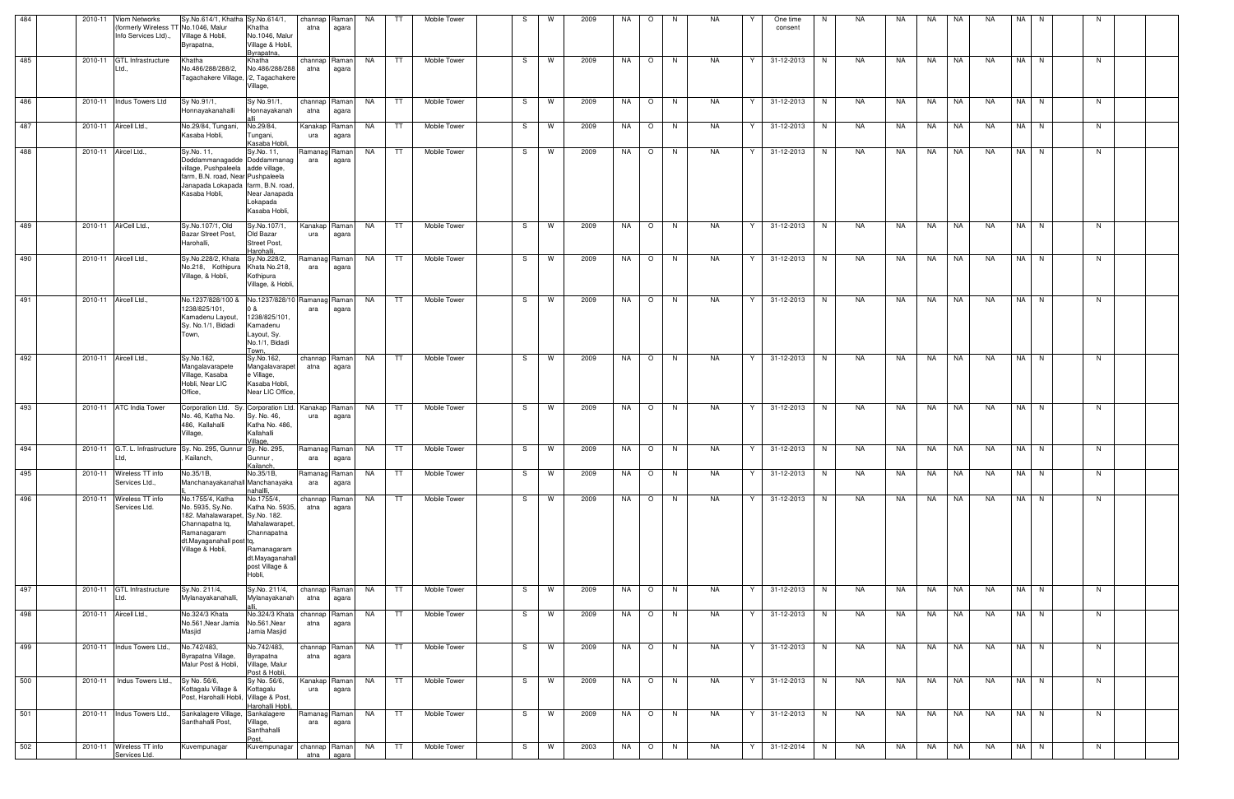| 484 | 2010-11 | <b>Viom Networks</b><br>formerly Wireless TT No.1046, Malur<br>Info Services Ltd)., | Sy.No.614/1, Khatha Sy.No.614/1,<br>Village & Hobli,<br>Byrapatna,                                                                                       | Khatha<br>No.1046, Malur<br>Village & Hobli,<br>Byrapatna.                                                                   | channap<br>atna       | Raman<br>agara | NA        | TT   | Mobile Tower |    | W        | 2009 | NA | $\circ$ | N,       | NA.       |   | One time<br>consent | N. | NA | NA  | NA        | NA        | NA.       | NA.  | N.             |    |  |
|-----|---------|-------------------------------------------------------------------------------------|----------------------------------------------------------------------------------------------------------------------------------------------------------|------------------------------------------------------------------------------------------------------------------------------|-----------------------|----------------|-----------|------|--------------|----|----------|------|----|---------|----------|-----------|---|---------------------|----|----|-----|-----------|-----------|-----------|------|----------------|----|--|
| 485 | 2010-11 | <b>GTL Infrastructure</b><br>Ltd.,                                                  | Khatha<br>No.486/288/288/2.<br>Tagachakere Village, /2, Tagachakere                                                                                      | Khatha<br>No.486/288/288<br>Village,                                                                                         | channap Raman<br>atna | agara          | NA        | TT.  | Mobile Tower | S. | W        | 2009 | NA | $\circ$ | N        | <b>NA</b> | Y | 31-12-2013          | N. | NA | NA  | <b>NA</b> | <b>NA</b> | NA.       | NA N |                | N  |  |
| 486 |         | 2010-11 Indus Towers Ltd                                                            | Sy No.91/1,<br>Honnayakanahalli                                                                                                                          | Sy No.91/1,<br>Honnayakanah                                                                                                  | channap<br>atna       | Raman<br>agara | NA        | TT.  | Mobile Tower | S. | W        | 2009 | NA | $\circ$ | <b>N</b> | NA        | Y | 31-12-2013          | N  | NA | NA  | NA        | NA        | NA        | NA N |                | N. |  |
| 487 |         | 2010-11 Aircell Ltd.                                                                | No.29/84, Tungani,<br>Kasaba Hobli,                                                                                                                      | No.29/84,<br>Tungani,<br>Kasaba Hobli.                                                                                       | Kanakap<br>ura        | Raman<br>agara | NA        | TT   | Mobile Tower | S  | W        | 2009 | NA | $\circ$ | N,       | NA        | Y | 31-12-2013          | N. | NA | NA  | NA        | NA        | NA        | NA N |                | N  |  |
| 488 | 2010-11 | Aircel Ltd.,                                                                        | Sy.No. 11,<br>Doddammanagadde<br>village, Pushpaleela<br>arm, B.N. road, Near Pushpaleela<br>Janapada Lokapada   farm, B.N. road.<br>Kasaba Hobli,       | Sy.No. 11,<br>Doddammanag<br>adde village,<br>Near Janapada<br>Lokapada<br>Kasaba Hobli,                                     | Ramanag Raman<br>ara  | agara          | NA        | TT   | Mobile Tower | S. | W        | 2009 | NA | $\circ$ | N.       | <b>NA</b> | Y | 31-12-2013          | N. | NA | NA  | NA        | NA        | NA.       | NA I | N.             | N  |  |
| 489 |         | 2010-11 AirCell Ltd.,                                                               | Sy.No.107/1, Old<br>Bazar Street Post,<br>Harohalli,                                                                                                     | Sy.No.107/1,<br>Old Bazar<br>Street Post.<br>Harohalli.                                                                      | Kanakap Raman<br>ura  | agara          | NA        | TT   | Mobile Tower | S. | W        | 2009 | NA | $\circ$ | N        | <b>NA</b> | Y | 31-12-2013          | N  | NA | NA  | NA        | NA        | <b>NA</b> | NA N |                | N. |  |
| 490 |         | 2010-11 Aircell Ltd.,                                                               | Sy.No.228/2, Khata<br>No.218, Kothipura<br>Village, & Hobli,                                                                                             | Sy.No.228/2,<br>Khata No.218,<br>Kothipura<br>Village, & Hobli,                                                              | Ramanag Raman<br>ara  | agara          | NA        | TT.  | Mobile Tower | S. | W        | 2009 | NA | $\circ$ | <b>N</b> | <b>NA</b> | Y | 31-12-2013          | N  | NA | NA  | NA        | NA        | NA        | NA N |                | N. |  |
| 491 |         | 2010-11 Aircell Ltd.                                                                | No.1237/828/100 &<br>1238/825/101,<br>Kamadenu Layout,<br>Sy. No.1/1, Bidadi<br>Town.                                                                    | No.1237/828/10 Ramanag Raman<br>1238/825/101,<br>Kamadenu<br>Layout, Sy.<br>No.1/1, Bidadi<br>Town.                          | ara                   | agara          | NA        | TT   | Mobile Tower | S  | W        | 2009 | NA | $\circ$ | N        | <b>NA</b> | Y | 31-12-2013          | N  | NA | NA  | NA        | NA        | NA        | NA N |                | N  |  |
| 492 |         | 2010-11 Aircell Ltd.                                                                | Sv.No.162,<br>Mangalavarapete<br>Village, Kasaba<br>Hobli, Near LIC<br>Office,                                                                           | Sy.No.162,<br>Mangalavarapet<br>e Village,<br>Kasaba Hobli,<br>Near LIC Office,                                              | channap Raman<br>atna | agara          | NA        | TT.  | Mobile Tower | S. | W        | 2009 | NA | $\circ$ | N        | <b>NA</b> | Y | 31-12-2013          | N  | NA | NA. | <b>NA</b> | <b>NA</b> | <b>NA</b> |      | NA N           | N  |  |
| 493 |         | 2010-11 ATC India Tower                                                             | Corporation Ltd. Sy. Corporation Ltd.   Kanakap   Raman  <br>No. 46, Katha No.<br>486, Kallahalli<br>Village,                                            | Sy. No. 46,<br>Katha No. 486,<br>Kallahalli<br>/illage.                                                                      | ura                   | agara          | NA        | TT . | Mobile Tower | S. | <b>W</b> | 2009 | NA | $\circ$ | N        | <b>NA</b> | Y | 31-12-2013          | N  | NA | NA  | NA        | NA        | <b>NA</b> | NA N |                | N  |  |
| 494 | 2010-11 | G.T. L. Infrastructure<br>td.                                                       | Sy. No. 295, Gunnur Sy. No. 295,<br>Kailanch,                                                                                                            | Gunnur,<br>Kailanch,                                                                                                         | Ramanag Raman<br>ara  | agara          | NA        | TT   | Mobile Tower | S  | W        | 2009 | NA | $\circ$ | N.       | NA.       | Y | 31-12-2013          | N  | NA | NA  | NA        | NA        | NA.       | NA I | N <sub>N</sub> | N  |  |
| 495 | 2010-11 | Wireless TT info<br>Services Ltd.,                                                  | No.35/1B,<br>Manchanayakanahall Manchanayaka                                                                                                             | No.35/1B,<br>nahallli,                                                                                                       | Ramanag Raman<br>ara  | agara          | NA        | TT   | Mobile Tower | S  | W        | 2009 | NA | $\circ$ | N        | <b>NA</b> | Y | 31-12-2013          | N  | NA | NA  | NA        | NA        | NA        | NA N |                | N  |  |
| 496 | 2010-11 | Wireless TT info<br>Services Ltd.                                                   | No.1755/4, Katha<br>No. 5935, Sy.No.<br>182. Mahalawarapet, Sy.No. 182.<br>Channapatna tq,<br>Ramanagaram<br>dt.Mayaganahall post tq<br>Village & Hobli, | No.1755/4,<br>Katha No. 5935,<br>Mahalawarapet,<br>Channapatna<br>Ramanagaram<br>dt.Mayaganahall<br>post Village &<br>Hobli, | channap<br>atna       | Raman<br>agara | <b>NA</b> | TT   | Mobile Tower | S  | W        | 2009 | NA | $\circ$ | N        | <b>NA</b> | Y | 31-12-2013          | N. | NA | NA  | NA        | <b>NA</b> | NA        | NA N |                | N  |  |
| 497 | 2010-11 | <b>GTL Infrastructure</b><br>.td                                                    | Sy.No. 211/4,<br>Mylanayakanahalli,                                                                                                                      | Sy.No. 211/4,<br>Mylanayakanah                                                                                               | channap Raman<br>atna | agara          | NA        | TT   | Mobile Tower | S  | W        | 2009 | NA | $\circ$ | N        | NA        | Y | 31-12-2013          | N  | NA | NA  | NA        | NA        | NA        | NA N |                | N  |  |
| 498 | 2010-11 | Aircell Ltd.                                                                        | No.324/3 Khata<br>No.561, Near Jamia<br>Masjid                                                                                                           | No.324/3 Khata<br>No.561, Near<br>Jamia Masjid                                                                               | channap<br>atna       | Raman<br>agara | NA        | TT   | Mobile Tower | S  | W        | 2009 | NA | $\circ$ | N        | <b>NA</b> | Y | 31-12-2013          | N  | NA | NA  | NA        | NA        | NA        | NA N |                | N  |  |
| 499 |         | 2010-11 Indus Towers Ltd.,                                                          | No.742/483,<br>Byrapatna Village,<br>Malur Post & Hobli,                                                                                                 | No.742/483,<br>Byrapatna<br>Village, Malur<br>Post & Hobli.                                                                  | channap Raman<br>atna | agara          | NA        | TT   | Mobile Tower | S. | W        | 2009 | NA | $\circ$ | N        | NA        | Y | 31-12-2013          | N. | NA | NA  | NA        | NA        | NA        | NA N |                | N  |  |
| 500 |         | 2010-11 Indus Towers Ltd.,                                                          | Sy No. 56/6,<br>Kottagalu Village &<br>Post, Harohalli Hobli,                                                                                            | Sy No. 56/6,<br>Kottagalu<br>Village & Post,<br><u>-Iarohalli Hobli,</u>                                                     | Kanakap Raman<br>ura  | agara          | NA        | TT   | Mobile Tower | S. | W        | 2009 | NA | $\circ$ | N        | NA        | Y | 31-12-2013          | N  | NA | NA  | NA NA     |           | NA        | NA N |                | N  |  |
| 501 | 2010-11 | Indus Towers Ltd.,                                                                  | Sankalagere Village,<br>Santhahalli Post,                                                                                                                | Sankalagere<br>Village,<br>Santhahalli<br>Post                                                                               | Ramanag Raman<br>ara  | agara          | NA        | TT   | Mobile Tower | S. | W        | 2009 | NA | $\circ$ | N.       | NA        | Y | 31-12-2013          | N  | NA | NA  | NA        | <b>NA</b> | NA        | NA N |                | N  |  |
| 502 | 2010-11 | Wireless TT info<br>Services Ltd.                                                   | Kuvempunagar                                                                                                                                             | Kuvempunagar                                                                                                                 | channap Raman<br>atna | agara          | NA        | TT   | Mobile Tower | S  | W        | 2003 | NA | $\circ$ | N        | NA        | Y | 31-12-2014          | N. | NA | NA  | NA        | NA        | NA        | NA N |                | N  |  |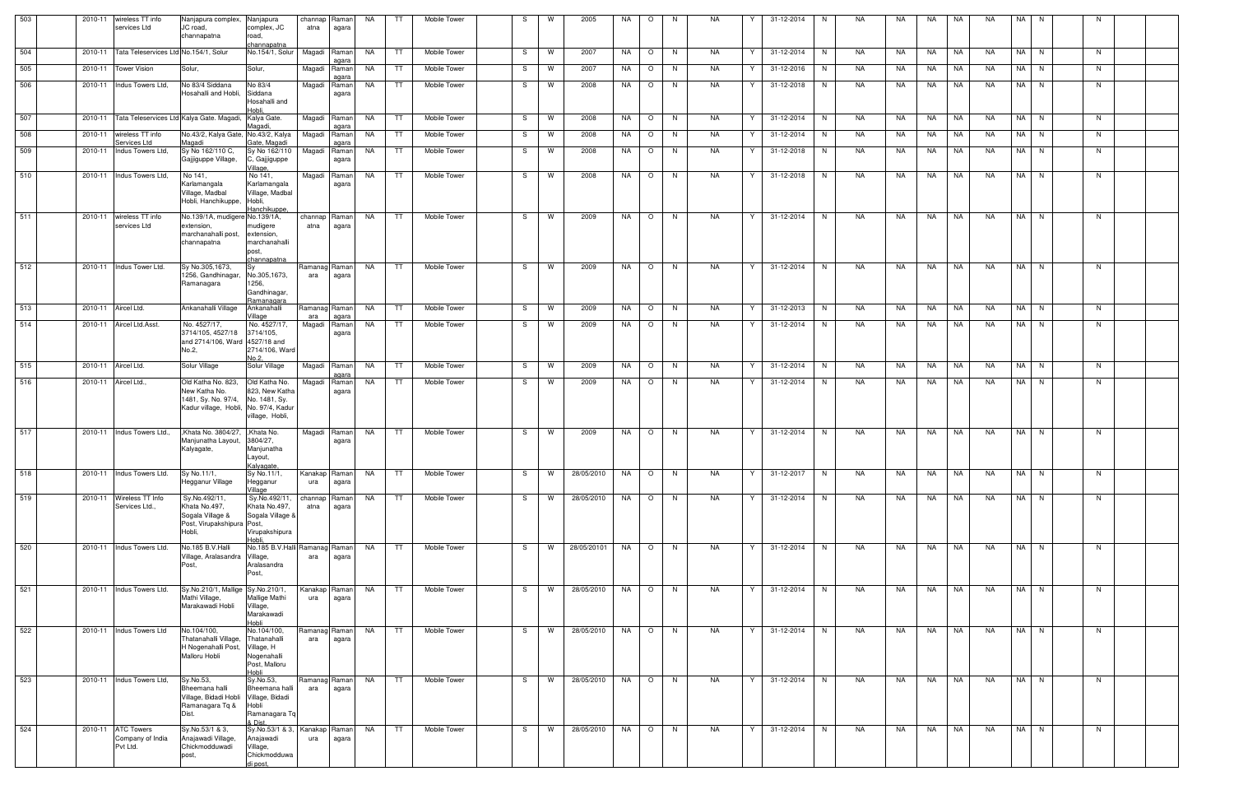| 503 | 2010-11<br>wireless TT info<br>services Ltd                   | Nanjapura complex, Nanjapura<br>JC road,<br>channapatna      | complex, JC<br>road,                             | channap Raman<br>atna | agara                 | NA        | TT.       | Mobile Tower        | -S | W        | 2005        | NA        | $\circ$                  | N. | NA        |    | 31-12-2014 | N.       | NA  | NA. | NA      | NA        | <b>NA</b> | NA | N.       |    |  |
|-----|---------------------------------------------------------------|--------------------------------------------------------------|--------------------------------------------------|-----------------------|-----------------------|-----------|-----------|---------------------|----|----------|-------------|-----------|--------------------------|----|-----------|----|------------|----------|-----|-----|---------|-----------|-----------|----|----------|----|--|
| 504 | 2010-11 Tata Teleservices Ltd No.154/1, Solur                 |                                                              | channapatna<br>No.154/1, Solur                   | Magadi                | Raman                 | NA        | TT.       | Mobile Tower        | -S | W        | 2007        | NA        | $\circ$                  | N. | NA        | Y  | 31-12-2014 | N.       | NA  | NA. | NA      | <b>NA</b> | NA.       |    | NA N     | N  |  |
|     |                                                               |                                                              |                                                  |                       |                       |           |           |                     |    |          |             |           |                          |    |           |    |            |          |     |     |         |           |           |    |          |    |  |
| 505 | 2010-11 Tower Vision                                          | Solur,                                                       | Solur,                                           | Magadi                | Raman<br>agara        | NA        | TT.       | Mobile Tower        | -S | W        | 2007        | NA        | $\circ$                  | N. | NA        |    | 31-12-2016 | N        | NA  | NA. | NA      | NA        | NA.       |    | NA N     | N. |  |
| 506 | 2010-11 Indus Towers Ltd,                                     | No 83/4 Siddana<br>Hosahalli and Hobli,                      | No 83/4<br>Siddana                               | Magadi                | Raman<br>agara        | NA        | TT.       | Mobile Tower        | -S | W        | 2008        | NA        | $\circ$                  | N. | NA        | Y  | 31-12-2018 | N        | NA  | NA. | NA      | NA        | NA.       |    | NA N     | N  |  |
|     |                                                               |                                                              | Hosahalli and<br>Hobli.                          |                       |                       |           |           |                     |    |          |             |           |                          |    |           |    |            |          |     |     |         |           |           |    |          |    |  |
| 507 | 2010-11 Tata Teleservices Ltd Kalya Gate. Magadi, Kalya Gate. |                                                              |                                                  | Magadi                | Raman                 | NA        | TT.       | Mobile Tower        | -S | W        | 2008        | NA        | $\circ$                  | N. | NA        | Y  | 31-12-2014 | N        | NA  | NA. | NA      | NA        | <b>NA</b> |    | NA N     | N  |  |
| 508 | 2010-11 wireless TT info                                      | No.43/2, Kalya Gate, No.43/2, Kalya                          | Aaqadi,                                          |                       | agara<br>Magadi Raman | NA        | TT.       | Mobile Tower        | -S | W        | 2008        | NA        | $\circ$                  | N. | NA        | Y  | 31-12-2014 | N        | NA  | NA  | NA      | NA        | <b>NA</b> |    | NA N     | N  |  |
| 509 | Services Ltd<br>2010-11 Indus Towers Ltd,                     | Magadi<br>Sy No 162/110 C,                                   | Gate, Magadi<br>Sy No 162/110                    | Magadi                | aɑara<br>Raman        | NA        | TT.       | <b>Mobile Tower</b> | S. | W        | 2008        | NA        | $\circ$                  | N. | NA        | Y  | 31-12-2018 | N        | NA. | NA  | NA      | NA        | <b>NA</b> |    | NA N     | N  |  |
|     |                                                               | Gajjiquppe Village,                                          | C, Gajjiguppe<br>Village.                        |                       | agara                 |           |           |                     |    |          |             |           |                          |    |           |    |            |          |     |     |         |           |           |    |          |    |  |
| 510 | 2010-11 Indus Towers Ltd,                                     | No 141,<br>Karlamangala                                      | No 141,<br>Karlamangala                          | Magadi                | Raman<br>agara        | NA        | TT.       | Mobile Tower        | S. | W        | 2008        | NA        | $\circ$                  | N  | <b>NA</b> | Y  | 31-12-2018 | <b>N</b> | NA. | NA. | NA      | <b>NA</b> | NA        |    | NA N     | N  |  |
|     |                                                               | Village, Madbal<br>Hobli, Hanchikuppe, Hobli,                | Village, Madbal                                  |                       |                       |           |           |                     |    |          |             |           |                          |    |           |    |            |          |     |     |         |           |           |    |          |    |  |
| 511 | 2010-11 wireless TT info                                      | No.139/1A, mudigere No.139/1A,                               | Hanchikuppe,                                     | channap               | Raman                 | NA        | TT        | <b>Mobile Tower</b> | S  | W        | 2009        | NA        | $\circ$                  | N  | NA.       | Y  | 31-12-2014 | N        | NA  | NA  | NA      | <b>NA</b> | <b>NA</b> |    | NA N     | N  |  |
|     | services Ltd                                                  | extension,                                                   | mudigere                                         | atna                  | agara                 |           |           |                     |    |          |             |           |                          |    |           |    |            |          |     |     |         |           |           |    |          |    |  |
|     |                                                               | marchanahalli post,<br>channapatna                           | extension,<br>marchanahalli                      |                       |                       |           |           |                     |    |          |             |           |                          |    |           |    |            |          |     |     |         |           |           |    |          |    |  |
|     |                                                               |                                                              | post,<br>channapatna                             |                       |                       |           |           |                     |    |          |             |           |                          |    |           |    |            |          |     |     |         |           |           |    |          |    |  |
| 512 | 2010-11 Indus Tower Ltd.                                      | Sy No.305,1673,<br>1256. Gandhinagar                         | <b>Sv</b><br>No.305,1673,                        | Ramanag Raman<br>ara  | agara                 | NA        | TT        | Mobile Tower        | S. | W        | 2009        | NA        | $\circ$                  | N. | NA        | Y  | 31-12-2014 | N        | NA  | NA  | NA      | l NA      | <b>NA</b> |    | NA N     | N  |  |
|     |                                                               | Ramanagara                                                   | 1256,                                            |                       |                       |           |           |                     |    |          |             |           |                          |    |           |    |            |          |     |     |         |           |           |    |          |    |  |
|     |                                                               |                                                              | Gandhinagar,<br>Ramanagara                       |                       |                       |           |           |                     |    |          |             |           |                          |    |           |    |            |          |     |     |         |           |           |    |          |    |  |
| 513 | 2010-11 Aircel Ltd.                                           | Ankanahalli Village                                          | Ankanahalli<br>Village                           | Ramanag<br>ara        | Raman<br>agara        | NA        | TT.       | Mobile Tower        | -S | W        | 2009        | NA        | $\circ$                  | N. | NA        | Y  | 31-12-2013 | N        | NA  | NA  | NA      | NA        | NA        |    | NA N     | N  |  |
| 514 | 2010-11 Aircel Ltd.Asst.                                      | No. 4527/17,<br>3714/105, 4527/18                            | No. 4527/17,<br>3714/105,                        | Magadi                | Raman<br>agara        | NA        | TT        | Mobile Tower        | S  | W        | 2009        | NA        | $\circ$                  | N  | NA        | Y  | 31-12-2014 | N        | NA  | NA  | NA      | NA        | <b>NA</b> |    | NA N     | N  |  |
|     |                                                               | and 2714/106, Ward 4527/18 and                               |                                                  |                       |                       |           |           |                     |    |          |             |           |                          |    |           |    |            |          |     |     |         |           |           |    |          |    |  |
|     |                                                               | No.2,                                                        | 2714/106, Ward<br>No 2                           |                       |                       |           |           |                     |    |          |             |           |                          |    |           |    |            |          |     |     |         |           |           |    |          |    |  |
| 515 | 2010-11 Aircel Ltd.                                           | Solur Village                                                | Solur Village                                    | Magadi                | Raman<br>agara        | NA        | TT.       | <b>Mobile Tower</b> | S. | W        | 2009        | NA        | $\circ$                  | N. | NA        | Y  | 31-12-2014 | <b>N</b> | NA  | NA. | NA      | NA        | NA.       |    | NA N     | N  |  |
| 516 | 2010-11 Aircel Ltd.,                                          | Old Katha No. 823,<br>New Katha No.                          | Old Katha No.<br>823, New Katha                  | Magadi                | Raman<br>agara        | <b>NA</b> | TT.       | Mobile Tower        | S. | W        | 2009        | NA        | $\circ$                  | N. | NA.       | Y  | 31-12-2014 | N.       | NA. | NA. | NA      | <b>NA</b> | NA.       |    | NA N     | N. |  |
|     |                                                               | 1481, Sy. No. 97/4,<br>Kadur village, Hobli, No. 97/4, Kadul | No. 1481, Sy.                                    |                       |                       |           |           |                     |    |          |             |           |                          |    |           |    |            |          |     |     |         |           |           |    |          |    |  |
|     |                                                               |                                                              | village, Hobli,                                  |                       |                       |           |           |                     |    |          |             |           |                          |    |           |    |            |          |     |     |         |           |           |    |          |    |  |
| 517 | 2010-11 Indus Towers Ltd.,                                    | ,Khata No. 3804/27,  ,Khata No.                              |                                                  | Magadi                | Raman                 | NA        | TT        | <b>Mobile Tower</b> | S. | W        | 2009        | NA        | $\circ$                  | N. | NA        | Y  | 31-12-2014 | N        | NA  | NA  | NA      | <b>NA</b> | <b>NA</b> |    | NA N     | N  |  |
|     |                                                               | Manjunatha Layout,<br>Kalyagate,                             | 3804/27,<br>Manjunatha                           |                       | agara                 |           |           |                     |    |          |             |           |                          |    |           |    |            |          |     |     |         |           |           |    |          |    |  |
|     |                                                               |                                                              | Layout,<br>Kalyagate                             |                       |                       |           |           |                     |    |          |             |           |                          |    |           |    |            |          |     |     |         |           |           |    |          |    |  |
| 518 | 2010-11 Indus Towers Ltd.                                     | Sy No.11/1,                                                  | Sy No.11/1,                                      | Kanakap Raman         |                       | NA        | TT.       | Mobile Tower        | -S | W        | 28/05/2010  | NA        | $\circ$                  | N. | NA        | Y  | 31-12-2017 | N        | NA  | NA  | NA      | NA        | NA.       |    | NA N     | N  |  |
|     |                                                               | Hegganur Village                                             | Hegganur<br>Village                              | ura                   | agara                 |           |           |                     |    |          |             |           |                          |    |           |    |            |          |     |     |         |           |           |    |          |    |  |
| 519 | 2010-11 Wireless TT Info<br>Services Ltd.,                    | Sy.No.492/11,<br>Khata No.497,                               | Sy.No.492/11,<br>Khata No.497,                   | channap<br>atna       | Ramanl<br>agara       | NA        | TT        | Mobile Tower        | -S | W        | 28/05/2010  | NA        | $\circ$                  | N. | <b>NA</b> | Y. | 31-12-2014 | N        | NA  | NA  | NA NA   |           | <b>NA</b> |    | NA N     | N  |  |
|     |                                                               | Sogala Village &<br>Post, Virupakshipura Post,               | Sogala Village &                                 |                       |                       |           |           |                     |    |          |             |           |                          |    |           |    |            |          |     |     |         |           |           |    |          |    |  |
|     |                                                               | Hobli,                                                       | Virupakshipura<br>Hobli.                         |                       |                       |           |           |                     |    |          |             |           |                          |    |           |    |            |          |     |     |         |           |           |    |          |    |  |
| 520 | 2010-11 Indus Towers Ltd.                                     | No.185 B.V.Halli                                             | No.185 B.V.Halli Ramanag Raman                   |                       |                       | <b>NA</b> | <b>TT</b> | Mobile Tower        | S. | <b>W</b> | 28/05/20101 |           | NA O                     | N  | NA        | Y  | 31-12-2014 | N        | NA  | NA  |         | NA NA     | NA.       |    | $NA$ $N$ | N  |  |
|     |                                                               | Village, Aralasandra Village,<br>Post,                       | Aralasandra                                      | ara                   | agara                 |           |           |                     |    |          |             |           |                          |    |           |    |            |          |     |     |         |           |           |    |          |    |  |
|     |                                                               |                                                              | Post,                                            |                       |                       |           |           |                     |    |          |             |           |                          |    |           |    |            |          |     |     |         |           |           |    |          |    |  |
| 521 | 2010-11 Indus Towers Ltd.                                     | Sy.No.210/1, Mallige Sy.No.210/1,<br>Mathi Village,          | Mallige Mathi                                    | Kanakap<br>ura        | Raman<br>agara        | NA        | TT        | Mobile Tower        | S. | <b>W</b> | 28/05/2010  | NA        | $\circ$                  | N  | NA        | Y  | 31-12-2014 | N        | NA  | NA  | NA      | <b>NA</b> | <b>NA</b> |    | NA N     | N  |  |
|     |                                                               | Marakawadi Hobli                                             | Village,                                         |                       |                       |           |           |                     |    |          |             |           |                          |    |           |    |            |          |     |     |         |           |           |    |          |    |  |
|     |                                                               |                                                              | Marakawadi<br>Hobli                              |                       |                       |           |           |                     |    |          |             |           |                          |    |           |    |            |          |     |     |         |           |           |    |          |    |  |
| 522 | 2010-11 Indus Towers Ltd                                      | No.104/100,<br>Thatanahalli Village,                         | No.104/100,<br>Thatanahalli                      | Ramanag Raman<br>ara  | agara                 | NA        | TT.       | Mobile Tower        | S. | W        | 28/05/2010  | NA        | $\circ$                  | N  | <b>NA</b> | Y  | 31-12-2014 | N        | NA  | NA  | NA      | NA        | <b>NA</b> |    | NA N     | N  |  |
|     |                                                               | H Nogenahalli Post,                                          | Village, H<br>Nogenahalli                        |                       |                       |           |           |                     |    |          |             |           |                          |    |           |    |            |          |     |     |         |           |           |    |          |    |  |
|     |                                                               |                                                              | Post, Malloru                                    |                       |                       |           |           |                     |    |          |             |           |                          |    |           |    |            |          |     |     |         |           |           |    |          |    |  |
| 523 | 2010-11 Indus Towers Ltd,                                     | Sy.No.53,                                                    | Hobli<br>Sy.No.53,                               | Ramanag               | Ramanl                | <b>NA</b> | TT        | Mobile Tower        | -S | W        | 28/05/2010  | <b>NA</b> | $\overline{\phantom{0}}$ | N  | NA        | Y  | 31-12-2014 | N.       | NA  | NA  | NA   NA |           | <b>NA</b> |    | NA N     | N  |  |
|     |                                                               | Bheemana halli<br>Village, Bidadi Hobli                      | Bheemana halli<br>Village, Bidadi                | ara                   | agara                 |           |           |                     |    |          |             |           |                          |    |           |    |            |          |     |     |         |           |           |    |          |    |  |
|     |                                                               | Ramanagara Tq &<br>Dist.                                     | Hobli<br>Ramanagara Tq                           |                       |                       |           |           |                     |    |          |             |           |                          |    |           |    |            |          |     |     |         |           |           |    |          |    |  |
|     | 2010-11 ATC Towers                                            |                                                              | & Dist.                                          |                       |                       |           |           |                     |    |          | 28/05/2010  |           |                          |    |           | Y  |            |          |     |     |         |           |           |    | NA N     |    |  |
| 524 | Company of India                                              | Sy.No.53/1 & 3,<br>Anajawadi Village,                        | Sy.No.53/1 & 3,   Kanakap   Raman  <br>Anajawadi | ura                   | agara                 | NA        | TT 1      | Mobile Tower        | S. | W        |             | NA        | $\circ$                  | N  | NA        |    | 31-12-2014 | N        | NA  | NA  | NA NA   |           | NA        |    |          | N  |  |
|     | Pvt Ltd.                                                      | Chickmodduwadi<br>post,                                      | Village,<br>Chickmodduwa                         |                       |                       |           |           |                     |    |          |             |           |                          |    |           |    |            |          |     |     |         |           |           |    |          |    |  |
|     |                                                               |                                                              | di post.                                         |                       |                       |           |           |                     |    |          |             |           |                          |    |           |    |            |          |     |     |         |           |           |    |          |    |  |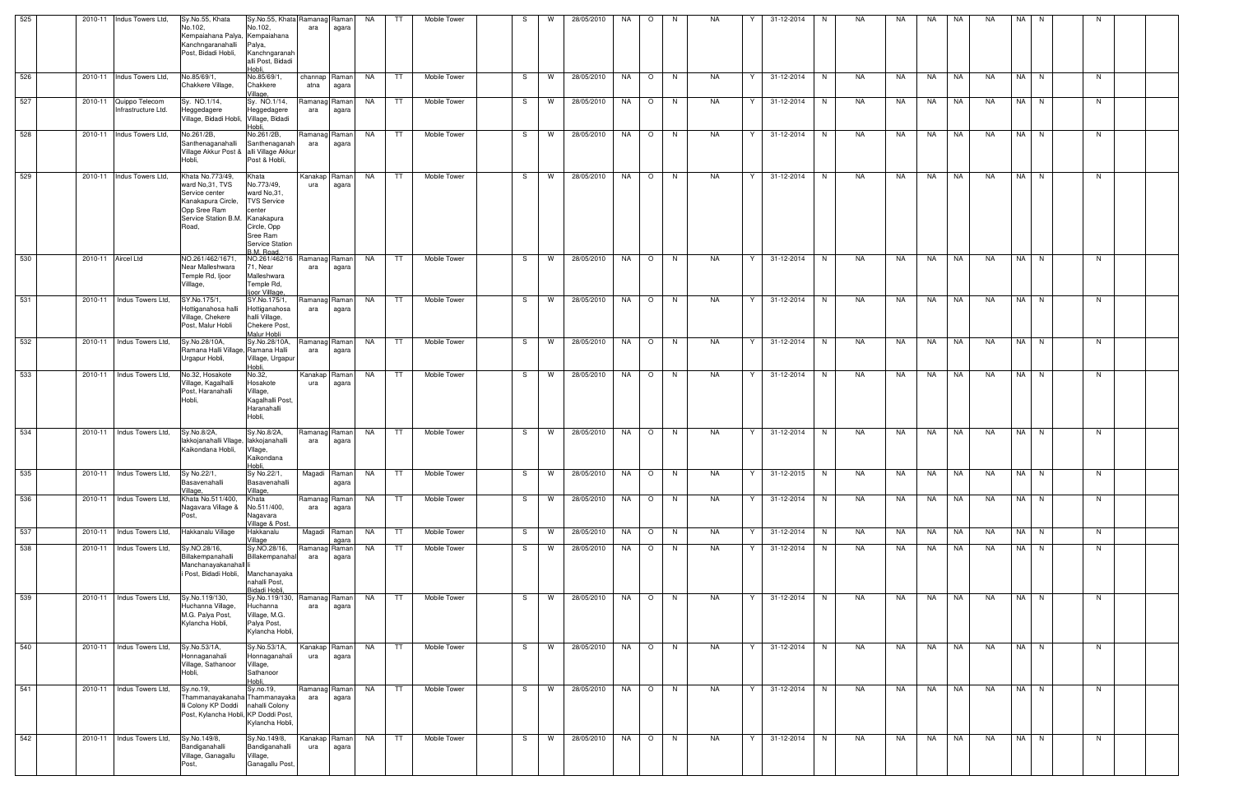| 525 | 2010-11 Indus Towers Ltd,                     | Sy.No.55, Khata<br>No.102,<br>Kempaiahana Palya, Kempaiahana<br>Kanchngaranahalli<br>Post, Bidadi Hobli,                                | Sy.No.55, Khata Ramanag Raman<br>No.102,<br>Palya,<br>Kanchngaranah                                                                       | ara                  | agara                  | <b>NA</b> | TT        | Mobile Tower        |    | W        | 28/05/2010 | NA | $\circ$ | - N      | <b>NA</b> |   | 31-12-2014 | N. | <b>NA</b> | NA.       | NA.       | <b>NA</b> | <b>NA</b> | <b>NA</b> |      |    |  |
|-----|-----------------------------------------------|-----------------------------------------------------------------------------------------------------------------------------------------|-------------------------------------------------------------------------------------------------------------------------------------------|----------------------|------------------------|-----------|-----------|---------------------|----|----------|------------|----|---------|----------|-----------|---|------------|----|-----------|-----------|-----------|-----------|-----------|-----------|------|----|--|
| 526 | 2010-11 Indus Towers Ltd,                     | No.85/69/1.                                                                                                                             | alli Post, Bidadi<br>Hobli<br>No.85/69/1,                                                                                                 | channap Raman        |                        | NA        | TT        | Mobile Tower        | S. | <b>W</b> | 28/05/2010 | NA | $\circ$ | N,       | <b>NA</b> | Y | 31-12-2014 | N  | <b>NA</b> | NA        | NA        | NA        | <b>NA</b> | NA        | N    | N  |  |
|     |                                               | Chakkere Village,                                                                                                                       | Chakkere<br>Village,                                                                                                                      | atna                 | agara                  |           |           |                     |    |          |            |    |         |          |           |   |            |    |           |           |           |           |           |           |      |    |  |
| 527 | 2010-11 Quippo Telecom<br>Infrastructure Ltd. | Sy. NO.1/14,<br>Heggedagere<br>Village, Bidadi Hobli, Village, Bidadi                                                                   | Sy. NO.1/14,<br>Heggedagere<br>Hobli                                                                                                      | Ramanag Raman<br>ara | agara                  | NA        | TT        | Mobile Tower        | S. | W        | 28/05/2010 | NA | $\circ$ | N.       | <b>NA</b> | Y | 31-12-2014 | N  | NA        | NA.       | NA        | NA.       | NA.       | NA I      | N    | N. |  |
| 528 | 2010-11 Indus Towers Ltd,                     | No.261/2B,<br>Santhenaganahalli<br>Village Akkur Post & alli Village Akkur<br>Hobli.                                                    | No.261/2B,<br>Santhenaganah<br>Post & Hobli,                                                                                              | Ramanag Raman<br>ara | agara                  | NA.       | TT        | Mobile Tower        | S. | W        | 28/05/2010 | NA | $\circ$ | <b>N</b> | <b>NA</b> | Y | 31-12-2014 | N  | <b>NA</b> | NA.       | <b>NA</b> | <b>NA</b> | <b>NA</b> | NA I      | N    | N. |  |
| 529 | 2010-11 Indus Towers Ltd,                     | Khata No.773/49,<br>ward No.31, TVS<br>Service center<br>Kanakapura Circle,<br>Opp Sree Ram<br>Service Station B.M. Kanakapura<br>Road, | Khata<br>No.773/49,<br>ward No.31.<br><b>TVS Service</b><br>center<br>Circle, Opp<br>Sree Ram<br><b>Service Station</b><br><b>BM Road</b> | Kanakap<br>ura       | Raman<br>agara         | NA        | TT.       | Mobile Tower        | -S | <b>W</b> | 28/05/2010 | NA | $\circ$ | N        | <b>NA</b> |   | 31-12-2014 | N. | <b>NA</b> | <b>NA</b> | NA        | NA        | <b>NA</b> |           | NA N | N. |  |
| 530 | 2010-11 Aircel Ltd                            | NO.261/462/1671.<br>Near Malleshwara<br>Temple Rd, Ijoor<br>√illlaqe,                                                                   | NO.261/462/16 Ramanag Raman<br>1, Near<br>Malleshwara<br>Temple Rd,<br>ljoor Villlage,                                                    | ara                  | agara                  | <b>NA</b> | TT        | Mobile Tower        | S  | <b>W</b> | 28/05/2010 | NA | $\circ$ | N,       | <b>NA</b> | Y | 31-12-2014 | N  | <b>NA</b> | <b>NA</b> | <b>NA</b> | NA        | <b>NA</b> | NA I      | N    | N  |  |
| 531 | 2010-11 Indus Towers Ltd,                     | SY.No.175/1,<br>Hottiganahosa halli<br>Village, Chekere<br>Post, Malur Hobli                                                            | SY.No.175/1,<br>Hottiganahosa<br>halli Village,<br>Chekere Post,<br>Malur Hobli                                                           | Ramanag Raman<br>ara | agara                  | NA.       | TT        | <b>Mobile Tower</b> | S  | <b>W</b> | 28/05/2010 | NA | $\circ$ | N        | <b>NA</b> | Y | 31-12-2014 | N  | NA        | NA        | NA        | NA        | <b>NA</b> | NA I      | N    | N  |  |
| 532 | Indus Towers Ltd.<br>2010-11                  | Sy.No.28/10A,<br>Ramana Halli Village, Ramana Halli<br>Urgapur Hobli,                                                                   | Sy.No.28/10A,<br>Village, Urgapur<br>Hobli                                                                                                | ara                  | Ramanag Raman<br>agara | <b>NA</b> | TT        | Mobile Tower        | S. | W        | 28/05/2010 | NA | $\circ$ | N        | <b>NA</b> | Y | 31-12-2014 | N. | NA        | NA        | NA        | <b>NA</b> | <b>NA</b> | NA I      | N    | N. |  |
| 533 | 2010-11 Indus Towers Ltd,                     | No.32, Hosakote<br>Village, Kagalhalli<br>Post, Haranahalli<br>Hobli,                                                                   | No.32,<br>Hosakote<br>Village,<br>Kagalhalli Post,<br>Haranahalli<br>Hobli,                                                               | Kanakap Raman<br>ura | agara                  | NA        | TT.       | Mobile Tower        |    | W        | 28/05/2010 | NA | $\circ$ | N,       | <b>NA</b> | Y | 31-12-2014 | N. | NA        | NA        | NA        | NA        | <b>NA</b> | NA I      | N    | N  |  |
| 534 | 2010-11 Indus Towers Ltd,                     | Sy.No.8/2A,<br>lakkojanahalli Vllage, lakkojanahalli<br>Kaikondana Hobli,                                                               | Sy.No.8/2A,<br>Vllage,<br>Kaikondana<br>Hobli,                                                                                            | Ramanag<br>ara       | Raman<br>agara         | NA        | TT.       | <b>Mobile Tower</b> | -S | W        | 28/05/2010 | NA | $\circ$ | N        | NA        | Y | 31-12-2014 | N  | NA        | NA        | NA        | NA        | NA        |           | NA N | N. |  |
| 535 | Indus Towers Ltd,<br>2010-11                  | Sy No.22/1<br>Basavenahalli<br>Village,                                                                                                 | Sy No.22/1,<br>Basavenahalli<br>Village,                                                                                                  | Magadi               | Raman<br>agara         | NA        | TT        | Mobile Tower        | -S | W        | 28/05/2010 | NA | $\circ$ | N        | <b>NA</b> | Y | 31-12-2015 | N  | NA        | NA        | NA        | NA        | <b>NA</b> | NA I      | N    | N  |  |
| 536 | 2010-11   Indus Towers Ltd,                   | Khata No.511/400,<br>Nagavara Village &<br>Post.                                                                                        | Khata<br>No.511/400,<br>Nagavara                                                                                                          | Ramanag Raman<br>ara | agara                  | NA 1      | TT 1      | Mobile Tower        | S. | W        | 28/05/2010 | NA | $\circ$ | N        | NA        | Y | 31-12-2014 | N  | NA        | NA        | NA .      | NA        | NA        |           | NA N | N. |  |
| 537 | 2010-11 Indus Towers Ltd.                     | Hakkanalu Village                                                                                                                       | Village & Post.<br>Hakkanalu<br>Village                                                                                                   |                      | Magadi Raman<br>agara  | NA        | TT        | Mobile Tower        | S  | W        | 28/05/2010 | NA | $\circ$ | N        | NA        | Y | 31-12-2014 | N  | NA        | NA        | NA        | NA        | NA        |           | NA N | N  |  |
| 538 | 2010-11   Indus Towers Ltd,                   | Sy.NO.28/16,<br>Billakempanahalli<br>Manchanayakanahall li<br>i Post, Bidadi Hobli,                                                     | Sy.NO.28/16,<br>Billakempanahal<br>Manchanayaka<br>nahalli Post,<br>Bidadi Hobli,                                                         | Ramanag<br>ara       | Raman<br>agara         | NA        | TT        | Mobile Tower        | S. | <b>W</b> | 28/05/2010 | NA | $\circ$ | N        | NA        | Y | 31-12-2014 | N  | NA        | NA        | <b>NA</b> | NA        | NA        |           | NA N | N. |  |
| 539 | 2010-11 Indus Towers Ltd,                     | Sy.No.119/130,<br>Huchanna Village.<br>M.G. Palya Post,<br>Kylancha Hobli,                                                              | Sy.No.119/130, Ramanag Raman<br>Huchanna<br>Village, M.G.<br>Palya Post,<br>Kylancha Hobli,                                               | ara                  | agara                  | NA        | <b>TT</b> | Mobile Tower        | S. | <b>W</b> | 28/05/2010 | NA | $\circ$ | N        | NA        | Y | 31-12-2014 | N  | NA        | NA        | NA        | NA        | <b>NA</b> | NA I      | N    | N  |  |
| 540 | 2010-11   Indus Towers Ltd,                   | Sy.No.53/1A,<br>Honnaganahali<br>Village, Sathanoor<br>Hobli,                                                                           | Sy.No.53/1A,<br>Honnaganahali<br>Village,<br>Sathanoor<br>Hobli.                                                                          | Kanakap Raman<br>ura | agara                  | NA        | TT        | Mobile Tower        | S. | W        | 28/05/2010 | NA | $\circ$ | <b>N</b> | NA        | Y | 31-12-2014 | N  | NA        | NA        | NA        | NA        | NA.       | NA I      | N    | N. |  |
| 541 | 2010-11 Indus Towers Ltd,                     | Sy.no.19,<br>Thammanayakanaha Thammanayaka<br>Ili Colony KP Doddi<br>Post, Kylancha Hobli, KP Doddi Post,                               | Sy.no.19,<br>nahalli Colony<br>Kylancha Hobli,                                                                                            | Ramanag Raman<br>ara | agara                  | NA        | TT        | Mobile Tower        | S. | <b>W</b> | 28/05/2010 | NA | $\circ$ | N        | <b>NA</b> | Y | 31-12-2014 | N  | NA        | NA        | NA        | <b>NA</b> | <b>NA</b> |           | NA N | N  |  |
| 542 | 2010-11   Indus Towers Ltd,                   | Sy.No.149/8,<br>Bandiganahalli<br>Village, Ganagallu<br>Post,                                                                           | Sy.No.149/8,<br>Bandiganahalli<br>Village,<br>Ganagallu Post                                                                              | Kanakap Raman<br>ura | agara                  | NA        | TT        | Mobile Tower        | S. | <b>W</b> | 28/05/2010 | NA | $\circ$ | N        | NA        | Y | 31-12-2014 | N  | NA        | NA        | NA        | NA        | NA.       |           | NA N | N. |  |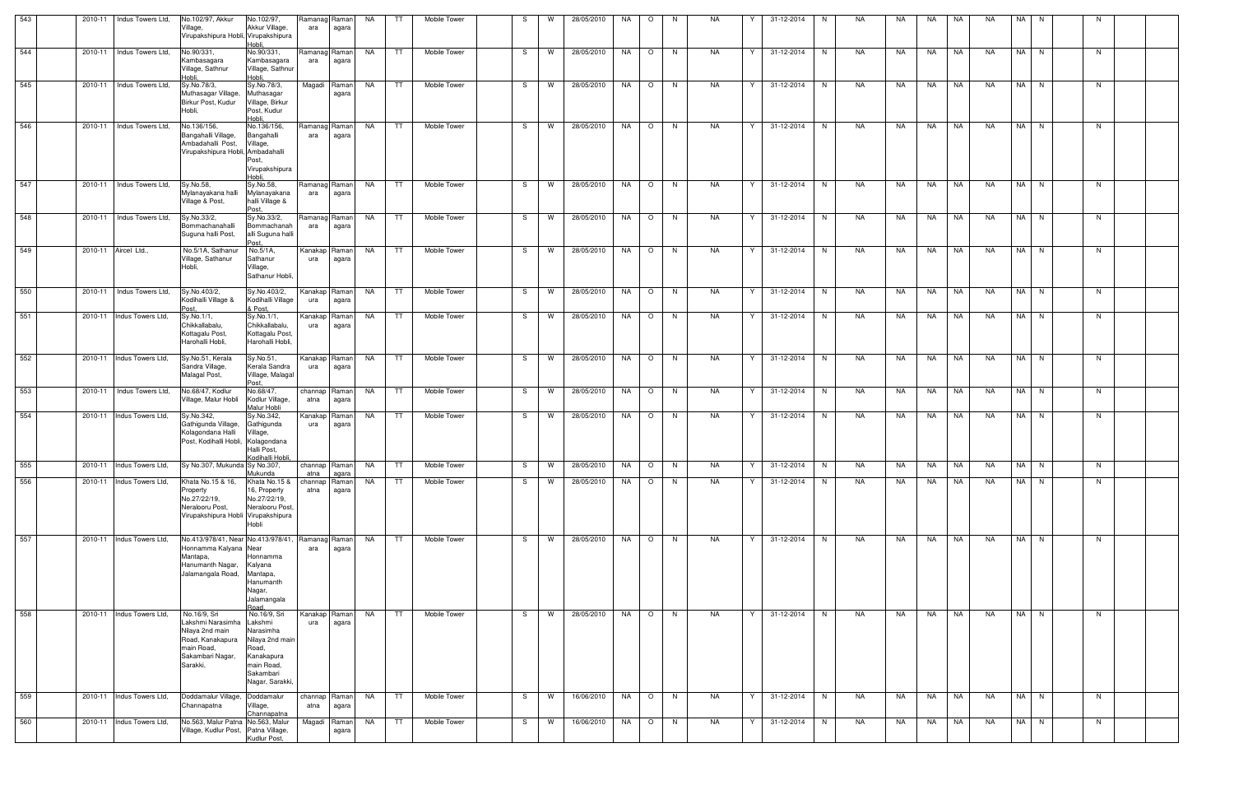| 543 | 2010-11 Indus Towers Ltd,                               | No.102/97, Akkur<br>Village,<br>Virupakshipura Hobli, Virupakshipura                                                           | No.102/97,<br>Akkur Village,<br>Hobli.                                                                                       | Ramanag Raman<br>ara  | agara           | NA        | TT.       | Mobile Tower                     | -S | W        | 28/05/2010                      | NA | $\circ$        | N. | NA        |   | 31-12-2014        | N. | NA  | NA.         | NA | NA        | <b>NA</b> | NA   | N.   |    |  |
|-----|---------------------------------------------------------|--------------------------------------------------------------------------------------------------------------------------------|------------------------------------------------------------------------------------------------------------------------------|-----------------------|-----------------|-----------|-----------|----------------------------------|----|----------|---------------------------------|----|----------------|----|-----------|---|-------------------|----|-----|-------------|----|-----------|-----------|------|------|----|--|
| 544 | 2010-11 Indus Towers Ltd.                               | No.90/331,<br>Kambasagara<br>Village, Sathnur<br>Hobli.                                                                        | No.90/331,<br>Kambasagara<br>Village, Sathnur<br>Hobli.                                                                      | Ramanag Raman<br>ara  | agara           | <b>NA</b> | TT        | Mobile Tower                     | S. | W        | 28/05/2010                      | NA | $\circ$        | N  | <b>NA</b> | Y | 31-12-2014        | N  | NA. | NA          | NA | <b>NA</b> | NA.       |      | NA N | N. |  |
| 545 | 2010-11 Indus Towers Ltd.                               | Sy.No.78/3,<br>Muthasagar Village,<br>Birkur Post, Kudur<br>Hobli,                                                             | Sy.No.78/3,<br>Muthasagar<br>Village, Birkur<br>Post, Kudur<br>Hobli.                                                        | Magadi                | Raman<br>agara  | NA        | TT        | Mobile Tower                     | S. | W        | 28/05/2010                      | NA | $\circ$        | N  | <b>NA</b> | Y | 31-12-2014        | N  | NA  | NA          | NA | <b>NA</b> | <b>NA</b> |      | NA N | N  |  |
| 546 | 2010-11 Indus Towers Ltd,                               | No.136/156,<br>Bangahalli Village,<br>Ambadahalli Post,<br>Virupakshipura Hobli, Ambadahalli                                   | No.136/156,<br>Bangahalli<br>Village,<br>Post,<br>Virupakshipura<br>Hobli                                                    | Ramanag<br>ara        | Ramanl<br>agara | NA        | TT        | Mobile Tower                     | S. | W        | 28/05/2010                      | NA | $\circ$        | N. | NA        | Y | 31-12-2014        | N  | NA  | NA          | NA | NA        | NA        |      | NA N | N  |  |
| 547 | 2010-11   Indus Towers Ltd,                             | Sy.No.58,<br>Mylanayakana halli<br>Village & Post,                                                                             | Sy.No.58,<br>Mylanayakana<br>halli Village &<br>Post.                                                                        | Ramanag Raman<br>ara  | agara           | NA        | TT.       | Mobile Tower                     | S. | <b>W</b> | 28/05/2010                      | NA | $\circ$        | N  | <b>NA</b> | Y | 31-12-2014        | N  | NA  | NA          | NA | NA        | <b>NA</b> |      | NA N | N  |  |
| 548 | 2010-11   Indus Towers Ltd,                             | Sy.No.33/2,<br>Bommachanahalli<br>Suguna halli Post,                                                                           | Sy.No.33/2,<br>Bommachanah<br>alli Suguna halli<br>Post                                                                      | Ramanag<br>ara        | Raman<br>agara  | NA        | TT        | Mobile Tower                     | S. | <b>W</b> | 28/05/2010                      | NA | $\overline{O}$ | N. | NA        | Y | 31-12-2014        | N  | NA  | NA          | NA | NA        | NA        |      | NA N | N. |  |
| 549 | 2010-11 Aircel Ltd.,                                    | No.5/1A, Sathanur<br>Village, Sathanur<br>Hobli,                                                                               | No.5/1A,<br>Sathanur<br>Village,<br>Sathanur Hobli,                                                                          | Kanakap<br>ura        | Raman<br>agara  | NA        | TT        | Mobile Tower                     | S. | <b>W</b> | 28/05/2010                      | NA | $\circ$        | N. | NA        | Y | 31-12-2014        | N. | NA  | NA          | NA | <b>NA</b> | <b>NA</b> |      | NA N | N. |  |
| 550 | 2010-11 Indus Towers Ltd.                               | Sv.No.403/2,<br>Kodihalli Village &                                                                                            | Sy.No.403/2,<br>Kodihalli Village<br>& Post.                                                                                 | Kanakap Raman<br>ura  | agara           | NA        | TT.       | Mobile Tower                     | S  | W        | 28/05/2010                      | NA | $\circ$        | N  | NA        | Y | 31-12-2014        | N  | NA  | NA          | NA | NA        | NA        |      | NA N | N  |  |
| 551 | 2010-11 Indus Towers Ltd,                               | Sy.No.1/1,<br>Chikkallabalu.<br>Kottagalu Post,<br>Harohalli Hobli,                                                            | Sy.No.1/1,<br>Chikkallabalu,<br>Kottagalu Post,<br>Harohalli Hobli,                                                          | Kanakap<br>ura        | Raman<br>agara  | NA        | TT.       | <b>Mobile Tower</b>              | S. | <b>W</b> | 28/05/2010                      | NA | $\circ$        | N. | NA        | Y | 31-12-2014        | N  | NA. | NA.         | NA | NA.       | NA.       |      | NA N | N. |  |
| 552 | 2010-11 Indus Towers Ltd,                               | Sy.No.51, Kerala<br>Sandra Village,<br>Malagal Post,                                                                           | Sy.No.51,<br>Kerala Sandra<br>Village, Malagal<br>IPost.                                                                     | Kanakap Raman<br>ura  | agara           | NA        | TT        | Mobile Tower                     | S. | W        | 28/05/2010                      | NA | $\circ$        | N  | NA        | Y | 31-12-2014        | N  | NA  | NA          | NA | NA        | NA.       |      | NA N | N  |  |
| 553 | 2010-11 Indus Towers Ltd,                               | No.68/47, Kodlur<br>Village, Malur Hobli                                                                                       | No.68/47,<br>Kodlur Village,<br>Malur Hobli                                                                                  | channap Raman<br>atna | agara           | NA        | TT.       | Mobile Tower                     | S. | W        | 28/05/2010                      | NA | $\circ$        | N  | NA        | Y | 31-12-2014        | N  | NA  | NA          | NA | NA        | <b>NA</b> |      | NA N | N  |  |
| 554 | 2010-11 Indus Towers Ltd.                               | Sy.No.342,<br>Gathigunda Village,<br>Kolagondana Halli<br>Post, Kodihalli Hobli, Kolagondana                                   | Sy.No.342,<br>Gathigunda<br>Village,<br>Halli Post,<br>Kodihalli Hobli,                                                      | Kanakap<br>ura        | Raman <br>agara | NA        | TT        | Mobile Tower                     | S  | W        | 28/05/2010                      | NA | $\circ$        | N  | NA        | Y | 31-12-2014        | N  | NA  | NA          | NA | NA        | <b>NA</b> |      | NA N | N  |  |
| 555 | 2010-11 Indus Towers Ltd, Sy No.307, Mukunda Sy No.307, |                                                                                                                                | Mukunda                                                                                                                      | atna                  | agara           |           |           | channap Raman NA TT Mobile Tower |    |          | S   W   28/05/2010   NA   O   N |    |                |    | <b>NA</b> |   | Y 31-12-2014 N NA |    |     | NA NA NA NA |    |           |           | NA N |      | N  |  |
| 556 | 2010-11 Indus Towers Ltd,                               | Khata No.15 & 16,<br>Property<br>No.27/22/19,<br>Neralooru Post,<br>Virupakshipura Hobli Virupakshipura                        | Khata No.15 &<br>16, Property<br>No.27/22/19,<br>Neralooru Post,<br>Hobli                                                    | channap Raman<br>atna | agara           | NA        | <b>TT</b> | Mobile Tower                     | S  | W        | 28/05/2010                      | NA | $\circ$        | N  | <b>NA</b> | Y | 31-12-2014        | N  | NA  | NA          | NA | <b>NA</b> | <b>NA</b> |      | NA N | N  |  |
| 557 | 2010-11 Indus Towers Ltd,                               | No.413/978/41, Near No.413/978/41, Ramanag Raman<br>Honnamma Kalyana Near<br>Mantapa,<br>Hanumanth Nagar,<br>Jalamangala Road, | Honnamma<br>Kalyana<br>Mantapa,<br>Hanumanth<br>Nagar,<br>Jalamangala<br>Road                                                | ara                   | agara           | <b>NA</b> | TT        | Mobile Tower                     | S  | <b>W</b> | 28/05/2010                      | NA | $\circ$        | N  | NA        | Y | 31-12-2014        | N  | NA  | NA          | NA | NA        | NA        |      | NA N | N  |  |
| 558 | 2010-11 Indus Towers Ltd,                               | No.16/9, Sri<br>Lakshmi Narasimha<br>Nilaya 2nd main<br>Road, Kanakapura<br>main Road,<br>Sakambari Nagar,<br>Sarakki,         | No.16/9, Sri<br>Lakshmi<br>Narasimha<br>Nilaya 2nd main<br>Road,<br>Kanakapura<br>main Road,<br>Sakambari<br>Nagar, Sarakki, | Kanakap<br>ura        | Raman <br>agara | NA        | TT        | Mobile Tower                     | S. | W        | 28/05/2010                      | NA | $\circ$        | N  | <b>NA</b> | Y | 31-12-2014        | N  | NA  | NA          | NA | NA        | <b>NA</b> |      | NA N | N  |  |
| 559 | 2010-11 Indus Towers Ltd,                               | Doddamalur Village, Doddamalur<br>Channapatna                                                                                  | Village,<br>Channapatna                                                                                                      | channap Raman<br>atna | agara           | NA        | TT        | Mobile Tower                     | S  | W        | 16/06/2010                      | NA | $\circ$        | N  | NA        | Y | 31-12-2014        | N  | NA  | NA          | NA | <b>NA</b> | NA        |      | NA N | N  |  |
| 560 | 2010-11 Indus Towers Ltd,                               | No.563, Malur Patna No.563, Malur<br>Village, Kudlur Post, Patna Village,                                                      | Kudlur Post,                                                                                                                 | Magadi                | Raman<br>agara  | NA        | TT.       | Mobile Tower                     | S. | W        | 16/06/2010                      | NA | $\circ$        | N  | NA        | Y | 31-12-2014        | N. | NA  | NA          | NA | NA        | NA        |      | NA N | N  |  |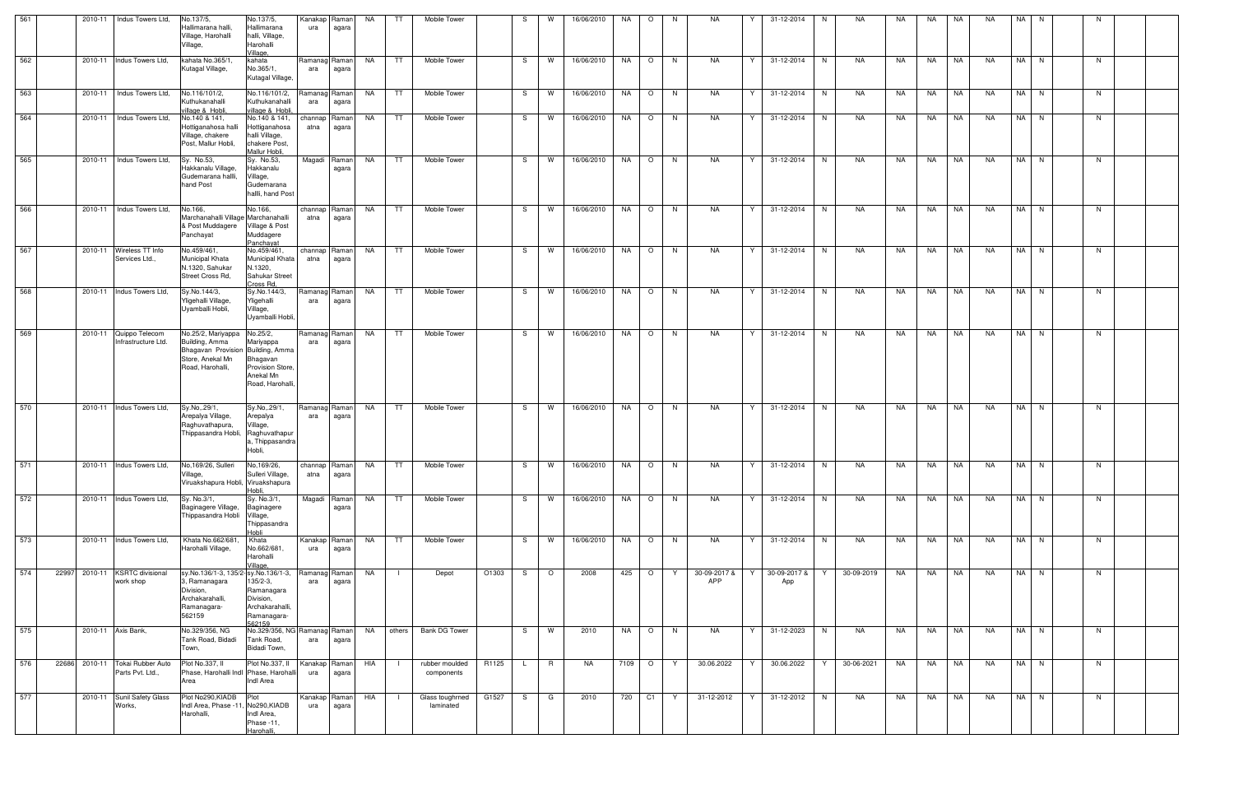| 561 |       |         | 2010-11 Indus Towers Ltd,                                 | No.137/5,<br>Hallimarana halli,<br>Village, Harohalli<br>Village,                                                 | No.137/5,<br>Hallimarana<br>halli, Village,<br>Harohalli<br>Village,                   | Kanakap<br>ura  | Raman<br>agara         | NA        | TT        | Mobile Tower                     |       | S. | W        | 16/06/2010                      | NA       | $\circ$ | - N      | NA                  |   | 31-12-2014                               | N. | NA          | NA.       | NA        | NA        | <b>NA</b> | <b>NA</b> | N. |    |  |
|-----|-------|---------|-----------------------------------------------------------|-------------------------------------------------------------------------------------------------------------------|----------------------------------------------------------------------------------------|-----------------|------------------------|-----------|-----------|----------------------------------|-------|----|----------|---------------------------------|----------|---------|----------|---------------------|---|------------------------------------------|----|-------------|-----------|-----------|-----------|-----------|-----------|----|----|--|
| 562 |       |         | 2010-11 Indus Towers Ltd,                                 | kahata No.365/1,<br>Kutagal Village,                                                                              | kahata<br>No.365/1,<br>Kutagal Village,                                                | ara             | Ramanag Raman<br>agara | NA        | TT        | Mobile Tower                     |       | S. | <b>W</b> | 16/06/2010                      | NA       | $\circ$ | N        | NA                  | Y | 31-12-2014                               | N  | NA          | NA        | NA        | NA        | NA        | NA N      |    | N. |  |
| 563 |       |         | 2010-11   Indus Towers Ltd,                               | No.116/101/2,<br>Kuthukanahalli<br>village & Hobli,                                                               | No.116/101/2,<br>Kuthukanahalli<br>village & Hobli.                                    | ara             | Ramanag Raman<br>agara | NA        | TT        | Mobile Tower                     |       | S. | W        | 16/06/2010                      | NA       | $\circ$ | <b>N</b> | <b>NA</b>           | Y | 31-12-2014                               | N  | NA          | NA        | <b>NA</b> | NA        | <b>NA</b> | NA I      | N  | N. |  |
| 564 |       |         | 2010-11 Indus Towers Ltd.                                 | No.140 & 141,<br>Hottiganahosa halli<br>Village, chakere<br>Post, Mallur Hobli,                                   | No.140 & 141,<br>Hottiganahosa<br>halli Village,<br>chakere Post,<br>Mallur Hobli,     | channap<br>atna | Raman<br>agara         | NA        | TT        | Mobile Tower                     |       | -S | <b>W</b> | 16/06/2010                      | NA       | $\circ$ | N        | NA                  | Y | 31-12-2014                               | N. | NA          | NA        | NA        | NA        | NA.       | NA N      |    | N. |  |
| 565 |       |         | 2010-11 Indus Towers Ltd,                                 | Sy. No.53,<br>Hakkanalu Village,<br>Gudemarana hallli,<br>hand Post                                               | Sy. No.53.<br>Hakkanalu<br>Village,<br>Gudemarana<br>hallli, hand Post                 |                 | Magadi Raman<br>agara  | NA        | TT        | Mobile Tower                     |       | S. | W        | 16/06/2010                      | NA       | $\circ$ | N        | NA                  | Y | 31-12-2014                               | N  | NA          | NA.       | <b>NA</b> | NA        | <b>NA</b> | NA I      | N  | N. |  |
| 566 |       |         | 2010-11   Indus Towers Ltd,                               | No.166,<br>Marchanahalli Village Marchanahalli<br>& Post Muddagere<br>Panchayat                                   | No.166,<br>Village & Post<br>Muddagere<br>Panchayat                                    | atna            | channap Raman<br>agara | NA        | TT        | <b>Mobile Tower</b>              |       | S. | <b>W</b> | 16/06/2010                      | NA       | $\circ$ | N,       | <b>NA</b>           | Y | 31-12-2014                               | N  | NA          | NA        | NA        | NA        | <b>NA</b> | NA N      |    | N. |  |
| 567 |       |         | 2010-11 Wireless TT Info<br>Services Ltd.                 | No.459/461,<br>Municipal Khata<br>N.1320, Sahukar<br>Street Cross Rd,                                             | No.459/461,<br>Municipal Khata<br>N.1320,<br>Sahukar Street<br>Cross Rd,               | channap<br>atna | Raman<br>agara         | <b>NA</b> | TT.       | Mobile Tower                     |       | S. | W        | 16/06/2010                      | NA       | $\circ$ | N.       | <b>NA</b>           | Y | 31-12-2014                               | N  | NA          | <b>NA</b> | <b>NA</b> | NA.       | NA.       | NA I      | N  | N. |  |
| 568 |       |         | 2010-11 Indus Towers Ltd.                                 | Sy.No.144/3,<br>Yligehalli Village<br>Uyamballi Hobli,                                                            | Sy.No.144/3,<br>Yligehalli<br>Village,<br>Uyamballi Hobli,                             | ara             | Ramanag Raman<br>agara | NA        | TT        | Mobile Tower                     |       | S. | W        | 16/06/2010                      | NA       | $\circ$ | N.       | <b>NA</b>           | Y | 31-12-2014                               | N  | NA          | NA        | NA        | NA        | <b>NA</b> | <b>NA</b> | N. | N. |  |
| 569 |       |         | 2010-11 Quippo Telecom<br>Infrastructure Ltd.             | No.25/2, Mariyappa<br>Building, Amma<br>Bhagavan Provision Building, Amma<br>Store, Anekal Mn<br>Road, Harohalli, | No.25/2,<br>Mariyappa<br>Bhagavan<br>Provision Store,<br>Anekal Mn<br>Road, Harohalli. | ara             | Ramanag Raman<br>agara | NA        | TT        | Mobile Tower                     |       | S. | W        | 16/06/2010                      | NA       | $\circ$ | N        | <b>NA</b>           | Y | 31-12-2014                               | N  | NA          | NA        | NA        | NA        | NA        | NA N      |    | N  |  |
| 570 |       |         | 2010-11 Indus Towers Ltd.                                 | Sy.No,.29/1,<br>Arepalya Village,<br>Raghuvathapura,<br>Thippasandra Hobli,                                       | Sy.No,.29/1,<br>Arepalya<br>Village,<br>Raghuvathapur<br>a, Thippasandra<br>Hobli,     | ara             | Ramanag Raman<br>agara | NA        | TT        | Mobile Tower                     |       | -S | W        | 16/06/2010                      | NA       | $\circ$ | N        | <b>NA</b>           | Y | 31-12-2014                               | N  | NA          | NA        | NA        | NA        | NA        | NA I      | N  | N  |  |
| 571 |       |         | 2010-11 Indus Towers Ltd, No, 169/26, Sulleri No, 169/26, | Village,<br>Viruakshapura Hobli, Viruakshapura                                                                    | Sulleri Village,<br>Hobli,                                                             | atna            | agara                  |           |           | channap Raman NA TT Mobile Tower |       |    |          | S   W   16/06/2010   NA   O   N |          |         |          | <b>NA</b>           |   | $\mid Y \mid 31 - 12 - 2014 \mid N \mid$ |    | NA NA NA NA |           |           |           | <b>NA</b> | NA N      |    | N  |  |
| 572 |       |         | 2010-11 Indus Towers Ltd.                                 | Sy. No.3/1,<br>Baginagere Village,<br>Thippasandra Hobli Village,                                                 | Sy. No.3/1,<br>Baginagere<br>Thippasandra<br>Hobli                                     |                 | Magadi Raman<br>agara  | NA        | TT.       | Mobile Tower                     |       | -S | W        | 16/06/2010                      | NA       | $\circ$ | N        | NA                  | Y | 31-12-2014                               | N  | NA          | NA        | <b>NA</b> | NA        | <b>NA</b> | $NA$ N    |    | N  |  |
| 573 |       |         | 2010-11 Indus Towers Ltd,                                 | Khata No.662/681<br>Harohalli Village,                                                                            | Khata<br>No.662/681,<br>Harohalli<br>Village,                                          | ura             | Kanakap Raman<br>agara | NA        | <b>TT</b> | Mobile Tower                     |       | S. | W        | 16/06/2010                      | NA       | $\circ$ | N        | NA                  | Y | 31-12-2014                               | N  | NA          | NA        | NA        | NA        | NA        | NA N      |    | N  |  |
| 574 | 22997 | 2010-11 | <b>KSRTC</b> divisional<br>work shop                      | sy.No.136/1-3, 135/2-sy.No.136/1-3,<br>3. Ramanagara<br>Division,<br>Archakarahalli,<br>Ramanagara-<br>562159     | $135/2-3,$<br>Ramanagara<br>Division,<br>Archakarahalli,<br>Ramanagara-<br>562159      | ara             | Ramanag Raman<br>agara | <b>NA</b> |           | Depot                            | O1303 | S  | $\circ$  | 2008                            | 425      | $\circ$ | Y        | 30-09-2017 &<br>APP | Y | 30-09-2017 &<br>App                      | Y  | 30-09-2019  | <b>NA</b> | NA        | <b>NA</b> | <b>NA</b> | NA N      |    | N. |  |
| 575 |       |         | 2010-11 Axis Bank,                                        | No.329/356, NG<br>Tank Road, Bidadi<br>Town,                                                                      | No.329/356, NG Ramanag Raman<br>Tank Road,<br>Bidadi Town,                             | ara             | agara                  | NA        |           | others Bank DG Tower             |       | S. | W        | 2010                            | NA       | $\circ$ | N        | NA                  | Y | 31-12-2023                               | N  | NA          | NA        | NA        | NA        | <b>NA</b> | NA N      |    | N  |  |
| 576 |       |         | 22686 2010-11 Tokai Rubber Auto<br>Parts Pvt. Ltd.,       | Plot No.337, II<br>Phase, Harohalli Indl Phase, Harohalli<br>Area                                                 | Plot No.337, II<br>Indl Area                                                           | ura             | Kanakap Raman<br>agara | HIA       |           | rubber moulded<br>components     | R1125 | L. | R        | NA.                             | 7109   O |         | Y        | 30.06.2022          | Y | 30.06.2022                               | Y  | 30-06-2021  | NA        | NA        | NA        | <b>NA</b> | NA N      |    | N  |  |
| 577 |       |         | 2010-11 Sunil Safety Glass<br>Works,                      | Plot No290, KIADB<br>Indl Area, Phase -11<br>Harohalli,                                                           | Plot<br>No290, KIADB<br>Indl Area,<br>Phase -11,<br>Harohalli,                         | ura             | Kanakap Raman<br>agara | HIA       |           | Glass toughrned<br>laminated     | G1527 | S. | G        | 2010                            | 720      | C1      | Y        | 31-12-2012          | Y | 31-12-2012                               | N  | NA          | NA        | NA        | NA        | <b>NA</b> | NA I      | N. | N  |  |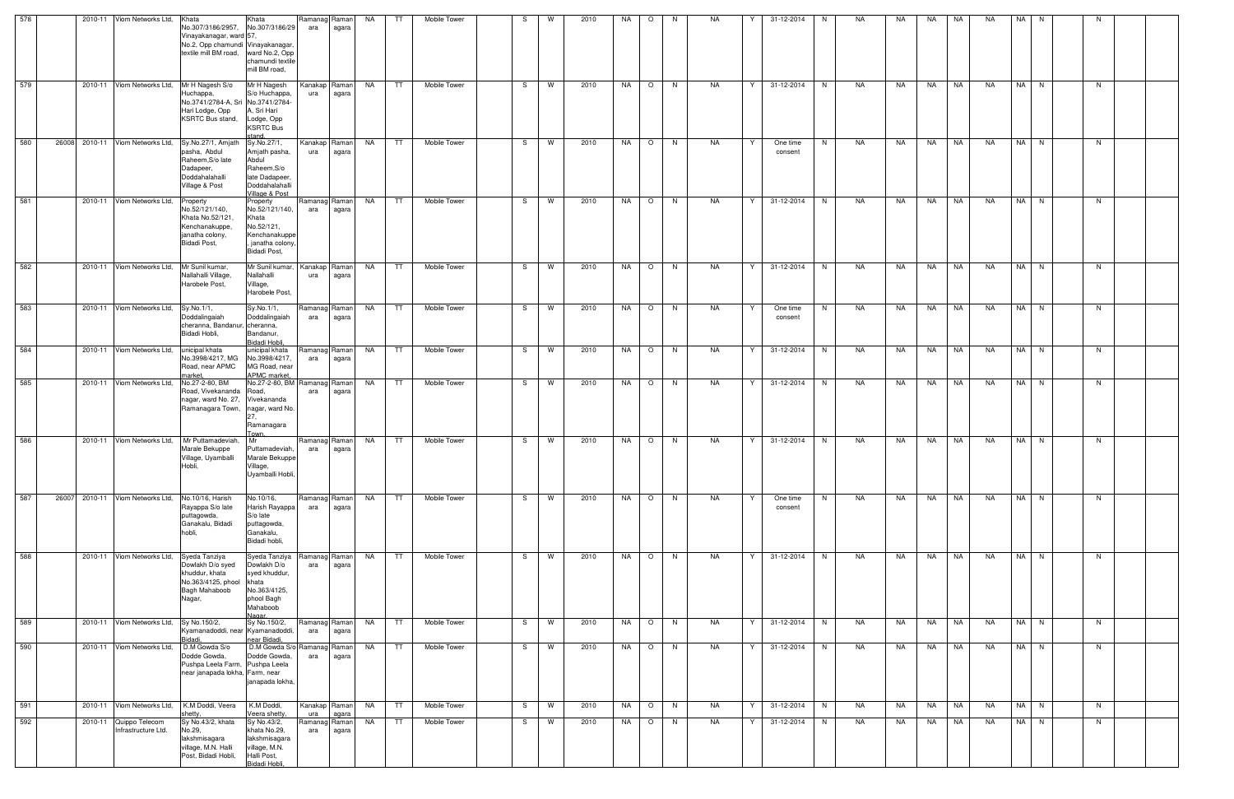| 578 |       | 2010-11 Viom Networks Ltd,                    | Khata<br>No.307/3186/2957,<br>Vinayakanagar, ward 57,<br>No.2, Opp chamundi Vinayakanagar<br>textile mill BM road, | Khata<br>No.307/3186/29<br>ward No.2, Opp<br>chamundi textile<br>mill BM road,                             | Ramanag<br>ara       | Raman<br>agara | <b>NA</b> | TT.       | Mobile Tower |    | W | 2010 | NA. | $\circ$ | -N | NA        |   | 31-12-2014          | N        | NA. | NA | NA        | NA.       | NA.       | NA. | -N   |    |  |
|-----|-------|-----------------------------------------------|--------------------------------------------------------------------------------------------------------------------|------------------------------------------------------------------------------------------------------------|----------------------|----------------|-----------|-----------|--------------|----|---|------|-----|---------|----|-----------|---|---------------------|----------|-----|----|-----------|-----------|-----------|-----|------|----|--|
| 579 |       | 2010-11 Viom Networks Ltd,                    | Mr H Nagesh S/o<br>Huchappa,<br>No.3741/2784-A, Sri No.3741/2784-<br>Hari Lodge, Opp<br>KSRTC Bus stand,           | Mr H Nagesh<br>S/o Huchappa,<br>A, Sri Hari<br>Lodge, Opp<br><b>KSRTC Bus</b><br>stand                     | Kanakap<br>ura       | Raman<br>agara | NA        | TT.       | Mobile Tower | S. | W | 2010 | NA  | $\circ$ | N  | NA        | Y | 31-12-2014          | N        | NA  | NA | NA        | <b>NA</b> | <b>NA</b> |     | NA N | N  |  |
| 580 |       | 26008 2010-11 Viom Networks Ltd,              | Sy.No.27/1, Amjath<br>pasha, Abdul<br>Raheem, S/o late<br>Dadapeer,<br>Doddahalahalli<br>Village & Post            | Sy.No.27/1,<br>Amjath pasha,<br>Abdul<br>Raheem, S/o<br>late Dadapeer.<br>Doddahalahalli<br>Village & Post | Kanakap<br>ura       | Raman<br>agara | NA        | TT        | Mobile Tower | S. | W | 2010 | NA  | $\circ$ | N. | NA        | Y | One time<br>consent | N        | NA  | NA | NA 1      | <b>NA</b> | NA        |     | NA N | N. |  |
| 581 |       | 2010-11 Viom Networks Ltd,                    | Property<br>No.52/121/140,<br>Khata No.52/121,<br>Kenchanakuppe,<br>janatha colony,<br>Bidadi Post,                | Property<br>No.52/121/140,<br>Khata<br>No.52/121,<br>Kenchanakuppe<br>, janatha colony,<br>Bidadi Post,    | Ramanag Raman<br>ara | agara          | NA        | TT        | Mobile Tower | S. | W | 2010 | NA  | $\circ$ | N. | NA        | Y | 31-12-2014          | N.       | NA  | NA | NA        | <b>NA</b> | <b>NA</b> |     | NA N | N. |  |
| 582 |       | 2010-11 Viom Networks Ltd,                    | Mr Sunil kumar,<br>Nallahalli Village,<br>Harobele Post,                                                           | Mr Sunil kumar,<br>Nallahalli<br>Village,<br>Harobele Post,                                                | Kanakap<br>ura       | Raman<br>agara | NA        | TT        | Mobile Tower | S. | W | 2010 | NA  | $\circ$ | N. | NA        | Y | 31-12-2014          | <b>N</b> | NA  | NA | NA        | NA.       | <b>NA</b> |     | NA N | N. |  |
| 583 |       | 2010-11 Viom Networks Ltd,                    | Sy.No.1/1,<br>Doddalingaiah<br>cheranna, Bandanur, cheranna,<br>Bidadi Hobli,                                      | Sy.No.1/1,<br>Doddalingaiah<br>Bandanur,<br>Bidadi Hobli,                                                  | Ramanag Raman<br>ara | agara          | NA        | TT        | Mobile Tower | S. | W | 2010 | NA  | $\circ$ | N. | NA        | Y | One time<br>consent | N        | NA  | NA | NA        | <b>NA</b> | NA.       |     | NA N | N  |  |
| 584 |       | 2010-11 Viom Networks Ltd,                    | unicipal khata<br>No.3998/4217, MG<br>Road, near APMC<br>narket.                                                   | unicipal khata<br>No.3998/4217,<br>MG Road, near<br>APMC market,                                           | Ramanag<br>ara       | Raman<br>agara | NA        | TT.       | Mobile Tower | S  | W | 2010 | NA  | $\circ$ | N. | NA        | Y | 31-12-2014          | N        | NA. | NA | NA        | <b>NA</b> | <b>NA</b> |     | NA N | N  |  |
| 585 |       | 2010-11 Viom Networks Ltd,                    | No.27-2-80, BM<br>Road, Vivekananda<br>nagar, ward No. 27, Vivekananda<br>Ramanagara Town,                         | No.27-2-80, BM Ramanag Raman<br>Road,<br>nagar, ward No.<br>Ramanagara<br>Гоwn.                            | ara                  | agara          | NA        | TT        | Mobile Tower | S  | W | 2010 | NA  | $\circ$ | N  | NA.       | Y | 31-12-2014          | N.       | NA  | NA | NA        | NA        | <b>NA</b> |     | NA N | N  |  |
| 586 |       | 2010-11 Viom Networks Ltd,                    | Mr Puttamadeviah,<br>Marale Bekuppe<br>Village, Uyamballi<br>Hobli,                                                | <b>Mr</b><br>Puttamadeviah,<br>Marale Bekuppe<br>Village,<br>Uyamballi Hobli,                              | Ramanag Raman<br>ara | agara          | NA        | TT.       | Mobile Tower | S. | W | 2010 | NA  | $\circ$ | N. | NA        | Y | 31-12-2014          | N        | NA  | NA | NA        | NA        | NA        |     | NA N | N  |  |
| 587 | 26007 | 2010-11 Viom Networks Ltd,                    | No.10/16, Harish<br>Rayappa S/o late<br>puttagowda,<br>Ganakalu, Bidadi<br>hobli,                                  | No.10/16,<br>Harish Rayappa<br>S/o late<br>puttagowda,<br>Ganakalu,<br>Bidadi hobli,                       | Ramanag Raman<br>ara | agara          | NA        | <b>TT</b> | Mobile Tower | S. | W | 2010 | NA  | $\circ$ | N  | <b>NA</b> | Y | One time<br>consent | N        | NA  | NA | NA NA     |           | <b>NA</b> |     | NA N | N  |  |
| 588 |       | 2010-11 Viom Networks Ltd,                    | Syeda Tanziya<br>Dowlakh D/o syed<br>khuddur, khata<br>No.363/4125, phool khata<br>Bagh Mahaboob<br>Nagar,         | Syeda Tanziya<br>Dowlakh D/o<br>syed khuddur,<br>No.363/4125,<br>phool Bagh<br>Mahaboob<br>Nagar.          | Ramanag Raman<br>ara | agara          | NA        | TT        | Mobile Tower | S. | W | 2010 | NA  | $\circ$ | N  | NA        | Y | 31-12-2014          | N        | NA  | NA | NA        | NA        | <b>NA</b> |     | NA N | N  |  |
| 589 |       | 2010-11 Viom Networks Ltd,                    | Sy No.150/2,<br>Kyamanadoddi, near Kyamanadoddi,<br>Bidadi,                                                        | Sy No.150/2,<br>near Bidadi,                                                                               | Ramanag Raman<br>ara | agara          | NA        | TT        | Mobile Tower | S. | W | 2010 | NA  | $\circ$ | N  | NA        | Y | 31-12-2014          | N        | NA  | NA | NA        | <b>NA</b> | NA        |     | NA N | N  |  |
| 590 |       | 2010-11 Viom Networks Ltd,                    | D.M Gowda S/o<br>Dodde Gowda,<br>Pushpa Leela Farm, Pushpa Leela<br>near janapada lokha, Farm, near                | D.M Gowda S/o Ramanag Raman<br>Dodde Gowda,<br>janapada lokha,                                             | ara                  | agara          | NA        | TT        | Mobile Tower | S  | W | 2010 | NA  | $\circ$ | N  | NA        | Y | 31-12-2014          | N.       | NA  | NA | NA        | NA        | NA        |     | NA N | N  |  |
| 591 |       | 2010-11 Viom Networks Ltd,                    | K.M Doddi, Veera<br>:hetty.                                                                                        | K.M Doddi,<br>Veera shetty,                                                                                | Kanakap Raman<br>ura | agara          | <b>NA</b> | <b>TT</b> | Mobile Tower | S. | W | 2010 | NA  | $\circ$ | N  | NA        | Y | 31-12-2014          | N        | NA  | NA | <b>NA</b> | <b>NA</b> | NA        |     | NA N | N  |  |
| 592 |       | 2010-11 Quippo Telecom<br>Infrastructure Ltd. | Sy No.43/2, khata<br>No.29,<br>lakshmisagara<br>village, M.N. Halli<br>Post, Bidadi Hobli,                         | Sy No.43/2,<br>khata No.29,<br>lakshmisagara<br>village, M.N.<br>Halli Post,<br>Bidadi Hobli               | Ramanag Raman<br>ara | agara          | NA        | TT        | Mobile Tower | S  | W | 2010 | NA  | $\circ$ | N. | <b>NA</b> | Y | 31-12-2014          | N        | NA  | NA | NA        | NA        | <b>NA</b> |     | NA N | N  |  |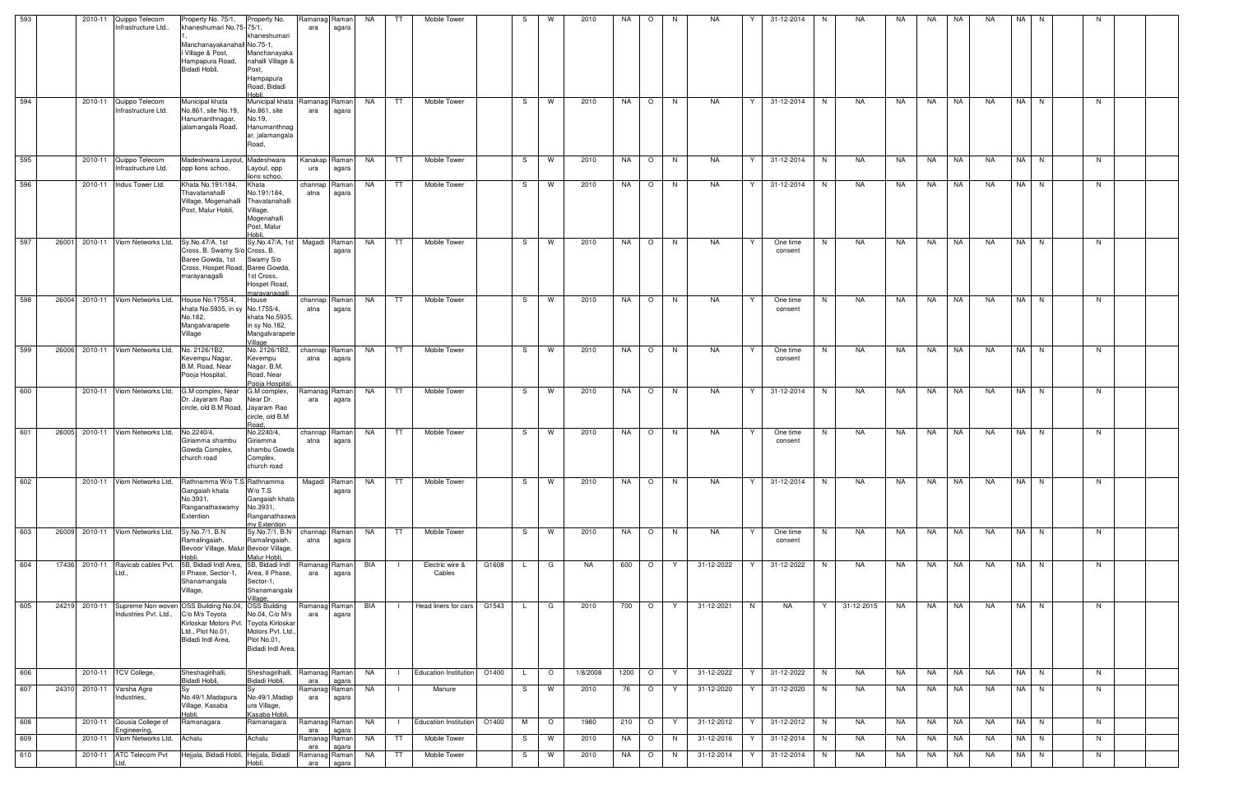| 593 |       |               | 2010-11 Quippo Telecom<br>Infrastructure Ltd                                              | Property No. 75/1,<br>khaneshumari No.75-75/1,<br>Manchanayakanahall No.75-1,<br>Village & Post,<br>Hampapura Road,<br>Bidadi Hobli, | Property No.<br>khaneshumari<br>Manchanayaka<br>nahalli Village &<br>Post,<br>Hampapura                        | Ramanag<br>ara         | Raman<br>agara  | <b>NA</b> | TT.<br>Mobile Tower          |       |              | W       | 2010     | NA   | $\circ$                  | -N | NA.        | 31-12-2014               | N<br>NA.   | NA. | NA.   | NA.       | NA.       | NA. | -N   |    |  |
|-----|-------|---------------|-------------------------------------------------------------------------------------------|--------------------------------------------------------------------------------------------------------------------------------------|----------------------------------------------------------------------------------------------------------------|------------------------|-----------------|-----------|------------------------------|-------|--------------|---------|----------|------|--------------------------|----|------------|--------------------------|------------|-----|-------|-----------|-----------|-----|------|----|--|
| 594 |       | 2010-11       | Quippo Telecom<br>Infrastructure Ltd.                                                     | Municipal khata<br>No.861, site No.19,<br>Hanumanthnagar,<br>jalamangala Road,                                                       | Road, Bidadi<br>Hobli<br>Municipal khata<br>No.861, site<br>No.19,<br>Hanumanthnag<br>ar, jalamangala<br>Road, | Ramanag<br>ara         | Raman<br>agara  | <b>NA</b> | <b>TT</b><br>Mobile Tower    |       | S            | W       | 2010     | NA   | $\circ$                  | N  | <b>NA</b>  | 31-12-2014<br>Y          | N<br>NA.   | NA  | NA    | NA        | <b>NA</b> |     | NA N | N  |  |
| 595 |       |               | 2010-11 Quippo Telecom<br>Infrastructure Ltd.                                             | Madeshwara Layout, Madeshwara<br>opp lions schoo,                                                                                    | Layout, opp<br>lions schoo,                                                                                    | Kanakap   Raman<br>ura | agara           | <b>NA</b> | TT.<br><b>Mobile Tower</b>   |       | S.           | W       | 2010     | NA   | $\circ$                  | N  | NA         | 31-12-2014<br>Y          | N<br>NA    | NA. | NA    | NA        | NA.       |     | NA N | N. |  |
| 596 |       |               | 2010-11 Indus Tower Ltd.                                                                  | Khata No.191/184,<br>Thavatanahalli<br>Village, Mogenahalli<br>Post, Malur Hobli,                                                    | Khata<br>No.191/184,<br>Thavatanahalli<br>Village,<br>Mogenahalli<br>Post, Malur<br>Hobli.                     | channap<br>atna        | Raman<br>agara  | NA        | TT<br>Mobile Tower           |       | -S           | W       | 2010     | NA   | $\circ$                  | N  | <b>NA</b>  | 31-12-2014<br>Y          | NA<br>N    | NA. | NA    | NA        | NA.       |     | NA N | N  |  |
| 597 | 26001 |               | 2010-11 Viom Networks Ltd,                                                                | Sy.No.47/A, 1st<br>Cross, B. Swamy S/o Cross, B.<br>Baree Gowda, 1st<br>Cross, Hospet Road, Baree Gowda<br>marayanagalli             | Sy.No.47/A, 1st   Magadi   Raman  <br>Swamy S/o<br>1st Cross,<br>Hospet Road,<br>maravanagalli                 |                        | agara           | NA        | Mobile Tower<br>TT.          |       | -S           | W       | 2010     | NA   | $\circ$                  | N. | NA         | One time<br>Y<br>consent | N<br>NA    | NA  | NA    | NA        | NA        |     | NA N | N. |  |
| 598 |       |               | 26004 2010-11 Viom Networks Ltd,                                                          | House No.1755/4,<br>khata No.5935, in sy No.1755/4,<br>No.182,<br>Mangalvarapete<br>Village                                          | House<br>khata No.5935,<br>in sy No.182,<br>Mangalvarapete<br>Village                                          | channap<br>atna        | Raman<br>agara  | NA        | Mobile Tower<br>TT           |       | S.           | W       | 2010     | NA   | $\circ$                  | N  | NA.        | Y<br>One time<br>consent | NA<br>N.   | NA. | NA    | NA        | NA        |     | NA N | N  |  |
| 599 |       |               | 26006 2010-11 Viom Networks Ltd,                                                          | No. 2126/1B2,<br>Kevempu Nagar,<br>B.M. Road, Near<br>Pooja Hospital,                                                                | No. 2126/1B2,<br>Kevempu<br>Nagar, B.M.<br>Road, Near<br>Pooja Hospital                                        | channap<br>atna        | Raman<br>agara  | <b>NA</b> | TT.<br><b>Mobile Tower</b>   |       | S            | W       | 2010     | NA   | $\circ$                  | N. | <b>NA</b>  | Y<br>One time<br>consent | N.<br>NA.  | NA  | NA    | l NA      | <b>NA</b> |     | NA N | N  |  |
| 600 |       |               | 2010-11 Viom Networks Ltd,                                                                | G.M complex, Near<br>Dr. Jayaram Rao<br>circle, old B.M Road, Jayaram Rao                                                            | G.M complex,<br>Near Dr.<br>circle, old B.M<br>Road,                                                           | Ramanag<br>ara         | Raman<br>agara  | NA        | TT<br>Mobile Tower           |       | S.           | W       | 2010     | NA   | $\circ$                  | N  | NA         | 31-12-2014<br>Y          | N<br>NA    | NA. | NA    | NA        | NA        |     | NA N | N. |  |
| 601 |       |               | 26005 2010-11 Viom Networks Ltd,                                                          | No.2240/4.<br>Giriamma shambu<br>Gowda Complex,<br>church road                                                                       | No.2240/4,<br>Giriamma<br>shambu Gowda<br>Complex,<br>church road                                              | channap<br>atna        | Raman<br>agara  | NA        | TT<br>Mobile Tower           |       | S.           | W       | 2010     | NA   | $\circ$                  | N. | NA.        | Y<br>One time<br>consent | N<br>NA.   | NA. | NA    | NA        | NA        |     | NA N | N. |  |
| 602 |       |               | 2010-11 Viom Networks Ltd,                                                                | Rathnamma W/o T.S Rathnamma<br>Gangaiah khata<br>No.3931<br>Ranganathaswamy No.3931,<br>Extention                                    | W/o T.S<br>Gangaiah khata<br>Ranganathaswa<br>mv Extention                                                     | Magadi                 | Raman<br>agara  | NA        | Mobile Tower<br>TT           |       | S.           | W       | 2010     | NA   | $\circ$                  | N. | NA         | Y<br>31-12-2014          | N<br>NA    | NA  | NA NA |           | NA        |     | NA N | N. |  |
| 603 |       |               | 26009 2010-11 Viom Networks Ltd,                                                          | Sy.No.7/1, B.N<br>Ramalingaiah,<br>Bevoor Village, Malur Bevoor Village,<br>Hobli.                                                   | Sy.No.7/1, B.N   channap   Raman  <br>Ramalingaiah,<br>Malur Hobli,                                            | atna                   | agara           | NA        | Mobile Tower<br>TT           |       | S.           | W       | 2010     | NA   | $\circ$                  | N  | NA         | Y<br>One time<br>consent | N<br>NA    | NA  | NA    | <b>NA</b> | NA.       |     | NA N | N  |  |
| 604 |       |               | 17436 2010-11 Ravicab cables Pvt.<br>Ltd.,                                                | 5B, Bidadi Indl Area, 5B, Bidadi Indl<br>II Phase, Sector-1,<br>Shanamangala<br>Village,                                             | Area, II Phase,<br>Sector-1,<br>Shanamangala<br>/illage,                                                       | Ramanag<br>ara         | Ramanl<br>agara | BIA       | Electric wire &<br>Cables    | G1608 | $\mathsf{L}$ | G       | NA       | 600  | $\circ$                  | Y  | 31-12-2022 | 31-12-2022               | NA<br>N.   | NA. | NA    | NA        | NA.       |     | NA N | N. |  |
| 605 |       |               | 24219 2010-11 Supreme Non woven OSS Building No.04, OSS Building<br>Industries Pvt. Ltd., | C/o M/s Toyota<br>Kirloskar Motors Pvt. Toyota Kirloskar<br>Ltd., Plot No.01,<br>Bidadi Indl Area,                                   | No.04, C/o M/s<br>Motors Pvt. Ltd.,<br>Plot No.01,<br>Bidadi Indl Area,                                        | Ramanag Raman<br>ara   | agara           | BIA       | Head liners for cars         | G1543 | L.           | G       | 2010     | 700  | $\overline{\phantom{0}}$ | Y  | 31-12-2021 | N<br>NA                  | 31-12-2015 | NA  | NA 1  | <b>NA</b> | NA        |     | NA N | N. |  |
| 606 |       |               | 2010-11   TCV College,                                                                    | Sheshagirihalli,<br>Bidadi Hobli,                                                                                                    | Sheshagirihalli,<br>Bidadi Hobli,                                                                              | Ramanag Raman<br>ara   | agara           | NA        | <b>Education Institution</b> | O1400 | L.           | $\circ$ | 1/8/2008 | 1200 | $\circ$                  | Y  | 31-12-2022 | 31-12-2022<br>Y          | NA<br>N    | NA  | NA    | NA        | NA        |     | NA N | N. |  |
| 607 |       | 24310 2010-11 | Varsha Agro<br>Industries,                                                                | No.49/1, Madapura<br>Village, Kasaba<br>Hobli.                                                                                       | No.49/1, Madap<br>ura Village,<br>Kasaba Hobli.                                                                | Ramanag<br>ara         | Raman<br>agara  | NA        | Manure                       |       | S.           | W       | 2010     | 76   | $\circ$                  | Y  | 31-12-2020 | 31-12-2020<br>Y          | N<br>NA    | NA  | NA    | NA        | NA        |     | NA N | N  |  |
| 608 |       |               | 2010-11 Gousia College of                                                                 | Ramanagara                                                                                                                           | Ramanagara                                                                                                     | Ramanag Raman          |                 | NA        | <b>Education Institution</b> | O1400 | M            | $\circ$ | 1980     | 210  | $\circ$                  | Y  | 31-12-2012 | 31-12-2012               | NA<br>N    | NA  | NA    | <b>NA</b> | NA        |     | NA N | N  |  |
| 609 |       |               | Engineering,<br>2010-11 Viom Networks Ltd, Achalu                                         |                                                                                                                                      | Achalu                                                                                                         | ara<br>Ramanag Raman   | agara           | NA        | TT<br>Mobile Tower           |       | S            | W       | 2010     | NA   | $\circ$                  | N. | 31-12-2016 | 31-12-2014<br>Y          | N<br>NA    | NA  | NA    | NA        | NA        |     | NA N | N  |  |
| 610 |       |               | 2010-11 ATC Telecom Pvt                                                                   | Hejjala, Bidadi Hobli, Hejjala, Bidadi                                                                                               |                                                                                                                | ara<br>Ramanag Raman   | agara           | <b>NA</b> | TT<br>Mobile Tower           |       | S            | W       | 2010     | NA   | $\circ$                  | N  | 31-12-2014 | Y<br>31-12-2014          | NA<br>N    | NA  | NA    | NA        | NA        |     | NA N | N  |  |
|     |       |               | Ltd.                                                                                      |                                                                                                                                      | Hobli,                                                                                                         | ara                    | agara           |           |                              |       |              |         |          |      |                          |    |            |                          |            |     |       |           |           |     |      |    |  |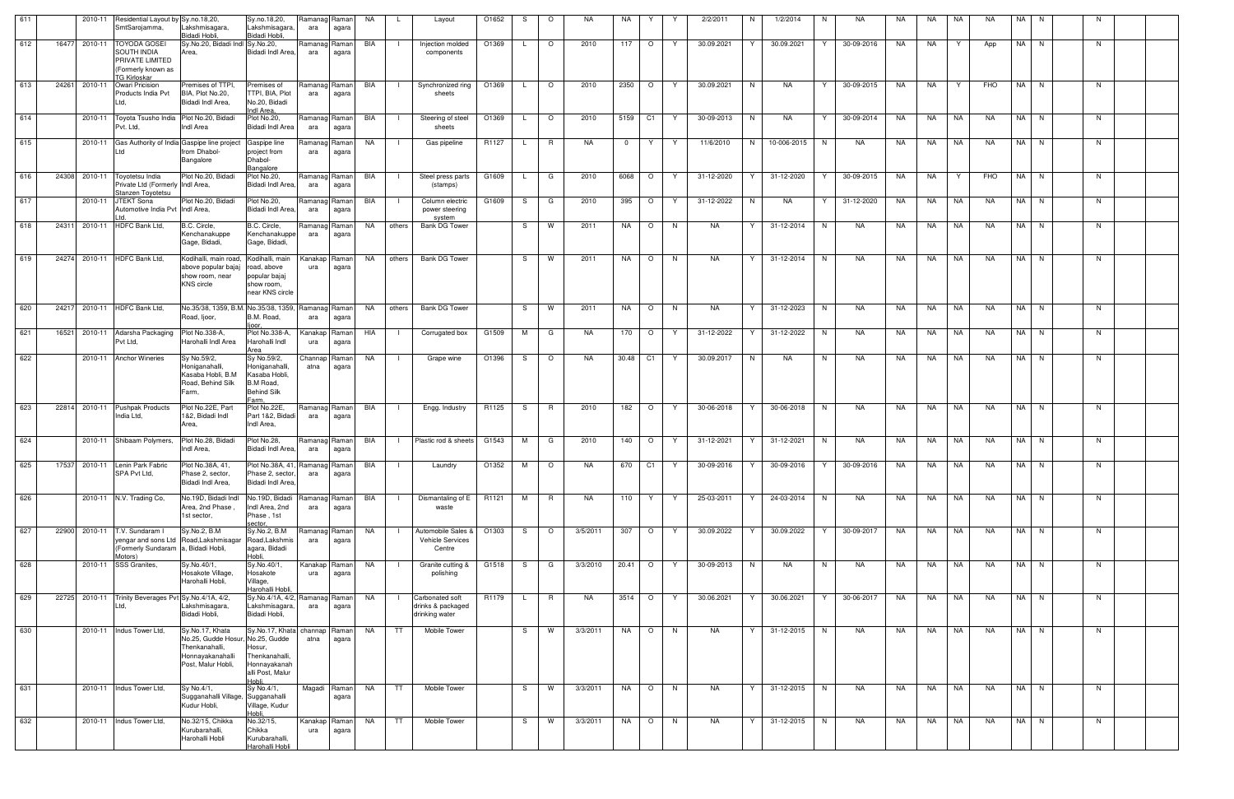| 611 |       | 2010-11 | Residential Layout by Sy.no.18,20,<br>SmtSarojamma,                                         | Lakshmisagara,                                                                                    | Sy.no.18,20,<br>Lakshmisagara,                                                                          | Ramanag Raman<br>ara | agara          | NA        | Layout<br>└                                            | O1652       | S  | $\circ$  | NA.       | NA         | Y                   | 2/2/2011                                         | N   | 1/2/2014    | N  | NA         | NA        | NA.       | NA        | <b>NA</b> | NA   | N.       | N  |  |
|-----|-------|---------|---------------------------------------------------------------------------------------------|---------------------------------------------------------------------------------------------------|---------------------------------------------------------------------------------------------------------|----------------------|----------------|-----------|--------------------------------------------------------|-------------|----|----------|-----------|------------|---------------------|--------------------------------------------------|-----|-------------|----|------------|-----------|-----------|-----------|-----------|------|----------|----|--|
| 612 | 16477 | 2010-11 | <b>TOYODA GOSEI</b><br>SOUTH INDIA<br>PRIVATE LIMITED<br>(Formerly known as<br>TG Kirloskar | Bidadi Hobli.<br>Sy.No.20, Bidadi Indl Sy.No.20,<br>Area,                                         | Bidadi Hobli,<br>Bidadi Indl Area,                                                                      | Ramanag Raman<br>ara | agara          | BIA       | Injection molded<br>$\blacksquare$<br>components       | O1369       |    | $\circ$  | 2010      | 117        | $\circ$<br>Y.       | 30.09.2021                                       | Y   | 30.09.2021  |    | 30-09-2016 | NA        | NA        | Y         | App       | NA I | N.       | N. |  |
| 613 | 24261 | 2010-11 | Owari Pricision<br>Products India Pvt<br>Ltd,                                               | Premises of TTPI,<br>BIA, Plot No.20,<br>Bidadi Indl Area,                                        | Premises of<br>TTPI, BIA, Plot<br>No.20, Bidadi<br>Indl Area,                                           | Ramanag Raman<br>ara | agara          | BIA       | Synchronized ring<br>$\Box$<br>sheets                  | O1369       |    | $\circ$  | 2010      | 2350       | $\circ$<br>Y        | 30.09.2021                                       | N   | NA          | Y. | 30-09-2015 | NA        | NA        | Y         | FHO       |      | NA N     | N. |  |
| 614 |       | 2010-11 | Toyota Tsusho India Plot No.20, Bidadi<br>Pvt. Ltd.                                         | Indl Area                                                                                         | Plot No.20,<br>Bidadi Indl Area                                                                         | Ramanag Raman<br>ara | agara          | BIA       | Steering of steel<br>$\blacksquare$<br>sheets          | O1369       |    | $\circ$  | 2010      | 5159       | C1<br>Y             | 30-09-2013                                       | N.  | NA          | Y  | 30-09-2014 | NA        | NA        | NA.       | NA.       | NA I | N.       | N. |  |
| 615 |       | 2010-11 | Gas Authority of India Gaspipe line project<br>Ltd                                          | from Dhabol-<br>Bangalore                                                                         | Gaspipe line<br>project from<br>Dhabol-<br>Bangalore                                                    | Ramanag Raman<br>ara | agara          | NA        | Gas pipeline                                           | R1127       |    | R        | NA        | $^{\circ}$ | Y<br>Y              | 11/6/2010                                        | N   | 10-006-2015 | N. | NA         | NA        | NA        | NA        | NA        |      | NA N     | N  |  |
| 616 |       |         | 24308 2010-11 Toyotetsu India<br>Private Ltd (Formerly Indl Area,<br>Stanzen Toyotetsu      | Plot No.20, Bidadi                                                                                | Plot No.20,<br>Bidadi Indl Area,                                                                        | Ramanag Raman<br>ara | agara          | BIA       | Steel press parts<br>(stamps)                          | G1609       |    | G        | 2010      | 6068       | $\circ$<br>Y        | 31-12-2020                                       | Y   | 31-12-2020  | Y  | 30-09-2015 | NA        | NA        | Y         | FHO       |      | NA N     | N. |  |
| 617 |       | 2010-11 | <b>JTEKT Sona</b><br>Automotive India Pvt Indi Area,                                        | Plot No.20, Bidadi                                                                                | Plot No.20,<br>Bidadi Indl Area,                                                                        | Ramanag Raman<br>ara | agara          | BIA       | Column electric<br>power steering<br>system            | G1609       | S. | G        | 2010      | 395        | $\circ$<br>Y        | 31-12-2022                                       | N   | NA          | Y  | 31-12-2020 | NA        | NA        | NA        | <b>NA</b> | NA   | N        | N  |  |
| 618 | 24311 |         | 2010-11 HDFC Bank Ltd,                                                                      | B.C. Circle,<br>Kenchanakuppe<br>Gage, Bidadi,                                                    | B.C. Circle,<br>Kenchanakuppe<br>Gage, Bidadi,                                                          | Ramanag Raman<br>ara | agara          | NA        | others<br>Bank DG Tower                                |             | S. | W        | 2011      | NA         | $\circ$<br>N.       | <b>NA</b>                                        | Y   | 31-12-2014  | N. | NA         | NA        | NA        | NA        | NA.       | NA I | N.       | N. |  |
| 619 |       |         | 24274 2010-11 HDFC Bank Ltd,                                                                | Kodihalli, main road.<br>above popular bajaj<br>show room, near<br><b>KNS</b> circle              | Kodihalli, main<br>road, above<br>popular bajaj<br>show room,<br>near KNS circle                        | Kanakap Raman<br>ura | agara          | NA        | <b>Bank DG Tower</b><br>others                         |             | S  | W        | 2011      | NA         | $\circ$<br>N        | <b>NA</b>                                        | Y   | 31-12-2014  | N. | NA         | NA.       | NA        | NA        | <b>NA</b> |      | NA N     | N  |  |
| 620 | 24217 |         | 2010-11 HDFC Bank Ltd,                                                                      | No.35/38, 1359, B.M. No.35/38, 1359, Ramanag Raman<br>Road, Ijoor,                                | B.M. Road,                                                                                              | ara                  | agara          | NA        | <b>Bank DG Tower</b><br>others                         |             | S. | W        | 2011      | NA         | $\circ$<br>N        | NA                                               | Y   | 31-12-2023  | N  | NA         | NA        | NA        | <b>NA</b> | NA        |      | NA N     | N. |  |
| 621 | 16521 |         | 2010-11 Adarsha Packaging<br>Pvt Ltd,                                                       | Plot No.338-A,<br>Harohalli Indl Area                                                             | Plot No.338-A,<br>Harohalli Indl<br>Area                                                                | Kanakap<br>ura       | Raman<br>agara | HIA       | Corrugated box<br>$\blacksquare$                       | G1509       | M  | G        | NA        | 170        | $\circ$<br>Y        | 31-12-2022                                       | Y   | 31-12-2022  | N. | NA         | NA        | NA        | NA        | NA        | NA I | N.       | N. |  |
| 622 |       |         | 2010-11 Anchor Wineries                                                                     | Sy No.59/2,<br>Honiganahalli,<br>Kasaba Hobli, B.M<br>Road, Behind Silk<br>Farm,                  | Sy No.59/2,<br>Honiganahalli,<br>Kasaba Hobli,<br>B.M Road,<br><b>Behind Silk</b><br><sup>=</sup> arm   | Channap<br>atna      | Raman<br>agara | NA        | Grape wine                                             | O1396       | S. | $\circ$  | NA.       | 30.48      | C <sub>1</sub><br>Y | 30.09.2017                                       | N   | NA          | N. | NA         | NA        | NA        | NA        | NA        | NA I | <b>N</b> | N  |  |
| 623 |       |         | 22814 2010-11 Pushpak Products<br>India Ltd,                                                | Plot No.22E, Part<br>1&2, Bidadi Indl<br>Area,                                                    | Plot No.22E,<br>Part 1&2, Bidadi<br>Indl Area,                                                          | Ramanag Raman<br>ara | agara          | BIA       | Engg. Industry                                         | R1125       | S. | - R      | 2010      | 182        | $\circ$<br>Y.       | 30-06-2018                                       | Y   | 30-06-2018  | N. | NA         | NA        | NA        | NA        | NA.       |      | NA N     | N. |  |
| 624 |       |         | 2010-11 Shibaam Polymers,                                                                   | Plot No.28, Bidadi<br>Indl Area.                                                                  | Plot No.28,<br>Bidadi Indl Area,                                                                        | Ramanag Raman<br>ara | agara          | BIA       | I Plastic rod & sheets G1543                           |             | M  | G        | 2010      | 140        | $\circ$<br>Y        | 31-12-2021                                       | Y I | 31-12-2021  | N  | NA.        | NA        | NA        | NA        | <b>NA</b> |      | NA N     | N  |  |
|     |       |         | 625 17537 2010-11 Lenin Park Fabric<br>SPA Pvt Ltd,                                         | Plot No.38A, 41, Plot No.38A, 41, Ramanag Raman BIA    <br>Phase 2, sector,<br>Bidadi Indl Area,  | Phase 2, sector,<br>Bidadi Indl Area,                                                                   | ara                  | agara          |           | Laundry                                                | $O1352$ M O |    |          | <b>NA</b> |            |                     | 670 C1 Y 30-09-2016 Y 30-09-2016 Y 30-09-2016 NA |     |             |    |            |           | NA 1      | NA I      | NA.       |      | NA N     | N  |  |
| 626 |       |         | 2010-11 N.V. Trading Co.                                                                    | No.19D, Bidadi Indl<br>Area, 2nd Phase<br>1st sector,                                             | No.19D, Bidadi<br>Indl Area, 2nd<br>Phase, 1st<br>ector.                                                | Ramanag Raman<br>ara | agara          | BIA       | Dismantaling of E<br>waste                             | R1121       | M  | R        | NA.       | 110        | Y.<br>Y             | 25-03-2011                                       | Y   | 24-03-2014  | N  | NA         | NA        | NA        | NA        | <b>NA</b> |      | NA N     | N  |  |
| 627 |       |         | 22900 2010-11 T.V. Sundaram I<br>(Formerly Sundaram a, Bidadi Hobli,<br>Motors)             | Sy.No.2, B.M<br>yengar and sons Ltd Road, Lakshmisaga                                             | Sy.No.2, B.M<br>Road, Lakshmis<br>agara, Bidadi<br>Hobli.                                               | Ramanag Raman<br>ara | agara          | NA        | Automobile Sales &<br>Vehicle Services<br>Centre       | O1303       | S  | $\circ$  | 3/5/2011  | 307        | $\circ$<br>Y        | 30.09.2022                                       | Y   | 30.09.2022  | Y  | 30-09-2017 | <b>NA</b> | <b>NA</b> | <b>NA</b> | <b>NA</b> |      | NA N     | N. |  |
| 628 |       |         | 2010-11 SSS Granites,                                                                       | Sy.No.40/1,<br>Hosakote Village,<br>Harohalli Hobli,                                              | Sy.No.40/1,<br>Hosakote<br>Village,<br><b>Harohalli Hobli,</b>                                          | Kanakap Raman<br>ura | agara          | NA        | Granite cutting &<br>polishing                         | G1518       | S. | G        | 3/3/2010  | 20.41      | $\circ$<br>Y.       | 30-09-2013                                       | N   | NA          | N  | NA         | NA        | NA        | NA        | <b>NA</b> | NA I | N        | N. |  |
| 629 |       |         | 22725 2010-11 Trinity Beverages Pvt Sy.No.4/1A, 4/2,<br>Ltd.                                | Lakshmisagara,<br>Bidadi Hobli,                                                                   | Sy.No.4/1A, 4/2, Ramanag Raman<br>Lakshmisagara,<br>Bidadi Hobli,                                       | ara                  | agara          | NA        | Carbonated soft<br>drinks & packaged<br>drinking water | R1179       |    | R        | <b>NA</b> | 3514       | $\circ$<br>Y.       | 30.06.2021                                       | Y   | 30.06.2021  | Y  | 30-06-2017 | <b>NA</b> | <b>NA</b> | NA        | <b>NA</b> |      | NA N     | N  |  |
| 630 |       | 2010-11 | Indus Tower Ltd.                                                                            | Sy.No.17, Khata<br>No.25, Gudde Hosur<br>Thenkanahalli,<br>Honnayakanahalli<br>Post, Malur Hobli, | Sy.No.17, Khata channap<br>No.25, Gudde<br>Hosur,<br>Thenkanahalli,<br>Honnayakanah<br>alli Post, Malur | atna                 | Raman<br>agara | <b>NA</b> | Mobile Tower<br>TT                                     |             | S  | <b>W</b> | 3/3/2011  | NA         | $\circ$<br>N        | <b>NA</b>                                        | Y   | 31-12-2015  | N  | NA.        | <b>NA</b> | <b>NA</b> | <b>NA</b> | <b>NA</b> | NA I | N        | N  |  |
| 631 |       |         | 2010-11 Indus Tower Ltd,                                                                    | Sy No.4/1,<br>Sugganahalli Village, Sugganahalli<br>Kudur Hobli,                                  | Sy No.4/1,<br>Village, Kudur<br>Hobli.                                                                  | Magadi               | Raman<br>agara | <b>NA</b> | TT.<br>Mobile Tower                                    |             | S  | W        | 3/3/2011  | NA         | $\circ$<br>N        | <b>NA</b>                                        | Y   | 31-12-2015  | N. | NA         | NA        | <b>NA</b> | NA        | NA.       | NA I | N        | N. |  |
| 632 |       |         | 2010-11 Indus Tower Ltd,                                                                    | No.32/15, Chikka<br>Kurubarahalli,<br>Harohalli Hobli                                             | No.32/15,<br>Chikka<br>Kurubarahalli,<br>Harohalli Hobli                                                | Kanakap<br>ura       | Raman<br>agara | NA        | TT<br>Mobile Tower                                     |             | S. | W        | 3/3/2011  | NA         | $\circ$<br>N.       | <b>NA</b>                                        | Y   | 31-12-2015  | N. | NA         | NA        | NA        | NA        | NA.       | NA   | N.       | N. |  |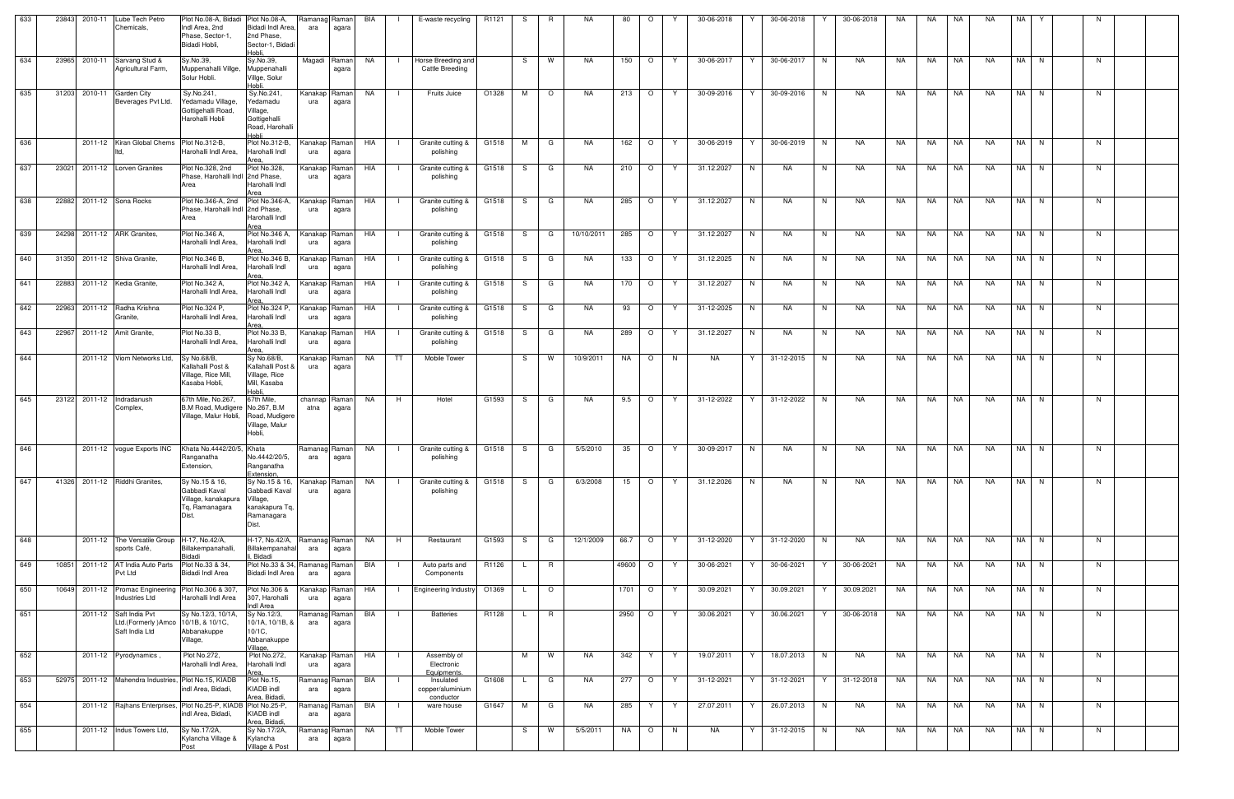| 633 | 23843 | 2010-11 | Lube Tech Petro<br>Chemicals,                                                     | Plot No.08-A, Bidadi Plot No.08-A,<br>Indl Area, 2nd<br>Phase, Sector-1<br>Bidadi Hobli, | Bidadi Indl Area.<br>2nd Phase,<br>Sector-1, Bidadi<br>Hobli.                        | Ramanag Raman<br>ara | agara          | BIA |                | E-waste recycling                          | R1121 | S.           | R.       | NA         | 80       | $\circ$        |    | 30-06-2018 | Y  | 30-06-2018 |    | 30-06-2018 | NA  | NA        | NA        | NA        | NA   | Y        | N. |  |
|-----|-------|---------|-----------------------------------------------------------------------------------|------------------------------------------------------------------------------------------|--------------------------------------------------------------------------------------|----------------------|----------------|-----|----------------|--------------------------------------------|-------|--------------|----------|------------|----------|----------------|----|------------|----|------------|----|------------|-----|-----------|-----------|-----------|------|----------|----|--|
| 634 | 23965 |         | 2010-11 Sarvang Stud &<br>Agricultural Farm,                                      | Sy.No.39,<br>Muppenahalli Villge,<br>Solur Hobli.                                        | Sy.No.39.<br>Muppenahalli<br>Villge, Solur<br>Hobli                                  | Magadi               | Raman<br>agara | NA  |                | Horse Breeding and<br>Cattle Breeding      |       | S            | W        | NA.        | 150      | $\circ$        | Y  | 30-06-2017 | Y  | 30-06-2017 | N. | NA         | NA  | NA        | NA        | <b>NA</b> | NA I | N        | N. |  |
| 635 | 31203 |         | 2010-11 Garden City<br>Beverages Pvt Ltd.                                         | Sy.No.241,<br>Yedamadu Village.<br>Gottigehalli Road<br>Harohalli Hobli                  | Sy.No.241,<br>redamadu<br>Village,<br>Gottigehalli<br>Road, Harohalli<br>ildok       | Kanakap<br>ura       | Raman<br>agara | NA  | - 1            | Fruits Juice                               | O1328 | M            | $\circ$  | <b>NA</b>  | 213      | $\circ$        | Y  | 30-09-2016 | Y  | 30-09-2016 | N. | NA.        | NA  | <b>NA</b> | NA        | <b>NA</b> |      | NA N     | N  |  |
| 636 |       |         | 2011-12 Kiran Global Chems                                                        | Plot No.312-B.<br>Harohalli Indl Area,                                                   | Plot No.312-B,<br>Harohalli Indl<br>Area                                             | Kanakap<br>ura       | Raman<br>agara | HIA | $\blacksquare$ | Granite cutting &<br>polishing             | G1518 | M            | G        | <b>NA</b>  | 162      | $\circ$        | Y  | 30-06-2019 |    | 30-06-2019 | N  | NA         | NA  | NA        | NA        | <b>NA</b> | NA I | N        | N. |  |
| 637 | 23021 |         | 2011-12 Lorven Granites                                                           | Plot No.328, 2nd<br>Phase, Harohalli Indl 2nd Phase,<br>Area                             | Plot No.328,<br>Harohalli Indl                                                       | Kanakap<br>ura       | Raman<br>agara | HIA |                | Granite cutting &<br>polishing             | G1518 | S.           | G        | NA.        | 210      | $\circ$        |    | 31.12.2027 | N  | <b>NA</b>  | N  | <b>NA</b>  | NA  | NA        | <b>NA</b> | <b>NA</b> | NA I | N        | N  |  |
| 638 | 22882 |         | 2011-12 Sona Rocks                                                                | Plot No.346-A, 2nd<br>Phase, Harohalli Indl 2nd Phase,<br>Area                           | Plot No.346-A.<br>Harohalli Indl<br>Area                                             | Kanakap<br>ura       | Raman<br>agara | HIA | $\Box$         | Granite cutting &<br>polishing             | G1518 | S.           | G        | NA.        | 285      | $\circ$        | Y  | 31.12.2027 | N  | <b>NA</b>  | N. | <b>NA</b>  | NA  | NA        | NA        | <b>NA</b> |      | NA N     | N  |  |
| 639 | 24298 |         | 2011-12 ARK Granites,                                                             | Plot No.346 A.<br>Harohalli Indl Area,                                                   | Plot No.346 A.<br>Harohalli Indl<br>Area                                             | Kanakap<br>ura       | Raman<br>agara | HIA |                | Granite cutting &<br>polishing             | G1518 | S.           | G        | 10/10/2011 | 285      | $\circ$        | Y  | 31.12.2027 | N. | <b>NA</b>  | N  | NA         | NA  | NA        | NA        | NA.       | NA I | <b>N</b> | N. |  |
| 640 | 31350 |         | 2011-12 Shiva Granite,                                                            | Plot No.346 B,<br>Harohalli Indl Area,                                                   | Plot No.346 B,<br>Harohalli Indl<br>Area                                             | Kanakap<br>ura       | Raman<br>agara | HIA |                | Granite cutting &<br>polishing             | G1518 | S.           | G        | <b>NA</b>  | 133      | $\circ$        |    | 31.12.2025 | N  | <b>NA</b>  | N  | <b>NA</b>  | NA  | NA        | <b>NA</b> | <b>NA</b> | NA I | N        | N  |  |
| 641 | 22883 |         | 2011-12 Kedia Granite,                                                            | Plot No.342 A,<br>Harohalli Indl Area,                                                   | Plot No.342 A,<br>Harohalli Indl<br>Area                                             | Kanakap<br>ura       | Raman<br>agara | HIA | -1             | Granite cutting &<br>polishing             | G1518 | S.           | G        | NA.        | 170      | $\overline{O}$ | Y  | 31.12.2027 | N. | NA.        | N. | NA         | NA. | NA        | NA        | NA.       |      | $NA$ N   | N  |  |
| 642 | 22963 |         | 2011-12 Radha Krishna<br>Granite,                                                 | Plot No.324 P.<br>Harohalli Indl Area,                                                   | Plot No.324 P.<br>Harohalli Indl<br>Area                                             | Kanakap<br>ura       | Raman<br>agara | HIA | - 1            | Granite cutting &<br>polishing             | G1518 | S            | G        | NA.        | 93       | $\circ$        | Y  | 31-12-2025 | N  | <b>NA</b>  | N  | NA         | NA  | NA        | NA        | <b>NA</b> |      | NA N     | N  |  |
| 643 | 22967 |         | 2011-12 Amit Granite,                                                             | Plot No.33 B,<br>Harohalli Indl Area,                                                    | Plot No.33 B.<br>Harohalli Indl<br>Area.                                             | Kanakap<br>ura       | Raman<br>agara | HIA | - 1            | Granite cutting &<br>polishing             | G1518 | S.           | G        | NA.        | 289      | $\circ$        | Y  | 31.12.2027 | N  | NA         | N  | NA.        | NA  | NA        | NA        | NA        | NA I | N        | N. |  |
| 644 |       |         | 2011-12 Viom Networks Ltd,                                                        | Sy No.68/B,<br>Kallahalli Post &<br>Village, Rice Mill.<br>Kasaba Hobli,                 | Sy No.68/B,<br>Kallahalli Post 8<br>Village, Rice<br>Mill, Kasaba<br>Hobli.          | Kanakap<br>ura       | Raman<br>agara | NA  | TT             | Mobile Tower                               |       | -S           | <b>W</b> | 10/9/2011  | NA       | $\circ$        | N. | NA         | Y  | 31-12-2015 | N  | NA         | NA  | NA        | NA        | NA        |      | NA N     | N. |  |
| 645 | 23122 | 2011-12 | Indradanush<br>Complex,                                                           | 67th Mile, No.267,<br>B.M Road, Mudigere No.267, B.M<br>Village, Malur Hobli,            | 67th Mile.<br>Road, Mudigere<br>Village, Malur<br>Hobli,                             | channap<br>atna      | Raman<br>agara | NA  | H              | Hotel                                      | G1593 | S            | G        | <b>NA</b>  | 9.5      | $\circ$        | Y  | 31-12-2022 |    | 31-12-2022 | N. | NA         | NA  | <b>NA</b> | NA        | NA        | NA I | N        | N  |  |
| 646 |       |         | 2011-12 vogue Exports INC                                                         | Khata No.4442/20/5,<br>Ranganatha<br>Extension,                                          | Khata<br>No.4442/20/5,<br>Ranganatha<br>Extension,                                   | Ramanag Raman<br>ara | agara          | NA  |                | Granite cutting &<br>polishing             | G1518 | S            | G        | 5/5/2010   | 35       | $\circ$        | Y  | 30-09-2017 | N  | NA         | N. | NA         | NA  | NA        | NA        | NA        | NA I | N        | N  |  |
| 647 | 41326 |         | 2011-12 Riddhi Granites,                                                          | Sy No.15 & 16,<br>Gabbadi Kaval<br>Village, kanakapura<br>Tg, Ramanagara<br>Dist.        | Sy No.15 & 16,<br>Gabbadi Kaval<br>Village,<br>kanakapura Tq,<br>Ramanagara<br>Dist. | Kanakap<br>ura       | Raman<br>agara | NA  |                | Granite cutting &<br>polishing             | G1518 | S.           | G        | 6/3/2008   | 15       | $\circ$        | Y  | 31.12.2026 | N. | <b>NA</b>  | N  | NA         | NA  | NA        | NA        | <b>NA</b> |      | NA N     | N. |  |
| 648 |       |         | 2011-12 The Versatile Group H-17, No.42/A,<br>sports Café,                        | Billakempanahalli,<br>Bidadi                                                             | H-17, No.42/A,<br>Billakempanahal<br>, Bidadi                                        | Ramanag Raman<br>ara | agara          | NA  | H              | Restaurant                                 | G1593 | S.           | G        | 12/1/2009  | 66.7 O   |                | Y  | 31-12-2020 | Y  | 31-12-2020 | N  | NA         | NA  |           | NA NA     | NA        |      | NA N     | N. |  |
| 649 | 10851 |         | 2011-12 AT India Auto Parts<br>Pvt Ltd                                            | Plot No.33 & 34,<br><b>Bidadi Indl Area</b>                                              | Plot No.33 & 34, Ramanag Raman<br>Bidadi Indl Area                                   | ara                  | agara          | BIA | $\Box$         | Auto parts and<br>Components               | R1126 | $\mathsf{L}$ | R        |            | 49600 O  |                | Y. | 30-06-2021 | Y  | 30-06-2021 | Y  | 30-06-2021 | NA  | NA        | <b>NA</b> | NA        |      | NA N     | N  |  |
| 650 | 10649 |         | 2011-12 Promac Engineering Plot No.306 & 307.<br><b>Industries Ltd</b>            | Harohalli Indl Area                                                                      | Plot No.306 &<br>307, Harohalli<br>Indl Area                                         | Kanakap Raman<br>ura | agara          | HIA |                | Engineering Industry                       | O1369 | L.           | $\circ$  |            | 1701   O |                | Y  | 30.09.2021 | Y  | 30.09.2021 | Y  | 30.09.2021 | NA  | NA        | <b>NA</b> | <b>NA</b> |      | NA N     | N. |  |
| 651 |       |         | 2011-12 Saft India Pvt<br>Ltd.(Formerly )Amco   10/1B, & 10/1C,<br>Saft India Ltd | Sy No.12/3, 10/1A,<br>Abbanakuppe<br>Village,                                            | Sy No.12/3,<br>10/1A, 10/1B, &<br>10/1C,<br>Abbanakuppe<br>Village,                  | Ramanag<br>ara       | Raman<br>agara | BIA |                | <b>Batteries</b>                           | R1128 | <b>L</b>     | R        |            | 2950 O   |                | Y  | 30.06.2021 | Y  | 30.06.2021 |    | 30-06-2018 | NA  | NA        | <b>NA</b> | <b>NA</b> |      | NA N     | N  |  |
| 652 |       |         | 2011-12 Pyrodynamics,                                                             | Plot No.272,<br>Harohalli Indl Area,                                                     | Plot No.272,<br>Harohalli Indl<br>Area.                                              | Kanakap Raman<br>ura | agara          | HIA | - 1 -          | Assembly of<br>Electronic<br>Equipments.   |       | M            | <b>W</b> | <b>NA</b>  | 342      | Y.             | Y. | 19.07.2011 | Y. | 18.07.2013 | N. | NA         | NA  | NA        | <b>NA</b> | NA.       |      | NA N     | N  |  |
| 653 | 52975 |         | 2011-12 Mahendra Industries, Plot No.15, KIADB                                    | indl Area, Bidadi,                                                                       | Plot No.15,<br>KIADB indl<br>Area, Bidadi                                            | Ramanag Raman<br>ara | agara          | BIA |                | Insulated<br>copper/aluminium<br>conductor | G1608 |              | G        | NA         | 277      | $\circ$        | Y  | 31-12-2021 | Y  | 31-12-2021 | Y  | 31-12-2018 | NA  | NA        | NA        | NA        |      | NA N     | N  |  |
| 654 |       |         |                                                                                   | 2011-12 Rajhans Enterprises, Plot No.25-P, KIADB Plot No.25-P,<br>indl Area, Bidadi,     | KIADB indl<br>Area, Bidadi,                                                          | Ramanag Raman<br>ara | agara          | BIA | $\blacksquare$ | ware house                                 | G1647 | M            | G        | NA         | 285      | Y.             | Y  | 27.07.2011 | Y  | 26.07.2013 | N  | NA         | NA  | NA        | NA        | <b>NA</b> |      | NA N     | N. |  |
| 655 |       |         | 2011-12 Indus Towers Ltd,                                                         | Sy No.17/2A,<br>Kylancha Village &<br>Post                                               | Sy No.17/2A,<br>Kylancha<br>Village & Post                                           | Ramanag Raman<br>ara | agara          | NA  | TT             | Mobile Tower                               |       | S            | <b>W</b> | 5/5/2011   | NA       | $\overline{O}$ | N  | NA         | Y  | 31-12-2015 | N. | NA         | NA  | NA        | NA        | NA        |      | NA N     | N. |  |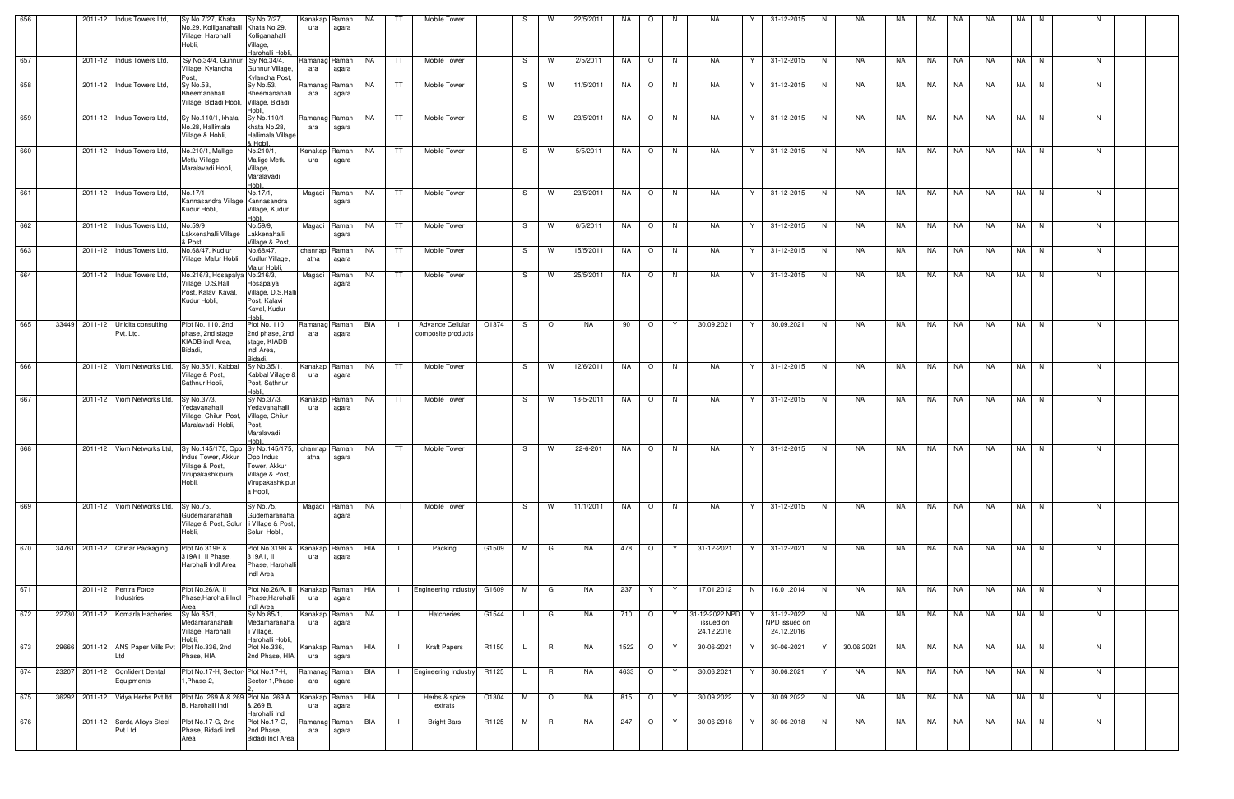| 656 |  | 2011-12 Indus Towers Ltd,                                 | Sy No.7/27, Khata<br>No.29, Kolliganahalli Khata No.29,<br>Village, Harohalli<br>Hobli,                                          | Sy No.7/27,<br>Kolliganahalli<br>Village,<br>Harohalli Hobli.            | Kanakap<br>ura        | Raman<br>agara        | NA  | TT.            | Mobile Tower                           |       | S.           | W        | 22/5/2011 | NA.       | $\circ$ | N.      | NA                                        | Y  | 31-12-2015                                | N. | NA.        | NA. | NA.       | NA        | NA        | NA I | N.   |    |  |
|-----|--|-----------------------------------------------------------|----------------------------------------------------------------------------------------------------------------------------------|--------------------------------------------------------------------------|-----------------------|-----------------------|-----|----------------|----------------------------------------|-------|--------------|----------|-----------|-----------|---------|---------|-------------------------------------------|----|-------------------------------------------|----|------------|-----|-----------|-----------|-----------|------|------|----|--|
| 657 |  | 2011-12   Indus Towers Ltd,                               | Sy No.34/4, Gunnur Sy No.34/4,<br>Village, Kylancha<br>Post.                                                                     | Gunnur Village,<br>Kylancha Post,                                        | Ramanag Raman<br>ara  | agara                 | NA  | TT             | Mobile Tower                           |       |              | S I W    | 2/5/2011  | NA        |         | $O$   N | NA                                        | Y. | 31-12-2015   N                            |    | NA         | NA  | NA 11     | I NA      | NA        |      | NA N | N. |  |
| 658 |  | 2011-12 Indus Towers Ltd,                                 | Sy No.53,<br>Bheemanahalli<br>Village, Bidadi Hobli, Village, Bidadi                                                             | Sy No.53,<br>Bheemanahalli<br>Hobli,                                     | Ramanag<br>ara        | Raman<br>agara        | NA  | TT             | Mobile Tower                           |       |              | S W      | 11/5/2011 | NA        | $\circ$ | N       | NA                                        | Y  | 31-12-2015                                | N  | <b>NA</b>  | NA  | NA        | NA        | <b>NA</b> |      | NA N | N  |  |
| 659 |  | 2011-12   Indus Towers Ltd,                               | Sy No.110/1, khata<br>No.28, Hallimala<br>Village & Hobli,                                                                       | Sy No.110/1,<br>khata No.28,<br>Hallimala Village<br>& Hobli.            | Ramanag Raman<br>ara  | agara                 | NA  | TT.            | Mobile Tower                           |       | S –          | <b>W</b> | 23/5/2011 | NA        | $\circ$ | N       | NA                                        | Y  | 31-12-2015                                | N  | <b>NA</b>  | NA  | NA        | NA        | NA        |      | NA N | N. |  |
| 660 |  | 2011-12 Indus Towers Ltd,                                 | No.210/1, Mallige<br>Metlu Village,<br>Maralavadi Hobli,                                                                         | No.210/1,<br>Mallige Metlu<br>Village,<br>Maralavadi<br>Hobli,           | Kanakap Raman<br>ura  | agara                 | NA  | TT             | Mobile Tower                           |       |              | S W      | 5/5/2011  | NA        | $\circ$ | N       | NA                                        | Y. | 31-12-2015                                | N  | <b>NA</b>  | NA  | NA        | NA        | <b>NA</b> |      | NA N | N  |  |
| 661 |  | 2011-12 Indus Towers Ltd.                                 | No.17/1,<br>Kannasandra Village, Kannasandra<br>Kudur Hobli,                                                                     | No.17/1,<br>Village, Kudur<br>Hobli,                                     |                       | Magadi Raman<br>agara | NA  | <b>TT</b>      | Mobile Tower                           |       | S —          | <b>W</b> | 23/5/2011 | <b>NA</b> | $\circ$ | N       | NA                                        | Y  | 31-12-2015                                | N  | NA         | NA  | NA        | <b>NA</b> | <b>NA</b> |      | NA N | N  |  |
| 662 |  | 2011-12 Indus Towers Ltd,                                 | No.59/9,<br>Lakkenahalli Village Lakkenahalli<br>& Post.                                                                         | No.59/9,<br>Village & Post,                                              |                       | Magadi Raman<br>agara | NA  | TT             | Mobile Tower                           |       | S.           | <b>W</b> | 6/5/2011  | NA        | $\circ$ | N       | NA                                        | Y  | 31-12-2015                                | N  | NA         | NA  | <b>NA</b> | NA        | <b>NA</b> |      | NA N | N  |  |
| 663 |  | 2011-12 Indus Towers Ltd.                                 | No.68/47, Kudlur<br>Village, Malur Hobli,                                                                                        | No.68/47,<br>Kudlur Village,<br>Malur Hobli,                             | channap Raman<br>atna | agara                 | NA  | <b>TT</b>      | Mobile Tower                           |       | S.           | <b>W</b> | 15/5/2011 | NA        | $\circ$ | N       | NA                                        | Y  | 31-12-2015                                | N  | NA         | NA. | <b>NA</b> | NA        | <b>NA</b> |      | NA N | N  |  |
| 664 |  | 2011-12 Indus Towers Ltd,                                 | No.216/3, Hosapalya No.216/3,<br>Village, D.S.Halli<br>Post, Kalavi Kaval,<br>Kudur Hobli,                                       | Hosapalya<br>Village, D.S.Hall<br>Post, Kalavi<br>Kaval, Kudur<br>Hobli  | Magadi                | Raman<br>agara        | NA  | TT             | Mobile Tower                           |       | S I          | <b>W</b> | 25/5/2011 | NA        | $\circ$ | N       | NA                                        | Y  | 31-12-2015                                | N. | NA         | NA. | NA        | NA        | NA        |      | NA N | N. |  |
| 665 |  | 33449 2011-12 Unicita consulting<br>Pvt. Ltd.             | Plot No. 110, 2nd<br>phase, 2nd stage,<br>KIADB indl Area,<br>Bidadi,                                                            | Plot No. 110,<br>2nd phase, 2nd<br>stage, KIADB<br>indl Area,<br>Bidadi. | Ramanag Raman<br>ara  | agara                 | BIA |                | Advance Cellular<br>composite products | O1374 | S.           | $\circ$  | <b>NA</b> | 90        | $\circ$ | Y       | 30.09.2021                                | Y  | 30.09.2021                                | N. | <b>NA</b>  | NA  | NA        | <b>NA</b> | <b>NA</b> |      | NA N | N  |  |
| 666 |  | 2011-12 Viom Networks Ltd,                                | Sy No.35/1, Kabbal<br>Village & Post,<br>Sathnur Hobli,                                                                          | Sy No.35/1,<br>Kabbal Village &<br>Post, Sathnur<br>Hobli,               | Kanakap Raman<br>ura  | agara                 | NA  | TT.            | Mobile Tower                           |       | S –          | <b>W</b> | 12/6/2011 | NA        | $\circ$ | N       | NA                                        | Y  | 31-12-2015                                | N  | <b>NA</b>  | NA  | NA        | NA        | NA        |      | NA N | N. |  |
| 667 |  | 2011-12 Viom Networks Ltd,                                | Sy No.37/3,<br>Yedavanahalli<br>Village, Chilur Post,<br>Maralavadi Hobli,                                                       | Sy No.37/3,<br>Yedavanahalli<br>Village, Chilur<br>Post,<br>Maralavadi   | Kanakap Raman<br>ura  | agara                 | NA  | TT             | Mobile Tower                           |       |              | S I W    | 13-5-2011 | NA        | $\circ$ | N       | NA                                        | Y  | 31-12-2015                                | N  | <b>NA</b>  | NA  | NA        | NA        | <b>NA</b> |      | NA N | N. |  |
| 668 |  | 2011-12 Viom Networks Ltd,                                | Sy No.145/175, Opp Sy No.145/175, channap Raman<br>Indus Tower, Akkur Opp Indus<br>Village & Post,<br>Virupakashkipura<br>Hobli. | Tower, Akkur<br>Village & Post,<br>Virupakashkipur<br>a Hobli,           | atna                  | agara                 | NA  | TT             | Mobile Tower                           |       | S.           | <b>W</b> | 22-6-201  | NA        | $\circ$ | N       | NA                                        | Y. | 31-12-2015                                | N. | <b>NA</b>  | NA  | <b>NA</b> | NA        | <b>NA</b> |      | NA N | N  |  |
| 669 |  | 2011-12 Viom Networks Ltd,                                | Sy No.75,<br>Gudemaranahalli<br>Village & Post, Solur   li Village & Post<br>Hobli.                                              | Sy No.75,<br>Gudemaranahal<br>Solur Hobli,                               |                       | Magadi Raman<br>agara | NA  | <b>TT</b>      | Mobile Tower                           |       | S —          | <b>W</b> | 11/1/2011 | <b>NA</b> | $\circ$ | N       | <b>NA</b>                                 | Y. | 31-12-2015                                | N  | <b>NA</b>  | NA  | NA        | <b>NA</b> | <b>NA</b> |      | NA N | N  |  |
| 670 |  | 34761 2011-12 Chinar Packaging                            | Plot No.319B &<br>319A1, Il Phase,<br>Harohalli Indl Area                                                                        | Plot No.319B &<br>319A1, II<br>Phase, Harohalli<br>Indl Area             | Kanakap Raman<br>ura  | agara                 | HIA |                | Packing                                | G1509 | M            | G        | NA.       |           | 478 O   | Y       | 31-12-2021                                | Y  | 31-12-2021                                | N  | NA         | NA  | NA        | NA        | <b>NA</b> |      | NA N | N  |  |
| 671 |  | 2011-12 Pentra Force<br>Industries                        | Plot No.26/A, II<br>Phase, Harohalli Indl Phase, Harohalli<br>Area                                                               | Plot No.26/A, II<br><b>Indl Area</b>                                     | Kanakap Raman<br>ura  | agara                 | HIA |                | Engineering Industry G1609             |       | M            | G        | <b>NA</b> | 237       | Y       | Y       | 17.01.2012                                | N  | 16.01.2014                                | N  | NA         | NA  | NA        | NA        | <b>NA</b> |      | NA N | N  |  |
| 672 |  | 22730 2011-12 Komarla Hacheries                           | Sy No.85/1,<br>Medamaranahalli<br>Village, Harohalli                                                                             | Sy No.85/1,<br>Medamaranahal<br>li Village,<br>Harohalli Hobli,          | Kanakap Raman<br>ura  | agara                 | NA  |                | Hatcheries                             | G1544 |              | G        | NA.       | 710       | $\circ$ | Y       | 31-12-2022 NPD<br>issued on<br>24.12.2016 |    | 31-12-2022<br>NPD issued on<br>24.12.2016 | N. | NA         | NA  | NA        | NA        | NA        |      | NA N | N. |  |
| 673 |  | 29666 2011-12 ANS Paper Mills Pvt Plot No.336, 2nd<br>Ltd | Phase, HIA                                                                                                                       | Plot No.336,<br>2nd Phase, HIA                                           | Kanakap Raman<br>ura  | agara                 | HIA | $\blacksquare$ | <b>Kraft Papers</b>                    | R1150 | $\mathsf{L}$ | R        | NA        | 1522      | $\circ$ | Y       | 30-06-2021                                | Y  | 30-06-2021                                | Y  | 30.06.2021 | NA  | NA 1      | NA        | NA        |      | NA N | N  |  |
| 674 |  | 23207 2011-12 Confident Dental<br>Equipments              | Plot No.17-H, Sector- Plot No.17-H,<br>1, Phase-2,                                                                               | Sector-1, Phase-                                                         | Ramanag Raman<br>ara  | agara                 | BIA | $\Box$         | Engineering Industry R1125             |       | $\mathsf{L}$ | R        | NA        | 4633      | $\circ$ | Y       | 30.06.2021                                | Y  | 30.06.2021                                | Y  | NA         | NA  | NA        | NA        | NA        |      | NA N | N  |  |
| 675 |  | 36292 2011-12 Vidya Herbs Pvt ltd                         | Plot No. 269 A & 269 Plot No. 269 A<br>B. Harohalli Indl                                                                         | & 269 B,<br>Harohalli Indl                                               | Kanakap Raman<br>ura  | agara                 | HIA |                | Herbs & spice<br>extrats               | O1304 | M            | $\circ$  | NA        | 815       | $\circ$ | Y       | 30.09.2022                                | Y  | 30.09.2022                                | N  | NA         | NA  | NA        | <b>NA</b> | <b>NA</b> |      | NA N | N  |  |
| 676 |  | 2011-12 Sarda Alloys Steel<br>Pvt Ltd                     | Plot No.17-G, 2nd<br>Phase, Bidadi Indl<br>Area                                                                                  | Plot No.17-G,<br>2nd Phase,<br><b>Bidadi Indl Area</b>                   | Ramanag Raman<br>ara  | agara                 | BIA |                | <b>Bright Bars</b>                     | R1125 | M            | <b>R</b> | NA.       | 247       | $\circ$ | Y       | 30-06-2018                                | Y  | 30-06-2018                                | N  | NA         | NA  | NA        | NA        | NA        |      | NA N | N  |  |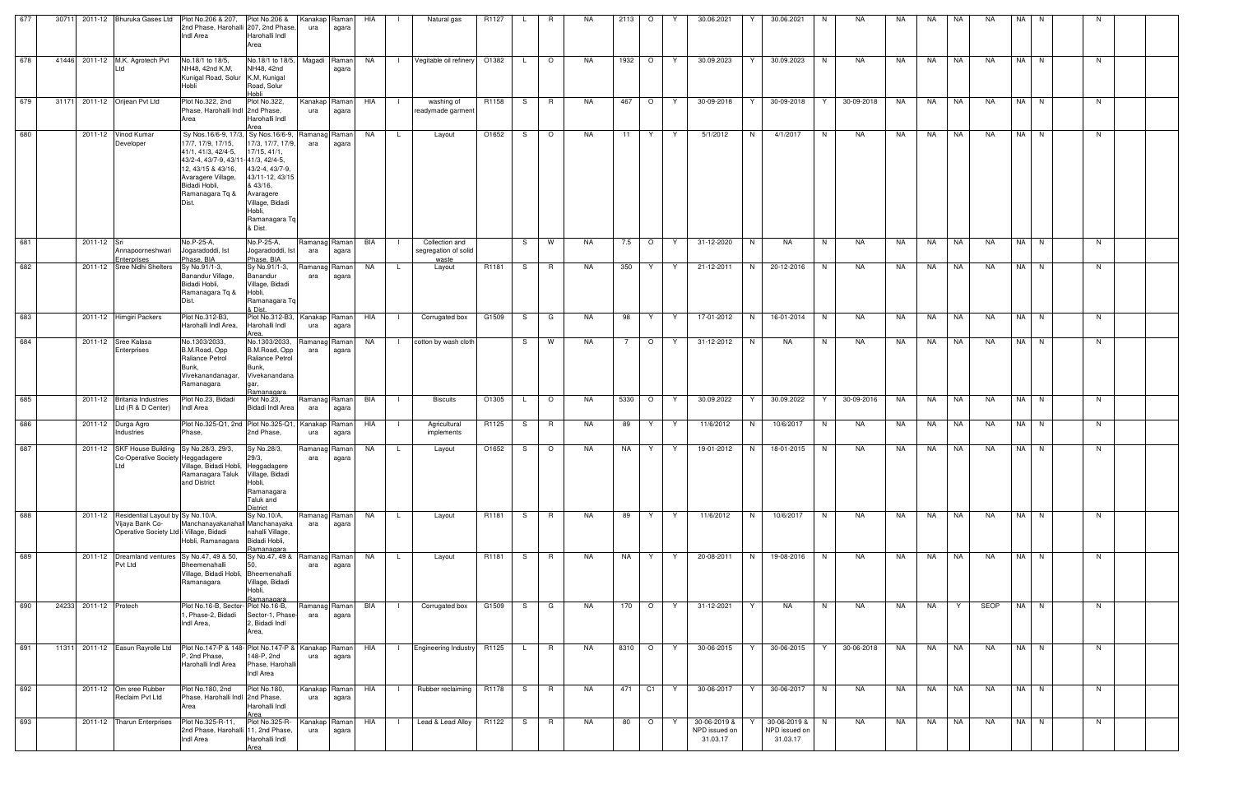| 677<br>2011-12 Bhuruka Gases Ltd Plot No.206 & 207, Plot No.206 &<br>30711<br>HIA<br>R1127<br><b>NA</b><br>2113<br>$\circ$<br>Kanakap<br>Raman<br>Natural gas<br>R<br>2nd Phase, Harohalli 207, 2nd Phase,<br>ura<br>agara<br>Indl Area<br>Harohalli Indl<br>Area<br>678<br>41446 2011-12 M.K. Agrotech Pvt<br>No.18/1 to 18/5,<br>No.18/1 to 18/5,<br>Magadi<br><b>NA</b><br>O1382<br>$\circ$<br>NA.<br>1932   O<br>Raman<br>Vegitable oil refinery<br>L.<br>NH48, 42nd K.M.<br>NH48, 42nd<br>Ltd<br>agara<br>Kunigal Road, Solur K,M, Kunigal<br>Hobli<br>Road, Solur<br>Hobli<br>679<br>31171 2011-12 Orijean Pvt Ltd<br>Plot No.322, 2nd<br>Plot No.322,<br>HIA<br>R1158<br><b>R</b><br>NA<br>467<br>$\circ$<br>Kanakap<br>Raman<br>washing of<br>S.<br>Phase, Harohalli Indl 2nd Phase,<br>readymade garment<br>ura<br>agara<br>Harohalli Indl<br>Area<br>Area<br>680<br>2011-12 Vinod Kumar<br>Sy Nos.16/6-9, 17/3, Sy Nos.16/6-9,<br>NA<br>O1652<br>NA<br>Ramanag<br>Raman<br>Layout<br>$\circ$<br>11<br>Y<br>S.<br>L.<br>17/7, 17/9, 17/15,<br>17/3, 17/7, 17/9,<br>Developer<br>ara<br>agara<br>41/1, 41/3, 42/4-5,<br>17/15, 41/1,<br>43/2-4, 43/7-9, 43/11-41/3, 42/4-5,<br>12, 43/15 & 43/16,<br>43/2-4, 43/7-9,<br>43/11-12, 43/15<br>Avaragere Village,<br>& 43/16,<br>Bidadi Hobli,<br>Ramanagara Tq &<br>Avaragere<br>Village, Bidadi<br>Hobli,<br>Ramanagara Tq<br>& Dist.<br>681<br>No.P-25-A,<br>No.P-25-A,<br>2011-12 Sri<br>Ramanag Raman<br>BIA<br>Collection and<br>S.<br>W<br>NA<br>7.5<br>$\overline{O}$<br>Jogaradoddi, Ist<br>Jogaradoddi, Ist<br>segregation of solid<br>Annapoorneshwari<br>ara<br>agara<br>Enterprises<br>Phase, BIA<br>Phase, BIA<br>waste<br>682<br>2011-12 Sree Nidhi Shelters<br>Sy No.91/1-3,<br>Sy No.91/1-3,<br>Ramanag<br>NA<br>R1181<br>NA<br>350<br>Raman<br>Layout<br>Y.<br>-S<br>R.<br>L.<br>Banandur Village,<br>Banandur<br>ara<br>agara<br>Bidadi Hobli.<br>Village, Bidadi<br>Hobli,<br>Ramanagara Tq &<br>Ramanagara Tq<br>Dist.<br>& Dist.<br>683<br>2011-12 Himgiri Packers<br>Plot No.312-B3,<br>Plot No.312-B3,<br>Kanakap<br>HIA<br>G1509<br>NA<br>98<br>Raman<br>Corrugated box<br>S.<br>G<br>Y.<br>Harohalli Indl Area,<br>Harohalli Indl<br>ura<br>agara<br>Area,<br>684<br>2011-12 Sree Kalasa<br>No.1303/2033,<br>No.1303/2033,<br>W<br><b>NA</b><br>$\circ$<br><b>NA</b><br>cotton by wash cloth<br>$7\overline{ }$<br>Ramana<br>S.<br>aman<br>$\Box$<br>B.M.Road, Opp<br>B.M.Road, Opp<br>Enterprises<br>ara<br>agara<br>Raliance Petrol<br>Raliance Petrol<br>Bunk,<br>Bunk,<br>Vivekanandanagar,<br>Vivekanandana<br>Ramanagara<br>gar, | 30.06.2021<br>30.06.2021<br>NA<br>NA<br>NA<br>NA<br>NA<br>NA I<br>N.<br>Y<br>N.<br><b>NA</b><br>30.09.2023<br>30.09.2023<br>NA<br>NA<br>NA<br><b>NA</b><br>NA N<br>Y<br>Y<br>N.<br>N.<br>30-09-2018<br>30-09-2018<br>30-09-2018<br>NA<br>NA<br>NA<br>NA<br>NA N<br>Y.<br>Y<br>Y<br>N.<br>5/1/2012<br>N<br>4/1/2017<br>NA<br>NA<br>NA<br>NA<br>NA I<br>N<br>Y<br>N<br>NA.<br>N. |
|----------------------------------------------------------------------------------------------------------------------------------------------------------------------------------------------------------------------------------------------------------------------------------------------------------------------------------------------------------------------------------------------------------------------------------------------------------------------------------------------------------------------------------------------------------------------------------------------------------------------------------------------------------------------------------------------------------------------------------------------------------------------------------------------------------------------------------------------------------------------------------------------------------------------------------------------------------------------------------------------------------------------------------------------------------------------------------------------------------------------------------------------------------------------------------------------------------------------------------------------------------------------------------------------------------------------------------------------------------------------------------------------------------------------------------------------------------------------------------------------------------------------------------------------------------------------------------------------------------------------------------------------------------------------------------------------------------------------------------------------------------------------------------------------------------------------------------------------------------------------------------------------------------------------------------------------------------------------------------------------------------------------------------------------------------------------------------------------------------------------------------------------------------------------------------------------------------------------------------------------------------------------------------------------------------------------------------------------------------------------------------------------------------------------------------------------------------------------------------------------------------------------------------------------------------------------------------------------------------------------|--------------------------------------------------------------------------------------------------------------------------------------------------------------------------------------------------------------------------------------------------------------------------------------------------------------------------------------------------------------------------------|
|                                                                                                                                                                                                                                                                                                                                                                                                                                                                                                                                                                                                                                                                                                                                                                                                                                                                                                                                                                                                                                                                                                                                                                                                                                                                                                                                                                                                                                                                                                                                                                                                                                                                                                                                                                                                                                                                                                                                                                                                                                                                                                                                                                                                                                                                                                                                                                                                                                                                                                                                                                                                                      |                                                                                                                                                                                                                                                                                                                                                                                |
|                                                                                                                                                                                                                                                                                                                                                                                                                                                                                                                                                                                                                                                                                                                                                                                                                                                                                                                                                                                                                                                                                                                                                                                                                                                                                                                                                                                                                                                                                                                                                                                                                                                                                                                                                                                                                                                                                                                                                                                                                                                                                                                                                                                                                                                                                                                                                                                                                                                                                                                                                                                                                      |                                                                                                                                                                                                                                                                                                                                                                                |
|                                                                                                                                                                                                                                                                                                                                                                                                                                                                                                                                                                                                                                                                                                                                                                                                                                                                                                                                                                                                                                                                                                                                                                                                                                                                                                                                                                                                                                                                                                                                                                                                                                                                                                                                                                                                                                                                                                                                                                                                                                                                                                                                                                                                                                                                                                                                                                                                                                                                                                                                                                                                                      |                                                                                                                                                                                                                                                                                                                                                                                |
|                                                                                                                                                                                                                                                                                                                                                                                                                                                                                                                                                                                                                                                                                                                                                                                                                                                                                                                                                                                                                                                                                                                                                                                                                                                                                                                                                                                                                                                                                                                                                                                                                                                                                                                                                                                                                                                                                                                                                                                                                                                                                                                                                                                                                                                                                                                                                                                                                                                                                                                                                                                                                      |                                                                                                                                                                                                                                                                                                                                                                                |
|                                                                                                                                                                                                                                                                                                                                                                                                                                                                                                                                                                                                                                                                                                                                                                                                                                                                                                                                                                                                                                                                                                                                                                                                                                                                                                                                                                                                                                                                                                                                                                                                                                                                                                                                                                                                                                                                                                                                                                                                                                                                                                                                                                                                                                                                                                                                                                                                                                                                                                                                                                                                                      | <b>NA</b><br>NA N<br>Y<br>31-12-2020<br>N<br>NA<br>N<br>NA<br>NA<br>NA<br><b>NA</b><br>N.                                                                                                                                                                                                                                                                                      |
|                                                                                                                                                                                                                                                                                                                                                                                                                                                                                                                                                                                                                                                                                                                                                                                                                                                                                                                                                                                                                                                                                                                                                                                                                                                                                                                                                                                                                                                                                                                                                                                                                                                                                                                                                                                                                                                                                                                                                                                                                                                                                                                                                                                                                                                                                                                                                                                                                                                                                                                                                                                                                      | 21-12-2011<br>N<br>20-12-2016<br>NA<br>NA<br>NA<br>NA<br><b>NA</b><br>NA N<br>Y<br>N.<br>N.                                                                                                                                                                                                                                                                                    |
|                                                                                                                                                                                                                                                                                                                                                                                                                                                                                                                                                                                                                                                                                                                                                                                                                                                                                                                                                                                                                                                                                                                                                                                                                                                                                                                                                                                                                                                                                                                                                                                                                                                                                                                                                                                                                                                                                                                                                                                                                                                                                                                                                                                                                                                                                                                                                                                                                                                                                                                                                                                                                      | 17-01-2012<br>N<br>16-01-2014<br>NA<br>NA<br>NA<br>NA<br>NA<br>NA N<br>Y<br>N.<br>N.                                                                                                                                                                                                                                                                                           |
| Ramanagara                                                                                                                                                                                                                                                                                                                                                                                                                                                                                                                                                                                                                                                                                                                                                                                                                                                                                                                                                                                                                                                                                                                                                                                                                                                                                                                                                                                                                                                                                                                                                                                                                                                                                                                                                                                                                                                                                                                                                                                                                                                                                                                                                                                                                                                                                                                                                                                                                                                                                                                                                                                                           | 31-12-2012<br><b>NA</b><br>NA N<br>N<br><b>NA</b><br><b>NA</b><br>NA.<br><b>NA</b><br><b>NA</b><br>Y<br>N<br>N.                                                                                                                                                                                                                                                                |
| 685<br>2011-12 Britania Industries<br>Plot No.23, Bidadi<br>Plot No.23,<br>Ramanag<br>BIA<br><b>Biscuits</b><br>O1305<br>$\circ$<br>NA<br>5330<br>$\circ$<br>Raman<br>L.<br>Ltd (R & D Center)<br>Indl Area<br>Bidadi Indl Area<br>ara<br>agara                                                                                                                                                                                                                                                                                                                                                                                                                                                                                                                                                                                                                                                                                                                                                                                                                                                                                                                                                                                                                                                                                                                                                                                                                                                                                                                                                                                                                                                                                                                                                                                                                                                                                                                                                                                                                                                                                                                                                                                                                                                                                                                                                                                                                                                                                                                                                                      | 30-09-2016<br><b>NA</b><br>NA N<br>Y<br>30.09.2022<br>Y<br>30.09.2022<br>NA<br>NA<br><b>NA</b><br>N<br>Y                                                                                                                                                                                                                                                                       |
| 686<br>Plot No.325-Q1, 2nd Plot No.325-Q1,<br>2011-12 Durga Agro<br>Kanakap<br>HIA<br>R1125<br>S<br>R.<br>NA<br>89<br>Y.<br>Raman<br>Agricultural<br>Industries<br>Phase,<br>2nd Phase,<br>implements<br>ura<br>agara                                                                                                                                                                                                                                                                                                                                                                                                                                                                                                                                                                                                                                                                                                                                                                                                                                                                                                                                                                                                                                                                                                                                                                                                                                                                                                                                                                                                                                                                                                                                                                                                                                                                                                                                                                                                                                                                                                                                                                                                                                                                                                                                                                                                                                                                                                                                                                                                | 11/6/2012<br>10/6/2017<br>NA<br>NA N<br>Y<br>N<br>N<br>NA<br>NA<br>NA<br>NA<br>N                                                                                                                                                                                                                                                                                               |
| 687<br>Sy No.28/3,<br>2011-12 SKF House Building Sy No.28/3, 29/3,<br>NA<br>O1652<br>NA<br>NA<br>Ramanag<br>$\circ$<br>Y<br>Raman<br>Layout<br>L.<br>-S<br>Co-Operative Society Heggadagere<br>29/3,<br>ara<br>agara<br>Village, Bidadi Hobli, Heggadagere<br>Ltd<br>Ramanagara Taluk<br>Village, Bidadi<br>Hobli,<br>and District<br>Ramanagara<br>Taluk and<br><b>District</b>                                                                                                                                                                                                                                                                                                                                                                                                                                                                                                                                                                                                                                                                                                                                                                                                                                                                                                                                                                                                                                                                                                                                                                                                                                                                                                                                                                                                                                                                                                                                                                                                                                                                                                                                                                                                                                                                                                                                                                                                                                                                                                                                                                                                                                     | 19-01-2012<br>N<br>18-01-2015<br>NA<br>NA<br>NA<br>NA<br>NA I<br>N<br>Y<br>N<br>NA<br>N.                                                                                                                                                                                                                                                                                       |
| 688<br>Sy No.10/A,<br>2011-12 Residential Layout by Sy No.10/A,<br><b>NA</b><br>Ramanag<br>Raman<br>NA<br>R1181<br>R.<br>89<br>Y.<br>$\mathsf{L}$<br>Layout<br>S.<br>Vijaya Bank Co-<br>Manchanayakanahall Manchanayaka<br>ara<br>agara<br>nahalli Village,<br>Operative Society Ltd i Village, Bidadi<br>Bidadi Hobli,<br>Hobli, Ramanagara<br>Ramanagara                                                                                                                                                                                                                                                                                                                                                                                                                                                                                                                                                                                                                                                                                                                                                                                                                                                                                                                                                                                                                                                                                                                                                                                                                                                                                                                                                                                                                                                                                                                                                                                                                                                                                                                                                                                                                                                                                                                                                                                                                                                                                                                                                                                                                                                           | 11/6/2012<br>10/6/2017<br>NA<br>NA N<br>Y<br>N<br>N<br>NA<br>NA<br>NA<br><b>NA</b><br>N                                                                                                                                                                                                                                                                                        |
| 689<br>Sy No.47, 49 &<br>2011-12 Dreamland ventures Sy No.47, 49 & 50,<br>R1181<br><b>NA</b><br>Ramanag<br><b>NA</b><br><b>R</b><br>NA<br>Raman l<br><b>L</b><br>Layout<br>S.<br>Y<br>Bheemenahalli<br>Pvt Ltd<br>ara<br>50.<br>agara<br>Village, Bidadi Hobli, Bheemenahalli<br>Ramanagara<br>Village, Bidadi<br>Hobli,<br>Ramanagara                                                                                                                                                                                                                                                                                                                                                                                                                                                                                                                                                                                                                                                                                                                                                                                                                                                                                                                                                                                                                                                                                                                                                                                                                                                                                                                                                                                                                                                                                                                                                                                                                                                                                                                                                                                                                                                                                                                                                                                                                                                                                                                                                                                                                                                                               | 20-08-2011<br>19-08-2016<br><b>NA</b><br>NA N<br>Y<br>N<br>N<br>NA.<br>NA.<br>NA.<br><b>NA</b><br>N                                                                                                                                                                                                                                                                            |
| Plot No.16-B, Sector- Plot No.16-B,<br>690<br>24233 2011-12 Protech<br>BIA<br>G1509<br>G<br><b>NA</b><br>170 O<br>Ramanag<br>Raman<br>Corrugated box<br>S.<br>1, Phase-2, Bidadi<br>Sector-1, Phase-<br>ara<br>agara<br>2, Bidadi Indl<br>Indl Area,<br>Area,                                                                                                                                                                                                                                                                                                                                                                                                                                                                                                                                                                                                                                                                                                                                                                                                                                                                                                                                                                                                                                                                                                                                                                                                                                                                                                                                                                                                                                                                                                                                                                                                                                                                                                                                                                                                                                                                                                                                                                                                                                                                                                                                                                                                                                                                                                                                                        | 31-12-2021<br><b>NA</b><br>NA<br>SEOP<br>NA N<br>Y<br>Y<br>NA<br>N<br>NA<br>Y<br>N                                                                                                                                                                                                                                                                                             |
| 691<br>Plot No.147-P & 148- Plot No.147-P & Kanakap Raman<br>11311 2011-12 Easun Rayrolle Ltd<br>HIA<br>Engineering Industry R1125<br><b>NA</b><br>8310 O<br>R<br>$\blacksquare$<br>$\mathsf{L}$<br>P, 2nd Phase,<br>148-P, 2nd<br>ura<br>agara<br>Harohalli Indl Area<br>Phase, Harohalli<br>Indl Area                                                                                                                                                                                                                                                                                                                                                                                                                                                                                                                                                                                                                                                                                                                                                                                                                                                                                                                                                                                                                                                                                                                                                                                                                                                                                                                                                                                                                                                                                                                                                                                                                                                                                                                                                                                                                                                                                                                                                                                                                                                                                                                                                                                                                                                                                                              |                                                                                                                                                                                                                                                                                                                                                                                |
| 692<br>2011-12 Om sree Rubber<br>Plot No.180, 2nd<br>Rubber reclaiming<br>R1178<br>NA<br>Plot No.180,<br>Kanakap<br>HIA<br><b>R</b><br>471<br>  C1<br>Raman  <br>S.<br>$\blacksquare$<br>Reclaim Pvt Ltd<br>Phase, Harohalli Indl 2nd Phase,<br>ura<br>agara<br>Harohalli Indl<br>Area<br>Area                                                                                                                                                                                                                                                                                                                                                                                                                                                                                                                                                                                                                                                                                                                                                                                                                                                                                                                                                                                                                                                                                                                                                                                                                                                                                                                                                                                                                                                                                                                                                                                                                                                                                                                                                                                                                                                                                                                                                                                                                                                                                                                                                                                                                                                                                                                       | 30-06-2015<br>30-06-2015<br>30-06-2018<br><b>NA</b><br>l NA<br><b>NA</b><br>NA N<br>Y<br>Y.<br>NA<br>N.<br>Y                                                                                                                                                                                                                                                                   |
| 693<br>Plot No.325-R-11,<br>2011-12 Tharun Enterprises<br>Plot No.325-R-<br>Kanakap<br>HIA<br>Lead & Lead Alloy<br>$\circ$<br>Raman<br>R1122<br>R<br>NA<br>80<br>-S<br>2nd Phase, Harohalli 11, 2nd Phase,<br>ura<br>agara<br>Harohalli Indl<br>Indl Area<br>Area                                                                                                                                                                                                                                                                                                                                                                                                                                                                                                                                                                                                                                                                                                                                                                                                                                                                                                                                                                                                                                                                                                                                                                                                                                                                                                                                                                                                                                                                                                                                                                                                                                                                                                                                                                                                                                                                                                                                                                                                                                                                                                                                                                                                                                                                                                                                                    | 30-06-2017<br><b>NA</b><br>NA N<br>Y<br>Y<br>30-06-2017<br>N<br>NA<br>NA<br>NA<br>NA<br>N                                                                                                                                                                                                                                                                                      |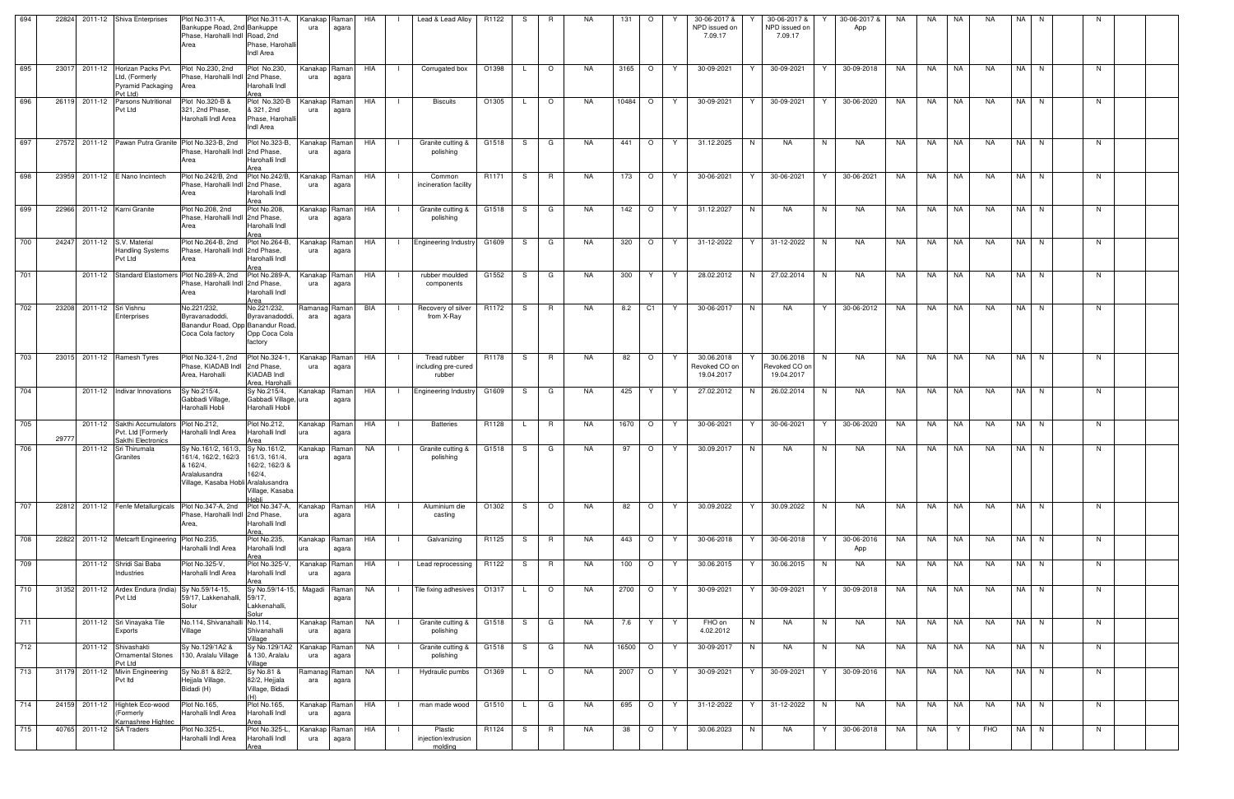| 694 |       |               | 22824 2011-12 Shiva Enterprises                                                          | Plot No.311-A,<br>Bankuppe Road, 2nd Bankuppe<br>Phase, Harohalli Indl Road, 2nd<br>Area                                                  | Plot No.311-A,<br>Phase, Harohall<br>Indl Area                       | Kanakap Raman<br>ura | agara          | HIA        |                | Lead & Lead Alloy                             | R1122 | -S  | R              | NA.       | 131       | $\circ$ | 30-06-2017 &<br>NPD issued on<br>7.09.17       | 30-06-2017 &<br>NPD issued on<br>7.09.17  | 30-06-2017 &<br>App    | NA        | NA | NA        | <b>NA</b> | NA I | N.       | N  |  |
|-----|-------|---------------|------------------------------------------------------------------------------------------|-------------------------------------------------------------------------------------------------------------------------------------------|----------------------------------------------------------------------|----------------------|----------------|------------|----------------|-----------------------------------------------|-------|-----|----------------|-----------|-----------|---------|------------------------------------------------|-------------------------------------------|------------------------|-----------|----|-----------|-----------|------|----------|----|--|
| 695 |       |               | 23017 2011-12 Horizan Packs Pvt.<br>Ltd, (Formerly<br>Pyramid Packaging Area<br>Pvt Ltd) | Plot No.230, 2nd<br>Phase, Harohalli Indl 2nd Phase,                                                                                      | Plot No.230,<br>Harohalli Indl<br>Area                               | Kanakap Raman<br>ura | agara          | HIA        | $\Box$         | Corrugated box                                | O1398 | L.  | $\overline{O}$ | NA.       | 3165      | $\circ$ | 30-09-2021<br>Y.                               | 30-09-2021<br>Y                           | 30-09-2018<br>Y        | NA        | NA | NA.       | <b>NA</b> |      | NA N     | N  |  |
| 696 |       | 26119 2011-12 | Parsons Nutritional<br>Pvt Ltd                                                           | Plot No.320-B &<br>321, 2nd Phase,<br>Harohalli Indl Area                                                                                 | Plot No.320-B<br>& 321, 2nd<br>Phase, Harohall<br>Indl Area          | Kanakap Raman<br>ura | agara          | HIA        | - 1            | <b>Biscuits</b>                               | O1305 | L.  | $\circ$        | NA.       | $10484$ O |         | Y<br>30-09-2021                                | 30-09-2021<br>Y                           | Y<br>30-06-2020        | NA        | NA | <b>NA</b> | <b>NA</b> |      | NA N     | N  |  |
| 697 |       |               |                                                                                          | 27572 2011-12 Pawan Putra Granite Plot No.323-B, 2nd<br>Phase, Harohalli Indl 2nd Phase,<br>Area                                          | Plot No.323-B,<br>Harohalli Indl                                     | Kanakap Raman<br>ura | agara          | HIA        |                | Granite cutting &<br>polishing                | G1518 | S.  | G              | NA.       | 441       | $\circ$ | 31.12.2025<br>Y                                | N<br><b>NA</b>                            | N<br>NA                | NA        | NA | NA        | <b>NA</b> |      | NA N     | N  |  |
| 698 |       |               | 23959 2011-12 E Nano Incintech                                                           | Plot No.242/B, 2nd<br>Phase, Harohalli Indl 2nd Phase,<br>Area                                                                            | Plot No.242/B,<br>Harohalli Indl<br>Area                             | Kanakap<br>ura       | Raman<br>agara | HIA        | - 1            | Common<br>incineration facility               | R1171 | S I | R              | NA.       | 173       | $\circ$ | 30-06-2021<br>Y.                               | 30-06-2021<br>Y                           | 30-06-2021<br>Y        | NA        | NA | <b>NA</b> | NA        |      | NA N     | N. |  |
| 699 |       |               | 22966 2011-12 Karni Granite                                                              | Plot No.208, 2nd<br>Phase, Harohalli Indl 2nd Phase,<br>Area                                                                              | Plot No.208,<br>Harohalli Indl<br>Area                               | Kanakap Raman<br>ura | agara          | HIA        |                | Granite cutting &<br>polishing                | G1518 | S.  | G              | NA.       | 142       | $\circ$ | 31.12.2027<br>Y.                               | N<br><b>NA</b>                            | N<br>NA                | NA        | NA | NA        | <b>NA</b> |      | NA N     | N. |  |
| 700 | 24247 |               | 2011-12 S.V. Material<br><b>Handling Systems</b><br>Pvt Ltd                              | Phase, Harohalli Indi 2nd Phase,<br>Area                                                                                                  | Harohalli Indl                                                       | Kanakap Raman<br>ura | agara          | HIA        | $\Box$         | <b>Engineering Industry</b>                   | G1609 | S I | G              | NA.       | 320       | $\circ$ | 31-12-2022<br>Y.                               | 31-12-2022<br>Y                           | NA<br>N                | NA        | NA | NA        | NA        |      | NA N     | N. |  |
| 701 |       |               |                                                                                          | 2011-12 Standard Elastomers Plot No.289-A, 2nd Plot No.289-A,<br>Phase, Harohalli Indl 2nd Phase,<br>Area                                 | Harohalli Indl<br>Area                                               | Kanakap I<br>ura     | Raman<br>agara | HIA        |                | rubber moulded<br>components                  | G1552 | S   | G              | NA.       | 300       | Y       | 28.02.2012                                     | 27.02.2014<br>N.                          | NA<br>N.               | NA.       | NA | NA.       | <b>NA</b> | NA I | N        | N. |  |
| 702 | 23208 |               | 2011-12 Sri Vishnu<br>Enterprises                                                        | No.221/232,<br>Byravanadoddi,<br>Banandur Road, Opp Banandur Road<br>Coca Cola factory                                                    | No.221/232,<br>Byravanadoddi.<br>Opp Coca Cola<br>factory            | Ramanag Raman<br>ara | agara          | <b>BIA</b> |                | Recovery of silver<br>from X-Ray              | R1172 | S — | $\mathsf{R}$   | <b>NA</b> | 8.2       | C1      | 30-06-2017<br>Y                                | <b>NA</b><br>N                            | 30-06-2012<br>Y        | <b>NA</b> | NA | NA        | NA        |      | NA N     | N  |  |
| 703 |       |               | 23015 2011-12 Ramesh Tyres                                                               | Plot No.324-1, 2nd<br>Phase, KIADAB Indl<br>Area, Harohalli                                                                               | Plot No.324-1<br>2nd Phase,<br><b>KIADAB</b> Indl<br>Area, Harohalli | Kanakap Raman<br>ura | agara          | HIA        |                | Tread rubber<br>including pre-cured<br>rubber | R1178 | S   | R              | NA        | 82        | $\circ$ | 30.06.2018<br>Y<br>Revoked CO on<br>19.04.2017 | 30.06.2018<br>Revoked CO on<br>19.04.2017 | N<br>NA                | NA        | NA | NA        | NA        |      | NA N     | N  |  |
| 704 |       |               | 2011-12 Indivar Innovations                                                              | Sy No.215/4,<br>Gabbadi Village<br>Harohalli Hobli                                                                                        | Sy No.215/4,<br>Gabbadi Village, ura<br>Harohalli Hobli              | Kanakap Raman        | agara          | HIA        |                | <b>Engineering Industry</b>                   | G1609 | S.  | G              | NA.       | 425       | Y       | 27.02.2012<br>Y                                | 26.02.2014<br>N.                          | NA<br>N                | NA        | NA | NA        | <b>NA</b> |      | NA N     | N. |  |
| 705 | 29777 |               | 2011-12 Sakthi Accumulators<br>Pvt. Ltd [Formerly<br>Sakthi Electronics                  | Plot No.212,<br>Harohalli Indl Area                                                                                                       | Plot No.212,<br>Harohalli Indl<br>Area                               | Kanakap Raman        | agara          | HIA        | $\perp$        | <b>Batteries</b>                              | R1128 | L.  | R              | NA        | 1670      | $\circ$ | 30-06-2021<br>Y.                               | 30-06-2021<br>Y.                          | Y<br>30-06-2020        | NA        |    | NA   NA   | NA        |      | NA N     | N. |  |
| 706 |       |               | 2011-12 Sri Thirumala<br>Granites                                                        | Sy No.161/2, 161/3, Sy No.161/2,<br>161/4, 162/2, 162/3 161/3, 161/4,<br>& 162/4,<br>Aralalusandra<br>Village, Kasaba Hobli Aralalusandra | 162/2, 162/3 &<br>162/4,<br>Village, Kasaba                          | Kanakap              | Raman<br>agara | NA         |                | Granite cutting &<br>polishing                | G1518 | S.  | G              | <b>NA</b> | 97        | $\circ$ | 30.09.2017<br>Y                                | N<br>NA                                   | N<br>NA                | NA        | NA | <b>NA</b> | NA        | NA N |          | N  |  |
| 707 |       |               | 22812 2011-12 Fenfe Metallurgicals                                                       | Plot No.347-A, 2nd<br>Phase, Harohalli Indl 2nd Phase,<br>Area,                                                                           | Plot No.347-A.<br>Harohalli Indl<br>Area.                            | Kanakap Raman        | agara          | HIA        |                | Aluminium die<br>casting                      | O1302 | S.  | $\circ$        | <b>NA</b> | 82        | $\circ$ | 30.09.2022<br>Y                                | 30.09.2022                                | NA<br>N                | NA        | NA | <b>NA</b> | <b>NA</b> | NA N |          | N. |  |
| 708 |       |               | 22822 2011-12 Metcarft Engineering Plot No.235,                                          | Harohalli Indl Area                                                                                                                       | Plot No.235,<br>Harohalli Indl<br>Area                               | Kanakap Raman        | agara          | HIA        |                | Galvanizing                                   | R1125 | S — | R              | NA.       | 443       | $\circ$ | Y<br>30-06-2018                                | 30-06-2018<br>Y                           | 30-06-2016<br>Y<br>App | NA        | NA | <b>NA</b> | <b>NA</b> | NA N |          | N  |  |
| 709 |       |               | 2011-12 Shridi Sai Baba<br>Industries                                                    | Plot No.325-V,<br>Harohalli Indl Area                                                                                                     | Plot No.325-V,<br>Harohalli Indl<br>Area                             | Kanakap Raman<br>ura | agara          | HIA        |                | Lead reprocessing                             | R1122 | S.  | <b>R</b>       | NA        | 100       | $\circ$ | 30.06.2015<br>Y.                               | Y<br>30.06.2015                           | N<br>NA                | NA        | NA | <b>NA</b> | <b>NA</b> |      | NA N     | N  |  |
| 710 |       |               | 31352 2011-12 Ardex Endura (India) Sy No.59/14-15,<br>Pvt Ltd                            | 59/17, Lakkenahalli, 59/17,<br>Solur                                                                                                      | Sy No.59/14-15,<br>Lakkenahalli,<br>Solur                            | Magadi Raman         | agara          | NA         |                | Tile fixing adhesives 01317                   |       | L.  | $\circ$        | NA        | 2700      | $\circ$ | 30-09-2021<br>Y                                | 30-09-2021<br>Y                           | 30-09-2018<br>Y        | NA        | NA | NA        | <b>NA</b> |      | NA N     | N  |  |
| 711 |       |               | 2011-12 Sri Vinayaka Tile<br>Exports                                                     | No.114, Shivanahalli No.114,<br>Village                                                                                                   | Shivanahalli<br>Village                                              | Kanakap Raman<br>ura | agara          | NA         | $\Box$         | Granite cutting &<br>polishing                | G1518 |     | S G            | NA.       |           | 7.6   Y | Y<br>FHO on<br>4.02.2012                       | N<br><b>NA</b>                            | N <sub>1</sub><br>NA   | NA        |    | NA NA     | <b>NA</b> | NA N |          | N  |  |
| 712 |       |               | 2011-12 Shivashakti<br><b>Ornamental Stones</b><br>Pvt Ltd                               | Sy No.129/1A2 &<br>130, Aralalu Village                                                                                                   | Sy No.129/1A2<br>& 130, Aralalu<br>Village                           | Kanakap Raman<br>ura | agara          | NA         | $\blacksquare$ | Granite cutting &<br>polishing                | G1518 |     | S G            | NA        | 16500 O   |         | 30-09-2017<br>Y.                               | N<br>NA                                   | N<br>NA                | NA        |    | NA NA     | NA        |      | NA N     | N  |  |
| 713 |       |               | 31179 2011-12 Mivin Engineering<br>Pvt Itd                                               | Sy No.81 & 82/2,<br>Hejjala Village,<br>Bidadi (H)                                                                                        | Sy No.81 &<br>82/2, Hejjala<br>Village, Bidadi<br>(H)                | Ramanag<br>ara       | Raman<br>agara | NA         |                | Hydraulic pumbs                               | O1369 |     | L O            | NA.       | 2007 O    |         | 30-09-2021<br>Y.                               | $30-09-2021$<br>Y                         | 30-09-2016<br>Y        | NA        |    | NA   NA   | NA        |      | $NA$ $N$ | N. |  |
| 714 |       |               | 24159 2011-12 Hightek Eco-wood<br>(Formerly<br>Karnashree Hightec                        | Plot No.165,<br>Harohalli Indl Area                                                                                                       | Plot No.165,<br>Harohalli Indl<br>Area                               | Kanakap Raman<br>ura | agara          | HIA        |                | man made wood                                 | G1510 | L.  | G              | <b>NA</b> | 695       | $\circ$ | 31-12-2022<br>Y                                | 31-12-2022<br>Y                           | N <sub>1</sub><br>NA   | NA        | NA | NA        | <b>NA</b> |      | NA N     | N  |  |
| 715 |       |               | 40765 2011-12 SA Traders                                                                 | Plot No.325-L,<br>Harohalli Indl Area                                                                                                     | Plot No.325-L,<br>Harohalli Indl<br>Area                             | Kanakap Raman<br>ura | agara          | HIA        |                | Plastic<br>injection/extrusion<br>molding     | R1124 | S.  | R.             | NA        | 38        | $\circ$ | 30.06.2023<br>Y                                | N<br>NA                                   | 30-06-2018<br>Y        | NA        | NA | Y.        | FHO       |      | NA N     | N. |  |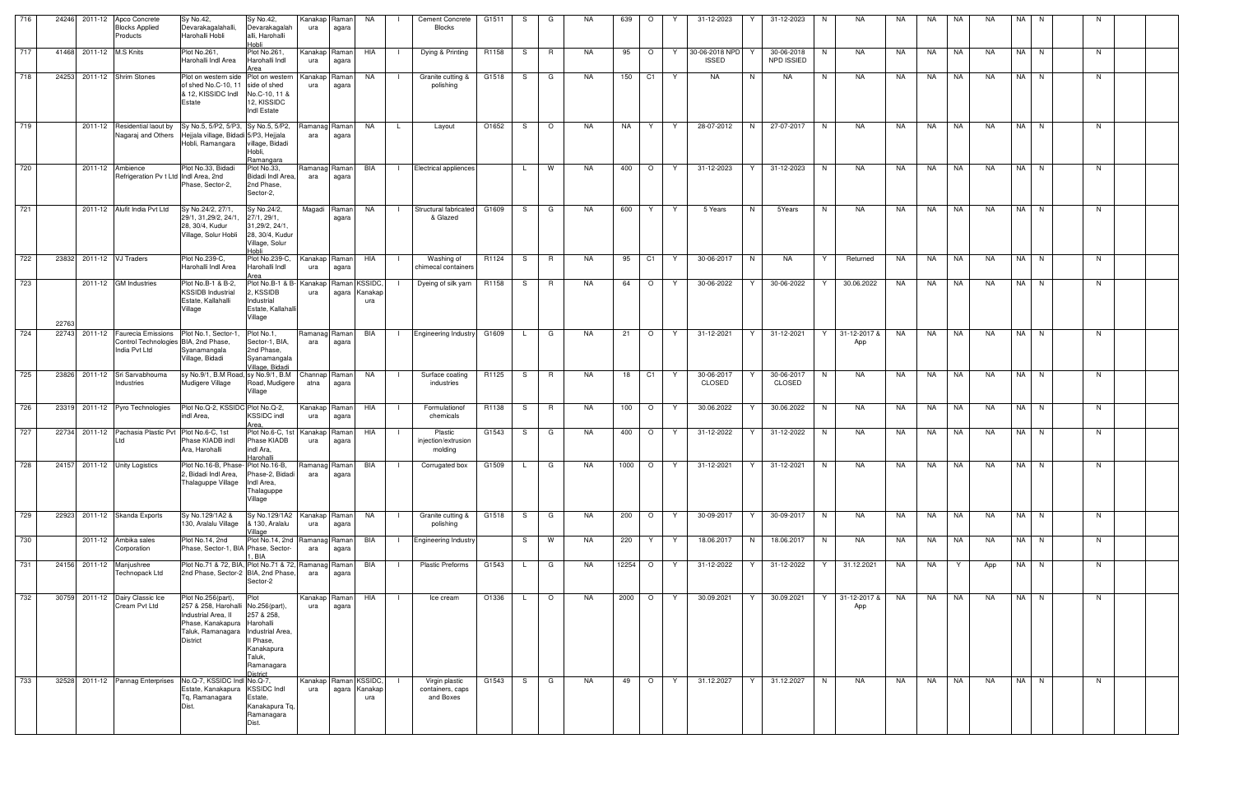| 716 | 24246 2011-12 Apco Concrete       | <b>Blocks Applied</b><br>Products                                                   | Sy No.42,<br>Devarakagalahalli,<br>Harohalli Hobli                                                                                                                        | Sy No.42,<br>Devarakagalah<br>alli, Harohalli<br>Hobli                                     | Kanakap<br>ura  | Raman<br>agara   | NA                                                | <b>Cement Concrete</b><br>Blocks                                                                                                                  | G1511 | -S           | G       | NA.       | 639     | $\circ$                  | Y | 31-12-2023                     | Y  | 31-12-2023                      | N. | NA                  | NA        | NA          | NA        | NA        | NA I | N    | N. |  |
|-----|-----------------------------------|-------------------------------------------------------------------------------------|---------------------------------------------------------------------------------------------------------------------------------------------------------------------------|--------------------------------------------------------------------------------------------|-----------------|------------------|---------------------------------------------------|---------------------------------------------------------------------------------------------------------------------------------------------------|-------|--------------|---------|-----------|---------|--------------------------|---|--------------------------------|----|---------------------------------|----|---------------------|-----------|-------------|-----------|-----------|------|------|----|--|
| 717 | 41468 2011-12 M.S Knits           |                                                                                     | Plot No.261,<br>Harohalli Indl Area                                                                                                                                       | Plot No.261,<br>Harohalli Indl<br>Area                                                     | Kanakap<br>ura  | Raman<br>agara   | HIA                                               | Dying & Printing                                                                                                                                  | R1158 | S.           | R       | NA        | 95      | $\circ$                  | Y | 30-06-2018 NPD<br><b>ISSED</b> |    | 30-06-2018<br><b>NPD ISSIED</b> | N  | NA                  | NA.       | NA          | NA        | NA.       |      | NA N | N. |  |
| 718 | 24253 2011-12 Shrim Stones        |                                                                                     | Plot on western side Plot on western<br>of shed No.C-10, 11 side of shed<br>& 12, KISSIDC Indi<br>Estate                                                                  | No.C-10, 11 &<br>12, KISSIDC<br>Indl Estate                                                | Kanakar<br>ura  | aman?<br>agara   | NA .                                              | Granite cutting &<br>polishing                                                                                                                    | G1518 | S            | G       | NA        | 150     | $\overline{C1}$          | Y | NA                             | N  | NA                              | N. | NA                  | NA        | NA          | NA        | <b>NA</b> |      | NA N | N  |  |
| 719 |                                   | 2011-12 Residential laout by                                                        | Sy No.5, 5/P2, 5/P3, Sy No.5, 5/P2,<br>Nagaraj and Others Hejjala village, Bidadi 5/P3, Hejjala<br>Hobli, Ramangara village, Bidadi                                       | Hobli,<br>Ramangara                                                                        | Ramanag<br>ara  | Raman  <br>agara | <b>NA</b><br><b>L</b>                             | Layout                                                                                                                                            | O1652 | S            | $\circ$ | NA.       | NA      | Y.                       | Y | 28-07-2012                     | N  | 27-07-2017                      | N  | NA                  | NA        | <b>NA</b>   | NA        | <b>NA</b> |      | NA N | N. |  |
| 720 |                                   | 2011-12 Ambience<br>Refrigeration Pv t Ltd Indl Area, 2nd                           | Plot No.33, Bidadi<br>Phase, Sector-2,                                                                                                                                    | Plot No.33,<br>Bidadi Indl Area,<br>2nd Phase,<br>Sector-2,                                | Ramanag<br>ara  | Ramanl<br>agara  | BIA                                               | <b>Electrical appliences</b>                                                                                                                      |       | $\mathsf{L}$ | W       | <b>NA</b> | 400     | $\circ$                  | Y | 31-12-2023                     |    | 31-12-2023                      | N  | <b>NA</b>           | NA        | <b>NA</b>   | NA        | <b>NA</b> |      | NA N | N. |  |
| 721 |                                   | 2011-12 Alufit India Pvt Ltd                                                        | Sy No.24/2, 27/1.<br>29/1, 31, 29/2, 24/1<br>28, 30/4, Kudur<br>Village, Solur Hobli                                                                                      | Sy No.24/2,<br>27/1, 29/1,<br>31,29/2, 24/1,<br>28, 30/4, Kudul<br>Village, Solur<br>Hobli | Magadi          | Raman<br>agara   | NA                                                | Structural fabricated<br>& Glazed                                                                                                                 | G1609 | S            | G       | NA.       | 600     | Y                        | Y | 5 Years                        | N  | 5Years                          | N  | NA                  | NA        | <b>NA</b>   | NA        | <b>NA</b> |      | NA N | N. |  |
| 722 | 23832 2011-12 VJ Traders          |                                                                                     | Plot No.239-C,<br>Harohalli Indl Area                                                                                                                                     | Plot No.239-C,<br>Harohalli Indl<br>Area                                                   | Kanakap<br>ura  | Raman<br>agara   | HIA                                               | Washing of<br>chimecal containers                                                                                                                 | R1124 | S.           | R       | <b>NA</b> | 95      | C1                       | Y | 30-06-2017                     | N  | <b>NA</b>                       |    | Returned            | NA        | NA          | NA        | <b>NA</b> |      | NA N | N. |  |
| 723 | 22763                             | 2011-12 GM Industries                                                               | Plot No.B-1 & B-2,<br><b>KSSIDB Industrial</b><br>Estate, Kallahalli<br>Village                                                                                           | Plot No.B-1 & B- Kanakap<br>2, KSSIDB<br>Industrial<br>Estate, Kallahalli<br>Village       | ura             |                  | Raman KSSIDC,<br>agara Kanakap<br>ura             | Dyeing of silk yarn                                                                                                                               | R1158 | S.           | R       | NA        | 64      | $\circ$                  | Y | 30-06-2022                     |    | 30-06-2022                      | Y  | 30.06.2022          | NA        | NA          | NA        | <b>NA</b> |      | NA N | N. |  |
| 724 | 22743                             | 2011-12 Faurecia Emissions<br>Control Technologies BIA, 2nd Phase,<br>India Pvt Ltd | Plot No.1, Sector-1<br>Syanamangala<br>Village, Bidadi                                                                                                                    | Plot No.1,<br>Sector-1, BIA,<br>2nd Phase,<br>Syanamangala<br>Village, Bidadi              | Ramanag<br>ara  | Raman<br>agara   | BIA                                               | <b>Engineering Industry</b>                                                                                                                       | G1609 | $\mathsf{L}$ | G       | NA        | 21      | $\circ$                  | Y | 31-12-2021                     | Y  | 31-12-2021                      | Y  | 31-12-2017 &<br>App | NA        | <b>NA</b>   | NA        | NA        |      | NA N | N. |  |
| 725 | 23826 2011-12 Sri Sarvabhouma     | Industries                                                                          | sy No.9/1, B.M Road, sy No.9/1, B.M<br>Mudigere Village                                                                                                                   | Road, Mudigere<br>Village                                                                  | Channap<br>atna | Raman  <br>agara | NA                                                | Surface coating<br>industries                                                                                                                     | R1125 | S            | R       | NA        | 18      | C1                       | Y | 30-06-2017<br>CLOSED           |    | 30-06-2017<br><b>CLOSED</b>     | N  | NA                  | NA        | NA          | NA        | NA        |      | NA N | N. |  |
| 726 |                                   | 23319 2011-12 Pyro Technologies                                                     | Plot No.Q-2, KSSIDC Plot No.Q-2,<br>indl Area.                                                                                                                            | <b>KSSIDC</b> indl<br>Area                                                                 | Kanakap<br>ura  | Raman<br>agara   | HIA                                               | Formulationof<br>chemicals                                                                                                                        | R1138 | S.           | R.      | NA        | 100     | $\circ$                  | Y | 30.06.2022                     | Y  | 30.06.2022                      | N  | NA                  | NA        | NA          | NA        | <b>NA</b> |      | NA N | N  |  |
| 727 |                                   | 22734 2011-12 Pachasia Plastic Pvt Plot No.6-C, 1st                                 | Phase KIADB indl<br>Ara, Harohalli                                                                                                                                        | Plot No.6-C, 1st Kanakap<br>Phase KIADB<br>indl Ara,<br>Harohalli                          | ura             | Raman<br>agara   | HIA                                               | Plastic<br>injection/extrusion<br>molding                                                                                                         | G1543 | S.           | G       | NA.       | 400     | $\circ$                  | Y | 31-12-2022                     | Y. | 31-12-2022                      | N  | NA                  | NA        | NA          | NA        | NA        |      | NA N | N  |  |
|     | 728 24157 2011-12 Unity Logistics |                                                                                     | 2, Bidadi Indl Area,<br>Thalaguppe Village                                                                                                                                | Phase-2, Bidadi<br>Indl Area.<br>Thalaguppe<br>Village                                     | ara             | agara            |                                                   | Plot No.16-B, Phase-Plot No.16-B, Ramanag Raman BIA     Corrugated box   G1509   L   G   NA   1000   O   Y   31-12-2021   Y   31-12-2021   N   NA |       |              |         |           |         |                          |   |                                |    |                                 |    |                     |           | NA INA NA I |           | NA INAIN  |      |      | N  |  |
| 729 | 22923 2011-12 Skanda Exports      |                                                                                     | Sy No.129/1A2 &<br>130, Aralalu Village                                                                                                                                   | Sy No.129/1A2<br>& 130, Aralalu<br>Village                                                 | Kanakap<br>ura  | Raman<br>agara   | NA<br>$\Box$                                      | Granite cutting &<br>polishing                                                                                                                    | G1518 | S.           | G       | NA        | 200     | $\overline{\phantom{0}}$ | Y | 30-09-2017                     | Y  | 30-09-2017                      | N  | NA                  | NA        | NA 1        | <b>NA</b> | NA        |      | NA N | N. |  |
| 730 |                                   | 2011-12 Ambika sales<br>Corporation                                                 | Plot No.14, 2nd<br>Phase, Sector-1, BIA Phase, Sector-                                                                                                                    | Plot No.14, 2nd Ramanag<br>. BIA                                                           | ara             | Raman<br>agara   | BIA                                               | <b>Engineering Industry</b>                                                                                                                       |       | S.           | W       | NA.       | 220     | Y.                       | Y | 18.06.2017                     | N  | 18.06.2017                      | N. | NA                  | NA        | NA          | <b>NA</b> | NA        |      | NA N | N  |  |
| 731 | 24156 2011-12 Manjushree          | Technopack Ltd                                                                      | Plot No.71 & 72, BIA, Plot No.71 & 72, Ramanag<br>2nd Phase, Sector-2 BIA, 2nd Phase,                                                                                     | Sector-2                                                                                   | ara             | Raman<br>agara   | BIA                                               | <b>Plastic Preforms</b>                                                                                                                           | G1543 | $\mathsf{L}$ | G       | <b>NA</b> | 12254 O |                          | Y | 31-12-2022                     | Y  | 31-12-2022                      | Y  | 31.12.2021          | NA        | NA          | Y         | App       |      | NA N | N. |  |
| 732 | 30759 2011-12 Dairy Classic Ice   | Cream Pvt Ltd                                                                       | Plot No.256(part),<br>257 & 258, Harohalli No.256(part),<br>Industrial Area, II<br>Phase, Kanakapura Harohalli<br>Taluk, Ramanagara   Industrial Area,<br><b>District</b> | Plot<br>257 & 258,<br>Il Phase,<br>Kanakapura<br>Taluk,<br>Ramanagara<br><b>District</b>   | Kanakap<br>ura  | Raman<br>agara   | HIA                                               | Ice cream                                                                                                                                         | O1336 | $\mathsf{L}$ | $\circ$ | <b>NA</b> | 2000 O  |                          | Y | 30.09.2021                     | Y  | 30.09.2021                      | Y  | 31-12-2017 &<br>App | <b>NA</b> | <b>NA</b>   | <b>NA</b> | NA        |      | NA N | N. |  |
| 733 | 32528                             |                                                                                     | 2011-12 Pannag Enterprises No.Q-7, KSSIDC Indi No.Q-7,<br>Estate, Kanakapura KSSIDC Indl<br>Tq, Ramanagara<br>Dist.                                                       | Estate,<br>Kanakapura Tq,<br>Ramanagara<br>Dist.                                           | ura             |                  | Kanakap   Raman   KSSIDC,<br>agara Kanakap<br>ura | Virgin plastic<br>containers, caps<br>and Boxes                                                                                                   | G1543 | S.           | G       | NA.       | 49      | $\circ$                  | Y | 31.12.2027                     | Y  | 31.12.2027                      | N  | NA                  | NA        | NA          | NA        | <b>NA</b> |      | NA N | N  |  |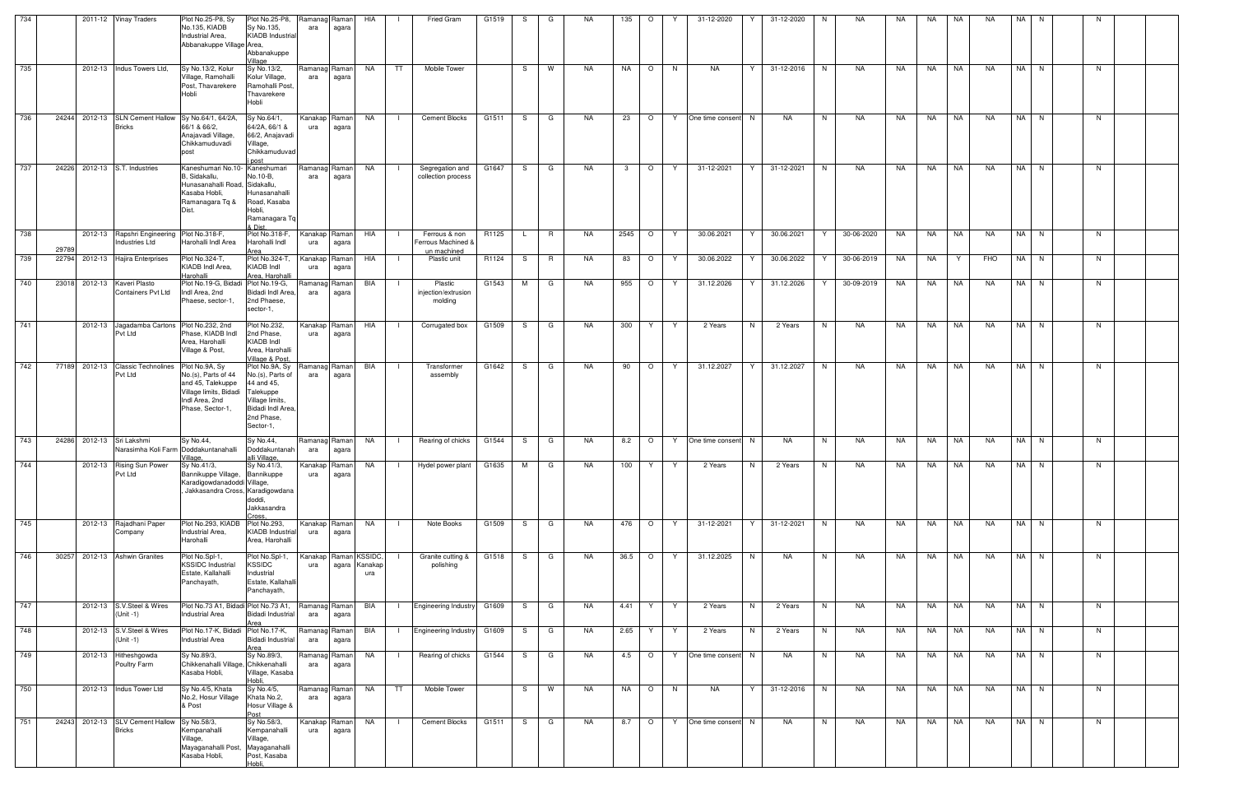| 734 |       | 2011-12 Vinay Traders                                               | Plot No.25-P8, Sy<br>No.135, KIADB<br>Industrial Area,<br>Abbanakuppe Village Area,                                           | Plot No.25-P8,<br>Sy No.135,<br><b>KIADB</b> Industrial<br>Abbanakuppe<br>Village                                                      | Ramanag Raman<br>ara         | agara          | HIA                  |                | Fried Gram                                         | G1519 | S.  | G        | NA.       | 135         | $\circ$      | 31-12-2020                                                                                                          |                | 31-12-2020 | N  | NA          | NA. | NA        | NA | NA.       | NA   | N. |    |  |
|-----|-------|---------------------------------------------------------------------|-------------------------------------------------------------------------------------------------------------------------------|----------------------------------------------------------------------------------------------------------------------------------------|------------------------------|----------------|----------------------|----------------|----------------------------------------------------|-------|-----|----------|-----------|-------------|--------------|---------------------------------------------------------------------------------------------------------------------|----------------|------------|----|-------------|-----|-----------|----|-----------|------|----|----|--|
| 735 |       | 2012-13 Indus Towers Ltd,                                           | Sy No.13/2, Kolur<br>Village, Ramohalli<br>Post. Thavarekere<br>Hobli                                                         | Sy No.13/2,<br>Kolur Village,<br>Ramohalli Post.<br>Thavarekere<br>Hobli                                                               | Ramanag Raman<br>ara         | agara          | NA                   | TT             | Mobile Tower                                       |       | S.  | W        | NA.       | NA          | $\circ$      | N<br>NA                                                                                                             | Y              | 31-12-2016 | N  | NA          | NA  | NA        | NA | <b>NA</b> | NA N |    | N  |  |
| 736 | 24244 | 2012-13 SLN Cement Hallow<br><b>Bricks</b>                          | Sy No.64/1, 64/2A,<br>66/1 & 66/2,<br>Anajavadi Village,<br>Chikkamuduvadi<br>post                                            | Sy No.64/1,<br>64/2A, 66/1 &<br>66/2, Anajavadi<br>Village,<br>Chikkamuduvad<br>i post                                                 | Kanakap   Raman<br>ura       | agara          | NA                   |                | <b>Cement Blocks</b>                               | G1511 | S — | G        | NA.       | 23          | $\circ$      | One time consent N<br>Y                                                                                             |                | NA.        | N. | <b>NA</b>   | NA. | NA        | NA | NA.       | NA N |    | N. |  |
| 737 | 24226 | 2012-13 S.T. Industries                                             | Kaneshumari No.10- Kaneshumari<br>B. Sidakallu<br>Hunasanahalli Road, Sidakallu,<br>Kasaba Hobli,<br>Ramanagara Tq &<br>Dist. | No.10-B,<br>Hunasanahalli<br>Road, Kasaba<br>Hobli,<br>Ramanagara Tq<br>LDist.                                                         | Ramanag Raman<br>ara         | agara          | NA                   |                | Segregation and<br>collection process              | G1647 | S.  | G        | <b>NA</b> | $3^{\circ}$ | $\circ$      | 31-12-2021<br>Y                                                                                                     | Y              | 31-12-2021 | N  | NA          | NA  | NA        | NA | <b>NA</b> | NA N |    | N  |  |
| 738 | 29789 | 2012-13 Rapshri Engineering Plot No.318-F,<br><b>Industries Ltd</b> | Harohalli Indl Area                                                                                                           | Plot No.318-F,<br>Harohalli Indl<br>Area                                                                                               | Kanakap Raman<br>ura         | agara          | HIA                  |                | Ferrous & non<br>Ferrous Machined &<br>un machined | R1125 | L.  | R        | <b>NA</b> | 2545        | $\circ$      | 30.06.2021<br>Y                                                                                                     | Y              | 30.06.2021 |    | 30-06-2020  | NA  | NA        | NA | NA        | NA N |    | N  |  |
| 739 | 22794 | 2012-13 Hajira Enterprises                                          | Plot No.324-T,<br>KIADB Indl Area,<br>Harohalli                                                                               | Plot No.324-T,<br>KIADB Indi<br>Area, Harohalli                                                                                        | Kanakap Raman<br>ura         | agara          | HIA                  | - 1            | Plastic unit                                       | R1124 | S.  | R        | NA        | 83          | $\circ$      | Y<br>30.06.2022                                                                                                     | Y              | 30.06.2022 |    | 30-06-2019  | NA  | NA        |    | FHO       | NA N |    | N  |  |
| 740 | 23018 | 2012-13 Kaveri Plasto<br>Containers Pvt Ltd                         | Plot No.19-G, Bidadi Plot No.19-G,<br>Indl Area, 2nd<br>Phaese, sector-1,                                                     | Bidadi Indl Area.<br>2nd Phaese,<br>sector-1,                                                                                          | amanag<br>ara                | Raman<br>agara | BIA                  |                | Plastic<br>injection/extrusion<br>molding          | G1543 | M   | G        | <b>NA</b> | 955         | $\circ$      | 31.12.2026<br>Y                                                                                                     | Y              | 31.12.2026 |    | 30-09-2019  | NA  | NA        | NA | NA        | NA I | N  | N  |  |
| 741 |       | 2012-13 Jagadamba Cartons<br>Pvt Ltd                                | Plot No.232, 2nd<br>Phase, KIADB Indl<br>Area, Harohalli<br>Village & Post,                                                   | Plot No.232,<br>2nd Phase,<br>KIADB Indl<br>Area, Harohalli<br>Village & Post,                                                         | Kanakap Raman<br>ura         | agara          | HIA                  |                | Corrugated box                                     | G1509 | S.  | G        | <b>NA</b> | 300         | Y            | 2 Years<br>Y                                                                                                        | N              | 2 Years    | N  | NA          | NA. | NA        | NA | NA.       | NA N |    | N  |  |
| 742 | 77189 | 2012-13 Classic Technolines<br>Pvt Ltd                              | Plot No.9A, Sy<br>No.(s), Parts of 44<br>and 45, Talekuppe<br>Village limits, Bidadi<br>Indl Area, 2nd<br>Phase, Sector-1,    | Plot No.9A, Sy<br>No.(s), Parts of<br>44 and 45,<br>Talekuppe<br>Village limits,<br><b>Bidadi Indl Area</b><br>2nd Phase,<br>Sector-1, | Ramanag Raman<br>ara         | agara          | BIA                  |                | Transformer<br>assembly                            | G1642 | S   | G        | NA.       | 90          | $\circ$      | 31.12.2027<br>Y                                                                                                     | $\mathsf{Y}$   | 31.12.2027 | N  | NA          | NA  | NA        | NA | <b>NA</b> | NA N |    | N. |  |
| 743 | 24286 | 2012-13 Sri Lakshmi                                                 | Sy No.44,<br>Narasimha Koli Farm Doddakuntanahalli<br>Village,                                                                | Sy No.44,<br>Doddakuntanah<br>alli Village,                                                                                            | Ramanag Raman<br>ara         | agara          | <b>NA</b>            | $\mathbf{I}$   | Rearing of chicks                                  | G1544 | S — | l G      | NA        | 8.2         | $\circ$      | Y One time consent                                                                                                  | N <sub>1</sub> | NA         | N  | NA          | NA  | <b>NA</b> | NA | NA        | NA N |    | N  |  |
| 744 |       | 2012-13 Rising Sun Power Sy No.41/3,<br>Pvt Ltd                     | Bannikuppe Village, Bannikuppe<br>Karadigowdanadoddi Village,<br>Jakkasandra Cross, Karadigowdana                             | doddi,<br>Jakkasandra<br>cross.                                                                                                        | ura                          | agara          |                      |                |                                                    |       |     |          |           |             |              | Sy No.41/3, Kanakap Raman NA   I   Hydel power plant   G1635   M   G   NA   100   Y   Y   2 Years   N   2 Years   N |                |            |    | NA NA NA NA |     |           |    | <b>NA</b> | NA N |    | N  |  |
| 745 |       | 2012-13 Rajadhani Paper<br>Company                                  | Plot No.293, KIADB<br>Industrial Area,<br>Harohalli                                                                           | Plot No.293,<br><b>KIADB</b> Industrial<br>Area, Harohalli                                                                             | Kanakap Raman<br>ura         | agara          | <b>NA</b>            | - 1            | Note Books                                         | G1509 | S — | G        | NA        | 476         |              | 31-12-2021<br>$O$ Y                                                                                                 | Y              | 31-12-2021 | N  | NA          | NA  | <b>NA</b> | NA | NA        | NA N |    | N  |  |
| 746 | 30257 | 2012-13 Ashwin Granites                                             | Plot No.Spl-1,<br><b>KSSIDC</b> Industrial<br>Estate, Kallahalli<br>Panchayath,                                               | Plot No.Spl-1,<br>KSSIDC<br>Industrial<br>Estate, Kallahalli<br>Panchayath,                                                            | Kanakap Raman KSSIDC,<br>ura |                | agara Kanakap<br>ura |                | Granite cutting &<br>polishing                     | G1518 | S I | G        | NA        |             | 36.5   O   Y | 31.12.2025                                                                                                          | N              | NA         | N  | NA          | NA  | NA        | NA | NA        | NA N |    | N  |  |
| 747 |       | 2012-13 S.V. Steel & Wires<br>(Unit -1)                             | Plot No.73 A1, Bidadi Plot No.73 A1,<br><b>Industrial Area</b>                                                                | Bidadi Industrial<br>Area                                                                                                              | Ramanag Raman<br>ara         | agara          | BIA                  | $\blacksquare$ | <b>Engineering Industry</b>                        | G1609 | S.  | G        | NA        | 4.41        | Y.           | 2 Years<br>Y                                                                                                        | N              | 2 Years    | N  | NA          | NA  | NA        | NA | NA        | NA N |    | N  |  |
| 748 |       | 2012-13 S.V. Steel & Wires<br>$(Unit -1)$                           | Plot No.17-K, Bidadi Plot No.17-K,<br><b>Industrial Area</b>                                                                  | Bidadi Industrial<br>Area                                                                                                              | Ramanag Raman<br>ara         | agara          | BIA                  | $\mathbf{1}$   | Engineering Industry G1609                         |       | S — | G        | NA        | 2.65        | Y.           | Y<br>2 Years                                                                                                        | N              | 2 Years    | N  | NA          | NA  | NA        | NA | NA        | NA N |    | N  |  |
| 749 |       | 2012-13 Hitheshgowda<br>Poultry Farm                                | Sy No.89/3,<br>Chikkenahalli Village, Chikkenahalli<br>Kasaba Hobli,                                                          | Sy No.89/3,<br>Village, Kasaba<br>Hobli.                                                                                               | Ramanag Raman<br>ara         | agara          | NA                   |                | Rearing of chicks                                  | G1544 | S.  | G        | NA        | 4.5         | $\circ$      | Y<br>One time consent                                                                                               | N              | NA         | N  | NA          | NA  | NA        | NA | NA        | NA N |    | N  |  |
| 750 |       | 2012-13 Indus Tower Ltd                                             | Sy No.4/5, Khata<br>No.2, Hosur Village<br>& Post                                                                             | Sy No.4/5,<br>Khata No.2,<br>Hosur Village &<br>Post                                                                                   | Ramanag Raman<br>ara         | agara          | NA                   | TT             | Mobile Tower                                       |       | S — | <b>W</b> | NA        | <b>NA</b>   |              | $O$ N<br>NA                                                                                                         | Y.             | 31-12-2016 | N  | NA          | NA  | NA        | NA | NA        | NA N |    | N  |  |
| 751 | 24243 | 2012-13 SLV Cement Hallow<br><b>Bricks</b>                          | Sy No.58/3,<br>Kempanahalli<br>Village,<br>Mayaganahalli Post,<br>Kasaba Hobli,                                               | Sy No.58/3,<br>Kempanahalli<br>Village,<br>Mayaganahalli<br>Post, Kasaba<br>Hobli.                                                     | Kanakap Raman<br>ura         | agara          | NA                   |                | <b>Cement Blocks</b>                               | G1511 | S . | G        | NA        | 8.7         | $\circ$      | Y One time consent N                                                                                                |                | NA         | N  | NA          | NA  | NA        | NA | NA        | NA N |    | N  |  |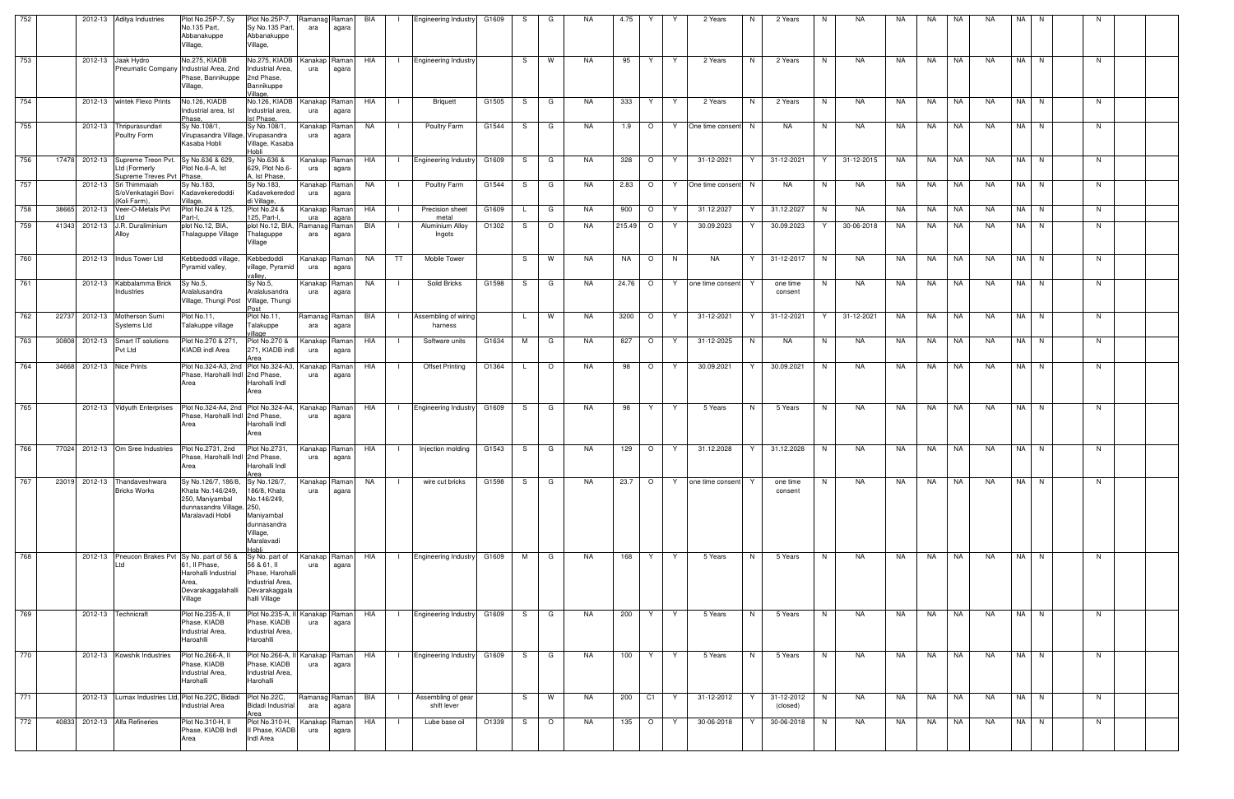| 752 |       |         | 2012-13 Aditya Industries                                                                 | Plot No.25P-7, Sy<br>No.135 Part,<br>Abbanakuppe<br>Village,                                                                      | Plot No.25P-7,<br>Sy No.135 Part,<br>Abbanakuppe<br>Village,                                                | Ramanag Raman<br>ara | agara                    | BIA | $\mathbf{I}$ | <b>Engineering Industry</b>       | G1609 | S.  | G              | NA.       | 4.75      |         | 2 Years                 | 2 Years<br>N.               | NA.<br>N.       | NA  | NA.       | NA | NA.       | NA I | N. |    |  |
|-----|-------|---------|-------------------------------------------------------------------------------------------|-----------------------------------------------------------------------------------------------------------------------------------|-------------------------------------------------------------------------------------------------------------|----------------------|--------------------------|-----|--------------|-----------------------------------|-------|-----|----------------|-----------|-----------|---------|-------------------------|-----------------------------|-----------------|-----|-----------|----|-----------|------|----|----|--|
| 753 |       |         | 2012-13 Jaak Hydro                                                                        | No.275, KIADB<br>Pneumatic Company Industrial Area, 2nd Industrial Area,<br>Phase, Bannikuppe 2nd Phase,<br>Village,              | No.275, KIADB<br>Bannikuppe<br>Village,                                                                     | Kanakap Raman<br>ura | agara                    | HIA |              | I Engineering Industry            |       | S – | $\blacksquare$ | NA.       | 95        | Y.      | 2 Years<br>Y.           | N<br>2 Years                | N<br>NA         | NA  | NA        | NA | NA        | NA N |    | N. |  |
| 754 |       |         | 2012-13   wintek Flexo Prints                                                             | No.126, KIADB<br>Industrial area, Ist<br>Phase.                                                                                   | No.126, KIADB<br>Industrial area,<br>Ist Phase                                                              | Kanakap Raman<br>ura | agara                    | HIA |              | Briquett                          | G1505 | S   | G              | NA        | 333       | Y.      | Y<br>2 Years            | N<br>2 Years                | N<br>NA         | NA  | NA.       | NA | <b>NA</b> | NA N |    | N  |  |
| 755 |       |         | 2012-13 Thripurasundari<br>Poultry Form                                                   | Sy No.108/1,<br>Virupasandra Village, Virupasandra<br>Kasaba Hobli                                                                | Sy No.108/1.<br>Village, Kasaba<br>Hobli                                                                    | Kanakap<br>ura       | Raman<br>agara           | NA  | - 1          | Poultry Farm                      | G1544 | S.  | G              | NA.       | 1.9       | $\circ$ | One time consent<br>Y.  | NA<br>N.                    | N<br>NA         | NA. | NA        | NA | NA        | NA N |    | N  |  |
| 756 | 17478 |         | 2012-13 Supreme Treon Pvt. Sy No.636 & 629.<br>Ltd (Formerly<br>Supreme Treves Pvt Phase. | Plot No.6-A, Ist                                                                                                                  | Sy No.636 &<br>629, Plot No.6-<br>A. Ist Phase.                                                             | Kanakap Raman<br>ura | agara                    | HIA | $\Box$       | <b>Engineering Industry</b>       | G1609 | S.  | G              | NA.       | 328       | $\circ$ | 31-12-2021<br>Y         | 31-12-2021<br>Y             | 31-12-2015<br>Y | NA  | NA        | NA | <b>NA</b> | NA N |    | N  |  |
| 757 |       |         | 2012-13 Sri Thimmaiah<br>S/oVenkatagiri Bovi<br>(Koli Farm).                              | Sy No.183,<br>Kadavekeredoddi<br>Village                                                                                          | Sy No.183,<br>Kadavekeredod<br>di Village,                                                                  | Kanakap<br>ura       | Raman<br>agara           | NA  |              | Poultry Farm                      | G1544 | S.  | G              | NA.       | 2.83      | $\circ$ | One time consent N<br>Y | NA                          | NA<br>N         | NA. | NA        | NA | NA.       | NA N |    | N. |  |
| 758 | 38665 |         | 2012-13 Veer-O-Metals Pvt                                                                 | Plot No.24 & 125,<br>Part-I.                                                                                                      | Plot No.24 &<br>125, Part-I.                                                                                | Kanakap<br>ura       | Raman<br>agara           | HIA | - 1          | Precision sheet<br>metal          | G1609 |     | G              | NA        | 900       | $\circ$ | 31.12.2027<br>Y         | 31.12.2027<br>Y             | NA<br>N         | NA  | NA.       | NA | <b>NA</b> | NA N |    | N  |  |
| 759 | 41343 |         | 2012-13 J.R. Duraliminium<br>Alloy                                                        | plot No.12, BIA,<br>Thalaguppe Village                                                                                            | plot No.12, BIA,<br>Thalaguppe<br>Village                                                                   | Ramanag Raman<br>ara | agara                    | BIA | $\mathbf{I}$ | Aluminium Alloy<br>Ingots         | O1302 | S.  | $\circ$        | NA.       | 215.49    | $\circ$ | 30.09.2023<br>Y.        | 30.09.2023<br>Y             | Y<br>30-06-2018 | NA  | NA        | NA | <b>NA</b> | NA N |    | N  |  |
| 760 |       |         | 2012-13 Indus Tower Ltd                                                                   | Kebbedoddi village,<br>Pyramid valley,                                                                                            | Kebbedoddi<br>village, Pyramid<br>valley.                                                                   | Kanakap Raman<br>ura | agara                    | NA  | TT           | Mobile Tower                      |       | S.  | W              | NA        | <b>NA</b> | $\circ$ | NA<br>N                 | Y<br>31-12-2017             | N<br>NA         | NA  | <b>NA</b> | NA | <b>NA</b> | NA N |    | N  |  |
| 761 |       |         | 2012-13 Kabbalamma Brick<br>Industries                                                    | Sy No.5,<br>Aralalusandra<br>Village, Thungi Post Village, Thungi                                                                 | Sy No.5,<br>Aralalusandra<br>∍∩st                                                                           | Kanakap<br>ura       | Raman<br>agara           | NA  |              | Solid Bricks                      | G1598 | S   | G              | NA        | 24.76     | $\circ$ | Y<br>one time consent   | one time<br>consent         | N<br>NA         | NA  | NA.       | NA | <b>NA</b> | NA N |    | N  |  |
| 762 | 22737 |         | 2012-13 Motherson Sumi<br>Systems Ltd                                                     | Plot No.11,<br>Talakuppe village                                                                                                  | Plot No.11,<br>Talakuppe<br>illage                                                                          | Ramanag Raman<br>ara | agara                    | BIA | - 1          | Assembling of wiring<br>harness   |       |     | <b>W</b>       | NA        | 3200      | $\circ$ | 31-12-2021<br>Y         | Y<br>31-12-2021             | Y<br>31-12-2021 | NA  | NA        | NA | <b>NA</b> | NA N |    | N  |  |
| 763 | 30808 |         | 2012-13 Smart IT solutions<br>Pvt Ltd                                                     | Plot No.270 & 271,<br>KIADB indl Area                                                                                             | Plot No.270 &<br>271, KIADB indl                                                                            | Kanakap<br>ura       | Raman<br>agara           | HIA |              | Software units                    | G1634 | м   | G              | NA        | 827       | $\circ$ | 31-12-2025<br>Y         | NA<br>N.                    | N<br>NA.        | NA. | NA        | NA | <b>NA</b> | NA N |    | N. |  |
| 764 | 34668 |         | 2012-13 Nice Prints                                                                       | Plot No.324-A3, 2nd Plot No.324-A3,<br>Phase, Harohalli Indl 2nd Phase,<br>Area                                                   | Harohalli Indl<br>Area                                                                                      | Kanakap<br>ura       | Raman<br>agara           | HIA | - 1          | <b>Offset Printing</b>            | O1364 |     | $\circ$        | NA.       | 98        | $\circ$ | 30.09.2021<br>Y         | 30.09.2021<br>Y             | NA.<br>N        | NA  | NA.       | NA | <b>NA</b> | NA N |    | N. |  |
| 765 |       |         | 2012-13 Vidyuth Enterprises                                                               | Plot No.324-A4, 2nd Plot No.324-A4,<br>Phase, Harohalli Indl 2nd Phase,<br>Area                                                   | Harohalli Indl<br>Area                                                                                      | Kanakap Raman<br>ura | agara                    | HIA |              | Engineering Industry G1609        |       | S.  | G              | NA        | 98        | Y       | 5 Years<br>Y            | N<br>5 Years                | N<br><b>NA</b>  | NA  | NA.       | NA | <b>NA</b> | NA N |    | N  |  |
| 766 | 77024 |         | 2012-13 Om Sree Industries                                                                | Plot No.2731, 2nd<br>Phase, Harohalli Indl 2nd Phase,<br>Area                                                                     | Plot No.2731,<br>Harohalli Indl<br>Area                                                                     | Kanakap Raman<br>ura | agara                    | HIA | $\Box$       | Injection molding                 | G1543 | S.  | G              | <b>NA</b> | 129       | $\circ$ | 31.12.2028<br>Y         | Y<br>31.12.2028             | NA.<br>N        | NA  | NA        | NA | NA        | NA N |    | N. |  |
| 767 | 23019 | 2012-13 | Thandaveshwara<br><b>Bricks Works</b>                                                     | Sy No.126/7, 186/8,<br>Khata No.146/249,<br>250, Maniyambal<br>dunnasandra Village, 250,<br>Maralavadi Hobli                      | Sy No.126/7,<br>186/8, Khata<br>No.146/249,<br>Maniyambal<br>dunnasandra<br>Village,<br>Maralavadi<br>ildol | ura                  | Kanakap   Raman<br>agara | NA  |              | wire cut bricks                   | G1598 | S.  | G              | <b>NA</b> | 23.7      | $\circ$ | one time consent<br>Y   | one time<br>consent         | NA<br>N         | NA  | NA.       | NA | <b>NA</b> | NA N |    | N  |  |
| 768 |       |         | _td                                                                                       | 2012-13 Pneucon Brakes Pvt Sy No. part of 56 &<br>61, Il Phase,<br>Harohalli Industrial<br>Area,<br>Devarakaggalahalli<br>Village | Sy No. part of<br>56 & 61, II<br>Phase, Harohall<br>Industrial Area,<br>Devarakaggala<br>halli Village      | Kanakap Raman<br>ura | agara                    | HIA | $\Box$       | <b>Engineering Industry</b>       | G1609 | M   | G              | NA        | 168       | Y       | Y<br>5 Years            | N<br>5 Years                | N<br>NA         | NA  | <b>NA</b> | NA | NA        | NA N |    | N  |  |
| 769 |       |         | 2012-13 Technicraft                                                                       | Plot No.235-A, II<br>Phase, KIADB<br>Industrial Area,<br>Haroahlli                                                                | Plot No.235-A, I<br>Phase, KIADB<br>Industrial Area,<br>Haroahlli                                           | ura                  | Kanakap Raman<br>agara   | HIA | $\mathbf{1}$ | <b>Engineering Industry</b>       | G1609 | S.  | G              | NA        | 200       | Y       | 5 Years<br>Y            | N.<br>5 Years               | N<br>NA         | NA  | NA        | NA | <b>NA</b> | NA N |    | N. |  |
| 770 |       |         | 2012-13 Kowshik Industries                                                                | Plot No.266-A,<br>Phase, KIADB<br>Industrial Area,<br>Harohalli                                                                   | Plot No.266-A, II<br>Phase, KIADB<br>Industrial Area,<br>Harohalli                                          | Kanakap Raman<br>ura | agara                    | HIA |              | <b>Engineering Industry</b>       | G1609 | S.  | G              | NA        | 100       | Y       | 5 Years<br>Y.           | 5 Years<br>N.               | N<br>NA         | NA  | NA        | NA | <b>NA</b> | NA N |    | N  |  |
| 771 |       |         |                                                                                           | 2012-13 Lumax Industries Ltd, Plot No.22C, Bidadi<br><b>Industrial Area</b>                                                       | Plot No.22C,<br>Bidadi Industrial<br>Area                                                                   | Ramanag Raman<br>ara | agara                    | BIA | - 1 -        | Assembling of gear<br>shift lever |       | S.  | <b>W</b>       | NA        | 200       | C1      | 31-12-2012<br>Y.        | 31-12-2012<br>Y<br>(closed) | N<br>NA         | NA  | NA        | NA | NA        | NA N |    | N. |  |
| 772 | 40833 |         | 2012-13 Alfa Refineries                                                                   | Plot No.310-H, II<br>Phase, KIADB Indl<br>Area                                                                                    | Plot No.310-H,<br>I Phase, KIADB<br>Indl Area                                                               | Kanakap Raman<br>ura | agara                    | HIA |              | Lube base oil                     | O1339 | S   | $\circ$        | NA        | 135       | $\circ$ | Y<br>30-06-2018         | 30-06-2018<br>Y             | NA<br>N         | NA  | NA.       | NA | NA        | NA N |    | N  |  |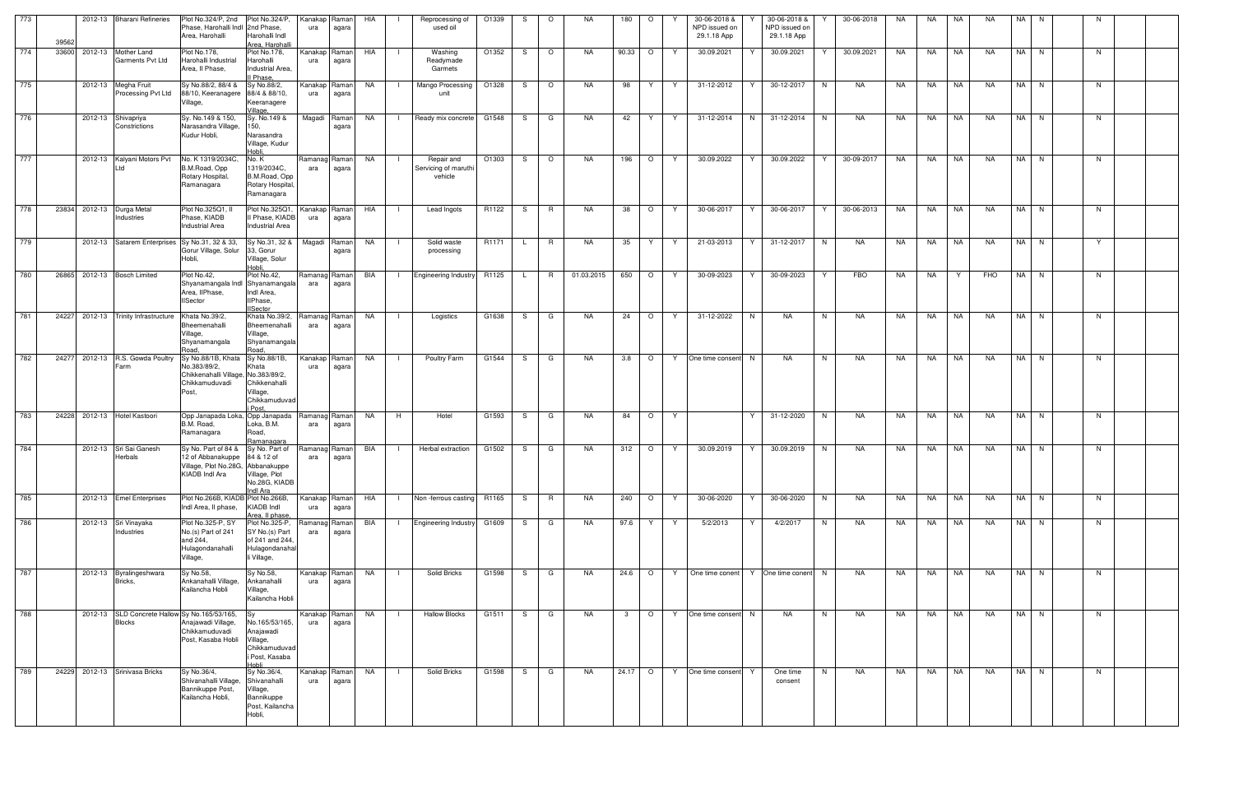| 773 | 39562 | 2012-13 Bharani Refineries                                     | Plot No.324/P, 2nd<br>Phase, Harohalli Indl 2nd Phase,<br>Area, Harohalli                                                 | Plot No.324/P,<br>Harohalli Indl<br>Area, Harohalli                                       | Kanakap Raman<br>ura | agara          | HIA       | $\blacksquare$ | Reprocessing of<br>used oil                   | O1339 | S.  | $\circ$        | NA.        | 180          | $\circ$ |    | 30-06-2018 &<br>NPD issued on<br>29.1.18 App | 30-06-2018 &<br>NPD issued on<br>29.1.18 App |    | 30-06-2018 | NA  | NA        | NA        | NA.       | NA N | - N |  |
|-----|-------|----------------------------------------------------------------|---------------------------------------------------------------------------------------------------------------------------|-------------------------------------------------------------------------------------------|----------------------|----------------|-----------|----------------|-----------------------------------------------|-------|-----|----------------|------------|--------------|---------|----|----------------------------------------------|----------------------------------------------|----|------------|-----|-----------|-----------|-----------|------|-----|--|
| 774 | 33600 | 2012-13 Mother Land<br>Garments Pvt Ltd                        | Plot No.178,<br>Harohalli Industrial<br>Area, Il Phase,                                                                   | Plot No.178,<br>Harohalli<br>Industrial Area,<br>Il Phase.                                | Kanakap Raman<br>ura | agara          | HIA       | - 1            | Washing<br>Readymade<br>Garmets               | O1352 | S.  | $\circ$        | <b>NA</b>  | 90.33        | $\circ$ |    | 30.09.2021                                   | 30.09.2021                                   |    | 30.09.2021 | NA. | <b>NA</b> | <b>NA</b> | NA.       | NA N | N   |  |
| 775 |       | 2012-13 Megha Fruit<br>Processing Pvt Ltd                      | Sy No.88/2, 88/4 &<br>88/10, Keeranagere<br>Village,                                                                      | Sy No.88/2,<br>88/4 & 88/10,<br>Keeranagere<br>/illage,                                   | Kanakap Raman<br>ura | agara          | NA        | $\Box$         | Mango Processing<br>unit                      | O1328 | S.  | $\circ$        | <b>NA</b>  | 98           | Y.      | Y  | 31-12-2012                                   | Y<br>30-12-2017                              | N  | <b>NA</b>  | NA  | NA        | <b>NA</b> | <b>NA</b> | NA N | N   |  |
| 776 |       | 2012-13 Shivapriya<br>Constrictions                            | Sy. No.149 & 150,<br>Narasandra Village,<br>Kudur Hobli,                                                                  | Sy. No.149 &<br>150,<br>Narasandra<br>Village, Kudur<br>Hobli,                            | Magadi Raman         | agara          | <b>NA</b> | $\Box$         | Ready mix concrete                            | G1548 | S I | G              | NA         | 42           | Y.      | Y. | 31-12-2014                                   | 31-12-2014<br>N                              | N  | NA         | NA  | NA        | NA        | <b>NA</b> | NA N | N   |  |
| 777 |       | 2012-13 Kalyani Motors Pvt                                     | No. K 1319/2034C,<br>B.M.Road, Opp<br>Rotary Hospital,<br>Ramanagara                                                      | No.K<br>1319/2034C,<br>B.M.Road, Opp<br>Rotary Hospital<br>Ramanagara                     | Ramanag Raman<br>ara | agara          | NA        |                | Repair and<br>Servicing of maruthi<br>vehicle | O1303 | S.  | $\circ$        | NA.        | 196          | $\circ$ | Y  | 30.09.2022                                   | 30.09.2022<br>Y                              | Y  | 30-09-2017 | NA  | NA        | NA        | <b>NA</b> | NA N | N.  |  |
| 778 | 23834 | 2012-13 Durga Metal<br>Industries                              | Plot No.325Q1, II<br>Phase, KIADB<br><b>Industrial Area</b>                                                               | Plot No.325Q1<br>Il Phase, KIADB<br><b>Industrial Area</b>                                | Kanakap Raman<br>ura | agara          | HIA       |                | Lead Ingots                                   | R1122 | S   | R              | <b>NA</b>  | 38           | $\circ$ | Y  | 30-06-2017                                   | 30-06-2017<br>Y                              | Y  | 30-06-2013 | NA  | NA        | NA        | <b>NA</b> | NA N | N   |  |
| 779 |       | 2012-13 Satarem Enterprises Sy No.31, 32 & 33,                 | Gorur Village, Solur<br>Hobli,                                                                                            | Sy No.31, 32 &<br>33, Gorur<br>Village, Solur<br>Hobli,                                   | Magadi               | Raman<br>agara | NA        | $\Box$         | Solid waste<br>processing                     | R1171 | L.  | $\overline{R}$ | NA.        | 35           | Y.      | Y  | 21-03-2013                                   | Y<br>31-12-2017                              | N  | NA         | NA  | NA        | <b>NA</b> | NA        | NA N | Y   |  |
| 780 | 26865 | 2012-13 Bosch Limited                                          | Plot No.42,<br>Shyanamangala Indl Shyanamangala<br>Area, IIPhase,<br><b>IISector</b>                                      | Plot No.42,<br>Indl Area,<br>IIPhase,<br><b>ISector</b>                                   | Ramanag Raman<br>ara | agara          | BIA       | $\Box$         | Engineering Industry R1125                    |       |     | L R            | 01.03.2015 | 650          | $\circ$ | Y  | 30-09-2023                                   | 30-09-2023                                   | Y  | FBO        | NA  | NA        | Y         | FHO       | NA N | N.  |  |
| 781 | 24227 | 2012-13 Trinity Infrastructure                                 | Khata No.39/2,<br>Bheemenahalli<br>Village,<br>Shyanamangala<br>Road.                                                     | Khata No.39/2,<br>Bheemenahalli<br>Village,<br>Shyanamangala<br>Road,                     | Ramanag Raman<br>ara | agara          | NA        |                | Logistics                                     | G1638 | S.  | G              | NA         | 24           | $\circ$ | Y  | 31-12-2022                                   | N<br>NA                                      | N  | NA         | NA  | <b>NA</b> | NA        | NA        | NA N | N   |  |
| 782 | 24277 | 2012-13 R.S. Gowda Poultry<br>Farm                             | Sy No.88/1B, Khata Sy No.88/1B,<br>No.383/89/2,<br>Chikkenahalli Village, No.383/89/2,<br>Chikkamuduvadi<br>Post.         | Khata<br>Chikkenahalli<br>Village,<br>Chikkamuduvad<br>i Post                             | Kanakap Raman<br>ura | agara          | NA        | $\Box$         | Poultry Farm                                  | G1544 | S . | I G            | NA.        | 3.8          | $\circ$ | Y  | One time consent N                           | <b>NA</b>                                    | N  | <b>NA</b>  | NA  | NA        | <b>NA</b> | NA        | NA N | N   |  |
| 783 | 24228 | 2012-13 Hotel Kastoori                                         | Opp Janapada Loka, Opp Janapada<br>B.M. Road,<br>Ramanagara                                                               | Loka, B.M.<br>Road,<br>Ramanagara                                                         | Ramanag Raman<br>ara | agara          | NA        | H              | Hotel                                         | G1593 | S   | G              | NA         | 84           | $\circ$ | Y  |                                              | Y<br>31-12-2020                              | N  | NA         | NA  | <b>NA</b> | NA        | <b>NA</b> | NA N | N   |  |
| 784 |       | 2012-13 Sri Sai Ganesh<br>Herbals                              | Sy No. Part of 84 & Sy No. Part of<br>12 of Abbanakuppe 84 & 12 of<br>Village, Plot No.28G, Abbanakuppe<br>KIADB Indl Ara | Village, Plot<br>No.28G, KIADB<br>ndl Ara                                                 | Ramanag Raman<br>ara | agara          | BIA       |                | Herbal extraction                             | G1502 | S.  | G              | NA         | 312          | $\circ$ | Y. | 30.09.2019                                   | Y<br>30.09.2019                              | N  | NA         | NA  | NA        | NA        | NA        | NA N | N   |  |
| 785 |       | 2012-13 Emel Enterprises                                       | Plot No.266B, KIADB Plot No.266B,<br>Indi Area. Il phase.                                                                 | KIADB Indl<br>Area, II phase,                                                             | Kanakap Raman<br>ura | agara          | HIA       | $\blacksquare$ | Non-ferrous casting R1165                     |       | S.  | R              | <b>NA</b>  | 240          | $\circ$ | Y  | 30-06-2020                                   | 30-06-2020<br>Y                              | N  | NA         | NA  | NA        | NA        | <b>NA</b> | NA N | N   |  |
| 786 |       | 2012-13 Sri Vinayaka<br>Industries                             | Plot No.325-P, SY<br>No.(s) Part of 241<br>and 244,<br>Hulagondanahalli<br>Village,                                       | Plot No.325-P,<br>SY No.(s) Part<br>of 241 and 244.<br>Hulagondanaha<br>li Village,       | Ramanag<br>ara       | Raman<br>agara | BIA       | $\blacksquare$ | Engineering Industry G1609                    |       | S G |                | NA         | 97.6         | Y.      | Y. | 5/2/2013                                     | 4/2/2017<br>Y                                | N. | NA         | NA  | NA 11     | I NA      | NA        | NA N | N.  |  |
| 787 |       | 2012-13 Byralingeshwara<br>Bricks,                             | Sy No.58,<br>Ankanahalli Village,<br>Kailancha Hobli                                                                      | Sy No.58,<br>Ankanahalli<br>Village,<br>Kailancha Hobli                                   | Kanakap Raman<br>ura | agara          | NA        | $\Box$         | Solid Bricks                                  | G1598 | S . | G              | NA.        |              | 24.6 O  | Y  | One time conent   Y   One time conent   N    |                                              |    | <b>NA</b>  | NA  | NA 1      | NA        | <b>NA</b> | NA N | N   |  |
| 788 |       | 2012-13 SLD Concrete Hallow Sy No.165/53/165,<br><b>Blocks</b> | Anajawadi Village,<br>Chikkamuduvadi<br>Post, Kasaba Hobli                                                                | Sy<br>No.165/53/165,<br>Anajawadi<br>Village,<br>Chikkamuduvad<br>i Post, Kasaba<br>Hobli | Kanakap Raman<br>ura | agara          | NA        | $\blacksquare$ | <b>Hallow Blocks</b>                          | G1511 | S.  | G              | NA.        | $\mathbf{3}$ | $\circ$ | Y  | One time consent N                           | <b>NA</b>                                    | N  | NA.        | NA  | NA        | NA        | <b>NA</b> | NA N | N   |  |
| 789 | 24229 | 2012-13 Srinivasa Bricks                                       | Sy No.36/4,<br>Shivanahalli Village,<br>Bannikuppe Post,<br>Kailancha Hobli,                                              | Sy No.36/4,<br>Shivanahalli<br>Village,<br>Bannikuppe<br>Post, Kailancha<br>Hobli,        | Kanakap Raman<br>ura | agara          | NA        |                | Solid Bricks                                  | G1598 | S   | G              | <b>NA</b>  | 24.17        | $\circ$ | Y  | One time consent Y                           | One time<br>consent                          | N  | <b>NA</b>  | NA  | NA        | NA        | <b>NA</b> | NA N | N   |  |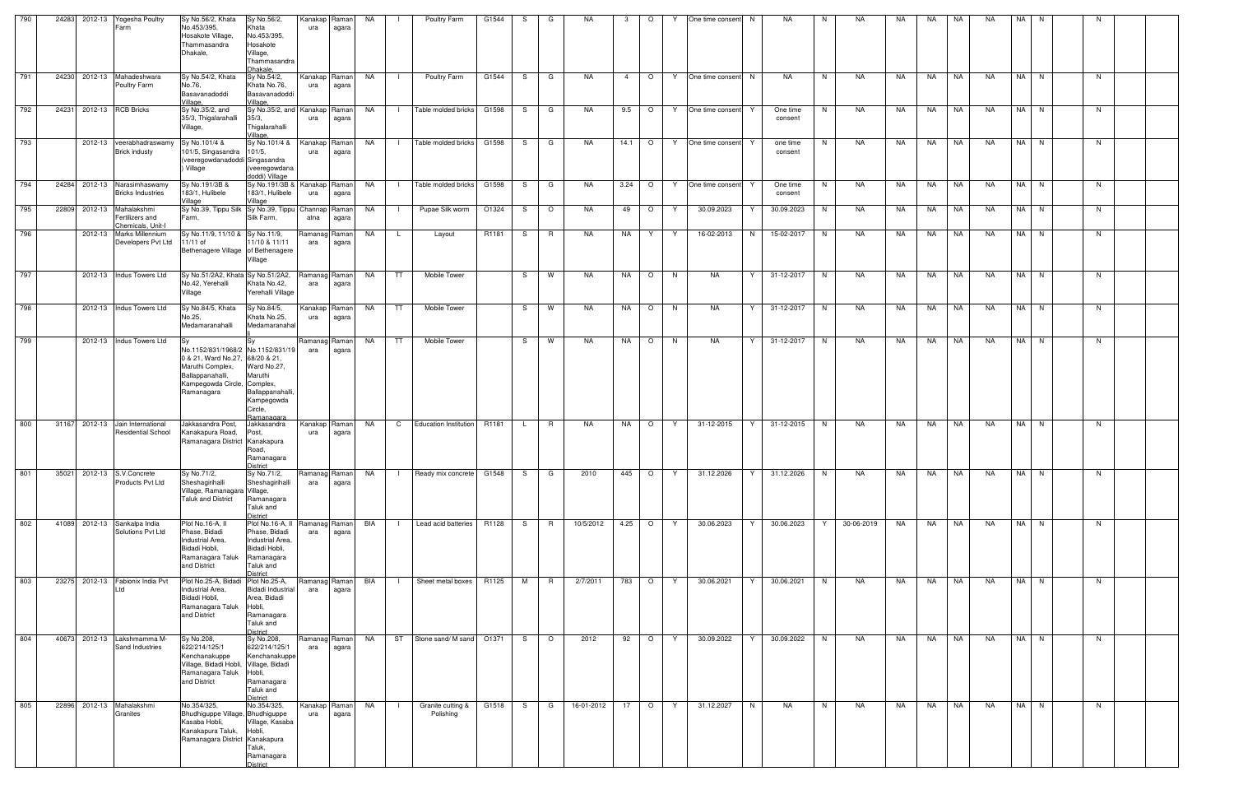| 790 | 24283 2012-13 Yogesha Poultry | Farm                                                        | Sy No.56/2, Khata<br>No.453/395,<br>Hosakote Village,<br>Thammasandra<br>Dhakale,                                                                         | Sy No.56/2,<br>Khata<br>No.453/395,<br>Hosakote<br>Village,<br>Thammasandra<br>Dhakale.                              | Kanakap<br>ura       | Raman<br>agara   | NA   |              | Poultry Farm                   | G1544 | -S | G        | NA.        | 3              | $\circ$  | Y  | One time consent | N.<br>NA.                 | N.             | NA.        | NA. | NA.       | NA        | <b>NA</b> | NA N |    |  |
|-----|-------------------------------|-------------------------------------------------------------|-----------------------------------------------------------------------------------------------------------------------------------------------------------|----------------------------------------------------------------------------------------------------------------------|----------------------|------------------|------|--------------|--------------------------------|-------|----|----------|------------|----------------|----------|----|------------------|---------------------------|----------------|------------|-----|-----------|-----------|-----------|------|----|--|
| 791 | 24230                         | 2012-13 Mahadeshwara<br>Poultry Farm                        | Sy No.54/2, Khata<br>No.76,<br>Basavanadoddi<br>Village.                                                                                                  | Sy No.54/2,<br>Khata No.76,<br>Basavanadoddi<br>Village,                                                             | Kanakap<br>ura       | Raman<br>agara   | NA . | $\Box$       | Poultry Farm                   | G1544 | S. | G        | NA         | $\overline{4}$ | $\circ$  | Y  | One time consent | NA<br>N                   | N <sub>1</sub> | NA         | NA  | NA        | NA        | NA        | NA N | N. |  |
| 792 | 24231 2012-13 RCB Bricks      |                                                             | Sy No.35/2, and<br>35/3, Thigalarahalli<br>Village,                                                                                                       | Sy No.35/2, and Kanakap<br>35/3,<br>Thigalarahalli<br>Village,                                                       | ura                  | Raman<br>agara   | NA   |              | Table molded bricks            | G1598 | S. | G        | NA         | 9.5            | $\circ$  | Y. | One time consent | One time<br>Y<br>consent  | N.             | NA         | NA  | NA        | NA        | NA.       | NA N | N. |  |
| 793 |                               | 2012-13 veerabhadraswamy<br><b>Brick industy</b>            | Sy No.101/4 &<br>101/5, Singasandra 101/5,<br>(veeregowdanadoddi Singasandra<br>) Village                                                                 | Sy No.101/4 &<br>(veeregowdana<br>doddi) Village                                                                     | Kanakap<br>ura       | Raman<br>agara   | NA   |              | Table molded bricks            | G1598 | S. | G        | NA         | 14.1           | $\circ$  | Y  | One time consent | one time<br>consent       | N.             | NA         | NA  | <b>NA</b> | NA        | NA.       | NA N | N  |  |
| 794 | 24284 2012-13 Narasimhaswamy  | <b>Bricks Industries</b>                                    | Sy No.191/3B &<br>183/1, Hulibele<br>Village                                                                                                              | Sy No.191/3B &<br>183/1, Hulibele<br>Village                                                                         | Kanakap Raman<br>ura | agara            | NA   | $\mathbf{I}$ | Table molded bricks            | G1598 | S. | G        | <b>NA</b>  | 3.24           | $\circ$  | Y  | One time consent | One time<br>Y.<br>consent | N              | NA         | NA  | NA        | <b>NA</b> | NA.       | NA N | N. |  |
| 795 | 22809                         | 2012-13 Mahalakshmi<br>Fertilizers and<br>Chemicals, Unit-I | Sy No.39, Tippu Silk Sy No.39, Tippu Channap<br>Farm,                                                                                                     | Silk Farm,                                                                                                           | atna                 | Raman<br>agara   | NA   |              | Pupae Silk worm                | O1324 | S. | $\circ$  | NA         | 49             | $\circ$  | Y  | 30.09.2023       | 30.09.2023                | N              | NA         | NA  | NA        | NA        | <b>NA</b> | NA N | N  |  |
| 796 |                               | 2012-13 Marks Millennium<br>Developers Pvt Ltd              | Sy No.11/9, 11/10 & Sy No.11/9,<br>$11/11$ of<br>Bethenagere Village of Bethenagere                                                                       | 11/10 & 11/11<br>Village                                                                                             | Ramanag<br>ara       | Raman  <br>agara | NA   | L.           | Layout                         | R1181 | S. | R.       | NA         | NA             | Y.       | Y  | 16-02-2013       | N.<br>15-02-2017          | <b>N</b>       | NA         | NA  | NA        | INA       | NA        | NA N | N. |  |
| 797 |                               | 2012-13 Indus Towers Ltd                                    | Sy No.51/2A2, Khata Sy No.51/2A2,<br>No.42, Yerehalli<br>Village                                                                                          | Khata No.42,<br>Yerehalli Village                                                                                    | Ramanag Raman<br>ara | agara            | NA . | TT           | Mobile Tower                   |       | S. | <b>W</b> | NA         | NA             | $\circ$  | N  | NA               | Y<br>31-12-2017           | N              | NA         | NA  | NA 1      | NA        | NA        | NA N | N  |  |
| 798 |                               | 2012-13 Indus Towers Ltd                                    | Sy No.84/5, Khata<br>No.25,<br>Medamaranahalli                                                                                                            | Sy No.84/5,<br>Khata No.25,<br>Medamaranahal                                                                         | Kanakap<br>ura       | Raman<br>agara   | NA   | TT           | Mobile Tower                   |       | S. | <b>W</b> | <b>NA</b>  | NA             | $\circ$  | N  | NA               | Y<br>31-12-2017           | N              | NA.        | NA  | NA        | <b>NA</b> | NA.       | NA N | N  |  |
| 799 |                               | 2012-13 Indus Towers Ltd                                    | No.1152/831/1968/2 No.1152/831/19<br>0 & 21, Ward No.27, 68/20 & 21,<br>Maruthi Complex,<br>Ballappanahalli,<br>Kampegowda Circle, Complex,<br>Ramanagara | Ward No.27,<br>Maruthi<br>Ballappanahalli,<br>Kampegowda<br>Circle,<br>Ramanagara                                    | Ramanag<br>ara       | Raman<br>agara   | NA   | TT           | Mobile Tower                   |       | S. | <b>W</b> | <b>NA</b>  | NA             | $\circ$  | N  | NA               | 31-12-2017<br>Y           | N              | NA         | NA  | NA        | <b>NA</b> | NA.       | NA N | N  |  |
| 800 | 31167                         | 2012-13 Jain International<br><b>Residential School</b>     | Jakkasandra Post.<br>Kanakapura Road,<br>Ramanagara District Kanakapura                                                                                   | Jakkasandra<br>Post,<br>Road,<br>Ramanagara<br>)ıstrıct                                                              | Kanakap<br>ura       | Raman<br>agara   | NA   | $\mathsf{C}$ | <b>Education Institution</b>   | R1181 | L. | R        | NA         | NA             | $\circ$  | Y. | 31-12-2015       | Y<br>31-12-2015           | N              | NA         | NA. | NA        | NA        | NA        | NA N | N  |  |
| 801 | 35021                         | 2012-13 S.V.Concrete<br>Products Pvt Ltd                    | Sy No.71/2,<br>Sheshaqirihalli<br>Village, Ramanagara Village,<br><b>Taluk and District</b>                                                               | Sy No.71/2,<br>Sheshagirihalli<br>Ramanagara<br>Taluk and<br>District                                                | Ramanag Raman<br>ara | agara            | NA   |              | Ready mix concrete             | G1548 | S  | G        | 2010       | 445            | $\circ$  | Y  | 31.12.2026       | 31.12.2026                | N              | NA         | NA  | NA        | NA        | <b>NA</b> | NA N | N  |  |
| 802 | 41089                         | 2012-13 Sankalpa India<br>Solutions Pvt Ltd                 | Plot No.16-A, II<br>Phase, Bidadi<br>Industrial Area,<br>Bidadi Hobli,<br>Ramanagara Taluk<br>and District                                                | Plot No.16-A, II<br>Phase, Bidadi<br>Industrial Area,<br>Bidadi Hobli,<br>Ramanagara<br>Taluk and<br><b>District</b> | Ramanag Raman<br>ara | agara            | BIA  | $\mathbf{L}$ | Lead acid batteries            | R1128 | S. | R        | 10/5/2012  |                | $4.25$ O | Y  | 30.06.2023       | Y<br>30.06.2023           | Y              | 30-06-2019 | NA  | NA NA     |           | NA        | NA N | N  |  |
| 803 | 23275                         | 2012-13 Fabionix India Pvt<br>$\dagger$ d                   | Plot No.25-A, Bidadi Plot No.25-A,<br>Industrial Area.<br>Bidadi Hobli,<br>Ramanagara Taluk<br>and District                                               | <b>Bidadi Industrial</b><br>Area, Bidadi<br>Hobli,<br>Ramanagara<br>Taluk and<br><b>District</b>                     | Ramanag Raman<br>ara | agara            | BIA  |              | Sheet metal boxes              | R1125 | M  | R.       | 2/7/2011   | 783            | $\circ$  | Y  | 30.06.2021       | Y<br>30.06.2021           | N              | NA         | NA  | NA        | NA        | <b>NA</b> | NA N | N  |  |
| 804 | 40673                         | 2012-13 Lakshmamma M-<br>Sand Industries                    | Sy No.208,<br>622/214/125/1<br>Kenchanakuppe<br>Village, Bidadi Hobli, Village, Bidadi<br>Ramanagara Taluk<br>and District                                | Sy No.208,<br>622/214/125/1<br>Kenchanakuppe<br>Hobli,<br>Ramanagara<br>Taluk and<br><b>District</b>                 | Ramanag<br>ara       | Ramanl<br>agara  | NA   | ST           | Stone sand/ M sand             | O1371 | S  | $\circ$  | 2012       | 92             | $\circ$  | Y  | 30.09.2022       | 30.09.2022<br>Y           | N <sub>1</sub> | NA         | NA  | NA        | NA        | <b>NA</b> | NA N | N  |  |
| 805 | 22896                         | 2012-13 Mahalakshmi<br>Granites                             | No.354/325,<br>Bhudhiguppe Village, Bhudhiguppe<br>Kasaba Hobli,<br>Kanakapura Taluk,<br>Ramanagara District Kanakapura                                   | No.354/325,<br>Village, Kasaba<br>Hobli,<br>Taluk,<br>Ramanagara<br>District                                         | Kanakap Raman<br>ura | agara            | NA   | $\mathbf{I}$ | Granite cutting &<br>Polishing | G1518 | S. | G        | 16-01-2012 | 17             | $\circ$  | Y  | 31.12.2027       | N<br><b>NA</b>            | N <sub>1</sub> | NA         | NA  | NA        | <b>NA</b> | <b>NA</b> | NA N | N  |  |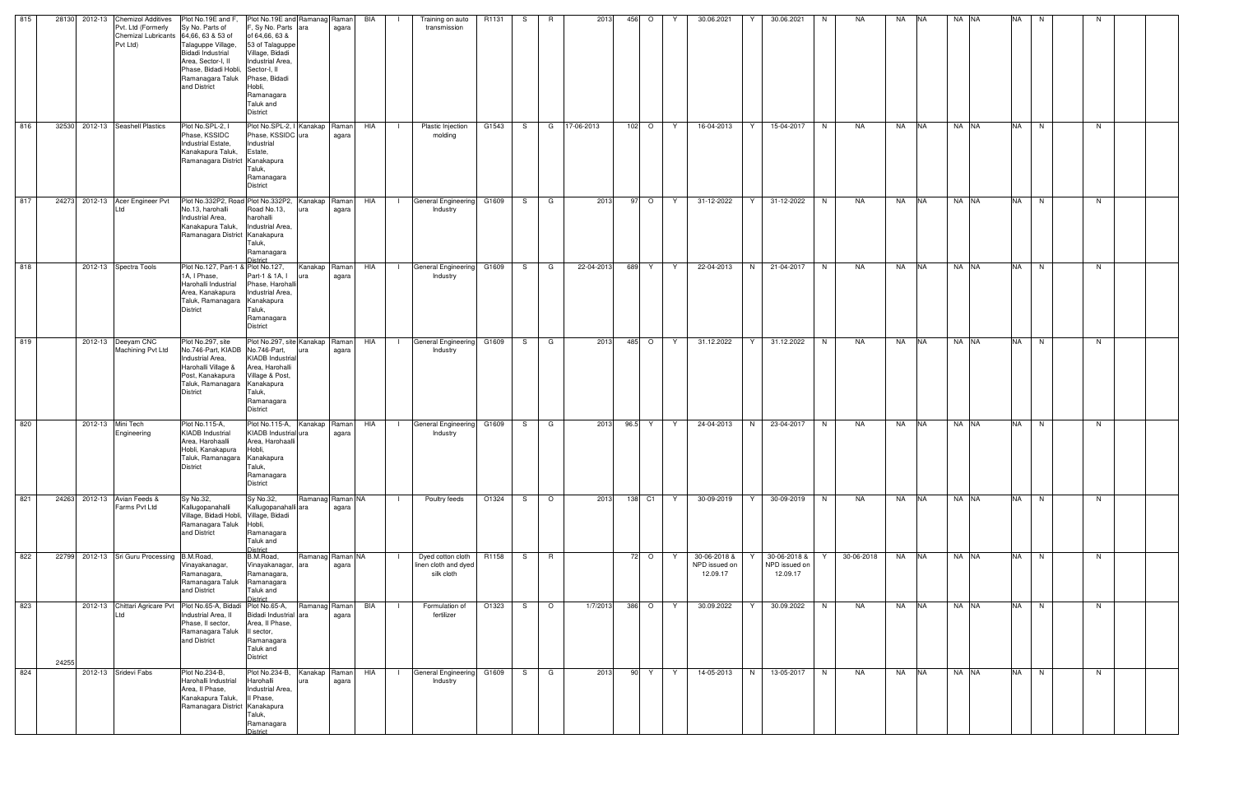| 815 |       | 28130 2012-13 Chemizol Additives<br>Pvt. Ltd (Formerly<br>Chemizal Lubricants 64,66, 63 & 53 of<br>Pvt Ltd) | Plot No.19E and F<br>Sy No. Parts of<br>Talaguppe Village,<br><b>Bidadi Industrial</b><br>Area, Sector-I, II<br>Phase, Bidadi Hobli, Sector-I, II<br>Ramanagara Taluk<br>and District | Plot No.19E and Ramanag Raman<br>F, Sy No. Parts ara<br>of 64,66, 63 &<br>53 of Talaguppe<br>Village, Bidadi<br>Industrial Area.<br>Phase, Bidadi<br>Hobli,<br>Ramanagara<br>Taluk and<br><b>District</b> | agara                     | BIA |                | Training on auto<br>transmission                        | R1131 | S.  | R              | 2013       | 456<br>$\circ$ |    | 30.06.2021                                | 30.06.2021<br>Y                           | N.       | NA.        | NA        | <b>NA</b>  | NA NA | <b>NA</b> | N. |    |  |
|-----|-------|-------------------------------------------------------------------------------------------------------------|---------------------------------------------------------------------------------------------------------------------------------------------------------------------------------------|-----------------------------------------------------------------------------------------------------------------------------------------------------------------------------------------------------------|---------------------------|-----|----------------|---------------------------------------------------------|-------|-----|----------------|------------|----------------|----|-------------------------------------------|-------------------------------------------|----------|------------|-----------|------------|-------|-----------|----|----|--|
| 816 |       | 32530 2012-13 Seashell Plastics                                                                             | Plot No.SPL-2, I<br>Phase, KSSIDC<br>Industrial Estate,<br>Kanakapura Taluk,<br>Ramanagara District Kanakapura                                                                        | Plot No.SPL-2, I Kanakap Raman<br>Phase, KSSIDC ura<br>Industrial<br>Estate,<br>Taluk,<br>Ramanagara<br><b>District</b>                                                                                   | agara                     | HIA | $\blacksquare$ | Plastic Injection<br>molding                            | G1543 |     | S G            | 17-06-2013 | 102 O          | Y. | 16-04-2013                                | 15-04-2017<br>Y                           | N.       | NA         | NA .      | <b>INA</b> | NA NA | <b>NA</b> | N  | N. |  |
| 817 |       | 24273 2012-13 Acer Engineer Pvt<br>$+d$                                                                     | Plot No.332P2, Road Plot No.332P2,<br>No.13, harohalli<br>Industrial Area,<br>Kanakapura Taluk,<br>Ramanagara District Kanakapura                                                     | Road No.13,<br>harohalli<br>Industrial Area,<br>Taluk,<br>Ramanagara<br>District                                                                                                                          | Kanakap Raman<br>agara    | HIA | $\mathbf{1}$   | General Engineering G1609<br>Industry                   |       | S — | G              | 2013       | 97 O           | Y. | 31-12-2022                                | Y.<br>31-12-2022                          | N        | NA         | NA        | <b>NA</b>  | NA NA | <b>NA</b> | N  | N  |  |
| 818 |       | 2012-13 Spectra Tools                                                                                       | Plot No.127, Part-1 & Plot No.127,<br>1A, I Phase,<br>Harohalli Industrial<br>Area, Kanakapura<br>Taluk, Ramanagara Kanakapura<br><b>District</b>                                     | Part-1 & 1A, I<br>Phase, Harohall<br>Industrial Area,<br>Taluk,<br>Ramanagara<br>District                                                                                                                 | Kanakap Raman<br>agara    | HIA | $\mathbf{1}$   | General Engineering G1609<br>Industry                   |       |     | S G            | 22-04-2013 | 689 Y          | Y. | 22-04-2013                                | 21-04-2017<br>N                           | N        | NA         | NA        | <b>NA</b>  | NA NA | <b>NA</b> | N  | N. |  |
| 819 |       | 2012-13 Deeyam CNC<br>Machining Pvt Ltd                                                                     | Plot No.297, site<br>No.746-Part, KIADB No.746-Part,<br>Industrial Area,<br>Harohalli Village &<br>Post, Kanakapura<br>Taluk, Ramanagara Kanakapura<br><b>District</b>                | Plot No.297, site Kanakap Raman<br><b>KIADB</b> Industria<br>Area, Harohalli<br>Village & Post,<br>Taluk,<br>Ramanagara<br><b>District</b>                                                                | agara                     | HIA | $\blacksquare$ | General Engineering G1609<br>Industry                   |       | S.  | G              | 2013       | 485 O          | Y  | 31.12.2022                                | 31.12.2022<br>Y                           | N        | NA         | NA        | <b>NA</b>  | NA NA | <b>NA</b> | N  | N. |  |
| 820 |       | 2012-13 Mini Tech<br>Engineering                                                                            | Plot No.115-A.<br><b>KIADB</b> Industrial<br>Area, Harohaalli<br>Hobli, Kanakapura<br>Taluk, Ramanagara Kanakapura<br><b>District</b>                                                 | Plot No.115-A,<br>KIADB Industrial ura<br>Area, Harohaalli<br>Hobli,<br>Taluk,<br>Ramanagara<br><b>District</b>                                                                                           | Kanakap Raman<br>agara    | HIA | $\mathbf{1}$   | General Engineering G1609<br>Industry                   |       | S.  | G              | 2013       | 96.5<br>Y.     | Y  | 24-04-2013                                | N<br>23-04-2017                           | <b>N</b> | NA         | NA        | <b>NA</b>  | NA NA | <b>NA</b> | N  | N. |  |
| 821 |       | 24263 2012-13 Avian Feeds &<br>Farms Pvt Ltd                                                                | Sy No.32,<br>Kallugopanahalli<br>Village, Bidadi Hobli, Village, Bidadi<br>Ramanagara Taluk<br>and District                                                                           | Sy No.32,<br>Kallugopanahalli ara<br>Hobli,<br>Ramanagara<br>Taluk and<br>District                                                                                                                        | Ramanag Raman NA<br>agara |     |                | Poultry feeds                                           | O1324 | S — | $\overline{O}$ | 2013       | 138 C1         | Y  | 30-09-2019                                | 30-09-2019<br>Y                           | N        | NA         | NA NA     |            | NA NA | <b>NA</b> | N  | N  |  |
| 822 |       | 22799 2012-13 Sri Guru Processing                                                                           | B.M.Road,<br>Vinayakanagar,<br>Ramanagara,<br>Ramanagara Taluk<br>and District                                                                                                        | B.M.Road,<br>Vinayakanagar,<br>ara<br>Ramanagara,<br>Ramanagara<br>Taluk and<br><b>District</b>                                                                                                           | Ramanag Raman NA<br>agara |     |                | Dyed cotton cloth<br>linen cloth and dyed<br>silk cloth | R1158 |     | S R            |            | 72 O           | Y. | 30-06-2018 &<br>NPD issued on<br>12.09.17 | 30-06-2018 &<br>NPD issued on<br>12.09.17 |          | 30-06-2018 | <b>NA</b> | <b>NA</b>  | NA NA | <b>NA</b> | N  | N  |  |
| 823 | 24255 | ht I                                                                                                        | 2012-13 Chittari Agricare Pvt Plot No.65-A, Bidadi<br>Industrial Area, II<br>Phase, II sector,<br>Ramanagara Taluk<br>and District                                                    | Plot No.65-A,<br>Bidadi Industrial<br>ara<br>Area, II Phase,<br>Il sector,<br>Ramanagara<br>Taluk and<br><b>District</b>                                                                                  | Ramanag Raman<br>agara    | BIA |                | Formulation of<br>fertilizer                            | O1323 | S.  | $\circ$        | 1/7/2013   | $386$ O        | Y  | 30.09.2022                                | 30.09.2022<br>Y                           | N        | NA         | NA        | <b>NA</b>  | NA NA | <b>NA</b> | N  | N  |  |
| 824 |       | 2012-13 Sridevi Fabs                                                                                        | Plot No.234-B,<br>Harohalli Industrial<br>Area, II Phase,<br>Kanakapura Taluk,<br>Ramanagara District Kanakapura                                                                      | Plot No.234-B,<br>Harohalli<br>ura<br>Industrial Area,<br>II Phase,<br>Taluk,<br>Ramanagara<br><b>District</b>                                                                                            | Kanakap Raman<br>agara    | HIA | $\Box$         | General Engineering G1609<br>Industry                   |       | S — | l G            | 2013       | 90 Y           | Y  | 14-05-2013                                | N<br>13-05-2017                           | N        | NA         | NA        | <b>NA</b>  | NA NA | <b>NA</b> | N  | N  |  |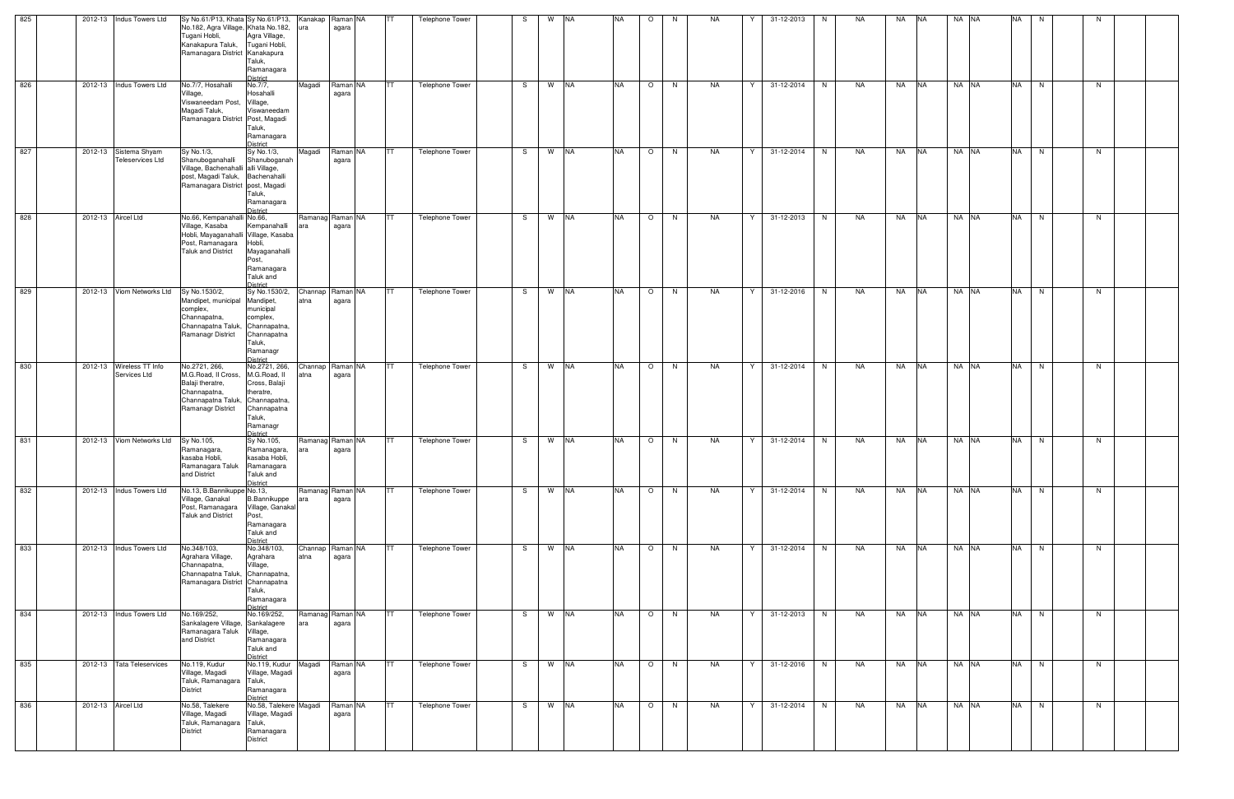| 825 | 2012-13 Indus Towers Ltd                  | Sy No.61/P13, Khata Sy No.61/P13, Kanakap Raman NA<br>No.182, Agra Village, Khata No.182,                         |                                                                                                             | lura                     | agara             | <b>ITT</b> | Telephone Tower        | -S | W NA |  | NA.       | $\circ$ | N. | <b>NA</b> | Y | 31-12-2013 | N. | NA. | NA    | <b>NA</b> | NA NA | <b>NA</b> | N. |    |  |
|-----|-------------------------------------------|-------------------------------------------------------------------------------------------------------------------|-------------------------------------------------------------------------------------------------------------|--------------------------|-------------------|------------|------------------------|----|------|--|-----------|---------|----|-----------|---|------------|----|-----|-------|-----------|-------|-----------|----|----|--|
|     |                                           | Tugani Hobli,<br>Kanakapura Taluk,<br>Ramanagara District Kanakapura                                              | Agra Village,<br>Tugani Hobli,<br>Taluk,<br>Ramanagara<br><b>District</b>                                   |                          |                   |            |                        |    |      |  |           |         |    |           |   |            |    |     |       |           |       |           |    |    |  |
| 826 | 2012-13 Indus Towers Ltd                  | No.7/7, Hosahalli<br>Village,                                                                                     | No.7/7,<br>Hosahalli                                                                                        | Magadi                   | Raman NA<br>agara | ITT -      | Telephone Tower        | S. | W NA |  | <b>NA</b> | $\circ$ | N  | NA        | Y | 31-12-2014 | N  | NA  | NA    | <b>NA</b> | NA NA | <b>NA</b> | N  | N  |  |
|     |                                           | Viswaneedam Post, Village,<br>Magadi Taluk,<br>Ramanagara District Post, Magadi                                   | Viswaneedam<br>Taluk,<br>Ramanagara<br><b>District</b>                                                      |                          |                   |            |                        |    |      |  |           |         |    |           |   |            |    |     |       |           |       |           |    |    |  |
| 827 | 2012-13 Sistema Shyam<br>Teleservices Ltd | Sy No.1/3,<br>Shanuboganahalli                                                                                    | Sy No.1/3,<br>Shanuboganah                                                                                  | Magadi                   | Raman NA<br>agara | <b>TT</b>  | <b>Telephone Tower</b> | S. | W NA |  | <b>NA</b> | $\circ$ | N  | NA        | Y | 31-12-2014 | N  | NA  | NA    | <b>NA</b> | NA NA | <b>NA</b> | N  | N  |  |
|     |                                           | Village, Bachenahalli alli Village,<br>post, Magadi Taluk, Bachenahalli<br>Ramanagara District post, Magadi       | Taluk,<br>Ramanagara<br><b>District</b>                                                                     |                          |                   |            |                        |    |      |  |           |         |    |           |   |            |    |     |       |           |       |           |    |    |  |
| 828 | 2012-13 Aircel Ltd                        | No.66, Kempanahalli No.66,<br>Village, Kasaba                                                                     | Kempanahalli                                                                                                | Ramanag Raman NA         | agara             | TT         | Telephone Tower        | S. | W NA |  | <b>NA</b> | $\circ$ | N. | <b>NA</b> | Y | 31-12-2013 | N  | NA  | NA    | <b>NA</b> | NA NA | <b>NA</b> | N  | N  |  |
|     |                                           | Hobli, Mayaganahalli Village, Kasaba<br>Post, Ramanagara<br><b>Taluk and District</b>                             | Hobli,<br>Mayaganahalli<br>Post,<br>Ramanagara<br>Taluk and                                                 |                          |                   |            |                        |    |      |  |           |         |    |           |   |            |    |     |       |           |       |           |    |    |  |
| 829 | 2012-13 Viom Networks Ltd                 | Sy No.1530/2,                                                                                                     | <b>District</b><br>Sy No.1530/2,                                                                            | Channap                  | Raman NA          | ITT.       | Telephone Tower        | S. | W NA |  | <b>NA</b> | $\circ$ | N  | <b>NA</b> | Y | 31-12-2016 | N  | NA  | NA    | <b>NA</b> | NA NA | <b>NA</b> | N  | N. |  |
|     |                                           | Mandipet, municipal Mandipet,<br>complex,<br>Channapatna,<br>Channapatna Taluk, Channapatna,<br>Ramanagr District | municipal<br>complex,<br>Channapatna<br>Taluk,<br>Ramanagr                                                  | atna                     | agara             |            |                        |    |      |  |           |         |    |           |   |            |    |     |       |           |       |           |    |    |  |
| 830 | 2012-13 Wireless TT Info                  | No.2721, 266,                                                                                                     | <b>District</b><br>No.2721, 266,                                                                            | Channap Raman NA         |                   | <b>ITT</b> | Telephone Tower        | S. | W NA |  | <b>NA</b> | $\circ$ | N  | NA        | Y | 31-12-2014 | N  | NA  | NA    | <b>NA</b> | NA NA | <b>NA</b> | N  | N  |  |
|     | Services Ltd                              | M.G.Road, II Cross,<br>Balaji theratre,<br>Channapatna,<br>Channapatna Taluk,<br>Ramanagr District                | M.G.Road, II<br>Cross, Balaji<br>theratre,<br>Channapatna.<br>Channapatna<br>Taluk,<br>Ramanagr<br>District | tna                      | agara             |            |                        |    |      |  |           |         |    |           |   |            |    |     |       |           |       |           |    |    |  |
| 831 | 2012-13 Viom Networks Ltd                 | Sy No.105,<br>Ramanagara,                                                                                         | Sy No.105,<br>Ramanagara,                                                                                   | Ramanag Raman NA         | agara             | <b>TT</b>  | <b>Telephone Tower</b> | S. | W NA |  | <b>NA</b> | $\circ$ | N  | NA        | Y | 31-12-2014 | N  | NA  | NA    | <b>NA</b> | NA NA | <b>NA</b> | N  | N  |  |
|     |                                           | kasaba Hobli,<br>Ramanagara Taluk Ramanagara<br>and District                                                      | kasaba Hobli,<br>Taluk and<br><b>District</b>                                                               |                          |                   |            |                        |    |      |  |           |         |    |           |   |            |    |     |       |           |       |           |    |    |  |
| 832 | 2012-13 Indus Towers Ltd                  | No.13, B.Bannikuppe No.13,<br>Village, Ganakal<br>Post, Ramanagara<br>Taluk and District                          | <b>B.Bannikuppe</b><br>Village, Ganakal<br>Post,<br>Ramanagara<br>Taluk and                                 | Ramanag Raman NA         | agara             | <b>ITT</b> | <b>Telephone Tower</b> | S. | W NA |  | <b>NA</b> | $\circ$ | N  | NA        | Y | 31-12-2014 | N  | NA  | NA    | <b>NA</b> | NA NA | <b>NA</b> | N  | N  |  |
| 833 | 2012-13 Indus Towers Ltd                  | No.348/103,<br>Agrahara Village,                                                                                  | <b>District</b><br>No.348/103,<br>Agrahara                                                                  | Channap Raman NA<br>atna |                   | <b>ITT</b> | Telephone Tower        | S. | W NA |  | <b>NA</b> | $\circ$ | N  | NA        | Y | 31-12-2014 | N  | NA  | NA NA |           | NA NA | <b>NA</b> | N  | N  |  |
|     |                                           | Channapatna,<br>Channapatna Taluk, Channapatna,<br>Ramanagara District Channapatna                                | Village,<br>Taluk,<br>Ramanagara<br><b>District</b>                                                         |                          | agara             |            |                        |    |      |  |           |         |    |           |   |            |    |     |       |           |       |           |    |    |  |
| 834 | 2012-13 Indus Towers Ltd                  | No.169/252,<br>Sankalagere Village, Sankalagere<br>Ramanagara Taluk<br>and District                               | No.169/252,<br>Village,<br>Ramanagara<br>Taluk and<br><b>District</b>                                       | Ramanag Raman NA<br>ara  | agara             | <b>ITT</b> | Telephone Tower        | S. | W NA |  | <b>NA</b> | $\circ$ | N  | NA        | Y | 31-12-2013 | N  | NA  | NA    | <b>NA</b> | NA NA | <b>NA</b> | N  | N  |  |
| 835 | 2012-13 Tata Teleservices                 | No.119, Kudur<br>Village, Magadi<br>Taluk, Ramanagara Taluk,<br>District                                          | No.119, Kudur Magadi<br>Village, Magadi<br>Ramanagara<br>District                                           |                          | Raman NA<br>agara | <b>TT</b>  | Telephone Tower        | S. | W NA |  | <b>NA</b> | $\circ$ | N  | NA        | Y | 31-12-2016 | N  | NA  | NA    | <b>NA</b> | NA NA | <b>NA</b> | N  | N  |  |
| 836 | 2012-13 Aircel Ltd                        | No.58, Talekere<br>Village, Magadi<br>Taluk, Ramanagara Taluk,<br><b>District</b>                                 | No.58, Talekere Magadi<br>Village, Magadi<br>Ramanagara<br><b>District</b>                                  |                          | Raman NA<br>agara | ITT -      | Telephone Tower        | S. | W NA |  | <b>NA</b> | $\circ$ | N  | NA        | Y | 31-12-2014 | N  | NA  | NA NA |           | NA NA | NA N      |    | N  |  |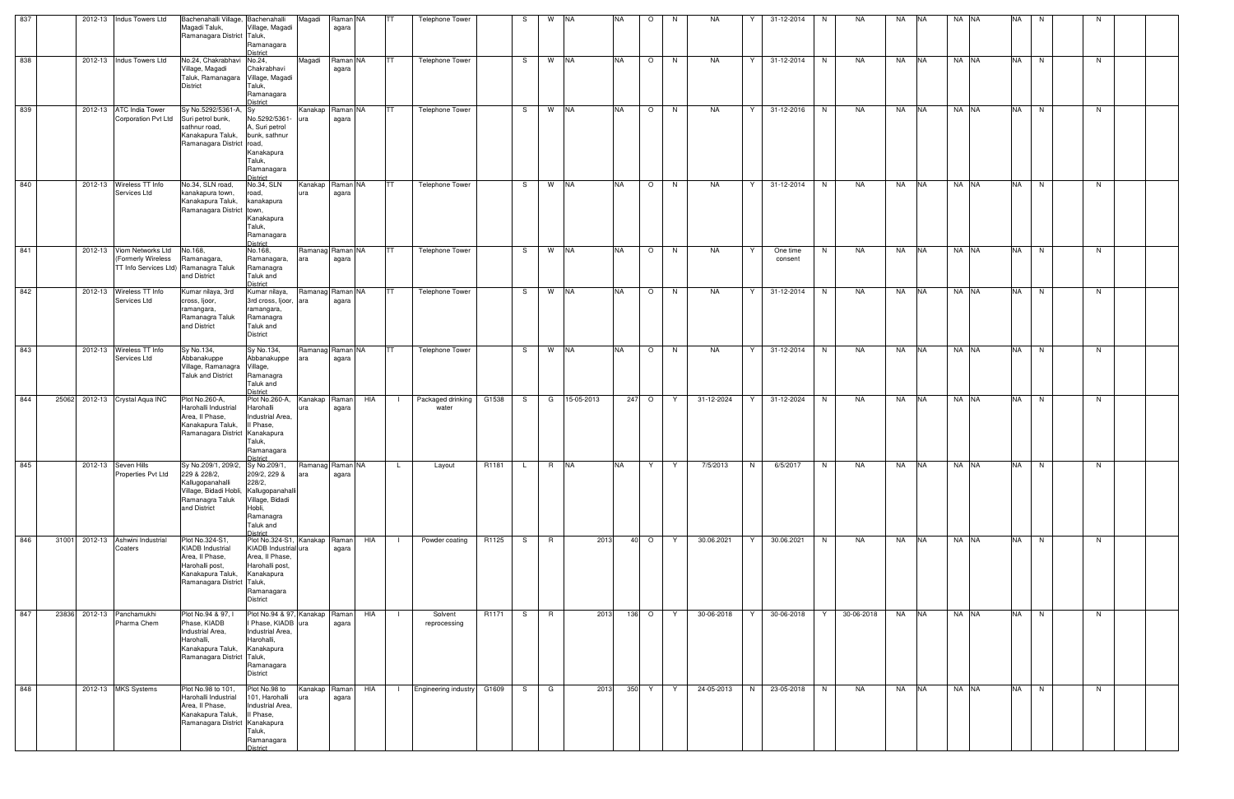| 837 | 2012-13 Indus Towers Ltd                    |                     | Bachenahalli Village, Bachenahalli<br>Magadi Taluk,<br>Ramanagara District Taluk,                                                                  | Village, Magadi<br>Ramanagara<br><b>District</b>                                                                                           | Magadi           | Raman NA<br>agara |     | ITT.                      | Telephone Tower            |                   | -S | W    | <b>NA</b>  | <b>NA</b> | $\circ$ | N. | NA           |   | 31-12-2014          | N        | NA         | NA        | <b>INA</b> | NA NA | <b>NA</b> | N    | N  |  |
|-----|---------------------------------------------|---------------------|----------------------------------------------------------------------------------------------------------------------------------------------------|--------------------------------------------------------------------------------------------------------------------------------------------|------------------|-------------------|-----|---------------------------|----------------------------|-------------------|----|------|------------|-----------|---------|----|--------------|---|---------------------|----------|------------|-----------|------------|-------|-----------|------|----|--|
| 838 | 2012-13 Indus Towers Ltd                    |                     | No.24, Chakrabhavi<br>Village, Magadi<br>Taluk, Ramanagara Village, Magadi<br>District                                                             | No.24,<br>Chakrabhavi<br>Taluk,<br>Ramanagara<br>District                                                                                  | Magadi           | Raman NA<br>agara |     | <b>ITT</b>                | <b>Telephone Tower</b>     |                   | S. | W NA |            | <b>NA</b> | $\circ$ | N  | NA           | Y | 31-12-2014          | <b>N</b> | NA         | NA        | <b>NA</b>  | NA NA | <b>NA</b> | N    | N  |  |
| 839 | 2012-13 ATC India Tower                     | Corporation Pvt Ltd | Sy No.5292/5361-A, Sy<br>Suri petrol bunk,<br>sathnur road,<br>Kanakapura Taluk,<br>Ramanagara District road,                                      | No.5292/5361-<br>A, Suri petrol<br>bunk, sathnur<br>Kanakapura<br>Taluk,<br>Ramanagara<br><b>District</b>                                  | Kanakap<br>ura   | Raman NA<br>agara |     | ITT.                      | Telephone Tower            |                   | S. | W NA |            | <b>NA</b> | $\circ$ | N  | <b>NA</b>    | Y | 31-12-2016          | N        | NA         | NA        | <b>NA</b>  | NA NA | <b>NA</b> | N    | N  |  |
| 840 | 2012-13 Wireless TT Info                    | Services Ltd        | No.34, SLN road,<br>kanakapura town,<br>Kanakapura Taluk,<br>Ramanagara District town,                                                             | No.34, SLN<br>road,<br>kanakapura<br>Kanakapura<br>Taluk,<br>Ramanagara<br><b>District</b>                                                 | Kanakap<br>ura   | Raman NA<br>agara |     |                           | Telephone Tower            |                   | -S | W NA |            | <b>NA</b> | $\circ$ | N. | <b>NA</b>    | Y | 31-12-2014          | N        | NA         | <b>NA</b> | <b>NA</b>  | NA NA | <b>NA</b> | N    | N  |  |
| 841 | 2012-13 Viom Networks Ltd                   | (Formerly Wireless  | No.168,<br>Ramanagara,<br>TT Info Services Ltd) Ramanagra Taluk<br>and District                                                                    | No.168,<br>Ramanagara,<br>Ramanagra<br>Taluk and<br><b>District</b>                                                                        | Ramanag<br>ara   | Raman NA<br>agara |     | TT                        | Telephone Tower            |                   | -S | W NA |            | <b>NA</b> | $\circ$ | N  | <b>NA</b>    |   | One time<br>consent | N        | NA         | NA        | <b>NA</b>  | NA NA | <b>NA</b> | N    | N  |  |
| 842 | 2012-13 Wireless TT Info                    | Services Ltd        | Kumar nilaya, 3rd<br>cross, Ijoor,<br>ramangara,<br>Ramanagra Taluk<br>and District                                                                | Kumar nilaya,<br>3rd cross, Ijoor, ara<br>ramangara,<br>Ramanagra<br>Taluk and<br><b>District</b>                                          | Ramanag Raman NA | agara             |     | ITT.                      | Telephone Tower            |                   | S. | W NA |            | <b>NA</b> | $\circ$ | N  | <b>NA</b>    | Y | 31-12-2014          | N        | NA         | NA        | <b>NA</b>  | NA NA | <b>NA</b> | N    | N. |  |
| 843 | 2012-13 Wireless TT Info                    | Services Ltd        | Sy No.134,<br>Abbanakuppe<br>Village, Ramanagra Village,<br><b>Taluk and District</b>                                                              | Sy No.134,<br>Abbanakuppe<br>Ramanagra<br>Taluk and<br><b>District</b>                                                                     | Ramanag Raman NA | agara             |     | ITT.                      | <b>Telephone Tower</b>     |                   | S. | W NA |            | <b>NA</b> | $\circ$ | N  | <b>NA</b>    | Y | 31-12-2014          | N        | NA         | NA        | <b>NA</b>  | NA NA | <b>NA</b> | N    | N  |  |
| 844 | 25062 2012-13 Crystal Aqua INC              |                     | Plot No.260-A,<br>Harohalli Industrial<br>Area, Il Phase,<br>Kanakapura Taluk,<br>Ramanagara District Kanakapura                                   | Plot No.260-A,<br>Harohalli<br>Industrial Area,<br>Il Phase,<br>Taluk,<br>Ramanagara<br>District                                           | Kanakap<br>ura   | Raman<br>agara    | HIA |                           | Packaged drinking<br>water | G1538             | S  | G    | 15-05-2013 |           | 247 O   | Y  | 31-12-2024   | Y | 31-12-2024          | N        | NA         | NA        | <b>NA</b>  | NA NA | <b>NA</b> | N    | N  |  |
| 845 | 2012-13 Seven Hills                         | Properties Pvt Ltd  | Sy No.209/1, 209/2, Sy No.209/1, Ramanag Raman NA<br>229 & 228/2,<br>Kallugopanahalli<br>Village, Bidadi Hobli,<br>Ramanagra Taluk<br>and District | 209/2, 229 &<br>228/2,<br>Kallugopanahalli<br>Village, Bidadi<br>Hobli,<br>Ramanagra<br>Taluk and<br>District                              | ara              | agara             |     | $\mathsf{L}$ $\mathsf{L}$ | Layout                     | R1181             |    | R    | <b>NA</b>  | <b>NA</b> |         |    | Y Y 7/5/2013 | N | 6/5/2017            |          | N NA       | NA NA     |            | NA NA |           | NA N |    |  |
| 846 | 31001 2012-13 Ashwini Industrial<br>Coaters |                     | Plot No.324-S1,<br><b>KIADB Industrial</b><br>Area, II Phase,<br>Harohalli post,<br>Kanakapura Taluk,<br>Ramanagara District Taluk,                | Plot No.324-S1, Kanakap Raman<br>KIADB Industrial ura<br>Area, II Phase,<br>Harohalli post,<br>Kanakapura<br>Ramanagara<br><b>District</b> |                  | agara             | HIA |                           | Powder coating             | R1125             | S. | R    |            | 2013      | $40$ O  | Y  | 30.06.2021   | Y | 30.06.2021          | N.       | NA         | NA NA     |            | NA NA | <b>NA</b> | N    | N. |  |
| 847 | 23836 2012-13 Panchamukhi                   | Pharma Chem         | Plot No.94 & 97,<br>Phase, KIADB<br>Industrial Area,<br>Harohalli.<br>Kanakapura Taluk,<br>Ramanagara District Taluk,                              | Plot No.94 & 97, Kanakap Raman<br>I Phase, KIADB ura<br>Industrial Area,<br>Harohalli,<br>Kanakapura<br>Ramanagara<br><b>District</b>      |                  | agara             | HIA |                           | Solvent<br>reprocessing    | R <sub>1171</sub> | S. | R    |            | 2013      | 136 O   | Y  | 30-06-2018   | Y | 30-06-2018          | Y        | 30-06-2018 | NA NA     |            | NA NA |           | NA N | N  |  |
| 848 | 2012-13 MKS Systems                         |                     | Plot No.98 to 101,<br>Harohalli Industrial<br>Area, Il Phase,<br>Kanakapura Taluk,<br>Ramanagara District Kanakapura                               | Plot No.98 to<br>101, Harohalli<br>Industrial Area,<br>Il Phase,<br>Taluk,<br>Ramanagara<br><b>District</b>                                | Kanakap          | Raman<br>agara    | HIA | $\mathbf{I}$              | Engineering industry G1609 |                   | S. | G    |            | 2013      | 350 Y   | Y  | 24-05-2013 N |   | 23-05-2018          | N        | NA         | NA NA     |            | NA NA |           | NA N | N  |  |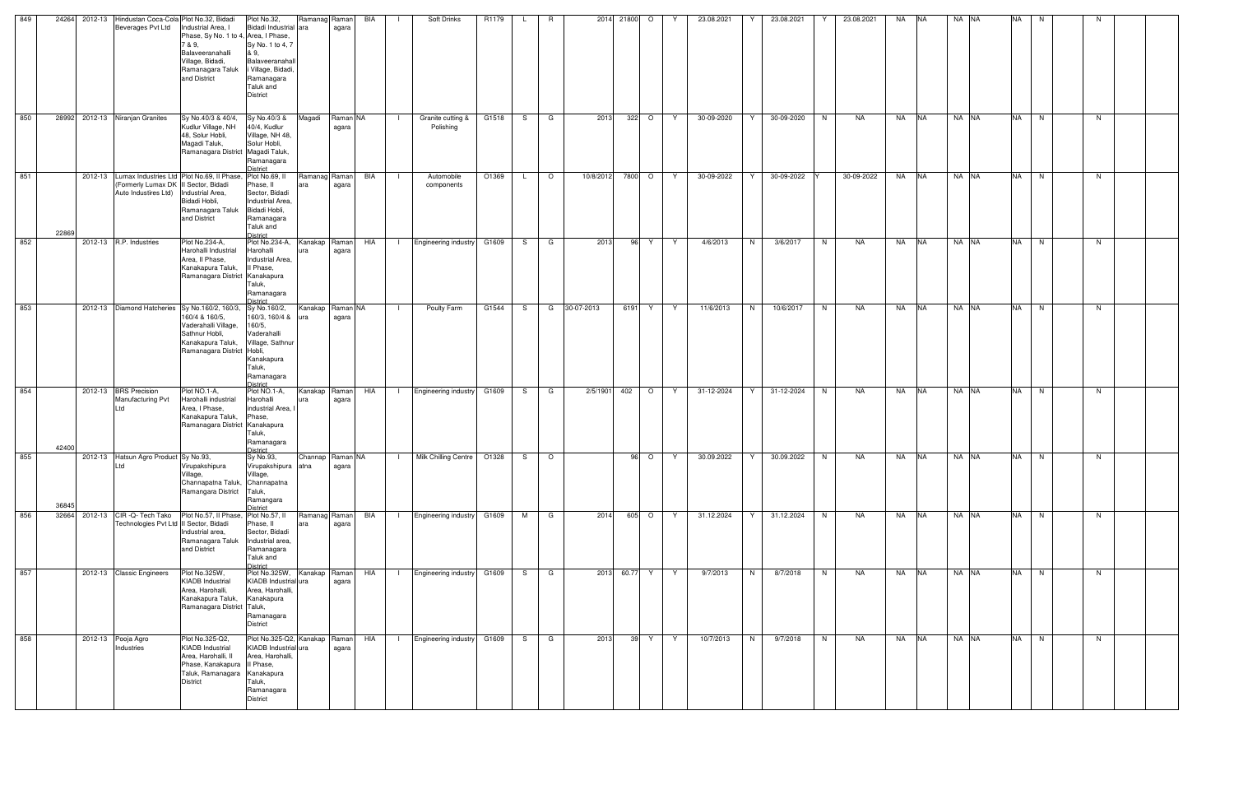| Kudlur Village, NH<br>40/4, Kudlur<br>Polishing<br>agara<br>Village, NH 48,<br>48, Solur Hobli,<br>Solur Hobli,<br>Magadi Taluk,<br>Ramanagara<br>)istrict<br>Ramanag Raman<br>BIA<br>Automobile<br>O1369<br>10/8/2012<br>7800 O<br>30-09-2022<br>30-09-2022<br>30-09-2022<br>NA NA<br>$\circ$<br><sup>Y</sup><br>Y<br>- 1<br>L.<br>Phase, II<br>agara<br>components<br>Sector, Bidadi<br>Industrial Area,<br>Ramanagara Taluk<br>Bidadi Hobli,<br>and District<br>Ramanagara<br>Taluk and<br><b>District</b><br>Plot No.234-A,<br>Plot No.234-A,<br>Engineering industry G1609<br>4/6/2013<br>3/6/2017<br>Kanakap Raman<br>HIA<br>S G<br>2013<br>96<br>Y.<br>N<br>N<br>NA<br>NA .<br><b>NA</b><br>Y.<br>$\blacksquare$<br>Harohalli Industrial<br>Harohalli<br>agara<br>ura<br>Industrial Area,<br>Kanakapura Taluk,<br>II Phase,<br>Taluk,<br>Ramanagara<br><b>District</b><br>Kanakap Raman NA<br>Poulty Farm<br>G1544<br>30-07-2013<br>6191<br>11/6/2013<br>10/6/2017<br>NA<br>G<br>Y<br>Y<br>N<br>N<br>NA<br><b>INA</b><br>S.<br>160/4 & 160/5,<br>160/3, 160/4 &<br>agara<br>lura<br>160/5,<br>Vaderahalli Village,<br>Vaderahalli<br>Sathnur Hobli,<br>Village, Sathnur<br>Kanakapura<br>Taluk,<br>Ramanagara<br>District<br>Plot NO.1-A,<br>2/5/1901<br>31-12-2024<br>Plot NO.1-A,<br>Kanakap Raman<br>HIA<br><b>Engineering industry</b><br>G1609<br>402<br>$\circ$<br>31-12-2024<br>NA<br>NA<br><b>INA</b><br>S.<br>G<br>Y.<br>Y<br>N<br>$\blacksquare$<br>Harohalli industrial<br>Harohalli<br>agara<br>industrial Area,<br>Phase,<br>Taluk,<br>Ramanagara<br>District<br>$96$ O<br>Sy No.93,<br>Channap   Raman NA<br>Milk Chilling Centre<br>O1328<br>30.09.2022<br>30.09.2022<br><b>NA</b><br>$\circ$<br>Y<br>N.<br>NA<br>NA .<br>S.<br>Y<br>Virupakshipura atna<br>agara | Ramanagara District Magadi Taluk,<br>Lumax Industries Ltd Plot No.69, Il Phase, Plot No.69, Il<br>(Formerly Lumax DK II Sector, Bidadi<br>Auto Industires Ltd)   Industrial Area,<br>Bidadi Hobli,<br>Area, II Phase,<br>Ramanagara District Kanakapura<br>Kanakapura Taluk,<br>Ramanagara District Hobli,<br>Manufacturing Pvt<br>Area, I Phase,<br>_td<br>Kanakapura Taluk,<br>Ramanagara District Kanakapura<br>Virupakshipura | 2012-13<br>2012-13 R.P. Industries<br>2012-13 Diamond Hatcheries Sy No.160/2, 160/3, Sy No.160/2,<br>2012-13 BRS Precision<br>2012-13 Hatsun Agro Product Sy No.93, | 28992 2012-13 Niranjan Granites<br>Sy No.40/3 & 40/4,<br>Sy No.40/3 &<br>G1518<br>322 O<br>30-09-2020<br>Magadi<br>Raman NA<br>Granite cutting &<br>G<br>S.<br>Y.<br>22869<br>42400 | NA NA<br><b>NA</b><br>N.<br>N. | NA NA<br><b>NA</b><br>N<br>N. | <b>NA</b><br>NA NA<br>N<br>N. | NA NA<br><b>NA</b><br>N<br>N. | NA NA<br><b>NA</b><br>N<br>N. | NA NA<br><b>NA</b><br>N<br>N. | NA NA<br><b>NA</b><br>N<br>N. | $NA$ $N\overline{A}$<br>N.                                       | NA NA<br>NA   N<br>N                                                                                                    |                                                                                                                 |
|-----------------------------------------------------------------------------------------------------------------------------------------------------------------------------------------------------------------------------------------------------------------------------------------------------------------------------------------------------------------------------------------------------------------------------------------------------------------------------------------------------------------------------------------------------------------------------------------------------------------------------------------------------------------------------------------------------------------------------------------------------------------------------------------------------------------------------------------------------------------------------------------------------------------------------------------------------------------------------------------------------------------------------------------------------------------------------------------------------------------------------------------------------------------------------------------------------------------------------------------------------------------------------------------------------------------------------------------------------------------------------------------------------------------------------------------------------------------------------------------------------------------------------------------------------------------------------------------------------------------------------------------------------------------------------------------------------------------------------------------------------------------------------------------|-----------------------------------------------------------------------------------------------------------------------------------------------------------------------------------------------------------------------------------------------------------------------------------------------------------------------------------------------------------------------------------------------------------------------------------|---------------------------------------------------------------------------------------------------------------------------------------------------------------------|-------------------------------------------------------------------------------------------------------------------------------------------------------------------------------------|--------------------------------|-------------------------------|-------------------------------|-------------------------------|-------------------------------|-------------------------------|-------------------------------|------------------------------------------------------------------|-------------------------------------------------------------------------------------------------------------------------|-----------------------------------------------------------------------------------------------------------------|
|                                                                                                                                                                                                                                                                                                                                                                                                                                                                                                                                                                                                                                                                                                                                                                                                                                                                                                                                                                                                                                                                                                                                                                                                                                                                                                                                                                                                                                                                                                                                                                                                                                                                                                                                                                                         |                                                                                                                                                                                                                                                                                                                                                                                                                                   |                                                                                                                                                                     |                                                                                                                                                                                     |                                |                               |                               |                               |                               |                               |                               |                                                                  | NA N                                                                                                                    |                                                                                                                 |
|                                                                                                                                                                                                                                                                                                                                                                                                                                                                                                                                                                                                                                                                                                                                                                                                                                                                                                                                                                                                                                                                                                                                                                                                                                                                                                                                                                                                                                                                                                                                                                                                                                                                                                                                                                                         |                                                                                                                                                                                                                                                                                                                                                                                                                                   |                                                                                                                                                                     |                                                                                                                                                                                     |                                |                               |                               |                               |                               |                               |                               |                                                                  |                                                                                                                         |                                                                                                                 |
|                                                                                                                                                                                                                                                                                                                                                                                                                                                                                                                                                                                                                                                                                                                                                                                                                                                                                                                                                                                                                                                                                                                                                                                                                                                                                                                                                                                                                                                                                                                                                                                                                                                                                                                                                                                         |                                                                                                                                                                                                                                                                                                                                                                                                                                   |                                                                                                                                                                     |                                                                                                                                                                                     | <b>NA</b>                      |                               |                               |                               |                               |                               |                               |                                                                  |                                                                                                                         |                                                                                                                 |
|                                                                                                                                                                                                                                                                                                                                                                                                                                                                                                                                                                                                                                                                                                                                                                                                                                                                                                                                                                                                                                                                                                                                                                                                                                                                                                                                                                                                                                                                                                                                                                                                                                                                                                                                                                                         |                                                                                                                                                                                                                                                                                                                                                                                                                                   |                                                                                                                                                                     |                                                                                                                                                                                     | NA                             |                               |                               |                               |                               |                               |                               |                                                                  | NA NA                                                                                                                   | NA NA                                                                                                           |
|                                                                                                                                                                                                                                                                                                                                                                                                                                                                                                                                                                                                                                                                                                                                                                                                                                                                                                                                                                                                                                                                                                                                                                                                                                                                                                                                                                                                                                                                                                                                                                                                                                                                                                                                                                                         |                                                                                                                                                                                                                                                                                                                                                                                                                                   |                                                                                                                                                                     |                                                                                                                                                                                     | NA                             |                               |                               |                               |                               |                               |                               |                                                                  | NA                                                                                                                      | NA                                                                                                              |
|                                                                                                                                                                                                                                                                                                                                                                                                                                                                                                                                                                                                                                                                                                                                                                                                                                                                                                                                                                                                                                                                                                                                                                                                                                                                                                                                                                                                                                                                                                                                                                                                                                                                                                                                                                                         |                                                                                                                                                                                                                                                                                                                                                                                                                                   |                                                                                                                                                                     |                                                                                                                                                                                     | N.                             |                               |                               |                               |                               |                               |                               |                                                                  | N                                                                                                                       | N                                                                                                               |
|                                                                                                                                                                                                                                                                                                                                                                                                                                                                                                                                                                                                                                                                                                                                                                                                                                                                                                                                                                                                                                                                                                                                                                                                                                                                                                                                                                                                                                                                                                                                                                                                                                                                                                                                                                                         |                                                                                                                                                                                                                                                                                                                                                                                                                                   |                                                                                                                                                                     |                                                                                                                                                                                     | 30-09-2020                     |                               |                               |                               |                               |                               |                               |                                                                  | $Y$ 31.12.2024                                                                                                          | 8/7/2018                                                                                                        |
|                                                                                                                                                                                                                                                                                                                                                                                                                                                                                                                                                                                                                                                                                                                                                                                                                                                                                                                                                                                                                                                                                                                                                                                                                                                                                                                                                                                                                                                                                                                                                                                                                                                                                                                                                                                         |                                                                                                                                                                                                                                                                                                                                                                                                                                   |                                                                                                                                                                     |                                                                                                                                                                                     | Y                              |                               |                               |                               |                               |                               |                               |                                                                  |                                                                                                                         | N                                                                                                               |
|                                                                                                                                                                                                                                                                                                                                                                                                                                                                                                                                                                                                                                                                                                                                                                                                                                                                                                                                                                                                                                                                                                                                                                                                                                                                                                                                                                                                                                                                                                                                                                                                                                                                                                                                                                                         |                                                                                                                                                                                                                                                                                                                                                                                                                                   |                                                                                                                                                                     |                                                                                                                                                                                     |                                |                               |                               |                               |                               |                               |                               |                                                                  | 31.12.2024                                                                                                              | 9/7/2013                                                                                                        |
|                                                                                                                                                                                                                                                                                                                                                                                                                                                                                                                                                                                                                                                                                                                                                                                                                                                                                                                                                                                                                                                                                                                                                                                                                                                                                                                                                                                                                                                                                                                                                                                                                                                                                                                                                                                         |                                                                                                                                                                                                                                                                                                                                                                                                                                   |                                                                                                                                                                     |                                                                                                                                                                                     |                                |                               |                               |                               |                               |                               |                               |                                                                  | 605 O Y                                                                                                                 |                                                                                                                 |
|                                                                                                                                                                                                                                                                                                                                                                                                                                                                                                                                                                                                                                                                                                                                                                                                                                                                                                                                                                                                                                                                                                                                                                                                                                                                                                                                                                                                                                                                                                                                                                                                                                                                                                                                                                                         |                                                                                                                                                                                                                                                                                                                                                                                                                                   |                                                                                                                                                                     |                                                                                                                                                                                     |                                |                               |                               |                               |                               |                               |                               |                                                                  |                                                                                                                         | 2013 60.77 Y Y                                                                                                  |
|                                                                                                                                                                                                                                                                                                                                                                                                                                                                                                                                                                                                                                                                                                                                                                                                                                                                                                                                                                                                                                                                                                                                                                                                                                                                                                                                                                                                                                                                                                                                                                                                                                                                                                                                                                                         |                                                                                                                                                                                                                                                                                                                                                                                                                                   |                                                                                                                                                                     |                                                                                                                                                                                     |                                | 2013                          |                               |                               |                               |                               |                               |                                                                  | 2014                                                                                                                    |                                                                                                                 |
|                                                                                                                                                                                                                                                                                                                                                                                                                                                                                                                                                                                                                                                                                                                                                                                                                                                                                                                                                                                                                                                                                                                                                                                                                                                                                                                                                                                                                                                                                                                                                                                                                                                                                                                                                                                         |                                                                                                                                                                                                                                                                                                                                                                                                                                   |                                                                                                                                                                     |                                                                                                                                                                                     |                                |                               |                               |                               |                               |                               |                               |                                                                  |                                                                                                                         |                                                                                                                 |
|                                                                                                                                                                                                                                                                                                                                                                                                                                                                                                                                                                                                                                                                                                                                                                                                                                                                                                                                                                                                                                                                                                                                                                                                                                                                                                                                                                                                                                                                                                                                                                                                                                                                                                                                                                                         |                                                                                                                                                                                                                                                                                                                                                                                                                                   |                                                                                                                                                                     |                                                                                                                                                                                     |                                |                               |                               |                               |                               |                               |                               |                                                                  | M G                                                                                                                     | S G                                                                                                             |
|                                                                                                                                                                                                                                                                                                                                                                                                                                                                                                                                                                                                                                                                                                                                                                                                                                                                                                                                                                                                                                                                                                                                                                                                                                                                                                                                                                                                                                                                                                                                                                                                                                                                                                                                                                                         |                                                                                                                                                                                                                                                                                                                                                                                                                                   |                                                                                                                                                                     |                                                                                                                                                                                     |                                |                               |                               |                               |                               |                               |                               |                                                                  |                                                                                                                         |                                                                                                                 |
|                                                                                                                                                                                                                                                                                                                                                                                                                                                                                                                                                                                                                                                                                                                                                                                                                                                                                                                                                                                                                                                                                                                                                                                                                                                                                                                                                                                                                                                                                                                                                                                                                                                                                                                                                                                         |                                                                                                                                                                                                                                                                                                                                                                                                                                   |                                                                                                                                                                     |                                                                                                                                                                                     |                                |                               |                               |                               |                               |                               |                               |                                                                  | I Engineering industry G1609                                                                                            | Engineering industry G1609                                                                                      |
|                                                                                                                                                                                                                                                                                                                                                                                                                                                                                                                                                                                                                                                                                                                                                                                                                                                                                                                                                                                                                                                                                                                                                                                                                                                                                                                                                                                                                                                                                                                                                                                                                                                                                                                                                                                         |                                                                                                                                                                                                                                                                                                                                                                                                                                   |                                                                                                                                                                     |                                                                                                                                                                                     |                                |                               |                               |                               |                               |                               |                               |                                                                  |                                                                                                                         | $\blacksquare$                                                                                                  |
|                                                                                                                                                                                                                                                                                                                                                                                                                                                                                                                                                                                                                                                                                                                                                                                                                                                                                                                                                                                                                                                                                                                                                                                                                                                                                                                                                                                                                                                                                                                                                                                                                                                                                                                                                                                         |                                                                                                                                                                                                                                                                                                                                                                                                                                   |                                                                                                                                                                     |                                                                                                                                                                                     |                                |                               |                               |                               |                               |                               |                               |                                                                  | <b>BIA</b>                                                                                                              | HIA                                                                                                             |
|                                                                                                                                                                                                                                                                                                                                                                                                                                                                                                                                                                                                                                                                                                                                                                                                                                                                                                                                                                                                                                                                                                                                                                                                                                                                                                                                                                                                                                                                                                                                                                                                                                                                                                                                                                                         |                                                                                                                                                                                                                                                                                                                                                                                                                                   |                                                                                                                                                                     |                                                                                                                                                                                     |                                |                               |                               |                               |                               |                               |                               |                                                                  | Ramanag Raman<br>agara                                                                                                  | Kanakap Raman<br>agara                                                                                          |
|                                                                                                                                                                                                                                                                                                                                                                                                                                                                                                                                                                                                                                                                                                                                                                                                                                                                                                                                                                                                                                                                                                                                                                                                                                                                                                                                                                                                                                                                                                                                                                                                                                                                                                                                                                                         |                                                                                                                                                                                                                                                                                                                                                                                                                                   |                                                                                                                                                                     |                                                                                                                                                                                     |                                |                               |                               |                               |                               |                               |                               | Village,<br>Taluk,<br>Ramangara<br>District                      | Plot No.57, II<br>Phase, II<br>ara<br>Sector, Bidadi<br>Industrial area,<br>Ramanagara<br>Taluk and<br>District         | Plot No.325W,<br>KIADB Industrial ura<br>Area, Harohalli,<br>Kanakapura<br>Ramanagara<br><b>District</b>        |
|                                                                                                                                                                                                                                                                                                                                                                                                                                                                                                                                                                                                                                                                                                                                                                                                                                                                                                                                                                                                                                                                                                                                                                                                                                                                                                                                                                                                                                                                                                                                                                                                                                                                                                                                                                                         |                                                                                                                                                                                                                                                                                                                                                                                                                                   |                                                                                                                                                                     |                                                                                                                                                                                     |                                |                               |                               |                               |                               |                               |                               | Village,<br>Channapatna Taluk, Channapatna<br>Ramangara District | Plot No.57, II Phase,<br>Technologies Pvt Ltd II Sector, Bidadi<br>Industrial area,<br>Ramanagara Taluk<br>and District | Plot No.325W,<br><b>KIADB</b> Industrial<br>Area, Harohalli,<br>Kanakapura Taluk,<br>Ramanagara District Taluk, |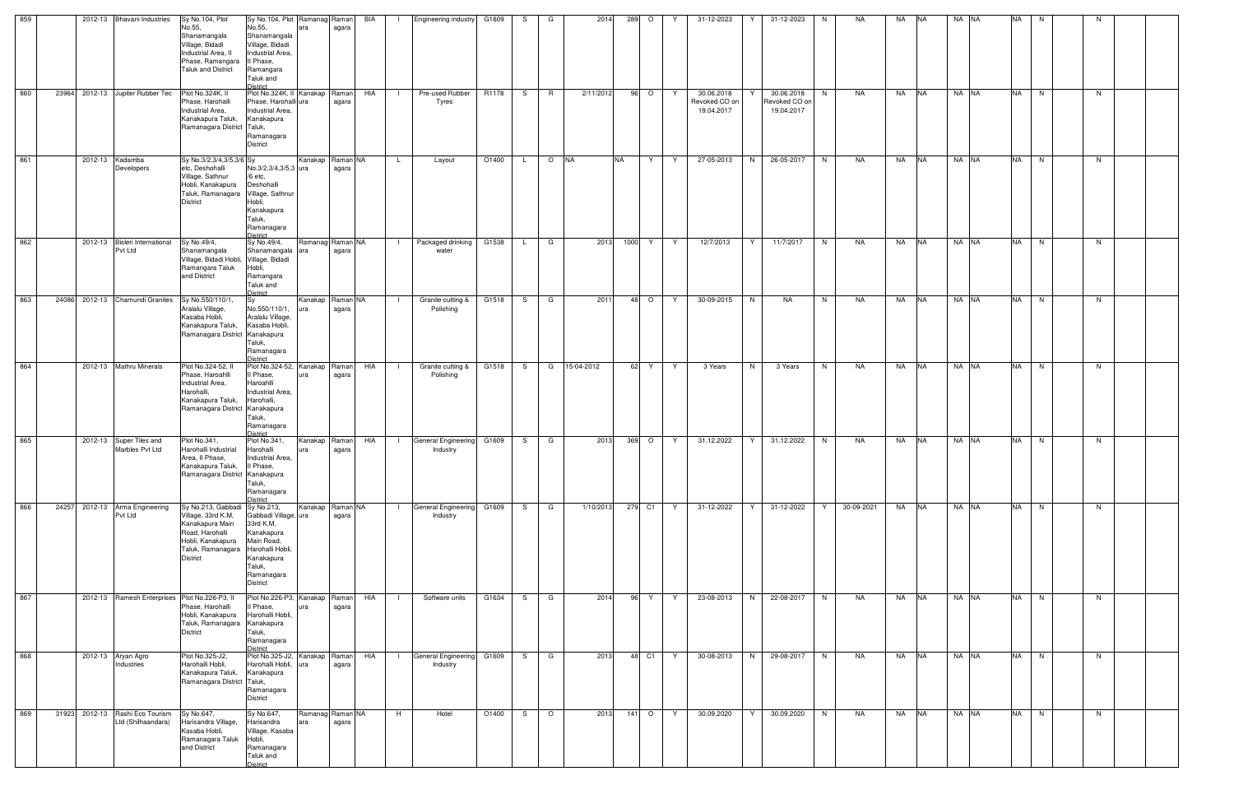| 859 |       | 2012-13 Bhavani Industries                            | Sy No.104, Plot                                                                                                                                                         | Sy No.104, Plot Ramanag Raman                                                                                             |                         |                | BIA        | <b>Engineering industry</b>                             | G1609 | S  | G       | 2014       | 289       | $\circ$ |    | 31-12-2023                                |   | 31-12-2023                                | N  | NA         | NA        | <b>INA</b> | NA NA | <b>NA</b> | N |    |  |
|-----|-------|-------------------------------------------------------|-------------------------------------------------------------------------------------------------------------------------------------------------------------------------|---------------------------------------------------------------------------------------------------------------------------|-------------------------|----------------|------------|---------------------------------------------------------|-------|----|---------|------------|-----------|---------|----|-------------------------------------------|---|-------------------------------------------|----|------------|-----------|------------|-------|-----------|---|----|--|
|     |       |                                                       | No.55,<br>Shanamangala<br>Village, Bidadi<br>Industrial Area, II<br>Phase, Ramangara<br><b>Taluk and District</b>                                                       | No.55,<br>Shanamangala<br>Village, Bidadi<br>Industrial Area,<br>Il Phase,<br>Ramangara<br>Taluk and<br>District          | ara                     | agara          |            |                                                         |       |    |         |            |           |         |    |                                           |   |                                           |    |            |           |            |       |           |   |    |  |
| 860 | 23964 | 2012-13 Jupiter Rubber Tec                            | Plot No.324K, II<br>Phase, Harohalli<br>Industrial Area,<br>Kanakapura Taluk,<br>Ramanagara District Taluk,                                                             | Plot No.324K, II Kanakap Raman<br>Phase, Harohalli ura<br>Industrial Area,<br>Kanakapura<br>Ramanagara<br><b>District</b> |                         | agara          | HIA        | Pre-used Rubber<br>Tyres                                | R1178 | S. | R       | 2/11/2012  |           | 96 O    | Y  | 30.06.2018<br>Revoked CO on<br>19.04.2017 |   | 30.06.2018<br>Revoked CO on<br>19.04.2017 | N  | NA         | <b>NA</b> | <b>NA</b>  | NA NA | <b>NA</b> | N | N  |  |
| 861 |       | 2012-13 Kadamba<br>Developers                         | Sy No.3/2,3/4,3/5,3/6 Sy<br>etc, Deshohalli<br>Village, Sathnur<br>Hobli, Kanakapura<br>Taluk, Ramanagara Village, Sathnur<br><b>District</b>                           | No.3/2,3/4,3/5,3 ura<br>/6 etc,<br>Deshohalli<br>Hobli,<br>Kanakapura<br>Taluk,<br>Ramanagara<br>District                 | Kanakap Raman NA        | agara          |            | Layout<br>L.                                            | O1400 |    | $\circ$ | <b>NA</b>  | <b>NA</b> | Y       | Y  | 27-05-2013                                | N | 26-05-2017                                | N  | NA         | NA        | <b>NA</b>  | NA NA | <b>NA</b> | N | N  |  |
| 862 |       | 2012-13 Bisleri International<br>Pvt Ltd              | Sy No.49/4,<br>Shanamangala<br>Village, Bidadi Hobli, Village, Bidadi<br>Ramangara Taluk<br>and District                                                                | Sy No.49/4,<br>Shanamangala<br>Hobli,<br>Ramangara<br>Taluk and<br><b>District</b>                                        | Ramanag Raman NA<br>ara | agara          |            | Packaged drinking<br>$\Box$<br>water                    | G1538 |    | G       | 2013       | 1000 Y    |         | Y. | 12/7/2013                                 | Y | 11/7/2017                                 | N. | NA         | NA        | <b>INA</b> | NA NA | <b>NA</b> | N | N. |  |
| 863 |       | 24086 2012-13 Chamundi Granites                       | Sy No.550/110/1,<br>Aralalu Village,<br>Kasaba Hobli,<br>Kanakapura Taluk,<br>Ramanagara District Kanakapura                                                            | No.550/110/1,<br>Aralalu Village,<br>Kasaba Hobli,<br>Taluk,<br>Ramanagara<br>District                                    | Kanakap Raman NA<br>ura | agara          |            | Granite cutting &<br>$\blacksquare$<br>Polishing        | G1518 | S  | G       | 2011       |           | 48 O    | Y  | 30-09-2015                                | N | NA                                        | N  | NA         | NA        | <b>NA</b>  | NA NA | <b>NA</b> | N | N  |  |
| 864 |       | 2012-13 Mathru Minerals                               | Plot No.324-52, II<br>Phase, Haroahlli<br>Industrial Area,<br>Harohalli.<br>Kanakapura Taluk,<br>Ramanagara District Kanakapura                                         | Plot No.324-52, Kanakap<br>Il Phase,<br>Haroahlli<br>Industrial Area,<br>Harohalli,<br>Taluk,<br>Ramanagara<br>District   |                         | Raman<br>agara | <b>HIA</b> | Granite cutting &<br>- 13<br>Polishing                  | G1518 | S. | G       | 15-04-2012 |           | 62 Y    | Y  | 3 Years                                   | N | 3 Years                                   | N  | NA         | NA        | <b>NA</b>  | NA NA | <b>NA</b> | N | N  |  |
| 865 |       | 2012-13 Super Tiles and<br>Marbles Pvt Ltd            | Plot No.341,<br>Harohalli Industrial<br>Area, II Phase,<br>Kanakapura Taluk,<br>Ramanagara District Kanakapura                                                          | Plot No.341,<br>Harohalli<br>Industrial Area,<br>Il Phase,<br>Taluk,<br>Ramanagara<br>District                            | Kanakap Raman<br>ura    | agara          | HIA        | General Engineering G1609<br>$\blacksquare$<br>Industry |       | S. | G       | 2013       |           | 369 O   | Y  | 31.12.2022                                | Y | 31.12.2022                                | N  | NA         | NA        | <b>NA</b>  | NA NA | <b>NA</b> | N | N  |  |
| 866 | 24257 | 2012-13 Arma Engineering<br>Pvt Ltd                   | Sy No.213, Gabbadi Sy No.213,<br>Village, 33rd K.M,<br>Kanakapura Main<br>Road, Harohalli<br>Hobli, Kanakapura<br>Taluk, Ramanagara Harohalli Hobli,<br><b>District</b> | Gabbadi Village, ura<br>33rd K.M,<br>Kanakapura<br>Main Road,<br>Kanakapura<br>Taluk,<br>Ramanagara<br>District           | Kanakap Raman NA        | agara          |            | General Engineering G1609<br>$\blacksquare$<br>Industry |       | S. | G       | 1/10/2013  |           | 279 C1  | Y  | 31-12-2022                                | Y | 31-12-2022                                | Y. | 30-09-2021 | NA        | <b>NA</b>  | NA NA | <b>NA</b> | N | N  |  |
| 867 |       | 2012-13 Ramesh Enterprises Plot No.226-P3, II         | Phase, Harohalli<br>Hobli, Kanakapura<br>Taluk, Ramanagara<br><b>District</b>                                                                                           | Plot No.226-P3, Kanakap Raman<br>I Phase,<br>Harohalli Hobli,<br>Kanakapura<br>Taluk,<br>Ramanagara<br>District           | ura                     | agara          | HIA        | Software units                                          | G1634 | S. | G       | 2014       | 96        | Y.      | Y  | 23-08-2013                                | N | 22-08-2017                                | N  | NA         | NA        | <b>NA</b>  | NA NA | <b>NA</b> | N | N  |  |
| 868 |       | 2012-13 Aryan Agro<br>Industries                      | Plot No.325-J2,<br>Harohalli Hobli,<br>Kanakapura Taluk,<br>Ramanagara District Taluk,                                                                                  | Plot No.325-J2, Kanakap Raman<br>Harohalli Hobli, ura<br>Kanakapura<br>Ramanagara<br><b>District</b>                      |                         | agara          | HIA        | <b>General Engineering</b><br>$\Box$<br>Industry        | G1609 | S. | G       | 2013       |           | 48 C1   | Y  | 30-08-2013                                | N | 29-08-2017                                | N  | NA         | NA NA     |            | NA NA | NA N      |   | N  |  |
| 869 |       | 31923 2012-13 Rashi Eco Tourism<br>Ltd (Shilhaandara) | Sy No.647,<br>Harisandra Village,<br>Kasaba Hobli,<br>Ramanagara Taluk<br>and District                                                                                  | Sy No.647,<br>Harisandra<br>Village, Kasaba<br>Hobli,<br>Ramanagara<br>Taluk and<br>District                              | Ramanag Raman NA<br>ara | agara          |            | Hotel<br>H                                              | O1400 | S. | $\circ$ | 2013       |           | 141 O   | Y  | 30.09.2020                                | Y | 30.09.2020                                | N  | NA         | <b>NA</b> | <b>NA</b>  | NA NA | <b>NA</b> | N | N  |  |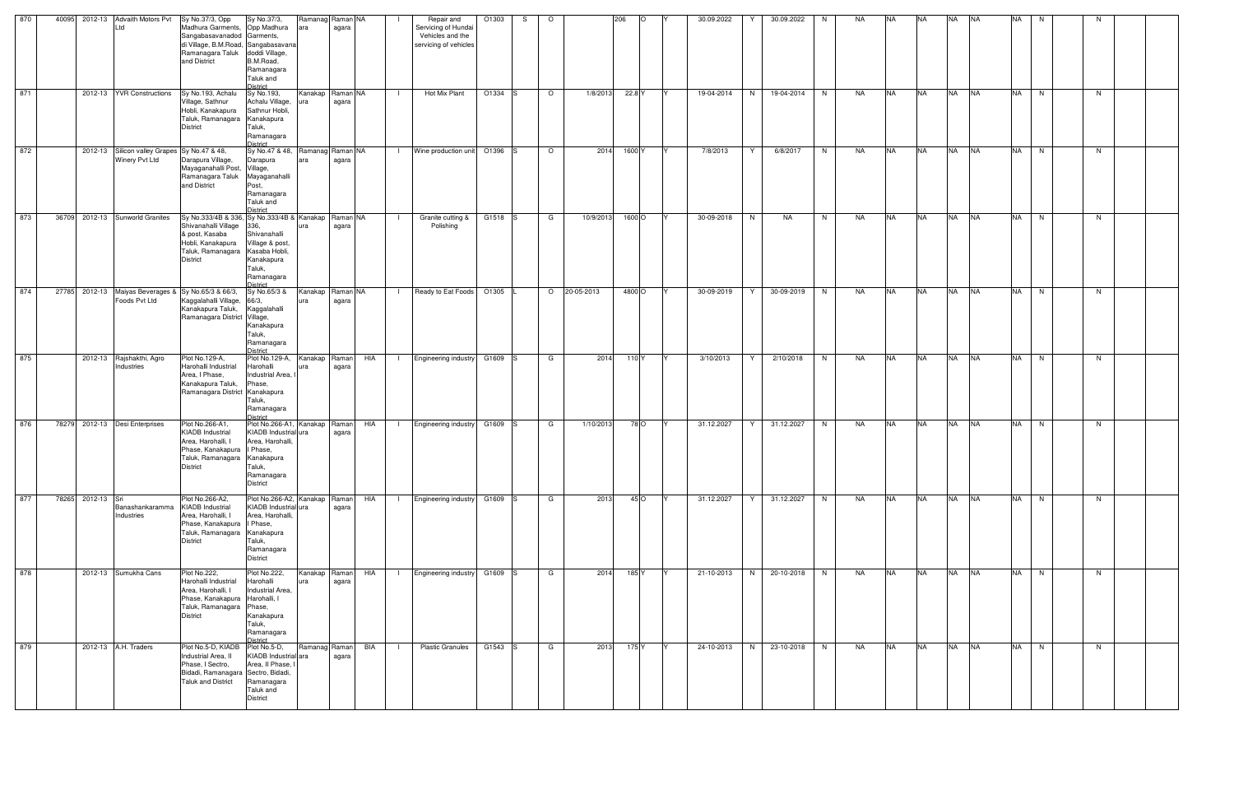| 870 |                   | 40095 2012-13 Advaith Motors Pvt                                     | Sy No.37/3, Opp                                                                                                                                                 | Sy No.37/3,                                                                                                          | Ramanag Raman NA        |                   | Repair and                                                       | O1303   | -S | $\circ$ |            | 206    | 30.09.2022 | Y | 30.09.2022 | N. | NA | <b>NA</b> | <b>NA</b> | <b>NA</b> | <b>NA</b> | <b>NA</b> | N |    |  |
|-----|-------------------|----------------------------------------------------------------------|-----------------------------------------------------------------------------------------------------------------------------------------------------------------|----------------------------------------------------------------------------------------------------------------------|-------------------------|-------------------|------------------------------------------------------------------|---------|----|---------|------------|--------|------------|---|------------|----|----|-----------|-----------|-----------|-----------|-----------|---|----|--|
|     |                   | Ltd                                                                  | Madhura Garments,<br>Sangabasavanadod Garments,<br>di Village, B.M.Road, Sangabasavana<br>Ramanagara Taluk<br>and District                                      | Opp Madhura<br>doddi Village,<br>B.M.Road,<br>Ramanagara<br>Taluk and<br>District                                    |                         | agara             | Servicing of Hundai<br>Vehicles and the<br>servicing of vehicles |         |    |         |            |        |            |   |            |    |    |           |           |           |           |           |   |    |  |
| 871 |                   | 2012-13 YVR Constructions                                            | Sy No.193, Achalu<br>Village, Sathnur<br>Hobli, Kanakapura<br>Taluk, Ramanagara Kanakapura<br>District                                                          | Sy No.193,<br>Achalu Village,<br>Sathnur Hobli,<br>Taluk,<br>Ramanagara<br><b>District</b>                           | Kanakap<br>ura          | Raman NA<br>agara | Hot Mix Plant                                                    | O1334 S |    | $\circ$ | 1/8/2013   | 22.8 Y | 19-04-2014 | N | 19-04-2014 | N  | NA | <b>NA</b> | <b>NA</b> | NA NA     |           | <b>NA</b> | N | N. |  |
| 872 |                   | 2012-13 Silicon valley Grapes Sy No.47 & 48,<br>Winery Pvt Ltd       | Darapura Village,<br>Mayaganahalli Post, Village,<br>Ramanagara Taluk<br>and District                                                                           | Sy No.47 & 48, Ramanag Raman NA<br>Darapura<br>Mayaganahalli<br>Post,<br>Ramanagara<br>Taluk and<br><b>District</b>  |                         | agara             | Wine production unit<br>$\blacksquare$                           | O1396 S |    | $\circ$ | 2014       | 1600 Y | 7/8/2013   | Y | 6/8/2017   | N  | NA | <b>NA</b> | <b>NA</b> | <b>NA</b> | <b>NA</b> | <b>NA</b> | N | N  |  |
| 873 |                   | 36709 2012-13 Sunworld Granites                                      | Sy No.333/4B & 336, Sy No.333/4B & Kanakap<br>Shivanahalli Village<br>& post, Kasaba<br>Hobli, Kanakapura<br>Taluk, Ramanagara Kasaba Hobli,<br><b>District</b> | 336,<br>Shivanahalli<br>Village & post,<br>Kanakapura<br>Taluk,<br>Ramanagara<br>District                            | ura                     | Raman NA<br>agara | Granite cutting &<br>Polishing                                   | G1518 S |    | G       | 10/9/2013  | 1600 O | 30-09-2018 | N | NA         | N  | NA | <b>NA</b> | <b>NA</b> | <b>NA</b> | <b>NA</b> | <b>NA</b> | N | N  |  |
| 874 |                   | 27785 2012-13 Maiyas Beverages & Sy No.65/3 & 66/3,<br>Foods Pvt Ltd | Kaggalahalli Village,<br>Kanakapura Taluk,<br>Ramanagara District Village,                                                                                      | Sy No.65/3 &<br>66/3,<br>Kaggalahalli<br>Kanakapura<br>Taluk,<br>Ramanagara<br>District                              | Kanakap Raman NA<br>ura | agara             | Ready to Eat Foods 01305                                         |         |    | $\circ$ | 20-05-2013 | 4800 O | 30-09-2019 | Y | 30-09-2019 | N  | NA | <b>NA</b> | <b>NA</b> | <b>NA</b> | <b>NA</b> | <b>NA</b> | N | N  |  |
| 875 |                   | 2012-13 Rajshakthi, Agro<br>Industries                               | Plot No.129-A,<br>Harohalli Industrial<br>Area, I Phase,<br>Kanakapura Taluk,<br>Ramanagara District Kanakapura                                                 | Plot No.129-A,<br>Harohalli<br>Industrial Area,<br>Phase,<br>Taluk,<br>Ramanagara<br><b>District</b>                 | Kanakap Raman           | agara             | HIA<br><b>Engineering industry</b>                               | G1609 S |    | G       | 2014       | 110 Y  | 3/10/2013  | Y | 2/10/2018  | N  | NA | <b>NA</b> | <b>NA</b> | <b>NA</b> | <b>NA</b> | <b>NA</b> | N | N  |  |
| 876 |                   | 78279 2012-13 Desi Enterprises                                       | Plot No.266-A1,<br><b>KIADB Industrial</b><br>Area, Harohalli, I<br>Phase, Kanakapura   Phase,<br>Taluk, Ramanagara Kanakapura<br>District                      | Plot No.266-A1, Kanakap Raman<br>KIADB Industrial ura<br>Area, Harohalli,<br>Taluk,<br>Ramanagara<br><b>District</b> |                         | agara             | HIA<br><b>Engineering industry</b><br>$\mathbf{I}$               | G1609 S |    | G       | 1/10/2013  | $78$ O | 31.12.2027 | Y | 31.12.2027 | N  | NA | <b>NA</b> | <b>NA</b> | <b>NA</b> | <b>NA</b> | <b>NA</b> | N | N. |  |
| 877 | 78265 2012-13 Sri | Banashankaramma<br>Industries                                        | Plot No.266-A2,<br><b>KIADB</b> Industrial<br>Area, Harohalli, I<br>Phase, Kanakapura   Phase,<br>Taluk, Ramanagara Kanakapura<br>District                      | Plot No.266-A2, Kanakap<br>KIADB Industrial ura<br>Area, Harohalli,<br>Taluk,<br>Ramanagara<br><b>District</b>       |                         | Raman<br>agara    | HIA I<br>Engineering industry G1609 S<br>$\blacksquare$          |         |    | G       | 2013       | 45 O   | 31.12.2027 | Y | 31.12.2027 | N  | NA | <b>NA</b> | <b>NA</b> | NA NA     |           | NA N      |   | N. |  |
| 878 |                   | 2012-13 Sumukha Cans                                                 | Plot No.222,<br>Harohalli Industrial<br>Area, Harohalli, I<br>Phase, Kanakapura Harohalli, I<br>Taluk, Ramanagara Phase,<br>District                            | Plot No.222,<br>Harohalli<br>Industrial Area,<br>Kanakapura<br>Taluk,<br>Ramanagara<br>District                      | Kanakap Raman<br>ura    | agara             | HIA<br>Engineering industry G1609 S<br>$\blacksquare$            |         |    | G       | 2014       | 185 Y  | 21-10-2013 | N | 20-10-2018 | N  | NA | <b>NA</b> | <b>NA</b> | <b>NA</b> | <b>NA</b> | <b>NA</b> | N | N  |  |
| 879 |                   | 2012-13 A.H. Traders                                                 | Plot No.5-D, KIADB<br>Industrial Area, II<br>Phase, I Sectro,<br>Bidadi, Ramanagara Sectro, Bidadi,<br><b>Taluk and District</b>                                | Plot No.5-D,<br>KIADB Industrial ara<br>Area, II Phase,<br>Ramanagara<br>Taluk and<br><b>District</b>                | Ramanag Raman           | agara             | BIA<br><b>Plastic Granules</b>                                   | G1543 S |    | G       | 2013       | 175 Y  | 24-10-2013 | N | 23-10-2018 | N  | NA | <b>NA</b> | <b>NA</b> | <b>NA</b> | <b>NA</b> | <b>NA</b> | N | N  |  |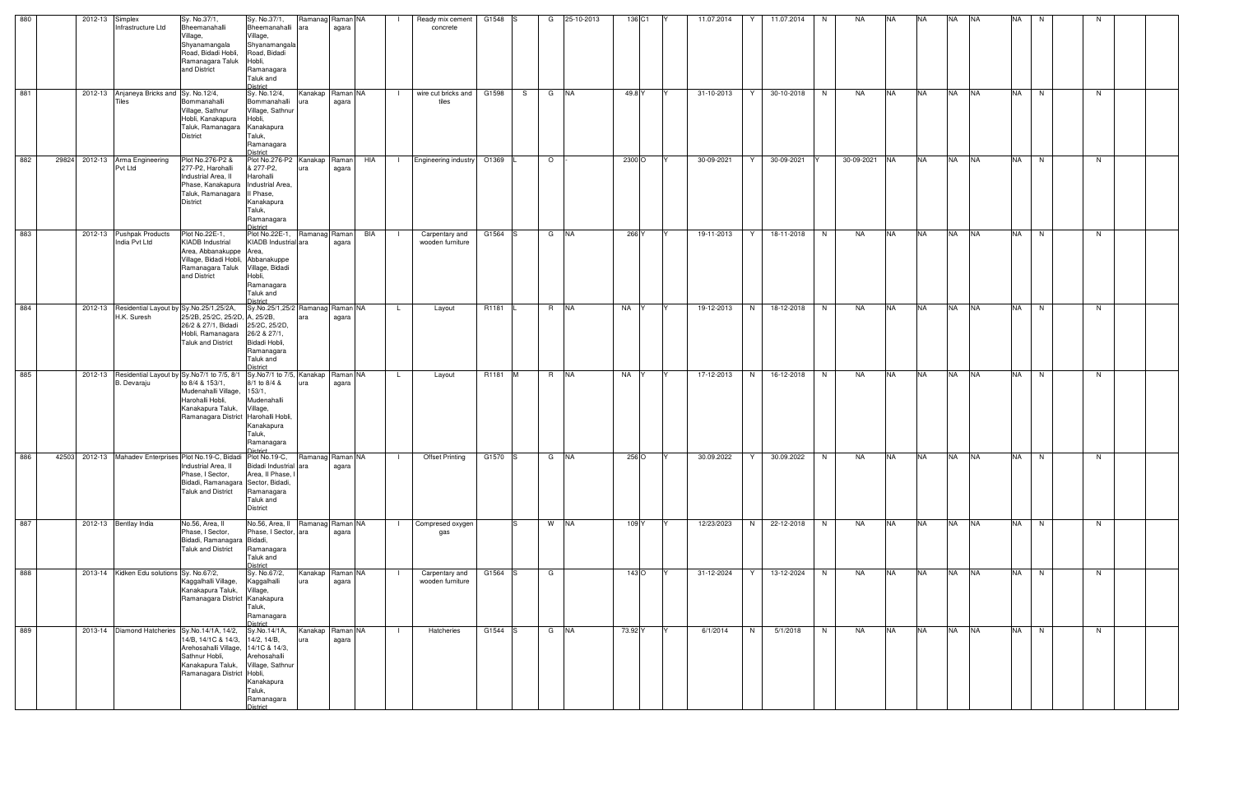| 880 | 2012-13 Simplex |                                                                | Sy. No.37/1,                                                                                                                                                                          | Sy. No.37/1,                                                                                                                     | Ramanag Raman NA          |                   |               | Ready mix cement                   | G1548 S |     | G         | 25-10-2013 | 136 C1             | 11.07.2014 | Y | 11.07.2014 | N. | NA            | <b>NA</b> | <b>NA</b> | <b>NA</b> | <b>NA</b> | <b>NA</b> | N. |    |  |
|-----|-----------------|----------------------------------------------------------------|---------------------------------------------------------------------------------------------------------------------------------------------------------------------------------------|----------------------------------------------------------------------------------------------------------------------------------|---------------------------|-------------------|---------------|------------------------------------|---------|-----|-----------|------------|--------------------|------------|---|------------|----|---------------|-----------|-----------|-----------|-----------|-----------|----|----|--|
|     |                 | Infrastructure Ltd                                             | Bheemanahalli<br>Village,<br>Shyanamangala<br>Road, Bidadi Hobli,<br>Ramanagara Taluk<br>and District                                                                                 | Bheemanahalli ara<br>Village,<br>Shyanamangala<br>Road, Bidadi<br>Hobli,<br>Ramanagara<br>Taluk and<br>District                  |                           | agara             |               | concrete                           |         |     |           |            |                    |            |   |            |    |               |           |           |           |           |           |    |    |  |
| 881 |                 | 2012-13 Anjaneya Bricks and Sy. No.12/4,<br>Tiles              | Bommanahalli<br>Village, Sathnur<br>Hobli, Kanakapura<br>Taluk, Ramanagara Kanakapura<br>District                                                                                     | Sy. No.12/4,<br>Bommanahalli<br>Village, Sathnur<br>Hobli,<br>Taluk,<br>Ramanagara<br>District                                   | Kanakap<br>ura            | Raman NA<br>agara |               | wire cut bricks and<br>tiles       | G1598   | S   | G NA      |            | 49.8 Y             | 31-10-2013 | Y | 30-10-2018 | N  | NA            | <b>NA</b> | <b>NA</b> | <b>NA</b> | <b>NA</b> | <b>NA</b> | N  | N  |  |
| 882 |                 | 29824 2012-13 Arma Engineering<br>Pvt Ltd                      | Plot No.276-P2 &<br>277-P2, Harohalli<br>Industrial Area, II<br>Phase, Kanakapura   Industrial Area,<br>Taluk, Ramanagara II Phase,<br>District                                       | Plot No.276-P2 Kanakap<br>& 277-P2,<br>Harohalli<br>Kanakapura<br>Taluk,<br>Ramanagara<br>District                               | ura                       | Raman<br>agara    | HIA<br>$\Box$ | <b>Engineering industry</b>        | O1369   |     | $\circ$   |            | 2300 O             | 30-09-2021 | Y | 30-09-2021 |    | 30-09-2021 NA |           | <b>NA</b> | NA NA     |           | <b>NA</b> | N  | N  |  |
| 883 |                 | 2012-13 Pushpak Products<br>India Pvt Ltd                      | Plot No.22E-1,<br><b>KIADB</b> Industrial<br>Area, Abbanakuppe Area,<br>Village, Bidadi Hobli, Abbanakuppe<br>Ramanagara Taluk<br>and District                                        | Plot No.22E-1, Ramanag Raman<br>KIADB Industrial ara<br>Village, Bidadi<br>Hobli,<br>Ramanagara<br>Taluk and<br>District         |                           | agara             | BIA           | Carpentary and<br>wooden furniture | G1564 S |     | G NA      |            | 266 Y              | 19-11-2013 | Y | 18-11-2018 | N  | NA            | <b>NA</b> | <b>NA</b> | <b>NA</b> | <b>NA</b> | <b>NA</b> | N  | N  |  |
| 884 |                 | 2012-13 Residential Layout by Sy.No.25/1,25/2A,<br>H.K. Suresh | 25/2B, 25/2C, 25/2D, A, 25/2B,<br>26/2 & 27/1, Bidadi<br>Hobli, Ramanagara<br>Taluk and District                                                                                      | Sy.No.25/1,25/2 Ramanag Raman NA<br>25/2C, 25/2D,<br>26/2 & 27/1,<br>Bidadi Hobli,<br>Ramanagara<br>Taluk and<br><b>District</b> |                           | agara             | <b>L</b>      | Layout                             | R1181   |     | R NA      |            | NA<br>IY           | 19-12-2013 | N | 18-12-2018 | N  | NA            | <b>NA</b> | <b>NA</b> | <b>NA</b> | <b>NA</b> | <b>NA</b> | N. | N. |  |
| 885 |                 | B. Devaraju                                                    | 2012-13 Residential Layout by Sy.No7/1 to 7/5, 8/1<br>to 8/4 & 153/1,<br>Mudenahalli Village, 153/1,<br>Harohalli Hobli,<br>Kanakapura Taluk,<br>Ramanagara District Harohalli Hobli, | Sy.No7/1 to 7/5, Kanakap<br>8/1 to 8/4 &<br>Mudenahalli<br>Village,<br>Kanakapura<br>Taluk,<br>Ramanagara<br>District            |                           | Raman NA<br>agara | L.            | Layout                             | R1181   | -IM | R NA      |            | NA                 | 17-12-2013 | N | 16-12-2018 | N  | NA            | <b>NA</b> | <b>NA</b> | <b>NA</b> | <b>NA</b> | <b>NA</b> | N  | N. |  |
| 886 |                 |                                                                | 42503 2012-13 Mahadev Enterprises Plot No.19-C, Bidadi Plot No.19-C,<br>Industrial Area, II<br>Phase, I Sector,<br>Bidadi, Ramanagara Sector, Bidadi,<br><b>Taluk and District</b>    | Bidadi Industrial ara<br>Area, II Phase,<br>Ramanagara<br>Taluk and<br><b>District</b>                                           | Ramanag Raman NA          | agara             |               | <b>Offset Printing</b>             | G1570 S |     | G NA      |            | 256 O              | 30.09.2022 | Y | 30.09.2022 | N  | NA            | <b>NA</b> | <b>NA</b> | <b>NA</b> | <b>NA</b> | <b>NA</b> | N  | N. |  |
| 887 |                 | 2012-13 Bentlay India                                          | No.56, Area, II<br>Phase, I Sector,<br>Bidadi, Ramanagara Bidadi,<br><b>Taluk and District</b>                                                                                        | No.56, Area, II Ramanag Raman NA<br>Phase, I Sector, ara<br>Ramanagara<br>Taluk and<br><b>District</b>                           |                           | agara             | $\Box$        | Compresed oxygen<br>gas            |         |     | W NA      |            | 109 Y              | 12/23/2023 | N | 22-12-2018 | N  | NA            | <b>NA</b> | <b>NA</b> | NA NA     |           | NA N      |    | N  |  |
| 888 |                 | 2013-14 Kidken Edu solutions Sy. No.67/2,                      | Kaggalhalli Village,<br>Kanakapura Taluk,<br>Ramanagara District Kanakapura                                                                                                           | Sy. No.67/2,<br>Kaggalhalli<br>Village,<br>Taluk,<br>Ramanagara<br>District                                                      | Kanakap   Raman NA<br>ura | agara             |               | Carpentary and<br>wooden furniture | G1564 S |     | G         |            | $143$ <sup>O</sup> | 31-12-2024 | Y | 13-12-2024 | N  | NA            | <b>NA</b> | <b>NA</b> | NA NA     |           | <b>NA</b> | N  | N  |  |
| 889 |                 |                                                                | 2013-14 Diamond Hatcheries Sy.No.14/1A, 14/2,<br>14/B, 14/1C & 14/3,<br>Arehosahalli Village, 14/1C & 14/3,<br>Sathnur Hobli,<br>Kanakapura Taluk,<br>Ramanagara District Hobli,      | Sy.No.14/1A,<br>14/2, 14/B,<br>Arehosahalli<br>Village, Sathnur<br>Kanakapura<br>Taluk,<br>Ramanagara<br><b>District</b>         | Kanakap<br>ura            | Raman NA<br>agara |               | Hatcheries                         | G1544 S |     | $G$ $N$ A |            | 73.92 Y            | 6/1/2014   | N | 5/1/2018   | N  | NA            | <b>NA</b> | <b>NA</b> | <b>NA</b> | <b>NA</b> | <b>NA</b> | N  | N. |  |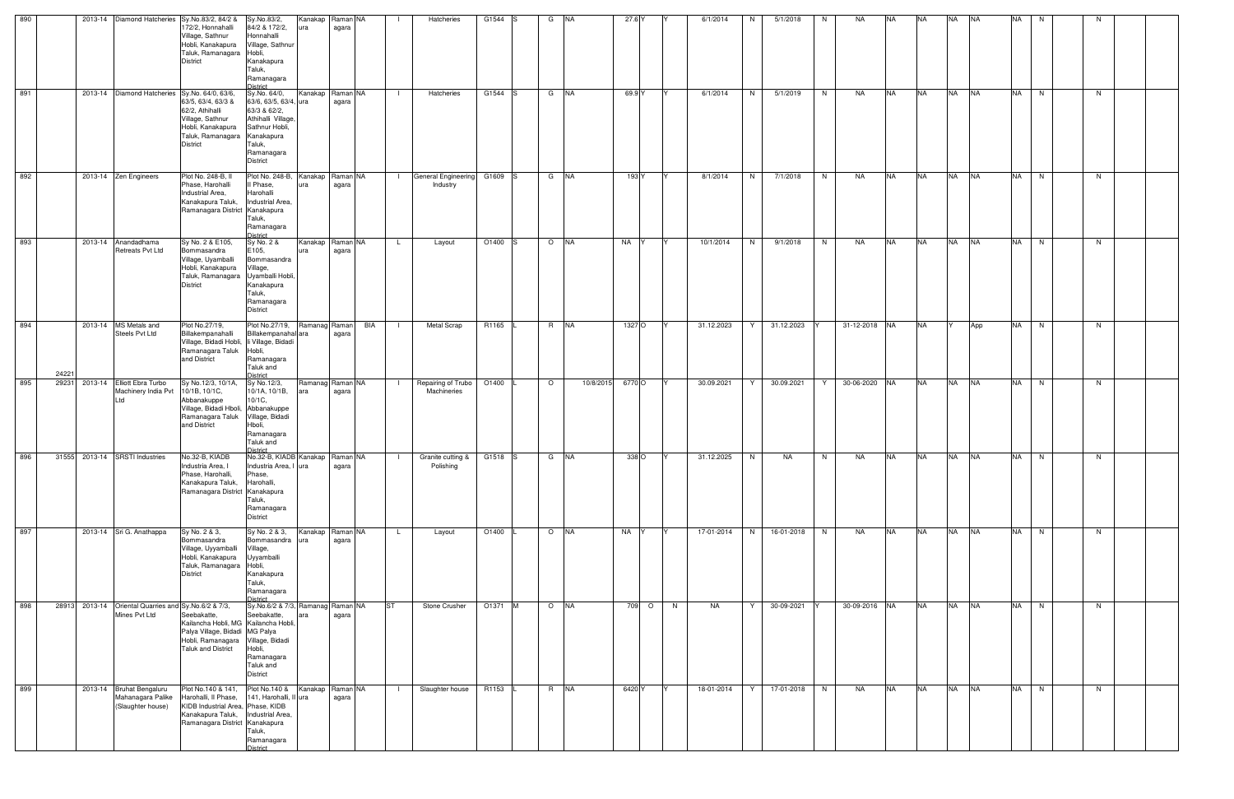| 890 |                                |                                                |                                                        | 2013-14 Diamond Hatcheries Sy.No.83/2, 84/2 &<br>172/2, Honnahalli<br>Village, Sathnur<br>Hobli, Kanakapura<br>Taluk, Ramanagara Hobli,<br><b>District</b>                         | Sy.No.83/2,<br>84/2 & 172/2,<br>Honnahalli<br>Village, Sathnur<br>Kanakapura<br>Taluk,<br>Ramanagara<br><b>District</b>                 | ura           | Kanakap Raman NA<br>agara |                | Hatcheries                              | G1544 S           | G         | <b>INA</b> | 27.6 Y |         | 6/1/2014   | N  | 5/1/2018   | NA<br>N.             | NA.           | NA.       | <b>NA</b> | <b>INA</b> | <b>NA</b> | N.       | N  |  |
|-----|--------------------------------|------------------------------------------------|--------------------------------------------------------|------------------------------------------------------------------------------------------------------------------------------------------------------------------------------------|-----------------------------------------------------------------------------------------------------------------------------------------|---------------|---------------------------|----------------|-----------------------------------------|-------------------|-----------|------------|--------|---------|------------|----|------------|----------------------|---------------|-----------|-----------|------------|-----------|----------|----|--|
| 891 |                                |                                                |                                                        | 2013-14 Diamond Hatcheries Sy.No. 64/0, 63/6,<br>63/5, 63/4, 63/3 &<br>62/2, Athihalli<br>Village, Sathnur<br>Hobli, Kanakapura<br>Taluk, Ramanagara Kanakapura<br><b>District</b> | Sy.No. 64/0,<br>63/6, 63/5, 63/4, ura<br>63/3 & 62/2,<br>Athihalli Village<br>Sathnur Hobli,<br>Taluk,<br>Ramanagara<br><b>District</b> |               | Kanakap Raman NA<br>agara | $\blacksquare$ | Hatcheries                              | G1544 S           | G NA      |            | 69.9 Y |         | 6/1/2014   | N  | 5/1/2019   | N <sub>1</sub><br>NA | <b>NA</b>     | <b>NA</b> | <b>NA</b> | <b>NA</b>  |           | NA N     | N  |  |
| 892 |                                | 2013-14 Zen Engineers                          |                                                        | Plot No. 248-B, II<br>Phase, Harohalli<br>Industrial Area,<br>Kanakapura Taluk,<br>Ramanagara District Kanakapura                                                                  | Plot No. 248-B, Kanakap Raman NA<br>Il Phase,<br>Harohalli<br>Industrial Area,<br>Taluk,<br>Ramanagara<br><b>District</b>               | ura           | agara                     | $\mathbf{1}$   | General Engineering G1609 S<br>Industry |                   | G NA      |            | 193 Y  |         | 8/1/2014   | N  | 7/1/2018   | N<br>NA              | <b>NA</b>     | <b>NA</b> | <b>NA</b> | <b>NA</b>  |           | NA N     | N  |  |
| 893 |                                | 2013-14 Anandadhama                            | <b>Retreats Pvt Ltd</b>                                | Sy No. 2 & E105,<br>Bommasandra<br>Village, Uyamballi<br>Hobli, Kanakapura<br>Taluk, Ramanagara Uyamballi Hobli<br><b>District</b>                                                 | Sy No. 2 &<br>E105,<br>Bommasandra<br>Village,<br>Kanakapura<br>Taluk,<br>Ramanagara<br><b>District</b>                                 | ura           | Kanakap Raman NA<br>agara | $\mathsf{L}$   | Layout                                  | O1400             | O NA      |            | NA     |         | 10/1/2014  | N  | 9/1/2018   | NA<br>N.             | <b>NA</b>     | <b>NA</b> | <b>NA</b> | <b>NA</b>  | <b>NA</b> | N        | N. |  |
| 894 | 24221                          | 2013-14 MS Metals and<br><b>Steels Pvt Ltd</b> |                                                        | Plot No.27/19,<br>Billakempanahalli<br>Village, Bidadi Hobli, li Village, Bidadi<br>Ramanagara Taluk<br>and District                                                               | Plot No.27/19,<br>Billakempanahal ara<br>Hobli,<br>Ramanagara<br>Taluk and<br>District                                                  | Ramanag Raman | BIA<br>agara              |                | <b>Metal Scrap</b>                      | R1165             | R NA      |            | 1327 O |         | 31.12.2023 | Y. | 31.12.2023 |                      | 31-12-2018 NA | <b>NA</b> |           | App        | <b>NA</b> | N        | N  |  |
| 895 | 29231                          | 2013-14 Elliott Ebra Turbo<br>Ltd              | Machinery India Pvt                                    | Sy No.12/3, 10/1A,<br>10/1B, 10/1C,<br>Abbanakuppe<br>Village, Bidadi Hboli, Abbanakuppe<br>Ramanagara Taluk<br>and District                                                       | Sy No.12/3,<br>10/1A, 10/1B,<br>10/1C,<br>Village, Bidadi<br>Hboli,<br>Ramanagara<br>Taluk and<br>District                              | ara           | Ramanag Raman NA<br>agara |                | Repairing of Trubo<br>Machineries       | O1400             | $\circ$   | 10/8/2015  | 6770 O |         | 30.09.2021 | Y. | 30.09.2021 | Y                    | 30-06-2020 NA | <b>NA</b> | <b>NA</b> | <b>INA</b> | <b>NA</b> | N        | N  |  |
| 896 | 31555 2013-14 SRSTI Industries |                                                |                                                        | No.32-B, KIADB<br>Industria Area, I<br>Phase, Harohalli,<br>Kanakapura Taluk,<br>Ramanagara District Kanakapura                                                                    | No.32-B, KIADB Kanakap Raman NA<br>Industria Area, I ura<br>Phase,<br>Harohalli,<br>Taluk,<br>Ramanagara<br>District                    |               | agara                     |                | Granite cutting &<br>Polishing          | G1518 S           | G         | <b>INA</b> | 338 O  |         | 31.12.2025 | N  | NA         | NA<br>N.             | <b>NA</b>     | <b>NA</b> | <b>NA</b> | <b>NA</b>  | <b>NA</b> | N        | N. |  |
| 897 |                                | 2013-14 Sri G. Anathappa                       |                                                        | Sy No. 2 & 3,<br>Bommasandra<br>Village, Uyyamballi<br>Hobli, Kanakapura<br>Taluk, Ramanagara Hobli,<br><b>District</b>                                                            | Sy No. 2 & 3,<br>Bommasandra<br>Village,<br>Uyyamballi<br>Kanakapura<br>Taluk,<br>Ramanagara<br>District                                | ura           | Kanakap Raman NA<br>agara | $\mathsf{L}$   | Layout                                  | O1400             | $O$ $N$ A |            | NA Y   | IY.     | 17-01-2014 | N  | 16-01-2018 | N<br>NA              | <b>NA</b>     | <b>NA</b> | <b>NA</b> | <b>NA</b>  |           | $NA$ $N$ | N  |  |
| 898 |                                | Mines Pvt Ltd                                  | 28913 2013-14 Oriental Quarries and Sy. No. 6/2 & 7/3, | Seebakatte.<br>Kailancha Hobli, MG Kailancha Hobli,<br>Palya Village, Bidadi MG Palya<br>Hobli, Ramanagara Village, Bidadi<br><b>Taluk and District</b>                            | Sy No.6/2 & 7/3, Ramanag Raman NA<br>Seebakatte.<br>Hobli,<br>Ramanagara<br>Taluk and<br><b>District</b>                                | ara           | agara                     | <b>ST</b>      | Stone Crusher                           | O1371 M           | O NA      |            |        | 709 O N | NA         | Y  | 30-09-2021 |                      | 30-09-2016 NA | <b>NA</b> | <b>NA</b> | <b>NA</b>  |           | NA N     | N  |  |
| 899 |                                | 2013-14 Bruhat Bengaluru                       | Mahanagara Palike<br>(Slaughter house)                 | Plot No.140 & 141,<br>Harohalli, Il Phase,<br>KIDB Industrial Area, Phase, KIDB<br>Kanakapura Taluk,<br>Ramanagara District Kanakapura                                             | Plot No.140 &<br>141, Harohalli, II ura<br>Industrial Area,<br>Taluk,<br>Ramanagara<br>District                                         |               | Kanakap Raman NA<br>agara |                | Slaughter house                         | R <sub>1153</sub> | R NA      |            | 6420 Y |         | 18-01-2014 | Y  | 17-01-2018 | N<br>NA              | <b>NA</b>     | <b>NA</b> | <b>NA</b> | <b>NA</b>  | <b>NA</b> | N        | N  |  |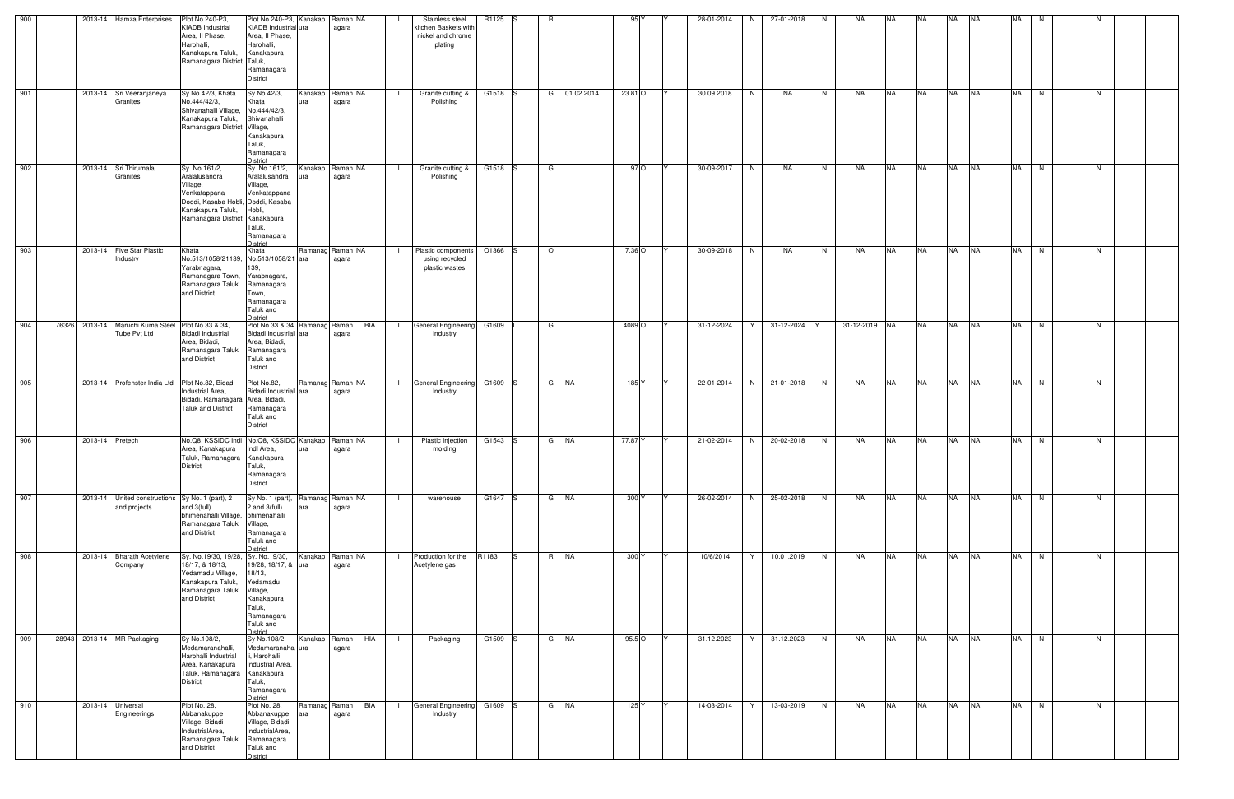| 900 |                 | 2013-14 Hamza Enterprises                                         | Plot No.240-P3,                                                                                                                                         | Plot No.240-P3, Kanakap Raman NA                                                                                       |                      |                           |                | Stainless steel                                        | R1125 S |     | R       |              | 95 <sub>Y</sub> | 28-01-2014        | N  | 27-01-2018 | N.             | NA            | <b>NA</b> | NA.       | <b>NA</b> | <b>INA</b> | <b>NA</b> | N.   |   |  |
|-----|-----------------|-------------------------------------------------------------------|---------------------------------------------------------------------------------------------------------------------------------------------------------|------------------------------------------------------------------------------------------------------------------------|----------------------|---------------------------|----------------|--------------------------------------------------------|---------|-----|---------|--------------|-----------------|-------------------|----|------------|----------------|---------------|-----------|-----------|-----------|------------|-----------|------|---|--|
|     |                 |                                                                   | <b>KIADB Industrial</b><br>Area, Il Phase,<br>Harohalli.<br>Kanakapura Taluk,<br>Ramanagara District Taluk,                                             | KIADB Industrial ura<br>Area, II Phase,<br>Harohalli,<br>Kanakapura<br>Ramanagara<br><b>District</b>                   |                      | agara                     |                | kitchen Baskets with<br>nickel and chrome<br>plating   |         |     |         |              |                 |                   |    |            |                |               |           |           |           |            |           |      |   |  |
| 901 |                 | 2013-14 Sri Veeranjaneya<br>Granites                              | Sy.No.42/3, Khata<br>No.444/42/3,<br>Shivanahalli Village, No.444/42/3,<br>Kanakapura Taluk,<br>Ramanagara District Village,                            | Sv.No.42/3,<br>Khata<br>Shivanahalli<br>Kanakapura<br>Taluk,<br>Ramanagara<br>District                                 | ura                  | Kanakap Raman NA<br>agara | $\blacksquare$ | Granite cutting &<br>Polishing                         | G1518 S |     |         | G 01.02.2014 | 23.81 O         | 30.09.2018        | N  | NA         | N              | NA            | <b>NA</b> | <b>NA</b> | <b>NA</b> | <b>NA</b>  |           | NA N | N |  |
| 902 |                 | 2013-14 Sri Thirumala<br>Granites                                 | Sy. No.161/2,<br>Aralalusandra<br>Village,<br>Venkatappana<br>Doddi, Kasaba Hobli, Doddi, Kasaba<br>Kanakapura Taluk,<br>Ramanagara District Kanakapura | Sy. No.161/2,<br>Aralalusandra<br>Village,<br>Venkatappana<br>Hobli,<br>Taluk,<br>Ramanagara<br><b>District</b>        |                      | Kanakap Raman NA<br>agara |                | Granite cutting &<br>Polishing                         | G1518 S |     | G       |              | 97 O            | 30-09-2017        | N  | NA         | N              | NA            | <b>NA</b> | <b>NA</b> | <b>NA</b> | <b>NA</b>  | <b>NA</b> | N    | N |  |
| 903 |                 | 2013-14 Five Star Plastic<br>Industry                             | Khata<br>No.513/1058/21139, No.513/1058/21 ara<br>Yarabnagara,<br>Ramanagara Town, Yarabnagara,<br>Ramanagara Taluk<br>and District                     | Khata<br>139,<br>Ramanagara<br>Town,<br>Ramanagara<br>Taluk and<br>District                                            |                      | Ramanag Raman NA<br>agara | $\blacksquare$ | Plastic components<br>using recycled<br>plastic wastes | O1366 S |     | $\circ$ |              | 7.36 O          | 30-09-2018        | N  | NA         | N <sub>1</sub> | NA            | <b>NA</b> | <b>NA</b> | <b>NA</b> | <b>INA</b> | <b>NA</b> | N    | N |  |
| 904 |                 | 76326 2013-14 Maruchi Kuma Steel Plot No.33 & 34,<br>Tube Pvt Ltd | <b>Bidadi Industrial</b><br>Area, Bidadi,<br>Ramanagara Taluk<br>and District                                                                           | Plot No.33 & 34, Ramanag Raman<br>Bidadi Industrial ara<br>Area, Bidadi,<br>Ramanagara<br>Taluk and<br><b>District</b> |                      | BIA<br>agara              | $\Box$         | General Engineering G1609<br>Industry                  |         |     | G       |              | 4089 O          | 31-12-2024        | Y  | 31-12-2024 |                | 31-12-2019 NA |           | <b>NA</b> | <b>NA</b> | <b>NA</b>  | <b>NA</b> | N    | N |  |
| 905 |                 | 2013-14 Profenster India Ltd                                      | Plot No.82, Bidadi<br>Industrial Area,<br>Bidadi, Ramanagara Area, Bidadi,<br><b>Taluk and District</b>                                                 | Plot No.82,<br>Bidadi Industrial ara<br>Ramanagara<br>Taluk and<br><b>District</b>                                     |                      | Ramanag Raman NA<br>agara |                | <b>General Engineering</b><br>Industry                 | G1609 S |     | G NA    |              | 185 Y           | 22-01-2014        | N  | 21-01-2018 | N              | NA            | <b>NA</b> | <b>NA</b> | <b>NA</b> | <b>NA</b>  | <b>NA</b> | N    | N |  |
| 906 | 2013-14 Pretech |                                                                   | No.Q8, KSSIDC Indi No.Q8, KSSIDC Kanakap Raman NA<br>Area, Kanakapura<br>Taluk, Ramanagara Kanakapura<br>District                                       | Indl Area.<br>Taluk,<br>Ramanagara<br><b>District</b>                                                                  |                      | agara                     |                | Plastic Injection<br>molding                           | G1543 S |     | G NA    |              | 77.87 Y         | 21-02-2014<br>IY. | N  | 20-02-2018 | N              | NA .          | <b>NA</b> | <b>NA</b> | <b>NA</b> | <b>NA</b>  | <b>NA</b> | N    | N |  |
| 907 |                 | 2013-14 United constructions Sy No. 1 (part), 2<br>and projects   | and 3(full)<br>bhimenahalli Village, bhimenahalli<br>Ramanagara Taluk<br>and District                                                                   | Sy No. 1 (part), Ramanag Raman NA<br>2 and $3$ (full)<br>Village,<br>Ramanagara<br>Taluk and<br>District               | ara                  | agara                     | $\Box$         | warehouse                                              | G1647 S |     | $G$ $N$ |              | 300 Y           | 26-02-2014<br>IY. | N  | 25-02-2018 | N              | NA            | <b>NA</b> | <b>NA</b> | <b>NA</b> | <b>NA</b>  |           | NA N | N |  |
| 908 |                 | 2013-14 Bharath Acetylene<br>Company                              | Sy. No.19/30, 19/28, Sy. No.19/30,<br>18/17, & 18/13,<br>Yedamadu Village,<br>Kanakapura Taluk,<br>Ramanagara Taluk<br>and District                     | 19/28, 18/17, & ura<br>18/13,<br>Yedamadu<br>Village,<br>Kanakapura<br>Taluk,<br>Ramanagara<br>Taluk and<br>District   |                      | Kanakap Raman NA<br>agara |                | Production for the<br>Acetylene gas                    | R1183   | IS. | R NA    |              | 300 Y           | 10/6/2014         | Y. | 10.01.2019 | N              | NA            | <b>NA</b> | <b>NA</b> | <b>NA</b> | <b>NA</b>  | <b>NA</b> | N    | N |  |
| 909 |                 | 28943 2013-14 MR Packaging                                        | Sy No.108/2,<br>Medamaranahalli,<br>Harohalli Industrial<br>Area, Kanakapura<br>Taluk, Ramanagara Kanakapura<br><b>District</b>                         | Sy No.108/2,<br>Medamaranahal ura<br>li, Harohalli<br>Industrial Area,<br>Taluk,<br>Ramanagara<br>District             | Kanakap Raman        | HIA<br>agara              | - 1            | Packaging                                              | G1509 S |     | G NA    |              | 95.5 O          | 31.12.2023        | Y. | 31.12.2023 | N              | NA            | <b>NA</b> | <b>NA</b> | <b>NA</b> | <b>NA</b>  | <b>NA</b> | N    | N |  |
| 910 |                 | 2013-14 Universal<br>Engineerings                                 | Plot No. 28,<br>Abbanakuppe<br>Village, Bidadi<br>IndustrialArea,<br>Ramanagara Taluk<br>and District                                                   | Plot No. 28,<br>Abbanakuppe<br>Village, Bidadi<br>IndustrialArea,<br>Ramanagara<br>Taluk and<br>District               | Ramanag Raman<br>ara | BIA<br>agara              | $\Box$         | General Engineering G1609 S<br>Industry                |         |     | G NA    |              | 125 Y           | 14-03-2014        | Y  | 13-03-2019 | N              | NA            | <b>NA</b> | <b>NA</b> | <b>NA</b> | <b>INA</b> |           | NA N | N |  |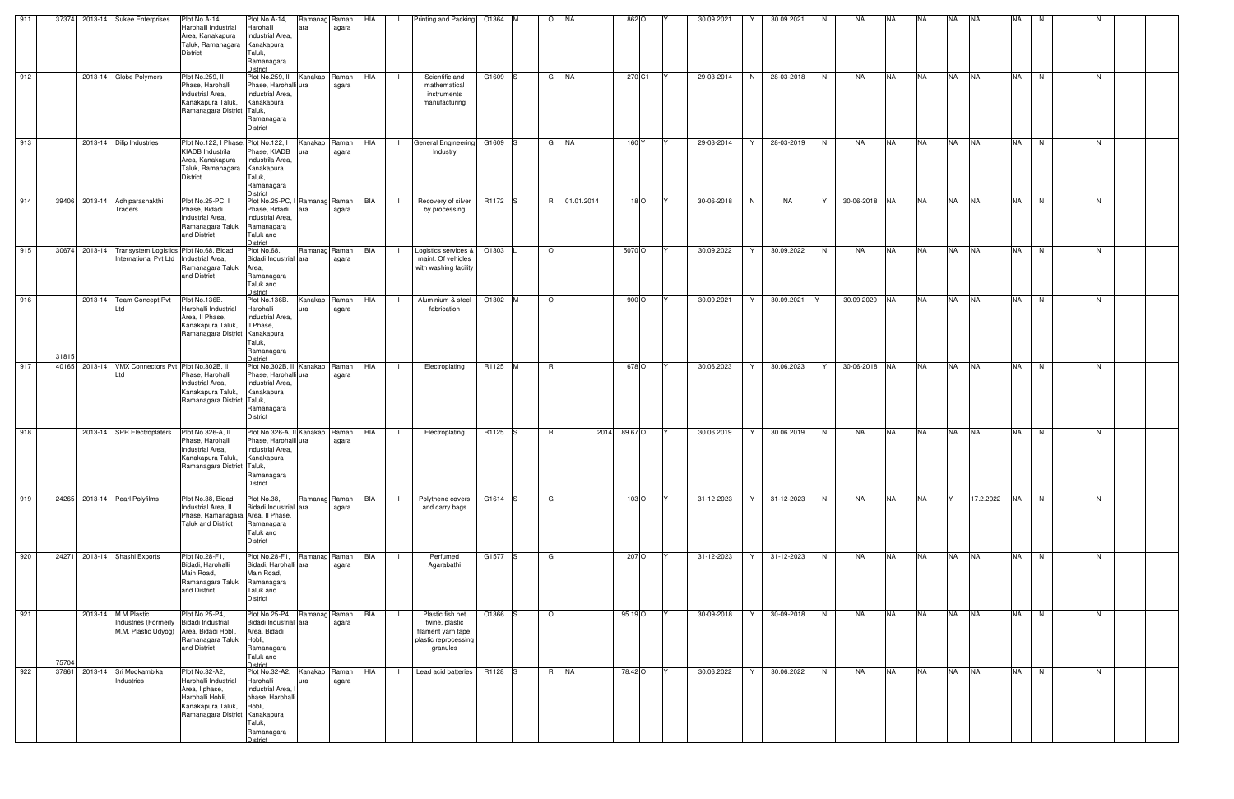| 911 |       |         | 37374 2013-14 Sukee Enterprises                                                                   | Plot No.A-14,<br>Harohalli Industrial<br>Area, Kanakapura<br>Taluk, Ramanagara Kanakapura<br><b>District</b>                           | Plot No.A-14,<br>Harohalli<br>ara<br>Industrial Area,<br>Taluk,<br>Ramanagara<br>District                                  | Ramanag Raman<br>agara | HIA | $\blacksquare$ | Printing and Packing 01364 M                                                                  |                     | $\circ$<br><b>INA</b> |              | 862 O            | 30.09.2021 | 30.09.2021<br>Y. | N | NA.           | NA.       | <b>NA</b> | <b>NA</b> | <b>NA</b>  | <b>NA</b> | N. |    |  |
|-----|-------|---------|---------------------------------------------------------------------------------------------------|----------------------------------------------------------------------------------------------------------------------------------------|----------------------------------------------------------------------------------------------------------------------------|------------------------|-----|----------------|-----------------------------------------------------------------------------------------------|---------------------|-----------------------|--------------|------------------|------------|------------------|---|---------------|-----------|-----------|-----------|------------|-----------|----|----|--|
| 912 |       |         | 2013-14 Globe Polymers                                                                            | Plot No.259, II<br>Phase, Harohalli<br>Industrial Area,<br>Kanakapura Taluk,<br>Ramanagara District Taluk,                             | Plot No.259, II Kanakap Raman<br>Phase, Harohalli ura<br>Industrial Area.<br>Kanakapura<br>Ramanagara<br><b>District</b>   | agara                  | HIA | - 1            | Scientific and<br>mathematical<br>instruments<br>manufacturing                                | G1609 S             | G NA                  |              | 270 C1           | 29-03-2014 | 28-03-2018<br>N  | N | NA            | <b>NA</b> | <b>NA</b> | <b>NA</b> | <b>NA</b>  | <b>NA</b> | N  | N. |  |
| 913 |       |         | 2013-14 Dilip Industries                                                                          | Plot No.122, I Phase, Plot No.122, I<br><b>KIADB</b> Industrila<br>Area, Kanakapura<br>Taluk, Ramanagara Kanakapura<br><b>District</b> | Phase, KIADB<br>Industrila Area,<br>Taluk,<br>Ramanagara<br><b>District</b>                                                | Kanakap Raman<br>agara | HIA | $\mathbf{L}$   | <b>General Engineering</b><br>Industry                                                        | G1609 S             | $G$ $N\overline{A}$   |              | 160 Y            | 29-03-2014 | 28-03-2019<br>Y  | N | NA            | <b>NA</b> | <b>NA</b> | <b>NA</b> | <b>NA</b>  | <b>NA</b> | N  | N. |  |
| 914 |       |         | 39406 2013-14 Adhiparashakthi<br><b>Traders</b>                                                   | Plot No.25-PC, I<br>Phase, Bidadi<br>Industrial Area.<br>Ramanagara Taluk<br>and District                                              | Plot No.25-PC, I Ramanag Raman<br>Phase, Bidadi<br>Industrial Area.<br>Ramanagara<br>Taluk and<br><b>District</b>          | agara                  | BIA | $\blacksquare$ | Recovery of silver<br>by processing                                                           | R <sub>1172</sub> S | 01.01.2014<br>R.      |              | $18$ O           | 30-06-2018 | N<br><b>NA</b>   | Y | 30-06-2018 NA |           | <b>NA</b> | <b>NA</b> | <b>NA</b>  | <b>NA</b> | N  | N  |  |
| 915 |       |         | 30674 2013-14 Transystem Logistics Plot No.68, Bidadi<br>International Pvt Ltd   Industrial Area, | Ramanagara Taluk<br>and District                                                                                                       | Plot No.68,<br>Bidadi Industrial<br>ara<br>Area,<br>Ramanagara<br>Taluk and<br><b>District</b>                             | Ramanag Raman<br>agara | BIA |                | Logistics services & 01303<br>maint. Of vehicles<br>with washing facility                     |                     | $\circ$               | 5070 O       |                  | 30.09.2022 | 30.09.2022       | N | NA            | <b>NA</b> | <b>NA</b> | <b>NA</b> | <b>NA</b>  | <b>NA</b> | N  | N. |  |
| 916 | 31815 | 2013-14 | <b>Team Concept Pvt</b><br>td                                                                     | Plot No.136B.<br>Harohalli Industrial<br>Area, II Phase,<br>Kanakapura Taluk,<br>Ramanagara District Kanakapura                        | Plot No.136B.<br>Harohalli<br>ura<br>Industrial Area,<br>Il Phase,<br>Taluk,<br>Ramanagara<br>District                     | Kanakap Raman<br>agara | HIA | - 1            | Aluminium & steel<br>fabrication                                                              | O1302 M             | $\circ$               |              | 900 O            | 30.09.2021 | 30.09.2021<br>Y  |   | 30.09.2020 NA |           | <b>NA</b> | <b>NA</b> | <b>NA</b>  | <b>NA</b> | N  | N. |  |
| 917 |       |         | 40165 2013-14 VMX Connectors Pvt Plot No.302B, II<br>_td                                          | Phase, Harohalli<br>Industrial Area,<br>Kanakapura Taluk,<br>Ramanagara District Taluk,                                                | Plot No.302B, II<br>Phase, Harohalli<br>lura<br>Industrial Area.<br>Kanakapura<br>Ramanagara<br><b>District</b>            | Kanakap Raman<br>agara | HIA |                | Electroplating                                                                                | R1125 M             | <b>R</b>              |              | 678 O            | 30.06.2023 | 30.06.2023       | Y | 30-06-2018 NA |           | <b>NA</b> | <b>NA</b> | <b>NA</b>  | <b>NA</b> | N  | N. |  |
| 918 |       |         | 2013-14 SPR Electroplaters                                                                        | Plot No.326-A, II<br>Phase, Harohalli<br>Industrial Area.<br>Kanakapura Taluk,<br>Ramanagara District Taluk,                           | Plot No.326-A, II Kanakap Raman<br>Phase, Harohalli ura<br>Industrial Area,<br>Kanakapura<br>Ramanagara<br><b>District</b> | agara                  | HIA |                | Electroplating                                                                                | R1125 S             | R.                    | 2014 89.67 O |                  | 30.06.2019 | 30.06.2019<br>Y  | N | NA            | <b>NA</b> | <b>NA</b> | <b>NA</b> | <b>INA</b> | <b>NA</b> | N  | N. |  |
| 919 |       |         | 24265 2013-14 Pearl Polyfilms                                                                     | Plot No.38, Bidadi<br>Industrial Area, II<br>Phase, Ramanagara Area, Il Phase,<br><b>Taluk and District</b>                            | Plot No.38,<br><b>Bidadi Industrial</b><br>lara<br>Ramanagara<br>Taluk and<br><b>District</b>                              | Ramanag Raman<br>agara | BIA |                | Polythene covers<br>and carry bags                                                            | G1614 S             | G                     |              | 103 <sub>O</sub> | 31-12-2023 | 31-12-2023<br>Y  | N | NA            | <b>NA</b> | <b>NA</b> |           | 17.2.2022  | <b>NA</b> | N  | N. |  |
| 920 |       |         | 24271 2013-14 Shashi Exports                                                                      | Plot No.28-F1,<br>Bidadi, Harohalli<br>Main Road,<br>Ramanagara Taluk Ramanagara<br>and District                                       | Plot No.28-F1,<br>Bidadi, Harohalli ara<br>Main Road,<br>Taluk and<br><b>District</b>                                      | Ramanag Raman<br>agara | BIA | - 1            | Perfumed<br>Agarabathi                                                                        | G1577 S             | G                     |              | 207 O            | 31-12-2023 | 31-12-2023<br>Y  | N | NA            | <b>NA</b> | <b>NA</b> | <b>NA</b> | <b>NA</b>  | <b>NA</b> | N  | N. |  |
| 921 | 75704 |         | 2013-14 M.M.Plastic<br>Industries (Formerly Bidadi Industrial                                     | Plot No.25-P4,<br>M.M. Plastic Udyog) Area, Bidadi Hobli,<br>Ramanagara Taluk<br>and District                                          | Plot No.25-P4,<br>Bidadi Industrial ara<br>Area, Bidadi<br>Hobli,<br>Ramanagara<br>Taluk and<br><b>District</b>            | Ramanag Raman<br>agara | BIA |                | Plastic fish net<br>twine, plastic<br>filament yarn tape,<br>plastic reprocessing<br>granules | O1366               | $\circ$               | 95.19 O      |                  | 30-09-2018 | Y<br>30-09-2018  | N | NA            | <b>NA</b> | <b>NA</b> | <b>NA</b> | <b>NA</b>  | <b>NA</b> | N  | N. |  |
| 922 | 37861 |         | 2013-14 Sri Mookambika<br>Industries                                                              | Plot No.32-A2,<br>Harohalli Industrial<br>Area, I phase,<br>Harohalli Hobli,<br>Kanakapura Taluk,<br>Ramanagara District Kanakapura    | Plot No.32-A2,<br>Harohalli<br>ura<br>Industrial Area,<br>phase, Harohalli<br>Hobli,<br>Taluk,<br>Ramanagara<br>District   | Kanakap Raman<br>agara | HIA | - 1            | Lead acid batteries R1128 S                                                                   |                     | R NA                  | 78.42 O      |                  | 30.06.2022 | Y<br>30.06.2022  | N | NA            | <b>NA</b> | <b>NA</b> | <b>NA</b> | <b>NA</b>  | <b>NA</b> | N  | N. |  |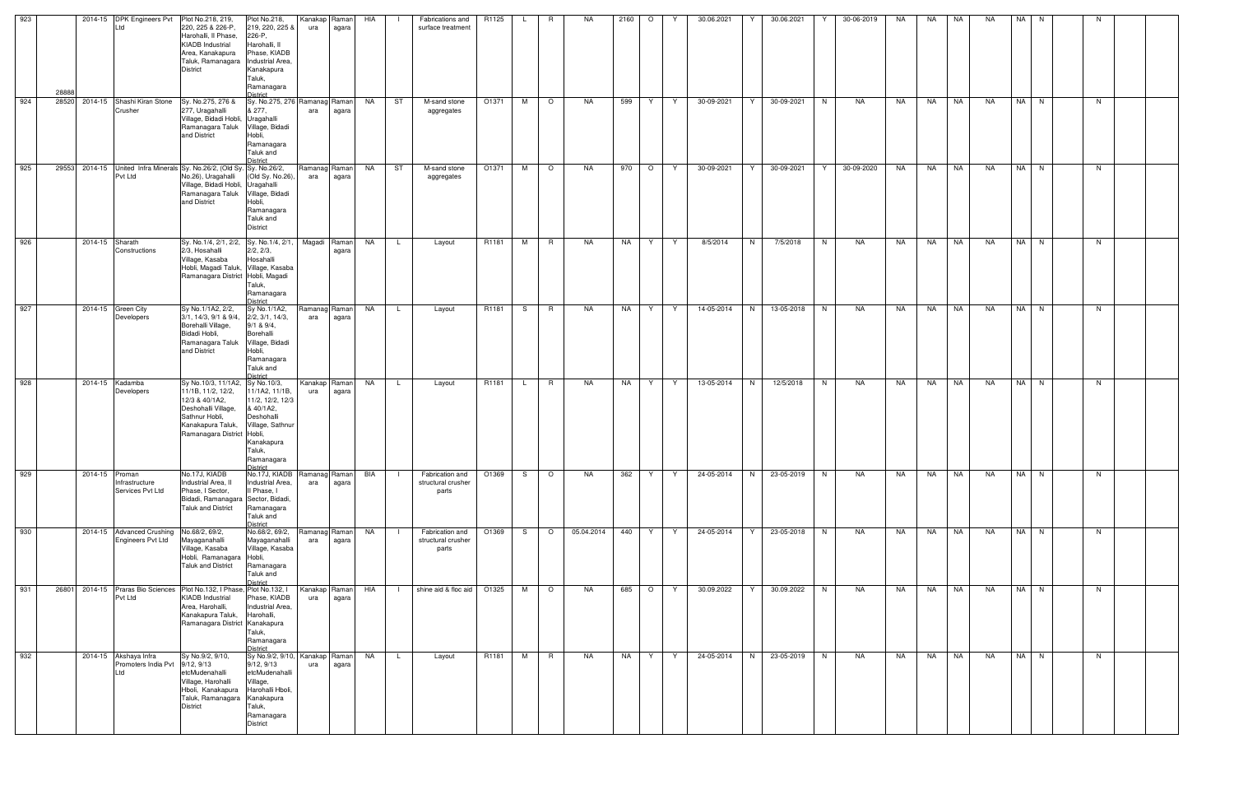| 923 | 28888 | 2014-15 DPK Engineers Pvt<br>Ltd                                                  | Plot No.218, 219,<br>220, 225 & 226-P,<br>Harohalli, Il Phase,<br><b>KIADB</b> Industrial<br>Area, Kanakapura<br>Taluk, Ramanagara   Industrial Area,<br><b>District</b> | Plot No.218,<br>219, 220, 225 &<br>226-P,<br>Harohalli, II<br>Phase, KIADB<br>Kanakapura<br>Taluk,<br>Ramanagara<br>District              | Kanakap<br>ura       | Raman<br>agara | HIA       | Fabrications and<br>surface treatment          | R1125                      |    | R.              | NA         | 2160 | $\circ$ | Y  | 30.06.2021 | Y | 30.06.2021 |   | 30-06-2019 | NA | NA        | NA        | NA        | NA I | N. | N  |  |
|-----|-------|-----------------------------------------------------------------------------------|--------------------------------------------------------------------------------------------------------------------------------------------------------------------------|-------------------------------------------------------------------------------------------------------------------------------------------|----------------------|----------------|-----------|------------------------------------------------|----------------------------|----|-----------------|------------|------|---------|----|------------|---|------------|---|------------|----|-----------|-----------|-----------|------|----|----|--|
| 924 |       | 28520 2014-15 Shashi Kiran Stone<br>Crusher                                       | Sy. No.275, 276 &<br>277, Uragahalli<br>Village, Bidadi Hobli,<br>Ramanagara Taluk<br>and District                                                                       | Sy. No.275, 276 Ramanag Raman<br>& 277,<br>Uragahalli<br>Village, Bidadi<br>Hobli,<br>Ramanagara<br>Taluk and<br>District                 | ara                  | agara          | NA        | ST<br>M-sand stone<br>aggregates               | O1371                      | M  | $\circ$         | NA.        | 599  | Y.      | Y  | 30-09-2021 | Y | 30-09-2021 | N | NA         | NA | NA        | NA        | <b>NA</b> | NA N |    | N. |  |
| 925 |       | 29553 2014-15 United Infra Minerals Sy. No.26/2, (Old Sy. Sy. No.26/2,<br>Pvt Ltd | No.26), Uragahalli<br>Village, Bidadi Hobli, Uragahalli<br>Ramanagara Taluk<br>and District                                                                              | (Old Sy. No.26),<br>Village, Bidadi<br>Hobli,<br>Ramanagara<br>Taluk and<br><b>District</b>                                               | Ramanag Raman<br>ara | agara          | NA        | ST<br>M-sand stone<br>aggregates               | O1371                      | M  | $\circ$         | NA         | 970  | $\circ$ | Y  | 30-09-2021 | Y | 30-09-2021 | Y | 30-09-2020 | NA | <b>NA</b> | <b>NA</b> | <b>NA</b> | NA N |    | N. |  |
| 926 |       | 2014-15 Sharath<br>Constructions                                                  | Sy. No.1/4, 2/1, 2/2, Sy. No.1/4, 2/1,<br>2/3, Hosahalli<br>Village, Kasaba<br>Hobli, Magadi Taluk, Village, Kasaba<br>Ramanagara District Hobli, Magadi                 | 2/2, 2/3,<br>Hosahalli<br>Taluk,<br>Ramanagara<br>District                                                                                | Magadi               | Raman<br>agara | NA        | $\mathsf{L}$<br>Layout                         | R1181                      | M  | $R_{\parallel}$ | NA         | NA   | Y.      | Y  | 8/5/2014   | N | 7/5/2018   | N | NA         | NA | NA 1      | <b>NA</b> | NA        | NA N |    | N. |  |
| 927 |       | 2014-15 Green City<br>Developers                                                  | Sy No.1/1A2, 2/2,<br>3/1, 14/3, 9/1 & 9/4,<br>Borehalli Village,<br>Bidadi Hobli,<br>Ramanagara Taluk<br>and District                                                    | Sy No.1/1A2,<br>2/2, 3/1, 14/3,<br>$9/1$ & $9/4$ ,<br>Borehalli<br>Village, Bidadi<br>Hobli,<br>Ramanagara<br>Taluk and<br>District       | Ramanag Raman<br>ara | agara          | NA        | Layout<br>L.                                   | R1181                      | S  | R               | NA         | NA   | Y.      | Y. | 14-05-2014 | N | 13-05-2018 | N | NA         | NA | NA        | NA        | NA        | NA N |    | N. |  |
| 928 |       | 2014-15 Kadamba<br>Developers                                                     | Sy No.10/3, 11/1A2, Sy No.10/3,<br>11/1B, 11/2, 12/2,<br>12/3 & 40/1A2,<br>Deshohalli Village,<br>Sathnur Hobli,<br>Kanakapura Taluk,<br>Ramanagara District Hobli,      | 11/1A2, 11/1B,<br>11/2, 12/2, 12/3<br>& 40/1A2,<br>Deshohalli<br>Village, Sathnur<br>Kanakapura<br>Taluk,<br>Ramanagara                   | Kanakap Raman<br>ura | agara          | NA        | <b>L</b><br>Layout                             | R1181                      | L. | $\overline{R}$  | NA         | NA   | Y       | Y  | 13-05-2014 | N | 12/5/2018  | N | NA         | NA | NA        | <b>NA</b> | <b>NA</b> | NA N |    | N  |  |
| 929 |       | 2014-15 Proman<br>Infrastructure<br>Services Pvt Ltd                              | No.17J, KIADB<br>Industrial Area, II<br>Phase, I Sector,<br>Bidadi, Ramanagara Sector, Bidadi,<br><b>Taluk and District</b>                                              | No.17J, KIADB<br>Industrial Area,<br>Il Phase, I<br>Ramanagara<br>Taluk and<br><b>District</b>                                            | Ramanag Raman<br>ara | agara          | BIA       | Fabrication and<br>structural crusher<br>parts | O1369                      | S. | $\circ$         | NA         | 362  | Y       | Y  | 24-05-2014 | N | 23-05-2019 | N | NA         | NA | NA        | NA        | <b>NA</b> | NA I | N  | N. |  |
| 930 |       | 2014-15 Advanced Crushing<br>Engineers Pvt Ltd                                    | No.68/2, 69/2,<br>Mayaganahalli<br>Village, Kasaba<br>Hobli, Ramanagara Hobli,<br><b>Taluk and District</b>                                                              | No.68/2, 69/2,<br>Mayaganahalli<br>Village, Kasaba<br>Ramanagara<br>Taluk and<br>District                                                 | Ramanag Raman<br>ara | agara          | NA        | Fabrication and<br>structural crusher<br>parts | O1369                      | S. | $\circ$         | 05.04.2014 | 440  | Y       | Y  | 24-05-2014 | Y | 23-05-2018 | N | NA         | NA | NA        | NA        | NA        | NA N |    | N  |  |
| 931 | 26801 | 2014-15 Praras Bio Sciences Plot No.132, I Phase, Plot No.132, I<br>Pvt Ltd       | <b>KIADB</b> Industrial<br>Area, Harohalli,<br>Kanakapura Taluk,<br>Ramanagara District Kanakapura                                                                       | Phase, KIADB<br>Industrial Area,<br>Harohalli,<br>Taluk,<br>Ramanagara<br><b>District</b>                                                 | Kanakap Raman<br>ura | agara          | HIA       |                                                | shine aid & floc aid 01325 | M  | $\circ$         | NA         | 685  | $\circ$ | Y  | 30.09.2022 | Y | 30.09.2022 | N | NA         | NA | NA        | NA        | NA        | NA N |    | N  |  |
| 932 |       | 2014-15 Akshaya Infra<br>Promoters India Pvt<br>Ltd                               | Sy No.9/2, 9/10,<br>9/12, 9/13<br>etcMudenahalli<br>Village, Harohalli<br>Hboli, Kanakapura<br>Taluk, Ramanagara Kanakapura<br><b>District</b>                           | Sy No.9/2, 9/10, Kanakap Raman<br>9/12, 9/13<br>etcMudenahalli<br>Village,<br>Harohalli Hboli,<br>Taluk,<br>Ramanagara<br><b>District</b> | ura                  | agara          | <b>NA</b> | $\mathsf{L}$<br>Layout                         | R1181                      | M  | $\overline{R}$  | NA         | NA   | Y.      | Y  | 24-05-2014 | N | 23-05-2019 | N | NA         | NA | NA        | NA        | <b>NA</b> | NA N |    | N  |  |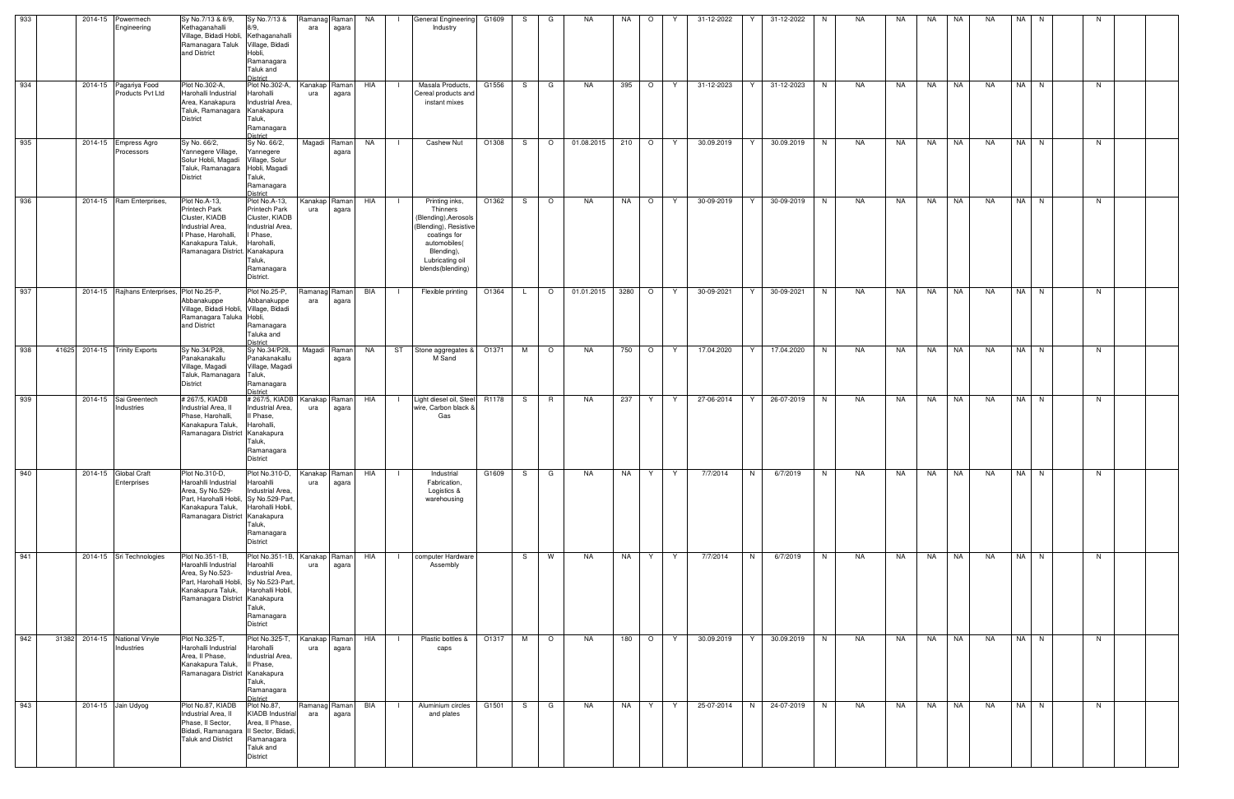| 933 |  | 2014-15 Powermech<br>Engineering            | Sy No.7/13 & 8/9,<br>Kethaganahalli<br>Village, Bidadi Hobli, Kethaganahalli<br>Ramanagara Taluk<br>and District                                             | Sy No.7/13 &<br>8/9.<br>Village, Bidadi<br>Hobli,<br>Ramanagara<br>Taluk and<br>District                                                   | Ramanag<br>ara       | Ramanl<br>agara | NA  | <b>General Engineering</b><br>Industry                                                                                                                          | G1609 | S. | G            | NA         | NA        | $\circ$      |   | 31-12-2022 | 31-12-2022      | N | NA | NA  | NA    | NA        | <b>NA</b> | NA I | N    | N  |  |
|-----|--|---------------------------------------------|--------------------------------------------------------------------------------------------------------------------------------------------------------------|--------------------------------------------------------------------------------------------------------------------------------------------|----------------------|-----------------|-----|-----------------------------------------------------------------------------------------------------------------------------------------------------------------|-------|----|--------------|------------|-----------|--------------|---|------------|-----------------|---|----|-----|-------|-----------|-----------|------|------|----|--|
| 934 |  | 2014-15 Pagariya Food<br>Products Pvt Ltd   | Plot No.302-A,<br>Harohalli Industrial<br>Area, Kanakapura<br>Taluk, Ramanagara Kanakapura<br>District                                                       | Plot No.302-A,<br>Harohalli<br>Industrial Area,<br>Taluk,<br>Ramanagara<br><b>District</b>                                                 | Kanakap<br>ura       | Raman<br>agara  | HIA | Masala Products,<br>Cereal products and<br>instant mixes                                                                                                        | G1556 | S. | G            | NA         | 395       | $\circ$      | Y | 31-12-2023 | 31-12-2023<br>Y | N | NA | NA. | NA    | NA        | NA        |      | NA N | N. |  |
| 935 |  | 2014-15 Empress Agro<br>Processors          | Sy No. 66/2,<br>Yannegere Village,<br>Solur Hobli, Magadi Village, Solur<br>Taluk, Ramanagara Hobli, Magadi<br><b>District</b>                               | Sy No. 66/2,<br>Yannegere<br>Taluk,<br>Ramanagara<br><b>District</b>                                                                       | Magadi               | Raman<br>agara  | NA  | Cashew Nut                                                                                                                                                      | O1308 | S. | $\circ$      | 01.08.2015 | 210 O     |              | Y | 30.09.2019 | Y<br>30.09.2019 | N | NA | NA  | NA NA |           | NA        |      | NA N | N  |  |
| 936 |  | 2014-15 Ram Enterprises,                    | Plot No.A-13,<br>Printech Park<br>Cluster, KIADB<br>Industrial Area.<br>I Phase, Harohalli,<br>Kanakapura Taluk,<br>Ramanagara District. Kanakapura          | Plot No.A-13,<br><b>Printech Park</b><br>Cluster, KIADB<br>Industrial Area,<br>I Phase,<br>Harohalli,<br>Taluk,<br>Ramanagara<br>District. | Kanakap<br>ura       | Raman<br>agara  | HIA | Printing inks,<br>Thinners<br>(Blending), Aerosols<br>Blending), Resistive<br>coatings for<br>automobiles(<br>Blending),<br>Lubricating oil<br>blends(blending) | O1362 | S. | $\circ$      | NA         | NA        | $\circ$      | Y | 30-09-2019 | 30-09-2019      | N | NA | NA  | NA    | <b>NA</b> | <b>NA</b> |      | NA N | N  |  |
| 937 |  | 2014-15 Rajhans Enterprises, Plot No.25-P,  | Abbanakuppe<br>Village, Bidadi Hobli, Village, Bidadi<br>Ramanagara Taluka Hobli,<br>and District                                                            | Plot No.25-P,<br>Abbanakuppe<br>Ramanagara<br>Taluka and<br><b>District</b>                                                                | Ramanag<br>ara       | Raman<br>agara  | BIA | Flexible printing                                                                                                                                               | O1364 | L. | $\circ$      | 01.01.2015 | 3280      | $\circ$      | Y | 30-09-2021 | 30-09-2021<br>Y | N | NA | NA  | NA    | NA        | <b>NA</b> |      | NA N | N  |  |
| 938 |  | 41625 2014-15 Trinity Exports               | Sy No.34/P28,<br>Panakanakallu<br>Village, Magadi<br>Taluk, Ramanagara Taluk,<br>District                                                                    | Sy No.34/P28,<br>Panakanakallu<br>Village, Magadi<br>Ramanagara<br><b>District</b>                                                         | Magadi               | Raman<br>agara  | NA  | ST Stone aggregates &<br>M Sand                                                                                                                                 | O1371 | M  | $\circ$      | NA.        | 750       | $\circ$      | Y | 17.04.2020 | 17.04.2020<br>Y | N | NA | NA  | NA    | NA        | NA        |      | NA N | N  |  |
| 939 |  | 2014-15 Sai Greentech<br>Industries         | #267/5, KIADB<br>Industrial Area, II<br>Phase, Harohalli,<br>Kanakapura Taluk,<br>Ramanagara District Kanakapura                                             | #267/5, KIADB<br>Industrial Area,<br>Il Phase,<br>Harohalli,<br>Taluk,<br>Ramanagara<br><b>District</b>                                    | Kanakap<br>ura       | Raman<br>agara  | HIA | Light diesel oil, Steel R1178<br>wire, Carbon black &<br>Gas                                                                                                    |       | S. | $\mathsf{R}$ | NA         | 237       | Y            | Y | 27-06-2014 | 26-07-2019<br>Y | N | NA | NA  | NA    | NA        | NA        |      | NA N | N  |  |
| 940 |  | 2014-15 Global Craft<br>Enterprises         | Plot No.310-D,<br>Haroahlli Industrial<br>Area, Sy No.529-<br>Part, Harohalli Hobli, Sy No.529-Part.<br>Kanakapura Taluk,<br>Ramanagara District Kanakapura  | Plot No.310-D,<br>Haroahlli<br>Industrial Area,<br>Harohalli Hobli,<br>Taluk,<br>Ramanagara<br><b>District</b>                             | Kanakap Raman<br>ura | agara           | HIA | Industrial<br>Fabrication,<br>Logistics &<br>warehousing                                                                                                        | G1609 | S  | G            | <b>NA</b>  | NA        | Y            | Y | 7/7/2014   | N<br>6/7/2019   | N | NA | NA  | NA    | <b>NA</b> | <b>NA</b> |      | NA N | N  |  |
| 941 |  | 2014-15 Sri Technologies                    | Plot No.351-1B,<br>Haroahlli Industrial<br>Area, Sy No.523-<br>Part, Harohalli Hobli, Sy No.523-Part.<br>Kanakapura Taluk,<br>Ramanagara District Kanakapura | Plot No.351-1B, Kanakap<br>Haroahlli<br>Industrial Area,<br>Harohalli Hobli,<br>Taluk,<br>Ramanagara<br><b>District</b>                    | ura                  | Raman<br>agara  | HIA | computer Hardware<br>Assembly                                                                                                                                   |       | S. | W            | NA         | NA        | Y.           | Y | 7/7/2014   | N<br>6/7/2019   | N | NA | NA  | NA    | NA        | NA        |      | NA N | N  |  |
| 942 |  | 31382 2014-15 National Vinyle<br>Industries | Plot No.325-T,<br>Harohalli Industrial<br>Area, Il Phase,<br>Kanakapura Taluk,<br>Ramanagara District Kanakapura                                             | Plot No.325-T,<br>Harohalli<br>Industrial Area,<br>Il Phase,<br>Taluk,<br>Ramanagara<br><b>District</b>                                    | Kanakap<br>ura       | Raman<br>agara  | HIA | Plastic bottles &<br>$\Box$<br>caps                                                                                                                             | O1317 | M  | $\circ$      | NA         | 180   O   |              | Y | 30.09.2019 | Y<br>30.09.2019 | N | NA | NA  | NA 1  | I NA      | NA        | NA N |      | N  |  |
| 943 |  | 2014-15 Jain Udyog                          | Plot No.87, KIADB<br>Industrial Area, II<br>Phase, II Sector,<br>Bidadi, Ramanagara II Sector, Bidadi,<br><b>Taluk and District</b>                          | Plot No.87,<br><b>KIADB</b> Industrial<br>Area, II Phase,<br>Ramanagara<br>Taluk and<br>District                                           | Ramanag<br>ara       | Ramanl<br>agara | BIA | Aluminium circles<br>- 1<br>and plates                                                                                                                          | G1501 | S. | G            | NA         | <b>NA</b> | $\mathsf{Y}$ | Y | 25-07-2014 | N<br>24-07-2019 | N | NA | NA  |       | NA NA     | NA        |      | NA N | N. |  |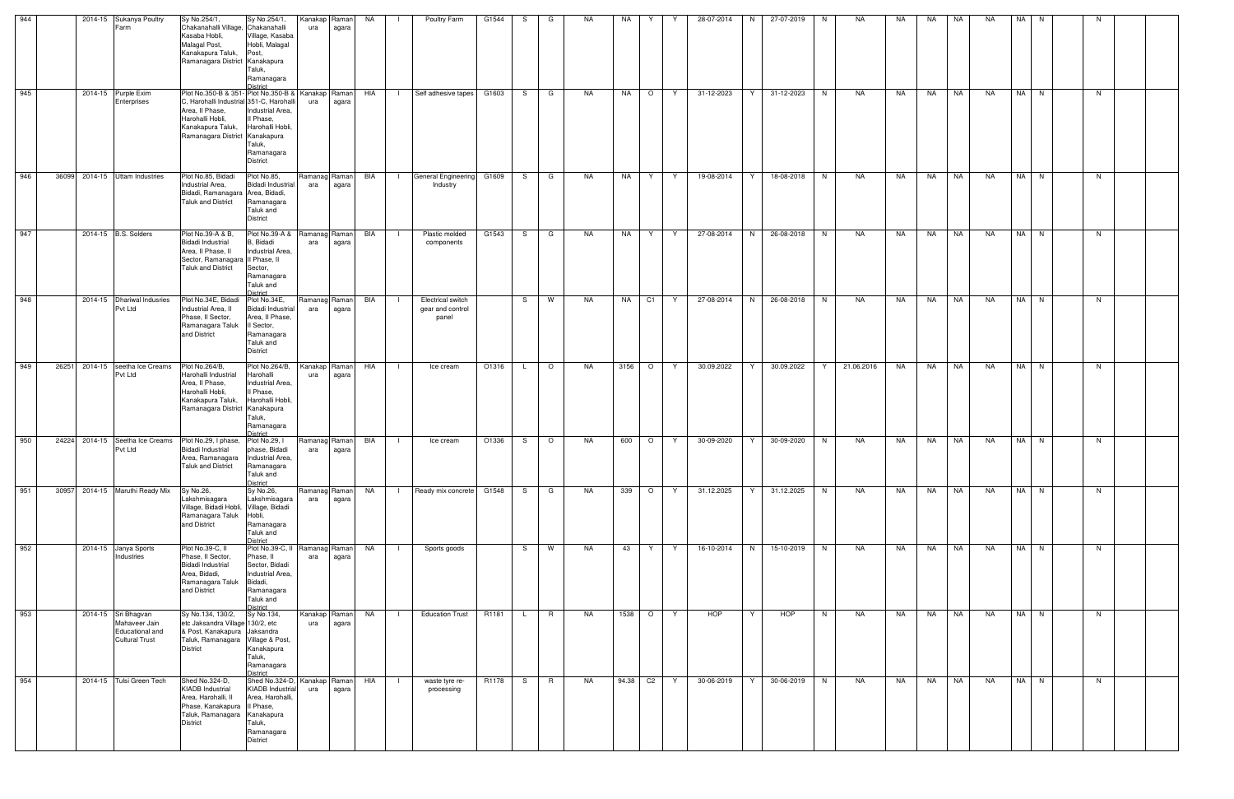| 944 |       | 2014-15 Sukanya Poultry                                                          | Sy No.254/1,                                                                                                                                                                                     | Sy No.254/1,                                                                                                                    | Kanakap Raman        |       | NA         | Poultry Farm                                          | G1544 | S  | G       | NA.       | NA    | Y             | 28-07-2014 | N. | 27-07-2019 | N. | NA         | NA | NA        | NA        | <b>NA</b> | NA I | N |    |  |
|-----|-------|----------------------------------------------------------------------------------|--------------------------------------------------------------------------------------------------------------------------------------------------------------------------------------------------|---------------------------------------------------------------------------------------------------------------------------------|----------------------|-------|------------|-------------------------------------------------------|-------|----|---------|-----------|-------|---------------|------------|----|------------|----|------------|----|-----------|-----------|-----------|------|---|----|--|
|     |       | Farm                                                                             | Chakanahalli Village, Chakanahalli<br>Kasaba Hobli,<br>Malagal Post,<br>Kanakapura Taluk,<br>Ramanagara District Kanakapura                                                                      | Village, Kasaba<br>Hobli, Malagal<br>Post,<br>Taluk,<br>Ramanagara<br><b>District</b>                                           | ura                  | agara |            |                                                       |       |    |         |           |       |               |            |    |            |    |            |    |           |           |           |      |   |    |  |
| 945 |       | 2014-15 Purple Exim<br>Enterprises                                               | Plot No.350-B & 351- Plot No.350-B &   Kanakap   Raman<br>C, Harohalli Industrial 351-C, Harohalli<br>Area, II Phase,<br>Harohalli Hobli,<br>Kanakapura Taluk,<br>Ramanagara District Kanakapura | Industrial Area,<br>Il Phase,<br>Harohalli Hobli,<br>Taluk,<br>Ramanagara<br><b>District</b>                                    | ura                  | agara | HIA        | Self adhesive tapes                                   | G1603 | S  | G       | <b>NA</b> | NA    | $\circ$<br>Y  | 31-12-2023 | Y  | 31-12-2023 | N  | NA         | NA | <b>NA</b> | NA        | <b>NA</b> | NA N |   | N  |  |
| 946 | 36099 | 2014-15 Uttam Industries                                                         | Plot No.85, Bidadi<br>Industrial Area.<br>Bidadi, Ramanagara Area, Bidadi,<br><b>Taluk and District</b>                                                                                          | Plot No.85,<br><b>Bidadi Industrial</b><br>Ramanagara<br>Taluk and<br><b>District</b>                                           | Ramanag Raman<br>ara | agara | BIA        | General Engineering<br>$\blacksquare$<br>Industry     | G1609 | S. | G       | NA        | NA    | Y<br>Y.       | 19-08-2014 | Y  | 18-08-2018 | N  | NA         | NA | NA        | NA        | <b>NA</b> | NA N |   | N  |  |
| 947 |       | 2014-15 B.S. Solders                                                             | Plot No.39-A & B,<br><b>Bidadi Industrial</b><br>Area. Il Phase. II<br>Sector, Ramanagara II Phase, II<br><b>Taluk and District</b>                                                              | Plot No.39-A &<br>B, Bidadi<br>Industrial Area.<br>Sector,<br>Ramanagara<br>Taluk and<br>District                               | Ramanag Raman<br>ara | agara | BIA        | Plastic molded<br>components                          | G1543 | S  | G       | <b>NA</b> | NA    | Y<br>Y        | 27-08-2014 | N  | 26-08-2018 | N  | NA         | NA | NA        | NA        | NA        | NA I | N | N  |  |
| 948 |       | 2014-15 Dhariwal Indusries<br>Pvt Ltd                                            | Plot No.34E, Bidadi<br>Industrial Area, II<br>Phase, II Sector,<br>Ramanagara Taluk<br>and District                                                                                              | Plot No.34E,<br><b>Bidadi Industrial</b><br>Area, Il Phase,<br>II Sector,<br>Ramanagara<br>Taluk and<br><b>District</b>         | Ramanag Raman<br>ara | agara | BIA        | <b>Electrical switch</b><br>gear and control<br>panel |       | S  | W       | NA.       | NA    | C1<br>Y       | 27-08-2014 | N  | 26-08-2018 | N  | NA         | NA | NA        | NA        | NA        | NA N |   | N. |  |
| 949 | 26251 | 2014-15 seetha Ice Creams<br>Pvt Ltd                                             | Plot No.264/B,<br>Harohalli Industrial<br>Area, II Phase,<br>Harohalli Hobli,<br>Kanakapura Taluk,<br>Ramanagara District Kanakapura                                                             | Plot No.264/B,<br>Harohalli<br>Industrial Area,<br>Il Phase,<br>Harohalli Hobli,<br>Taluk,<br>Ramanagara<br><b>District</b>     | Kanakap Raman<br>ura | agara | HIA        | Ice cream                                             | O1316 |    | $\circ$ | <b>NA</b> | 3156  | $\circ$<br>Y. | 30.09.2022 | Y  | 30.09.2022 | Y  | 21.06.2016 | NA | NA        | NA        | NA        | NA I | N | N  |  |
| 950 |       | 24224 2014-15 Seetha Ice Creams<br>Pvt Ltd                                       | Plot No.29, I phase,<br>Bidadi Industrial<br>Area, Ramanagara   Industrial Area,<br><b>Taluk and District</b>                                                                                    | Plot No.29, I<br>phase, Bidadi<br>Ramanagara<br>Taluk and<br><b>District</b>                                                    | Ramanag Raman<br>ara | agara | BIA        | Ice cream<br>$\Box$                                   | O1336 | S. | $\circ$ | NA        | 600   | $\circ$<br>Y  | 30-09-2020 | Y  | 30-09-2020 | N  | NA         | NA | NA        | NA        | NA        | NA N |   | N. |  |
| 951 |       | 30957 2014-15 Maruthi Ready Mix                                                  | Sy No.26,<br>Lakshmisagara<br>Village, Bidadi Hobli, Village, Bidadi<br>Ramanagara Taluk<br>and District                                                                                         | Sy No.26,<br>Lakshmisagara<br>Hobli,<br>Ramanagara<br>Taluk and<br><b>District</b>                                              | Ramanag Raman<br>ara | agara | <b>NA</b>  | Ready mix concrete G1548                              |       | S. | G       | NA        | 339   | $\circ$<br>Y  | 31.12.2025 | Y. | 31.12.2025 | N  | NA         | NA | NA        | <b>NA</b> | <b>NA</b> | NA N |   | N  |  |
| 952 |       | 2014-15 Janya Sports<br>Industries                                               | Plot No.39-C, II<br>Phase, II Sector,<br><b>Bidadi Industrial</b><br>Area, Bidadi,<br>Ramanagara Taluk Bidadi,<br>and District                                                                   | Plot No.39-C, II Ramanag Raman<br>Phase, II<br>Sector, Bidadi<br>Industrial Area.<br>Ramanagara<br>Taluk and<br><b>District</b> | ara                  | agara | <b>NA</b>  | Sports goods                                          |       | S  | W       | <b>NA</b> | 43    | Y<br>Y        | 16-10-2014 | N  | 15-10-2019 | N  | NA         | NA | <b>NA</b> | <b>NA</b> | NA        | NA N |   | N. |  |
| 953 |       | 2014-15 Sri Bhagvan<br>Mahaveer Jain<br>Educational and<br><b>Cultural Trust</b> | Sy No.134, 130/2,<br>etc Jaksandra Village 130/2, etc<br>& Post, Kanakapura Jaksandra<br>Taluk, Ramanagara Village & Post,<br><b>District</b>                                                    | Sy No.134,<br>Kanakapura<br>Taluk,<br>Ramanagara<br>District                                                                    | Kanakap Raman<br>ura | agara | NA         | <b>Education Trust</b>                                | R1181 |    | R       | <b>NA</b> | 1538  | $\circ$<br>Y  | HOP        | Y  | HOP        | N  | NA         | NA | NA        | NA        | <b>NA</b> | NA N |   | N. |  |
| 954 |       | 2014-15 Tulsi Green Tech                                                         | Shed No.324-D,<br><b>KIADB</b> Industrial<br>Area, Harohalli, II<br>Phase, Kanakapura   Il Phase,<br>Taluk, Ramanagara Kanakapura<br><b>District</b>                                             | Shed No.324-D, Kanakap Raman<br><b>KIADB</b> Industrial<br>Area, Harohalli,<br>Taluk,<br>Ramanagara<br><b>District</b>          | ura                  | agara | <b>HIA</b> | waste tyre re-<br>processing                          | R1178 | S  | R       | <b>NA</b> | 94.38 | $C2$ Y        | 30-06-2019 | Y  | 30-06-2019 | N  | NA         | NA | <b>NA</b> | <b>NA</b> | <b>NA</b> | NA N |   | N  |  |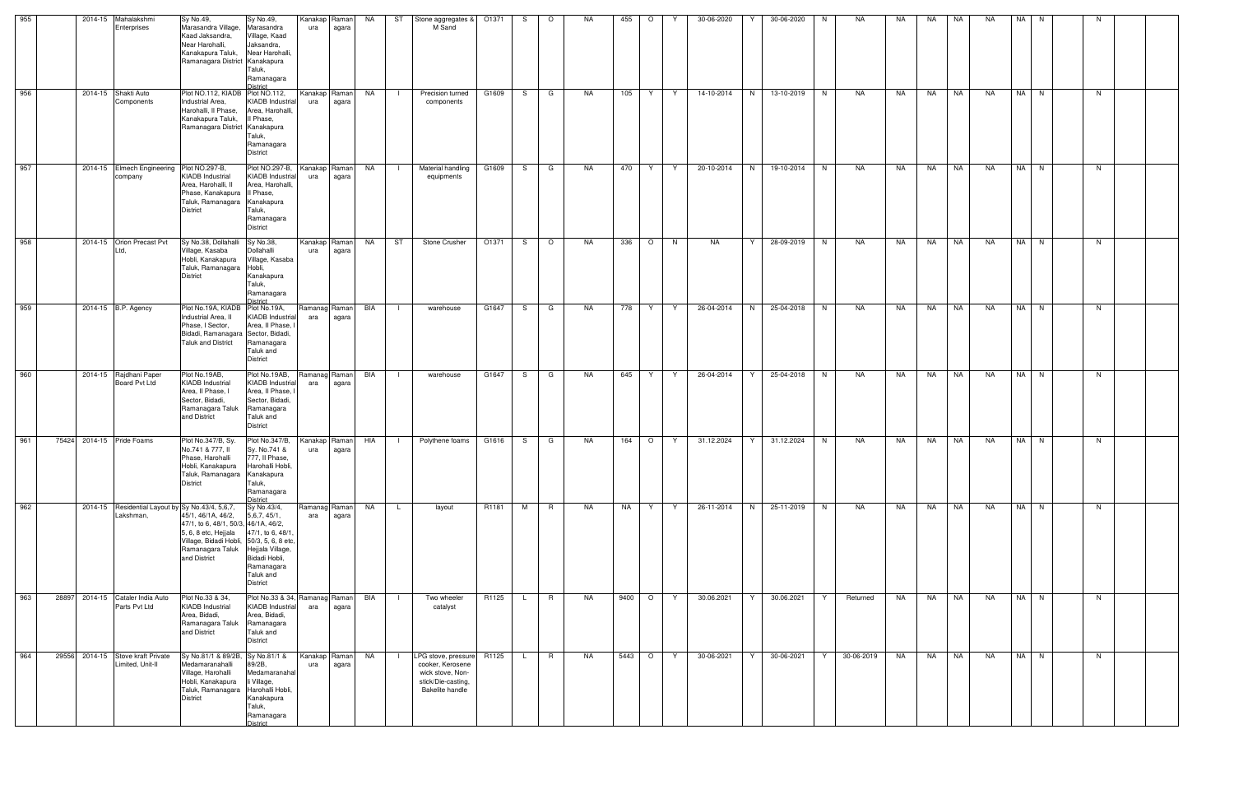| 955 |       | 2014-15 Mahalakshmi<br>Enterprises |                                                 | Sy No.49,<br>Marasandra Village,<br>Kaad Jaksandra,<br>Near Harohalli,<br>Kanakapura Taluk,<br>Ramanagara District Kanakapura                                                                                           | Sy No.49,<br>Marasandra<br>Village, Kaad<br>Jaksandra,<br>Near Harohalli,<br>Taluk,<br>Ramanagara<br>District              | Kanakap Raman<br>ura | agara                  | <b>NA</b> |                | ST Stone aggregates &<br>M Sand                                                                                   | O1371 | S.  | $\circ$      | NA        | 455       | $\circ$ | Y  | 30-06-2020 | Y               | 30-06-2020 | N. | NA         | NA | NA        | NA        | NA        | NA N     |  | N  |  |
|-----|-------|------------------------------------|-------------------------------------------------|-------------------------------------------------------------------------------------------------------------------------------------------------------------------------------------------------------------------------|----------------------------------------------------------------------------------------------------------------------------|----------------------|------------------------|-----------|----------------|-------------------------------------------------------------------------------------------------------------------|-------|-----|--------------|-----------|-----------|---------|----|------------|-----------------|------------|----|------------|----|-----------|-----------|-----------|----------|--|----|--|
| 956 |       | 2014-15 Shakti Auto                | Components                                      | Plot NO.112, KIADB Plot NO.112,<br>Industrial Area,<br>Harohalli, II Phase,<br>Kanakapura Taluk,<br>Ramanagara District Kanakapura                                                                                      | KIADB Industrial<br>Area, Harohalli,<br>II Phase,<br>Taluk,<br>Ramanagara<br><b>District</b>                               | Kanakap Raman<br>ura | agara                  | NA        |                | Precision turned<br>components                                                                                    | G1609 | S.  | G            | NA        | 105       | Y.      | Y  | 14-10-2014 | N               | 13-10-2019 | N  | NA         | NA | NA        | NA        | NA        | NA N     |  | N  |  |
| 957 |       | company                            | 2014-15 Elmech Engineering Plot NO.297-B,       | <b>KIADB Industrial</b><br>Area, Harohalli, II<br>Phase, Kanakapura   Il Phase,<br>Taluk, Ramanagara Kanakapura<br><b>District</b>                                                                                      | Plot NO.297-B,<br><b>KIADB</b> Industrial<br>Area, Harohalli,<br>Taluk,<br>Ramanagara<br>District                          | Kanakap Raman<br>ura | agara                  | NA        | $\Box$         | <b>Material handling</b><br>equipments                                                                            | G1609 | S.  | G            | <b>NA</b> | 470       | Y.      | Y. | 20-10-2014 | N               | 19-10-2014 | N  | <b>NA</b>  | NA | NA        | <b>NA</b> | <b>NA</b> | NA N     |  | N. |  |
| 958 |       | Ltd.                               | 2014-15 Orion Precast Pvt                       | Sy No.38, Dollahalli Sy No.38,<br>Village, Kasaba<br>Hobli, Kanakapura<br>Taluk, Ramanagara Hobli,<br><b>District</b>                                                                                                   | Dollahalli<br>Village, Kasaba<br>Kanakapura<br>Taluk,<br>Ramanagara<br>District                                            | Kanakap<br>ura       | Raman<br>agara         | NA .      | ST             | Stone Crusher                                                                                                     | O1371 | S.  | $\circ$      | NA        | 336   O   |         | N  | NA         | Y               | 28-09-2019 | N  | NA         | NA | NA NA     |           | NA        | $NA$ $N$ |  | N. |  |
| 959 |       | 2014-15 B.P. Agency                |                                                 | Plot No.19A, KIADB Plot No.19A,<br>Industrial Area, II<br>Phase, I Sector,<br>Bidadi, Ramanagara Sector, Bidadi,<br><b>Taluk and District</b>                                                                           | <b>KIADB</b> Industrial<br>Area, II Phase,<br>Ramanagara<br>Taluk and<br><b>District</b>                                   | Ramanag<br>ara       | Raman<br>agara         | BIA       | $\blacksquare$ | warehouse                                                                                                         | G1647 | S.  | G            | NA        | 778       | Y       | Y  | 26-04-2014 | N               | 25-04-2018 | N. | NA         | NA | NA 1      | <b>NA</b> | NA        | NA N     |  | N. |  |
| 960 |       | 2014-15 Rajdhani Paper             | Board Pvt Ltd                                   | Plot No.19AB,<br><b>KIADB</b> Industrial<br>Area, II Phase, I<br>Sector, Bidadi,<br>Ramanagara Taluk<br>and District                                                                                                    | Plot No.19AB,<br>KIADB Industria<br>Area, II Phase,<br>Sector, Bidadi,<br>Ramanagara<br>Taluk and<br><b>District</b>       | ara                  | Ramanag Raman<br>agara | BIA       | $\mathbf{I}$   | warehouse                                                                                                         | G1647 | S.  | $\mathbf{G}$ | NA        | 645       | Y       | Y  | 26-04-2014 | Y               | 25-04-2018 | N  | NA         | NA | <b>NA</b> | <b>NA</b> | NA        | NA N     |  | N. |  |
| 961 | 75424 | 2014-15 Pride Foams                |                                                 | Plot No.347/B, Sy.<br>No.741 & 777, II<br>Phase, Harohalli<br>Hobli, Kanakapura Harohalli Hobli,<br>Taluk, Ramanagara Kanakapura<br><b>District</b>                                                                     | Plot No.347/B,<br>Sy. No.741 &<br>777, Il Phase,<br>Taluk,<br>Ramanagara<br><b>District</b>                                | ura                  | Kanakap Raman<br>agara | HIA       | $\Box$         | Polythene foams                                                                                                   | G1616 | S — | $\mathbf{G}$ | NA        |           | 164 O   | Y  | 31.12.2024 | 31.12.2024<br>Y |            | N  | NA         | NA | NA .      | <b>NA</b> | NA        | NA N     |  | N. |  |
| 962 |       | Lakshman,                          |                                                 | 2014-15 Residential Layout by Sy No.43/4, 5,6,7,<br>45/1, 46/1A, 46/2,<br>47/1, to 6, 48/1, 50/3, 46/1A, 46/2,<br>5, 6, 8 etc, Heijala<br>Village, Bidadi Hobli, 50/3, 5, 6, 8 etc,<br>Ramanagara Taluk<br>and District | Sy No.43/4,<br>5,6,7,45/1,<br>47/1, to 6, 48/1<br>Hejjala Village,<br>Bidadi Hobli,<br>Ramanagara<br>Taluk and<br>District | Ramanag Raman<br>ara | agara                  | <b>NA</b> | L.             | layout                                                                                                            | R1181 | M   | R.           | NA        | <b>NA</b> | Y.      | Y  | 26-11-2014 | 25-11-2019<br>N |            | N  | NA         | NA | NA        | <b>NA</b> | NA        | NA N     |  | N  |  |
| 963 | 28897 |                                    | 2014-15 Cataler India Auto<br>Parts Pvt Ltd     | Plot No.33 & 34,<br><b>KIADB</b> Industrial<br>Area, Bidadi,<br>Ramanagara Taluk<br>and District                                                                                                                        | Plot No.33 & 34, Ramanag Raman<br><b>KIADB</b> Industrial<br>Area, Bidadi,<br>Ramanagara<br>Taluk and<br>District          | ara                  | agara                  | BIA       | $\mathbf{L}$   | Two wheeler<br>catalyst                                                                                           | R1125 | L.  | R            | NA        | 9400 O    |         | Y  | 30.06.2021 | Y<br>30.06.2021 |            | Y  | Returned   | NA | NA NA     |           | <b>NA</b> | NA N     |  | N  |  |
| 964 | 29556 |                                    | 2014-15 Stove kraft Private<br>Limited, Unit-II | Sy No.81/1 & 89/2B, Sy No.81/1 &<br>Medamaranahalli<br>Village, Harohalli<br>Hobli, Kanakapura<br>Taluk, Ramanagara<br><b>District</b>                                                                                  | 89/2B,<br>Medamaranahal<br>li Village,<br>Harohalli Hobli,<br>Kanakapura<br>Taluk,<br>Ramanagara<br>District               | Kanakap Raman<br>ura | agara                  | <b>NA</b> | $\Box$         | LPG stove, pressure R1125<br>cooker, Kerosene<br>wick stove, Non-<br>stick/Die-casting,<br><b>Bakelite handle</b> |       | L.  | R.           | NA        | 5443 O    |         | Y  | 30-06-2021 | Y<br>30-06-2021 |            | Y  | 30-06-2019 | NA | NA        | <b>NA</b> | NA        | NA N     |  | N  |  |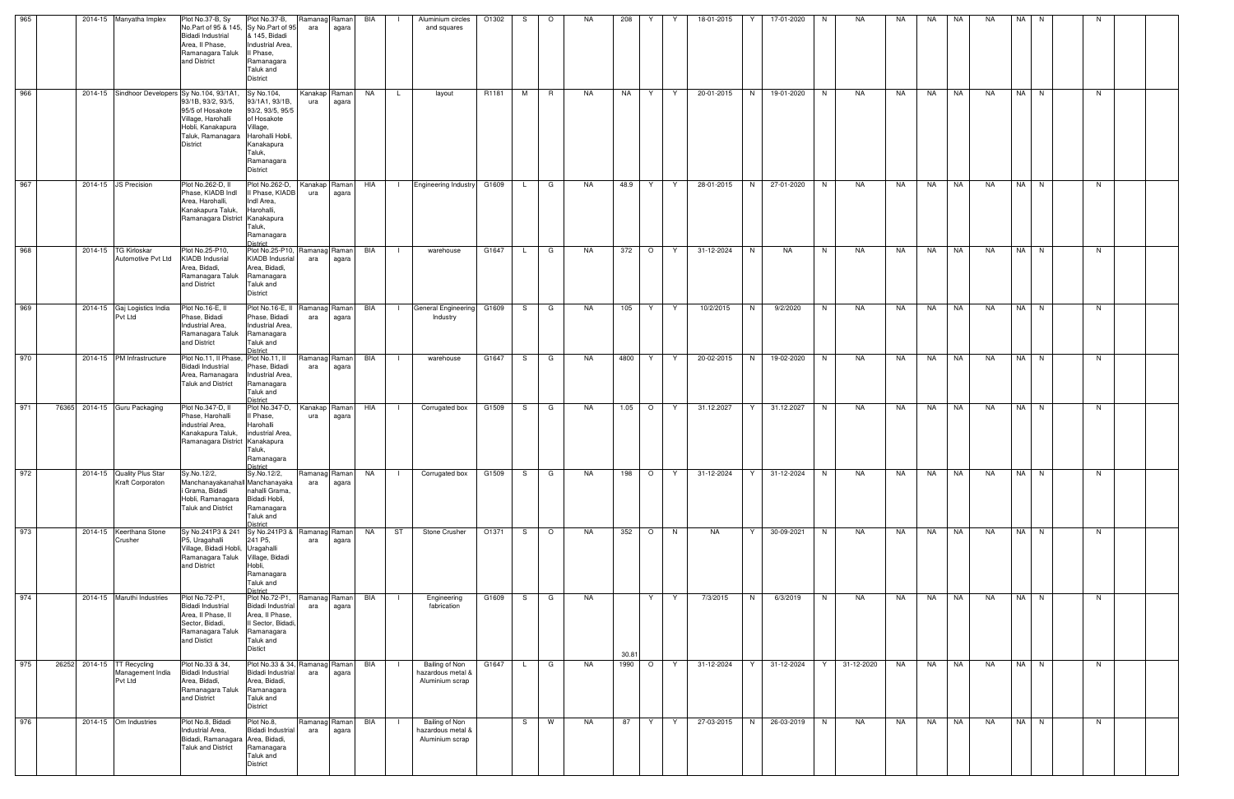| 965 |  | 2014-15 Manyatha Implex                                   | Plot No.37-B, Sy<br>No.Part of 95 & 145, Sy No.Part of 95<br>Bidadi Industrial<br>Area, Il Phase,<br>Ramanagara Taluk<br>and District    | Plot No.37-B,<br>& 145, Bidadi<br>Industrial Area,<br>Il Phase.<br>Ramanagara<br>Taluk and<br><b>District</b>                                            | Ramanag<br>ara       | Raman<br>agara | BIA       | Aluminium circles<br>and squares                       | O1302 | S            | $\circ$ | NA.       | 208   |         |    | 18-01-2015 | 17-01-2020      | N. | NA         | NA  | NA        | NA        | <b>NA</b> | <b>NA</b> |      |    |  |
|-----|--|-----------------------------------------------------------|------------------------------------------------------------------------------------------------------------------------------------------|----------------------------------------------------------------------------------------------------------------------------------------------------------|----------------------|----------------|-----------|--------------------------------------------------------|-------|--------------|---------|-----------|-------|---------|----|------------|-----------------|----|------------|-----|-----------|-----------|-----------|-----------|------|----|--|
| 966 |  | 2014-15 Sindhoor Developers Sy No.104, 93/1A1,            | 93/1B, 93/2, 93/5,<br>95/5 of Hosakote<br>Village, Harohalli<br>Hobli, Kanakapura<br>Taluk. Ramanagara<br>District                       | Sy No.104,<br>93/1A1, 93/1B,<br>93/2, 93/5, 95/5<br>of Hosakote<br>Village,<br>Harohalli Hobli,<br>Kanakapura<br>Taluk,<br>Ramanagara<br><b>District</b> | Kanakap<br>ura       | Raman<br>agara | NA        | L.<br>layout                                           | R1181 | M            | R       | NA        | NA    | Y       | Y  | 20-01-2015 | N<br>19-01-2020 | N  | NA         | NA  | <b>NA</b> | NA        | NA        |           | NA N | N  |  |
| 967 |  | 2014-15 JS Precision                                      | Plot No.262-D, II<br>Phase, KIADB Indl<br>Area, Harohalli,<br>Kanakapura Taluk,<br>Ramanagara District Kanakapura                        | Plot No.262-D,<br>II Phase, KIADB<br>Indl Area,<br>Harohalli,<br>Taluk,<br>Ramanagara<br><b>District</b>                                                 | Kanakap Raman<br>ura | agara          | HIA       | <b>Engineering Industry</b><br>$\blacksquare$          | G1609 | $\mathsf{L}$ | G       | NA        | 48.9  | Y       | Y  | 28-01-2015 | N<br>27-01-2020 | N  | NA         | NA. | NA        | NA        | NA        |           | NA N | N  |  |
| 968 |  | 2014-15 TG Kirloskar<br>Automotive Pvt Ltd                | Plot No.25-P10,<br><b>KIADB</b> Indusrial<br>Area, Bidadi,<br>Ramanagara Taluk<br>and District                                           | Plot No.25-P10, Ramanag<br><b>KIADB</b> Indusrial<br>Area, Bidadi,<br>Ramanagara<br>Taluk and<br><b>District</b>                                         | ara                  | Raman<br>agara | BIA       | warehouse                                              | G1647 | $\mathsf{L}$ | G       | NA        | 372   | $\circ$ | Y  | 31-12-2024 | N<br>NA         | N  | NA         | NA  | NA        | <b>NA</b> | NA        |           | NA N | N  |  |
| 969 |  | 2014-15 Gaj Logistics India<br>Pvt Ltd                    | Plot No.16-E, II<br>Phase, Bidadi<br>Industrial Area,<br>Ramanagara Taluk<br>and District                                                | Plot No.16-E, II<br>Phase, Bidadi<br>Industrial Area,<br>Ramanagara<br>Taluk and<br>District                                                             | Ramanag<br>ara       | Raman<br>agara | BIA       | General Engineering<br>Industry                        | G1609 | S.           | G       | NA        | 105   | Y.      | Y. | 10/2/2015  | N<br>9/2/2020   | N  | NA         | NA  | NA        | NA        | <b>NA</b> |           | NA N | N. |  |
| 970 |  | 2014-15 PM Infrastructure                                 | Plot No.11, Il Phase, Plot No.11, II<br>Bidadi Industrial<br>Area, Ramanagara<br><b>Taluk and District</b>                               | Phase, Bidadi<br>Industrial Area,<br>Ramanagara<br>Taluk and<br><b>District</b>                                                                          | Ramanag<br>ara       | Raman<br>agara | BIA       | warehouse                                              | G1647 | S            | G       | <b>NA</b> | 4800  | Y       | Y  | 20-02-2015 | 19-02-2020<br>N | N  | NA         | NA  | NA        | <b>NA</b> | NA        |           | NA N | N  |  |
| 971 |  | 76365 2014-15 Guru Packaging                              | Plot No.347-D. II<br>Phase, Harohalli<br>industrial Area.<br>Kanakapura Taluk,<br>Ramanagara District Kanakapura                         | Plot No.347-D,<br>Il Phase.<br>Harohalli<br>industrial Area,<br>Taluk,<br>Ramanagara<br><b>District</b>                                                  | Kanakap<br>ura       | Raman<br>agara | HIA       | Corrugated box                                         | G1509 | S            | G       | NA        | 1.05  | $\circ$ | Y  | 31.12.2027 | Y<br>31.12.2027 | N  | NA         | NA  | NA        | <b>NA</b> | NA        |           | NA N | N  |  |
| 972 |  | 2014-15 Quality Plus Star<br>Kraft Corporaton             | Sy.No.12/2,<br>Manchanayakanahall Manchanayaka<br>i Grama, Bidadi<br>Hobli, Ramanagara<br>Taluk and District                             | Sy.No.12/2,<br>nahalli Grama,<br>Bidadi Hobli,<br>Ramanagara<br>Taluk and<br><b>District</b>                                                             | Ramanag Raman<br>ara | agara          | <b>NA</b> | Corrugated box                                         | G1509 | S.           | G       | NA        | 198   | $\circ$ | Y  | 31-12-2024 | 31-12-2024      | N  | NA         | NA  | NA        | NA        | <b>NA</b> |           | NA N | N  |  |
| 973 |  | 2014-15 Keerthana Stone<br>Crusher                        | Sy No.241P3 & 241 Sy No.241P3 & Ramanag Raman<br>P5, Uragahalli<br>Village, Bidadi Hobli, Uragahalli<br>Ramanagara Taluk<br>and District | 241 P5,<br>Village, Bidadi<br>Hobli,<br>Ramanagara<br>Taluk and<br><b>District</b>                                                                       | ara                  | agara          | NA        | ST<br>Stone Crusher                                    | O1371 | S.           | $\circ$ | NA        | 352   | $\circ$ | N  | NA         | Y<br>30-09-2021 | N  | NA         | NA  | NA        | <b>NA</b> | NA        |           | NA N | N  |  |
| 974 |  | 2014-15 Maruthi Industries                                | Plot No.72-P1,<br>Bidadi Industrial<br>Area, Il Phase, II<br>Sector, Bidadi,<br>Ramanagara Taluk<br>and Distict                          | Plot No.72-P1,<br>Bidadi Industria<br>Area, II Phase,<br>II Sector, Bidadi,<br>Ramanagara<br>Taluk and<br><b>Distict</b>                                 | Ramanag Raman<br>ara | agara          | BIA       | Engineering<br>fabrication                             | G1609 | S.           | G       | NA        | 30.81 | Y       | Y  | 7/3/2015   | N<br>6/3/2019   | N  | NA         | NA  | NA        | <b>NA</b> | NA        | NA N      |      | N  |  |
| 975 |  | 26252 2014-15 TT Recycling<br>Management India<br>Pvt Ltd | Plot No.33 & 34,<br><b>Bidadi Industrial</b><br>Area, Bidadi,<br>Ramanagara Taluk<br>and District                                        | Plot No.33 & 34, Ramanag Raman<br><b>Bidadi Industrial</b><br>Area, Bidadi,<br>Ramanagara<br>Taluk and<br><b>District</b>                                | ara                  | agara          | BIA       | Bailing of Non<br>hazardous metal &<br>Aluminium scrap | G1647 | $\mathsf{L}$ | G       | NA        | 1990  | $\circ$ | Y  | 31-12-2024 | Y<br>31-12-2024 | Y  | 31-12-2020 | NA  | NA        | <b>NA</b> | NA.       |           | NA N | N  |  |
| 976 |  | 2014-15 Om Industries                                     | Plot No.8, Bidadi<br>Industrial Area.<br>Bidadi, Ramanagara Area, Bidadi,<br>Taluk and District                                          | Plot No.8,<br><b>Bidadi Industrial</b><br>Ramanagara<br>Taluk and<br>District                                                                            | Ramanag Raman<br>ara | agara          | BIA       | Bailing of Non<br>hazardous metal &<br>Aluminium scrap |       | S            | W       | NA        | 87    | Y       | Y  | 27-03-2015 | N<br>26-03-2019 | N  | NA         | NA  | NA        | <b>NA</b> | <b>NA</b> |           | NA N | N  |  |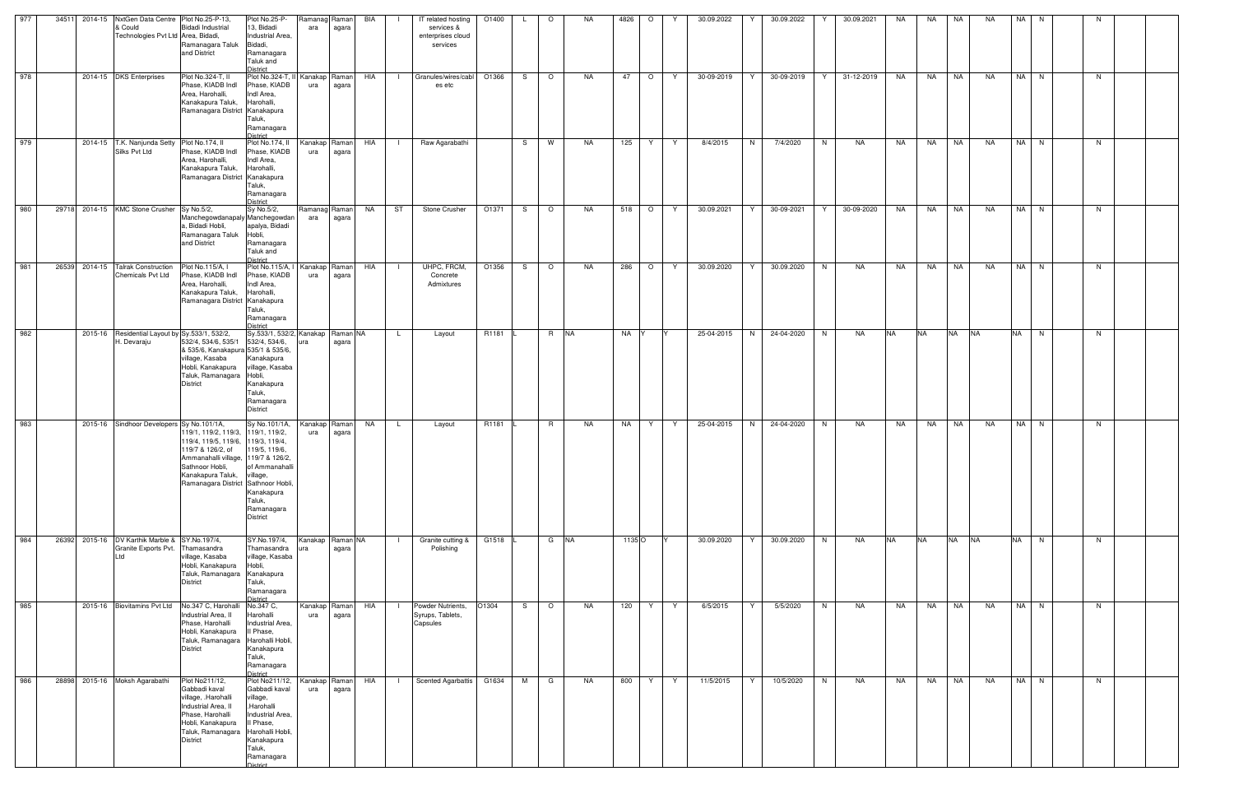| 977 | 34511 | 2014-15 NxtGen Data Centre Plot No.25-P-13,<br>& Could                        | Bidadi Industrial                                                                                                                                                                                                   | Plot No.25-P-<br>13, Bidadi                                                                                                                                             | Ramanag<br>ara       | Raman<br>agara    | BIA | IT related hosting<br>services &                  | O1400 |    | $\circ$ | NA. | 4826   | $\circ$ |    | 30.09.2022 | 30.09.2022      | 30.09.2021      | NA        | NA        | NA        | <b>NA</b> | NA I      | N.   |    |  |
|-----|-------|-------------------------------------------------------------------------------|---------------------------------------------------------------------------------------------------------------------------------------------------------------------------------------------------------------------|-------------------------------------------------------------------------------------------------------------------------------------------------------------------------|----------------------|-------------------|-----|---------------------------------------------------|-------|----|---------|-----|--------|---------|----|------------|-----------------|-----------------|-----------|-----------|-----------|-----------|-----------|------|----|--|
|     |       | Technologies Pvt Ltd Area, Bidadi,                                            | Ramanagara Taluk<br>and District                                                                                                                                                                                    | Industrial Area,<br>Bidadi,<br>Ramanagara<br>Taluk and<br><b>District</b>                                                                                               |                      |                   |     | enterprises cloud<br>services                     |       |    |         |     |        |         |    |            |                 |                 |           |           |           |           |           |      |    |  |
| 978 |       | 2014-15 DKS Enterprises                                                       | Plot No.324-T, II<br>Phase, KIADB Indl<br>Area, Harohalli,<br>Kanakapura Taluk,<br>Ramanagara District Kanakapura                                                                                                   | Plot No.324-T, II Kanakap<br>Phase, KIADB<br>Indl Area,<br>Harohalli,<br>Taluk,<br>Ramanagara                                                                           | ura                  | Raman<br>agara    | HIA | Granules/wires/cabl<br>$\Box$<br>es etc           | O1366 | S. | $\circ$ | NA  | 47     | $\circ$ | Y  | 30-09-2019 | Y<br>30-09-2019 | 31-12-2019<br>Y | NA        | <b>NA</b> | NA        | NA        |           | NA N | N  |  |
| 979 |       | 2014-15 T.K. Nanjunda Setty Plot No.174, II<br>Silks Pvt Ltd                  | Phase, KIADB Indl<br>Area, Harohalli,<br>Kanakapura Taluk,<br>Ramanagara District Kanakapura                                                                                                                        | District<br>Plot No.174, II<br>Phase, KIADB<br>Indl Area,<br>Harohalli,<br>Taluk,<br>Ramanagara<br><b>District</b>                                                      | Kanakap<br>ura       | Raman<br>agara    | HIA | Raw Agarabathi                                    |       | S. | W       | NA. | 125    | Y       | Y. | 8/4/2015   | N<br>7/4/2020   | N<br>NA         | NA        | NA 1      | <b>NA</b> | NA        |           | NA N | N. |  |
| 980 |       | 29718 2014-15 KMC Stone Crusher Sy No.5/2,                                    | Manchegowdanapaly Manchegowdan<br>a, Bidadi Hobli,<br>Ramanagara Taluk<br>and District                                                                                                                              | Sy No.5/2,<br>apalya, Bidadi<br>Hobli,<br>Ramanagara<br>Taluk and<br>District                                                                                           | Ramanag<br>ara       | Raman<br>agara    | NA  | ST<br>Stone Crusher                               | O1371 | S. | $\circ$ | NA  | 518    | $\circ$ | Y  | 30.09.2021 | 30-09-2021<br>Y | 30-09-2020<br>Y | NA        | <b>NA</b> | <b>NA</b> | NA        |           | NA N | N  |  |
| 981 |       | 26539 2014-15 Talrak Construction<br><b>Chemicals Pvt Ltd</b>                 | Plot No.115/A, I<br>Phase, KIADB Indl<br>Area, Harohalli,<br>Kanakapura Taluk,<br>Ramanagara District Kanakapura                                                                                                    | Plot No.115/A, I<br>Phase, KIADB<br>Indl Area,<br>Harohalli,<br>Taluk,<br>Ramanagara<br><b>District</b>                                                                 | Kanakap<br>ura       | Raman<br>agara    | HIA | UHPC, FRCM,<br>Concrete<br>Admixtures             | O1356 | S  | $\circ$ | NA. | 286    | $\circ$ | Y  | 30.09.2020 | 30.09.2020<br>Y | N<br>NA         | NA        | NA        | NA        | <b>NA</b> |           | NA N | N. |  |
| 982 |       | 2015-16 Residential Layout by Sy.533/1, 532/2,<br>H. Devaraju                 | 532/4, 534/6, 535/1<br>& 535/6, Kanakapura 535/1 & 535/6,<br>village, Kasaba<br>Hobli, Kanakapura<br>Taluk, Ramanagara Hobli,<br><b>District</b>                                                                    | Sy.533/1, 532/2, Kanakap<br>532/4, 534/6,<br>Kanakapura<br>village, Kasaba<br>Kanakapura<br>Taluk,<br>Ramanagara<br><b>District</b>                                     | ura                  | Raman NA<br>agara |     | Layout<br>L.                                      | R1181 |    | R NA    |     | NA Y   |         |    | 25-04-2015 | N<br>24-04-2020 | N<br>NA         | <b>NA</b> | <b>NA</b> | <b>NA</b> | <b>NA</b> | <b>NA</b> | N    | N  |  |
| 983 |       | 2015-16 Sindhoor Developers Sy No.101/1A,                                     | 119/1, 119/2, 119/3, 119/1, 119/2,<br>119/4, 119/5, 119/6, 119/3, 119/4,<br>119/7 & 126/2, of<br>Ammanahalli village, 119/7 & 126/2,<br>Sathnoor Hobli,<br>Kanakapura Taluk,<br>Ramanagara District Sathnoor Hobli, | Sy No.101/1A,<br>119/5, 119/6,<br>of Ammanahalli<br>village,<br>Kanakapura<br>Taluk,<br>Ramanagara<br><b>District</b>                                                   | Kanakap<br>ura       | Raman<br>agara    | NA  | L.<br>Layout                                      | R1181 |    | R       | NA  | NA     | Y       | Y. | 25-04-2015 | N<br>24-04-2020 | N.<br>NA        | NA.       | NA        | NA        | NA        |           | NA N | N. |  |
| 984 |       | 26392 2015-16 DV Karthik Marble & SY.No.197/4,<br>Granite Exports Pvt.<br>Ltd | Thamasandra<br>village, Kasaba<br>Hobli, Kanakapura<br>Taluk, Ramanagara<br>District                                                                                                                                | SY.No.197/4,<br>Thamasandra<br>village, Kasaba<br>Hobli,<br>Kanakapura<br>Taluk,<br>Ramanagara<br>District                                                              | Kanakap<br>ura       | Raman NA<br>agara |     | Granite cutting &<br>Polishing                    | G1518 |    | G NA    |     | 1135 O |         |    | 30.09.2020 | 30.09.2020      | N<br>NA         | <b>NA</b> | <b>NA</b> | <b>NA</b> | <b>NA</b> | <b>NA</b> | N    | N  |  |
| 985 |       | 2015-16 Biovitamins Pvt Ltd                                                   | No.347 C, Harohalli<br>Industrial Area, II<br>Phase, Harohalli<br>Hobli, Kanakapura<br>Taluk, Ramanagara<br>District                                                                                                | No.347 C,<br>Harohalli<br>Industrial Area,<br>Il Phase,<br>Harohalli Hobli,<br>Kanakapura<br>Taluk,<br>Ramanagara<br><b>District</b>                                    | Kanakap<br>ura       | Raman<br>agara    | HIA | Powder Nutrients,<br>Syrups, Tablets,<br>Capsules | O1304 | S. | $\circ$ | NA  | 120    | Y       | Y  | 6/5/2015   | 5/5/2020<br>Y   | N<br>NA         | NA        | <b>NA</b> | <b>NA</b> | NA        |           | NA N | N  |  |
| 986 |       | 28898 2015-16 Moksh Agarabathi                                                | Plot No211/12,<br>Gabbadi kaval<br>village, .Harohalli<br>Industrial Area, II<br>Phase, Harohalli<br>Hobli, Kanakapura<br>Taluk, Ramanagara<br>District                                                             | Plot No211/12,<br>Gabbadi kaval<br>village,<br>.Harohalli<br>Industrial Area,<br>Il Phase,<br>Harohalli Hobli,<br>Kanakapura<br>Taluk,<br>Ramanagara<br><b>District</b> | Kanakap Raman<br>ura | agara             | HIA | <b>Scented Agarbattis</b><br>$\mathbf{I}$         | G1634 | M  | G       | NA  | 800    | Y       | Y  | 11/5/2015  | Y<br>10/5/2020  | N<br>NA         | NA        |           | NA NA     | NA        |           | NA N | N  |  |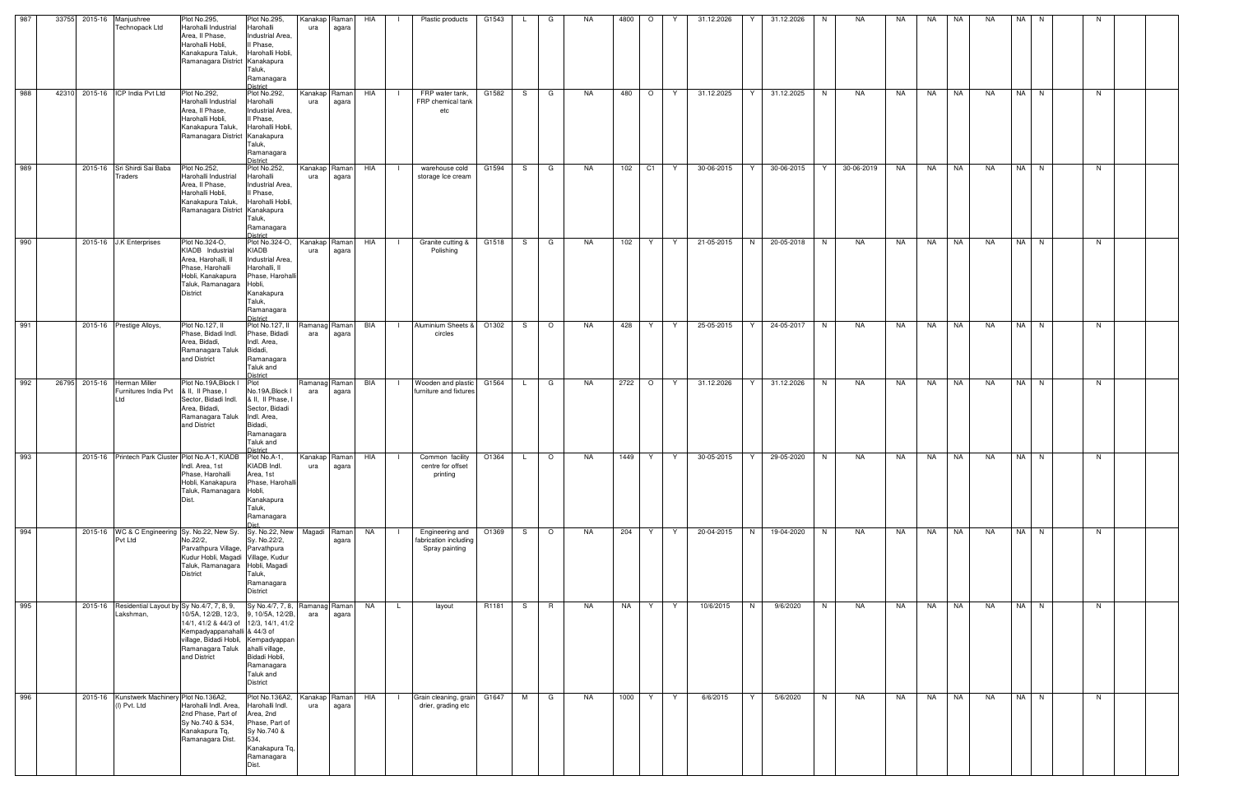| 987 | 33755 | 2015-16 Manjushree<br>Technopack Ltd                       | Plot No.295,<br>Harohalli Industrial<br>Area, II Phase,                                                                                                                                                                                                       | Plot No.295,<br>Harohalli<br>Industrial Area,                                                                                                      | ura            | Kanakap Raman<br>agara   | HIA       |                | Plastic products                                           | G1543 |              | G              | NA. | 4800      | $\circ$        |    | 31.12.2026 |   | 31.12.2026 |   | NA         | NA.       | NA        | <b>NA</b> | <b>NA</b> | NA I | -N   |    |  |
|-----|-------|------------------------------------------------------------|---------------------------------------------------------------------------------------------------------------------------------------------------------------------------------------------------------------------------------------------------------------|----------------------------------------------------------------------------------------------------------------------------------------------------|----------------|--------------------------|-----------|----------------|------------------------------------------------------------|-------|--------------|----------------|-----|-----------|----------------|----|------------|---|------------|---|------------|-----------|-----------|-----------|-----------|------|------|----|--|
|     |       |                                                            | Harohalli Hobli,<br>Kanakapura Taluk,<br>Ramanagara District Kanakapura                                                                                                                                                                                       | Il Phase,<br>Harohalli Hobli,<br>Taluk,<br>Ramanagara<br>District                                                                                  |                |                          |           |                |                                                            |       |              |                |     |           |                |    |            |   |            |   |            |           |           |           |           |      |      |    |  |
| 988 | 42310 | 2015-16 ICP India Pvt Ltd                                  | Plot No.292,<br>Harohalli Industrial<br>Area, II Phase,<br>Harohalli Hobli.<br>Kanakapura Taluk,<br>Ramanagara District Kanakapura                                                                                                                            | Plot No.292,<br>Harohalli<br>Industrial Area,<br>Il Phase,<br>Harohalli Hobli,<br>Taluk,<br>Ramanagara<br><b>District</b>                          | ura            | Kanakap Raman<br>agara   | HIA       | $\Box$         | FRP water tank,<br>FRP chemical tank<br>etc                | G1582 |              | S G            | NA  | 480       | $\circ$        | Y  | 31.12.2025 | Y | 31.12.2025 | N | NA         | NA        | <b>NA</b> | <b>NA</b> | NA        |      | NA N | N  |  |
| 989 |       | 2015-16 Sri Shirdi Sai Baba<br><b>Traders</b>              | Plot No.252,<br>Harohalli Industrial<br>Area, Il Phase,<br>Harohalli Hobli,<br>Kanakapura Taluk,<br>Ramanagara District Kanakapura                                                                                                                            | Plot No.252,<br>Harohalli<br>Industrial Area,<br>Il Phase,<br>Harohalli Hobli.<br>Taluk,<br>Ramanagara<br>District                                 | ura            | Kanakap Raman<br>agara   | HIA       | $\Box$         | warehouse cold<br>storage Ice cream                        | G1594 | S.           | G              | NA  | 102       | C <sub>1</sub> | Y  | 30-06-2015 | Y | 30-06-2015 | Y | 30-06-2019 | NA        | NA        | <b>NA</b> | NA        |      | NA N | N  |  |
| 990 |       | 2015-16 J.K Enterprises                                    | Plot No.324-O,<br>KIADB Industrial<br>Area, Harohalli, II<br>Phase, Harohalli<br>Hobli, Kanakapura<br>Taluk, Ramanagara<br><b>District</b>                                                                                                                    | Plot No.324-O,<br>KIADB<br>Industrial Area,<br>Harohalli, II<br>Phase, Harohall<br>Hobli,<br>Kanakapura<br>Taluk,<br>Ramanagara<br><b>District</b> | Kanakap<br>ura | Raman<br>agara           | HIA       | $\blacksquare$ | Granite cutting &<br>Polishing                             | G1518 | S.           | G              | NA  | 102       | Y              | Y  | 21-05-2015 | N | 20-05-2018 | N | NA         | NA        | <b>NA</b> | NA        | NA        |      | NA N | N. |  |
| 991 |       | 2015-16 Prestige Alloys,                                   | Plot No.127, II<br>Phase, Bidadi Indl.<br>Area, Bidadi,<br>Ramanagara Taluk<br>and District                                                                                                                                                                   | Plot No.127, II<br>Phase, Bidadi<br>Indl. Area,<br>Bidadi,<br>Ramanagara<br>Taluk and<br><b>District</b>                                           | ara            | Ramanag Raman<br>agara   | BIA       | $\mathbf{1}$   | Aluminium Sheets &<br>circles                              | O1302 | S.           | $\circ$        | NA. | 428       | Y              | Y  | 25-05-2015 | Y | 24-05-2017 | N | NA         | NA        | NA        | NA        | NA        |      | NA N | N  |  |
| 992 | 26795 | 2015-16 Herman Miller<br>Furnitures India Pvt<br>Ltd       | Plot No.19A, Block I<br>& II, II Phase, I<br>Sector, Bidadi Indl.<br>Area, Bidadi,<br>Ramanagara Taluk<br>and District                                                                                                                                        | Plot<br>No.19A, Block I<br>& II, II Phase,<br>Sector, Bidadi<br>Indl. Area,<br>Bidadi,<br>Ramanagara<br>Taluk and<br>)istrict                      | ara            | Ramanag Raman<br>agara   | BIA       | $\blacksquare$ | Wooden and plastic<br>furniture and fixtures               | G1564 | $\mathsf{L}$ | G              | NA. | 2722      | $\circ$        | Y  | 31.12.2026 | Y | 31.12.2026 | N | NA         | NA        | NA        | NA        | NA        |      | NA N | N  |  |
| 993 |       |                                                            | 2015-16 Printech Park Cluster Plot No.A-1, KIADB Plot No.A-1,<br>Indl. Area, 1st<br>Phase, Harohalli<br>Hobli, Kanakapura<br>Taluk, Ramanagara Hobli,<br>Dist.                                                                                                | KIADB Indl.<br>Area, 1st<br>Phase, Harohalli<br>Kanakapura<br>Taluk,<br>Ramanagara                                                                 | ura            | Kanakap Raman<br>  agara | HIA       | - 11           | Common facility<br>centre for offset<br>printing           | O1364 | L.           | $\circ$        | NA  | 1449      | Y              | Y  | 30-05-2015 | Y | 29-05-2020 | N | NA         | NA        | NA        | <b>NA</b> | NA        |      | NA N | N  |  |
| 994 |       | Pvt Ltd                                                    | 2015-16 WC & C Engineering Sy. No.22, New Sy. Sy. No.22, New<br>No.22/2,<br>Parvathpura Village, Parvathpura<br>Kudur Hobli, Magadi Village, Kudur<br>Taluk, Ramanagara Hobli, Magadi<br><b>District</b>                                                      | Sy. No.22/2,<br>Taluk,<br>Ramanagara<br><b>District</b>                                                                                            |                | Magadi Raman<br>agara    | <b>NA</b> |                | Engineering and<br>fabrication including<br>Spray painting | O1369 | S            | $\circ$        | NA  | 204       | Y              | Y  | 20-04-2015 | N | 19-04-2020 | N | NA         | <b>NA</b> | NA        | NA        | <b>NA</b> |      | NA N | N  |  |
| 995 |       | Lakshman,                                                  | 2015-16 Residential Layout by Sy No.4/7, 7, 8, 9,<br>10/5A, 12/2B, 12/3, 9, 10/5A, 12/2B,<br>14/1, 41/2 & 44/3 of 12/3, 14/1, 41/2<br>Kempadyappanahalli & 44/3 of<br>village, Bidadi Hobli, Kempadyappan<br>Ramanagara Taluk ahalli village,<br>and District | Sy No.4/7, 7, 8, Ramanag Raman<br>Bidadi Hobli,<br>Ramanagara<br>Taluk and<br>District                                                             | ara            | agara                    | <b>NA</b> | $\mathsf{L}$   | layout                                                     | R1181 | S —          | $\overline{R}$ | NA  | <b>NA</b> | Y              | Y  | 10/6/2015  | N | 9/6/2020   | N | NA         | NA        | <b>NA</b> | NA        | <b>NA</b> |      | NA N | N  |  |
| 996 |       | 2015-16 Kunstwerk Machinery Plot No.136A2,<br>(I) Pvt. Ltd | Harohalli Indl. Area,<br>2nd Phase, Part of<br>Sy No.740 & 534,<br>Kanakapura Tq,<br>Ramanagara Dist.                                                                                                                                                         | Plot No.136A2,<br>Harohalli Indl.<br>Area, 2nd<br>Phase, Part of<br>Sy No.740 &<br>534,<br>Kanakapura Tq,<br>Ramanagara<br>Dist.                   | ura            | Kanakap Raman<br>agara   | HIA       | - 11           | Grain cleaning, grain G1647<br>drier, grading etc          |       | M            | G              | NA  | 1000      | Y              | Y. | 6/6/2015   | Y | 5/6/2020   | N | NA         | NA        | <b>NA</b> | NA        | <b>NA</b> |      | NA N | N  |  |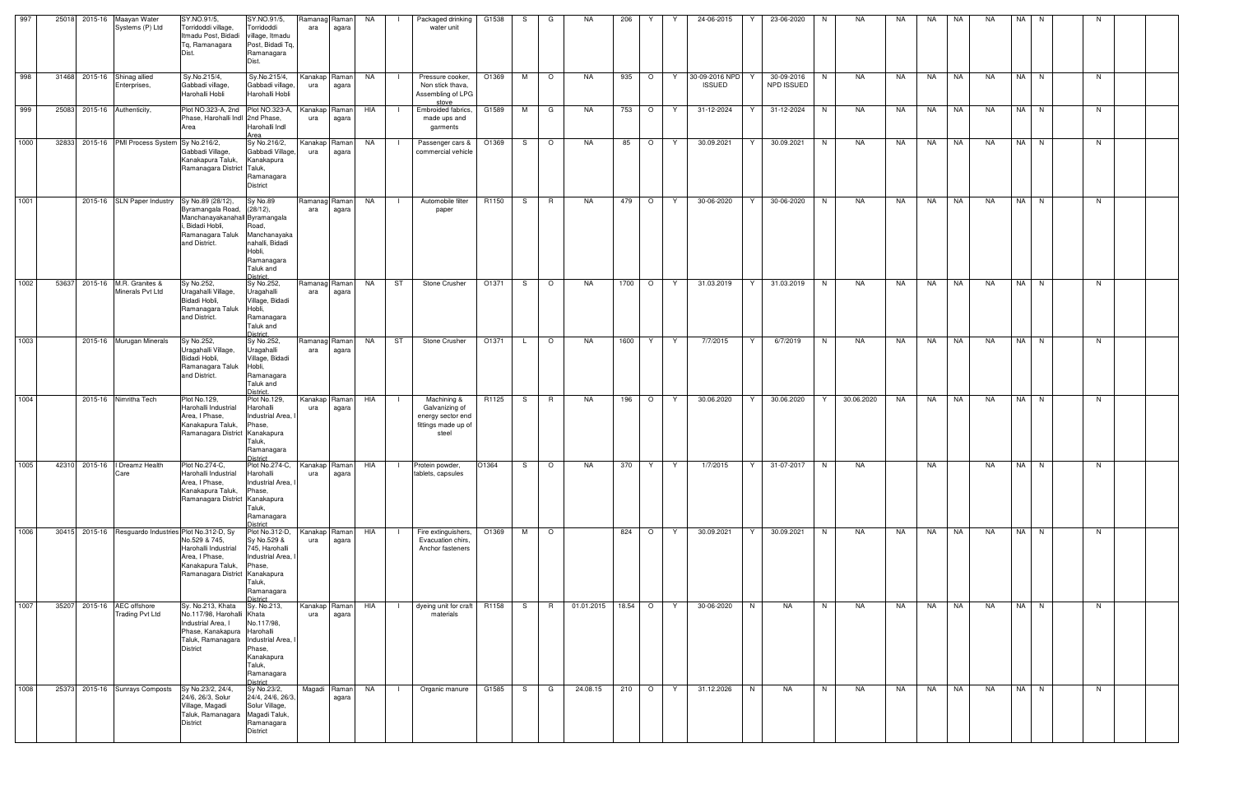| 997  | 25018 | 2015-16 | Maayan Water<br>Systems (P) Ltd                | SY.NO.91/5,<br>Torridoddi village,<br>Itmadu Post, Bidadi<br>Tq, Ramanagara<br>Dist.                                                                          | SY.NO.91/5,<br>Torridoddi<br>village, Itmadu<br>Post, Bidadi Tq,<br>Ramanagara<br>Dist.                           | ara                  | Ramanag Raman<br>agara | NA        | $\Box$         | Packaged drinking<br>water unit                                                           | G1538 | S. | G               | NA         | 206     | Y       |     | 24-06-2015                         | 23-06-2020               | N. | NA         | NA | NA        | <b>NA</b> | NA        | <b>NA</b> | N.     |    |  |
|------|-------|---------|------------------------------------------------|---------------------------------------------------------------------------------------------------------------------------------------------------------------|-------------------------------------------------------------------------------------------------------------------|----------------------|------------------------|-----------|----------------|-------------------------------------------------------------------------------------------|-------|----|-----------------|------------|---------|---------|-----|------------------------------------|--------------------------|----|------------|----|-----------|-----------|-----------|-----------|--------|----|--|
| 998  | 31468 |         | 2015-16 Shinag allied<br>Enterprises,          | Sy.No.215/4,<br>Gabbadi village,<br>Harohalli Hobli                                                                                                           | Sy.No.215/4,<br>Gabbadi village,<br>Harohalli Hobli                                                               | ura                  | Kanakap Raman<br>agara | NA        | $\blacksquare$ | Pressure cooker,<br>Non stick thava,<br>Assembling of LPG<br>stove                        | O1369 | M  | $\circ$         | <b>NA</b>  | 935     | $\circ$ | Y   | 30-09-2016 NPD<br><b>ISSUED</b>    | 30-09-2016<br>NPD ISSUED | N  | NA         | NA | NA        | NA        | <b>NA</b> |           | NA N   | N. |  |
| 999  | 25083 |         | 2015-16 Authenticity,                          | Plot NO.323-A, 2nd Plot NO.323-A,<br>Phase, Harohalli Indl 2nd Phase,<br>Area                                                                                 | Harohalli Indl<br>Area                                                                                            | Kanakap<br>ura       | Raman<br>agara         | HIA       |                | Embroided fabrics,<br>made ups and<br>garments                                            | G1589 | M  | G               | <b>NA</b>  | 753     | $\circ$ | Y   | 31-12-2024                         | 31-12-2024<br>Y          | N. | NA         | NA | NA        | <b>NA</b> | NA        |           | NA N   | N. |  |
| 1000 | 32833 |         | 2015-16 PMI Process System Sy No.216/2,        | Gabbadi Village,<br>Kanakapura Taluk,<br>Ramanagara District Taluk,                                                                                           | Sy No.216/2,<br>Gabbadi Village.<br>Kanakapura<br>Ramanagara<br><b>District</b>                                   | Kanakap<br>ura       | Raman<br>agara         | NA        |                | Passenger cars &<br>commercial vehicle                                                    | O1369 | S  | $\circ$         | <b>NA</b>  | 85      | $\circ$ | Y   | 30.09.2021                         | 30.09.2021               | N  | <b>NA</b>  | NA | <b>NA</b> | NA        | <b>NA</b> |           | NA N   | N. |  |
| 1001 |       |         | 2015-16 SLN Paper Industry                     | Sy No.89 (28/12),<br>Byramangala Road,<br>Manchanayakanahall Byramangala<br>, Bidadi Hobli,<br>Ramanagara Taluk<br>and District.                              | Sy No.89<br>(28/12),<br>Road.<br>Manchanayaka<br>nahalli, Bidadi<br>Hobli,<br>Ramanagara<br>Taluk and<br>District | Ramanag Raman<br>ara | agara                  | NA        | $\Box$         | Automobile filter<br>paper                                                                | R1150 | S. | R               | <b>NA</b>  | 479     | $\circ$ | Y   | 30-06-2020                         | 30-06-2020<br>Y          | N  | <b>NA</b>  | NA | NA        | NA        | <b>NA</b> |           | $NA$ N | N  |  |
| 1002 | 53637 |         | 2015-16 M.R. Granites &<br>Minerals Pvt Ltd    | Sy No.252,<br>Uragahalli Village,<br>Bidadi Hobli,<br>Ramanagara Taluk<br>and District.                                                                       | Sy No.252,<br>Uragahalli<br>Village, Bidadi<br>Hobli,<br>Ramanagara<br>Taluk and<br>District.                     | Ramanag<br>ara       | Raman  <br>agara       | <b>NA</b> | ST             | Stone Crusher                                                                             | O1371 | S  | $\circ$         | NA         | 1700    | $\circ$ | - Y | 31.03.2019                         | 31.03.2019<br>Y          | N  | NA         | NA | NA        | NA        | NA        |           | NA N   | N. |  |
| 1003 |       |         | 2015-16 Murugan Minerals                       | Sy No.252,<br>Uragahalli Village,<br>Bidadi Hobli,<br>Ramanagara Taluk<br>and District.                                                                       | Sy No.252,<br>Uragahalli<br>Village, Bidadi<br>Hobli,<br>Ramanagara<br>Taluk and<br>District.                     | Ramanagl<br>ara      | Raman<br>agara         | NA        | ST             | Stone Crusher                                                                             | O1371 |    | $\circ$         | NA         | 1600    | Y       | Y   | 7/7/2015                           | 6/7/2019<br>Y            | N  | NA         | NA | NA        | NA        | NA        | NA        | N      | N. |  |
| 1004 |       |         | 2015-16 Nimritha Tech                          | Plot No.129,<br>Harohalli Industrial<br>Area, I Phase,<br>Kanakapura Taluk,<br>Ramanagara District Kanakapura                                                 | Plot No.129,<br>Harohalli<br>Industrial Area,<br>Phase,<br>Taluk,<br>Ramanagara<br>District                       | Kanakap<br>ura       | Raman  <br>agara       | HIA       | - 1 -          | Machining &<br>Galvanizing of<br>energy sector end<br>fittings made up of<br>steel        | R1125 | S. | $R_{\parallel}$ | NA         | 196     | $\circ$ | Y   | 30.06.2020                         | 30.06.2020<br>Y          | Y  | 30.06.2020 | NA | NA        | <b>NA</b> | NA        |           | $NA$ N | N. |  |
| 1005 |       |         | 42310 2015-16   Dreamz Health<br>Care          | Plot No.274-C,<br>Harohalli Industrial<br>Area, I Phase,<br>Kanakapura Taluk,<br>Ramanagara District Kanakapura                                               | Harohalli<br>Industrial Area,<br>Phase,<br>Taluk,<br>Ramanagara<br>District                                       | ura                  | agara                  |           |                | Plot No.274-C, Kanakap Raman HIA   I Protein powder, 01364   S   O  <br>tablets, capsules |       |    |                 |            |         |         |     | NA 370 Y Y 1/7/2015 Y 31-07-2017 N |                          |    | NA         |    | <b>NA</b> |           | <b>NA</b> |           | NA N   | N  |  |
| 1006 | 30415 |         | 2015-16 Resguardo Industries Plot No.312-D, Sy | No.529 & 745,<br>Harohalli Industrial<br>Area, I Phase,<br>Kanakapura Taluk,<br>Ramanagara District Kanakapura                                                | Plot No.312-D,<br>Sy No.529 &<br>745, Harohalli<br>Industrial Area.<br>Phase,<br>Taluk,<br>Ramanagara<br>District | Kanakap<br>ura       | Raman<br>agara         | HIA       |                | Fire extinguishers,<br>Evacuation chirs,<br>Anchor fasteners                              | O1369 | M  | $\overline{O}$  |            | 824     | $\circ$ | Y   | 30.09.2021                         | 30.09.2021<br>Y          | N  | NA         | NA | NA        | NA        | NA        |           | NA N   | N. |  |
| 1007 | 35207 |         | 2015-16 AEC offshore<br><b>Trading Pvt Ltd</b> | Sy. No.213, Khata<br>No.117/98, Harohalli Khata<br>Industrial Area, I<br>Phase, Kanakapura Harohalli<br>Taluk, Ramanagara Industrial Area,<br><b>District</b> | Sy. No.213,<br>No.117/98,<br>Phase,<br>Kanakapura<br>Taluk,<br>Ramanagara<br><b>District</b>                      | Kanakap Raman<br>ura | agara                  | HIA       | $\Box$         | dyeing unit for craft R1158<br>materials                                                  |       | S. | R               | 01.01.2015 | 18.54 O |         | Y   | 30-06-2020                         | N<br><b>NA</b>           | N  | NA         | NA | NA        | <b>NA</b> | NA        |           | $NA$ N | N  |  |
| 1008 | 25373 |         | 2015-16 Sunrays Composts                       | Sy No.23/2, 24/4,<br>24/6, 26/3, Solur<br>Village, Magadi<br>Taluk, Ramanagara Magadi Taluk,<br><b>District</b>                                               | Sy No.23/2,<br>24/4, 24/6, 26/3,<br>Solur Village,<br>Ramanagara<br>District                                      |                      | Magadi Raman<br>agara  | <b>NA</b> | $\blacksquare$ | Organic manure                                                                            | G1585 | S. | G               | 24.08.15   | 210     | $\circ$ | Y   | 31.12.2026                         | N<br>NA                  | N  | NA         | NA | NA        | NA        | NA        |           | NA N   | N  |  |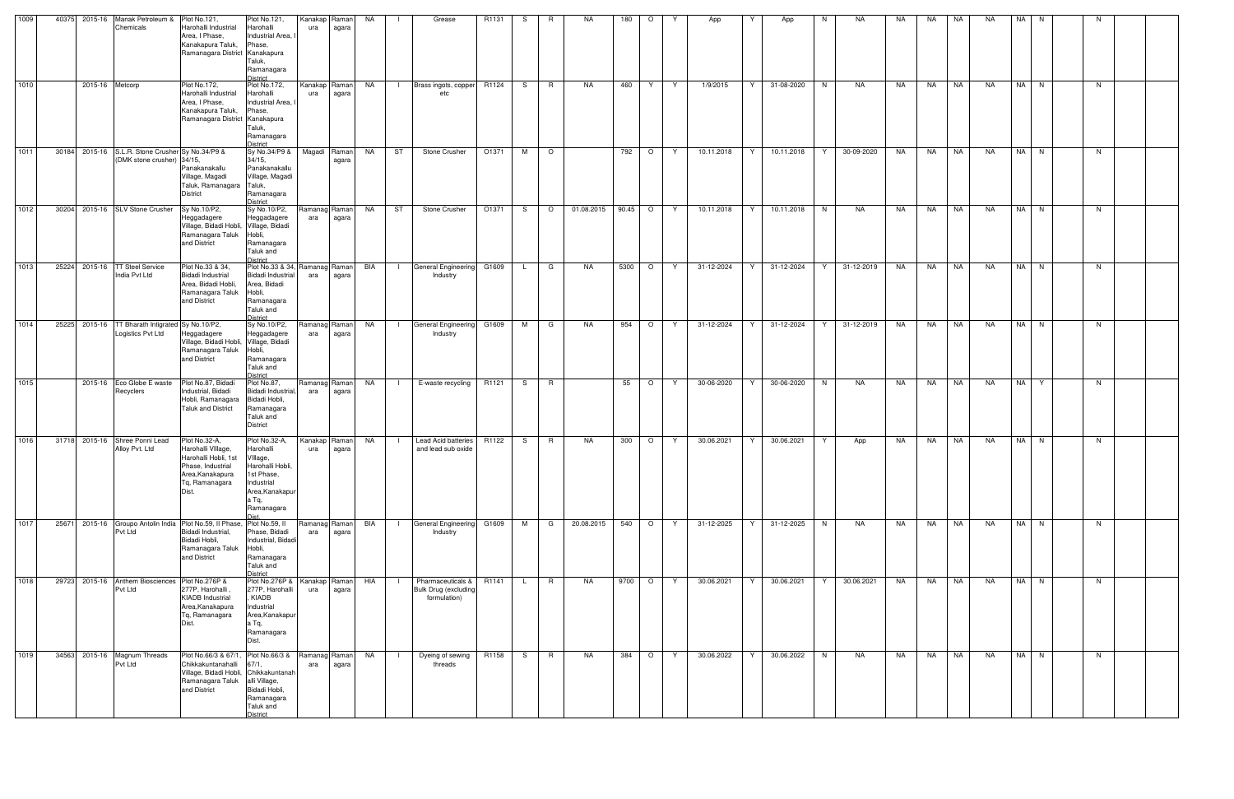| 1009   | 40375 2015-16   | Manak Petroleum & Plot No.121,<br>Chemicals                                    | Harohalli Industrial<br>Area. I Phase.<br>Kanakapura Taluk,<br>Ramanagara District Kanakapura                                            | Plot No.121,<br>Harohalli<br>Industrial Area,<br>Phase,                                                              | Kanakap<br>ura       | Raman<br>agara | NA  |                | Grease                                                          | R1131 | S.  | R       | <b>NA</b>  | 180   | $\circ$ |       | App        | Y  | App        | N. | NA.        | NA. | NA        | NA        | NA        | NA N |      | -N |  |
|--------|-----------------|--------------------------------------------------------------------------------|------------------------------------------------------------------------------------------------------------------------------------------|----------------------------------------------------------------------------------------------------------------------|----------------------|----------------|-----|----------------|-----------------------------------------------------------------|-------|-----|---------|------------|-------|---------|-------|------------|----|------------|----|------------|-----|-----------|-----------|-----------|------|------|----|--|
|        |                 |                                                                                |                                                                                                                                          | Taluk,<br>Ramanagara<br>District                                                                                     |                      |                |     |                |                                                                 |       |     |         |            |       |         |       |            |    |            |    |            |     |           |           |           |      |      |    |  |
| 1010   | 2015-16 Metcorp |                                                                                | <b>Plot No.172,</b><br>Harohalli Industrial<br>Area, I Phase,<br>Kanakapura Taluk,<br>Ramanagara District Kanakapura                     | <b>Plot No.172,</b><br>Harohalli<br>Industrial Area,<br>Phase,<br>Taluk,<br>Ramanagara                               | Kanakap Raman<br>ura | agara          | NA  | $\Box$         | Brass ingots, copper R1124<br>etc                               |       | S — | R       | NA         | 460   | Y       | Y     | 1/9/2015   | Y  | 31-08-2020 | N  | <b>NA</b>  | NA  | NA        | <b>NA</b> | NA        | NA N |      | N  |  |
| 1011   |                 | 30184 2015-16 S.L.R. Stone Crusher Sy No.34/P9 &<br>(DMK stone crusher) 34/15, | Panakanakallu<br>Village, Magadi<br>Taluk, Ramanagara Taluk,                                                                             | District<br>Sy No.34/P9 &<br>$34/15$ ,<br>Panakanakallu<br>Village, Magadi                                           | Magadi               | Raman<br>agara | NA  | ST             | Stone Crusher                                                   | O1371 | M   | $\circ$ |            | 792   | $\circ$ | Y     | 10.11.2018 | Y  | 10.11.2018 | Y  | 30-09-2020 | NA  | NA        | NA        | <b>NA</b> |      | NA N | N  |  |
| 1012   |                 | 30204 2015-16 SLV Stone Crusher                                                | <b>District</b><br>Sy No.10/P2,<br>Heggadagere<br>Village, Bidadi Hobli, Village, Bidadi<br>Ramanagara Taluk<br>and District             | Ramanagara<br><b>District</b><br>Sy No.10/P2,<br>Heggadagere<br>Hobli,<br>Ramanagara<br>Taluk and                    | Ramanag Raman<br>ara | agara          | NA  | ST             | Stone Crusher                                                   | O1371 | S.  | $\circ$ | 01.08.2015 | 90.45 | $\circ$ | Y     | 10.11.2018 | Y  | 10.11.2018 | N  | NA         | NA  | NA.       | NA        | <b>NA</b> |      | NA N | N  |  |
| 1013   | 25224 2015-16   | <b>TT Steel Service</b><br>India Pvt Ltd                                       | Plot No.33 & 34.<br><b>Bidadi Industrial</b><br>Area, Bidadi Hobli,<br>Ramanagara Taluk<br>and District                                  | District<br>Plot No.33 & 34,<br>Bidadi Industrial<br>Area, Bidadi<br>Hobli,<br>Ramanagara<br>Taluk and<br>District   | Ramanag Raman<br>ara | agara          | BIA | $\perp$        | General Engineering G1609<br>Industry                           |       | L.  | G       | NA         | 5300  | $\circ$ | Y     | 31-12-2024 | Y. | 31-12-2024 | Y  | 31-12-2019 | NA  | <b>NA</b> | NA        | NA        | NA N |      | N  |  |
| 1014   | 25225 2015-16   | TT Bharath Intigrated Sy No.10/P2,<br>Logistics Pvt Ltd                        | Heggadagere<br>Village, Bidadi Hobli, Village, Bidadi<br>Ramanagara Taluk<br>and District                                                | Sy No.10/P2,<br>Heggadagere<br>Hobli,<br>Ramanagara<br>Taluk and<br><b>District</b>                                  | Ramanag Raman<br>ara | agara          | NA  | $\Box$         | General Engineering<br>Industry                                 | G1609 | M   | G       | <b>NA</b>  | 954   | $\circ$ | Y     | 31-12-2024 | Y  | 31-12-2024 | Y  | 31-12-2019 | NA  | <b>NA</b> | <b>NA</b> | <b>NA</b> |      | NA N | N  |  |
| $1015$ |                 | 2015-16 Eco Globe E waste<br>Recyclers                                         | Plot No.87, Bidadi<br>Industrial, Bidadi<br>Hobli, Ramanagara<br><b>Taluk and District</b>                                               | Plot No.87,<br><b>Bidadi Industrial</b><br>Bidadi Hobli,<br>Ramanagara<br>Taluk and<br><b>District</b>               | Ramanag Raman<br>ara | agara          | NA  | $\blacksquare$ | E-waste recycling                                               | R1121 | S — | R       |            | 55    | $\circ$ | Y     | 30-06-2020 | Y. | 30-06-2020 | N  | <b>NA</b>  | NA  | NA.       | <b>NA</b> | <b>NA</b> | NA Y |      | N  |  |
| 1016   |                 | 31718 2015-16 Shree Ponni Lead<br>Alloy Pvt. Ltd                               | Plot No.32-A,<br>Harohalli VIIIage,<br>Harohalli Hobli, 1st VIIIage,<br>Phase, Industrial<br>Area, Kanakapura<br>Tg, Ramanagara<br>Dist. | Plot No.32-A,<br>Harohalli<br>Harohalli Hobli,<br>1st Phase,<br>Industrial<br>Area, Kanakapur<br>a Tq,<br>Ramanagara | Kanakap Raman<br>ura | agara          | NA  |                | Lead Acid batteries<br>and lead sub oxide                       | R1122 | S — | R       | NA.        | 300   | $\circ$ | Y     | 30.06.2021 | Y  | 30.06.2021 | Y  | App        | NA  | NA        | NA        | NA        |      | NA N | N  |  |
| 1017   |                 | Pvt Ltd                                                                        | 25671 2015-16 Groupo Antolin India Plot No.59, Il Phase,<br>Bidadi Industrial,<br>Bidadi Hobli,<br>Ramanagara Taluk<br>and District      | Plot No.59, II<br>Phase, Bidadi<br>Industrial, Bidadi<br>Hobli,<br>Ramanagara<br>Taluk and<br>District               | Ramanag Raman<br>ara | agara          | BIA | $\Box$         | General Engineering G1609<br>Industry                           |       | M   | G       | 20.08.2015 | 540   |         | $O$ Y | 31-12-2025 | Y  | 31-12-2025 | N  | NA         | NA  | <b>NA</b> | <b>NA</b> | NA        |      | NA N | N  |  |
| 1018   |                 | 29723 2015-16 Anthem Biosciences<br>Pvt Ltd                                    | Plot No.276P &<br>277P, Harohalli<br><b>KIADB</b> Industrial<br>Area, Kanakapura<br>Tq, Ramanagara<br>Dist.                              | Plot No.276P &<br>277P, Harohalli<br>, KIADB<br>Industrial<br>Area, Kanakapur<br>a Tq,<br>Ramanagara<br>Dist.        | Kanakap Raman<br>ura | agara          | HIA |                | Pharmaceuticals & R1141<br>Bulk Drug (excluding<br>formulation) |       | L.  | R       | NA         | 9700  | $\circ$ | Y     | 30.06.2021 | Y  | 30.06.2021 | Y  | 30.06.2021 | NA  | NA        | NA        | NA        |      | NA N | N  |  |
| 1019   |                 | 34563 2015-16 Magnum Threads<br>Pvt Ltd                                        | Plot No.66/3 & 67/1, Plot No.66/3 &<br>Chikkakuntanahalli<br>Village, Bidadi Hobli, Chikkakuntanah<br>Ramanagara Taluk<br>and District   | 67/1,<br>alli Village,<br>Bidadi Hobli,<br>Ramanagara<br>Taluk and<br>District                                       | Ramanag Raman<br>ara | agara          | NA  |                | Dyeing of sewing<br>threads                                     | R1158 | S — | R       | NA         | 384   | $\circ$ | Y     | 30.06.2022 | Y  | 30.06.2022 | N  | NA         | NA  | NA        | NA        | NA        |      | NA N | N  |  |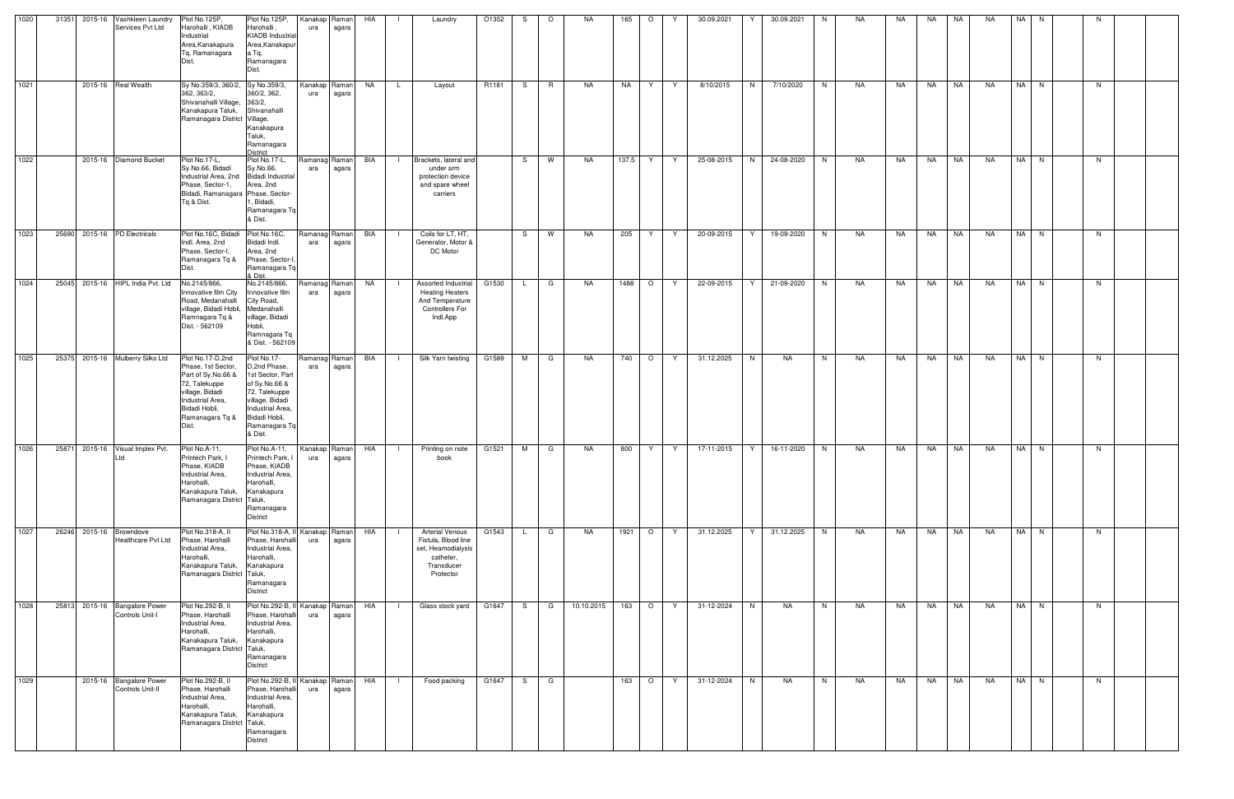| 1020   | 31351 | 2015-16 Vashkleen Laundry<br>Services Pvt Ltd | Plot No.125P,<br>Harohalli, KIADB<br>Industrial<br>Area, Kanakapura<br>Tg. Ramanagara<br>Dist.                                                                    | Plot No.125P,<br>Harohalli,<br><b>KIADB</b> Industrial<br>Area, Kanakapu<br>a Tq,<br>Ramanagara<br>Dist.                                                              | Kanakap Raman<br>ura | agara | HIA |                | Laundry                                                                                                     | O1352 | S.  | $\circ$  | NA.        | 165   | $\circ$ | Y  | 30.09.2021 | Y | 30.09.2021 | N. | NA.       | NA | NA.       | NA        | <b>NA</b> | NA N | -N |  |
|--------|-------|-----------------------------------------------|-------------------------------------------------------------------------------------------------------------------------------------------------------------------|-----------------------------------------------------------------------------------------------------------------------------------------------------------------------|----------------------|-------|-----|----------------|-------------------------------------------------------------------------------------------------------------|-------|-----|----------|------------|-------|---------|----|------------|---|------------|----|-----------|----|-----------|-----------|-----------|------|----|--|
| 1021   |       | 2015-16 Real Wealth                           | Sy No.359/3, 360/2, Sy No.359/3,<br>362, 363/2,<br>Shivanahalli Village, 363/2,<br>Kanakapura Taluk,<br>Ramanagara District Village,                              | 360/2, 362,<br>Shivanahalli<br>Kanakapura<br>Taluk,<br>Ramanagara<br>District                                                                                         | Kanakap Raman<br>ura | agara | NA  | $\mathsf{L}$   | Layout                                                                                                      | R1181 | S.  | <b>R</b> | NA         | NA    | Y.      | Y  | 8/10/2015  | N | 7/10/2020  | N  | NA        | NA | NA        | <b>NA</b> | NA        | NA N | N  |  |
| $1022$ |       | 2015-16 Diamond Bucket                        | Plot No.17-L,<br>Sy.No.66, Bidadi<br>Industrial Area, 2nd Bidadi Industrial<br>Phase, Sector-1,<br>Bidadi, Ramanagara Phase, Sector-<br>Ta & Dist.                | Plot No.17-L,<br>Sy.No.66,<br>Area, 2nd<br>. Bidadi,<br>Ramanagara Tg<br>& Dist.                                                                                      | Ramanag Raman<br>ara | agara | BIA |                | Brackets, lateral and<br>under arm<br>protection device<br>and spare wheel<br>carriers                      |       | S   | W        | <b>NA</b>  | 137.5 | Y       | Y  | 25-08-2015 | N | 24-08-2020 | N  | NA        | NA | <b>NA</b> | NA        | <b>NA</b> | NA N | N  |  |
| 1023   | 25690 | 2015-16 PD Electricals                        | Plot No.16C, Bidadi Plot No.16C,<br>Indl. Area, 2nd<br>Phase, Sector-I,<br>Ramanagara Tq &<br>Dist.                                                               | Bidadi Indl.<br>Area, 2nd<br>Phase, Sector-I<br>Ramanagara Tq<br>& Dist.                                                                                              | Ramanag Raman<br>ara | agara | BIA | $\mathbf{I}$   | Coils for LT, HT,<br>Generator, Motor &<br>DC Motor                                                         |       |     | S W      | NA         | 205   | Y       | Y. | 20-09-2015 | Y | 19-09-2020 | N  | <b>NA</b> | NA | <b>NA</b> | NA        | NA        | NA N | N  |  |
| 1024   | 25045 | 2015-16 HIPL India Pvt. Ltd                   | No.2145/866,<br>Innovative film City<br>Road, Medanahalli<br>village, Bidadi Hobli, Medanahalli<br>Ramnagara Tq &<br>Dist. - 562109                               | No.2145/866,<br>nnovative film<br>City Road,<br>village, Bidadi<br>Hobli,<br>Ramnagara Tq<br>& Dist. - 562109                                                         | Ramanag Raman<br>ara | agara | NA  | $\Box$         | Assorted Industrial<br><b>Heating Heaters</b><br>And Temperature<br><b>Controllers For</b><br>Indl.App      | G1530 | L.  | G        | NA         | 1488  | $\circ$ | Y  | 22-09-2015 | Y | 21-09-2020 | N  | <b>NA</b> | NA | NA        | <b>NA</b> | <b>NA</b> | NA N | N  |  |
| 1025   | 25375 | 2015-16 Mulberry Silks Ltd                    | Plot No.17-D,2nd<br>Phase, 1st Sector,<br>Part of Sy.No.66 &<br>72, Talekuppe<br>village, Bidadi<br>Industrial Area,<br>Bidadi Hobli,<br>Ramanagara Tq &<br>Dist. | Plot No.17-<br>D,2nd Phase,<br>1st Sector, Part<br>of Sy.No.66 &<br>72, Talekuppe<br>village, Bidadi<br>Industrial Area.<br>Bidadi Hobli,<br>Ramanagara Tq<br>& Dist. | Ramanag Raman<br>ara | agara | BIA |                | Silk Yarn twisting                                                                                          | G1589 | M   | G        | NA         | 740   | $\circ$ | Y. | 31.12.2025 | N | NA         | N  | NA        | NA | NA        | NA        | NA        | NA N | N  |  |
| 1026   | 25871 | 2015-16 Visual Implex Pvt.<br>Ltd             | Plot No.A-11,<br>Printech Park, I<br>Phase, KIADB<br>Industrial Area,<br>Harohalli,<br>Kanakapura Taluk,<br>Ramanagara District Taluk,                            | Plot No.A-11,<br>Printech Park, I<br>Phase, KIADB<br>Industrial Area,<br>Harohalli,<br>Kanakapura<br>Ramanagara<br><b>District</b>                                    | Kanakap Raman<br>ura | agara | HIA |                | Printing on note<br>book                                                                                    | G1521 | M   | G        | NA         | 800   | Y       | Y  | 17-11-2015 | Y | 16-11-2020 | N  | NA        | NA | NA        | NA        | NA        | NA N | N. |  |
| 1027   | 26246 | 2015-16 Browndove<br>Healthcare Pvt Ltd       | Plot No.318-A, II<br>Phase, Harohalli<br>Industrial Area,<br>Harohalli,<br>Kanakapura Taluk,<br>Ramanagara District Taluk,                                        | Plot No.318-A, I<br>Phase, Harohalli<br>Industrial Area,<br>Harohalli,<br>Kanakapura<br>Ramanagara<br>District                                                        | Kanakap Raman<br>ura | agara | HIA |                | <b>Arterial Venous</b><br>Fistula, Blood line<br>set, Heamodialysis<br>catheter,<br>Transducer<br>Protector | G1543 | L.  | G        | NA         | 1921  | $\circ$ | Y  | 31.12.2025 | Y | 31.12.2025 | N  | <b>NA</b> | NA | <b>NA</b> | <b>NA</b> | <b>NA</b> | NA N | N  |  |
| 1028   | 25813 | 2015-16 Bangalore Power<br>Controls Unit-I    | Plot No.292-B, II<br>Phase, Harohalli<br>Industrial Area,<br>Harohalli,<br>Kanakapura Taluk,<br>Ramanagara District Taluk,                                        | Plot No.292-B, II<br>Phase, Harohalli<br>Industrial Area,<br>Harohalli,<br>Kanakapura<br>Ramanagara<br><b>District</b>                                                | Kanakap Raman<br>ura | agara | HIA | $\blacksquare$ | Glass stock yard                                                                                            | G1647 | S.  | G        | 10.10.2015 | 163   | $\circ$ | Y  | 31-12-2024 | N | <b>NA</b>  | N  | <b>NA</b> | NA | NA        | NA        | <b>NA</b> | NA N | N  |  |
| 1029   |       | 2015-16 Bangalore Power<br>Controls Unit-II   | Plot No.292-B, II<br>Phase, Harohalli<br>Industrial Area,<br>Harohalli,<br>Kanakapura Taluk,<br>Ramanagara District Taluk,                                        | Plot No.292-B, II<br>Phase, Harohalli<br>Industrial Area.<br>Harohalli,<br>Kanakapura<br>Ramanagara<br><b>District</b>                                                | Kanakap Raman<br>ura | agara | HIA | $\blacksquare$ | Food packing                                                                                                | G1647 | S — | G        |            | 163   | $\circ$ | Y  | 31-12-2024 | N | NA         | N  | NA        | NA | <b>NA</b> | NA        | NA        | NA N | N  |  |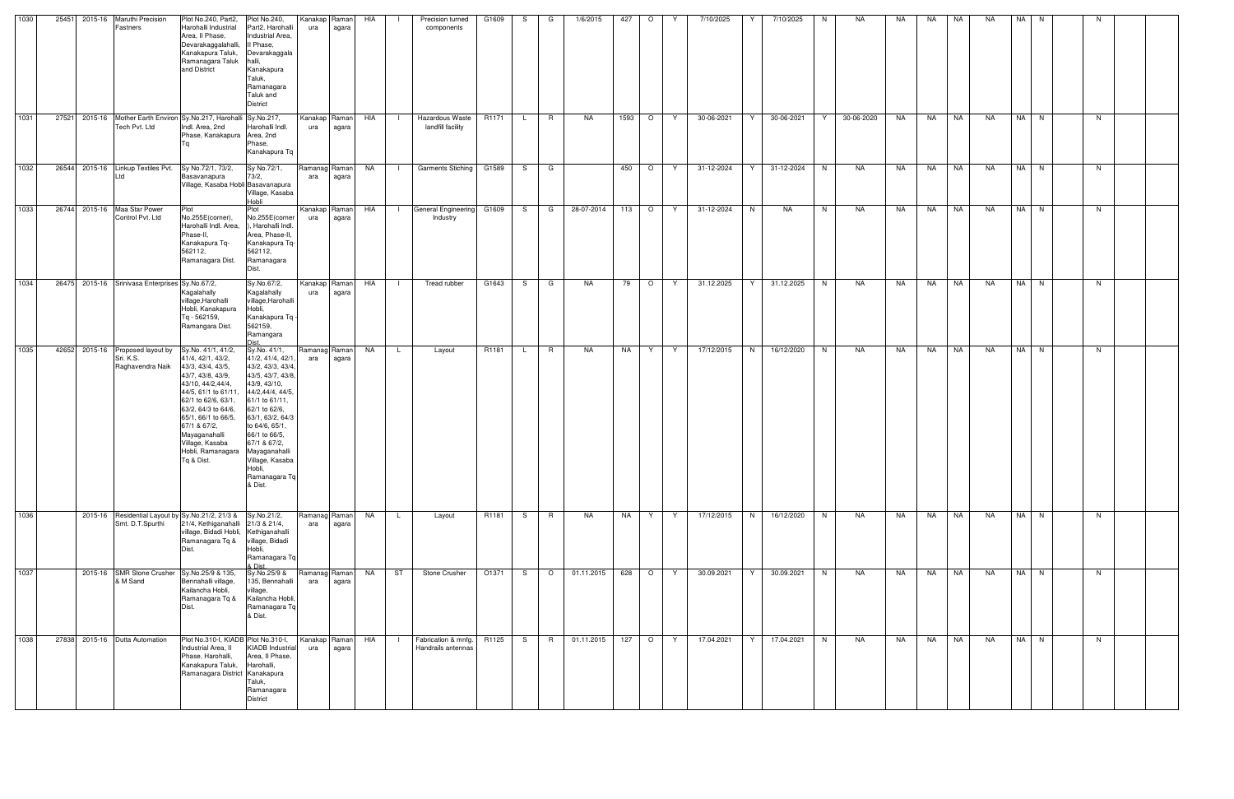| 1030 | 25451                        | 2015-16 Maruthi Precision<br>Fastners                                               | Plot No.240, Part2,<br>Harohalli Industrial<br>Area, Il Phase,<br>Devarakaggalahalli,<br>Kanakapura Taluk,<br>Ramanagara Taluk<br>and District                                                                                                                                              | Plot No.240,<br>Part2, Harohalli<br>Industrial Area,<br>Il Phase,<br>Devarakaggala<br>halli,<br>Kanakapura<br>Taluk,<br>Ramanagara<br>Taluk and<br>District                                                                                                                                       | Kanakap<br>ura       | Raman<br>agara | HIA       |              | Precision turned<br>components            | G1609 | S.           | G       | 1/6/2015   | 427      | $\circ$                  | Y. | 7/10/2025  | Y | 7/10/2025  | N. | NA         | NA | NA        | NA        | NA        | NA I | N.     | N. |  |
|------|------------------------------|-------------------------------------------------------------------------------------|---------------------------------------------------------------------------------------------------------------------------------------------------------------------------------------------------------------------------------------------------------------------------------------------|---------------------------------------------------------------------------------------------------------------------------------------------------------------------------------------------------------------------------------------------------------------------------------------------------|----------------------|----------------|-----------|--------------|-------------------------------------------|-------|--------------|---------|------------|----------|--------------------------|----|------------|---|------------|----|------------|----|-----------|-----------|-----------|------|--------|----|--|
| 1031 |                              | 27521 2015-16 Mother Earth Environ Sy.No.217, Harohalli Sy.No.217,<br>Tech Pvt. Ltd | Indl. Area, 2nd<br>Phase, Kanakapura Area, 2nd                                                                                                                                                                                                                                              | Harohalli Indl.<br>Phase,<br>Kanakapura Tq                                                                                                                                                                                                                                                        | Kanakap Raman<br>ura | agara          | HIA       | $\Box$       | Hazardous Waste<br>landfill facility      | R1171 | $\mathsf{L}$ | R.      | NA         | 1593   O |                          | Y  | 30-06-2021 | Y | 30-06-2021 | Y  | 30-06-2020 | NA | NA        | <b>NA</b> | NA        |      | NA N   | N. |  |
| 1032 |                              | 26544 2015-16 Linkup Textiles Pvt.<br>l td                                          | Sy No.72/1, 73/2,<br>Basavanapura<br>Village, Kasaba Hobli Basavanapura                                                                                                                                                                                                                     | Sy No.72/1,<br>73/2,<br>Village, Kasaba<br>Hobli                                                                                                                                                                                                                                                  | Ramanag<br>ara       | Raman<br>agara | NA .      | $\mathbf{I}$ | <b>Garments Stiching</b>                  | G1589 | S.           | G       |            | 450      | $\overline{\phantom{0}}$ | Y  | 31-12-2024 | Y | 31-12-2024 | N  | NA         | NA | <b>NA</b> | NA        | NA        |      | NA N   | N. |  |
| 1033 | 26744 2015-16 Maa Star Power | Control Pvt. Ltd                                                                    | Plot<br>No.255E(corner),<br>Harohalli Indl. Area,<br>Phase-II,<br>Kanakapura Tq-<br>562112,<br>Ramanagara Dist.                                                                                                                                                                             | Plot<br>No.255E(corner<br>, Harohalli Indl.<br>Area, Phase-II,<br>Kanakapura Tq-<br>562112,<br>Ramanagara<br>Dist.                                                                                                                                                                                | Kanakap Raman<br>ura | agara          | HIA       |              | General Engineering G1609<br>Industry     |       | S.           | G       | 28-07-2014 | $113$ 0  |                          | Y  | 31-12-2024 | N | NA         | N  | NA         | NA | NA        | NA        | NA        |      | NA N   | N  |  |
| 1034 |                              | 26475 2015-16 Srinivasa Enterprises Sy No.67/2,                                     | Kagalahally<br>village, Harohalli<br>Hobli, Kanakapura<br>Tq - 562159,<br>Ramangara Dist.                                                                                                                                                                                                   | Sy.No.67/2,<br>Kagalahally<br>village, Harohalli<br>Hobli,<br>Kanakapura Tq ·<br>562159,<br>Ramangara<br><b>Nict</b>                                                                                                                                                                              | Kanakap<br>ura       | Raman<br>agara | HIA       |              | Tread rubber                              | G1643 | S.           | G       | NA         | 79       | $\circ$                  | Y  | 31.12.2025 | Y | 31.12.2025 | N. | NA         | NA | NA        | <b>NA</b> | NA        |      | NA N   | N. |  |
| 1035 |                              | 42652 2015-16 Proposed layout by<br>Sri. K.S.<br>Raghavendra Naik                   | Sy.No. 41/1, 41/2,<br>41/4, 42/1, 43/2,<br>43/3, 43/4, 43/5,<br>43/7, 43/8, 43/9,<br>43/10, 44/2, 44/4,<br>44/5, 61/1 to 61/11.<br>62/1 to 62/6, 63/1,<br>63/2, 64/3 to 64/6,<br>65/1, 66/1 to 66/5,<br>67/1 & 67/2,<br>Mayaganahalli<br>Village, Kasaba<br>Hobli, Ramanagara<br>Tq & Dist. | Sy.No. 41/1,<br>41/2, 41/4, 42/1,<br>43/2, 43/3, 43/4<br>43/5, 43/7, 43/8,<br>43/9, 43/10,<br>44/2,44/4, 44/5<br>61/1 to 61/11,<br>62/1 to 62/6,<br>63/1, 63/2, 64/3<br>to 64/6, 65/1,<br>66/1 to 66/5,<br>67/1 & 67/2,<br>Mayaganahalli<br>Village, Kasaba<br>Hobli,<br>Ramanagara Tq<br>& Dist. | Ramanag<br>ara       | Raman<br>agara | <b>NA</b> | . L .        | Layout                                    | R1181 | L.           | R.      | NA         | NA       | Y.                       | Y  | 17/12/2015 | N | 16/12/2020 | N  | NA         | NA | NA 1      | <b>NA</b> | NA        |      | NA N   | N. |  |
| 1036 |                              | 2015-16 Residential Layout by Sy.No.21/2, 21/3 & Sy.No.21/2,<br>Smt. D.T.Spurthi    | 21/4, Kethiganahalli 21/3 & 21/4,<br>village, Bidadi Hobli, Kethiganahalli<br>Ramanagara Tq &<br>Dist.                                                                                                                                                                                      | village, Bidadi<br>Hobli,<br>Ramanagara Tq<br>& Dist.                                                                                                                                                                                                                                             | Ramanag Raman<br>ara | agara          | <b>NA</b> | L.           | Layout                                    | R1181 | S.           | R       | <b>NA</b>  | NA       | Y                        | Y  | 17/12/2015 | N | 16/12/2020 | N  | NA         | NA | <b>NA</b> | <b>NA</b> | NA        |      | $NA$ N | N. |  |
| 1037 |                              | 2015-16 SMR Stone Crusher Sy.No.25/9 & 135,<br>& M Sand                             | Bennahalli village,<br>Kailancha Hobli,<br>Ramanagara Tq &<br>Dist.                                                                                                                                                                                                                         | Sy.No.25/9 &<br>135, Bennahalli<br>village,<br>Kailancha Hobli,<br>Ramanagara Tq<br>& Dist.                                                                                                                                                                                                       | Ramanag Raman<br>ara | agara          | NA .      | ST           | Stone Crusher                             | O1371 | S.           | $\circ$ | 01.11.2015 | 628 O    |                          | Y  | 30.09.2021 | Y | 30.09.2021 | N  | NA         | NA | <b>NA</b> | NA        | <b>NA</b> |      | NA N   | N. |  |
| 1038 | 27838                        | 2015-16 Dutta Automation                                                            | Plot No.310-I, KIADB Plot No.310-I,<br>Industrial Area, II<br>Phase, Harohalli,<br>Kanakapura Taluk,<br>Ramanagara District Kanakapura                                                                                                                                                      | <b>KIADB</b> Industrial<br>Area, II Phase,<br>Harohalli,<br>Taluk,<br>Ramanagara<br><b>District</b>                                                                                                                                                                                               | Kanakap Raman<br>ura | agara          | HIA       |              | Fabrication & mnfg.<br>Handrails antennas | R1125 | S.           | R.      | 01.11.2015 | 127      | $\overline{O}$           | Y. | 17.04.2021 | Y | 17.04.2021 | N  | NA         | NA | NA        | NA        | <b>NA</b> |      | NA N   | N. |  |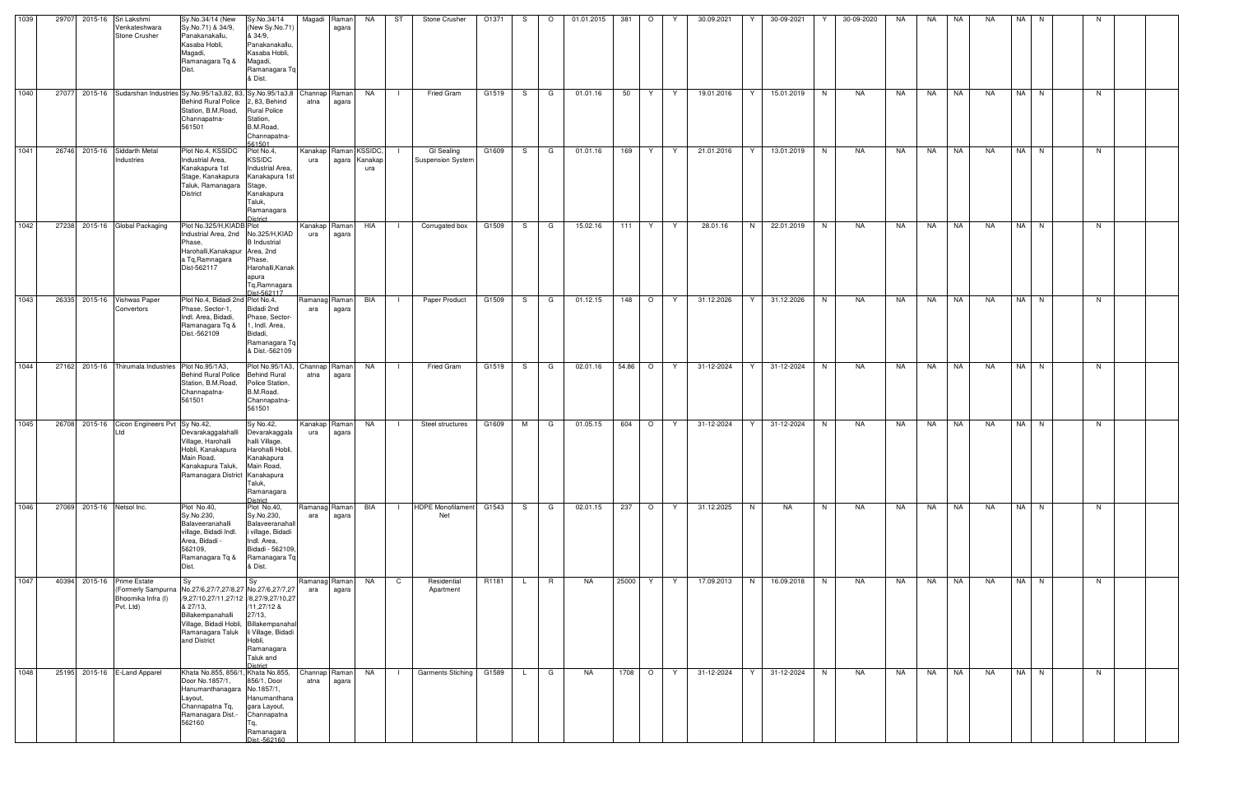| 1039 |                           | 29707 2015-16 Sri Lakshmi<br>Venkateshwara<br><b>Stone Crusher</b> | Sy.No.34/14 (New<br>Sy.No.71) & 34/9,<br>Panakanakallu,<br>Kasaba Hobli,<br>Magadi,<br>Ramanagara Tq &<br>Dist.                                                                                                                                 | Sy.No.34/14<br>(New Sy.No.71<br>& 34/9,<br>Panakanakallu<br>Kasaba Hobli,<br>Magadi,<br>Ramanagara Tq<br>& Dist.                 | Magadi Raman                 | agara                  | NA                   | ST             | Stone Crusher                          | O1371 | S.           | $\circ$ | 01.01.2015 | 381   | $\circ$ | Y  | 30.09.2021 | 30-09-2021<br>Y  | Y  | 30-09-2020 | NA | NA   | NA        | NA.       | NA I | N. | N  |  |
|------|---------------------------|--------------------------------------------------------------------|-------------------------------------------------------------------------------------------------------------------------------------------------------------------------------------------------------------------------------------------------|----------------------------------------------------------------------------------------------------------------------------------|------------------------------|------------------------|----------------------|----------------|----------------------------------------|-------|--------------|---------|------------|-------|---------|----|------------|------------------|----|------------|----|------|-----------|-----------|------|----|----|--|
| 1040 |                           |                                                                    | 27077 2015-16 Sudarshan Industries Sy.No.95/1a3,82, 83, Sy.No.95/1a3,8<br>Behind Rural Police 2, 83, Behind<br>Station, B.M.Road,<br>Channapatna-<br>561501                                                                                     | <b>Rural Police</b><br>Station,<br>B.M.Road,<br>Channapatna-<br>561501                                                           | Channap Raman<br>atna        | agara                  | <b>NA</b>            | $\Box$         | Fried Gram                             | G1519 |              | S G     | 01.01.16   | 50    | Y       | Y. | 19.01.2016 | 15.01.2019<br>Y  | N  | NA         | NA | NA 1 | <b>NA</b> | <b>NA</b> | NA N |    | N. |  |
| 1041 |                           | 26746 2015-16 Siddarth Metal<br>Industries                         | Plot No.4, KSSIDC<br>Industrial Area,<br>Kanakapura 1st<br>Stage, Kanakapura Kanakapura 1st<br>Taluk, Ramanagara Stage,<br><b>District</b>                                                                                                      | Plot No.4,<br><b>KSSIDC</b><br>Industrial Area,<br>Kanakapura<br>Taluk,<br>Ramanagara<br><b>District</b>                         | Kanakap Raman KSSIDC,<br>ura |                        | agara Kanakap<br>ura |                | GI Sealing<br><b>Suspension System</b> | G1609 | S.           | G       | 01.01.16   | 169   | Y       | Y  | 21.01.2016 | Y<br>13.01.2019  | N  | NA         | NA | NA   | NA        | NA        | NA N |    | N  |  |
| 1042 |                           | 27238 2015-16 Global Packaging                                     | Plot No.325/H, KIADB Plot<br>Industrial Area, 2nd No.325/H, KIAD<br>Phase,<br>Harohalli, Kanakapur Area, 2nd<br>a Tq, Ramnagara<br>Dist-562117                                                                                                  | <b>B</b> Industrial<br>Phase,<br>Harohalli, Kanak<br>apura<br>Tq, Ramnagara<br>Dist-562117                                       | Kanakap Raman<br>ura         | agara                  | HIA                  |                | Corrugated box                         | G1509 | S.           | G       | 15.02.16   | 111   | Y       | Y  | 28.01.16   | N<br>22.01.2019  | N. | NA         | NA | NA   | NA        | NA        | NA N |    | N. |  |
| 1043 |                           | 26335 2015-16 Vishwas Paper<br>Convertors                          | Plot No.4, Bidadi 2nd Plot No.4,<br>Phase, Sector-1,<br>Indl. Area, Bidadi,<br>Ramanagara Tq &<br>Dist.-562109                                                                                                                                  | Bidadi 2nd<br>Phase, Sector-<br>1, Indl. Area,<br>Bidadi,<br>Ramanagara To<br>& Dist.-562109                                     | Ramanag Raman<br>ara         | agara                  | BIA                  |                | Paper Product                          | G1509 |              | S G     | 01.12.15   |       | 148 O   | Y. | 31.12.2026 | 31.12.2026<br>Y  | N. | NA         | NA | NA   | <b>NA</b> | NA        | NA N |    | N. |  |
| 1044 |                           | 27162 2015-16 Thirumala Industries                                 | Plot No.95/1A3,<br>Behind Rural Police Behind Rural<br>Station, B.M.Road,<br>Channapatna-<br>561501                                                                                                                                             | Plot No.95/1A3,<br>Police Station,<br>B.M.Road,<br>Channapatna-<br>561501                                                        | atna                         | Channap Raman<br>agara | <b>NA</b>            | $\mathbf{I}$   | <b>Fried Gram</b>                      | G1519 |              | S G     | 02.01.16   |       | 54.86 O | Y. | 31-12-2024 | 31-12-2024<br>Y  | N  | NA         | NA | NA   | NA        | NA        | NA N |    | N. |  |
| 1045 |                           | 26708 2015-16 Cicon Engineers Pvt Sy No.42,<br>Ltd                 | Devarakaggalahalli<br>Village, Harohalli<br>Hobli, Kanakapura<br>Main Road,<br>Kanakapura Taluk, Main Road,<br>Ramanagara District Kanakapura                                                                                                   | Sy No.42,<br>Devarakaggala<br>halli Village,<br>Harohalli Hobli.<br>Kanakapura<br>Taluk,<br>Ramanagara<br><b>District</b>        | Kanakap Raman<br>ura         | agara                  | NA                   | $\mathbf{I}$   | Steel structures                       | G1609 | M            | G       | 01.05.15   | 604   | $\circ$ | Y. | 31-12-2024 | Y<br>31-12-2024  | N. | NA         | NA | NA   | NA        | NA        | NA N |    | N. |  |
| 1046 | 27069 2015-16 Netsol Inc. |                                                                    | Plot No.40,<br>Sy.No.230,<br>Balaveeranahalli<br>village, Bidadi Indl.<br>Area, Bidadi -<br>562109.<br>Ramanagara Tq &<br>Dist.                                                                                                                 | Plot No.40,<br>Sy.No.230,<br>Balaveeranahall<br>i village, Bidadi<br>Indl. Area,<br>Bidadi - 562109,<br>Ramanagara Tq<br>& Dist. | Ramanag Raman<br>ara         | agara                  | BIA                  | $\blacksquare$ | HDPE Monofilament G1543<br>Net         |       |              | S G     | 02.01.15   | 237   | $\circ$ | Y  | 31.12.2025 | N<br>NA          | N  | NA         | NA | NA   | <b>NA</b> | NA        | NA N |    | N  |  |
| 1047 |                           | 40394 2015-16 Prime Estate<br>Bhoomika Infra (I)<br>Pvt. Ltd)      | <b>Sy</b><br>(Formerly Sampurna No.27/6,27/7,27/8,27 No.27/6,27/7,27<br>/9,27/10,27/11,27/12 /8,27/9,27/10,27<br>& 27/13,<br>Billakempanahalli<br>Village, Bidadi Hobli, Billakempanahal<br>Ramanagara Taluk li Village, Bidadi<br>and District | Sy<br>/11,27/12 &<br>27/13,<br>Hobli,<br>Ramanagara<br>Taluk and<br>District                                                     | Ramanag Raman<br>ara         | agara                  | NA                   | $\mathsf{C}$   | Residential<br>Apartment               | R1181 | L.           | R       | NA         | 25000 | Y       | Y  | 17.09.2013 | N<br>16.09.2018  | N  | NA         | NA | NA   | NA        | <b>NA</b> | NA N |    | N  |  |
| 1048 |                           | 25195 2015-16 E-Land Apparel                                       | Khata No.855, 856/1, Khata No.855,<br>Door No.1857/1,<br>Hanumanthanagara No.1857/1,<br>Layout,<br>Channapatna Tq,<br>Ramanagara Dist.-<br>562160                                                                                               | 856/1, Door<br>Hanumanthana<br>gara Layout,<br>Channapatna<br>Tq,<br>Ramanagara<br>Dist.-562160                                  | Channap Raman<br>atna        | agara                  | NA                   | $\Box$         | <b>Garments Stiching</b>               | G1589 | $\mathsf{L}$ | G       | NA         | 1708  | $\circ$ | Y  | 31-12-2024 | Y.<br>31-12-2024 | N  | NA         | NA | NA   | <b>NA</b> | <b>NA</b> | NA N |    | N. |  |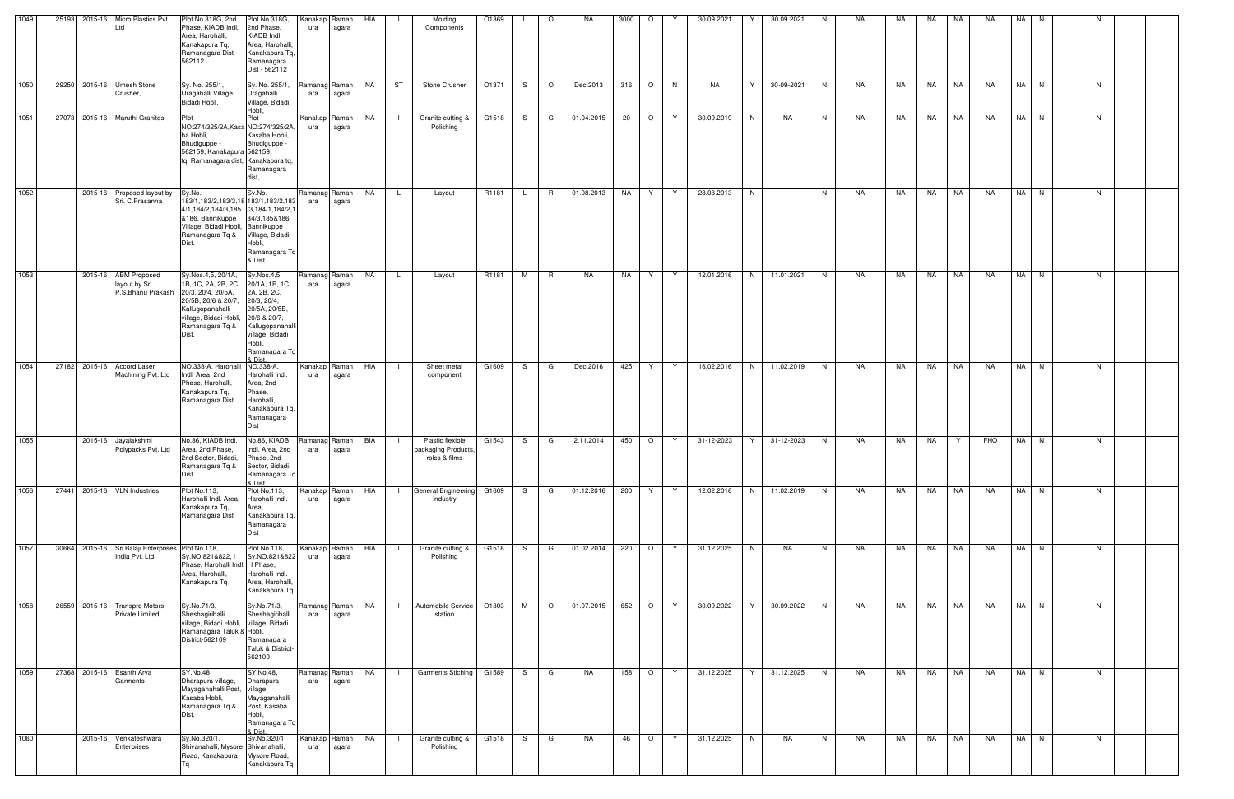| 25193 2015-16 Micro Plastics Pvt.<br>Plot No.318G, 2nd<br>Plot No.318G,<br><b>HIA</b><br>O1369<br>NA.<br>30.09.2021<br>30.09.2021<br>NA.<br>NA<br>Kanakapl<br>Raman<br>Molding<br>3000<br>$\circ$<br>NA<br>NA<br><b>NA</b><br>NA<br>$\circ$<br>N.<br>N.<br>Phase, KIADB Indl.<br>2nd Phase,<br>Ltd<br>ura<br>agara<br>Components<br>KIADB Indl.<br>Area, Harohalli,<br>Area, Harohalli,<br>Kanakapura Tq.<br>Ramanagara Dist -<br>Kanakapura Tq,<br>562112<br>Ramanagara<br>Dist - 562112<br>1050<br>29250 2015-16 Umesh Stone<br>Sy. No. 255/1<br>Sy. No. 255/1,<br>ST<br>O1371<br>$\circ$<br><b>NA</b><br>NA<br>NA<br>NA N<br>NA .<br>Stone Crusher<br>$\circ$<br>Dec.2013<br>316<br>30-09-2021<br>N<br><b>NA</b><br>NA.<br><b>NA</b><br>Ramanac<br>Raman<br>S.<br>N.<br>Y<br>N.<br>Uragahalli Village,<br>Uragahalli<br>Crusher,<br>ara<br>agara<br>Bidadi Hobli,<br>Village, Bidadi<br>Hobli,<br>1051<br>27073 2015-16 Maruthi Granites,<br>Plot<br>Plot<br>Kanakap<br>NA<br>G1518<br>G<br>01.04.2015<br>20<br>$\circ$<br>30.09.2019<br>N<br>NA<br>N.<br>NA<br>NA<br>NA<br><b>NA</b><br>NA<br>NA N<br>Raman<br>Granite cutting &<br>S.<br>Y<br>N.<br>NO:274/325/2A, Kasa NO:274/325/2A,<br>Polishing<br>ura<br>agara<br>ba Hobli,<br>Kasaba Hobli,<br>Bhudiguppe -<br>Bhudiguppe -<br>562159, Kanakapura 562159,<br>tq, Ramanagara dist, Kanakapura tq,<br>Ramanagara<br>dist.<br>1052<br>01.08.2013<br>NA<br>28.08.2013<br>N<br>NA<br>NA I<br>2015-16 Proposed layout by<br>Sy.No.<br>NA<br>R1181<br>R.<br>N.<br>NA<br>NA<br>NA<br>NA<br>N<br>Sy.No.<br>Ramanag<br>Raman<br>Y<br>Y<br>N.<br>Layout<br>L.<br>Sri. C.Prasanna<br>183/1,183/2,183/3,18 183/1,183/2,183<br>ara<br>agara<br>4/1,184/2,184/3,185 /3,184/1,184/2,<br>&186, Bannikuppe<br>84/3,185&186,<br>Village, Bidadi Hobli, Bannikuppe<br>Ramanagara Tq &<br>Village, Bidadi<br>Hobli,<br>Ramanagara Tq<br>& Dist.<br>1053<br>2015-16 ABM Proposed<br>Sy.Nos.4,5, 20/1A,<br>12.01.2016<br>N<br><b>NA</b><br>NA N<br>Sy.Nos.4,5,<br>Ramanag<br>Raman<br>NA<br>R1181<br>M<br>R.<br>NA<br>NA<br>Y.<br>Y<br>11.01.2021<br>N<br>NA<br>NA<br>NA<br>NA<br>N<br>$\mathsf{L}$<br>Layout<br>1B, 1C, 2A, 2B, 2C,<br>layout by Sri.<br>20/1A, 1B, 1C,<br>ara<br>agara<br>P.S.Bhanu Prakash<br>2A, 2B, 2C,<br>20/3, 20/4, 20/5A,<br>20/5B, 20/6 & 20/7,<br>20/3, 20/4,<br>20/5A, 20/5B,<br>Kallugopanahalli<br>village, Bidadi Hobli, 20/6 & 20/7,<br>Ramanagara Tq &<br>Kallugopanahalli<br>village, Bidadi<br>Hobli,<br>Ramanagara Tq<br>& Dist<br>1054<br>27182 2015-16 Accord Laser<br>NO.338-A, Harohalli NO.338-A,<br>425<br>16.02.2016<br>N<br>NA<br>NA N<br>Kanakap<br>HIA<br>Sheet metal<br>G1609<br>G<br>Dec.2016<br>Y<br>11.02.2019<br>N<br>NA.<br>NA<br>NA<br><b>NA</b><br>N<br>Raman<br>S.<br>Y<br>- 1<br>Machining Pvt. Ltd<br>Indl. Area, 2nd<br>Harohalli Indl.<br>ura<br>agara<br>component<br>Phase, Harohalli,<br>Area, 2nd<br>Kanakapura Tq,<br>Phase,<br>Harohalli,<br>Ramanagara Dist<br>Kanakapura Tq,<br>Ramanagara<br><b>Dist</b><br>1055<br>No.86, KIADB Indl.<br>No.86, KIADB<br>31-12-2023<br>2015-16 Jayalakshmi<br>BIA<br>Plastic flexible<br>G1543<br>2.11.2014<br>450<br>$\circ$<br>31-12-2023<br>NA<br>FHO<br>NA N<br>Ramanag<br>Raman<br>G<br>Y.<br>N<br>NA<br>NA<br>S.<br>Y<br>Y<br>N.<br>Area, 2nd Phase,<br>Polypacks Pvt. Ltd<br>Indl. Area. 2nd<br>packaging Products,<br>ara<br>agara<br>2nd Sector, Bidadi, Phase, 2nd<br>roles & films<br>Ramanagara Tq &<br>Sector, Bidadi,<br>Dist<br>Ramanagara Tq<br>& Dist<br>1056<br>27441 2015-16 VLN Industries<br>Plot No.113,<br>Plot No.113,<br>G1609<br>01.12.2016<br>200<br>12.02.2016<br>N<br>11.02.2019<br>NA<br>NA<br>NA N<br>Kanakap<br>HIA<br>General Engineering<br>S<br>G<br>Y<br>Y<br>N.<br>NA<br>NA<br><b>NA</b><br>N<br>Raman<br>Harohalli Indl. Area,<br>Harohalli Indl.<br>Industry<br>ura<br>agara<br>Kanakapura Tq,<br>Area,<br>Ramanagara Dist<br>Kanakapura Tq,<br>Ramanagara<br>Dist<br>1057<br>30664 2015-16 Sri Balaji Enterprises Plot No.118,<br>01.02.2014<br>220<br>NA<br>NA  <br>Plot No.118,<br>G1518<br>G<br>$\circ$<br>Y<br>31.12.2025<br>N<br>N<br>NA<br>NA<br>NA<br>Kanakap<br>Raman<br>HIA<br>Granite cutting &<br>S.<br>NA<br>NA<br>N<br>N<br>India Pvt. Ltd<br>Sy.NO.821&822, I<br>Sy.NO.821&822<br>Polishing<br>ura<br>agara<br>Phase, Harohalli Indl.<br>I Phase,<br>Area, Harohalli,<br>Harohalli Indl.<br>Kanakapura Tq<br>Area, Harohalli,<br>Kanakapura Tq<br>NA N<br>1058<br>01.07.2015<br>652 O<br><b>NA</b><br>26559 2015-16 Transpro Motors<br>Sy.No.71/3,<br>Sy.No.71/3,<br>Ramanag Raman<br><b>NA</b><br>Automobile Service<br>O1303<br>M<br>$\circ$<br>Y<br>30.09.2022<br>Y<br>30.09.2022<br>N<br>NA<br>NA<br><b>NA</b><br><b>NA</b><br>N<br>$\mathbf{I}$<br>Sheshagirihalli<br><b>Private Limited</b><br>Sheshagirihalli<br>ara<br>station<br>agara<br>village, Bidadi Hobli, village, Bidadi<br>Ramanagara Taluk & Hobli,<br>District-562109<br>Ramanagara<br>Taluk & District-<br>562109<br>1059<br>27368 2015-16 Esanth Arya<br>SY.No.48,<br>SY.No.48,<br>Ramanag<br>NA<br>158<br>31.12.2025<br>NA<br>NA<br>NA N<br>NA<br><b>Garments Stiching</b><br>G1589<br>$\circ$<br>Y<br>31.12.2025<br>N<br>NA<br>NA<br><b>NA</b><br>Raman<br>S.<br>G<br>Y<br>N.<br>Dharapura village,<br>Dharapura<br>Garments<br>ara<br>agara<br>Mayaganahalli Post, village,<br>Kasaba Hobli,<br>Mayaganahalli<br>Ramanagara Tq &<br>Post, Kasaba<br>Hobli,<br>Dist.<br>Ramanagara Tq<br>& Dist.<br>1060<br>2015-16 Venkateshwara<br>Sy.No.320/1,<br>Sy.No.320/1,<br>G1518<br>NA<br>$\overline{O}$<br>31.12.2025<br>N<br><b>NA</b><br><b>NA</b><br>NA N<br>Kanakap<br>NA<br>S.<br>G<br>46<br>Y<br>NA<br>N<br>NA<br>NA<br>NA<br>Raman<br>Granite cutting &<br>N.<br>Shivanahalli, Mysore Shivanahalli,<br>Enterprises<br>ura<br>Polishing<br>agara<br>Road, Kanakapura<br>Mysore Road,<br>Kanakapura Tq |      |  |  |  |  |  |  |  |  |  |  |  |  |  |  |  |
|-------------------------------------------------------------------------------------------------------------------------------------------------------------------------------------------------------------------------------------------------------------------------------------------------------------------------------------------------------------------------------------------------------------------------------------------------------------------------------------------------------------------------------------------------------------------------------------------------------------------------------------------------------------------------------------------------------------------------------------------------------------------------------------------------------------------------------------------------------------------------------------------------------------------------------------------------------------------------------------------------------------------------------------------------------------------------------------------------------------------------------------------------------------------------------------------------------------------------------------------------------------------------------------------------------------------------------------------------------------------------------------------------------------------------------------------------------------------------------------------------------------------------------------------------------------------------------------------------------------------------------------------------------------------------------------------------------------------------------------------------------------------------------------------------------------------------------------------------------------------------------------------------------------------------------------------------------------------------------------------------------------------------------------------------------------------------------------------------------------------------------------------------------------------------------------------------------------------------------------------------------------------------------------------------------------------------------------------------------------------------------------------------------------------------------------------------------------------------------------------------------------------------------------------------------------------------------------------------------------------------------------------------------------------------------------------------------------------------------------------------------------------------------------------------------------------------------------------------------------------------------------------------------------------------------------------------------------------------------------------------------------------------------------------------------------------------------------------------------------------------------------------------------------------------------------------------------------------------------------------------------------------------------------------------------------------------------------------------------------------------------------------------------------------------------------------------------------------------------------------------------------------------------------------------------------------------------------------------------------------------------------------------------------------------------------------------------------------------------------------------------------------------------------------------------------------------------------------------------------------------------------------------------------------------------------------------------------------------------------------------------------------------------------------------------------------------------------------------------------------------------------------------------------------------------------------------------------------------------------------------------------------------------------------------------------------------------------------------------------------------------------------------------------------------------------------------------------------------------------------------------------------------------------------------------------------------------------------------------------------------------------------------------------------------------------------------------------------------------------------------------------------------------------------------------------------------------------------------------------------------------------------------------------------------------------------------------------------------------------------------------------------------------------------------------------------------------------------------------------------------------------------------------------------------------------------------------------------------------------------------------------------------------------------------------------------------------------------------------------------------------------------------------------------------------------------------------------------------------------------------------------------------------------------------------------------------------------------------------------------------------------------------------------------------------------------------------------------------------------------------------------------------------------------------------------------------------------------------------------------------------|------|--|--|--|--|--|--|--|--|--|--|--|--|--|--|--|
|                                                                                                                                                                                                                                                                                                                                                                                                                                                                                                                                                                                                                                                                                                                                                                                                                                                                                                                                                                                                                                                                                                                                                                                                                                                                                                                                                                                                                                                                                                                                                                                                                                                                                                                                                                                                                                                                                                                                                                                                                                                                                                                                                                                                                                                                                                                                                                                                                                                                                                                                                                                                                                                                                                                                                                                                                                                                                                                                                                                                                                                                                                                                                                                                                                                                                                                                                                                                                                                                                                                                                                                                                                                                                                                                                                                                                                                                                                                                                                                                                                                                                                                                                                                                                                                                                                                                                                                                                                                                                                                                                                                                                                                                                                                                                                                                                                                                                                                                                                                                                                                                                                                                                                                                                                                                                                                                                                                                                                                                                                                                                                                                                                                                                                                                                                                                                                                                               | 1049 |  |  |  |  |  |  |  |  |  |  |  |  |  |  |  |
|                                                                                                                                                                                                                                                                                                                                                                                                                                                                                                                                                                                                                                                                                                                                                                                                                                                                                                                                                                                                                                                                                                                                                                                                                                                                                                                                                                                                                                                                                                                                                                                                                                                                                                                                                                                                                                                                                                                                                                                                                                                                                                                                                                                                                                                                                                                                                                                                                                                                                                                                                                                                                                                                                                                                                                                                                                                                                                                                                                                                                                                                                                                                                                                                                                                                                                                                                                                                                                                                                                                                                                                                                                                                                                                                                                                                                                                                                                                                                                                                                                                                                                                                                                                                                                                                                                                                                                                                                                                                                                                                                                                                                                                                                                                                                                                                                                                                                                                                                                                                                                                                                                                                                                                                                                                                                                                                                                                                                                                                                                                                                                                                                                                                                                                                                                                                                                                                               |      |  |  |  |  |  |  |  |  |  |  |  |  |  |  |  |
|                                                                                                                                                                                                                                                                                                                                                                                                                                                                                                                                                                                                                                                                                                                                                                                                                                                                                                                                                                                                                                                                                                                                                                                                                                                                                                                                                                                                                                                                                                                                                                                                                                                                                                                                                                                                                                                                                                                                                                                                                                                                                                                                                                                                                                                                                                                                                                                                                                                                                                                                                                                                                                                                                                                                                                                                                                                                                                                                                                                                                                                                                                                                                                                                                                                                                                                                                                                                                                                                                                                                                                                                                                                                                                                                                                                                                                                                                                                                                                                                                                                                                                                                                                                                                                                                                                                                                                                                                                                                                                                                                                                                                                                                                                                                                                                                                                                                                                                                                                                                                                                                                                                                                                                                                                                                                                                                                                                                                                                                                                                                                                                                                                                                                                                                                                                                                                                                               |      |  |  |  |  |  |  |  |  |  |  |  |  |  |  |  |
|                                                                                                                                                                                                                                                                                                                                                                                                                                                                                                                                                                                                                                                                                                                                                                                                                                                                                                                                                                                                                                                                                                                                                                                                                                                                                                                                                                                                                                                                                                                                                                                                                                                                                                                                                                                                                                                                                                                                                                                                                                                                                                                                                                                                                                                                                                                                                                                                                                                                                                                                                                                                                                                                                                                                                                                                                                                                                                                                                                                                                                                                                                                                                                                                                                                                                                                                                                                                                                                                                                                                                                                                                                                                                                                                                                                                                                                                                                                                                                                                                                                                                                                                                                                                                                                                                                                                                                                                                                                                                                                                                                                                                                                                                                                                                                                                                                                                                                                                                                                                                                                                                                                                                                                                                                                                                                                                                                                                                                                                                                                                                                                                                                                                                                                                                                                                                                                                               |      |  |  |  |  |  |  |  |  |  |  |  |  |  |  |  |
|                                                                                                                                                                                                                                                                                                                                                                                                                                                                                                                                                                                                                                                                                                                                                                                                                                                                                                                                                                                                                                                                                                                                                                                                                                                                                                                                                                                                                                                                                                                                                                                                                                                                                                                                                                                                                                                                                                                                                                                                                                                                                                                                                                                                                                                                                                                                                                                                                                                                                                                                                                                                                                                                                                                                                                                                                                                                                                                                                                                                                                                                                                                                                                                                                                                                                                                                                                                                                                                                                                                                                                                                                                                                                                                                                                                                                                                                                                                                                                                                                                                                                                                                                                                                                                                                                                                                                                                                                                                                                                                                                                                                                                                                                                                                                                                                                                                                                                                                                                                                                                                                                                                                                                                                                                                                                                                                                                                                                                                                                                                                                                                                                                                                                                                                                                                                                                                                               |      |  |  |  |  |  |  |  |  |  |  |  |  |  |  |  |
|                                                                                                                                                                                                                                                                                                                                                                                                                                                                                                                                                                                                                                                                                                                                                                                                                                                                                                                                                                                                                                                                                                                                                                                                                                                                                                                                                                                                                                                                                                                                                                                                                                                                                                                                                                                                                                                                                                                                                                                                                                                                                                                                                                                                                                                                                                                                                                                                                                                                                                                                                                                                                                                                                                                                                                                                                                                                                                                                                                                                                                                                                                                                                                                                                                                                                                                                                                                                                                                                                                                                                                                                                                                                                                                                                                                                                                                                                                                                                                                                                                                                                                                                                                                                                                                                                                                                                                                                                                                                                                                                                                                                                                                                                                                                                                                                                                                                                                                                                                                                                                                                                                                                                                                                                                                                                                                                                                                                                                                                                                                                                                                                                                                                                                                                                                                                                                                                               |      |  |  |  |  |  |  |  |  |  |  |  |  |  |  |  |
|                                                                                                                                                                                                                                                                                                                                                                                                                                                                                                                                                                                                                                                                                                                                                                                                                                                                                                                                                                                                                                                                                                                                                                                                                                                                                                                                                                                                                                                                                                                                                                                                                                                                                                                                                                                                                                                                                                                                                                                                                                                                                                                                                                                                                                                                                                                                                                                                                                                                                                                                                                                                                                                                                                                                                                                                                                                                                                                                                                                                                                                                                                                                                                                                                                                                                                                                                                                                                                                                                                                                                                                                                                                                                                                                                                                                                                                                                                                                                                                                                                                                                                                                                                                                                                                                                                                                                                                                                                                                                                                                                                                                                                                                                                                                                                                                                                                                                                                                                                                                                                                                                                                                                                                                                                                                                                                                                                                                                                                                                                                                                                                                                                                                                                                                                                                                                                                                               |      |  |  |  |  |  |  |  |  |  |  |  |  |  |  |  |
|                                                                                                                                                                                                                                                                                                                                                                                                                                                                                                                                                                                                                                                                                                                                                                                                                                                                                                                                                                                                                                                                                                                                                                                                                                                                                                                                                                                                                                                                                                                                                                                                                                                                                                                                                                                                                                                                                                                                                                                                                                                                                                                                                                                                                                                                                                                                                                                                                                                                                                                                                                                                                                                                                                                                                                                                                                                                                                                                                                                                                                                                                                                                                                                                                                                                                                                                                                                                                                                                                                                                                                                                                                                                                                                                                                                                                                                                                                                                                                                                                                                                                                                                                                                                                                                                                                                                                                                                                                                                                                                                                                                                                                                                                                                                                                                                                                                                                                                                                                                                                                                                                                                                                                                                                                                                                                                                                                                                                                                                                                                                                                                                                                                                                                                                                                                                                                                                               |      |  |  |  |  |  |  |  |  |  |  |  |  |  |  |  |
|                                                                                                                                                                                                                                                                                                                                                                                                                                                                                                                                                                                                                                                                                                                                                                                                                                                                                                                                                                                                                                                                                                                                                                                                                                                                                                                                                                                                                                                                                                                                                                                                                                                                                                                                                                                                                                                                                                                                                                                                                                                                                                                                                                                                                                                                                                                                                                                                                                                                                                                                                                                                                                                                                                                                                                                                                                                                                                                                                                                                                                                                                                                                                                                                                                                                                                                                                                                                                                                                                                                                                                                                                                                                                                                                                                                                                                                                                                                                                                                                                                                                                                                                                                                                                                                                                                                                                                                                                                                                                                                                                                                                                                                                                                                                                                                                                                                                                                                                                                                                                                                                                                                                                                                                                                                                                                                                                                                                                                                                                                                                                                                                                                                                                                                                                                                                                                                                               |      |  |  |  |  |  |  |  |  |  |  |  |  |  |  |  |
|                                                                                                                                                                                                                                                                                                                                                                                                                                                                                                                                                                                                                                                                                                                                                                                                                                                                                                                                                                                                                                                                                                                                                                                                                                                                                                                                                                                                                                                                                                                                                                                                                                                                                                                                                                                                                                                                                                                                                                                                                                                                                                                                                                                                                                                                                                                                                                                                                                                                                                                                                                                                                                                                                                                                                                                                                                                                                                                                                                                                                                                                                                                                                                                                                                                                                                                                                                                                                                                                                                                                                                                                                                                                                                                                                                                                                                                                                                                                                                                                                                                                                                                                                                                                                                                                                                                                                                                                                                                                                                                                                                                                                                                                                                                                                                                                                                                                                                                                                                                                                                                                                                                                                                                                                                                                                                                                                                                                                                                                                                                                                                                                                                                                                                                                                                                                                                                                               |      |  |  |  |  |  |  |  |  |  |  |  |  |  |  |  |
|                                                                                                                                                                                                                                                                                                                                                                                                                                                                                                                                                                                                                                                                                                                                                                                                                                                                                                                                                                                                                                                                                                                                                                                                                                                                                                                                                                                                                                                                                                                                                                                                                                                                                                                                                                                                                                                                                                                                                                                                                                                                                                                                                                                                                                                                                                                                                                                                                                                                                                                                                                                                                                                                                                                                                                                                                                                                                                                                                                                                                                                                                                                                                                                                                                                                                                                                                                                                                                                                                                                                                                                                                                                                                                                                                                                                                                                                                                                                                                                                                                                                                                                                                                                                                                                                                                                                                                                                                                                                                                                                                                                                                                                                                                                                                                                                                                                                                                                                                                                                                                                                                                                                                                                                                                                                                                                                                                                                                                                                                                                                                                                                                                                                                                                                                                                                                                                                               |      |  |  |  |  |  |  |  |  |  |  |  |  |  |  |  |
|                                                                                                                                                                                                                                                                                                                                                                                                                                                                                                                                                                                                                                                                                                                                                                                                                                                                                                                                                                                                                                                                                                                                                                                                                                                                                                                                                                                                                                                                                                                                                                                                                                                                                                                                                                                                                                                                                                                                                                                                                                                                                                                                                                                                                                                                                                                                                                                                                                                                                                                                                                                                                                                                                                                                                                                                                                                                                                                                                                                                                                                                                                                                                                                                                                                                                                                                                                                                                                                                                                                                                                                                                                                                                                                                                                                                                                                                                                                                                                                                                                                                                                                                                                                                                                                                                                                                                                                                                                                                                                                                                                                                                                                                                                                                                                                                                                                                                                                                                                                                                                                                                                                                                                                                                                                                                                                                                                                                                                                                                                                                                                                                                                                                                                                                                                                                                                                                               |      |  |  |  |  |  |  |  |  |  |  |  |  |  |  |  |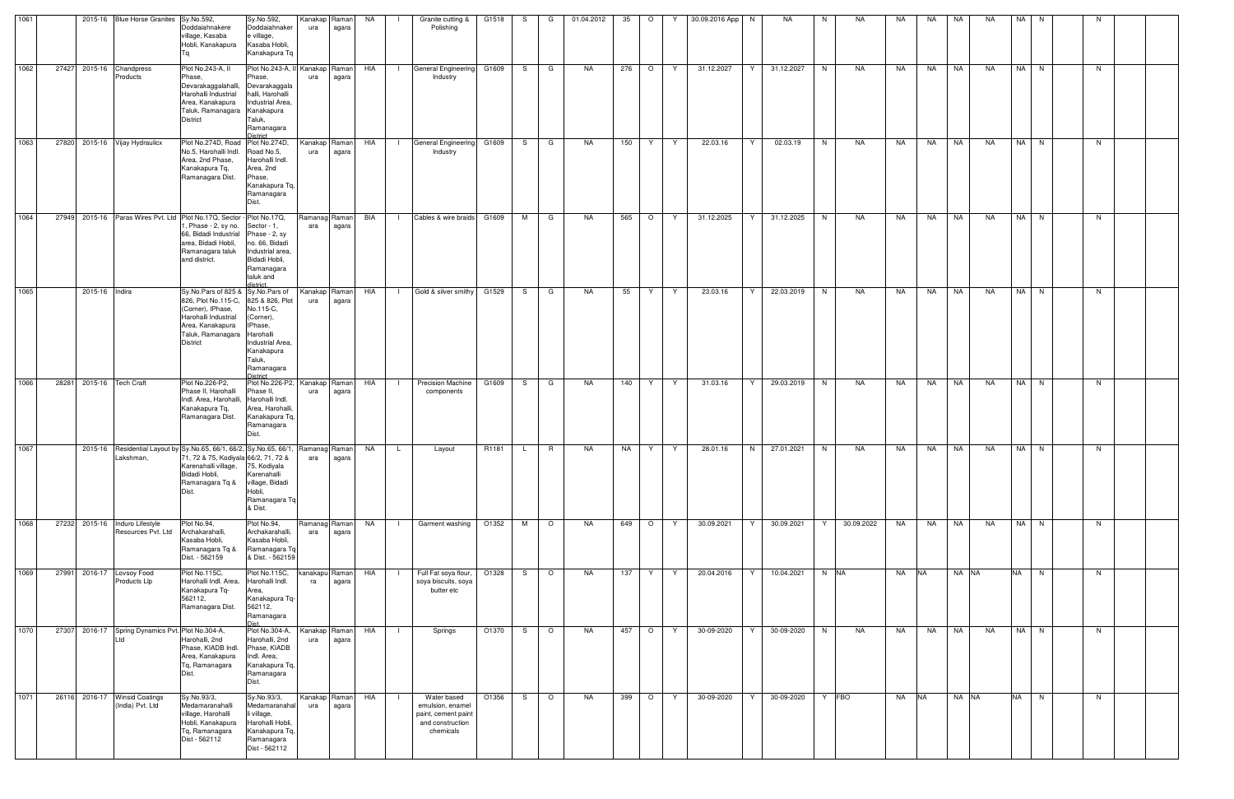| 1061 |       |                | 2015-16 Blue Horse Granites Sy.No.592,               | Doddaiahnakere<br>village, Kasaba<br>Hobli, Kanakapura                                                                                                                                          | Sy.No.592,<br>Doddaiahnaker<br>e village,<br>Kasaba Hobli,<br>Kanakapura Tq                                      | Kanakap Raman<br>ura | agara | NA  |                | Granite cutting &<br>Polishing                                                          | G1518 | S.  | G        | 01.04.2012 | 35  | $\circ$ | 30.09.2016 App   N<br>Y |    | <b>NA</b>  | N.             | NA.        | NA.   | <b>NA</b> | NA        | <b>NA</b> | NA N      |      | -N |  |
|------|-------|----------------|------------------------------------------------------|-------------------------------------------------------------------------------------------------------------------------------------------------------------------------------------------------|------------------------------------------------------------------------------------------------------------------|----------------------|-------|-----|----------------|-----------------------------------------------------------------------------------------|-------|-----|----------|------------|-----|---------|-------------------------|----|------------|----------------|------------|-------|-----------|-----------|-----------|-----------|------|----|--|
| 1062 |       |                | 27427 2015-16 Chandpress<br>Products                 | Plot No.243-A, II<br>Phase.<br>Devarakaggalahalli, Devarakaggala<br>Harohalli Industrial<br>Area, Kanakapura<br>Taluk, Ramanagara Kanakapura<br>District                                        | Plot No.243-A, II<br>Phase,<br>halli, Harohalli<br>Industrial Area.<br>Taluk,<br>Ramanagara<br><b>District</b>   | Kanakap Raman<br>ura | agara | HIA | $\blacksquare$ | General Engineering G1609<br>Industry                                                   |       | S — | G        | NA         | 276 | $\circ$ | 31.12.2027<br>Y         | Y  | 31.12.2027 | N              | <b>NA</b>  | NA    | NA        | NA        | <b>NA</b> |           | NA N | N  |  |
| 1063 |       |                | 27820 2015-16 Vijay Hydraulicx                       | Plot No.274D, Road Plot No.274D,<br>No.5, Harohalli Indl.<br>Area, 2nd Phase,<br>Kanakapura Tq,<br>Ramanagara Dist.                                                                             | Road No.5,<br>Harohalli Indl.<br>Area, 2nd<br>Phase,<br>Kanakapura Tq,<br>Ramanagara<br>Dist.                    | Kanakap Raman<br>ura | agara | HIA | $\Box$         | General Engineering<br>Industry                                                         | G1609 | S — | G        | NA         | 150 | Y.      | Y<br>22.03.16           | Y  | 02.03.19   | N              | <b>NA</b>  | NA    | <b>NA</b> | <b>NA</b> | <b>NA</b> |           | NA N | N  |  |
| 1064 |       |                |                                                      | 27949 2015-16 Paras Wires Pvt. Ltd Plot No.17Q, Sector - Plot No.17Q,<br>, Phase - 2, sy no.<br>66, Bidadi Industrial Phase - 2, sy<br>area, Bidadi Hobli,<br>Ramanagara taluk<br>and district. | Sector - 1,<br>no. 66, Bidadi<br>Industrial area<br>Bidadi Hobli,<br>Ramanagara<br>taluk and<br>listrict         | Ramanag Raman<br>ara | agara | BIA | $\Box$         | Cables & wire braids G1609                                                              |       | M   | G        | NA         | 565 | $\circ$ | 31.12.2025<br>Y         | Y  | 31.12.2025 | N              | NA         | NA    | NA        | <b>NA</b> | NA        |           | NA N | N  |  |
| 1065 |       | 2015-16 Indira |                                                      | Sy.No.Pars of 825 & Sy.No.Pars of<br>826, Plot No.115-C, 825 & 826, Plot<br>(Corner), IPhase,<br>Harohalli Industrial<br>Area, Kanakapura<br>Taluk, Ramanagara Harohalli<br><b>District</b>     | No.115-C.<br>(Corner),<br>IPhase,<br>Industrial Area.<br>Kanakapura<br>Taluk,<br>Ramanagara<br>listrict          | Kanakap Raman<br>ura | agara | HIA |                | Gold & silver smithy                                                                    | G1529 | S.  | G        | NA.        | 55  | Y       | 23.03.16<br>Y           | Y. | 22.03.2019 | N              | <b>NA</b>  | NA    | <b>NA</b> | <b>NA</b> | <b>NA</b> |           | NA N | N  |  |
| 1066 | 28281 |                | 2015-16 Tech Craft                                   | Plot No.226-P2,<br>Phase II, Harohalli<br>Indl. Area, Harohalli, Harohalli Indl.<br>Kanakapura Tq,<br>Ramanagara Dist.                                                                          | Plot No.226-P2, Kanakap Raman<br>Phase II.<br>Area, Harohalli.<br>Kanakapura Tq,<br>Ramanagara                   | ura                  | agara | HIA |                | <b>Precision Machine</b><br>components                                                  | G1609 | S.  | G        | <b>NA</b>  | 140 | Y       | 31.03.16<br>Y           | Y. | 29.03.2019 | N              | <b>NA</b>  | NA    | <b>NA</b> | NA        | <b>NA</b> |           | NA N | N  |  |
| 1067 |       |                | Lakshman,                                            | 2015-16 Residential Layout by Sy. No.65, 66/1, 66/2, Sy. No.65, 66/1<br>71, 72 & 75, Kodiyala 66/2, 71, 72 &<br>Karenahalli village, 75, Kodiyala<br>Bidadi Hobli,<br>Ramanagara Tq &<br>Dist.  | Karenahalli<br>village, Bidadi<br>Hobli,<br>Ramanagara Tq<br>& Dist.                                             | Ramanag Raman<br>ara | agara | NA  | L.             | Layout                                                                                  | R1181 | L.  | <b>R</b> | NA         | NA  | Y.      | Y<br>28.01.16           | N  | 27.01.2021 | N              | NA         | NA    | <b>NA</b> | NA        | NA        |           | NA N | N  |  |
| 1068 |       |                | 27232 2015-16 Induro Lifestyle<br>Resources Pvt. Ltd | Plot No.94,<br>Archakarahalli,<br>Kasaba Hobli,<br>Ramanagara Tq &<br>Dist. - 562159                                                                                                            | Plot No.94,<br>Archakarahalli,<br>Kasaba Hobli,<br>Ramanagara Tq<br>& Dist. - 562159                             | Ramanag Raman<br>ara | agara | NA  |                | Garment washing                                                                         | O1352 | M   | $\circ$  | NA         | 649 | $\circ$ | Y<br>30.09.2021         | Y  | 30.09.2021 | Y              | 30.09.2022 | NA    | NA        | <b>NA</b> | <b>NA</b> |           | NA N | N  |  |
| 1069 |       |                | 27991 2016-17 Lovsoy Food<br>Products Llp            | Plot No.115C,<br>Harohalli Indl. Area,<br>Kanakapura Tq-<br>562112,<br>Ramanagara Dist.                                                                                                         | Plot No.115C,<br>Harohalli Indl.<br>Area,<br>Kanakapura Tq-<br>562112,<br>Ramanagara<br><b>Diet</b>              | kanakapu Raman<br>ra | agara | HIA | - 1            | Full Fat soya flour,<br>soya biscuits, soya<br>butter etc                               | O1328 | S — | $\circ$  | NA         | 137 | Y       | 20.04.2016<br>Y         | Y. | 10.04.2021 | N NA           |            | NA NA |           | NA NA     |           | NA N      |      | N  |  |
| 1070 |       |                | 27307 2016-17 Spring Dynamics Pvt. Plot No.304-A,    | Harohalli, 2nd<br>Phase, KIADB Indl.<br>Area, Kanakapura<br>Tq, Ramanagara<br>Dist.                                                                                                             | Plot No.304-A,<br>Harohalli, 2nd<br>Phase, KIADB<br>Indl. Area,<br>Kanakapura Tq,<br>Ramanagara<br>Dist.         | Kanakap Raman<br>ura | agara | HIA |                | Springs                                                                                 | O1370 | S.  | $\circ$  | <b>NA</b>  | 457 | $\circ$ | 30-09-2020<br>Y         | Y  | 30-09-2020 | N <sub>1</sub> | NA         | NA    | NA        | NA        | <b>NA</b> |           | NA N | N  |  |
| 1071 |       |                | 26116 2016-17 Winsid Coatings<br>(India) Pvt. Ltd    | Sy.No.93/3,<br>Medamaranahalli<br>village, Harohalli<br>Hobli, Kanakapura<br>Tq, Ramanagara<br>Dist - 562112                                                                                    | Sy.No.93/3,<br>Medamaranahal<br>li village,<br>Harohalli Hobli,<br>Kanakapura Tq,<br>Ramanagara<br>Dist - 562112 | Kanakap Raman<br>ura | agara | HIA |                | Water based<br>emulsion, enamel<br>paint, cement paint<br>and construction<br>chemicals | O1356 | S.  | $\circ$  | NA         | 399 | $\circ$ | 30-09-2020<br>Y         | Y  | 30-09-2020 | Y FBO          |            | NA    | <b>NA</b> | NA NA     |           | <b>NA</b> | N    | N  |  |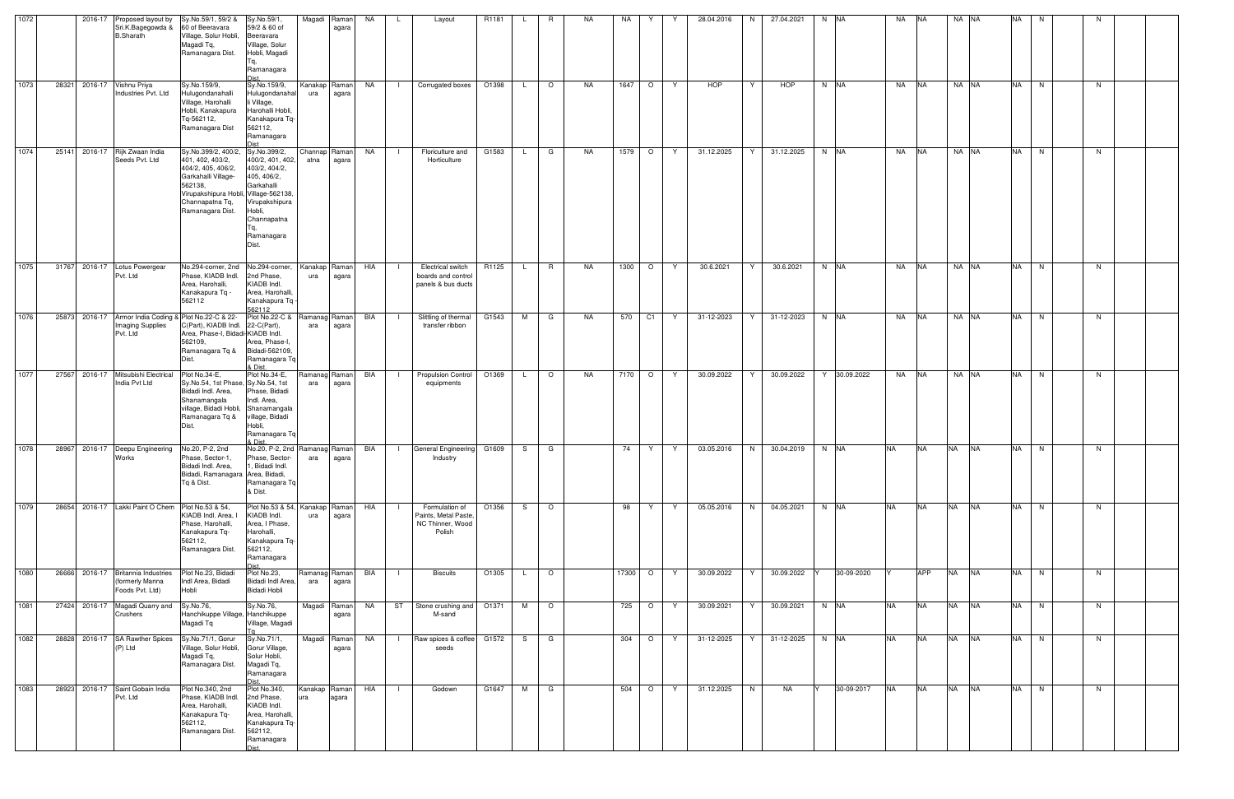| 1072 |       | 2016-17 | Proposed layout by<br>Sri.K.Bagegowda &<br><b>B.Sharath</b>        | Sy.No.59/1, 59/2 &<br>60 of Beeravara<br>Village, Solur Hobli,<br>Magadi Tq,<br>Ramanagara Dist.                                                                                            | Sy.No.59/1,<br>59/2 & 60 of<br>Beeravara<br>Village, Solur<br>Hobli, Magadi<br>Ta.<br>Ramanagara<br><b>Dist</b>                  |                       | Magadi Raman<br>agara  | NA        | L.             | Layout                                                               | R1181 |              | R                        | NA.       | NA   | Y       |    | 28.04.2016 | N.       | 27.04.2021 | N NA         | NA        | <b>INA</b> | NA NA     |           | <b>NA</b> | N.        | N  |  |
|------|-------|---------|--------------------------------------------------------------------|---------------------------------------------------------------------------------------------------------------------------------------------------------------------------------------------|----------------------------------------------------------------------------------------------------------------------------------|-----------------------|------------------------|-----------|----------------|----------------------------------------------------------------------|-------|--------------|--------------------------|-----------|------|---------|----|------------|----------|------------|--------------|-----------|------------|-----------|-----------|-----------|-----------|----|--|
| 1073 | 28321 |         | 2016-17 Vishnu Priya<br>Industries Pvt. Ltd                        | Sy.No.159/9,<br>Hulugondanahalli<br>Village, Harohalli<br>Hobli, Kanakapura<br>Tq-562112,<br>Ramanagara Dist                                                                                | Sy.No.159/9,<br>Hulugondanahal<br>li Village,<br>Harohalli Hobli,<br>Kanakapura Tq-<br>562112,<br>Ramanagara<br>niet             | ura                   | Kanakap Raman<br>agara | NA        | $\Box$         | Corrugated boxes                                                     | O1398 | $\mathsf{L}$ | $\circ$                  | NA        | 1647 | $\circ$ | Y  | <b>HOP</b> | Y        | HOP        | N NA         | NA        | <b>NA</b>  | NA NA     |           | <b>NA</b> | N         | N  |  |
| 1074 | 25141 |         | 2016-17 Rijk Zwaan India<br>Seeds Pvt. Ltd                         | Sy.No.399/2, 400/2, Sy.No.399/2,<br>401, 402, 403/2,<br>404/2, 405, 406/2,<br>Garkahalli Village-<br>562138,<br>Virupakshipura Hobli, Village-562138<br>Channapatna Tq,<br>Ramanagara Dist. | 400/2, 401, 402,<br>403/2, 404/2,<br>405, 406/2,<br>Garkahalli<br>Virupakshipura<br>Hobli,<br>Channapatna<br>Ramanagara<br>Dist. | Channap Raman<br>atna | agara                  | NA        | $\mathbf{1}$   | Floriculture and<br>Horticulture                                     | G1583 | $\mathsf{L}$ | G                        | NA        | 1579 | $\circ$ | Y  | 31.12.2025 | Y        | 31.12.2025 | N NA         | NA        | <b>NA</b>  | NA NA     |           | <b>NA</b> | N         | N  |  |
| 1075 | 31767 |         | 2016-17 Lotus Powergear<br>Pvt. Ltd                                | No.294-corner, 2nd No.294-corner,<br>Phase, KIADB Indl.<br>Area, Harohalli,<br>Kanakapura Tq -<br>562112                                                                                    | 2nd Phase,<br>KIADB Indl.<br>Area, Harohalli,<br>Kanakapura Tq<br>562112                                                         | ura                   | Kanakap Raman<br>agara | HIA       |                | <b>Electrical switch</b><br>boards and control<br>panels & bus ducts | R1125 | L.           | R.                       | NA        | 1300 | $\circ$ | Y  | 30.6.2021  | Y        | 30.6.2021  | N NA         | NA        | <b>NA</b>  | NA NA     |           | <b>NA</b> | N.        | N. |  |
| 1076 | 25873 |         | <b>Imaging Supplies</b><br>Pvt. Ltd                                | 2016-17 Armor India Coding & Plot No.22-C & 22-<br>C(Part), KIADB Indl. 22-C(Part),<br>Area, Phase-I, Bidadi-KIADB Indl.<br>562109,<br>Ramanagara Tq &<br>Dist.                             | Plot No.22-C &<br>Area, Phase-I,<br>Bidadi-562109,<br>Ramanagara Tq<br>& Dist.                                                   | Ramanag Raman<br>ara  | agara                  | BIA       | $\Box$         | Slittling of thermal<br>transfer ribbon                              | G1543 | M            | G                        | NA        | 570  | C1      | Y  | 31-12-2023 | Y        | 31-12-2023 | N NA         | NA        | <b>NA</b>  | NA NA     |           | <b>NA</b> | N         | N  |  |
| 1077 | 27567 | 2016-17 | Mitsubishi Electrical<br>India Pvt Ltd                             | Plot No.34-E,<br>Sy.No.54, 1st Phase, Sy.No.54, 1st<br>Bidadi Indl. Area,<br>Shanamangala<br>village, Bidadi Hobli, Shanamangala<br>Ramanagara Tq &<br>Dist.                                | Plot No.34-E,<br>Phase, Bidadi<br>Indl. Area.<br>village, Bidadi<br>Hobli,<br>Ramanagara Tq<br>tein s                            | ara                   | Ramanag Raman<br>agara | BIA       | $\Box$         | <b>Propulsion Control</b><br>equipments                              | O1369 | L.           | $\circ$                  | <b>NA</b> | 7170 | $\circ$ | Y  | 30.09.2022 | Y        | 30.09.2022 | Y 30.09.2022 | NA        | <b>NA</b>  | NA NA     |           | <b>NA</b> | N.        | N  |  |
| 1078 | 28967 |         | 2016-17 Deepu Engineering<br>Works                                 | No.20, P-2, 2nd<br>Phase, Sector-1,<br>Bidadi Indl. Area,<br>Bidadi, Ramanagara Area, Bidadi,<br>Tq & Dist.                                                                                 | No.20, P-2, 2nd<br>Phase, Sector-<br>1, Bidadi Indl.<br>Ramanagara Tq<br>& Dist.                                                 | Ramanag Raman<br>ara  | agara                  | BIA       | $\blacksquare$ | General Engineering<br>Industry                                      | G1609 | S.           | G                        |           | 74   | Y       | Y. | 03.05.2016 | N.       | 30.04.2019 | N NA         | <b>NA</b> | <b>NA</b>  | <b>NA</b> | <b>NA</b> | NA        | N.        | N. |  |
| 1079 | 28654 |         | 2016-17 Lakki Paint O Chem                                         | Plot No.53 & 54,<br>KIADB Indl. Area,<br>Phase, Harohalli,<br>Kanakapura Tq-<br>562112,<br>Ramanagara Dist.                                                                                 | Plot No.53 & 54,<br>KIADB Indl.<br>Area, I Phase,<br>Harohalli,<br>Kanakapura Tq-<br>562112,<br>Ramanagara                       | Kanakap Raman<br>ura  | agara                  | HIA       | $\Box$         | Formulation of<br>Paints, Metal Paste,<br>NC Thinner, Wood<br>Polish | O1356 |              | $S$ 0                    |           | 98   | Y       | Y  | 05.05.2016 | N        | 04.05.2021 | N NA         | <b>NA</b> | <b>NA</b>  | <b>NA</b> | <b>NA</b> |           | NA N      | N  |  |
| 1080 | 26666 |         | 2016-17 Britannia Industries<br>(formerly Manna<br>Foods Pvt. Ltd) | Plot No.23, Bidadi<br>Indl Area, Bidadi<br>Hobli                                                                                                                                            | Plot No.23,<br>Bidadi Indl Area,<br>Bidadi Hobli                                                                                 | Ramanag Raman<br>ara  | agara                  | BIA       | - 1 -          | Biscuits                                                             | O1305 | $\mathsf{L}$ | $\overline{\phantom{0}}$ |           |      | 17300 O | Y  | 30.09.2022 | $Y \mid$ | 30.09.2022 | 30-09-2020   |           | APP        | <b>NA</b> | <b>NA</b> |           | $N_A$ $N$ | N  |  |
| 1081 | 27424 |         | 2016-17 Magadi Quarry and<br>Crushers                              | Sy.No.76,<br>Hanchikuppe Village, Hanchikuppe<br>Magadi Tq                                                                                                                                  | Sy.No.76,<br>Village, Magadi                                                                                                     |                       | Magadi Raman<br>agara  | <b>NA</b> | ST             | Stone crushing and<br>M-sand                                         | O1371 | M            | $\circ$                  |           | 725  | $\circ$ | Y  | 30.09.2021 | Y        | 30.09.2021 | N NA         | <b>NA</b> | <b>NA</b>  | <b>NA</b> | <b>NA</b> |           | NA N      | N  |  |
| 1082 | 28828 |         | 2016-17 SA Rawther Spices<br>(P) Ltd                               | Sy.No.71/1, Gorur<br>Village, Solur Hobli,<br>Magadi Tq,<br>Ramanagara Dist.                                                                                                                | Sy.No.71/1,<br>Gorur Village,<br>Solur Hobli,<br>Magadi Tq,<br>Ramanagara                                                        |                       | Magadi Raman<br>agara  | NA        | $\Box$         | Raw spices & coffee G1572<br>seeds                                   |       |              | S G                      |           | 304  | $\circ$ | Y  | 31-12-2025 | Y.       | 31-12-2025 | N NA         | <b>NA</b> | <b>NA</b>  | <b>NA</b> | <b>NA</b> |           | NA N      | N  |  |
| 1083 | 28923 |         | 2016-17 Saint Gobain India<br>Pvt. Ltd                             | Plot No.340, 2nd<br>Phase, KIADB Indl.<br>Area, Harohalli,<br>Kanakapura Tq-<br>562112,<br>Ramanagara Dist.                                                                                 | Plot No.340,<br>2nd Phase,<br>KIADB Indl.<br>Area, Harohalli,<br>Kanakapura Tq-<br>562112,<br>Ramanagara                         | Kanakap Raman<br>ura  | agara                  | HIA       | $\Box$         | Godown                                                               | G1647 |              | M G                      |           | 504  | $\circ$ | Y  | 31.12.2025 | N        | NA         | 30-09-2017   | <b>NA</b> | <b>NA</b>  | <b>NA</b> | <b>NA</b> |           | NA N      | N  |  |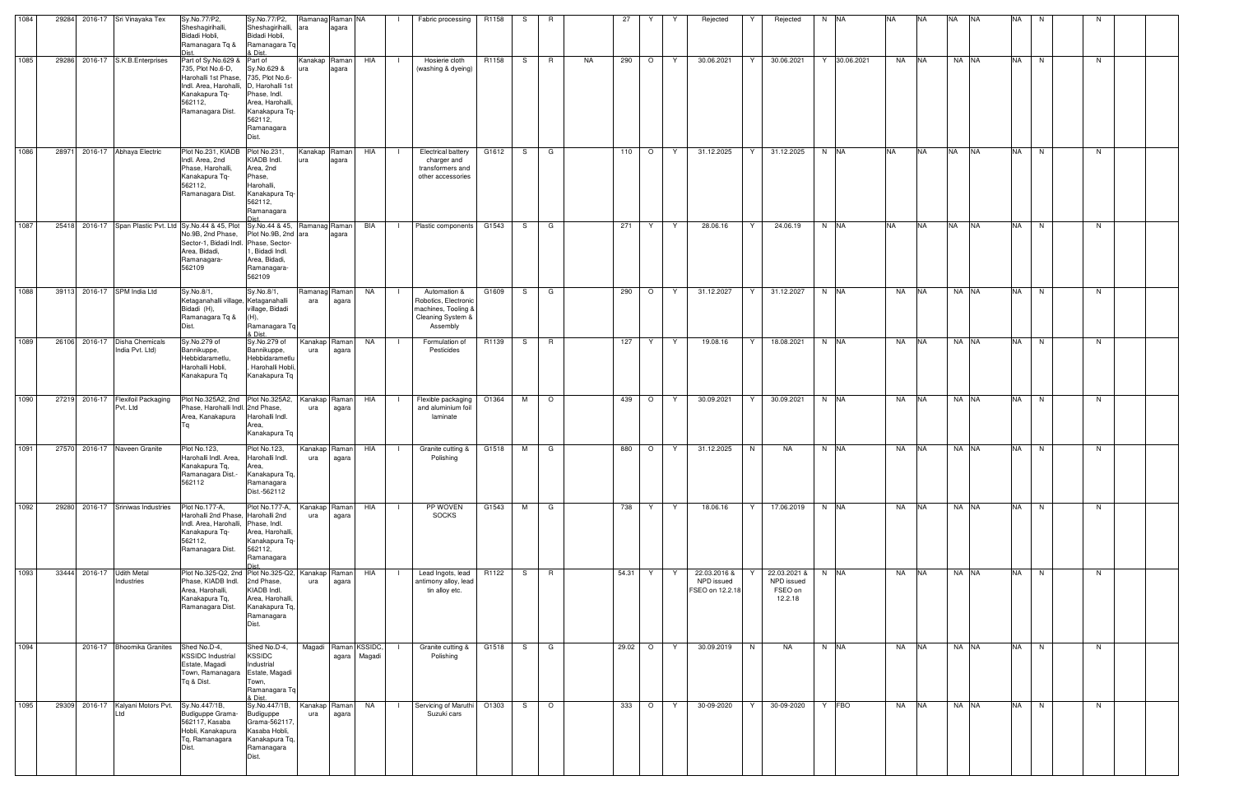| 1084 |       |         | 29284 2016-17 Sri Vinayaka Tex                   | Sy.No.77/P2,<br>Sheshagirihalli,<br>Bidadi Hobli,<br>Ramanagara Tq &                                                                                                                         | Sy.No.77/P2,<br>Sheshagirihalli, ara<br>Bidadi Hobli,<br>Ramanagara Tq<br>& Dist.                                                                     | Ramanag Raman NA     | agara          | Fabric processing                                                                                  | R1158 | S. | R.       |    | 27      |         |   | Rejected                                      | Rejected                                         | N NA         | NA.       | <b>NA</b>  | <b>NA</b> | <b>INA</b> | NA        | N. | N |  |
|------|-------|---------|--------------------------------------------------|----------------------------------------------------------------------------------------------------------------------------------------------------------------------------------------------|-------------------------------------------------------------------------------------------------------------------------------------------------------|----------------------|----------------|----------------------------------------------------------------------------------------------------|-------|----|----------|----|---------|---------|---|-----------------------------------------------|--------------------------------------------------|--------------|-----------|------------|-----------|------------|-----------|----|---|--|
| 1085 |       |         | 29286 2016-17 S.K.B.Enterprises                  | Part of Sy.No.629 &<br>735, Plot No.6-D,<br>Harohalli 1st Phase,<br>Indl. Area, Harohalli,<br>Kanakapura Tq-<br>562112,<br>Ramanagara Dist.                                                  | Part of<br>Sy.No.629 &<br>735, Plot No.6-<br>D. Harohalli 1st<br>Phase, Indl.<br>Area, Harohalli.<br>Kanakapura Tq-<br>562112,<br>Ramanagara<br>Dist. | Kanakap Raman        | agara          | HIA<br>Hosierie cloth<br>(washing & dyeing)                                                        | R1158 | S. | R.       | NA | 290     | $\circ$ | Y | 30.06.2021                                    | 30.06.2021<br>Y                                  | Y 30.06.2021 | NA        | <b>INA</b> | NA NA     |            | <b>NA</b> | N  | N |  |
| 1086 | 28971 |         | 2016-17 Abhaya Electric                          | Plot No.231, KIADB Plot No.231,<br>Indl. Area, 2nd<br>Phase, Harohalli,<br>Kanakapura Tq-<br>562112,<br>Ramanagara Dist.                                                                     | KIADB Indl.<br>Area, 2nd<br>Phase,<br>Harohalli,<br>Kanakapura Tq-<br>562112,<br>Ramanagara                                                           | Kanakap Raman<br>ura | agara          | HIA<br><b>Electrical battery</b><br>charger and<br>transformers and<br>other accessories           | G1612 | S. | G        |    | 110     | $\circ$ | Y | 31.12.2025                                    | 31.12.2025<br>Y                                  | N NA         | <b>NA</b> | <b>NA</b>  | <b>NA</b> | <b>NA</b>  | <b>NA</b> | N  | N |  |
| 1087 |       |         |                                                  | 25418 2016-17 Span Plastic Pvt. Ltd Sy.No.44 & 45, Plot Sy.No.44 & 45, Ramanag Raman<br>No.9B, 2nd Phase,<br>Sector-1, Bidadi Indl. Phase, Sector-<br>Area, Bidadi,<br>Ramanagara-<br>562109 | Plot No.9B, 2nd ara<br>1, Bidadi Indl.<br>Area, Bidadi,<br>Ramanagara-<br>562109                                                                      |                      | agara          | BIA<br>Plastic components                                                                          | G1543 | S  | G        |    | 271     | Y       | Y | 28.06.16                                      | 24.06.19<br>Y                                    | N NA         | <b>NA</b> | <b>NA</b>  | <b>NA</b> | <b>INA</b> | <b>NA</b> | N  | N |  |
| 1088 |       |         | 39113 2016-17 SPM India Ltd                      | Sy.No.8/1,<br>Ketaganahalli village, Ketaganahalli<br>Bidadi (H),<br>Ramanagara Tq &<br>Dist.                                                                                                | Sy.No.8/1,<br>village, Bidadi<br>$(H)$ .<br>Ramanagara Tq<br>& Dist.                                                                                  | Ramanaq<br>ara       | Raman<br>agara | NA<br>Automation &<br>Robotics, Electronic<br>machines, Tooling &<br>Cleaning System &<br>Assembly | G1609 | S. | G        |    | 290     | $\circ$ | Y | 31.12.2027                                    | 31.12.2027<br>Y                                  | N NA         | <b>NA</b> | <b>NA</b>  | NA NA     |            | <b>NA</b> | N  | N |  |
| 1089 |       |         | 26106 2016-17 Disha Chemicals<br>India Pvt. Ltd) | Sy.No.279 of<br>Bannikuppe,<br>Hebbidarametlu,<br>Harohalli Hobli,<br>Kanakapura Tq                                                                                                          | Sy.No.279 of<br>Bannikuppe,<br>Hebbidarametlu<br>Harohalli Hobli,<br>Kanakapura Tq                                                                    | Kanakap<br>ura       | Raman<br>agara | NA<br>Formulation of<br>Pesticides                                                                 | R1139 | S  | R.       |    | 127     | Y       | Y | 19.08.16                                      | 18.08.2021<br>Y                                  | N NA         | NA        | <b>NA</b>  | NA NA     |            | <b>NA</b> | N  | N |  |
| 1090 | 27219 | 2016-17 | <b>Flexifoil Packaging</b><br>Pvt. Ltd           | Plot No.325A2, 2nd Plot No.325A2,<br>Phase, Harohalli Indl. 2nd Phase,<br>Area, Kanakapura                                                                                                   | Harohalli Indl.<br>Area,<br>Kanakapura Tq                                                                                                             | Kanakap<br>ura       | Raman<br>agara | HIA<br>Flexible packaging<br>and aluminium foil<br>laminate                                        | O1364 | M  | $\circ$  |    | 439     | $\circ$ | Y | 30.09.2021                                    | 30.09.2021<br>Y                                  | N NA         | NA        | <b>NA</b>  | NA NA     |            | <b>NA</b> | N  | N |  |
| 1091 |       |         | 27570 2016-17 Naveen Granite                     | Plot No.123,<br>Harohalli Indl. Area,<br>Kanakapura Tq,<br>Ramanagara Dist.-<br>562112                                                                                                       | Plot No.123,<br>Harohalli Indl.<br>Area,<br>Kanakapura Tq,<br>Ramanagara<br>Dist.-562112                                                              | Kanakap<br>ura       | Raman<br>agara | HIA<br>Granite cutting &<br>Polishing                                                              | G1518 | м  | G        |    | 880     | $\circ$ | Y | 31.12.2025                                    | N<br>NA                                          | N NA         | NA        | <b>NA</b>  | NA NA     |            | <b>NA</b> | N  | N |  |
| 1092 |       |         | 29280 2016-17 Sriniwas Industries                | Plot No.177-A,<br>Harohalli 2nd Phase, Harohalli 2nd<br>Indl. Area, Harohalli, Phase, Indl.<br>Kanakapura Tq-<br>562112,<br>Ramanagara Dist.                                                 | Plot No.177-A,<br>Area, Harohalli,<br>Kanakapura Tq-<br>562112,<br>Ramanagara<br>heiC                                                                 | Kanakap<br>ura       | Raman<br>agara | HIA<br>PP WOVEN<br><b>SOCKS</b>                                                                    | G1543 | M  | G        |    | 738     | Y       | Y | 18.06.16                                      | Y<br>17.06.2019                                  | N NA         | NA NA     |            | NA NA     |            | <b>NA</b> | N  | N |  |
| 1093 |       |         | 33444 2016-17 Udith Metal<br>Industries          | Plot No.325-Q2, 2nd Plot No.325-Q2, Kanakap<br>Phase, KIADB Indl.<br>Area, Harohalli,<br>Kanakapura Tq,<br>Ramanagara Dist.                                                                  | 2nd Phase,<br>KIADB Indl.<br>Area, Harohalli,<br>Kanakapura Tq,<br>Ramanagara<br>Dist.                                                                | ura                  | Raman<br>agara | Lead Ingots, lead<br>HIA<br>antimony alloy, lead<br>tin alloy etc.                                 | R1122 | S. | <b>R</b> |    | 54.31 Y |         | Y | 22.03.2016 &<br>NPD issued<br>FSEO on 12.2.18 | 22.03.2021 &<br>NPD issued<br>FSEO on<br>12.2.18 | N NA         | NA        | <b>NA</b>  | NA NA     |            | <b>NA</b> | N  | N |  |
| 1094 |       |         | 2016-17 Bhoomika Granites                        | Shed No.D-4,<br><b>KSSIDC</b> Industrial<br>Estate, Magadi<br>Town, Ramanagara<br>Tq & Dist.                                                                                                 | Shed No.D-4,<br><b>KSSIDC</b><br>Industrial<br>Estate, Magadi<br>Town,<br>Ramanagara Tq<br>& Dist.                                                    |                      |                | Magadi Raman KSSIDC,<br>Granite cutting &<br>agara Magadi<br>Polishing                             | G1518 | S  | G        |    | 29.02   | $\circ$ | Y | 30.09.2019                                    | N<br>NA                                          | N NA         | NA NA     |            | NA NA     |            | <b>NA</b> | N  | N |  |
| 1095 |       |         | 29309 2016-17 Kalyani Motors Pvt.<br>Ltd         | Sy.No.447/1B,<br>Budiguppe Grama-<br>562117, Kasaba<br>Hobli, Kanakapura<br>Tq, Ramanagara<br>Dist.                                                                                          | Sy.No.447/1B,<br>Budiguppe<br>Grama-562117<br>Kasaba Hobli,<br>Kanakapura Tq,<br>Ramanagara<br>Dist.                                                  | Kanakap<br>ura       | Raman<br>agara | Servicing of Maruthi<br>NA<br>Suzuki cars                                                          | O1303 | S. | $\circ$  |    | 333     | $\circ$ | Y | 30-09-2020                                    | Y<br>30-09-2020                                  | Y FBO        | NA NA     |            | NA NA     |            | <b>NA</b> | N  | N |  |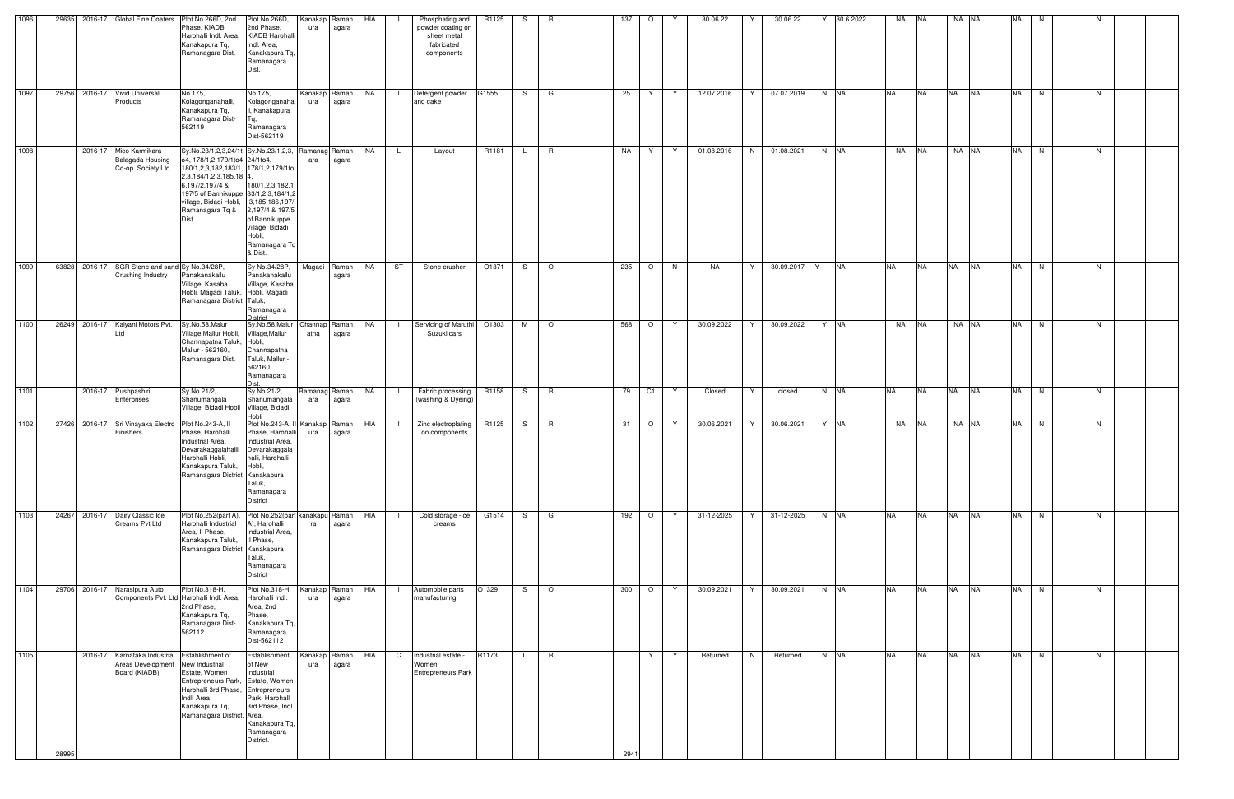| 1096 | 29635                         | 2016-17 Global Fine Coaters                                        | Plot No.266D, 2nd<br>Phase, KIADB<br>Harohalli Indl. Area.<br>Kanakapura Tq,<br>Ramanagara Dist.                                                                                                                                                                                             | Plot No.266D,<br>2nd Phase,<br><b>KIADB Harohalli</b><br>Indl. Area,<br>Kanakapura Tq,<br>Ramanagara<br>Dist.                              | Kanakap<br>ura       | Raman<br>agara | HIA       |                | Phosphating and<br>powder coating on<br>sheet metal<br>fabricated<br>components | R1125 | S.           | R            | 137  | $\circ$        |    | 30.06.22   |   | 30.06.22   | 30.6.2022 | NA        | <b>NA</b> | NA NA     |           | NA        | N. | N  |  |
|------|-------------------------------|--------------------------------------------------------------------|----------------------------------------------------------------------------------------------------------------------------------------------------------------------------------------------------------------------------------------------------------------------------------------------|--------------------------------------------------------------------------------------------------------------------------------------------|----------------------|----------------|-----------|----------------|---------------------------------------------------------------------------------|-------|--------------|--------------|------|----------------|----|------------|---|------------|-----------|-----------|-----------|-----------|-----------|-----------|----|----|--|
| 1097 | 29756 2016-17 Vivid Universal | Products                                                           | No.175,<br>Kolagonganahalli,<br>Kanakapura Tq,<br>Ramanagara Dist-<br>562119                                                                                                                                                                                                                 | No.175,<br>Kolagonganahal<br>li, Kanakapura<br>Ramanagara<br>Dist-562119                                                                   | Kanakap Raman<br>ura | agara          | NA        | $\mathbf{L}$   | Detergent powder<br>and cake                                                    | G1555 | S —          | G            | 25   | Y.             | Y  | 12.07.2016 | Y | 07.07.2019 | N NA      | <b>NA</b> | <b>NA</b> | <b>NA</b> | <b>NA</b> | NA N      |    | N  |  |
| 1098 |                               | 2016-17 Mico Karmikara<br>Balagada Housing<br>Co-op. Society Ltd   | Sy.No.23/1,2,3,24/1t Sy.No.23/1,2,3, Ramanag Raman<br>o4, 178/1,2,179/1to4, 24/1to4,<br>180/1,2,3,182,183/1, 178/1,2,179/1to<br>2,3,184/1,2,3,185,18 4,<br>6,197/2,197/4 &<br>197/5 of Bannikuppe 83/1, 2, 3, 184/1, 2<br>village, Bidadi Hobli, , 3,185,186,197<br>Ramanagara Tq &<br>Dist. | 180/1,2,3,182,1<br>2,197/4 & 197/5<br>of Bannikuppe<br>village, Bidadi<br>Hobli,<br>Ramanagara Tq<br>& Dist.                               | ara                  | agara          | NA        | L.             | Layout                                                                          | R1181 |              | R            | NA   | Y              | Y  | 01.08.2016 | N | 01.08.2021 | N NA      | NA        | <b>NA</b> | NA NA     |           | <b>NA</b> | N  | N  |  |
| 1099 | 63828                         | 2016-17 SGR Stone and sand Sy No.34/28P,<br>Crushing Industry      | Panakanakallu<br>Village, Kasaba<br>Hobli, Magadi Taluk, Hobli, Magadi<br>Ramanagara District Taluk,                                                                                                                                                                                         | Sy No.34/28P,<br>Panakanakallu<br>Village, Kasaba<br>Ramanagara<br>District                                                                | Magadi               | Raman<br>agara | <b>NA</b> | ST             | Stone crusher                                                                   | O1371 | S.           | $\circ$      | 235  | $\circ$        | N  | NA         | Y | 30.09.2017 | <b>NA</b> | <b>NA</b> | <b>NA</b> | <b>NA</b> | <b>NA</b> | <b>NA</b> | N  | N. |  |
| 1100 | 26249                         | 2016-17 Kalyani Motors Pvt.<br>Ltd                                 | Sy.No.58,Malur<br>Village, Mallur Hobli,<br>Channapatna Taluk, Hobli,<br>Mallur - 562160,<br>Ramanagara Dist.                                                                                                                                                                                | Sy.No.58, Malur<br>Village, Mallur<br>Channapatna<br>Taluk, Mallur<br>562160,<br>Ramanagara                                                | Channap<br>atna      | Raman<br>agara | NA        | $\Box$         | Servicing of Maruthi<br>Suzuki cars                                             | O1303 | M            | $\circ$      | 568  | $\circ$        | Y  | 30.09.2022 | Y | 30.09.2022 | Y NA      | NA        | <b>NA</b> | NA NA     |           | <b>NA</b> | N  | N. |  |
| 1101 |                               | 2016-17 Pushpashiri<br>Enterprises                                 | Sy.No.21/2,<br>Shanumangala<br>Village, Bidadi Hobli Village, Bidadi                                                                                                                                                                                                                         | Sy.No.21/2,<br>Shanumangala<br>Hobli                                                                                                       | Ramanag<br>ara       | Raman<br>agara | <b>NA</b> | $\blacksquare$ | Fabric processing<br>(washing & Dyeing)                                         | R1158 | S.           | $\mathsf{R}$ | 79   | C <sub>1</sub> | Y. | Closed     | Y | closed     | N NA      | <b>NA</b> | <b>NA</b> | <b>NA</b> | <b>NA</b> | <b>NA</b> | N  | N  |  |
| 1102 |                               | 27426 2016-17 Sri Vinayaka Electro<br>Finishers                    | Plot No.243-A, II<br>Phase, Harohalli<br>Industrial Area,<br>Devarakaggalahalli,<br>Harohalli Hobli,<br>Kanakapura Taluk, Hobli,<br>Ramanagara District Kanakapura                                                                                                                           | Plot No.243-A, II Kanakap<br>Phase, Harohalli<br>Industrial Area,<br>Devarakaggala<br>halli, Harohalli<br>Taluk,<br>Ramanagara<br>District | ura                  | Raman<br>agara | HIA       |                | Zinc electroplating<br>on components                                            | R1125 | S            | R.           | 31   | $\circ$        | Y  | 30.06.2021 | Y | 30.06.2021 | Y NA      | NA        | <b>NA</b> | NA NA     |           | <b>NA</b> | N. | N. |  |
| 1103 | 24267                         | 2016-17 Dairy Classic Ice<br>Creams Pvt Ltd                        | Plot No.252(part A), Plot No.252(part kanakapu Raman<br>Harohalli Industrial<br>Area, Il Phase,<br>Kanakapura Taluk,<br>Ramanagara District Kanakapura                                                                                                                                       | A), Harohalli<br>Industrial Area,<br>Il Phase,<br>Taluk,<br>Ramanagara<br><b>District</b>                                                  | ra                   | agara          | HIA       | $\mathbf{I}$   | Cold storage - Ice<br>creams                                                    | G1514 | S.           | G            | 192  | $\circ$        | Y  | 31-12-2025 | Y | 31-12-2025 | N NA      | <b>NA</b> | <b>NA</b> | <b>NA</b> | <b>NA</b> | <b>NA</b> | N  | N  |  |
| 1104 | 29706 2016-17 Narasipura Auto |                                                                    | Plot No.318-H,<br>Components Pvt. Ltd Harohalli Indl. Area,<br>2nd Phase,<br>Kanakapura Tq,<br>Ramanagara Dist-<br>562112                                                                                                                                                                    | Plot No.318-H,<br>Harohalli Indl.<br>Area, 2nd<br>Phase,<br>Kanakapura Tq,<br>Ramanagara<br>Dist-562112                                    | Kanakap Raman<br>ura | agara          | HIA       | - 1            | Automobile parts<br>manufacturing                                               | O1329 | S            | $\circ$      | 300  | $\circ$        | Y  | 30.09.2021 | Y | 30.09.2021 | $N$ NA    | <b>NA</b> | <b>NA</b> | NA        | <b>NA</b> | <b>NA</b> | N  | N  |  |
| 1105 | 28995                         | 2016-17 Karnataka Industrial<br>Areas Development<br>Board (KIADB) | Establishment of<br>New Industrial<br>Estate, Women<br>Entrepreneurs Park, Estate, Women<br>Harohalli 3rd Phase, Entrepreneurs<br>Indl. Area,<br>Kanakapura Tq,<br>Ramanagara District. Area,                                                                                                | Establishment<br>of New<br>Industrial<br>Park, Harohalli<br>3rd Phase, Indl.<br>Kanakapura Tq,<br>Ramanagara<br>District.                  | Kanakap<br>ura       | Raman<br>agara | HIA       | $\mathsf{C}$   | Industrial estate -<br>Women<br><b>Entrepreneurs Park</b>                       | R1173 | $\mathsf{L}$ | R            | 2941 | Y              | Y  | Returned   | N | Returned   | $N$ NA    | <b>NA</b> | <b>NA</b> | NA        | <b>NA</b> | NA        | N  | N  |  |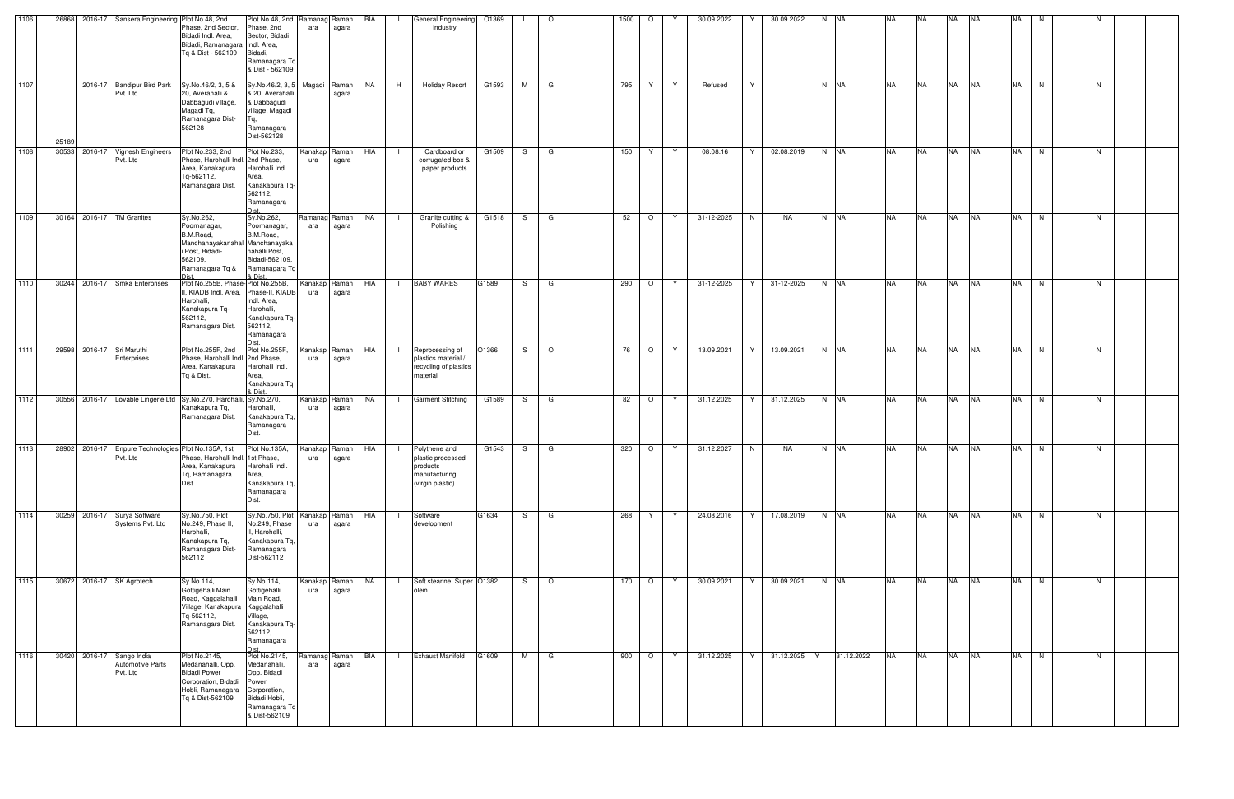| 1106 |       |                           | 26868 2016-17 Sansera Engineering Plot No.48, 2nd                | Phase, 2nd Sector,<br>Bidadi Indl. Area,<br>Bidadi, Ramanagara Indl. Area,<br>Tq & Dist - 562109 Bidadi,                                                | Plot No.48, 2nd Ramanag Raman<br>Phase, 2nd<br>Sector, Bidadi<br>Ramanagara Tq<br>& Dist - 562109                        | ara                  | agara | BIA       | $\mathbf{1}$ | General Engineering 01369<br>Industry                                               |       | L.  | $\circ$ | 1500 | $\circ$ | Y  | 30.09.2022 | 30.09.2022<br>Y | $N$ $N$             | <b>NA</b> | <b>NA</b> | <b>NA</b> | <b>INA</b> | <b>NA</b> | N. |    |  |
|------|-------|---------------------------|------------------------------------------------------------------|---------------------------------------------------------------------------------------------------------------------------------------------------------|--------------------------------------------------------------------------------------------------------------------------|----------------------|-------|-----------|--------------|-------------------------------------------------------------------------------------|-------|-----|---------|------|---------|----|------------|-----------------|---------------------|-----------|-----------|-----------|------------|-----------|----|----|--|
| 1107 | 25189 |                           | 2016-17 Bandipur Bird Park<br>Pvt. Ltd                           | Sy.No.46/2, 3, 5 &<br>20, Averahalli &<br>Dabbagudi village,<br>Magadi Tq,<br>Ramanagara Dist-<br>562128                                                | Sy.No.46/2, 3, 5<br>& 20, Averahall<br>& Dabbagudi<br>village, Magadi<br>Ramanagara<br>Dist-562128                       | Magadi Raman         | agara | NA        | H            | <b>Holiday Resort</b>                                                               | G1593 | M   | G       | 795  | Y       | Y  | Refused    | Y               | N NA                | <b>NA</b> | <b>NA</b> | <b>NA</b> | <b>NA</b>  | <b>NA</b> | N  | N. |  |
| 1108 | 30533 |                           | 2016-17 Vignesh Engineers<br>Pvt. Ltd                            | Plot No.233, 2nd<br>Phase, Harohalli Indl. 2nd Phase,<br>Area, Kanakapura<br>Tq-562112,<br>Ramanagara Dist.                                             | Plot No.233,<br>Harohalli Indl.<br>Area,<br>Kanakapura Tq-<br>562112,<br>Ramanagara<br>leiC                              | Kanakap Raman<br>ura | agara | HIA       | - 1          | Cardboard or<br>corrugated box &<br>paper products                                  | G1509 | S.  | G       | 150  | Y       | Y  | 08.08.16   | 02.08.2019<br>Y | N NA                | <b>NA</b> | <b>NA</b> | <b>NA</b> | <b>NA</b>  | <b>NA</b> | N  | N  |  |
| 1109 |       |                           | 30164 2016-17 TM Granites                                        | Sy.No.262,<br>Poornanagar,<br>B.M.Road,<br>Manchanayakanahall Manchanayaka<br>i Post, Bidadi-<br>562109,<br>Ramanagara Tq &                             | Sy.No.262,<br>Poornanagar,<br>B.M.Road,<br>nahalli Post,<br>Bidadi-562109,<br>Ramanagara Tq<br>LDist                     | Ramanag Raman<br>ara | agara | <b>NA</b> | $\Box$       | Granite cutting &<br>Polishing                                                      | G1518 |     | S G     | 52   | $\circ$ | Y  | 31-12-2025 | N<br>NA         | $N$ $N\overline{A}$ | <b>NA</b> | <b>NA</b> | <b>NA</b> | <b>NA</b>  | <b>NA</b> | N  | N. |  |
| 1110 |       |                           | 30244 2016-17 Smka Enterprises                                   | Plot No.255B, Phase-Plot No.255B,<br>II, KIADB Indl. Area, Phase-II, KIADB<br>Harohalli,<br>Kanakapura Tq-<br>562112,<br>Ramanagara Dist.               | Indl. Area,<br>Harohalli,<br>Kanakapura Tq-<br>562112,<br>Ramanagara                                                     | Kanakap Raman<br>ura | agara | HIA       | $\mathbf{1}$ | <b>BABY WARES</b>                                                                   | G1589 |     | S G     | 290  | $\circ$ | Y  | 31-12-2025 | 31-12-2025<br>Y | $N$ $N\overline{A}$ | <b>NA</b> | <b>NA</b> | <b>NA</b> | <b>NA</b>  | <b>NA</b> | N  | N  |  |
| 1111 |       | 29598 2016-17 Sri Maruthi | Enterprises                                                      | Plot No.255F, 2nd<br>Phase, Harohalli Indl. 2nd Phase,<br>Area, Kanakapura<br>Tq & Dist.                                                                | Plot No.255F,<br>Harohalli Indl.<br>Area,<br>Kanakapura Tq<br>& Dist.                                                    | Kanakap Raman<br>ura | agara | HIA       | $\Box$       | Reprocessing of<br>plastics material /<br>recycling of plastics<br>material         | O1366 |     | $S$ 0   | 76   | $\circ$ | Y  | 13.09.2021 | 13.09.2021<br>Y | N NA                | <b>NA</b> | <b>NA</b> | <b>NA</b> | <b>NA</b>  | <b>NA</b> | N  | N. |  |
| 1112 |       |                           |                                                                  | 30556 2016-17 Lovable Lingerie Ltd Sy.No.270, Harohalli, Sy.No.270,<br>Kanakapura Tq,<br>Ramanagara Dist.                                               | Harohalli,<br>Kanakapura Tq,<br>Ramanagara<br>Dist.                                                                      | Kanakap Raman<br>ura | agara | NA        | - 11         | <b>Garment Stitching</b>                                                            | G1589 |     | S G     | 82   | $\circ$ | Y  | 31.12.2025 | Y<br>31.12.2025 | N NA                | <b>NA</b> | <b>NA</b> | <b>NA</b> | <b>NA</b>  | <b>NA</b> | N  | N  |  |
| 1113 |       |                           | Pvt. Ltd                                                         | 28902 2016-17 Enpure Technologies Plot No.135A, 1st<br>Phase, Harohalli Indl. 1st Phase,<br>Area, Kanakapura Harohalli Indl.<br>Tq, Ramanagara<br>Dist. | Plot No.135A,<br>Area,<br>Kanakapura Tq,<br>Ramanagara<br>Dist.                                                          | Kanakap Raman<br>ura | agara | HIA       |              | Polythene and<br>plastic processed<br>products<br>manufacturing<br>(virgin plastic) | G1543 | S.  | G       | 320  | $\circ$ | Y  | 31.12.2027 | N<br>NA         | N NA                | <b>NA</b> | <b>NA</b> | <b>NA</b> | <b>NA</b>  | <b>NA</b> | N  | N  |  |
| 1114 |       |                           | 30259 2016-17 Surya Software<br>Systems Pvt. Ltd                 | Sy.No.750, Plot<br>No.249, Phase II,<br>Harohalli,<br>Kanakapura Tq,<br>Ramanagara Dist-<br>562112                                                      | Sy.No.750, Plot Kanakap Raman<br>No.249, Phase<br>II, Harohalli,<br>Kanakapura Tq,<br>Ramanagara<br>Dist-562112          | ura                  | agara | HIA       |              | Software<br>development                                                             | G1634 | S — | G       | 268  | Y       | Y  | 24.08.2016 | Y<br>17.08.2019 | $N$ NA              | <b>NA</b> | <b>NA</b> | <b>NA</b> | <b>NA</b>  | <b>NA</b> | N  | N  |  |
| 1115 |       |                           | 30672 2016-17 SK Agrotech                                        | Sy.No.114,<br>Gottigehalli Main<br>Road, Kaggalahalli<br>Village, Kanakapura Kaggalahalli<br>Tq-562112,<br>Ramanagara Dist.                             | Sy.No.114,<br>Gottigehalli<br>Main Road,<br>Village,<br>Kanakapura Tq-<br>562112,<br>Ramanagara<br><b>Dict</b>           | Kanakap Raman<br>ura | agara | <b>NA</b> |              | Soft stearine, Super 01382<br>olein                                                 |       | S — | $\circ$ | 170  | $\circ$ | Y  | 30.09.2021 | 30.09.2021<br>Y | N NA                | <b>NA</b> | <b>NA</b> | <b>NA</b> | <b>NA</b>  | <b>NA</b> | N  | N  |  |
| 1116 |       |                           | 30420 2016-17 Sango India<br><b>Automotive Parts</b><br>Pvt. Ltd | Plot No.2145,<br>Medanahalli, Opp.<br><b>Bidadi Power</b><br>Corporation, Bidadi<br>Hobli, Ramanagara<br>Tq & Dist-562109                               | Plot No.2145,<br>Medanahalli,<br>Opp. Bidadi<br>Power<br>Corporation,<br>Bidadi Hobli,<br>Ramanagara Tq<br>& Dist-562109 | Ramanag Raman<br>ara | agara | BIA       |              | <b>Exhaust Manifold</b>                                                             | G1609 | M   | G       | 900  | $\circ$ | Y. | 31.12.2025 | 31.12.2025<br>Y | 31.12.2022          | <b>NA</b> | <b>NA</b> | <b>NA</b> | <b>NA</b>  | <b>NA</b> | N  | N. |  |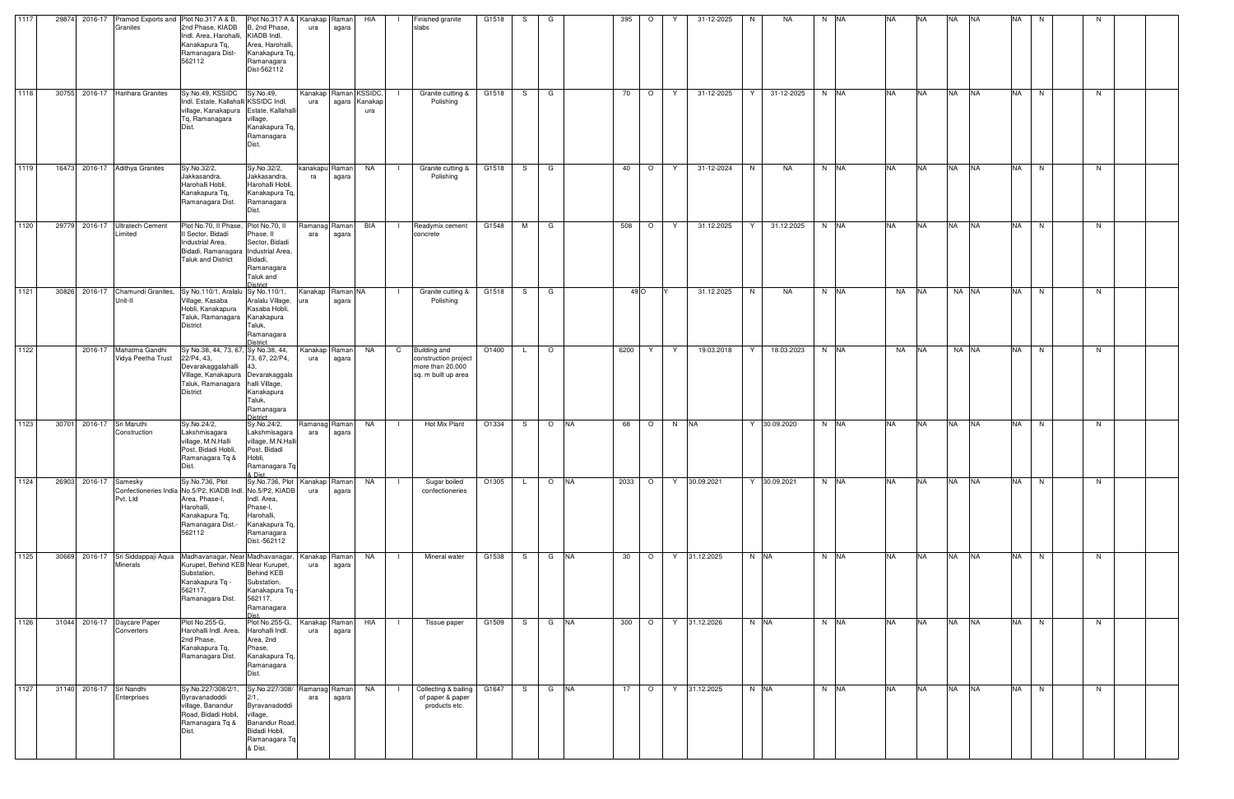| 1117 |       | 29874 2016-17             |                                                      | Pramod Exports and Plot No.317 A & B,                                                                                                                                   | Plot No.317 A & Kanakap Raman                                                                                                    |                              |       | HIA                  |                | Finished granite                                                                       | G1518 | S.           | G       |            | 395  | $\circ$ | 31-12-2025       | <b>NA</b><br>N. | N NA                | <b>NA</b> | <b>NA</b> | <b>NA</b> | <b>INA</b> | <b>NA</b> | N. |    |  |
|------|-------|---------------------------|------------------------------------------------------|-------------------------------------------------------------------------------------------------------------------------------------------------------------------------|----------------------------------------------------------------------------------------------------------------------------------|------------------------------|-------|----------------------|----------------|----------------------------------------------------------------------------------------|-------|--------------|---------|------------|------|---------|------------------|-----------------|---------------------|-----------|-----------|-----------|------------|-----------|----|----|--|
|      |       |                           | Granites                                             | 2nd Phase, KIADB<br>Indl. Area, Harohalli, KIADB Indl.<br>Kanakapura Tq,<br>Ramanagara Dist-<br>562112                                                                  | B, 2nd Phase,<br>Area, Harohalli,<br>Kanakapura Tq,<br>Ramanagara<br>Dist-562112                                                 | ura                          | agara |                      |                | slabs                                                                                  |       |              |         |            |      |         |                  |                 |                     |           |           |           |            |           |    |    |  |
| 1118 |       |                           | 30755 2016-17 Harihara Granites                      | Sy.No.49, KSSIDC Sy.No.49,<br>Indl. Estate, Kallahalli KSSIDC Indl.<br>village, Kanakapura Estate, Kallahall<br>Tq, Ramanagara<br>Dist.                                 | village,<br>Kanakapura Tq,<br>Ramanagara<br>Dist.                                                                                | Kanakap Raman KSSIDC,<br>ura |       | agara Kanakap<br>ura |                | Granite cutting &<br>Polishing                                                         | G1518 |              | S G     |            | 70   | $\circ$ | 31-12-2025<br>Y  | 31-12-2025<br>Y | N NA                | <b>NA</b> | <b>NA</b> | <b>NA</b> | <b>NA</b>  | <b>NA</b> | N  | N  |  |
| 1119 |       |                           | 16473 2016-17 Adithya Granites                       | Sy.No.32/2,<br>Jakkasandra,<br>Harohalli Hobli,<br>Kanakapura Tq,<br>Ramanagara Dist.                                                                                   | Sy.No.32/2,<br>Jakkasandra,<br>Harohalli Hobli,<br>Kanakapura Tq,<br>Ramanagara<br>Dist.                                         | kanakapu Raman<br>ra         | agara | NA                   |                | Granite cutting &<br>Polishing                                                         | G1518 | S.           | G       |            | 40   | $\circ$ | 31-12-2024<br>Y  | N<br><b>NA</b>  | N NA                | <b>NA</b> | <b>NA</b> | <b>NA</b> | <b>NA</b>  | <b>NA</b> | N  | N. |  |
| 1120 |       |                           | 29779 2016-17 Ultratech Cement<br>Limited            | Plot No.70, Il Phase, Plot No.70, Il<br>II Sector, Bidadi<br>Industrial Area,<br>Bidadi, Ramanagara Industrial Area,<br><b>Taluk and District</b>                       | Phase, II<br>Sector, Bidadi<br>Bidadi,<br>Ramanagara<br>Taluk and<br>District                                                    | Ramanag Raman<br>ara         | agara | BIA                  | $\Box$         | Readymix cement<br>concrete                                                            | G1548 | M            | G       |            | 508  | $\circ$ | 31.12.2025<br>Y. | 31.12.2025<br>Y | N NA                | <b>NA</b> | <b>NA</b> | <b>NA</b> | <b>NA</b>  | <b>NA</b> | N  | N. |  |
| 1121 | 30826 |                           | 2016-17 Chamundi Granites,<br>Unit-II                | Sy No.110/1, Aralalu Sy No.110/1,<br>Village, Kasaba<br>Hobli, Kanakapura<br>Taluk, Ramanagara Kanakapura<br><b>District</b>                                            | Aralalu Village,<br>Kasaba Hobli,<br>Taluk,<br>Ramanagara<br>District                                                            | Kanakap Raman NA<br>ura      | agara |                      |                | Granite cutting &<br>Polishing                                                         | G1518 | S.           | G       |            |      | 49 O    | 31.12.2025       | N<br><b>NA</b>  | N NA                | <b>NA</b> | <b>NA</b> |           | NA NA      | <b>NA</b> | N  | N. |  |
| 1122 |       |                           | 2016-17 Mahatma Gandhi<br>Vidya Peetha Trust         | Sy No.38, 44, 73, 67, Sy No.38, 44,<br>22/P4, 43,<br>Devarakaggalahalli 43,<br>Village, Kanakapura Devarakaggala<br>Taluk, Ramanagara halli Village,<br><b>District</b> | 73, 67, 22/P4,<br>Kanakapura<br>Taluk,<br>Ramanagara<br>District                                                                 | Kanakap Raman<br>ura         | agara | NA                   | $\mathbf{C}$   | <b>Building and</b><br>construction project<br>more than 20,000<br>sq. m built up area | 01400 | L.           | $\circ$ |            | 6200 | Y       | 19.03.2018<br>Y. | Y<br>18.03.2023 | $N$ $N$             | NA        | <b>NA</b> |           | NA NA      | <b>NA</b> | N. | N. |  |
| 1123 |       | 30701 2016-17 Sri Maruthi | Construction                                         | Sy.No.24/2,<br>Lakshmisagara<br>village, M.N.Halli<br>Post, Bidadi Hobli,<br>Ramanagara Tq &<br>Dist.                                                                   | Sy.No.24/2,<br>Lakshmisagara<br>village, M.N.Hall<br>Post, Bidadi<br>Hobli,<br>Ramanagara Tq<br>& Dist.                          | Ramanag Raman<br>ara         | agara | NA                   | $\blacksquare$ | Hot Mix Plant                                                                          | O1334 | S.           |         | O NA       | 68   | $\circ$ | N NA             | Y 30.09.2020    | N NA                | <b>NA</b> | <b>NA</b> | <b>NA</b> | <b>INA</b> | <b>NA</b> | N  | N. |  |
| 1124 |       | 26903 2016-17 Samesky     | Pvt. Ltd                                             | Sy.No.736, Plot<br>Confectioneries India No.5/P2, KIADB Indl. No.5/P2, KIADB<br>Area, Phase-I,<br>Harohalli,<br>Kanakapura Tq,<br>Ramanagara Dist.-<br>562112           | Sy.No.736, Plot   Kanakap   Raman<br>Indl. Area,<br>Phase-I,<br>Harohalli,<br>Kanakapura Tq,<br>Ramanagara<br>Dist.-562112       | ura                          | agara | NA                   | $\Box$         | Sugar boiled<br>confectioneries                                                        | O1305 | $\mathsf{L}$ | $\circ$ | <b>INA</b> | 2033 | $\circ$ | 30.09.2021<br>Y  | Y 30.09.2021    | N NA                | <b>NA</b> | <b>NA</b> | <b>NA</b> | <b>NA</b>  | <b>NA</b> | N  | N. |  |
| 1125 |       |                           | 30669 2016-17 Sri Siddappaji Aqua<br><b>Minerals</b> | Madhavanagar, Near Madhavanagar,<br>Kurupet, Behind KEB Near Kurupet,<br>Substation,<br>Kanakapura Tq -<br>562117,<br>Ramanagara Dist.                                  | <b>Behind KEB</b><br>Substation,<br>Kanakapura Tq -<br>562117,<br>Ramanagara<br><b>Dist</b>                                      | Kanakap Raman<br>ura         | agara | NA                   |                | Mineral water                                                                          | G1538 | S.           |         | G NA       | 30   | $\circ$ | 31.12.2025<br>Y  | N NA            | N NA                | <b>NA</b> | <b>NA</b> | <b>NA</b> | <b>NA</b>  | <b>NA</b> | N  | N  |  |
| 1126 |       |                           | 31044 2016-17 Daycare Paper<br>Converters            | Plot No.255-G,<br>Harohalli Indl. Area.<br>2nd Phase,<br>Kanakapura Tq,<br>Ramanagara Dist.                                                                             | Plot No.255-G,<br>Harohalli Indl.<br>Area, 2nd<br>Phase,<br>Kanakapura Tq,<br>Ramanagara<br>Dist.                                | Kanakap Raman<br>ura         | agara | HIA                  |                | Tissue paper                                                                           | G1509 | S —          | G       | <b>NA</b>  | 300  | $\circ$ | 31.12.2026<br>Y  | N NA            | $N$ $N\overline{A}$ | <b>NA</b> | <b>NA</b> | <b>NA</b> | <b>NA</b>  | <b>NA</b> | N  | N  |  |
| 1127 |       | 31140 2016-17 Sri Nandhi  | Enterprises                                          | Sy.No.227/308/2/1<br>Byravanadoddi<br>village, Banandur<br>Road, Bidadi Hobli,<br>Ramanagara Tq &<br>Dist.                                                              | Sy.No.227/308/ Ramanag Raman<br>2/1,<br>Byravanadoddi<br>village,<br>Banandur Road,<br>Bidadi Hobli,<br>Ramanagara Tq<br>& Dist. | ara                          | agara | NA                   | $\blacksquare$ | Collecting & bailing G1647<br>of paper & paper<br>products etc.                        |       | S —          | G NA    |            | 17   | $\circ$ | 31.12.2025<br>Y  | N NA            | N NA                | <b>NA</b> | <b>NA</b> | <b>NA</b> | <b>NA</b>  | <b>NA</b> | N  | N  |  |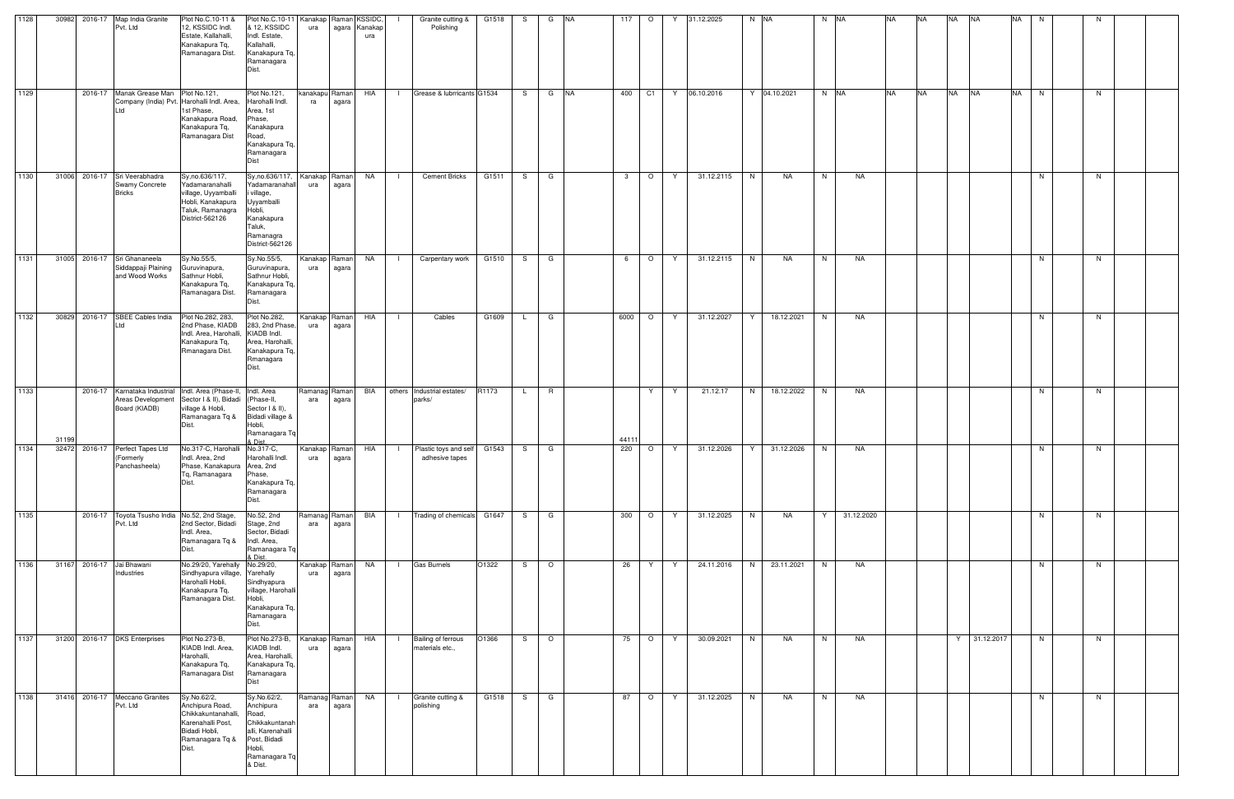| 1128 | 30982 | 2016-17 | Map India Granite<br>Pvt. Ltd                                      | Plot No.C.10-11 &<br>12, KSSIDC Indl.<br>Estate, Kallahalli,<br>Kanakapura Tq.<br>Ramanagara Dist.                        | Plot No.C.10-11<br>& 12, KSSIDC<br>Indl. Estate,<br>Kallahalli,<br>Kanakapura Tq,<br>Ramanagara<br>Dist.                       | Kanakap Raman KSSIDC,<br>ura |                        | agara Kanakap<br>ura |                | Granite cutting &<br>Polishing               | G1518 | S   | G       | <b>NA</b> | 117          | $\circ$ |              | 31.12.2025 | $N$ $NA$ |              | N NA |            | <b>NA</b> | <b>NA</b> | <b>NA</b> | <b>NA</b>      | <b>NA</b> | N  | N |  |
|------|-------|---------|--------------------------------------------------------------------|---------------------------------------------------------------------------------------------------------------------------|--------------------------------------------------------------------------------------------------------------------------------|------------------------------|------------------------|----------------------|----------------|----------------------------------------------|-------|-----|---------|-----------|--------------|---------|--------------|------------|----------|--------------|------|------------|-----------|-----------|-----------|----------------|-----------|----|---|--|
| 1129 |       |         | 2016-17 Manak Grease Man Plot No.121,                              | Company (India) Pvt. Harohalli Indl. Area,<br>1st Phase,<br>Kanakapura Road,<br>Kanakapura Tq.<br>Ramanagara Dist         | Plot No.121,<br>Harohalli Indl.<br>Area, 1st<br>Phase,<br>Kanakapura<br>Road,<br>Kanakapura Tq,<br>Ramanagara<br>Dist          | kanakapu Raman<br>ra         | agara                  | HIA                  | $\mathbf{1}$   | Grease & lubrricants G1534                   |       |     | S G NA  |           | 400          | C1      | Y            | 06.10.2016 |          | Y 04.10.2021 | N NA |            | <b>NA</b> | <b>NA</b> | <b>NA</b> | <b>NA</b>      | <b>NA</b> | N  | N |  |
| 1130 | 31006 |         | 2016-17 Sri Veerabhadra<br><b>Swamy Concrete</b><br><b>Bricks</b>  | Sy, no.636/117,<br>Yadamaranahalli<br>village, Uyyamballi<br>Hobli, Kanakapura<br>Taluk, Ramanagra<br>District-562126     | Sy, no.636/117<br>Yadamaranahall<br>village,<br>Uyyamballi<br>Hobli,<br>Kanakapura<br>Taluk,<br>Ramanagra<br>District-562126   | Kanakap Raman<br>ura         | agara                  | NA                   | - 1            | <b>Cement Bricks</b>                         | G1511 | S.  | G       |           | $\mathbf{3}$ | $\circ$ | Y            | 31.12.2115 | N        | NA           | N    | NA         |           |           |           |                |           | N. | N |  |
| 1131 | 31005 |         | 2016-17 Sri Ghananeela<br>Siddappaji Plaining<br>and Wood Works    | Sy.No.55/5,<br>Guruvinapura,<br>Sathnur Hobli,<br>Kanakapura Tq,<br>Ramanagara Dist.                                      | Sy.No.55/5,<br>Guruvinapura,<br>Sathnur Hobli,<br>Kanakapura Tq.<br>Ramanagara<br>Dist.                                        | Kanakap Raman<br>ura         | agara                  | NA                   | $\Box$         | Carpentary work                              | G1510 | S.  | G       |           | 6            | $\circ$ | Y            | 31.12.2115 | N        | NA           | N    | NA         |           |           |           |                |           | N. | N |  |
| 1132 | 30829 |         | 2016-17 SBEE Cables India<br>td                                    | Plot No.282, 283,<br>2nd Phase, KIADB<br>Indl. Area, Harohalli,<br>Kanakapura Tq,<br>Rmanagara Dist.                      | Plot No.282,<br>283, 2nd Phase,<br>KIADB Indl.<br>Area, Harohalli,<br>Kanakapura Tq.<br>Rmanagara<br>Dist.                     | ura                          | Kanakap Raman<br>agara | HIA                  |                | Cables                                       | G1609 |     | G       |           | 6000         | $\circ$ | Y            | 31.12.2027 | Y        | 18.12.2021   | N    | NA         |           |           |           |                |           | N. | N |  |
| 1133 | 3119  |         | 2016-17 Karnataka Industrial<br>Areas Development<br>Board (KIADB) | Indl. Area (Phase-II, Indl. Area<br>Sector I & II), Bidadi<br>village & Hobli,<br>Ramanagara Tq &<br>Dist.                | (Phase-II,<br>Sector I & II),<br>Bidadi village &<br>Hobli,<br>Ramanagara Tq<br>& Dist                                         | Ramanag Raman<br>ara         | agara                  | BIA                  |                | others Industrial estates/<br>parks/         | R1173 | L.  | R       |           | 4411         | Y       | Y            | 21.12.17   | N        | 18.12.2022   | N.   | NA         |           |           |           |                |           | N. | N |  |
| 1134 | 32472 | 2016-17 | Perfect Tapes Ltd<br>(Formerly<br>Panchasheela)                    | No.317-C, Harohalli No.317-C,<br>Indl. Area, 2nd<br>Phase, Kanakapura Area, 2nd<br>Tq, Ramanagara<br>Dist.                | Harohalli Indl.<br>Phase,<br>Kanakapura Tq,<br>Ramanagara<br>Dist.                                                             | ura                          | Kanakap Raman<br>agara | HIA                  | $\blacksquare$ | Plastic toys and self<br>adhesive tapes      | G1543 | S.  | G       |           | 220          | $\circ$ | Y.           | 31.12.2026 | Y        | 31.12.2026   | N    | NA         |           |           |           |                |           | N. | N |  |
| 1135 |       |         | 2016-17 Toyota Tsusho India No.52, 2nd Stage,<br>Pvt. Ltd          | 2nd Sector, Bidadi<br>Indl. Area,<br>Ramanagara Tq &<br>Dist.                                                             | No.52, 2nd<br>Stage, 2nd<br>Sector, Bidadi<br>Indl. Area,<br>Ramanagara Tg<br>& Dist.                                          | Ramanag Raman<br>ara         | agara                  | BIA                  | $\Box$         | Trading of chemicals G1647                   |       | S — | G       |           | 300          | $\circ$ | Y.           | 31.12.2025 | N        | <b>NA</b>    | Y    | 31.12.2020 |           |           |           |                |           | N  | N |  |
| 1136 | 31167 |         | 2016-17 Jai Bhawani<br>Industries                                  | No.29/20, Yarehally No.29/20,<br>Sindhyapura village, Yarehally<br>Harohalli Hobli,<br>Kanakapura Tq,<br>Ramanagara Dist. | Sindhyapura<br>village, Harohalli<br>Hobli,<br>Kanakapura Tq,<br>Ramanagara<br>Dist.                                           | Kanakap Raman<br>ura         | agara                  | <b>NA</b>            | - 1            | <b>Gas Burnels</b>                           | O1322 | S.  | $\circ$ |           | 26           | Y       | Y            | 24.11.2016 | N        | 23.11.2021   | N    | NA         |           |           |           |                |           | N  | N |  |
| 1137 | 31200 |         | 2016-17 DKS Enterprises                                            | Plot No.273-B,<br>KIADB Indl. Area,<br>Harohalli,<br>Kanakapura Tq,<br>Ramanagara Dist                                    | Plot No.273-B,<br>KIADB Indl.<br>Area, Harohalli,<br>Kanakapura Tq,<br>Ramanagara<br>Dist                                      | ura                          | Kanakap Raman<br>agara | HIA                  | $\Box$         | <b>Bailing of ferrous</b><br>materials etc., | O1366 |     | $S$ 0   |           | 75           | $\circ$ | <sup>Y</sup> | 30.09.2021 | N        | NA           | N    | NA         |           |           |           | $Y$ 31.12.2017 |           | N  | N |  |
| 1138 | 31416 |         | 2016-17 Meccano Granites<br>Pvt. Ltd                               | Sy.No.62/2,<br>Anchipura Road,<br>Chikkakuntanahalli,<br>Karenahalli Post,<br>Bidadi Hobli,<br>Ramanagara Tq &<br>Dist.   | Sy.No.62/2,<br>Anchipura<br>Road,<br>Chikkakuntanah<br>alli, Karenahalli<br>Post, Bidadi<br>Hobli,<br>Ramanagara Tq<br>& Dist. | Ramanag Raman<br>ara         | agara                  | <b>NA</b>            | $\mathbf{I}$   | Granite cutting &<br>polishing               | G1518 | S — | G       |           | 87           | $\circ$ | Y            | 31.12.2025 | N        | <b>NA</b>    | N    | NA         |           |           |           |                |           | N. | N |  |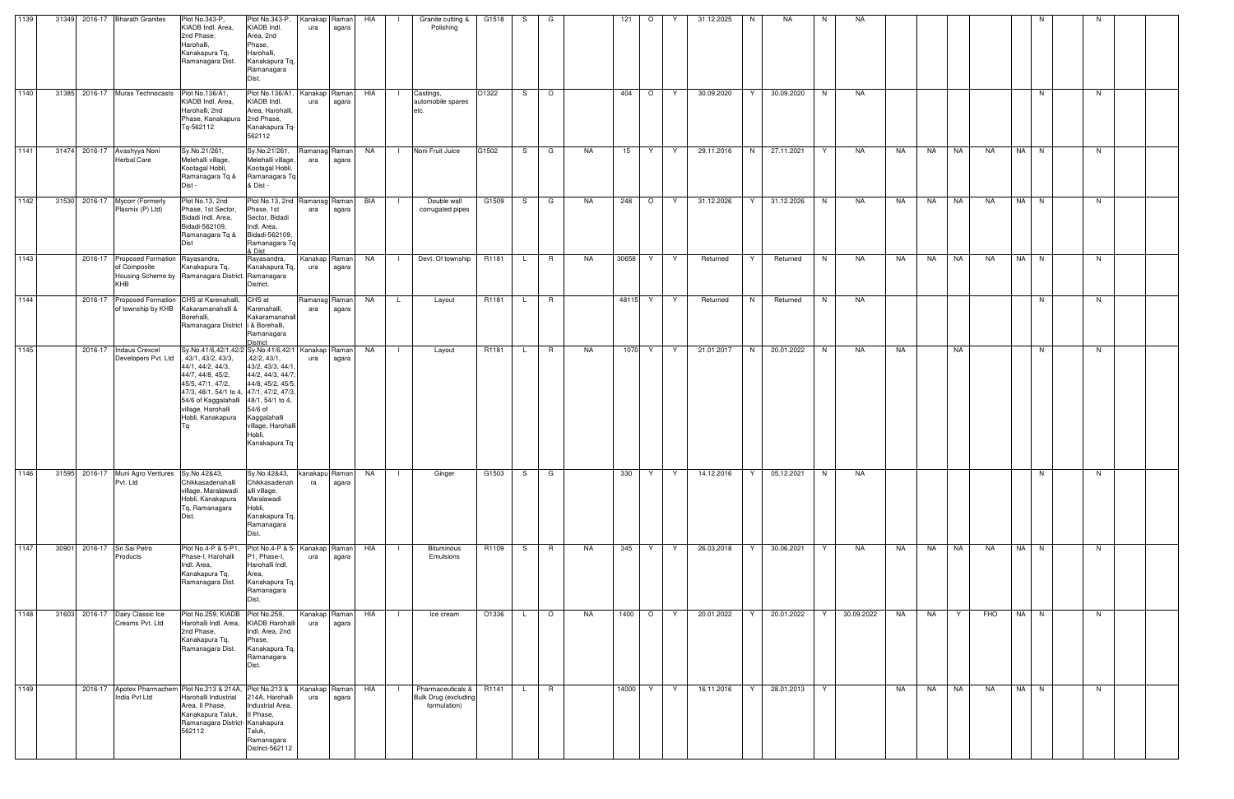| 1139 | 31349 |         | 2016-17 Bharath Granites                                             | Plot No.343-P,<br>KIADB Indl. Area,<br>2nd Phase,<br>Harohalli,<br>Kanakapura Tq,<br>Ramanagara Dist.                                                                                                                                                                          | Plot No.343-P,<br>KIADB Indl.<br>Area, 2nd<br>Phase,<br>Harohalli,<br>Kanakapura Tq,<br>Ramanagara<br>Dist.                                          | Kanakap Raman<br>ura | agara                  | HIA  |              | Granite cutting &<br>Polishing                                   | G1518 | S. | G       |    | 121     | $\circ$                  | Y | 31.12.2025 | N  | <b>NA</b>  | N  | NA         |    |           |           |           |      |    |  |
|------|-------|---------|----------------------------------------------------------------------|--------------------------------------------------------------------------------------------------------------------------------------------------------------------------------------------------------------------------------------------------------------------------------|------------------------------------------------------------------------------------------------------------------------------------------------------|----------------------|------------------------|------|--------------|------------------------------------------------------------------|-------|----|---------|----|---------|--------------------------|---|------------|----|------------|----|------------|----|-----------|-----------|-----------|------|----|--|
| 1140 | 31385 |         | 2016-17 Muras Technocasts                                            | Plot No.136/A1,<br>KIADB Indl. Area,<br>Harohalli, 2nd<br>Phase, Kanakapura 2nd Phase,<br>Tq-562112                                                                                                                                                                            | Plot No.136/A1,<br>KIADB Indl.<br>Area, Harohalli,<br>Kanakapura Tq-<br>562112                                                                       | Kanakap Raman<br>ura | agara                  | HIA  | $\Box$       | Castings,<br>automobile spares<br>etc.                           | O1322 | S. | $\circ$ |    | 404     | $\circ$                  | Y | 30.09.2020 | Y  | 30.09.2020 | N  | NA         |    |           |           |           | N    | N. |  |
| 1141 | 31474 |         | 2016-17 Avashyya Noni<br><b>Herbal Care</b>                          | Sy.No.21/261,<br>Melehalli village,<br>Kootagal Hobli,<br>Ramanagara Tq &<br>Dist -                                                                                                                                                                                            | Sy.No.21/261,<br>Melehalli village,<br>Kootagal Hobli,<br>Ramanagara Tq<br>& Dist -                                                                  | Ramanag Raman<br>ara | agara                  | NA   | $\mathbf{L}$ | Noni Fruit Juice                                                 | G1502 | S. | G       | NA | 15      | Y                        | Y | 29.11.2016 | N  | 27.11.2021 | Y  | NA         | NA | NA        | NA        | <b>NA</b> | NA N | N  |  |
| 1142 | 31530 |         | 2016-17 Mycorr (Formerly<br>Plasmix (P) Ltd)                         | Plot No.13, 2nd<br>Phase, 1st Sector,<br>Bidadi Indl. Area,<br>Bidadi-562109,<br>Ramanagara Tq &<br>Dist                                                                                                                                                                       | Plot No.13, 2nd Ramanag Raman<br>Phase, 1st<br>Sector, Bidadi<br>Indl. Area,<br>Bidadi-562109,<br>Ramanagara Tq<br>& Dist                            | ara                  | agara                  | BIA  | $\Box$       | Double wall<br>corrugated pipes                                  | G1509 | S. | G       | NA | 248     | $\overline{\phantom{0}}$ | Y | 31.12.2026 | Y  | 31.12.2026 | N. | NA         | NA | <b>NA</b> | <b>NA</b> | NA        | NA N | N. |  |
| 1143 |       |         | 2016-17 Proposed Formation Rayasandra,<br>of Composite<br><b>KHB</b> | Kanakapura Tq,<br>Housing Scheme by Ramanagara District. Ramanagara                                                                                                                                                                                                            | Rayasandra,<br>Kanakapura Tq,<br>District.                                                                                                           | Kanakap<br>ura       | Raman<br>agara         | NA 1 | $\mathbf{1}$ | Devt. Of township                                                | R1181 | L. | R       | NA | 30658   | Y                        | Y | Returned   | Y  | Returned   | N  | NA         | NA | NA        | <b>NA</b> | NA        | NA N | N  |  |
| 1144 |       | 2016-17 | of township by KHB                                                   | Proposed Formation CHS at Karenahalli,<br>Kakaramanahalli &<br>Borehalli,<br>Ramanagara District i & Borehalli,                                                                                                                                                                | CHS at<br>Karenahalli,<br>Kakaramanahall<br>Ramanagara<br>District                                                                                   | Ramanag Raman<br>ara | agara                  | NA   | $\mathsf{L}$ | Layout                                                           | R1181 | L. | R       |    | 48115 Y |                          | Y | Returned   | N  | Returned   | N  | NA         |    |           |           |           | N.   | N. |  |
| 1145 |       |         | 2016-17   Indaus Crexcel<br>Developers Pvt. Ltd                      | Sy.No.41/6,42/1,42/2 Sy.No.41/6,42/1   Kanakap   Raman  <br>, 43/1, 43/2, 43/3,<br>44/1, 44/2, 44/3,<br>44/7, 44/8, 45/2,<br>45/5, 47/1, 47/2,<br>47/3, 48/1, 54/1 to 4, 47/1, 47/2, 47/3,<br>54/6 of Kaggalahalli 48/1, 54/1 to 4,<br>village, Harohalli<br>Hobli, Kanakapura | ,42/2, 43/1,<br>43/2, 43/3, 44/1<br>44/2, 44/3, 44/7<br>44/8, 45/2, 45/5<br>54/6 of<br>Kaggalahalli<br>village, Harohalli<br>Hobli,<br>Kanakapura Tq | ura                  | agara                  | NA   | $\perp$      | Layout                                                           | R1181 | L. | R       | NA | 1070    | Y.                       | Y | 21.01.2017 | N  | 20.01.2022 | N  | NA         | NA |           | NA        |           | N    | N. |  |
| 1146 | 31595 | 2016-17 | Muni Agro Ventures<br>Pvt. Ltd                                       | Sy.No.42&43,<br>Chikkasadenahalli<br>village, Maralawadi<br>Hobli, Kanakapura<br>Tq, Ramanagara<br>Dist.                                                                                                                                                                       | Sy.No.42&43,<br>Chikkasadenah<br>alli village,<br>Maralawadi<br>Hobli,<br>Kanakapura Tq,<br>Ramanagara<br>Dist.                                      | kanakapu Raman<br>ra | agara                  | NA   |              | Ginger                                                           | G1503 | S  | G       |    | 330     | Y                        | Y | 14.12.2016 |    | 05.12.2021 | N  | <b>NA</b>  |    |           |           |           | N    | N  |  |
| 1147 | 30901 |         | 2016-17 Sri Sai Petro<br>Products                                    | Plot No.4-P & 5-P1,<br>Phase-I, Harohalli<br>Indl. Area,<br>Kanakapura Tq,<br>Ramanagara Dist.                                                                                                                                                                                 | Plot No.4-P & 5- Kanakap Raman<br>P1, Phase-I,<br>Harohalli Indl.<br>Area,<br>Kanakapura Tq,<br>Ramanagara<br>Dist.                                  | ura                  | agara                  | HIA  | - 1 -        | Bituminous<br>Emulsions                                          | R1109 | S. | R       | NA | 345     | Y.                       | Y | 26.03.2018 | Y  | 30.06.2021 | Y  | NA         | NA | <b>NA</b> | <b>NA</b> | NA        | NA N | N  |  |
| 1148 | 31603 |         | 2016-17 Dairy Classic Ice<br>Creams Pvt. Ltd                         | Plot No.259, KIADB Plot No.259,<br>Harohalli Indl. Area,<br>2nd Phase,<br>Kanakapura Tq,<br>Ramanagara Dist.                                                                                                                                                                   | KIADB Harohalli<br>Indl. Area, 2nd<br>Phase,<br>Kanakapura Tq,<br>Ramanagara<br>Dist.                                                                | Kanakap Raman<br>ura | agara                  | HIA  | $\mathbf{I}$ | Ice cream                                                        | O1336 | L. | $\circ$ | NA | 1400    | $\circ$                  | Y | 20.01.2022 | Y  | 20.01.2022 | Y  | 30.09.2022 | NA | NA        | Y         | FHO       | NA N | N  |  |
| 1149 |       |         | India Pvt Ltd                                                        | 2016-17 Apotex Pharmachem Plot No.213 & 214A, Plot No.213 &<br>Harohalli Industrial<br>Area, Il Phase,<br>Kanakapura Taluk,<br>Ramanagara District- Kanakapura<br>562112                                                                                                       | 214A, Harohalli<br>Industrial Area,<br>II Phase,<br>Taluk,<br>Ramanagara<br>District-562112                                                          | ura                  | Kanakap Raman<br>agara | HIA  | $\Box$       | Pharmaceuticals &<br><b>Bulk Drug (excluding</b><br>formulation) | R1141 | L. | R       |    | 14000   | Y.                       | Y | 16.11.2016 | Y. | 28.01.2013 | Y  |            | NA | NA        | <b>NA</b> | <b>NA</b> | NA N | N  |  |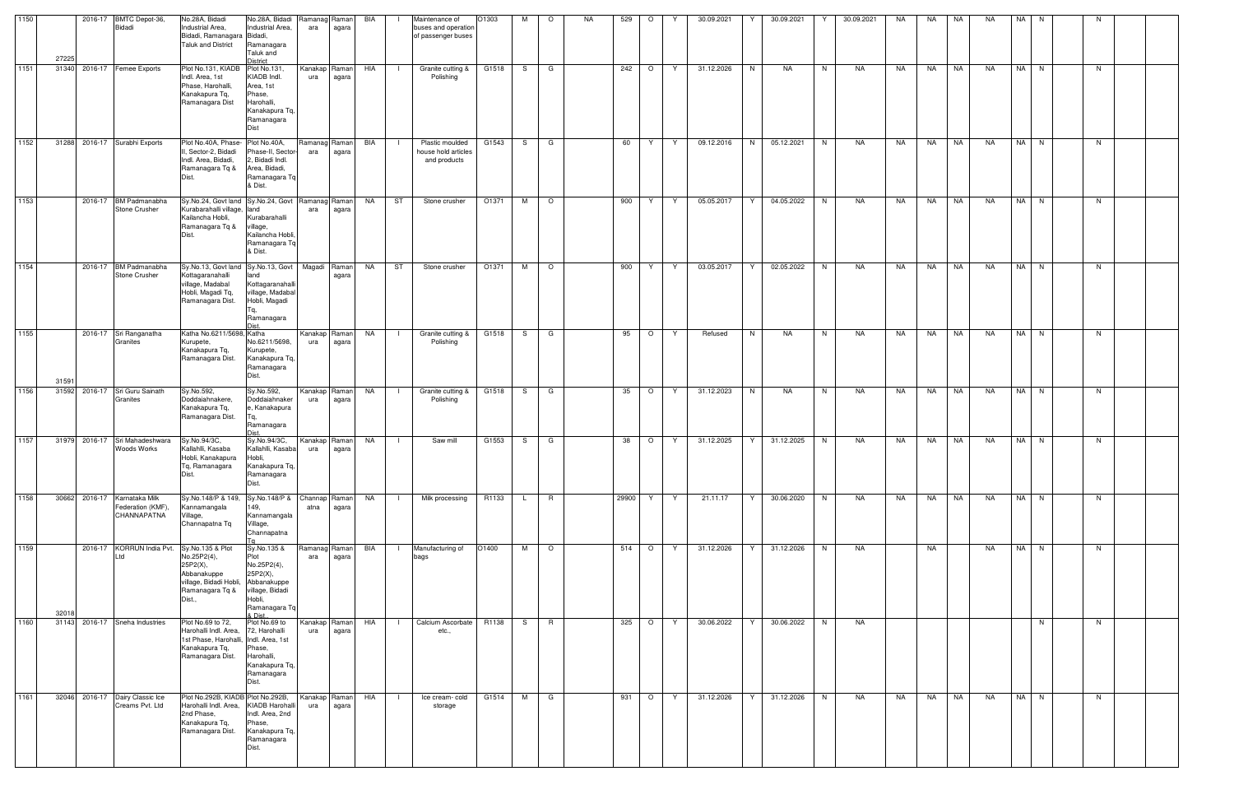| 1150 | 27225 | 2016-17 BMTC Depot-36,<br>Bidadi                                 | No.28A, Bidadi<br>Industrial Area,<br>Bidadi, Ramanagara Bidadi,<br><b>Taluk and District</b>                                        | No.28A, Bidadi Ramanag Raman<br>Industrial Area,<br>Ramanagara<br>Taluk and<br>istrict                                | ara                  | agara | BIA       | Maintenance of<br>buses and operation<br>of passenger buses | O1303 | M            | $\circ$         | NA. | 529     | $\circ$ | Y  | 30.09.2021 | 30.09.2021      |    | 30.09.2021 | NA | NA    | NA        | <b>NA</b> | NA I | N  |   |  |
|------|-------|------------------------------------------------------------------|--------------------------------------------------------------------------------------------------------------------------------------|-----------------------------------------------------------------------------------------------------------------------|----------------------|-------|-----------|-------------------------------------------------------------|-------|--------------|-----------------|-----|---------|---------|----|------------|-----------------|----|------------|----|-------|-----------|-----------|------|----|---|--|
| 1151 |       | 31340 2016-17 Femee Exports                                      | Plot No.131, KIADB Plot No.131,<br>Indl. Area, 1st<br>Phase, Harohalli,<br>Kanakapura Tq,<br>Ramanagara Dist                         | KIADB Indl.<br>Area, 1st<br>Phase,<br>Harohalli,<br>Kanakapura Tq,<br>Ramanagara<br>Dist                              | Kanakap Raman<br>ura | agara | HIA       | Granite cutting &<br>$\blacksquare$<br>Polishing            | G1518 | -S           | G               |     | 242     | $\circ$ | Y  | 31.12.2026 | N<br>NA         | N  | NA         | NA | NA    | NA        | <b>NA</b> | NA N |    | N |  |
| 1152 |       | 31288 2016-17 Surabhi Exports                                    | Plot No.40A, Phase-Plot No.40A,<br>II, Sector-2, Bidadi<br>Indl. Area, Bidadi,<br>Ramanagara Tq &<br>Dist.                           | Phase-II, Sector-<br>2, Bidadi Indl.<br>Area, Bidadi,<br>Ramanagara Tq<br>& Dist.                                     | Ramanag Raman<br>ara | agara | BIA       | Plastic moulded<br>house hold articles<br>and products      | G1543 | S.           | G               |     | 60      | Y       | Y  | 09.12.2016 | N<br>05.12.2021 | N  | NA         | NA | NA    | NA        | NA        | NA N |    | N |  |
| 1153 |       | 2016-17 BM Padmanabha<br>Stone Crusher                           | Sy.No.24, Govt land Sy.No.24, Govt Ramanag Raman<br>Kurabarahalli village, land<br>Kailancha Hobli.<br>Ramanagara Tq &               | Kurabarahalli<br>village,<br>Kailancha Hobli,<br>Ramanagara Tq<br>& Dist.                                             | ara                  | agara | NA        | ST<br>Stone crusher                                         | O1371 | M            | $\circ$         |     | 900     | Y       | Y  | 05.05.2017 | 04.05.2022      | N. | NA         | NA | NA    | NA        | <b>NA</b> | NA N |    | N |  |
| 1154 |       | 2016-17 BM Padmanabha<br>Stone Crusher                           | Sy.No.13, Govt land Sy.No.13, Govt   Magadi   Raman<br>Kottagaranahalli<br>village, Madabal<br>Hobli, Magadi Tq,<br>Ramanagara Dist. | land<br>Kottagaranahalli<br>village, Madaba<br>Hobli, Magadi<br>Ramanagara                                            |                      | agara | NA        | ST<br>Stone crusher                                         | O1371 | M            | $\circ$         |     | 900     | Y       | Y  | 03.05.2017 | 02.05.2022<br>Y | N  | NA         | NA | NA    | NA        | NA        | NA N |    | N |  |
| 1155 | 3159  | 2016-17 Sri Ranganatha<br>Granites                               | Katha No.6211/5698, Katha<br>Kurupete,<br>Kanakapura Tq.<br>Ramanagara Dist.                                                         | No.6211/5698,<br>Kurupete,<br>Kanakapura Tq,<br>Ramanagara<br>Dist.                                                   | Kanakap Raman<br>ura | agara | NA        | Granite cutting &<br>$\blacksquare$<br>Polishing            | G1518 | S.           | G               |     | 95      | $\circ$ | Y  | Refused    | N<br>NA         | N  | NA         | NA | NA    | <b>NA</b> | <b>NA</b> | NA N |    | N |  |
| 1156 | 31592 | 2016-17 Sri Guru Sainath<br>Granites                             | Sy.No.592,<br>Doddaiahnakere,<br>Kanakapura Tq,<br>Ramanagara Dist.                                                                  | Sy.No.592,<br>Doddaiahnaker<br>e, Kanakapura<br>Ramanagara                                                            | Kanakap Raman<br>ura | agara | NA        | Granite cutting &<br>$\blacksquare$<br>Polishing            | G1518 | S.           | G               |     | 35      | $\circ$ | Y  | 31.12.2023 | N<br>NA         | N  | NA         | NA | NA    | NA        | NA        | NA N |    | N |  |
| 1157 |       | 31979 2016-17 Sri Mahadeshwara<br>Woods Works                    | Sy.No.94/3C,<br>Kallahlli, Kasaba<br>Hobli, Kanakapura Hobli,<br>Tq, Ramanagara<br>Dist.                                             | Sy.No.94/3C,<br>Kallahlli, Kasaba<br>Kanakapura Tq,<br>Ramanagara<br>Dist.                                            | Kanakap Raman<br>ura | agara | NA        | Saw mill<br>$\Box$                                          | G1553 | S.           | G               |     | 38      | $\circ$ | Y. | 31.12.2025 | 31.12.2025<br>Y | N  | NA         | NA | NA    | <b>NA</b> | NA        | NA N |    | N |  |
| 1158 |       | 30662 2016-17 Karnataka Milk<br>Federation (KMF),<br>CHANNAPATNA | Sy.No.148/P & 149,<br>Kannamangala<br>Village,<br>Channapatna Tq                                                                     | Sy.No.148/P & Channap Raman<br>149,<br>Kannamangala<br>Village,<br>Channapatna                                        | atna                 | agara | <b>NA</b> | Milk processing<br>$\blacksquare$                           | R1133 | $\mathsf{L}$ | $R_{\parallel}$ |     | 29900 Y |         | Y  | 21.11.17   | 30.06.2020<br>Y | N  | NA         | NA | NA NA |           | <b>NA</b> | NA N |    | N |  |
| 1159 | 32018 | 2016-17 KORRUN India Pvt.<br>Ltd                                 | Sy.No.135 & Plot<br>No.25P2(4),<br>25P2(X),<br>Abbanakuppe<br>village, Bidadi Hobli,<br>Ramanagara Tq &<br>Dist.,                    | Sy.No.135 &<br>Plot<br>No.25P2(4),<br>25P2(X),<br>Abbanakuppe<br>village, Bidadi<br>Hobli,<br>Ramanagara Tq<br>& Dist | Ramanag Raman<br>ara | agara | BIA       | Manufacturing of<br>$\blacksquare$<br>bags                  | O1400 | M            | $\circ$         |     |         | 514 O Y |    | 31.12.2026 | Y<br>31.12.2026 | N  | NA         |    | NA    |           | <b>NA</b> | NA N |    | N |  |
| 1160 |       | 31143 2016-17 Sneha Industries                                   | Plot No.69 to 72,<br>Harohalli Indl. Area,<br>1st Phase, Harohalli, Indl. Area, 1st<br>Kanakapura Tq,<br>Ramanagara Dist.            | Plot No.69 to<br>72, Harohalli<br>Phase,<br>Harohalli,<br>Kanakapura Tq,<br>Ramanagara<br>Dist.                       | Kanakap Raman<br>ura | agara | HIA       | Calcium Ascorbate<br>$\blacksquare$<br>etc.,                | R1138 | S.           | $\mathsf{R}$    |     | 325     | $\circ$ | Y  | 30.06.2022 | 30.06.2022<br>Y | N  | NA         |    |       |           |           |      | N. | N |  |
| 1161 |       | 32046 2016-17 Dairy Classic Ice<br>Creams Pvt. Ltd               | Plot No.292B, KIADB Plot No.292B,<br>Harohalli Indl. Area,<br>2nd Phase,<br>Kanakapura Tq,<br>Ramanagara Dist.                       | <b>KIADB Harohalli</b><br>Indl. Area, 2nd<br>Phase,<br>Kanakapura Tq,<br>Ramanagara<br>Dist.                          | Kanakap Raman<br>ura | agara | HIA       | Ice cream-cold<br>storage                                   | G1514 | M            | G               |     | 931     | $\circ$ | Y  | 31.12.2026 | 31.12.2026<br>Y | N  | NA         | NA | NA    | NA        | <b>NA</b> | NA N |    | N |  |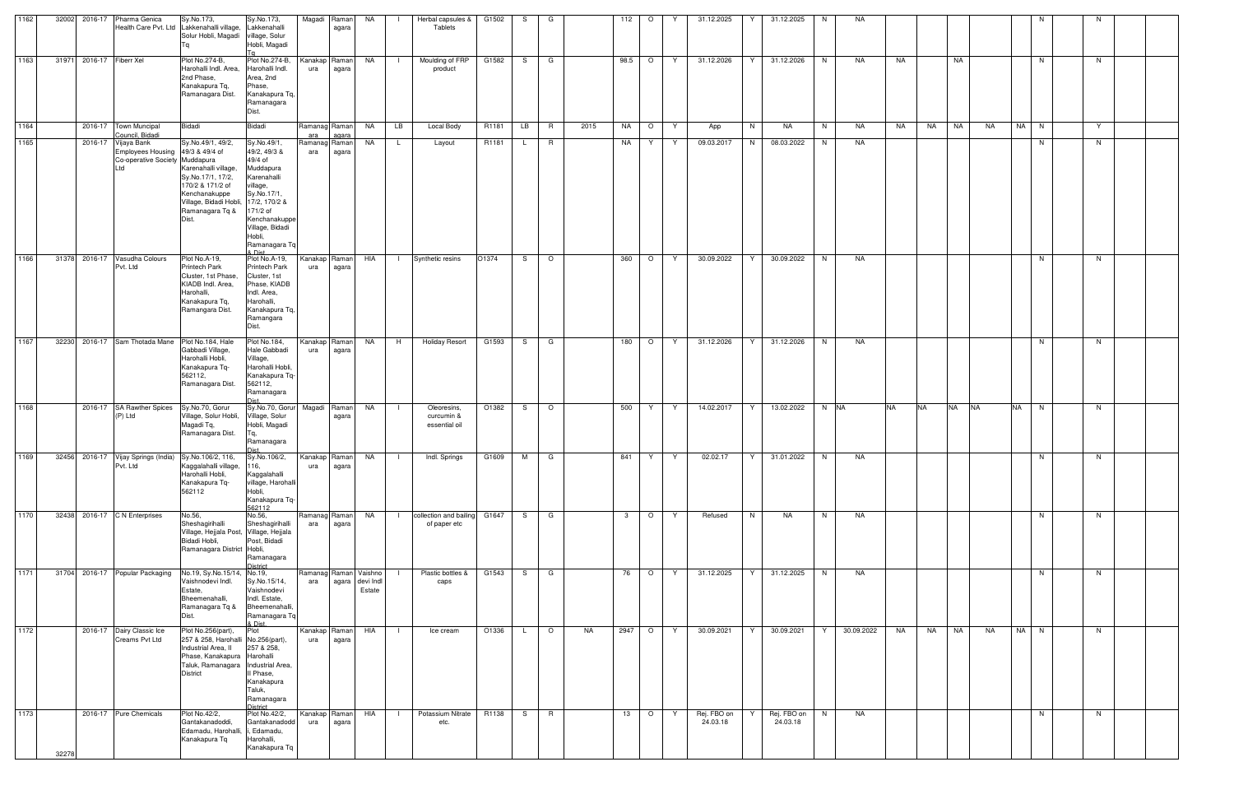| 1162 | 32002 |                          | 2016-17 Pharma Genica<br>Health Care Pvt. Ltd                                                     | Sy.No.173,<br>Lakkenahalli village,<br>Solur Hobli, Magadi                                                                                                                | Sy.No.173,<br>Lakkenahalli<br>village, Solur<br>Hobli, Magadi                                                                                                                       |                      | Magadi Raman<br>agara  | NA                                                 | $\Box$       | Herbal capsules &<br>Tablets                 | G1502 | S.           | G              |      | 112         | $\circ$        | Y   | 31.12.2025              | 31.12.2025<br>Y         | N. | NA         |                        |    |                        |           | N. |    |  |
|------|-------|--------------------------|---------------------------------------------------------------------------------------------------|---------------------------------------------------------------------------------------------------------------------------------------------------------------------------|-------------------------------------------------------------------------------------------------------------------------------------------------------------------------------------|----------------------|------------------------|----------------------------------------------------|--------------|----------------------------------------------|-------|--------------|----------------|------|-------------|----------------|-----|-------------------------|-------------------------|----|------------|------------------------|----|------------------------|-----------|----|----|--|
| 1163 |       | 31971 2016-17 Fiberr Xel |                                                                                                   | Plot No.274-B,<br>Harohalli Indl. Area,<br>2nd Phase,<br>Kanakapura Tq,<br>Ramanagara Dist.                                                                               | Plot No.274-B,<br>Harohalli Indl.<br>Area, 2nd<br>Phase,<br>Kanakapura Tq,<br>Ramanagara<br>Dist.                                                                                   | ura                  | Kanakap Raman<br>agara | <b>NA</b>                                          | - 13         | Moulding of FRP<br>product                   | G1582 | S –          | $\Box$         |      | 98.5 O      |                | Y   | 31.12.2026              | Y<br>31.12.2026         | N  | NA         | NA                     |    | NA                     |           | N  | N  |  |
| 1164 |       |                          | 2016-17 Town Muncipal<br>Council, Bidadi                                                          | Bidadi                                                                                                                                                                    | Bidadi                                                                                                                                                                              | ara                  | Ramanag Raman<br>agara | NA                                                 | LB           | Local Body                                   | R1181 | <b>LB</b>    | <b>R</b>       | 2015 | NA          | $\overline{O}$ | Y   | App                     | N<br>NA                 | N  | NA         | NA                     | NA | NA<br>NA               | NA N      |    | Y  |  |
| 1165 |       |                          | 2016-17 Vijaya Bank<br>Employees Housing 49/3 & 49/4 of<br>Co-operative Society Muddapura<br>ht I | Sy.No.49/1, 49/2,<br>Karenahalli village,<br>Sy.No.17/1, 17/2,<br>170/2 & 171/2 of<br>Kenchanakuppe<br>Village, Bidadi Hobli, 17/2, 170/2 &<br>Ramanagara Tq &<br>Dist.   | Sy.No.49/1,<br>49/2, 49/3 &<br>49/4 of<br>Muddapura<br>Karenahalli<br>village,<br>Sy.No.17/1,<br>171/2 of<br>Kenchanakuppe<br>Village, Bidadi<br>Hobli,<br>Ramanagara Tq<br>8. Diet | Ramanag Raman<br>ara | agara                  | NA                                                 | $\mathsf{L}$ | Layout                                       | R1181 | $\mathsf{L}$ | <b>R</b>       |      | NA          | Y.             | Y.  | 09.03.2017              | N<br>08.03.2022         | N  | NA         |                        |    |                        |           | N. | N  |  |
| 1166 |       |                          | 31378 2016-17 Vasudha Colours<br>Pvt. Ltd                                                         | Plot No.A-19,<br><b>Printech Park</b><br>Cluster, 1st Phase,<br>KIADB Indl. Area,<br>Harohalli,<br>Kanakapura Tq,<br>Ramangara Dist.                                      | Plot No.A-19,<br>Printech Park<br>Cluster, 1st<br>Phase, KIADB<br>Indl. Area,<br>Harohalli,<br>Kanakapura Tq,<br>Ramangara<br>Dist.                                                 | ura                  | Kanakap Raman<br>agara | HIA                                                | -1           | Synthetic resins                             | O1374 | S.           | $\circ$        |      | 360         | $\circ$        | Y   | 30.09.2022              | Y<br>30.09.2022         | N  | NA         |                        |    |                        |           | N  | N. |  |
| 1167 |       |                          | 32230 2016-17 Sam Thotada Mane                                                                    | Plot No.184, Hale<br>Gabbadi Village,<br>Harohalli Hobli,<br>Kanakapura Tq-<br>562112,<br>Ramanagara Dist.                                                                | Plot No.184,<br>Hale Gabbadi<br>Village,<br>Harohalli Hobli,<br>Kanakapura Tq-<br>562112,<br>Ramanagara                                                                             | ura                  | Kanakap Raman<br>agara | NA                                                 | H            | <b>Holiday Resort</b>                        | G1593 | S            | G              |      | 180         | $\circ$        | - Y | 31.12.2026              | 31.12.2026              | N. | NA         |                        |    |                        |           | N  | N  |  |
| 1168 |       |                          | 2016-17 SA Rawther Spices<br>(P) Ltd                                                              | Sy.No.70, Gorur<br>Village, Solur Hobli,<br>Magadi Tq,<br>Ramanagara Dist.                                                                                                | Sy.No.70, Gorur<br>Village, Solur<br>Hobli, Magadi<br>Tq,<br>Ramanagara                                                                                                             |                      | Magadi Raman<br>agara  | NA                                                 | - 1          | Oleoresins,<br>curcumin &<br>essential oil   | O1382 | S.           | $\circ$        |      | 500         | Y              | Y.  | 14.02.2017              | 13.02.2022<br>Y.        |    | N NA       | <b>NA</b><br><b>NA</b> |    | <b>NA</b><br><b>NA</b> | <b>NA</b> | N  | N. |  |
| 1169 |       |                          | 32456 2016-17 Vijay Springs (India) Sy. No. 106/2, 116,<br>Pvt. Ltd                               | Kaggalahalli village,<br>Harohalli Hobli,<br>Kanakapura Tq-<br>562112                                                                                                     | Sy.No.106/2,<br>116,<br>Kaggalahalli<br>village, Harohalli<br>Hobli,<br>Kanakapura Tq-<br>562112                                                                                    | ura                  | Kanakap Raman<br>agara | NA                                                 | - 1          | Indl. Springs                                | G1609 | M            | $\mathbf{G}$   |      | 841         | Y.             | Y   | 02.02.17                | 31.01.2022<br>Y         | N. | NA         |                        |    |                        |           | N  | N  |  |
| 1170 |       |                          | 32438 2016-17 C N Enterprises                                                                     | No.56,<br>Sheshagirihalli<br>Village, Hejjala Post, Village, Hejjala<br>Bidadi Hobli,<br>Ramanagara District Hobli,                                                       | No.56,<br>Sheshagirihalli<br>Post, Bidadi<br>Ramanagara<br>District                                                                                                                 | Ramanag Raman<br>ara | agara                  | <b>NA</b>                                          | $\mathbf{1}$ | collection and bailing G1647<br>of paper etc |       |              | S G            |      | $3^{\circ}$ | $\overline{O}$ | Y   | Refused                 | N<br>NA                 | N  | NA         |                        |    |                        |           | N  | N  |  |
| 1171 |       |                          | 31704 2016-17 Popular Packaging                                                                   | No.19, Sy.No.15/14, No.19,<br>Vaishnodevi Indl.<br>Estate,<br>Bheemenahalli,<br>Ramanagara Tq &<br>Dist.                                                                  | Sy.No.15/14,<br>Vaishnodevi<br>Indl. Estate,<br>Bheemenahalli,<br>Ramanagara Tq<br>& Dist.                                                                                          | ara                  |                        | Ramanag Raman Vaishno<br>agara devi Indl<br>Estate |              | Plastic bottles &<br>caps                    | G1543 | S —          | $\overline{G}$ |      | 76          | $\circ$        | Y   | 31.12.2025              | 31.12.2025<br>Y         | N  | NA         |                        |    |                        |           | N. | N  |  |
| 1172 |       |                          | 2016-17 Dairy Classic Ice<br>Creams Pvt Ltd                                                       | Plot No.256(part),<br>257 & 258, Harohalli No.256(part),<br>Industrial Area, II<br>Phase, Kanakapura Harohalli<br>Taluk, Ramanagara   Industrial Area,<br><b>District</b> | Plot<br>257 & 258,<br>Il Phase,<br>Kanakapura<br>Taluk,<br>Ramanagara<br>District                                                                                                   | ura                  | Kanakap Raman<br>agara | HIA                                                | -1           | Ice cream                                    | O1336 | L.           | $\circ$        | NA   | 2947 O      |                | Y   | 30.09.2021              | 30.09.2021<br>Y         | Y. | 30.09.2022 | NA                     | NA | <b>NA</b><br>NA        | NA N      |    | N  |  |
| 1173 | 32278 |                          | 2016-17 Pure Chemicals                                                                            | Plot No.42/2,<br>Gantakanadoddi,<br>Edamadu, Harohalli,<br>Kanakapura Tq                                                                                                  | Plot No.42/2,<br>Gantakanadodd<br>i, Edamadu,<br>Harohalli,<br>Kanakapura Tq                                                                                                        | ura                  | Kanakap Raman<br>agara | HIA                                                | $\Box$       | Potassium Nitrate<br>etc.                    | R1138 | S.           | R              |      | 13          | $\circ$        | Y.  | Rej. FBO on<br>24.03.18 | Rej. FBO on<br>24.03.18 | N  | NA         |                        |    |                        |           | N  | N  |  |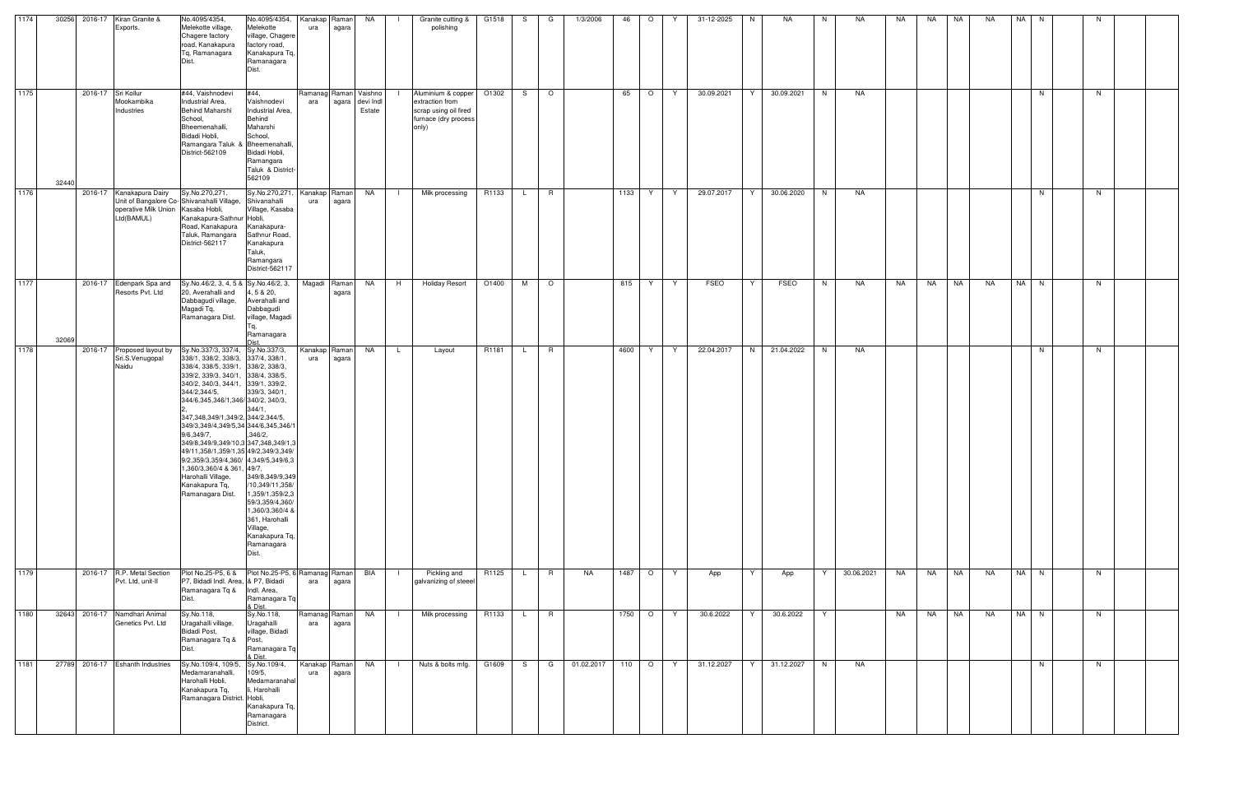| 1174 |       |                    | 30256 2016-17 Kiran Granite &<br>Exports.                            | No.4095/4354,<br>Melekotte village,<br>Chagere factory<br>road, Kanakapura<br>Tg, Ramanagara                                                                                                                                                                                                                                                                                                                                                                                                                                                                 | No.4095/4354,<br>Melekotte<br>village, Chagere<br>factory road,<br>Kanakapura Tq,<br>Ramanagara<br>Dist.                                                                                                 | Kanakap Raman<br>ura | agara | NA                                                 | - 11           | Granite cutting &<br>polishing                                                                  | G1518 | S.           | G              | 1/3/2006   | 46            | $\circ$ | Y | 31-12-2025 | N. | NA.        | N. | NA         | NA        | NA        | NA        | <b>NA</b> | NA   | N. |    |  |
|------|-------|--------------------|----------------------------------------------------------------------|--------------------------------------------------------------------------------------------------------------------------------------------------------------------------------------------------------------------------------------------------------------------------------------------------------------------------------------------------------------------------------------------------------------------------------------------------------------------------------------------------------------------------------------------------------------|----------------------------------------------------------------------------------------------------------------------------------------------------------------------------------------------------------|----------------------|-------|----------------------------------------------------|----------------|-------------------------------------------------------------------------------------------------|-------|--------------|----------------|------------|---------------|---------|---|------------|----|------------|----|------------|-----------|-----------|-----------|-----------|------|----|----|--|
| 1175 | 32440 | 2016-17 Sri Kollur | Mookambika<br>Industries                                             | #44, Vaishnodevi<br>Industrial Area,<br><b>Behind Maharshi</b><br>School,<br>Bheemenahalli,<br>Bidadi Hobli,<br>Ramangara Taluk & Bheemenahalli<br>District-562109                                                                                                                                                                                                                                                                                                                                                                                           | #44,<br>Vaishnodevi<br>Industrial Area,<br>Behind<br>Maharshi<br>School,<br>Bidadi Hobli,<br>Ramangara<br>Taluk & District-<br>562109                                                                    | ara                  |       | Ramanag Raman Vaishno<br>agara devi Indi<br>Estate |                | Aluminium & copper<br>extraction from<br>scrap using oil fired<br>furnace (dry process<br>only) | O1302 | S.           | $\overline{O}$ |            | 65            | $\circ$ | Y | 30.09.2021 | Y. | 30.09.2021 | N  | NA         |           |           |           |           |      | N. | N. |  |
| 1176 |       | 2016-17            | Kanakapura Dairy<br>operative Milk Union Kasaba Hobli,<br>Ltd(BAMUL) | Sy.No.270,271,<br>Unit of Bangalore Co-Shivanahalli Village, Shivanahalli<br>Kanakapura-Sathnur Hobli,<br>Road, Kanakapura<br>Taluk, Ramangara<br>District-562117                                                                                                                                                                                                                                                                                                                                                                                            | Sy.No.270,271<br>Village, Kasaba<br>Kanakapura-<br>Sathnur Road,<br>Kanakapura<br>Taluk,<br>Ramangara<br>District-562117                                                                                 | Kanakap Raman<br>ura | agara | <b>NA</b>                                          | $\blacksquare$ | Milk processing                                                                                 | R1133 | $\mathsf{L}$ | R              |            | 1133          | Y       | Y | 29.07.2017 | Y  | 30.06.2020 | N  | NA         |           |           |           |           |      | N  | N  |  |
| 1177 | 32069 |                    | 2016-17 Edenpark Spa and<br>Resorts Pvt. Ltd                         | Sy.No.46/2, 3, 4, 5 & Sy.No.46/2, 3,<br>20, Averahalli and<br>Dabbagudi village,<br>Magadi Tq,<br>Ramanagara Dist.                                                                                                                                                                                                                                                                                                                                                                                                                                           | 4, 5 & 20,<br>Averahalli and<br>Dabbagudi<br>village, Magadi<br>Tq,<br>Ramanagara                                                                                                                        | Magadi Raman         | agara | <b>NA</b>                                          | H              | <b>Holiday Resort</b>                                                                           | O1400 | M            | $\circ$        |            | 815           | Y.      | Y | FSEO       | Y  | FSEO       | N  | NA         | NA        | <b>NA</b> | <b>NA</b> | NA        | NA N |    | N  |  |
| 1178 |       |                    | 2016-17 Proposed layout by<br>Sri.S.Venugopal<br>Naidu               | Sy.No.337/3, 337/4, Sy.No.337/3,<br>338/1, 338/2, 338/3, 337/4, 338/1,<br>338/4, 338/5, 339/1, 338/2, 338/3,<br>339/2, 339/3, 340/1, 338/4, 338/5,<br>340/2, 340/3, 344/1, 339/1, 339/2,<br>344/2,344/5,<br>344/6,345,346/1,346/340/2, 340/3,<br>347, 348, 349/1, 349/2, 344/2, 344/5,<br>349/3,349/4,349/5,34 344/6,345,346/<br>9/6,349/7,<br>349/8,349/9,349/10,3 347,348,349/1,3<br>49/11,358/1,359/1,35 49/2,349/3,349<br>9/2,359/3,359/4,360/ 4,349/5,349/6,3<br>1,360/3,360/4 & 361, 49/7,<br>Harohalli Village,<br>Kanakapura Tq,<br>Ramanagara Dist. | 339/3, 340/1,<br>344/1.<br>,346/2,<br>349/8,349/9,349<br>/10,349/11,358/<br>1,359/1,359/2,3<br>59/3,359/4,360/<br>1,360/3,360/4 &<br>361, Harohalli<br>Village,<br>Kanakapura Tq,<br>Ramanagara<br>Dist. | Kanakap Raman<br>ura | agara | NA                                                 | L.             | Layout                                                                                          | R1181 | L.           | R              |            | 4600          | Y.      | Y | 22.04.2017 | N  | 21.04.2022 | N  | NA         |           |           |           |           |      | N  | N  |  |
| 1179 |       |                    | 2016-17 R.P. Metal Section<br>Pvt. Ltd, unit-II                      | Plot No.25-P5, 6 & Plot No.25-P5, 6 Ramanag Raman<br>P7, Bidadi Indl. Area, & P7, Bidadi<br>Ramanagara Tq & Indl. Area,<br>Dist.                                                                                                                                                                                                                                                                                                                                                                                                                             | Ramanagara Tq<br>& Dist.                                                                                                                                                                                 | ara                  | agara | BIA                                                | - 11           | Pickling and<br>galvanizing of steeel                                                           | R1125 | L.           | R              | NA         |               | 1487 O  | Y | App        | Y  | App        | Y  | 30.06.2021 | <b>NA</b> | <b>NA</b> | <b>NA</b> | NA        | NA N |    | N  |  |
| 1180 |       |                    | 32643 2016-17 Namdhari Animal<br>Genetics Pvt. Ltd                   | Sy.No.118,<br>Uragahalli village,<br>Bidadi Post,<br>Ramanagara Tq &<br>Dist.                                                                                                                                                                                                                                                                                                                                                                                                                                                                                | Sy.No.118,<br>Uragahalli<br>village, Bidadi<br>Post,<br>Ramanagara Tq<br>& Dist.                                                                                                                         | Ramanag Raman<br>ara | agara | NA                                                 | $\blacksquare$ | Milk processing                                                                                 | R1133 | $\mathsf{L}$ | R              |            | 1750 O        |         | Y | 30.6.2022  | Y  | 30.6.2022  | Y  |            | NA        | NA        | NA        | <b>NA</b> | NA N |    | N  |  |
| 1181 |       |                    | 27789 2016-17 Eshanth Industries                                     | Sy.No.109/4, 109/5, Sy.No.109/4,<br>Medamaranahalli,<br>Harohalli Hobli,<br>Kanakapura Tq,<br>Ramanagara District. Hobli,                                                                                                                                                                                                                                                                                                                                                                                                                                    | 109/5,<br>Medamaranaha<br>li, Harohalli<br>Kanakapura Tq,<br>Ramanagara<br>District.                                                                                                                     | Kanakap Raman<br>ura | agara | <b>NA</b>                                          | $\Box$         | Nuts & bolts mfg.                                                                               | G1609 | S.           | G              | 01.02.2017 | 110 $\vert$ O |         | Y | 31.12.2027 | Y  | 31.12.2027 | N  | NA         |           |           |           |           |      | N  | N  |  |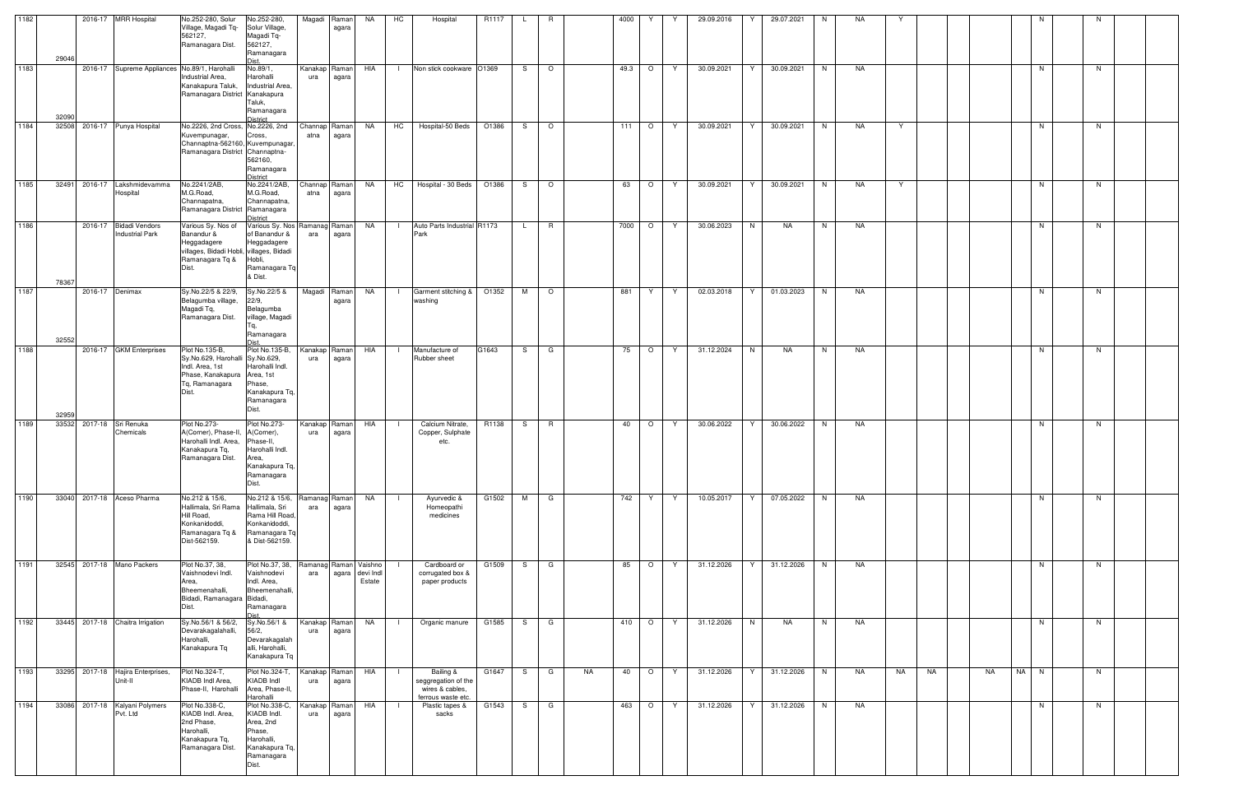| 1182 |       | 2016-17 MRR Hospital                             | No.252-280, Solur<br>Village, Magadi Tq-<br>562127,                                                                            | No.252-280,<br>Solur Village,<br>Magadi Tq-                                                                 |                       | Magadi Raman<br>agara  | NA                                                 | HC             | Hospital                                                                  | R1117 | L.  | R            |           | 4000    | Y       |     | 29.09.2016 |    | 29.07.2021 | N  | NA. |    |    |           |      |    |  |
|------|-------|--------------------------------------------------|--------------------------------------------------------------------------------------------------------------------------------|-------------------------------------------------------------------------------------------------------------|-----------------------|------------------------|----------------------------------------------------|----------------|---------------------------------------------------------------------------|-------|-----|--------------|-----------|---------|---------|-----|------------|----|------------|----|-----|----|----|-----------|------|----|--|
|      | 29046 |                                                  | Ramanagara Dist.                                                                                                               | 562127,<br>Ramanagara                                                                                       |                       |                        |                                                    |                |                                                                           |       |     |              |           |         |         |     |            |    |            |    |     |    |    |           |      |    |  |
| 1183 | 32090 |                                                  | 2016-17 Supreme Appliances No.89/1, Harohalli<br>Industrial Area,<br>Kanakapura Taluk,<br>Ramanagara District Kanakapura       | No.89/1,<br>Harohalli<br>Industrial Area,<br>Taluk,<br>Ramanagara<br><b>District</b>                        | ura                   | Kanakap Raman<br>agara | HIA                                                | $\Box$         | Non stick cookware O1369                                                  |       | S.  | $\circ$      |           | 49.3    | $\circ$ | Y   | 30.09.2021 | Y  | 30.09.2021 | N  | NA  |    |    |           | N    | N. |  |
| 1184 | 32508 | 2016-17 Punya Hospital                           | No.2226, 2nd Cross, No.2226, 2nd<br>Kuvempunagar,<br>Channaptna-562160, Kuvempunagar<br>Ramanagara District Channaptna-        | Cross,<br>562160,<br>Ramanagara<br>District                                                                 | Channap Raman<br>atna | agara                  | <b>NA</b>                                          | HC             | Hospital-50 Beds                                                          | O1386 | S.  | $\circ$      |           | 111     | $\circ$ | Y   | 30.09.2021 | Y  | 30.09.2021 | N  | NA  | Y  |    |           | N    | N  |  |
| 1185 | 32491 | 2016-17 Lakshmidevamma<br>Hospital               | No.2241/2AB,<br>M.G.Road,<br>Channapatna,<br>Ramanagara District Ramanagara                                                    | No.2241/2AB,<br>M.G.Road,<br>Channapatna,<br><b>District</b>                                                | Channap Raman<br>atna | agara                  | <b>NA</b>                                          | <b>HC</b>      | Hospital - 30 Beds                                                        | O1386 | S.  | $\circ$      |           | 63      | $\circ$ | Y   | 30.09.2021 | Y  | 30.09.2021 | N  | NA  | Y  |    |           | N    | N. |  |
| 1186 | 78367 | 2016-17 Bidadi Vendors<br><b>Industrial Park</b> | Various Sy. Nos of<br>Banandur &<br>Heggadagere<br>villages, Bidadi Hobli, villages, Bidadi<br>Ramanagara Tq &<br>Dist.        | Various Sy. Nos Ramanag Raman<br>of Banandur &<br>Heggadagere<br>Hobli,<br>Ramanagara Tq<br>& Dist.         | ara                   | agara                  | NA                                                 | $\perp$        | Auto Parts Industrial R1173<br>Park                                       |       | L.  | R            |           | 7000    | $\circ$ | - Y | 30.06.2023 | N  | NA.        | N. | NA  |    |    |           | N    | N. |  |
| 1187 | 32552 | 2016-17 Denimax                                  | Sy.No.22/5 & 22/9,<br>Belagumba village,<br>Magadi Tq,<br>Ramanagara Dist.                                                     | Sy.No.22/5 &<br>22/9,<br>Belagumba<br>village, Magadi<br>Tq,<br>Ramanagara                                  |                       | Magadi Raman<br>agara  | NA                                                 | $\Box$         | Garment stitching &<br>washing                                            | O1352 | M   | $\circ$      |           | 881     | Y       | Y   | 02.03.2018 |    | 01.03.2023 | N  | NA  |    |    |           | N    | N. |  |
| 1188 | 32959 | 2016-17 GKM Enterprises                          | Plot No.135-B,<br>Sy.No.629, Harohalli Sy.No.629,<br>Indl. Area, 1st<br>Phase, Kanakapura Area, 1st<br>Tq, Ramanagara<br>Dist. | Plot No.135-B,<br>Harohalli Indl.<br>Phase,<br>Kanakapura Tq,<br>Ramanagara<br>Dist.                        | ura                   | Kanakap Raman<br>agara | HIA                                                | $\Box$         | Manufacture of<br>Rubber sheet                                            | G1643 | S.  | G            |           | 75      | $\circ$ | Y   | 31.12.2024 | N  | NA.        | N. | NA  |    |    |           | N.   | N. |  |
| 1189 | 33532 | 2017-18 Sri Renuka<br>Chemicals                  | Plot No.273-<br>A(Corner), Phase-II, A(Corner),<br>Harohalli Indl. Area,<br>Kanakapura Tq,<br>Ramanagara Dist.                 | Plot No.273-<br>Phase-II,<br>Harohalli Indl.<br>Area,<br>Kanakapura Tq,<br>Ramanagara<br>Dist.              | Kanakap<br>ura        | Ramanl<br>agara        | HIA                                                | $\blacksquare$ | Calcium Nitrate,<br>Copper, Sulphate<br>etc.                              | R1138 | S.  | <b>R</b>     |           | 40      | $\circ$ | Y   | 30.06.2022 | Y  | 30.06.2022 | N. | NA  |    |    |           | N    | N. |  |
| 1190 | 33040 | 2017-18 Aceso Pharma                             | No.212 & 15/6,<br>Hallimala, Sri Rama<br>Hill Road,<br>Konkanidoddi,<br>Ramanagara Tq &<br>Dist-562159.                        | No.212 & 15/6,<br>Hallimala, Sri<br>Rama Hill Road,<br>Konkanidoddi,<br>Ramanagara Tq<br>& Dist-562159.     | Ramanag Raman<br>ara  | agara                  | <b>NA</b>                                          | $\mathbf{L}$   | Ayurvedic &<br>Homeopathi<br>medicines                                    | G1502 |     | M G          |           | 742 Y   |         | Y   | 10.05.2017 | Y. | 07.05.2022 | N  | NA  |    |    |           | N    | N  |  |
| 1191 | 32545 | 2017-18 Mano Packers                             | Plot No.37, 38,<br>Vaishnodevi Indl.<br>Area,<br>Bheemenahalli,<br>Bidadi, Ramanagara Bidadi,<br>Dist.                         | Plot No.37, 38,<br>Vaishnodevi<br>Indl. Area,<br>Bheemenahalli,<br>Ramanagara                               | ara                   |                        | Ramanag Raman Vaishno<br>agara devi Indl<br>Estate |                | Cardboard or<br>corrugated box &<br>paper products                        | G1509 | S.  | $\mathbf{G}$ |           | 85      | $\circ$ | Y   | 31.12.2026 | Y  | 31.12.2026 | N  | NA  |    |    |           | N    | N  |  |
| 1192 |       | 33445 2017-18 Chaitra Irrigation                 | Sy.No.56/1 & 56/2,<br>Devarakagalahalli,<br>Harohalli,<br>Kanakapura Tq                                                        | Sy.No.56/1 &<br>56/2,<br>Devarakagalah<br>alli, Harohalli,<br>Kanakapura Tq                                 | Kanakap Raman<br>ura  | agara                  | NA                                                 | $\Box$         | Organic manure                                                            | G1585 | S.  | G            |           | 410   O |         | Y   | 31.12.2026 | N  | NA         | N  | NA  |    |    |           | N    | N  |  |
| 1193 | 33295 | 2017-18 Hajira Enterprises,<br>Unit-II           | Plot No.324-T,<br>KIADB Indl Area,<br>Phase-II, Harohalli                                                                      | Plot No.324-T.<br>KIADB Indl<br>Area, Phase-II,<br>Harohalli                                                | ura                   | Kanakap Raman<br>agara | HIA                                                | $\Box$         | Bailing &<br>seggregation of the<br>wires & cables,<br>ferrous waste etc. | G1647 | S.  | G            | <b>NA</b> | 40      | $\circ$ | Y.  | 31.12.2026 | Y  | 31.12.2026 | N  | NA  | NA | NA | <b>NA</b> | NA N | N. |  |
| 1194 | 33086 | 2017-18 Kalyani Polymers<br>Pvt. Ltd             | Plot No.338-C,<br>KIADB Indl. Area,<br>2nd Phase,<br>Harohalli,<br>Kanakapura Tq,<br>Ramanagara Dist.                          | Plot No.338-C,<br>KIADB Indl.<br>Area, 2nd<br>Phase,<br>Harohalli,<br>Kanakapura Tq,<br>Ramanagara<br>Dist. | Kanakap<br>ura        | Raman<br>agara         | HIA                                                | $\Box$         | Plastic tapes &<br>sacks                                                  | G1543 | S — | $\mathbf{G}$ |           | 463     | $\circ$ | Y   | 31.12.2026 | Y  | 31.12.2026 | N  | NA  |    |    |           | N    | N. |  |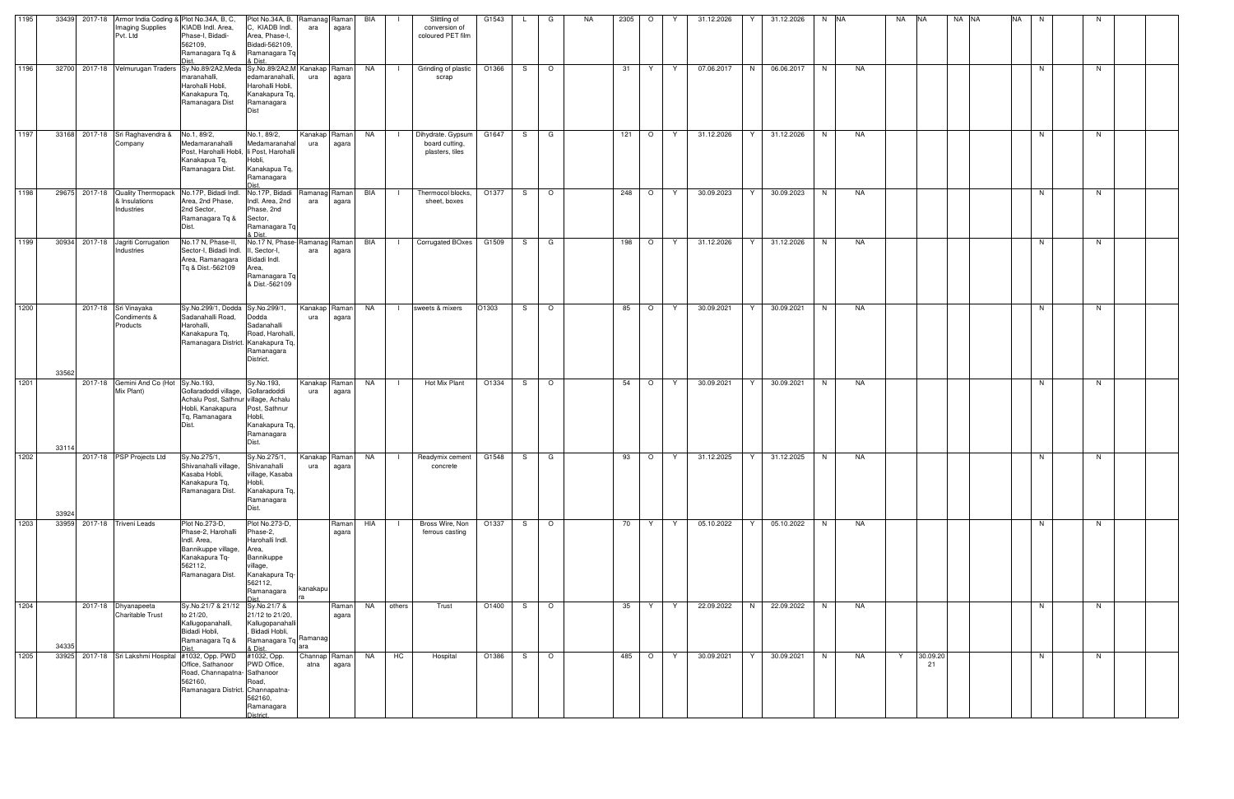| 1195 |                                   | 33439 2017-18 Armor India Coding & Plot No.34A, B, C,<br>Imaging Supplies<br>Pvt. Ltd               | KIADB Indl. Area,<br>Phase-I, Bidadi-<br>562109,<br>Ramanagara Tq &                                                         | Plot No.34A, B,<br>C, KIADB Indl.<br>Area, Phase-I,<br>Bidadi-562109,<br>Ramanagara Tq<br>& Dist.                           | Ramanag<br>ara        | Raman<br>agara | BIA       |              | Slittling of<br>conversion of<br>coloured PET film     | G1543 | $\mathsf{L}$ | G       | NA | 2305<br>$\circ$ | Y            | 31.12.2026 | Y  | 31.12.2026 | N NA |           | NA | <b>NA</b>      | NA NA | <b>NA</b> | N  | N. |  |
|------|-----------------------------------|-----------------------------------------------------------------------------------------------------|-----------------------------------------------------------------------------------------------------------------------------|-----------------------------------------------------------------------------------------------------------------------------|-----------------------|----------------|-----------|--------------|--------------------------------------------------------|-------|--------------|---------|----|-----------------|--------------|------------|----|------------|------|-----------|----|----------------|-------|-----------|----|----|--|
| 1196 |                                   | 32700 2017-18 Velmurugan Traders Sy.No.89/2A2,Meda Sy.No.89/2A2,M Kanakap Raman                     | maranahalli,<br>Harohalli Hobli,<br>Kanakapura Tq,<br>Ramanagara Dist                                                       | edamaranahalli,<br>Harohalli Hobli,<br>Kanakapura Tq,<br>Ramanagara<br><b>Dist</b>                                          | ura                   | agara          | <b>NA</b> | - 12         | Grinding of plastic<br>scrap                           | O1366 |              | $S$   O |    | 31              | Y Y          | 07.06.2017 | N  | 06.06.2017 | N    | NA        |    |                |       |           | N  | N  |  |
| 1197 |                                   | 33168 2017-18 Sri Raghavendra &<br>Company                                                          | No.1, 89/2,<br>Medamaranahalli<br>Post, Harohalli Hobli, li Post, Harohalli<br>Kanakapua Tq,<br>Ramanagara Dist.            | No.1, 89/2,<br>Medamaranahal<br>Hobli,<br>Kanakapua Tq,<br>Ramanagara                                                       | Kanakap<br>ura        | Raman<br>agara | NA        | $\mathbf{1}$ | Dihydrate. Gypsum<br>board cutting,<br>plasters, tiles | G1647 | S —          | G       |    | 121             | $\circ$<br>Y | 31.12.2026 | Y. | 31.12.2026 | N    | NA        |    |                |       |           | N. | N. |  |
| 1198 |                                   | 29675 2017-18 Quality Thermopack No.17P, Bidadi Indl. No.17P, Bidadi<br>& Insulations<br>Industries | Area, 2nd Phase,<br>2nd Sector,<br>Ramanagara Tq &<br>Dist.                                                                 | Indl. Area, 2nd<br>Phase, 2nd<br>Sector,<br>Ramanagara Tq<br>& Dist.                                                        | Ramanag Raman<br>ara  | agara          | BIA       | $\mathbf{I}$ | Thermocol blocks,<br>sheet, boxes                      | O1377 | S I          | $\circ$ |    | 248   O   Y     |              | 30.09.2023 | Y  | 30.09.2023 | N    | NA        |    |                |       |           | N  | N  |  |
| 1199 | 30934 2017-18 Jagriti Corrugation | Industries                                                                                          | No.17 N, Phase-II,<br>Sector-I, Bidadi Indl.<br>Area, Ramanagara<br>Tq & Dist.-562109                                       | No.17 N, Phase-Ramanag Raman<br>II, Sector-I,<br>Bidadi Indl.<br>Area,<br>Ramanagara Tq<br>& Dist.-562109                   | ara                   | agara          | BIA       |              | I Corrugated BOxes G1509                               |       | $S \cup$     | G       |    | 198   O   Y     |              | 31.12.2026 | Y  | 31.12.2026 | N    | NA        |    |                |       |           | N. | N. |  |
| 1200 | 33562                             | 2017-18 Sri Vinayaka<br>Condiments &<br>Products                                                    | Sy.No.299/1, Dodda Sy.No.299/1,<br>Sadanahalli Road,<br>Harohalli,<br>Kanakapura Tq,<br>Ramanagara District. Kanakapura Tq, | Dodda<br>Sadanahalli<br>Road, Harohalli,<br>Ramanagara<br>District.                                                         | Kanakap<br>ura        | Raman<br>agara | NA        | $\mathbf{I}$ | sweets & mixers                                        | O1303 | S —          | $\circ$ |    | 85              | $O$   Y      | 30.09.2021 | Y. | 30.09.2021 | N    | NA        |    |                |       |           | N  | N. |  |
| 1201 | 33114                             | 2017-18 Gemini And Co (Hot Sy.No.193,<br>Mix Plant)                                                 | Gollaradoddi village, Gollaradoddi<br>Achalu Post, Sathnur village, Achalu<br>Hobli, Kanakapura<br>Tq, Ramanagara           | Sy.No.193,<br>Post, Sathnur<br>Hobli,<br>Kanakapura Tq,<br>Ramanagara<br>Dist.                                              | Kanakap<br>ura        | Raman<br>agara | NA        | $\perp$      | Hot Mix Plant                                          | O1334 | S —          | $\circ$ |    | 54              | $O$   Y      | 30.09.2021 | Y. | 30.09.2021 | N    | <b>NA</b> |    |                |       |           | N. | N  |  |
| 1202 | 33924                             | 2017-18 PSP Projects Ltd                                                                            | Sy.No.275/1,<br>Shivanahalli village, Shivanahalli<br>Kasaba Hobli,<br>Kanakapura Tq,<br>Ramanagara Dist.                   | Sy.No.275/1,<br>village, Kasaba<br>Hobli,<br>Kanakapura Tq,<br>Ramanagara<br>Dist.                                          | Kanakap Raman<br>ura  | agara          | <b>NA</b> | - 12         | Readymix cement G1548<br>concrete                      |       | S —          | G       |    | 93              | $O$   Y      | 31.12.2025 | Y  | 31.12.2025 | N    | NA        |    |                |       |           | N  | N. |  |
| 1203 | 33959 2017-18 Triveni Leads       |                                                                                                     | Plot No.273-D,<br>Phase-2. Harohalli<br>Indl. Area,<br>Bannikuppe village,<br>Kanakapura Tq-<br>562112,<br>Ramanagara Dist. | Plot No.273-D,<br>Phase-2,<br>Harohalli Indl.<br>Area,<br>Bannikuppe<br>village,<br>Kanakapura Tq-<br>562112,<br>Ramanagara | kanakapu              | Raman<br>agara | HIA       |              | Bross Wire, Non<br>ferrous casting                     | O1337 | S —          | $\circ$ |    | 70              | Y Y          | 05.10.2022 | Y  | 05.10.2022 | N    | NA        |    |                |       |           | N  | N. |  |
| 1204 | 34335                             | 2017-18 Dhyanapeeta<br><b>Charitable Trust</b>                                                      | Sy.No.21/7 & 21/12 Sy.No.21/7 &<br>to 21/20,<br>Kallugopanahalli,<br>Bidadi Hobli,<br>Ramanagara Tq &                       | 21/12 to 21/20,<br>Kallugopanahalli<br>Bidadi Hobli,<br>Ramanagara Tq Ramanag<br>& Dist.                                    | ara                   | Raman<br>agara | NA        | others       | Trust                                                  | O1400 | S —          | $\circ$ |    | 35<br>Y         | Y            | 22.09.2022 | N  | 22.09.2022 | N    | NA        |    |                |       |           | N  | N  |  |
| 1205 |                                   | 33925 2017-18 Sri Lakshmi Hospital #1032, Opp. PWD                                                  | Office, Sathanoor<br>Road, Channapatna-Sathanoor<br>562160,<br>Ramanagara District. Channapatna-                            | #1032, Opp.<br>PWD Office,<br>Road,<br>562160,<br>Ramanagara<br>District                                                    | Channap Raman<br>atna | agara          | NA        | HC           | Hospital                                               | O1386 | S —          | $\circ$ |    | 485 O Y         |              | 30.09.2021 | Y  | 30.09.2021 | N    | NA        | Y  | 30.09.20<br>21 |       |           | N  | N  |  |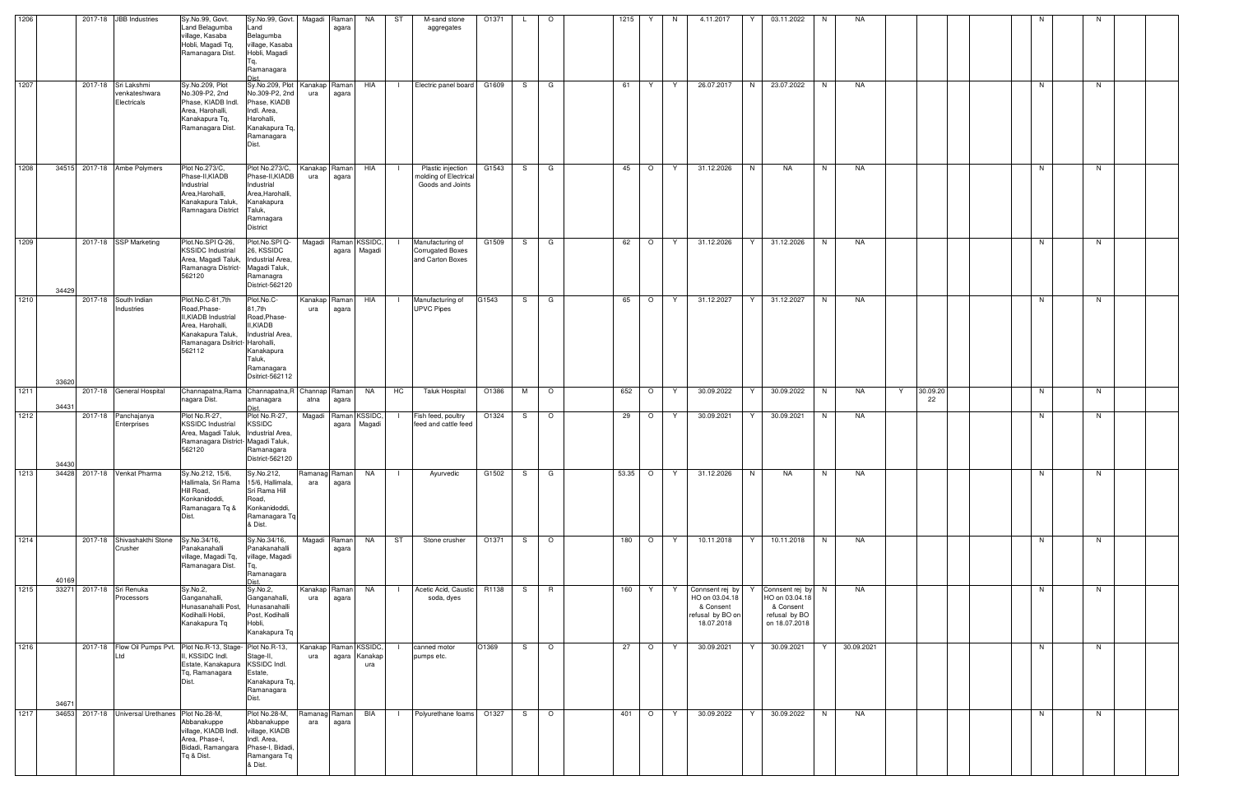| 1206 |       |         | 2017-18 JBB Industries                              | Sy.No.99, Govt.<br>Land Belagumba<br>village, Kasaba<br>Hobli, Magadi Tq,<br>Ramanagara Dist.                                                  | Sy.No.99, Govt.<br>Land<br>Belagumba<br>village, Kasaba<br>Hobli, Magadi<br>Ramanagara                                        | Magadi                       | Raman<br>agara | NA                                   | ST             | M-sand stone<br>aggregates                                      | O1371 |    | $\circ$ | 1215  | Y<br>-N       | 4.11.2017                                                                        |    | 03.11.2022                                                                         | N. | <b>NA</b>  |                |  |    |    |  |
|------|-------|---------|-----------------------------------------------------|------------------------------------------------------------------------------------------------------------------------------------------------|-------------------------------------------------------------------------------------------------------------------------------|------------------------------|----------------|--------------------------------------|----------------|-----------------------------------------------------------------|-------|----|---------|-------|---------------|----------------------------------------------------------------------------------|----|------------------------------------------------------------------------------------|----|------------|----------------|--|----|----|--|
| 1207 |       |         | 2017-18 Sri Lakshmi<br>venkateshwara<br>Electricals | Sy.No.209, Plot<br>No.309-P2, 2nd<br>Phase, KIADB Indl.<br>Area, Harohalli,<br>Kanakapura Tq,<br>Ramanagara Dist.                              | Sy.No.209, Plot<br>No.309-P2, 2nd<br>Phase, KIADB<br>Indl. Area,<br>Harohalli,<br>Kanakapura Tq,<br>Ramanagara<br>Dist.       | Kanakap Raman<br>ura         | agara          | HIA                                  | $\blacksquare$ | Electric panel board                                            | G1609 | S. | G       | 61    | Y<br>Y        | 26.07.2017                                                                       | N  | 23.07.2022                                                                         | N. | NA         |                |  | N  | N. |  |
| 1208 |       |         | 34515 2017-18 Ambe Polymers                         | Plot No.273/C,<br>Phase-II, KIADB<br>Industrial<br>Area, Harohalli,<br>Kanakapura Taluk,<br>Ramnagara District                                 | Plot No.273/C,<br>Phase-II, KIADB<br>Industrial<br>Area, Harohalli,<br>Kanakapura<br>Taluk,<br>Ramnagara<br>District          | Kanakap Raman<br>ura         | agara          | HIA                                  |                | Plastic injection<br>molding of Electrical<br>Goods and Joints  | G1543 | S. | G       | 45    | $\circ$<br>Y  | 31.12.2026                                                                       | N  | NA                                                                                 | N  | NA         |                |  | N  | N. |  |
| 1209 | 34429 |         | 2017-18 SSP Marketing                               | Plot.No.SPI Q-26,<br><b>KSSIDC</b> Industrial<br>Area, Magadi Taluk,<br>Ramanagra District- Magadi Taluk,<br>562120                            | Plot.No.SPIQ-<br>26, KSSIDC<br>Industrial Area,<br>Ramanagra<br>District-562120                                               |                              |                | Magadi Raman KSSIDC,<br>agara Magadi |                | Manufacturing of<br><b>Corrugated Boxes</b><br>and Carton Boxes | G1509 | S. | G       | 62    | $\circ$<br>Y  | 31.12.2026                                                                       | Y  | 31.12.2026                                                                         | N. | NA         |                |  | N. | N. |  |
| 1210 | 33620 |         | 2017-18 South Indian<br>Industries                  | Plot.No.C-81,7th<br>Road, Phase-<br>II, KIADB Industrial<br>Area, Harohalli,<br>Kanakapura Taluk,<br>Ramanagara Dsitrict- Harohalli,<br>562112 | Plot.No.C-<br>81,7th<br>Road, Phase-<br>II,KIADB<br>Industrial Area,<br>Kanakapura<br>Taluk,<br>Ramanagara<br>Dsitrict-562112 | Kanakap Raman<br>ura         | agara          | HIA                                  | $\blacksquare$ | Manufacturing of<br><b>UPVC Pipes</b>                           | G1543 | S. | G       | 65    | $\circ$<br>Y. | 31.12.2027                                                                       | Y. | 31.12.2027                                                                         | N  | NA         |                |  | N. | N. |  |
| 1211 | 34431 |         | 2017-18 General Hospital                            | Channapatna, Rama Channapatna, R Channap   Raman<br>nagara Dist.                                                                               | amanagara                                                                                                                     | atna                         | agara          | NA                                   | <b>HC</b>      | Taluk Hospital                                                  | O1386 | M  | $\circ$ | 652   | $\circ$<br>Y  | 30.09.2022                                                                       | Y  | 30.09.2022                                                                         | N  | NA         | 30.09.20<br>22 |  | N. | N. |  |
| 1212 | 34430 |         | 2017-18 Panchajanya<br>Enterprises                  | Plot No.R-27,<br><b>KSSIDC</b> Industrial<br>Area, Magadi Taluk,<br>Ramanagara District- Magadi Taluk,<br>562120                               | Plot No.R-27,<br><b>KSSIDC</b><br>Industrial Area,<br>Ramanagara<br>District-562120                                           |                              |                | Magadi Raman KSSIDC,<br>agara Magadi |                | Fish feed, poultry<br>feed and cattle feed                      | O1324 | S. | $\circ$ | 29    | $\circ$<br>Y  | 30.09.2021                                                                       | Y  | 30.09.2021                                                                         | N. | NA         |                |  | N  | N. |  |
| 1213 | 34428 |         | 2017-18 Venkat Pharma                               | Sy.No.212, 15/6,<br>Hallimala, Sri Rama 15/6, Hallimala,<br>Hill Road,<br>Konkanidoddi,<br>Ramanagara Tq &<br>Dist.                            | Sy.No.212,<br>Sri Rama Hill<br>Road,<br>Konkanidoddi,<br>Ramanagara Tq<br>& Dist.                                             | Ramanag Raman<br>ara         | agara          | NA                                   | - 1            | Ayurvedic                                                       | G1502 | S  | G       | 53.35 | $\circ$<br>Y  | 31.12.2026                                                                       | N  | NA                                                                                 | N. | NA         |                |  | N  | N  |  |
| 1214 | 40169 | 2017-18 | Shivashakthi Stone<br>Crusher                       | Sy.No.34/16,<br>Panakanahalli<br>village, Magadi Tq,<br>Ramanagara Dist.                                                                       | Sy.No.34/16,<br>Panakanahalli<br>village, Magadi<br>Ramanagara                                                                | Magadi                       | Raman<br>agara | <b>NA</b>                            | ST             | Stone crusher                                                   | O1371 | S  | $\circ$ | 180   | $\circ$<br>Y  | 10.11.2018                                                                       | Y  | 10.11.2018                                                                         | N  | NA         |                |  | N  | N  |  |
| 1215 | 3327  | 2017-18 | Sri Renuka<br>Processors                            | Sy.No.2,<br>Ganganahalli,<br>Hunasanahalli Post,<br>Kodihalli Hobli,<br>Kanakapura Tq                                                          | Sy.No.2,<br>Ganganahalli,<br>Hunasanahalli<br>Post, Kodihalli<br>Hobli,<br>Kanakapura Tq                                      | Kanakap<br>ura               | Raman<br>agara | NA                                   | $\Box$         | Acetic Acid, Caustic<br>soda, dyes                              | R1138 | S  | R       | 160   | Y<br>Y.       | Connsent rej by<br>HO on 03.04.18<br>& Consent<br>refusal by BO on<br>18.07.2018 |    | Connsent rej by N<br>HO on 03.04.18<br>& Consent<br>refusal by BO<br>on 18.07.2018 |    | NA         |                |  | N  | N. |  |
| 1216 | 3467  | 2017-18 | Flow Oil Pumps Pvt.<br>_td                          | Plot No.R-13, Stage-<br>II, KSSIDC Indl.<br>Estate, Kanakapura<br>Tq, Ramanagara<br>Dist.                                                      | Plot No.R-13,<br>Stage-II,<br>KSSIDC Indl.<br>Estate,<br>Kanakapura Tq,<br>Ramanagara<br>Dist.                                | Kanakap Raman KSSIDC,<br>ura |                | agara Kanakap<br>ura                 |                | canned motor<br>pumps etc.                                      | O1369 | S  | $\circ$ | 27    | $\circ$<br>Y  | 30.09.2021                                                                       | Y  | 30.09.2021                                                                         |    | 30.09.2021 |                |  | N  | N. |  |
| 1217 |       |         | 34653 2017-18 Universal Urethanes Plot No.28-M,     | Abbanakuppe<br>village, KIADB Indl.<br>Area, Phase-I,<br>Bidadi, Ramangara<br>Tq & Dist.                                                       | Plot No.28-M,<br>Abbanakuppe<br>village, KIADB<br>Indl. Area,<br>Phase-I, Bidadi,<br>Ramangara Tq<br>& Dist.                  | Ramanag Raman<br>ara         | agara          | BIA                                  | $\Box$         | Polyurethane foams                                              | O1327 | S. | $\circ$ | 401   | $\circ$<br>Y  | 30.09.2022                                                                       | Y  | 30.09.2022                                                                         | N  | NA         |                |  | N. | N. |  |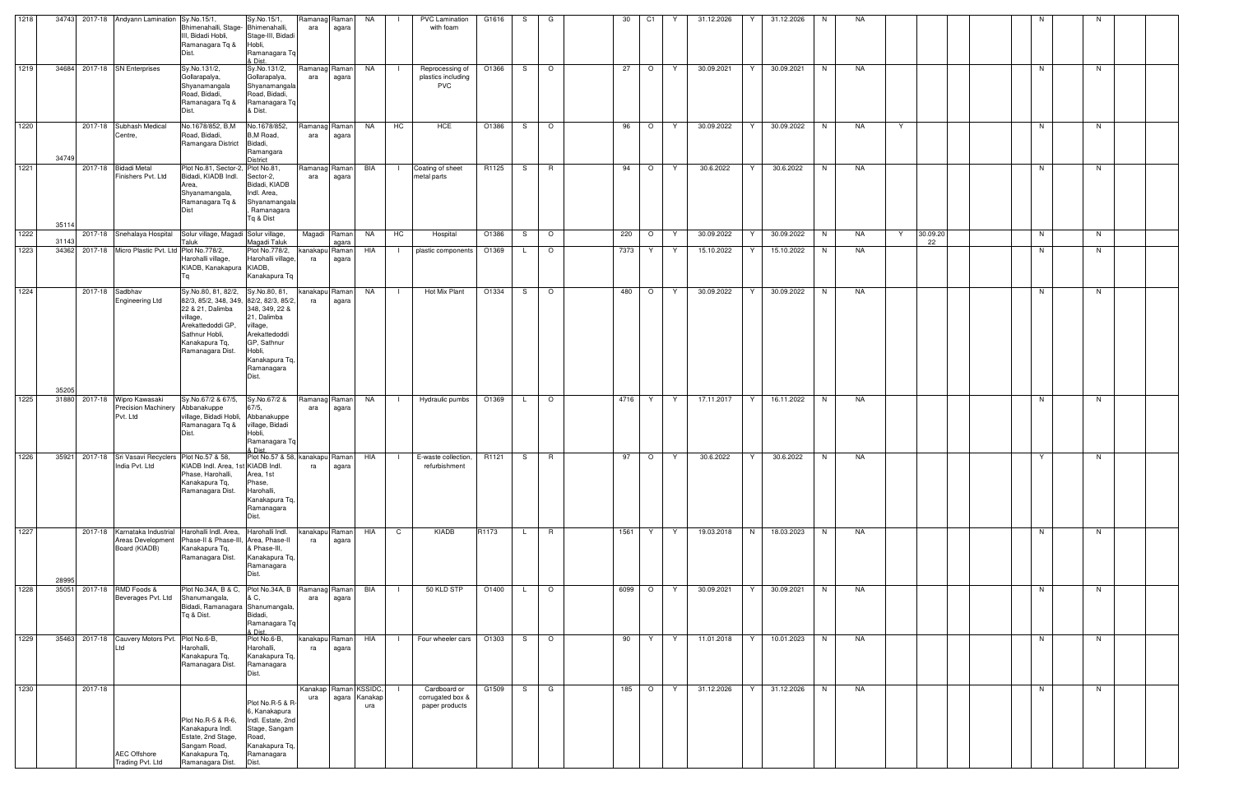| 1218 |                |                 | 34743 2017-18 Andyann Lamination Sy.No.15/1,                            |                                                                                      | Sy.No.15/1,                                  | Ramanag Raman         |               | NA  |             | PVC Lamination                        | G1616 | S.           | G       | 30   | C1      | Y   | 31.12.2026 | Y | 31.12.2026 | N. | NA        |   |          |  |    |    |  |
|------|----------------|-----------------|-------------------------------------------------------------------------|--------------------------------------------------------------------------------------|----------------------------------------------|-----------------------|---------------|-----|-------------|---------------------------------------|-------|--------------|---------|------|---------|-----|------------|---|------------|----|-----------|---|----------|--|----|----|--|
|      |                |                 |                                                                         | Bhimenahalli, Stage- Bhimenahalli,<br>III, Bidadi Hobli,<br>Ramanagara Tq &<br>Dist. | Stage-III, Bidadi<br>Hobli,<br>Ramanagara Tq | ara                   | agara         |     |             | with foam                             |       |              |         |      |         |     |            |   |            |    |           |   |          |  |    |    |  |
|      |                |                 |                                                                         |                                                                                      | & Dist.                                      |                       |               |     |             |                                       |       |              |         |      |         |     |            |   |            |    |           |   |          |  |    |    |  |
| 1219 |                |                 | 34684 2017-18 SN Enterprises                                            | Sy.No.131/2,<br>Gollarapalya,                                                        | Sy.No.131/2,<br>Gollarapalya,                | Ramanag Raman<br>ara  | agara         | NA  |             | Reprocessing of<br>plastics including | O1366 | S —          | $\circ$ | 27   | $\circ$ | Y   | 30.09.2021 | Y | 30.09.2021 | N. | NA        |   |          |  | N  | N  |  |
|      |                |                 |                                                                         | Shyanamangala<br>Road, Bidadi,                                                       | Shyanamangala<br>Road, Bidadi,               |                       |               |     |             | <b>PVC</b>                            |       |              |         |      |         |     |            |   |            |    |           |   |          |  |    |    |  |
|      |                |                 |                                                                         | Ramanagara Tq &<br>Dist.                                                             | Ramanagara Tq<br>& Dist.                     |                       |               |     |             |                                       |       |              |         |      |         |     |            |   |            |    |           |   |          |  |    |    |  |
| 1220 |                |                 | 2017-18 Subhash Medical                                                 | No.1678/852, B,M                                                                     | No.1678/852,                                 | Ramanag Raman         |               | NA  | <b>HC</b>   | HCE                                   | O1386 | S —          | $\circ$ | 96   | $\circ$ | Y   | 30.09.2022 | Y | 30.09.2022 | N  | NA        | Y |          |  | N  | N  |  |
|      |                |                 | Centre,                                                                 | Road, Bidadi,                                                                        | B,M Road,                                    | ara                   | agara         |     |             |                                       |       |              |         |      |         |     |            |   |            |    |           |   |          |  |    |    |  |
|      |                |                 |                                                                         | Ramangara District                                                                   | Bidadi,<br>Ramangara                         |                       |               |     |             |                                       |       |              |         |      |         |     |            |   |            |    |           |   |          |  |    |    |  |
| 1221 | 34749          | 2017-18         | <b>Bidadi Metal</b>                                                     | Plot No.81, Sector-2, Plot No.81,                                                    | District                                     | Ramanag Raman         |               | BIA |             | Coating of sheet                      | R1125 | S.           | R       | 94   | $\circ$ | Y   | 30.6.2022  | Y | 30.6.2022  | N  | NA        |   |          |  | N  | N  |  |
|      |                |                 | Finishers Pvt. Ltd                                                      | Bidadi, KIADB Indl.                                                                  | Sector-2,                                    | ara                   | agara         |     |             | metal parts                           |       |              |         |      |         |     |            |   |            |    |           |   |          |  |    |    |  |
|      |                |                 |                                                                         | Area,<br>Shyanamangala,                                                              | Bidadi, KIADB<br>Indl. Area,                 |                       |               |     |             |                                       |       |              |         |      |         |     |            |   |            |    |           |   |          |  |    |    |  |
|      |                |                 |                                                                         | Ramanagara Tq &<br>Dist                                                              | Shyanamangala<br>Ramanagara                  |                       |               |     |             |                                       |       |              |         |      |         |     |            |   |            |    |           |   |          |  |    |    |  |
|      | 35114          |                 |                                                                         |                                                                                      | Tq & Dist                                    |                       |               |     |             |                                       |       |              |         |      |         |     |            |   |            |    |           |   |          |  |    |    |  |
| 1222 |                |                 | 2017-18 Snehalaya Hospital                                              | Solur village, Magadi Solur village,                                                 |                                              | Magadi Raman          |               | NA  | HC          | Hospital                              | O1386 | S.           | $\circ$ | 220  | $\circ$ | Y   | 30.09.2022 | Y | 30.09.2022 | N  | NA        | Y | 30.09.20 |  | N  | N  |  |
| 1223 | 31143<br>34362 |                 | 2017-18 Micro Plastic Pvt. Ltd Plot No.778/2,                           | Taluk                                                                                | Magadi Taluk<br>Plot No.778/2,               | kanakapu Raman        | agara         | HIA | $\Box$      | plastic components                    | O1369 | L.           | $\circ$ | 7373 | Y.      | Y   | 15.10.2022 | Y | 15.10.2022 | N  | NA        |   | 22       |  | N  | N  |  |
|      |                |                 |                                                                         | Harohalli village,<br>KIADB, Kanakapura KIADB,                                       | Harohalli village,                           | ra                    | agara         |     |             |                                       |       |              |         |      |         |     |            |   |            |    |           |   |          |  |    |    |  |
|      |                |                 |                                                                         |                                                                                      | Kanakapura Tq                                |                       |               |     |             |                                       |       |              |         |      |         |     |            |   |            |    |           |   |          |  |    |    |  |
| 1224 |                | 2017-18 Sadbhav |                                                                         | Sy.No.80, 81, 82/2,                                                                  | Sy.No.80, 81,                                | kanakapu Raman        |               | NA  |             | Hot Mix Plant                         | O1334 | S.           | $\circ$ | 480  | $\circ$ | - Y | 30.09.2022 | Y | 30.09.2022 | N  | NA        |   |          |  | N  | N  |  |
|      |                |                 | Engineering Ltd                                                         | 82/3, 85/2, 348, 349, 82/2, 82/3, 85/2,<br>22 & 21, Dalimba                          | 348, 349, 22 &                               | ra                    | agara         |     |             |                                       |       |              |         |      |         |     |            |   |            |    |           |   |          |  |    |    |  |
|      |                |                 |                                                                         | village,<br>Arekattedoddi GP,                                                        | 21, Dalimba<br>village,                      |                       |               |     |             |                                       |       |              |         |      |         |     |            |   |            |    |           |   |          |  |    |    |  |
|      |                |                 |                                                                         | Sathnur Hobli.                                                                       | Arekattedoddi                                |                       |               |     |             |                                       |       |              |         |      |         |     |            |   |            |    |           |   |          |  |    |    |  |
|      |                |                 |                                                                         | Kanakapura Tq,<br>Ramanagara Dist.                                                   | GP, Sathnur<br>Hobli,                        |                       |               |     |             |                                       |       |              |         |      |         |     |            |   |            |    |           |   |          |  |    |    |  |
|      |                |                 |                                                                         |                                                                                      | Kanakapura Tq,<br>Ramanagara                 |                       |               |     |             |                                       |       |              |         |      |         |     |            |   |            |    |           |   |          |  |    |    |  |
|      |                |                 |                                                                         |                                                                                      | Dist.                                        |                       |               |     |             |                                       |       |              |         |      |         |     |            |   |            |    |           |   |          |  |    |    |  |
| 1225 | 35205          |                 | 31880 2017-18 Wipro Kawasaki                                            | Sy.No.67/2 & 67/5,                                                                   | Sy.No.67/2 &                                 | Ramanag Raman         |               | NA  |             | Hydraulic pumbs                       | O1369 | L.           | $\circ$ | 4716 | Y       | Y   | 17.11.2017 | Y | 16.11.2022 | N  | NA        |   |          |  | N. | N  |  |
|      |                |                 | <b>Precision Machinery</b>                                              | Abbanakuppe                                                                          | 67/5,                                        | ara                   | agara         |     |             |                                       |       |              |         |      |         |     |            |   |            |    |           |   |          |  |    |    |  |
|      |                |                 | Pvt. Ltd                                                                | village, Bidadi Hobli, Abbanakuppe<br>Ramanagara Tq &                                | village, Bidadi                              |                       |               |     |             |                                       |       |              |         |      |         |     |            |   |            |    |           |   |          |  |    |    |  |
|      |                |                 |                                                                         | Dist.                                                                                | Hobli,<br>Ramanagara Tq                      |                       |               |     |             |                                       |       |              |         |      |         |     |            |   |            |    |           |   |          |  |    |    |  |
| 1226 |                |                 | 35921 2017-18 Sri Vasavi Recyclers Plot No.57 & 58,                     |                                                                                      | & Dist.<br>Plot No.57 & 58, kanakapu Raman   |                       |               | HIA | $\Box$      | E-waste collection,                   | R1121 | S —          | R       | 97   | $\circ$ | Y   | 30.6.2022  | Y | 30.6.2022  | N. | NA        |   |          |  | Y  | N. |  |
|      |                |                 | ndia Pvt. Ltd                                                           | KIADB Indl. Area, 1st KIADB Indl.                                                    |                                              | ra                    | agara         |     |             | refurbishment                         |       |              |         |      |         |     |            |   |            |    |           |   |          |  |    |    |  |
|      |                |                 |                                                                         | Phase, Harohalli,<br>Kanakapura Tq,                                                  | Area, 1st<br>Phase,                          |                       |               |     |             |                                       |       |              |         |      |         |     |            |   |            |    |           |   |          |  |    |    |  |
|      |                |                 |                                                                         | Ramanagara Dist.                                                                     | Harohalli,<br>Kanakapura Tq,                 |                       |               |     |             |                                       |       |              |         |      |         |     |            |   |            |    |           |   |          |  |    |    |  |
|      |                |                 |                                                                         |                                                                                      | Ramanagara                                   |                       |               |     |             |                                       |       |              |         |      |         |     |            |   |            |    |           |   |          |  |    |    |  |
|      |                |                 |                                                                         |                                                                                      | Dist.                                        |                       |               |     |             |                                       |       |              |         |      |         |     |            |   |            |    |           |   |          |  |    |    |  |
| 1227 |                |                 | 2017-18 Karnataka Industrial Harohalli Indl. Area,<br>Areas Development | Phase-II & Phase-III, Area, Phase-II                                                 | Harohalli Indl.                              | kanakapu Raman<br>ra  | agara         | HIA | $\mathbf C$ | KIADB                                 | R1173 | $\mathsf{L}$ | R       | 1561 | Y Y     |     | 19.03.2018 | N | 18.03.2023 | N  | NA        |   |          |  | N  | N  |  |
|      |                |                 | Board (KIADB)                                                           | Kanakapura Tq,<br>Ramanagara Dist.                                                   | & Phase-III,<br>Kanakapura Tq,               |                       |               |     |             |                                       |       |              |         |      |         |     |            |   |            |    |           |   |          |  |    |    |  |
|      |                |                 |                                                                         |                                                                                      | Ramanagara<br>Dist.                          |                       |               |     |             |                                       |       |              |         |      |         |     |            |   |            |    |           |   |          |  |    |    |  |
| 1228 | 28995          |                 | 35051 2017-18 RMD Foods &                                               | Plot No.34A, B & C,                                                                  | Plot No.34A, B Ramanag Raman                 |                       |               | BIA |             | 50 KLD STP                            | O1400 | L.           | $\circ$ | 6099 | $\circ$ | Y   | 30.09.2021 | Y | 30.09.2021 | N  | <b>NA</b> |   |          |  | N  | N  |  |
|      |                |                 | Beverages Pvt. Ltd                                                      | Shanumangala,                                                                        | & C,                                         | ara                   | agara         |     |             |                                       |       |              |         |      |         |     |            |   |            |    |           |   |          |  |    |    |  |
|      |                |                 |                                                                         | Bidadi, Ramanagara Shanumangala,<br>Tq & Dist.                                       | Bidadi,                                      |                       |               |     |             |                                       |       |              |         |      |         |     |            |   |            |    |           |   |          |  |    |    |  |
|      |                |                 |                                                                         |                                                                                      | Ramanagara Tq<br>& Dist.                     |                       |               |     |             |                                       |       |              |         |      |         |     |            |   |            |    |           |   |          |  |    |    |  |
| 1229 |                |                 | 35463 2017-18 Cauvery Motors Pvt. Plot No.6-B,<br>Ltd                   | Harohalli,                                                                           | Plot No.6-B,<br>Harohalli,                   | kanakapu Raman<br>ra  | agara         | HIA | $\Box$      | Four wheeler cars                     | O1303 | $S \cup$     | $\circ$ | 90   | Y.      | Y   | 11.01.2018 | Y | 10.01.2023 | N  | NA        |   |          |  | N  | N  |  |
|      |                |                 |                                                                         | Kanakapura Tq,                                                                       | Kanakapura Tq,                               |                       |               |     |             |                                       |       |              |         |      |         |     |            |   |            |    |           |   |          |  |    |    |  |
|      |                |                 |                                                                         | Ramanagara Dist.                                                                     | Ramanagara<br>Dist.                          |                       |               |     |             |                                       |       |              |         |      |         |     |            |   |            |    |           |   |          |  |    |    |  |
| 1230 |                | 2017-18         |                                                                         |                                                                                      |                                              | Kanakap Raman KSSIDC, |               |     |             | Cardboard or                          | G1509 | S —          | G       | 185  | $\circ$ | Y   | 31.12.2026 | Y | 31.12.2026 | N  | <b>NA</b> |   |          |  | N  | N  |  |
|      |                |                 |                                                                         |                                                                                      | Plot No.R-5 & R                              | ura                   | agara Kanakap | ura |             | corrugated box &<br>paper products    |       |              |         |      |         |     |            |   |            |    |           |   |          |  |    |    |  |
|      |                |                 |                                                                         | Plot No.R-5 & R-6,                                                                   | 6, Kanakapura<br>Indl. Estate, 2nd           |                       |               |     |             |                                       |       |              |         |      |         |     |            |   |            |    |           |   |          |  |    |    |  |
|      |                |                 |                                                                         | Kanakapura Indl.<br>Estate, 2nd Stage,                                               | Stage, Sangam<br>Road,                       |                       |               |     |             |                                       |       |              |         |      |         |     |            |   |            |    |           |   |          |  |    |    |  |
|      |                |                 |                                                                         | Sangam Road,                                                                         | Kanakapura Tq,                               |                       |               |     |             |                                       |       |              |         |      |         |     |            |   |            |    |           |   |          |  |    |    |  |
|      |                |                 | <b>AEC Offshore</b><br>Trading Pvt. Ltd                                 | Kanakapura Tq,<br>Ramanagara Dist.                                                   | Ramanagara<br>Dist.                          |                       |               |     |             |                                       |       |              |         |      |         |     |            |   |            |    |           |   |          |  |    |    |  |
|      |                |                 |                                                                         |                                                                                      |                                              |                       |               |     |             |                                       |       |              |         |      |         |     |            |   |            |    |           |   |          |  |    |    |  |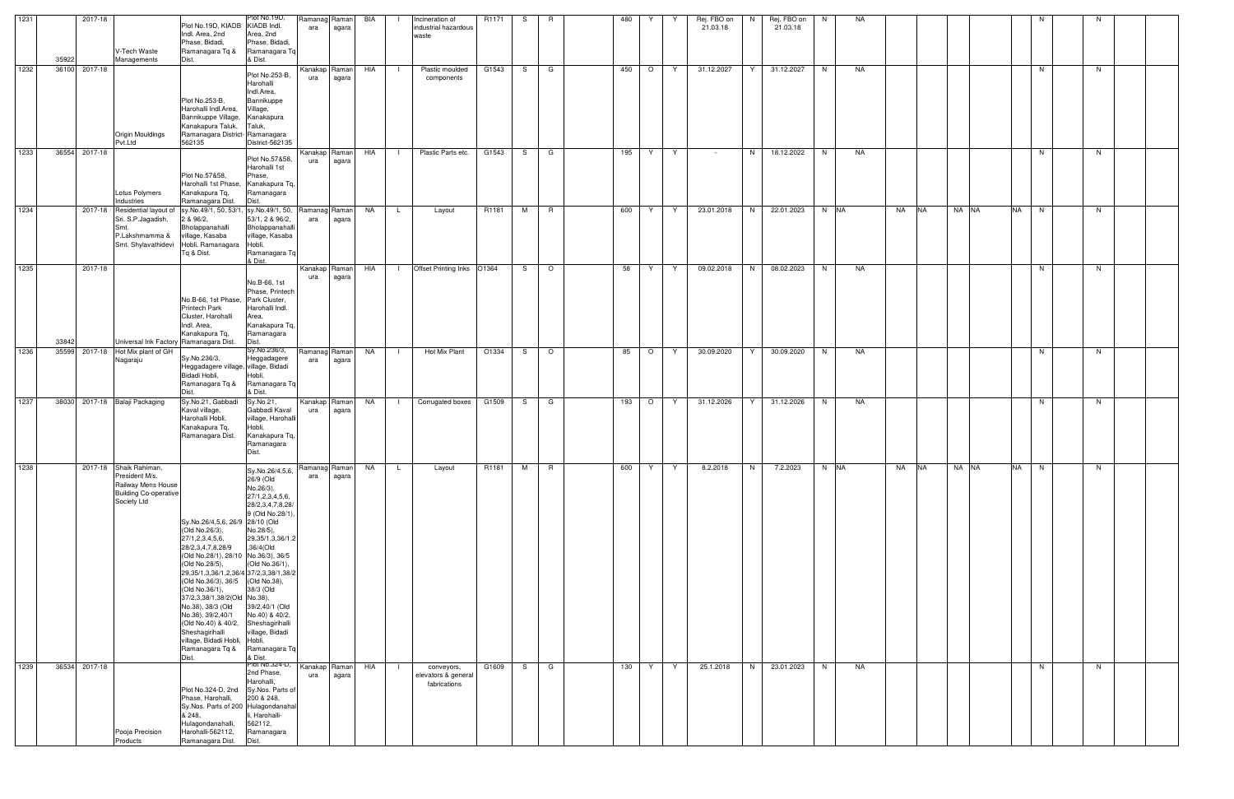| 1231 | 35922 | 2017-18       | V-Tech Waste<br>Managements                                                                                   | Plot No.19D, KIADB KIADB Indl.<br>Indl. Area, 2nd<br>Phase, Bidadi,<br>Ramanagara Tq &<br>Dist.                                                                                                                                                                                                                                                                                                                                             | Plot No.19D,<br>Area, 2nd<br>Phase, Bidadi,<br>Ramanagara Tq<br>& Dist.                                                                                                                                                                                                                                      | Ramanag Raman<br>ara | agara                  | BIA       | $\blacksquare$ | Incineration of<br>industrial hazardous<br>waste  | R1171         | S.  | R.             | 480 | Y<br>Y       | Rej. FBO on<br>21.03.18 | N. | Rej. FBO on<br>21.03.18 | N.   | NA |                 |         | N              |    |  |
|------|-------|---------------|---------------------------------------------------------------------------------------------------------------|---------------------------------------------------------------------------------------------------------------------------------------------------------------------------------------------------------------------------------------------------------------------------------------------------------------------------------------------------------------------------------------------------------------------------------------------|--------------------------------------------------------------------------------------------------------------------------------------------------------------------------------------------------------------------------------------------------------------------------------------------------------------|----------------------|------------------------|-----------|----------------|---------------------------------------------------|---------------|-----|----------------|-----|--------------|-------------------------|----|-------------------------|------|----|-----------------|---------|----------------|----|--|
| 1232 |       | 36100 2017-18 | <b>Origin Mouldings</b><br>Pvt.Ltd                                                                            | Plot No.253-B,<br>Harohalli Indl.Area,<br>Bannikuppe Village,<br>Kanakapura Taluk,<br>Ramanagara District-Ramanagara<br>562135                                                                                                                                                                                                                                                                                                              | Plot No.253-B,<br>Harohalli<br>Indl.Area,<br>Bannikuppe<br>Village,<br>Kanakapura<br>Taluk,<br>District-562135                                                                                                                                                                                               | ura                  | Kanakap Raman<br>agara | HIA       | - 1            | Plastic moulded<br>components                     | G1543         | S.  | G              | 450 | $\circ$<br>Y | 31.12.2027              | Y  | 31.12.2027              | N    | NA |                 |         | N              | N. |  |
| 1233 |       | 36554 2017-18 | Lotus Polymers<br>Industries                                                                                  | Plot No.57&58.<br>Harohalli 1st Phase,<br>Kanakapura Tq,<br>Ramanagara Dist.                                                                                                                                                                                                                                                                                                                                                                | Plot No.57&58,<br>Harohalli 1st<br>Phase,<br>Kanakapura Tq,<br>Ramanagara<br>Dist.                                                                                                                                                                                                                           | ura                  | Kanakap Raman<br>agara | HIA       | $\mathbf{1}$   | Plastic Parts etc.                                | G1543         |     | $S \mid G$     | 195 | Y<br>Y       | $\sim 10^{-11}$         | N  | 18.12.2022              | N.   | NA |                 |         | N              | N  |  |
| 1234 |       |               | 2017-18 Residential layout of<br>Sri. S.P.Jagadish,<br>Smt.<br>P.Lakshmamma &<br>Smt. Shylavathidevi          | sy.No.49/1, 50, 53/1<br>2 & 96/2,<br>Bholappanahalli<br>village, Kasaba<br>Hobli, Ramanagara Hobli,<br>Tq & Dist.                                                                                                                                                                                                                                                                                                                           | sy.No.49/1, 50, Ramanag Raman<br>53/1, 2 & 96/2,<br>Bholappanahalli<br>village, Kasaba<br>Ramanagara Tq<br>& Dist.                                                                                                                                                                                           | ara                  | agara                  | NA        | L.             | Layout                                            | R1181         | M   | R              | 600 | Y<br>Y       | 23.01.2018              | N  | 22.01.2023              | N NA |    | NA<br><b>NA</b> | NA NA   | <b>NA</b><br>N | N. |  |
| 1235 | 33842 | 2017-18       | Universal Ink Factory Ramanagara Dist.                                                                        | No.B-66, 1st Phase,<br>Printech Park<br>Cluster, Harohalli<br>Indl. Area,<br>Kanakapura Tq,                                                                                                                                                                                                                                                                                                                                                 | No.B-66, 1st<br>Phase, Printech<br>Park Cluster,<br>Harohalli Indl.<br>Area,<br>Kanakapura Tq,<br>Ramanagara<br>Dist.                                                                                                                                                                                        | Kanakap Raman<br>ura | agara                  | HIA       | $\Box$         | Offset Printing Inks O1364                        |               | S.  | $\circ$        | 58  | Y.<br>Y      | 09.02.2018              | N  | 08.02.2023              | N.   | NA |                 |         | N              | N. |  |
| 1236 | 35599 | 2017-18       | Hot Mix plant of GH<br>Nagaraju                                                                               | Sy.No.236/3,<br>Heggadagere village, village, Bidadi<br>Bidadi Hobli,<br>Ramanagara Tq &<br>Dist.                                                                                                                                                                                                                                                                                                                                           | Sy.No.236/3,<br>Heggadagere<br>Hobli,<br>Ramanagara Tq<br>& Dist.                                                                                                                                                                                                                                            | Ramanag Raman<br>ara | agara                  | NA        | - 1            | Hot Mix Plant                                     | O1334         | S — | $\overline{O}$ | 85  | $\circ$<br>Y | 30.09.2020              | Y  | 30.09.2020              | N.   | NA |                 |         | N              | N. |  |
| 1237 |       |               | 38030 2017-18 Balaji Packaging                                                                                | Sy.No.21, Gabbadi<br>Kaval village,<br>Harohalli Hobli,<br>Kanakapura Tq,<br>Ramanagara Dist.                                                                                                                                                                                                                                                                                                                                               | Sy.No.21,<br>Gabbadi Kaval<br>village, Harohalli<br>Hobli,<br>Kanakapura Tq,<br>Ramanagara<br>Dist.                                                                                                                                                                                                          | ura                  | Kanakap Raman<br>agara | <b>NA</b> | $\Box$         | Corrugated boxes                                  | G1509         | S.  | G              | 193 | $\circ$<br>Y | 31.12.2026              | Y  | 31.12.2026              | N.   | NA |                 |         | N.             | N. |  |
| 1238 |       |               | 2017-18 Shaik Rahiman,<br>President M/s.<br>Railway Mens House<br><b>Building Co-operative</b><br>Society Ltd | Sy.No.26/4,5,6, 26/9 28/10 (Old<br>(Old No.26/3),<br>27/1,2,3,4,5,6,<br>28/2,3,4,7,8,28/9<br>(Old No.28/1), 28/10 No.36/3), 36/5<br>(Old No.28/5),<br>29, 35/1, 3, 36/1, 2, 36/4 37/2, 3, 38/1, 38/2<br>(Old No.36/3), 36/5 (Old No.38),<br>(Old No.36/1),<br>37/2,3,38/1,38/2(Old No.38),<br>No.38), 38/3 (Old<br>No.38), 39/2,40/1<br>(Old No.40) & 40/2,<br>Sheshagirihalli<br>village, Bidadi Hobli, Hobli,<br>Ramanagara Tq &<br>Dist. | Sy.No.26/4,5,6, Ramanag Raman NA<br>26/9 (Old<br>No.26/3),<br>27/1,2,3,4,5,6,<br>28/2,3,4,7,8,28/<br>9 (Old No.28/1),<br>No.28/5),<br>29, 35/1, 3, 36/1, 2<br>,36/4(Old<br>(Old No.36/1),<br>38/3 (Old<br>39/2,40/1 (Old<br>No.40) & 40/2,<br>Sheshagirihalli<br>village, Bidadi<br>Ramanagara Tq<br>& Dist. | ara                  | agara                  |           | . L            | Layout                                            | R1181   M   R |     |                |     | 600   Y      | Y I<br>8.2.2018         |    | N   7.2.2023   N  NA    |      |    | NA INA          | INA INA | NA.<br>IN.     | N. |  |
| 1239 |       | 36534 2017-18 | Pooja Precision<br>Products                                                                                   | Plot No.324-D, 2nd Sy.Nos. Parts of<br>Phase, Harohalli,<br>Sy.Nos. Parts of 200 Hulagondanahal<br>& 248,<br>Hulagondanahalli,<br>Harohalli-562112,<br>Ramanagara Dist.                                                                                                                                                                                                                                                                     | Plot No.324-D, Kanakap Raman<br>2nd Phase,<br>Harohalli,<br>200 & 248,<br>li, Harohalli-<br>562112,<br>Ramanagara<br>Dist.                                                                                                                                                                                   | ura                  | agara                  | HIA       | $\Box$         | conveyors,<br>elevators & general<br>fabrications | G1609         | S — | <b>G</b>       | 130 | Y<br>Y       | 25.1.2018               | N  | 23.01.2023              | N    | NA |                 |         | N              | N  |  |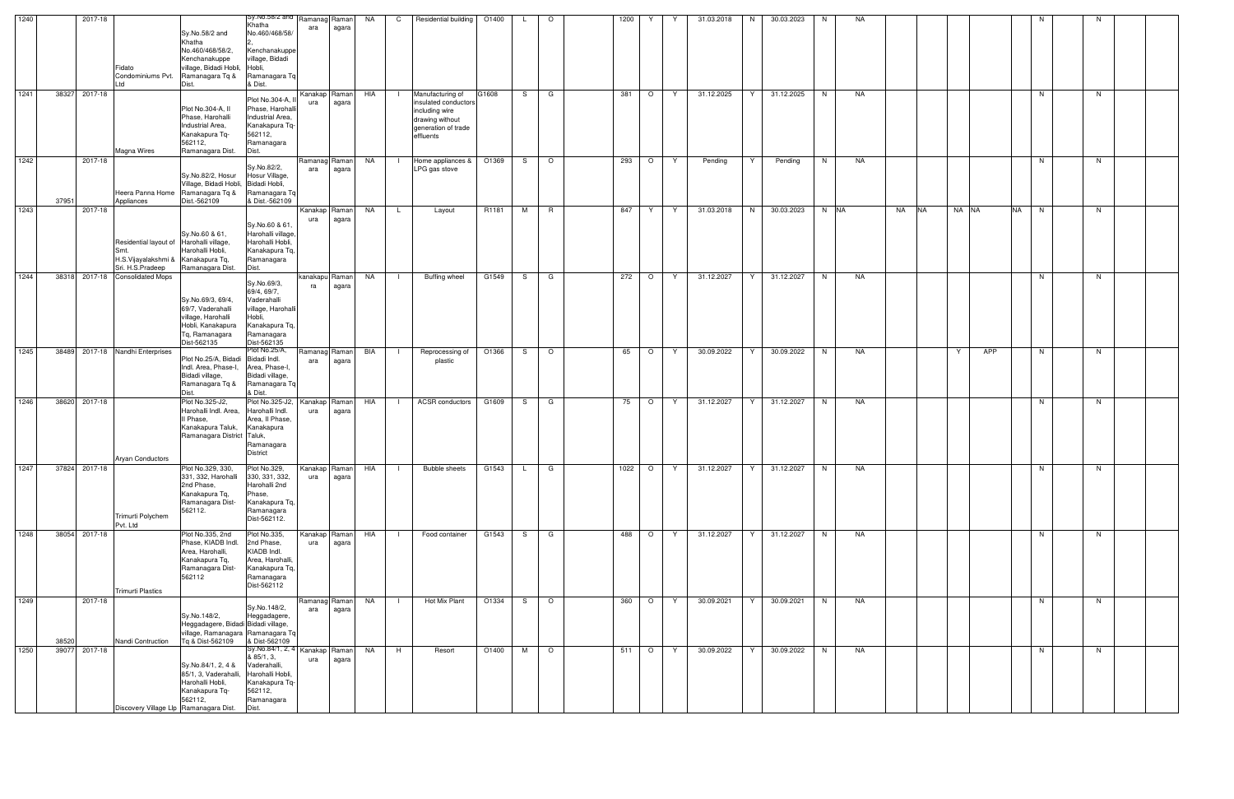| 1240 |       | 2017-18                                 |                                                 | Sy.No.58/2 and Ramanag Raman       |                      |       | NA        | $\mathsf{C}$ | Residential building          | O1400 | L.  | $\circ$ | 1200  | Y       | Y   | 31.03.2018                                     | N. | 30.03.2023   | N    | NA |    |           |          |           | N |    |  |
|------|-------|-----------------------------------------|-------------------------------------------------|------------------------------------|----------------------|-------|-----------|--------------|-------------------------------|-------|-----|---------|-------|---------|-----|------------------------------------------------|----|--------------|------|----|----|-----------|----------|-----------|---|----|--|
|      |       |                                         |                                                 | Khatha                             | ara                  | agara |           |              |                               |       |     |         |       |         |     |                                                |    |              |      |    |    |           |          |           |   |    |  |
|      |       |                                         | Sy.No.58/2 and<br>Khatha                        | No.460/468/58/                     |                      |       |           |              |                               |       |     |         |       |         |     |                                                |    |              |      |    |    |           |          |           |   |    |  |
|      |       |                                         | No.460/468/58/2,                                | Kenchanakuppe                      |                      |       |           |              |                               |       |     |         |       |         |     |                                                |    |              |      |    |    |           |          |           |   |    |  |
|      |       |                                         | Kenchanakuppe                                   | village, Bidadi                    |                      |       |           |              |                               |       |     |         |       |         |     |                                                |    |              |      |    |    |           |          |           |   |    |  |
|      |       | Fidato                                  | village, Bidadi Hobli, Hobli,                   |                                    |                      |       |           |              |                               |       |     |         |       |         |     |                                                |    |              |      |    |    |           |          |           |   |    |  |
|      |       | Condominiums Pvt.                       | Ramanagara Tg &                                 | Ramanagara Tq                      |                      |       |           |              |                               |       |     |         |       |         |     |                                                |    |              |      |    |    |           |          |           |   |    |  |
|      |       |                                         | & Dist.<br>Dist.                                |                                    |                      |       |           |              |                               |       |     |         |       |         |     |                                                |    |              |      |    |    |           |          |           |   |    |  |
| 1241 | 38327 | 2017-18                                 |                                                 |                                    | Kanakap Raman        |       | HIA       |              | Manufacturing of              | G1608 | S.  | G       | 381   | $\circ$ | - Y | 31.12.2025                                     | Y  | 31.12.2025   | N    | NA |    |           |          |           | N | N. |  |
|      |       |                                         |                                                 | Plot No.304-A,                     | ura                  | agara |           |              | insulated conductors          |       |     |         |       |         |     |                                                |    |              |      |    |    |           |          |           |   |    |  |
|      |       |                                         | Plot No.304-A, II<br>Phase, Harohalli           | Phase, Harohall                    |                      |       |           |              | including wire                |       |     |         |       |         |     |                                                |    |              |      |    |    |           |          |           |   |    |  |
|      |       |                                         | Industrial Area,                                | Industrial Area,<br>Kanakapura Tq- |                      |       |           |              | drawing without               |       |     |         |       |         |     |                                                |    |              |      |    |    |           |          |           |   |    |  |
|      |       |                                         | Kanakapura Tq-                                  | 562112,                            |                      |       |           |              | generation of trade           |       |     |         |       |         |     |                                                |    |              |      |    |    |           |          |           |   |    |  |
|      |       |                                         | 562112,                                         | Ramanagara                         |                      |       |           |              | effluents                     |       |     |         |       |         |     |                                                |    |              |      |    |    |           |          |           |   |    |  |
|      |       | <b>Magna Wires</b>                      | Dist.<br>Ramanagara Dist.                       |                                    |                      |       |           |              |                               |       |     |         |       |         |     |                                                |    |              |      |    |    |           |          |           |   |    |  |
| 1242 |       | 2017-18                                 |                                                 |                                    | Ramanag Raman        |       | NA        |              | Home appliances &             | O1369 | S.  | $\circ$ | 293   | $\circ$ | Y   | Pending                                        | Y  | Pending      | N.   | NA |    |           |          |           | N | N  |  |
|      |       |                                         |                                                 | Sy.No.82/2,                        | ara                  | agara |           |              | LPG gas stove                 |       |     |         |       |         |     |                                                |    |              |      |    |    |           |          |           |   |    |  |
|      |       |                                         | Sy.No.82/2, Hosur                               | Hosur Village,                     |                      |       |           |              |                               |       |     |         |       |         |     |                                                |    |              |      |    |    |           |          |           |   |    |  |
|      |       |                                         | Village, Bidadi Hobli, Bidadi Hobli,            |                                    |                      |       |           |              |                               |       |     |         |       |         |     |                                                |    |              |      |    |    |           |          |           |   |    |  |
|      |       |                                         | Heera Panna Home Ramanagara Tq &                | Ramanagara Tq                      |                      |       |           |              |                               |       |     |         |       |         |     |                                                |    |              |      |    |    |           |          |           |   |    |  |
|      | 37951 | Appliances                              | Dist.-562109                                    | & Dist.-562109                     |                      |       |           |              |                               |       |     |         |       |         |     |                                                |    |              |      |    |    |           |          |           |   |    |  |
| 1243 |       | 2017-18                                 |                                                 |                                    | Kanakap Raman        |       | NA        | L.           | Layout                        | R1181 | M   | R       | 847   | Y       | Y.  | 31.03.2018                                     | N  | 30.03.2023   | N NA |    | NA | <b>NA</b> | NA NA    | <b>NA</b> | N | N  |  |
|      |       |                                         |                                                 | Sy.No.60 & 61                      | ura                  | agara |           |              |                               |       |     |         |       |         |     |                                                |    |              |      |    |    |           |          |           |   |    |  |
|      |       |                                         | Sy.No.60 & 61,                                  | Harohalli village,                 |                      |       |           |              |                               |       |     |         |       |         |     |                                                |    |              |      |    |    |           |          |           |   |    |  |
|      |       | Residential layout of Harohalli village |                                                 | Harohalli Hobli,                   |                      |       |           |              |                               |       |     |         |       |         |     |                                                |    |              |      |    |    |           |          |           |   |    |  |
|      |       |                                         | Harohalli Hobli,                                | Kanakapura Tq,                     |                      |       |           |              |                               |       |     |         |       |         |     |                                                |    |              |      |    |    |           |          |           |   |    |  |
|      |       | H.S.Vijayalakshmi & Kanakapura Tq,      |                                                 | Ramanagara                         |                      |       |           |              |                               |       |     |         |       |         |     |                                                |    |              |      |    |    |           |          |           |   |    |  |
|      |       | Sri. H.S.Pradeep                        | Ramanagara Dist.<br>Dist.                       |                                    |                      |       |           |              |                               |       |     |         |       |         |     |                                                |    |              |      |    |    |           |          |           |   |    |  |
| 1244 | 38318 | 2017-18 Consolidated Mops               |                                                 | Sy.No.69/3,                        | kanakapu Raman       |       | NA        |              | Buffing wheel                 | G1549 | S — | G       | 272   | $\circ$ | Y   | 31.12.2027                                     | Y  | 31.12.2027   | N.   | NA |    |           |          |           | N | N  |  |
|      |       |                                         |                                                 | 69/4, 69/7,                        | ra                   | agara |           |              |                               |       |     |         |       |         |     |                                                |    |              |      |    |    |           |          |           |   |    |  |
|      |       |                                         | Sv.No.69/3, 69/4,                               | Vaderahalli                        |                      |       |           |              |                               |       |     |         |       |         |     |                                                |    |              |      |    |    |           |          |           |   |    |  |
|      |       |                                         | 69/7, Vaderahalli                               | village, Harohalli                 |                      |       |           |              |                               |       |     |         |       |         |     |                                                |    |              |      |    |    |           |          |           |   |    |  |
|      |       |                                         | Hobli,<br>village, Harohalli                    |                                    |                      |       |           |              |                               |       |     |         |       |         |     |                                                |    |              |      |    |    |           |          |           |   |    |  |
|      |       |                                         | Hobli, Kanakapura                               | Kanakapura Tq,                     |                      |       |           |              |                               |       |     |         |       |         |     |                                                |    |              |      |    |    |           |          |           |   |    |  |
|      |       |                                         | Tq, Ramanagara                                  | Ramanagara                         |                      |       |           |              |                               |       |     |         |       |         |     |                                                |    |              |      |    |    |           |          |           |   |    |  |
|      |       |                                         | Dist-562135                                     | Dist-562135                        |                      |       |           |              |                               |       |     |         |       |         |     |                                                |    |              |      |    |    |           |          |           |   |    |  |
| 1245 | 38489 | 2017-18 Nandhi Enterprises              |                                                 | Plot No.25/A,                      | Ramanag Raman        |       | BIA       |              | Reprocessing of               | O1366 | S   | $\circ$ | 65    | $\circ$ | Y   | 30.09.2022                                     | Y  | 30.09.2022   | N    | NA |    |           | APP<br>Y |           | N | N. |  |
|      |       |                                         | Plot No.25/A, Bidadi                            | Bidadi Indl.                       | ara                  | agara |           |              | plastic                       |       |     |         |       |         |     |                                                |    |              |      |    |    |           |          |           |   |    |  |
|      |       |                                         | Indl. Area, Phase-I,<br>Bidadi village,         | Area, Phase-I,<br>Bidadi village,  |                      |       |           |              |                               |       |     |         |       |         |     |                                                |    |              |      |    |    |           |          |           |   |    |  |
|      |       |                                         | Ramanagara Tq &                                 | Ramanagara Tq                      |                      |       |           |              |                               |       |     |         |       |         |     |                                                |    |              |      |    |    |           |          |           |   |    |  |
|      |       |                                         | Dist.                                           | & Dist.                            |                      |       |           |              |                               |       |     |         |       |         |     |                                                |    |              |      |    |    |           |          |           |   |    |  |
| 1246 | 38620 | 2017-18                                 | Plot No.325-J2,                                 | Plot No.325-J2,                    | Kanakap Raman        |       | HIA       |              | <b>ACSR</b> conductors        | G1609 | S.  | G       | 75    | $\circ$ | Y   | 31.12.2027                                     | Y  | 31.12.2027   | N    | NA |    |           |          |           | N | N. |  |
|      |       |                                         | Harohalli Indl. Area,                           | Harohalli Indl.                    | ura                  | agara |           |              |                               |       |     |         |       |         |     |                                                |    |              |      |    |    |           |          |           |   |    |  |
|      |       |                                         | II Phase,                                       | Area, II Phase,                    |                      |       |           |              |                               |       |     |         |       |         |     |                                                |    |              |      |    |    |           |          |           |   |    |  |
|      |       |                                         | Kanakapura Taluk,                               | Kanakapura                         |                      |       |           |              |                               |       |     |         |       |         |     |                                                |    |              |      |    |    |           |          |           |   |    |  |
|      |       |                                         | Ramanagara District Taluk,                      |                                    |                      |       |           |              |                               |       |     |         |       |         |     |                                                |    |              |      |    |    |           |          |           |   |    |  |
|      |       |                                         |                                                 | Ramanagara                         |                      |       |           |              |                               |       |     |         |       |         |     |                                                |    |              |      |    |    |           |          |           |   |    |  |
|      |       | <b>Aryan Conductors</b>                 |                                                 | <b>District</b>                    |                      |       |           |              |                               |       |     |         |       |         |     |                                                |    |              |      |    |    |           |          |           |   |    |  |
| 1247 |       | 37824 2017-18                           | Plot No.329, 330,                               | Plot No.329,                       | Kanakap Raman HIA    |       |           |              | Bubble sheets   G1543   L   G |       |     |         |       |         |     | 1022   O   Y   31.12.2027   Y   31.12.2027   N |    |              |      | NA |    |           |          |           | N | N  |  |
|      |       |                                         | 331, 332, Harohalli                             | 330, 331, 332,                     | ura                  | agara |           |              |                               |       |     |         |       |         |     |                                                |    |              |      |    |    |           |          |           |   |    |  |
|      |       |                                         | 2nd Phase,                                      | Harohalli 2nd                      |                      |       |           |              |                               |       |     |         |       |         |     |                                                |    |              |      |    |    |           |          |           |   |    |  |
|      |       |                                         | Kanakapura Tq,                                  | Phase,                             |                      |       |           |              |                               |       |     |         |       |         |     |                                                |    |              |      |    |    |           |          |           |   |    |  |
|      |       |                                         | Ramanagara Dist-                                | Kanakapura Tq,                     |                      |       |           |              |                               |       |     |         |       |         |     |                                                |    |              |      |    |    |           |          |           |   |    |  |
|      |       |                                         | 562112.                                         | Ramanagara                         |                      |       |           |              |                               |       |     |         |       |         |     |                                                |    |              |      |    |    |           |          |           |   |    |  |
|      |       | Trimurti Polychem<br>Pvt. Ltd           |                                                 | Dist-562112.                       |                      |       |           |              |                               |       |     |         |       |         |     |                                                |    |              |      |    |    |           |          |           |   |    |  |
| 1248 |       | 38054 2017-18                           | Plot No.335, 2nd                                | Plot No.335,                       | Kanakap Raman        |       | HIA       | $\Box$       | Food container                | G1543 |     | S G     | 488   | $\circ$ | Y   | 31.12.2027                                     | Y. | 31.12.2027   | N    | NA |    |           |          |           | N | N. |  |
|      |       |                                         | Phase, KIADB Indl.                              | 2nd Phase,                         | ura                  | agara |           |              |                               |       |     |         |       |         |     |                                                |    |              |      |    |    |           |          |           |   |    |  |
|      |       |                                         | Area, Harohalli,                                | KIADB Indl.                        |                      |       |           |              |                               |       |     |         |       |         |     |                                                |    |              |      |    |    |           |          |           |   |    |  |
|      |       |                                         | Kanakapura Tq,                                  | Area, Harohalli,                   |                      |       |           |              |                               |       |     |         |       |         |     |                                                |    |              |      |    |    |           |          |           |   |    |  |
|      |       |                                         | Ramanagara Dist-                                | Kanakapura Tq,                     |                      |       |           |              |                               |       |     |         |       |         |     |                                                |    |              |      |    |    |           |          |           |   |    |  |
|      |       |                                         | 562112                                          | Ramanagara                         |                      |       |           |              |                               |       |     |         |       |         |     |                                                |    |              |      |    |    |           |          |           |   |    |  |
|      |       | <b>Trimurti Plastics</b>                |                                                 | Dist-562112                        |                      |       |           |              |                               |       |     |         |       |         |     |                                                |    |              |      |    |    |           |          |           |   |    |  |
| 1249 |       |                                         |                                                 |                                    |                      |       |           |              |                               |       |     |         |       |         |     |                                                |    |              |      |    |    |           |          |           |   |    |  |
|      |       | 2017-18                                 |                                                 | Sy.No.148/2,                       | Ramanag Raman<br>ara |       | NA        |              | Hot Mix Plant                 | O1334 |     | $S$ 0   | 360   | $\circ$ | γ−  | 30.09.2021                                     | Y  | 30.09.2021   | N.   | NA |    |           |          |           | N | N. |  |
|      |       |                                         | Sy.No.148/2,                                    | Heggadagere,                       |                      | agara |           |              |                               |       |     |         |       |         |     |                                                |    |              |      |    |    |           |          |           |   |    |  |
|      |       |                                         | Heggadagere, Bidadi Bidadi village,             |                                    |                      |       |           |              |                               |       |     |         |       |         |     |                                                |    |              |      |    |    |           |          |           |   |    |  |
|      |       |                                         | village, Ramanagara Ramanagara Tq               |                                    |                      |       |           |              |                               |       |     |         |       |         |     |                                                |    |              |      |    |    |           |          |           |   |    |  |
|      | 38520 | Nandi Contruction                       | Tq & Dist-562109                                | & Dist-562109                      |                      |       |           |              |                               |       |     |         |       |         |     |                                                |    |              |      |    |    |           |          |           |   |    |  |
| 1250 | 39077 | 2017-18                                 |                                                 | Sy.No.84/1, 2, 4 Kanakap Raman     |                      |       | <b>NA</b> | H            | Resort                        | O1400 |     | M O     | 511 O |         | Y   | 30.09.2022                                     |    | Y 30.09.2022 | N    | NA |    |           |          |           | N | N  |  |
|      |       |                                         |                                                 | & 85/1, 3,                         | ura                  | agara |           |              |                               |       |     |         |       |         |     |                                                |    |              |      |    |    |           |          |           |   |    |  |
|      |       |                                         | Sy.No.84/1, 2, 4 &<br>85/1, 3, Vaderahalli,     | Vaderahalli,<br>Harohalli Hobli,   |                      |       |           |              |                               |       |     |         |       |         |     |                                                |    |              |      |    |    |           |          |           |   |    |  |
|      |       |                                         | Harohalli Hobli,                                | Kanakapura Tq-                     |                      |       |           |              |                               |       |     |         |       |         |     |                                                |    |              |      |    |    |           |          |           |   |    |  |
|      |       |                                         | Kanakapura Tq-                                  | 562112,                            |                      |       |           |              |                               |       |     |         |       |         |     |                                                |    |              |      |    |    |           |          |           |   |    |  |
|      |       |                                         | 562112,                                         | Ramanagara                         |                      |       |           |              |                               |       |     |         |       |         |     |                                                |    |              |      |    |    |           |          |           |   |    |  |
|      |       |                                         | Dist.<br>Discovery Village Llp Ramanagara Dist. |                                    |                      |       |           |              |                               |       |     |         |       |         |     |                                                |    |              |      |    |    |           |          |           |   |    |  |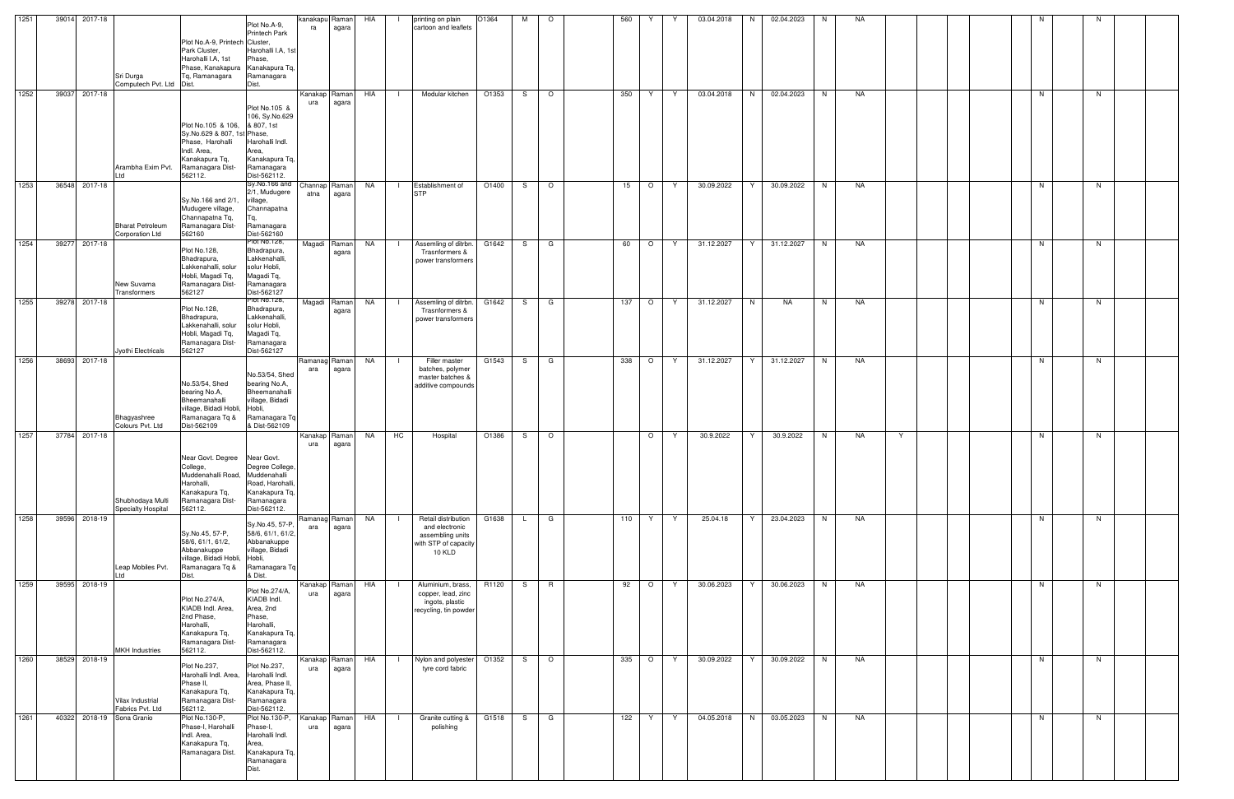| 1251 | 39014<br>2017-18          | Sri Durga<br>Computech Pvt. Ltd Dist.         | Plot No.A-9, Printech Cluster,<br>Park Cluster,<br>Harohalli I.A, 1st<br>Phase, Kanakapura Kanakapura Tg.<br>To. Ramanagara                      | Plot No.A-9,<br><b>Printech Park</b><br>Harohalli I.A, 1st<br>Phase,<br>Ramanagara<br>Dist.                        | kanakapu<br>ra       | Raman<br>agara  | HIA       | printing on plain<br>cartoon and leaflets                                                                   | O1364 | М  | $\circ$ | 560 |          |   | 03.04.2018 | 02.04.2023<br>N | N  | NA |   |  |  | N. | N  |  |
|------|---------------------------|-----------------------------------------------|--------------------------------------------------------------------------------------------------------------------------------------------------|--------------------------------------------------------------------------------------------------------------------|----------------------|-----------------|-----------|-------------------------------------------------------------------------------------------------------------|-------|----|---------|-----|----------|---|------------|-----------------|----|----|---|--|--|----|----|--|
| 1252 | 39037 2017-18             | Arambha Exim Pvt.<br>l td                     | Plot No.105 & 106, & 807, 1st<br>Sy.No.629 & 807, 1st Phase,<br>Phase, Harohalli<br>Indl. Area,<br>Kanakapura Tq,<br>Ramanagara Dist-<br>562112. | Plot No.105 &<br>106, Sy.No.629<br>Harohalli Indl.<br>Area,<br>Kanakapura Tg.<br>Ramanagara<br>Dist-562112.        | Kanakap Raman<br>ura | agara           | HIA       | Modular kitchen                                                                                             | O1353 | S. | $\circ$ | 350 | Y        | Y | 03.04.2018 | N<br>02.04.2023 | N  | NA |   |  |  | N  | N. |  |
| 1253 | 36548 2017-18             | <b>Bharat Petroleum</b><br>Corporation Ltd    | Sy.No.166 and 2/1,<br>Mudugere village,<br>Channapatna Tq,<br>Ramanagara Dist-<br>562160                                                         | Sy.No.166 and Channap<br>2/1, Mudugere<br>village,<br>Channapatna<br>Tq,<br>Ramanagara<br>Dist-562160              | atna                 | Raman<br>agara  | <b>NA</b> | Establishment of<br><b>STP</b>                                                                              | O1400 | S. | $\circ$ | 15  | $\circ$  | Y | 30.09.2022 | 30.09.2022<br>Y | N. | NA |   |  |  | N  | N  |  |
| 1254 | 39277<br>2017-18          | New Suvarna<br>Transformers                   | Plot No.128,<br>Bhadrapura,<br>Lakkenahalli, solur<br>Hobli, Magadi Tq,<br>Ramanagara Dist-<br>562127                                            | Plot No.128,<br>Bhadrapura,<br>Lakkenahalli,<br>solur Hobli,<br>Magadi Tq,<br>Ramanagara<br>Dist-562127            | Magadi               | Raman<br>agara  | NA .      | Assemling of ditrbn.<br>$\Box$<br>Trasnformers &<br>power transformers                                      | G1642 | S. | G       | 60  | $\circ$  | Y | 31.12.2027 | Y<br>31.12.2027 | N  | NA |   |  |  | N  | N  |  |
| 1255 | 39278 2017-18             | Jyothi Electricals                            | Plot No.128,<br>Bhadrapura,<br>Lakkenahalli, solur<br>Hobli, Magadi Tq,<br>Ramanagara Dist-<br>562127                                            | <b>Plot No.128,</b><br>Bhadrapura,<br>Lakkenahalli,<br>solur Hobli,<br>Magadi Tq,<br>Ramanagara<br>Dist-562127     | Magadi               | Raman<br>agara  | NA        | Assemling of ditrbn.<br>$\mathbf{I}$<br>Trasnformers &<br>power transformers                                | G1642 | S. | G       | 137 | $\circ$  | Y | 31.12.2027 | N<br>NA         | N. | NA |   |  |  | N. | N. |  |
| 1256 | 38693 2017-18             | Bhagyashree<br>Colours Pvt. Ltd               | No.53/54, Shed<br>bearing No.A,<br>Bheemanahalli<br>village, Bidadi Hobli, Hobli,<br>Ramanagara Tq &<br>Dist-562109                              | No.53/54, Shed<br>bearing No.A,<br>Bheemanahalli<br>village, Bidadi<br>Ramanagara Tq<br>& Dist-562109              | Ramanag<br>ara       | Ramanl<br>agara | NA        | Filler master<br>batches, polymer<br>master batches &<br>additive compounds                                 | G1543 | S  | G       | 338 | $\circ$  | Y | 31.12.2027 | Y<br>31.12.2027 | N  | NA |   |  |  | N  | N. |  |
| 1257 | 37784 2017-18             | Shubhodaya Multi<br><b>Specialty Hospital</b> | Near Govt. Degree Near Govt.<br>College,<br>Muddenahalli Road, Muddenahalli<br>Harohalli,<br>Kanakapura Tq,<br>Ramanagara Dist-<br>562112.       | Degree College,<br>Road, Harohalli<br>Kanakapura Tq,<br>Ramanagara<br>Dist-562112.                                 | Kanakap<br>ura       | Raman<br>agara  | NA        | HC<br>Hospital                                                                                              | O1386 | S. | $\circ$ |     | $\circ$  | Y | 30.9.2022  | 30.9.2022<br>Y  | N. | NA | Y |  |  | N. | N. |  |
| 1258 | 39596 2018-19             | Leap Mobiles Pvt.<br>td                       | Sy.No.45, 57-P,<br>58/6, 61/1, 61/2,<br>Abbanakuppe<br>village, Bidadi Hobli,<br>Ramanagara Tq &<br>Dist.                                        | Sy.No.45, 57-P,<br>58/6, 61/1, 61/2,<br>Abbanakuppe<br>village, Bidadi<br>Hobli,<br>Ramanagara Tq<br>& Dist.       | Ramanag<br>ara       | Raman<br>agara  | NA        | Retail distribution<br>$\mathbf{I}$<br>and electronic<br>assembling units<br>with STP of capacity<br>10 KLD | G1638 | L. | G       | 110 | <b>Y</b> | Y | 25.04.18   | 23.04.2023<br>Y | N  | NA |   |  |  | N  | N  |  |
| 1259 | 39595 2018-19             | <b>MKH Industries</b>                         | Plot No.274/A,<br>KIADB Indl. Area,<br>2nd Phase,<br>Harohalli,<br>Kanakapura Tq,<br>Ramanagara Dist-<br>562112.                                 | Plot No.274/A,<br>KIADB Indl.<br>Area, 2nd<br>Phase,<br>Harohalli,<br>Kanakapura Tq,<br>Ramanagara<br>Dist-562112. | Kanakap  <br>ura     | Raman<br>agara  | HIA       | Aluminium, brass,<br>copper, lead, zinc<br>ingots, plastic<br>recycling, tin powder                         | R1120 | S. | R       | 92  | $\circ$  | Y | 30.06.2023 | 30.06.2023<br>Y | N  | NA |   |  |  | N  | N  |  |
| 1260 | 38529 2018-19             | Vilax Industrial<br>Fabrics Pvt. Ltd          | Plot No.237,<br>Harohalli Indl. Area,<br>Phase II,<br>Kanakapura Tq,<br>Ramanagara Dist-<br>562112.                                              | Plot No.237,<br>Harohalli Indl.<br>Area, Phase II,<br>Kanakapura Tq,<br>Ramanagara<br>Dist-562112.                 | Kanakap<br>ura       | Raman<br>agara  | HIA       | Nylon and polyester<br>tyre cord fabric                                                                     | O1352 | S. | $\circ$ | 335 | $\circ$  | Y | 30.09.2022 | Y<br>30.09.2022 | N  | NA |   |  |  | N  | N. |  |
| 1261 | 40322 2018-19 Sona Granio |                                               | Plot No.130-P,<br>Phase-I, Harohalli<br>Indl. Area,<br>Kanakapura Tq,<br>Ramanagara Dist.                                                        | Plot No.130-P,<br>Phase-I,<br>Harohalli Indl.<br>Area,<br>Kanakapura Tq,<br>Ramanagara<br>Dist.                    | Kanakap<br>ura       | Raman<br>agara  | HIA       | Granite cutting &<br>polishing                                                                              | G1518 | S. | G       | 122 | Y        | Y | 04.05.2018 | N<br>03.05.2023 | N  | NA |   |  |  | N  | N  |  |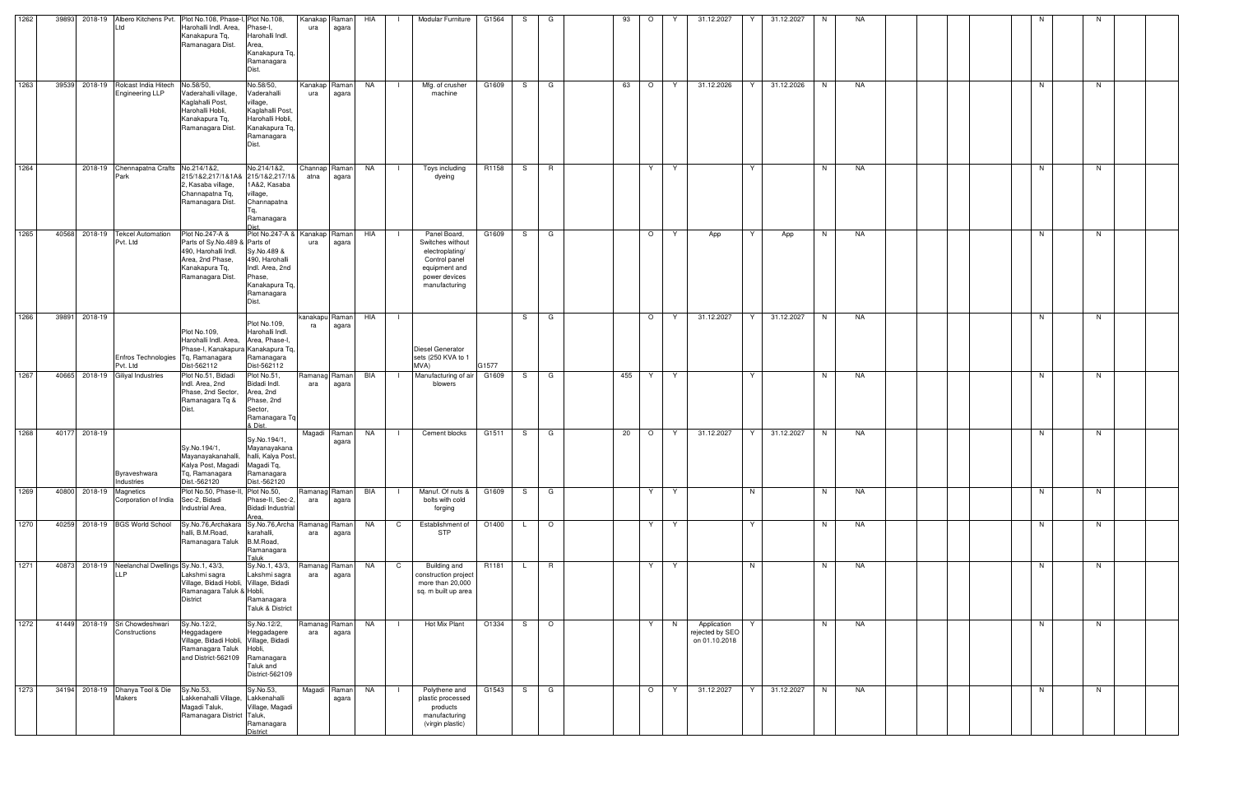|      |       |                         |                                                          |                                                                                                                                      |                                                                                                                                      |                      |                        | HIA       |                |                                                                                                                         |                   |     |         |     |         |   |                                                 |                   |   |           |  |  |    |    |  |
|------|-------|-------------------------|----------------------------------------------------------|--------------------------------------------------------------------------------------------------------------------------------------|--------------------------------------------------------------------------------------------------------------------------------------|----------------------|------------------------|-----------|----------------|-------------------------------------------------------------------------------------------------------------------------|-------------------|-----|---------|-----|---------|---|-------------------------------------------------|-------------------|---|-----------|--|--|----|----|--|
| 1262 |       |                         | td                                                       | 39893 2018-19 Albero Kitchens Pvt. Plot No.108, Phase-I, Plot No.108,<br>Harohalli Indl. Area.<br>Kanakapura Tq,<br>Ramanagara Dist. | Phase-I,<br>Harohalli Indl.<br>Area,<br>Kanakapura Tq,<br>Ramanagara<br>Dist.                                                        | Kanakap Raman<br>ura | agara                  |           |                | Modular Furniture                                                                                                       | G1564             | S.  | G       | 93  | $\circ$ | Y | 31.12.2027                                      | 31.12.2027<br>Y   | N | NA        |  |  |    |    |  |
| 1263 |       |                         | 39539 2018-19 Rolcast India Hitech<br>Engineering LLP    | No.58/50,<br>Vaderahalli village.<br>Kaglahalli Post,<br>Harohalli Hobli,<br>Kanakapura Tq,<br>Ramanagara Dist.                      | No.58/50,<br>Vaderahalli<br>village,<br>Kaglahalli Post<br>Harohalli Hobli,<br>Kanakapura Tq,<br>Ramanagara<br>Dist.                 | Kanakap Raman<br>ura | agara                  | NA        |                | Mfg. of crusher<br>machine                                                                                              | G1609             | S.  | G       | 63  | $\circ$ | Y | 31.12.2026                                      | Y<br>31.12.2026   | N | NA        |  |  | N  | N. |  |
| 1264 |       |                         | 2018-19 Chennapatna Crafts No.214/1&2,<br>Park           | 215/1&2,217/1&1A& 215/1&2,217/1&<br>2, Kasaba village,<br>Channapatna Tq,<br>Ramanagara Dist.                                        | No.214/1&2,<br>1A&2, Kasaba<br>village,<br>Channapatna<br>Ta.<br>Ramanagara                                                          | atna                 | Channap Raman<br>agara | <b>NA</b> | $\Box$         | Toys including<br>dyeing                                                                                                | R1158             | S   | R       |     | Y       | Y |                                                 | Y                 | N | NA        |  |  | N  | N. |  |
| 1265 | 40568 |                         | 2018-19 Tekcel Automation<br>Pvt. Ltd                    | Plot No.247-A &<br>Parts of Sy No.489 & Parts of<br>490, Harohalli Indl.<br>Area, 2nd Phase,<br>Kanakapura Tq,<br>Ramanagara Dist.   | Plot No.247-A & Kanakap Raman<br>Sy.No.489 &<br>490, Harohalli<br>Indl. Area, 2nd<br>Phase,<br>Kanakapura Tq,<br>Ramanagara<br>Dist. | ura                  | agara                  | HIA       |                | Panel Board,<br>Switches without<br>electroplating/<br>Control panel<br>equipment and<br>power devices<br>manufacturing | G1609             | S.  | G       |     | $\circ$ | Y | App                                             | Y<br>App          | N | NA        |  |  | N  | N  |  |
| 1266 | 39891 | 2018-19                 | Enfros Technologies   Tq, Ramanagara<br>Pvt. Ltd         | Plot No.109,<br>Harohalli Indl. Area, Area, Phase-I,<br>Phase-I, Kanakapura Kanakapura Tq,<br>Dist-562112                            | Plot No.109,<br>Harohalli Indl.<br>Ramanagara<br>Dist-562112                                                                         | kanakapu Raman<br>ra | agara                  | HIA       | $\Box$         | Diesel Generator<br>sets (250 KVA to 1<br>MVA)                                                                          | G1577             | S.  | G       |     | $\circ$ | Y | 31.12.2027                                      | Y<br>31.12.2027   | N | NA        |  |  | N. | N  |  |
| 1267 |       |                         | 40665 2018-19 Giliyal Industries                         | Plot No.51, Bidadi<br>Indl. Area, 2nd<br>Phase, 2nd Sector,<br>Ramanagara Tq &                                                       | Plot No.51,<br>Bidadi Indl.<br>Area, 2nd<br>Phase, 2nd<br>Sector,<br>Ramanagara Tq<br>& Dist.                                        | Ramanag Raman<br>ara | agara                  | BIA       |                | Manufacturing of air<br>blowers                                                                                         | G1609             | S.  | G       | 455 | Y       | Y |                                                 | Y                 | N | NA        |  |  | N  | N. |  |
| 1268 |       | 40177 2018-19           | Byraveshwara<br>Industries                               | Sy.No.194/1,<br>Mayanayakanahalli, halli, Kalya Post,<br>Kalya Post, Magadi Magadi Tq,<br>Tq, Ramanagara<br>Dist.-562120             | Sy.No.194/1,<br>Mayanayakana<br>Ramanagara<br>Dist.-562120                                                                           |                      | Magadi Raman<br>agara  | NA        | $\perp$        | Cement blocks                                                                                                           | G1511             | S — | G       | 20  | $\circ$ | Y | 31.12.2027                                      | Y I<br>31.12.2027 | N | NA        |  |  | N  | N. |  |
| 1269 |       | 40800 2018-19 Magnetics | Corporation of India                                     | Plot No.50, Phase-II,<br>Sec-2, Bidadi<br>Industrial Area,                                                                           | Plot No.50,<br>Phase-II, Sec-2,<br><b>Bidadi Industrial</b><br>Area,                                                                 | Ramanag Raman<br>ara | agara                  | BIA       |                | Manuf. Of nuts &<br>bolts with cold<br>forging                                                                          | G1609             | S.  | G       |     | Y       | Y |                                                 | N                 | N | <b>NA</b> |  |  | N  | N  |  |
| 1270 |       |                         | 40259 2018-19 BGS World School                           | Sy.No.76,Archakara Sy.No.76,Archa<br>halli, B.M.Road,<br>Ramanagara Taluk B.M.Road,                                                  | karahalli,<br>Ramanagara<br>Taluk                                                                                                    | Ramanag Raman<br>ara | agara                  | NA        | $\mathbf C$    | Establishment of<br><b>STP</b>                                                                                          | O1400             | L.  | $\circ$ |     | Y       | Y |                                                 | Y                 | N | <b>NA</b> |  |  | N  | N  |  |
| 1271 |       |                         | 40873 2018-19 Neelanchal Dwellings Sy.No.1, 43/3,<br>LLP | Lakshmi sagra<br>Village, Bidadi Hobli, Village, Bidadi<br>Ramanagara Taluk & Hobli,<br><b>District</b>                              | Sy.No.1, 43/3,<br>Lakshmi sagra<br>Ramanagara<br>Taluk & District                                                                    | Ramanag Raman<br>ara | agara                  | <b>NA</b> | $\mathsf{C}$   | <b>Building and</b><br>construction project<br>more than 20,000<br>sq. m built up area                                  | R <sub>1181</sub> | L.  | R       |     | Y.      | Y |                                                 | N                 | N | <b>NA</b> |  |  | N  | N  |  |
| 1272 |       |                         | 41449 2018-19 Sri Chowdeshwari<br>Constructions          | Sy.No.12/2,<br>Heggadagere<br>Village, Bidadi Hobli, Village, Bidadi<br>Ramanagara Taluk<br>and District-562109 Ramanagara           | Sy.No.12/2,<br>Heggadagere<br>Hobli,<br>Taluk and<br>District-562109                                                                 | Ramanag Raman<br>ara | agara                  | NA        | - 1            | Hot Mix Plant                                                                                                           | O1334             | S.  | $\circ$ |     | Y       | N | Application<br>rejected by SEO<br>on 01.10.2018 | Y.                | N | <b>NA</b> |  |  | N  | N  |  |
| 1273 |       |                         | 34194 2018-19 Dhanya Tool & Die<br><b>Makers</b>         | Sy.No.53,<br>Lakkenahalli Village, Lakkenahalli<br>Magadi Taluk,<br>Ramanagara District Taluk,                                       | Sy.No.53,<br>Village, Magadi<br>Ramanagara<br><b>District</b>                                                                        |                      | Magadi Raman<br>agara  | NA        | $\blacksquare$ | Polythene and<br>plastic processed<br>products<br>manufacturing<br>(virgin plastic)                                     | G1543             | S — | G       |     | $\circ$ | Y | 31.12.2027                                      | Y<br>31.12.2027   | N | NA        |  |  | N  | N  |  |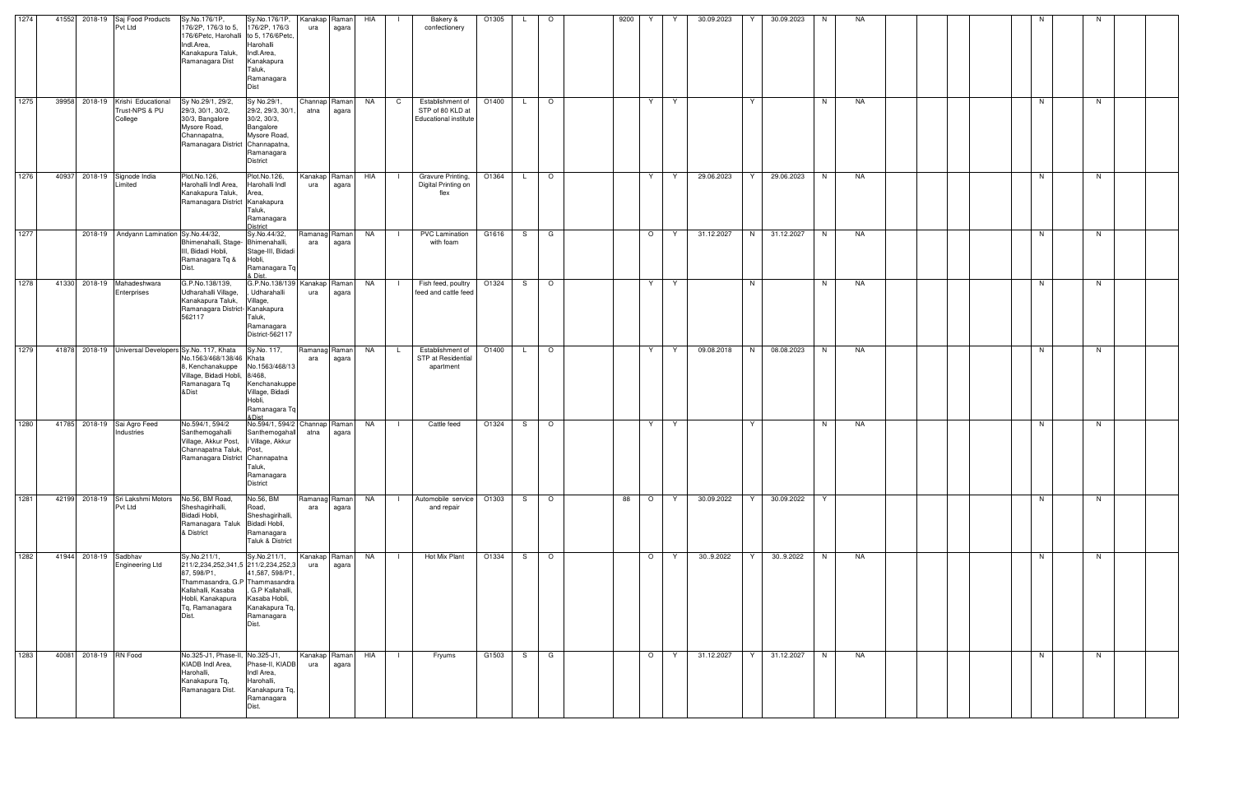| 1274 |       | 41552 2018-19 Saj Food Products<br>Pvt Ltd                    | Sy.No.176/1P,<br>176/2P, 176/3 to 5,<br>176/6Petc, Harohalli to 5, 176/6Petc<br>Indl.Area,<br>Kanakapura Taluk,<br>Ramanagara Dist                                         | Sy.No.176/1P,<br>176/2P, 176/3<br>Harohalli<br>Indl.Area,<br>Kanakapura<br>Taluk,<br>Ramanagara<br>Dist        | Kanakap Raman<br>ura  | agara                  | HIA                  | Bakery &<br>confectionery                                            | O1305             |    | $\circ$ | 9200 | Y.      | Y  | 30.09.2023 | Y | 30.09.2023 | N  | NA        |  |  | N. |    |  |
|------|-------|---------------------------------------------------------------|----------------------------------------------------------------------------------------------------------------------------------------------------------------------------|----------------------------------------------------------------------------------------------------------------|-----------------------|------------------------|----------------------|----------------------------------------------------------------------|-------------------|----|---------|------|---------|----|------------|---|------------|----|-----------|--|--|----|----|--|
| 1275 |       | 39958 2018-19 Krishi Educational<br>Trust-NPS & PU<br>College | Sy No.29/1, 29/2,<br>29/3, 30/1, 30/2,<br>30/3, Bangalore<br>Mysore Road,<br>Channapatna,<br>Ramanagara District Channapatna,                                              | Sy No.29/1,<br>29/2, 29/3, 30/1<br>30/2, 30/3,<br>Bangalore<br>Mysore Road,<br>Ramanagara<br><b>District</b>   | Channap Raman<br>atna | agara                  | NA<br>$\overline{C}$ | Establishment of<br>STP of 80 KLD at<br><b>Educational institute</b> | O1400             |    | $\circ$ |      | Y       | Y  |            | Y |            | N  | NA        |  |  | N  | N  |  |
| 1276 | 40937 | 2018-19 Signode India<br>Limited                              | Plot.No.126,<br>Harohalli Indl Area,<br>Kanakapura Taluk,<br>Ramanagara District Kanakapura                                                                                | Plot.No.126,<br>Harohalli Indl<br>Area,<br>Taluk,<br>Ramanagara<br>District                                    | ura                   | Kanakap Raman<br>agara | HIA                  | Gravure Printing,<br>Digital Printing on<br>flex                     | O1364             |    | $\circ$ |      | Y       | Y  | 29.06.2023 | Y | 29.06.2023 | N  | <b>NA</b> |  |  | N  | N  |  |
| 1277 |       | 2018-19 Andyann Lamination Sy.No.44/32,                       | Bhimenahalli, Stage- Bhimenahalli,<br>III, Bidadi Hobli,<br>Ramanagara Tq &<br>Dist.                                                                                       | Sy.No.44/32,<br>Stage-III, Bidadi<br>Hobli,<br>Ramanagara Tq<br>& Dist.                                        | Ramanag Raman<br>ara  | agara                  | NA<br>$\perp$        | <b>PVC Lamination</b><br>with foam                                   | G1616             | S. | G       |      | $\circ$ | Y. | 31.12.2027 | N | 31.12.2027 | N  | <b>NA</b> |  |  | N  | N. |  |
| 1278 |       | 41330 2018-19 Mahadeshwara<br>Enterprises                     | G.P.No.138/139,<br>Udharahalli Village,<br>Kanakapura Taluk,<br>Ramanagara District- Kanakapura<br>562117                                                                  | G.P.No.138/139 Kanakap<br>Udharahalli<br>Village,<br>Taluk,<br>Ramanagara<br>District-562117                   | ura                   | Raman<br>agara         | NA                   | Fish feed, poultry<br>feed and cattle feed                           | O1324             | S. | $\circ$ |      | Y       | Y  |            | N |            | N. | NA        |  |  | N  | N  |  |
| 1279 |       | 41878 2018-19 Universal Developers Sy.No. 117, Khata          | No.1563/468/138/46 Khata<br>8, Kenchanakuppe<br>Village, Bidadi Hobli, 8/468,<br>Ramanagara Tq<br>&Dist                                                                    | Sy.No. 117,<br>No.1563/468/13<br>Kenchanakuppe<br>Village, Bidadi<br>Hobli,<br>Ramanagara Tq<br>&Dist          | Ramanag Raman<br>ara  | agara                  | NA<br>$\mathsf{L}$   | Establishment of<br>STP at Residential<br>apartment                  | O <sub>1400</sub> | L. | $\circ$ |      | Y       | Y  | 09.08.2018 | N | 08.08.2023 | N  | NA        |  |  | N  | N  |  |
| 1280 |       | 41785 2018-19 Sai Agro Feed<br>Industries                     | No.594/1, 594/2<br>Santhemogahalli<br>Village, Akkur Post,<br>Channapatna Taluk, Post,<br>Ramanagara District Channapatna                                                  | No.594/1, 594/2 Channap Raman<br>Santhemogahall<br>i Village, Akkur<br>Taluk,<br>Ramanagara<br><b>District</b> | atna                  | agara                  | NA                   | Cattle feed                                                          | O1324             | S  | $\circ$ |      | Y       | Y  |            | Y |            | N. | NA        |  |  | N  | N  |  |
| 1281 |       | 42199 2018-19 Sri Lakshmi Motors<br>Pvt Ltd                   | No.56, BM Road,<br>Sheshagirihalli,<br>Bidadi Hobli,<br>Ramanagara Taluk Bidadi Hobli,<br>& District                                                                       | No.56, BM<br>Road,<br>Sheshagirihalli,<br>Ramanagara<br>Taluk & District                                       | ara                   | Ramanag Raman<br>agara | <b>NA</b>            | Automobile service<br>and repair                                     | O1303             | S  | $\circ$ | 88   | $\circ$ | Y  | 30.09.2022 | Y | 30.09.2022 | Y  |           |  |  | N  | N  |  |
| 1282 |       | 41944 2018-19 Sadbhav<br><b>Engineering Ltd</b>               | Sy.No.211/1,<br>211/2,234,252,341,5 211/2,234,252,3<br>87, 598/P1,<br>Thammasandra, G.P Thammasandra<br>Kallahalli, Kasaba<br>Hobli, Kanakapura<br>Tq, Ramanagara<br>Dist. | Sy.No.211/1,<br>41,587, 598/P1<br>. G.P Kallahalli.<br>Kasaba Hobli,<br>Kanakapura Tq,<br>Ramanagara<br>Dist.  | Kanakap Raman<br>ura  | agara                  | NA<br>$\blacksquare$ | Hot Mix Plant                                                        | O1334             | S. | $\circ$ |      | $\circ$ | Y. | 30.9.2022  | Y | 309.2022   | N  | <b>NA</b> |  |  | N. | N  |  |
| 1283 |       | 40081 2018-19 RN Food                                         | No.325-J1, Phase-II, No.325-J1,<br>KIADB Indl Area,<br>Harohalli,<br>Kanakapura Tq,<br>Ramanagara Dist.                                                                    | Phase-II, KIADB<br>Indl Area,<br>Harohalli,<br>Kanakapura Tq,<br>Ramanagara<br>Dist.                           | Kanakap Raman<br>ura  | agara                  | HIA                  | Fryums                                                               | G1503             | S  | G       |      | $\circ$ | Y  | 31.12.2027 | Y | 31.12.2027 | N  | NA        |  |  | N  | N. |  |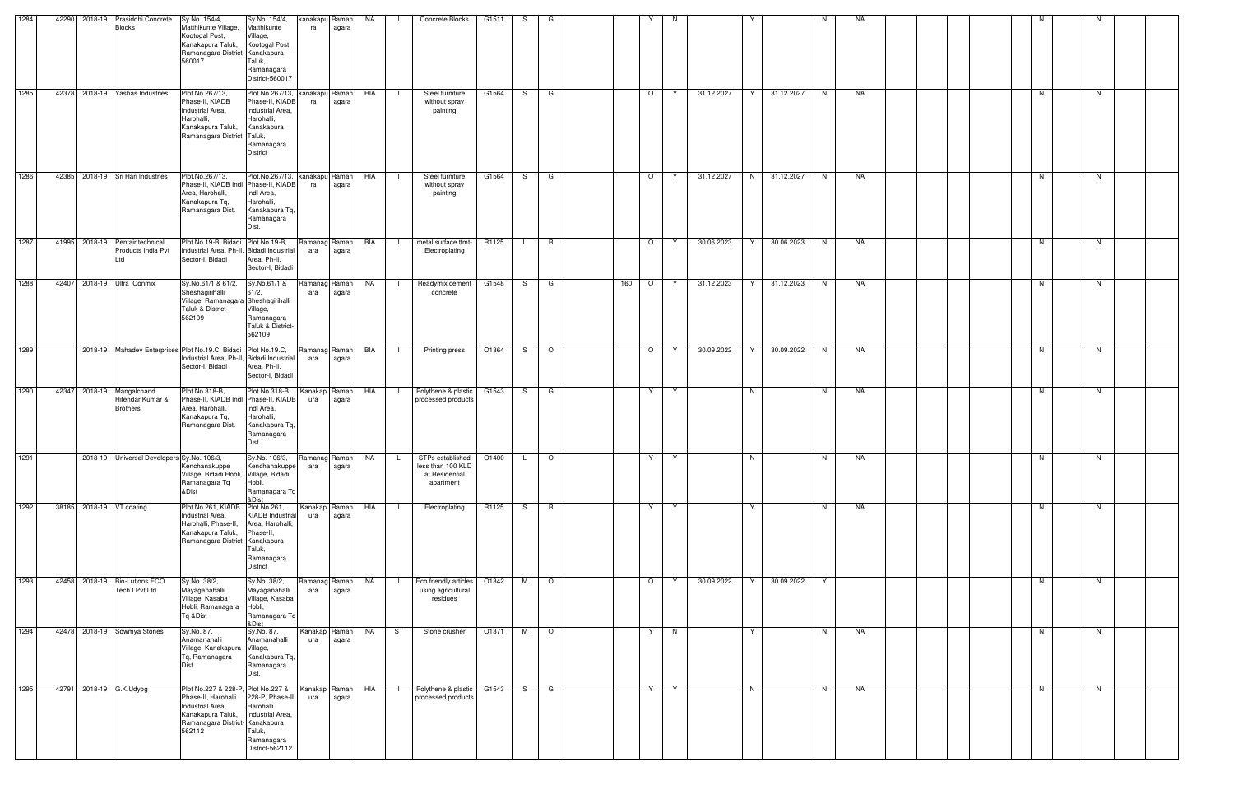| 1284 | 42290 | 2018-19 | Prasiddhi Concrete<br><b>Blocks</b>                        | Sy.No. 154/4,<br>Matthikunte Village,<br>Kootogal Post,<br>Kanakapura Taluk,<br>Ramanagara District- Kanakapura<br>560017                       | Sy.No. 154/4,<br>Matthikunte<br>Village,<br>Kootogal Post,<br>Taluk,<br>Ramanagara<br>District-560017               | kanakapu Raman<br>ra | agara | <b>NA</b> |                | Concrete Blocks                                                      | G1511 | S.  | G       |     |         | N                 |   |            | N. | NA |  |  |    |    |  |
|------|-------|---------|------------------------------------------------------------|-------------------------------------------------------------------------------------------------------------------------------------------------|---------------------------------------------------------------------------------------------------------------------|----------------------|-------|-----------|----------------|----------------------------------------------------------------------|-------|-----|---------|-----|---------|-------------------|---|------------|----|----|--|--|----|----|--|
| 1285 | 42378 |         | 2018-19 Yashas Industries                                  | Plot No.267/13,<br>Phase-II, KIADB<br>Industrial Area,<br>Harohalli.<br>Kanakapura Taluk,<br>Ramanagara District Taluk,                         | Plot No.267/13,<br>Phase-II, KIADB<br>Industrial Area,<br>Harohalli,<br>Kanakapura<br>Ramanagara<br><b>District</b> | kanakapu Raman<br>ra | agara | HIA       | $\blacksquare$ | Steel furniture<br>without spray<br>painting                         | G1564 |     | S G     |     | $\circ$ | 31.12.2027<br>Y.  | Y | 31.12.2027 | N  | NA |  |  | N  | N  |  |
| 1286 | 42385 |         | 2018-19 Sri Hari Industries                                | Plot.No.267/13,<br>Phase-II, KIADB Indl Phase-II, KIADB<br>Area, Harohalli,<br>Kanakapura Tq,<br>Ramanagara Dist.                               | Plot.No.267/13,<br>Indl Area,<br>Harohalli,<br>Kanakapura Tq,<br>Ramanagara<br>Dist.                                | kanakapu Raman<br>ra | agara | HIA       |                | Steel furniture<br>without spray<br>painting                         | G1564 | S.  | G       |     | $\circ$ | 31.12.2027<br>Y   | N | 31.12.2027 | N  | NA |  |  | N  | N  |  |
| 1287 | 41995 |         | 2018-19 Pentair technical<br>Products India Pvt<br>Ltd     | Plot No.19-B, Bidadi Plot No.19-B,<br>Industrial Area, Ph-II, Bidadi Industrial<br>Sector-I, Bidadi                                             | Area, Ph-II,<br>Sector-I, Bidadi                                                                                    | Ramanag Raman<br>ara | agara | BIA       |                | metal surface ttmt<br>Electroplating                                 | R1125 | L.  | R       |     | $\circ$ | 30.06.2023<br>Y   |   | 30.06.2023 | N. | NA |  |  | N  | N. |  |
| 1288 | 42407 |         | 2018-19 Ultra Conmix                                       | Sy.No.61/1 & 61/2, Sy.No.61/1 &<br>Sheshaqirihalli<br>Village, Ramanagara Sheshagirihalli<br>Taluk & District-<br>562109                        | 61/2,<br>Village,<br>Ramanagara<br>Taluk & District-<br>562109                                                      | Ramanag Raman<br>ara | agara | NA        | $\blacksquare$ | Readymix cement<br>concrete                                          | G1548 | S.  | G       | 160 | $\circ$ | 31.12.2023<br>Y   | Y | 31.12.2023 | N. | NA |  |  | N  | N. |  |
| 1289 |       |         |                                                            | 2018-19 Mahadev Enterprises Plot No.19.C, Bidadi Plot No.19.C,<br>Industrial Area, Ph-II, Bidadi Industrial<br>Sector-I, Bidadi                 | Area, Ph-II,<br>Sector-I, Bidadi                                                                                    | Ramanag Raman<br>ara | agara | BIA       |                | Printing press                                                       | O1364 | S.  | $\circ$ |     | $\circ$ | Y<br>30.09.2022   | Y | 30.09.2022 | N. | NA |  |  | N  | N  |  |
| 1290 | 42347 |         | 2018-19 Mangalchand<br>Hitendar Kumar &<br><b>Brothers</b> | Plot.No.318-B,<br>Phase-II, KIADB Indl Phase-II, KIADB<br>Area, Harohalli,<br>Kanakapura Tq,<br>Ramanagara Dist.                                | Plot.No.318-B,<br>Indl Area,<br>Harohalli,<br>Kanakapura Tq,<br>Ramanagara<br>Dist.                                 | Kanakap Raman<br>ura | agara | HIA       |                | Polythene & plastic<br>processed products                            | G1543 | S.  | G       |     | Y       | Y                 | N |            | N  | NA |  |  | N. | N. |  |
| 1291 |       |         | 2018-19 Universal Developers Sy.No. 106/3,                 | Kenchanakuppe<br>Village, Bidadi Hobli, Village, Bidadi<br>Ramanagara Tq<br>&Dist                                                               | Sy.No. 106/3,<br>Kenchanakuppe<br>Hobli,<br>Ramanagara Tq<br>& Dist                                                 | Ramanag Raman<br>ara | agara | NA        | $\mathsf{L}$   | STPs established<br>less than 100 KLD<br>at Residential<br>apartment | O1400 | L.  | $\circ$ |     | Y       | Y.                | N |            | N  | NA |  |  | N  | N  |  |
| 1292 |       |         | 38185 2018-19 VT coating                                   | Plot No.261, KIADB Plot No.261,<br>Industrial Area,<br>Harohalli, Phase-II,<br>Kanakapura Taluk,<br>Ramanagara District Kanakapura              | <b>KIADB</b> Industrial<br>Area, Harohalli,<br>Phase-II,<br>Taluk,<br>Ramanagara<br><b>District</b>                 | Kanakap Raman<br>ura | agara | HIA       |                | Electroplating                                                       | R1125 | S . | R       |     | Y       | Y                 | Y |            | N  | NA |  |  | N  | N  |  |
| 1293 | 42458 |         | 2018-19 Bio-Lutions ECO<br>Tech I Pvt Ltd                  | Sy.No. 38/2,<br>Mayaganahalli<br>Village, Kasaba<br>Hobli, Ramanagara Hobli,<br>Tq &Dist                                                        | Sy.No. 38/2,<br>Mayaganahalli<br>Village, Kasaba<br>Ramanagara Tq<br>&Dist                                          | Ramanag Raman<br>ara | agara | NA        | - 1            | Eco friendly articles<br>using agricultural<br>residues              | O1342 |     | M O     |     | $\circ$ | 30.09.2022<br>- Y | Y | 30.09.2022 | Y  |    |  |  | N  | N. |  |
| 1294 |       |         | 42478 2018-19 Sowmya Stones                                | Sy.No. 87,<br>Anamanahalli<br>Village, Kanakapura Village,<br>Tq, Ramanagara<br>Dist.                                                           | Sy.No. 87,<br>Anamanahalli<br>Kanakapura Tq,<br>Ramanagara<br>Dist.                                                 | Kanakap Raman<br>ura | agara | <b>NA</b> | ST             | Stone crusher                                                        | O1371 |     | M O     |     | Y       | N                 | Y |            | N  | NA |  |  | N  | N  |  |
| 1295 | 42791 |         | 2018-19 G.K.Udyog                                          | Plot No.227 & 228-P, Plot No.227 &<br>Phase-II, Harohalli<br>Industrial Area,<br>Kanakapura Taluk,<br>Ramanagara District- Kanakapura<br>562112 | 228-P, Phase-II,<br>Harohalli<br>Industrial Area,<br>Taluk,<br>Ramanagara<br>District-562112                        | Kanakap Raman<br>ura | agara | HIA       |                | Polythene & plastic<br>processed products                            | G1543 | S.  | G       |     | Y       | Y                 | N |            | N  | NA |  |  | N  | N  |  |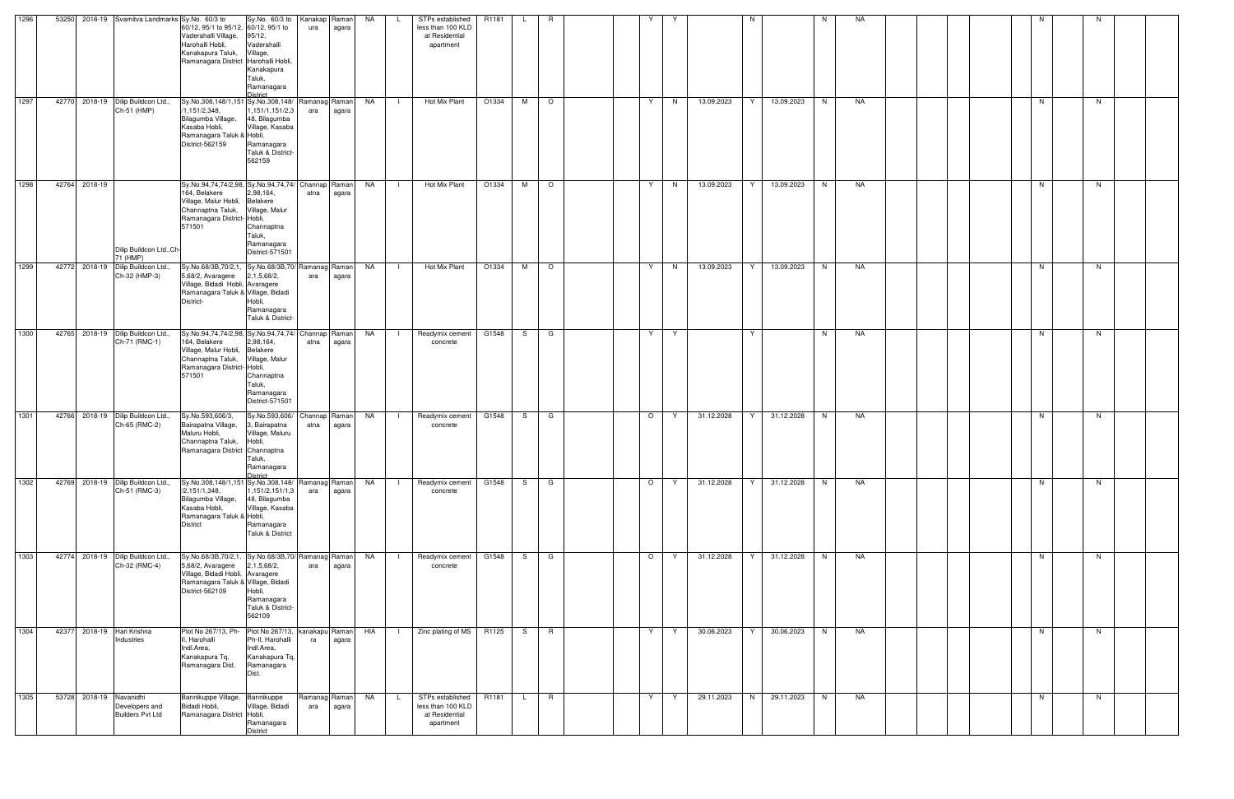| 1296 | 53250                              | 2018-19 Svamitva Landmarks Sy.No. 60/3 to |                                                                                                                                                                              | Sy.No. 60/3 to                                                                                   | Kanakap         | Raman            | <b>NA</b> | STPs established                                                            | R1181 |    | R       |         |    |            | N |            | N | NA |  |    |    |  |
|------|------------------------------------|-------------------------------------------|------------------------------------------------------------------------------------------------------------------------------------------------------------------------------|--------------------------------------------------------------------------------------------------|-----------------|------------------|-----------|-----------------------------------------------------------------------------|-------|----|---------|---------|----|------------|---|------------|---|----|--|----|----|--|
|      |                                    |                                           | 60/12, 95/1 to 95/12, 60/12, 95/1 to<br>Vaderahalli Village,<br>Harohalli Hobli,<br>Kanakapura Taluk,<br>Ramanagara District Harohalli Hobli,                                | 95/12,<br>Vaderahalli<br>Village,<br>Kanakapura<br>Taluk,<br>Ramanagara<br>District              | ura             | agara            |           | less than 100 KLD<br>at Residential<br>apartment                            |       |    |         |         |    |            |   |            |   |    |  |    |    |  |
| 1297 | 42770 2018-19 Dilip Buildcon Ltd., | Ch-51 (HMP)                               | Sy.No.308,148/1,151 Sy.No.308,148/<br>/1,151/2,348,<br>Bilagumba Village,<br>Kasaba Hobli,<br>Ramanagara Taluk & Hobli,<br>District-562159                                   | 1,151/1,151/2,3<br>48, Bilagumba<br>Village, Kasaba<br>Ramanagara<br>Taluk & District<br>562159  | Ramanag<br>ara  | Raman<br>agara   | NA        | Hot Mix Plant                                                               | O1334 | M  | $\circ$ | Y       | N  | 13.09.2023 | Y | 13.09.2023 | N | NA |  | N  | N. |  |
| 1298 | 42764 2018-19                      | Dilip Buildcon Ltd., Ch-<br>71 (HMP)      | Sy.No.94,74,74/2,98, Sy.No.94,74,74/ Channap Raman<br>164, Belakere<br>Village, Malur Hobli, Belakere<br>Channaptna Taluk,<br>Ramanagara District- Hobli,<br>571501          | 2,98,164,<br>Village, Malur<br>Channaptna<br>Taluk,<br>Ramanagara<br>District-571501             | atna            | agara            | NA        | Hot Mix Plant                                                               | O1334 | M  | $\circ$ | Y       | N  | 13.09.2023 | Y | 13.09.2023 | N | NA |  | N  | N  |  |
| 1299 | 42772 2018-19 Dilip Buildcon Ltd., | Ch-32 (HMP-3)                             | Sy.No.68/3B,70/2,1, Sy.No.68/3B,70/ Ramanag<br>5,68/2, Avaragere<br>Village, Bidadi Hobli, Avaragere<br>Ramanagara Taluk & Village, Bidadi<br>District-                      | 2,1,5,68/2,<br>Hobli,<br>Ramanagara<br>Taluk & District-                                         | ara             | Raman<br>agara   | NA        | Hot Mix Plant                                                               | O1334 | M  | $\circ$ | Y       | N  | 13.09.2023 | Y | 13.09.2023 | N | NA |  | N. | N  |  |
| 1300 | 42765 2018-19 Dilip Buildcon Ltd., | Ch-71 (RMC-1)                             | Sy.No.94,74,74/2,98, Sy.No.94,74,74/ Channap<br>164, Belakere<br>Village, Malur Hobli, Belakere<br>Channaptna Taluk, Village, Malur<br>Ramanagara District- Hobli,<br>571501 | 2,98,164,<br>Channaptna<br>Taluk,<br>Ramanagara<br>District-571501                               | atna            | Raman<br>agara   | <b>NA</b> | Readymix cement<br>concrete                                                 | G1548 | S. | G       | Y       | Y. |            | Y |            | N | NA |  | N  | N. |  |
| 1301 | 42766 2018-19 Dilip Buildcon Ltd., | Ch-65 (RMC-2)                             | Sy.No.593,606/3,<br>Bairapatna Village,<br>Maluru Hobli,<br>Channaptna Taluk,<br>Ramanagara District Channaptna                                                              | Sy.No.593,606/<br>3, Bairapatna<br>Village, Maluru<br>Hobli,<br>Taluk,<br>Ramanagara<br>District | Channap<br>atna | Raman<br>agara   | NA        | Readymix cement<br>concrete                                                 | G1548 | S. | G       | $\circ$ | Y  | 31.12.2028 | Y | 31.12.2028 | N | NA |  | N  | N. |  |
| 1302 | 42769 2018-19 Dilip Buildcon Ltd., | Ch-51 (RMC-3)                             | Sy.No.308,148/1,151 Sy.No.308,148/<br>/2,151/1,348,<br>Bilagumba Village,<br>Kasaba Hobli,<br>Ramanagara Taluk & Hobli,<br>District                                          | 1,151/2,151/1,3<br>48, Bilagumba<br>Village, Kasaba<br>Ramanagara<br>Taluk & District            | Ramanag<br>ara  | Raman<br>agara   | NA        | Readymix cement<br>- 1<br>concrete                                          | G1548 | S  | G       | $\circ$ | Y  | 31.12.2028 | Y | 31.12.2028 | N | NA |  | N  | N  |  |
| 1303 | 42774 2018-19 Dilip Buildcon Ltd., | Ch-32 (RMC-4)                             | Sy.No.68/3B,70/2,1, Sy.No.68/3B,70/ Ramanag<br>5,68/2, Avaragere<br>Village, Bidadi Hobli, Avaragere<br>Ramanagara Taluk & Village, Bidadi<br>District-562109                | 2,1,5,68/2,<br>Hobli,<br>Ramanagara<br>Taluk & District-<br>562109                               | ara             | Raman  <br>agara | <b>NA</b> | Readymix cement<br>concrete                                                 | G1548 | S. | G       | $\circ$ | Y. | 31.12.2028 | Y | 31.12.2028 | N | NA |  | N  | N  |  |
| 1304 | 42377                              | 2018-19 Hari Krishna<br>Industries        | Plot No 267/13, Ph-<br>II, Harohalli<br>Indl.Area,<br>Kanakapura Tq,<br>Ramanagara Dist.                                                                                     | Plot No 267/13,<br>Ph-II, Harohalli<br>Indl.Area,<br>Kanakapura Tq,<br>Ramanagara<br>Dist.       | kanakapu<br>ra  | Raman<br>agara   | HIA       | Zinc plating of MS                                                          | R1125 | S. | R       | Y       | Y  | 30.06.2023 | Y | 30.06.2023 | N | NA |  | N  | N  |  |
| 1305 | 53728 2018-19 Navanidhi            | Developers and<br><b>Builders Pvt Ltd</b> | Bannikuppe Village,<br>Bidadi Hobli,<br>Ramanagara District Hobli,                                                                                                           | Bannikuppe<br>Village, Bidadi<br>Ramanagara<br><b>District</b>                                   | Ramanag<br>ara  | Raman<br>agara   | NA        | STPs established<br>- L<br>less than 100 KLD<br>at Residential<br>apartment | R1181 |    | R       | Y       | Y  | 29.11.2023 | N | 29.11.2023 | N | NA |  | N  | N  |  |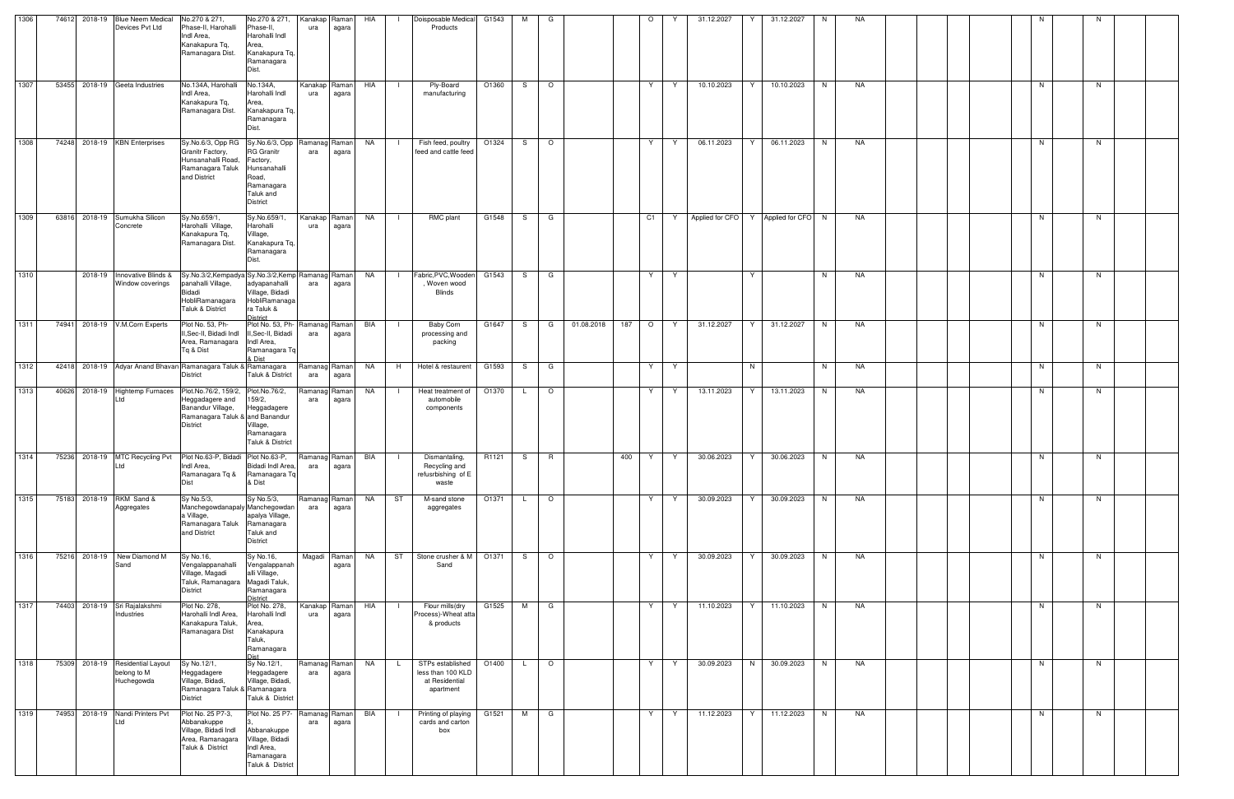| 1306 |       | 74612 2018-19 | <b>Blue Neem Medical</b><br>Devices Pvt Ltd                   | No.270 & 271,<br>Phase-II, Harohalli<br>Indl Area,<br>Kanakapura Tq.<br>Ramanagara Dist.                                                                         | No.270 & 271,<br>Phase-II,<br>Harohalli Indl<br>Area,<br>Kanakapura Tq,<br>Ramanagara<br>Dist.       | ura                      | Kanakap Raman<br>agara | HIA       |                | Doisposable Medical<br>Products                                      | G1543 | м            | G                        |            |     | $\circ$ |   | 31.12.2027 | 31.12.2027                          | N. | NA. |  |  |    |    |  |
|------|-------|---------------|---------------------------------------------------------------|------------------------------------------------------------------------------------------------------------------------------------------------------------------|------------------------------------------------------------------------------------------------------|--------------------------|------------------------|-----------|----------------|----------------------------------------------------------------------|-------|--------------|--------------------------|------------|-----|---------|---|------------|-------------------------------------|----|-----|--|--|----|----|--|
| 1307 |       |               | 53455 2018-19 Geeta Industries                                | No.134A, Harohalli<br>Indl Area,<br>Kanakapura Tq,<br>Ramanagara Dist.                                                                                           | No.134A,<br>Harohalli Indl<br>Area,<br>Kanakapura Tq,<br>Ramanagara<br>Dist.                         | ura                      | Kanakap Raman<br>agara | HIA       | - 1            | Ply-Board<br>manufacturing                                           | O1360 | S.           | $\circ$                  |            |     | Y       | Y | 10.10.2023 | 10.10.2023<br>Y                     | N  | NA  |  |  | N  | N. |  |
| 1308 |       |               | 74248 2018-19 KBN Enterprises                                 | Sy.No.6/3, Opp RG   Sy.No.6/3, Opp   Ramanag   Raman  <br>Granitr Factory,<br>Hunsanahalli Road,<br>Ramanagara Taluk<br>and District                             | <b>RG</b> Granitr<br>Factory,<br>Hunsanahalli<br>Road,<br>Ramanagara<br>Taluk and<br><b>District</b> | ara                      | agara                  | NA        |                | Fish feed, poultry<br>feed and cattle feed                           | O1324 | S.           | $\circ$                  |            |     | Y       | Y | 06.11.2023 | Y<br>06.11.2023                     | N  | NA  |  |  | N  | N  |  |
| 1309 | 63816 |               | 2018-19 Sumukha Silicon<br>Concrete                           | Sy.No.659/1<br>Harohalli Village,<br>Kanakapura Tq,<br>Ramanagara Dist.                                                                                          | Sy.No.659/1,<br>Harohalli<br>Village,<br>Kanakapura Tq,<br>Ramanagara<br>Dist.                       | ura                      | Kanakap Raman<br>agara | NA        |                | RMC plant                                                            | G1548 | S.           | G                        |            |     | C1      | Y |            | Applied for CFO Y Applied for CFO N |    | NA  |  |  | N  | N  |  |
| 1310 |       | 2018-19       | Innovative Blinds &<br>Window coverings                       | Sy.No.3/2,Kempadya Sy.No.3/2,Kemp Ramanag Raman<br>panahalli Village,<br>Bidadi<br>HobliRamanagara<br>Taluk & District                                           | adyapanahalli<br>Village, Bidadi<br>HobliRamanaga<br>ra Taluk &<br><b>District</b>                   | ara                      | agara                  | NA        | $\Box$         | Fabric, PVC, Wooden G1543<br>, Woven wood<br><b>Blinds</b>           |       | S.           | G                        |            |     | Y       | Y |            | Y                                   | N  | NA  |  |  | N  | N. |  |
| 1311 |       |               | 74941 2018-19 V.M.Corn Experts                                | Plot No. 53, Ph-<br>II, Sec-II, Bidadi Indl<br>Area, Ramanagara   Indl Area,<br>Tq & Dist                                                                        | Plot No. 53, Ph-Ramanag Raman<br>II, Sec-II, Bidadi<br>Ramanagara Tq<br>& Dist                       | ara                      | agara                  | BIA       |                | Baby Corn<br>processing and<br>packing                               | G1647 | S .          | G                        | 01.08.2018 | 187 | $\circ$ | Y | 31.12.2027 | Y<br>31.12.2027                     | N  | NA  |  |  | N  | N. |  |
| 1312 |       |               |                                                               | 42418 2018-19 Adyar Anand Bhavan Ramanagara Taluk & Ramanagara<br><b>District</b>                                                                                | Taluk & District                                                                                     | Ramanag Raman<br>ara     | agara                  | NA        | H              | Hotel & restaurent                                                   | G1593 | S.           | G                        |            |     | Y       | Y |            | N                                   | N  | NA  |  |  | N  | N  |  |
| 1313 |       |               |                                                               | 40626 2018-19 Hightemp Furnaces Plot.No.76/2, 159/2, Plot.No.76/2,<br>Heggadagere and<br>Banandur Village,<br>Ramanagara Taluk & and Banandur<br><b>District</b> | 159/2,<br>Heggadagere<br>Village,<br>Ramanagara<br>Taluk & District                                  | Ramanag Raman<br>ara     | agara                  | NA        | $\blacksquare$ | Heat treatment of<br>automobile<br>components                        | O1370 | L.           | $\circ$                  |            |     | Y       | Y | 13.11.2023 | Y<br>13.11.2023                     | N  | NA  |  |  | N. | N. |  |
| 1314 |       |               | Ltd                                                           | 75236 2018-19 MTC Recycling Pvt Plot No.63-P, Bidadi Plot No.63-P,<br>Indl Area,<br>Ramanagara Tg &<br>Dist                                                      | Bidadi Indl Area,<br>Ramanagara Tq<br>& Dist                                                         | Ramanag Raman BIA<br>ara | agara                  |           | - 12           | Dismantaling,<br>Recycling and<br>refusrbishing of E<br>waste        | R1121 | S.           | R                        |            | 400 | Y       | Y | 30.06.2023 | Y.<br>30.06.2023                    | N  | NA  |  |  | N  | N  |  |
| 1315 |       |               | 75183 2018-19 RKM Sand &<br>Aggregates                        | Sy No.5/3,<br>Manchegowdanapaly Manchegowdan<br>a Village,<br>Ramanagara Taluk Ramanagara<br>and District                                                        | Sy No.5/3,<br>apalya Village,<br>Taluk and<br><b>District</b>                                        | Ramanag Raman<br>ara     | agara                  | NA        | ST             | M-sand stone<br>aggregates                                           | O1371 | $\mathsf{L}$ | $\overline{\phantom{0}}$ |            |     | Y       | Y | 30.09.2023 | $Y \mid$<br>30.09.2023              | N  | NA  |  |  | N  | N  |  |
| 1316 |       |               | 75216 2018-19 New Diamond M<br>Sand                           | Sy No.16,<br>Vengalappanahalli<br>Village, Magadi<br>Taluk, Ramanagara Magadi Taluk,<br><b>District</b>                                                          | Sy No.16,<br>Vengalappanah<br>alli Village,<br>Ramanagara<br><b>District</b>                         |                          | Magadi Raman<br>agara  | <b>NA</b> | ST             | Stone crusher & M 01371<br>Sand                                      |       |              | S O                      |            |     | Y       | Y | 30.09.2023 | 30.09.2023<br>Y                     | N  | NA  |  |  | N  | N  |  |
| 1317 |       |               | 74403 2018-19 Sri Rajalakshmi<br>Industries                   | Plot No. 278,<br>Harohalli Indl Area,<br>Kanakapura Taluk,<br>Ramanagara Dist                                                                                    | Plot No. 278,<br>Harohalli Indl<br>Area,<br>Kanakapura<br>Taluk,<br>Ramanagara<br><b>Dist</b>        | ura                      | Kanakap Raman<br>agara | HIA       |                | Flour mills(dry<br>Process)-Wheat atta<br>& products                 | G1525 |              | M G                      |            |     | Y       | Y | 11.10.2023 | Y<br>11.10.2023                     | N  | NA  |  |  | N  | N  |  |
| 1318 |       |               | 75309 2018-19 Residential Layout<br>belong to M<br>Huchegowda | Sy No.12/1,<br>Heggadagere<br>Village, Bidadi,<br>Ramanagara Taluk & Ramanagara<br><b>District</b>                                                               | Sy No.12/1,<br>Heggadagere<br>Village, Bidadi,<br>Taluk & District                                   | Ramanag Raman<br>ara     | agara                  | NA        | $\mathsf{L}$   | STPs established<br>less than 100 KLD<br>at Residential<br>apartment | O1400 | L.           | $\circ$                  |            |     | Y       | Y | 30.09.2023 | 30.09.2023<br>N                     | N  | NA  |  |  | N  | N. |  |
| 1319 |       |               | 74953 2018-19 Nandi Printers Pvt<br>Ltd                       | Plot No. 25 P7-3,<br>Abbanakuppe<br>Village, Bidadi Indl<br>Area, Ramanagara<br>Taluk & District                                                                 | Plot No. 25 P7-<br>Abbanakuppe<br>Village, Bidadi<br>Indl Area,<br>Ramanagara<br>Taluk & District    | Ramanag Raman<br>ara     | agara                  | BIA       |                | Printing of playing<br>cards and carton<br>box                       | G1521 | M            | G                        |            |     | Y       | Y | 11.12.2023 | 11.12.2023<br>Y                     | N  | NA  |  |  | N. | N. |  |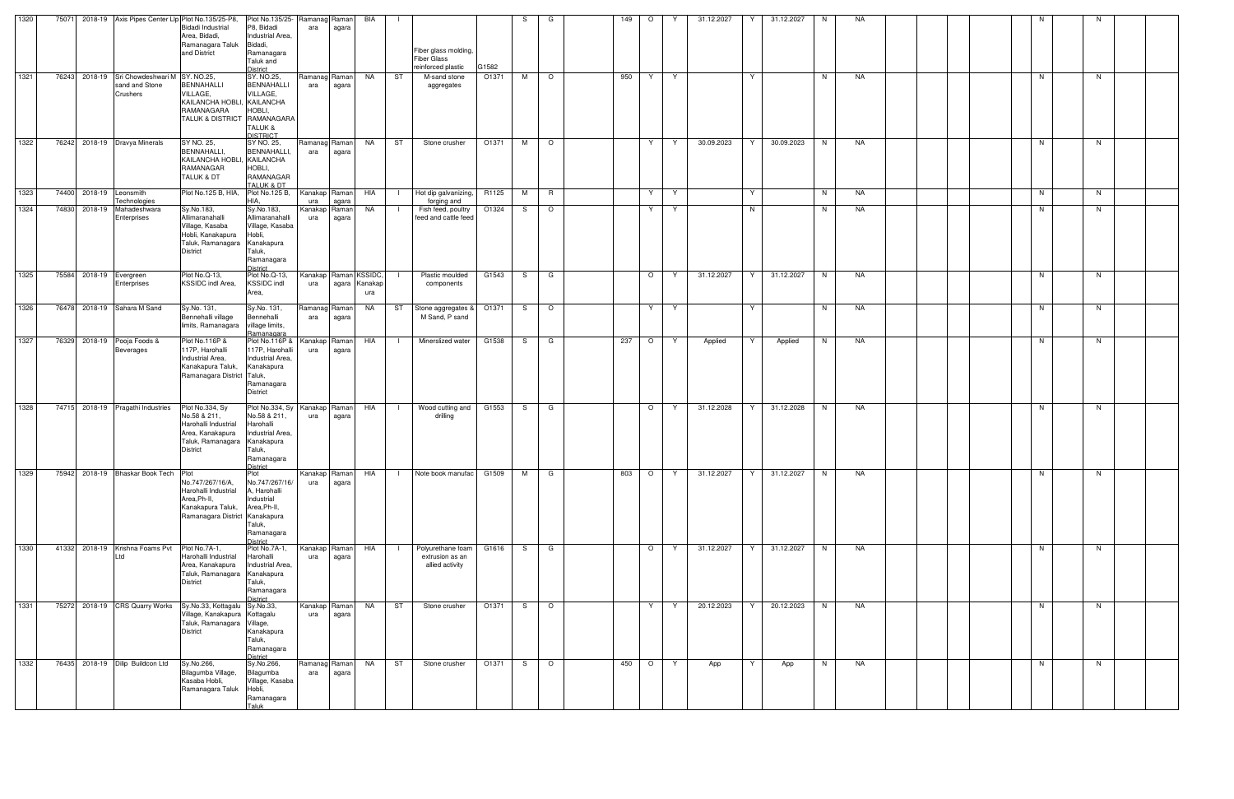| 1320 |  | 75071 2018-19 Axis Pipes Center Llp Plot No.135/25-P8,                    | <b>Bidadi Industrial</b><br>Area, Bidadi,<br>Ramanagara Taluk                                                       | Plot No.135/25- Ramanag Raman<br>P8, Bidadi<br>Industrial Area,<br>Bidadi,                                                 | ara                  | agara                  | BIA                                   | $\blacksquare$                                                          |       | S.  | G            | 149 | $\circ$ | Y  | 31.12.2027 | Y  | 31.12.2027 | N  | NA |  |  |    |    |  |
|------|--|---------------------------------------------------------------------------|---------------------------------------------------------------------------------------------------------------------|----------------------------------------------------------------------------------------------------------------------------|----------------------|------------------------|---------------------------------------|-------------------------------------------------------------------------|-------|-----|--------------|-----|---------|----|------------|----|------------|----|----|--|--|----|----|--|
|      |  |                                                                           | and District                                                                                                        | Ramanagara<br>Taluk and<br><b>District</b>                                                                                 |                      |                        |                                       | Fiber glass molding,<br><b>Fiber Glass</b><br>reinforced plastic        | G1582 |     |              |     |         |    |            |    |            |    |    |  |  |    |    |  |
| 1321 |  | 76243 2018-19 Sri Chowdeshwari M SY. NO.25,<br>sand and Stone<br>Crushers | BENNAHALLI<br>VILLAGE,<br>KAILANCHA HOBLI, KAILANCHA<br>RAMANAGARA<br><b>TALUK &amp; DISTRICT</b>                   | SY. NO.25,<br><b>BENNAHALLI</b><br>VILLAGE,<br>HOBLI,<br>RAMANAGARA<br>TALUK &<br><b>DISTRICT</b>                          | Ramanag Raman<br>ara | agara                  | NA                                    | ST<br>M-sand stone<br>aggregates                                        | O1371 | M   | $\circ$      | 950 | Y       | Y  |            | Y  |            | N  | NA |  |  | N. | N  |  |
| 1322 |  | 76242 2018-19 Dravya Minerals                                             | SY NO. 25,<br><b>BENNAHALLI,</b><br>KAILANCHA HOBLI, KAILANCHA<br>RAMANAGAR<br>TALUK & DT                           | SY NO. 25,<br>BENNAHALLI,<br>HOBLI,<br>RAMANAGAR<br>TALUK & DT                                                             | Ramanag<br>ara       | Raman<br>agara         | <b>NA</b>                             | ST<br>Stone crusher                                                     | O1371 | M   | $\circ$      |     | Y       | Y  | 30.09.2023 | Y  | 30.09.2023 | N  | NA |  |  | N  | N  |  |
| 1323 |  | 74400 2018-19 Leonsmith<br>Technologies                                   | Plot No.125 B, HIA,                                                                                                 | Plot No.125 B,<br>HIA                                                                                                      | Kanakap Raman<br>ura | agara                  | HIA                                   | Hot dip galvanizing,<br>$\Box$<br>forging and                           | R1125 | M   | $\mathsf{R}$ |     | Y.      | Y  |            | Y  |            | N  | NA |  |  | N  | N  |  |
| 1324 |  | 74830 2018-19 Mahadeshwara<br>Enterprises                                 | Sy.No.183,<br>Allimaranahalli<br>Village, Kasaba<br>Hobli, Kanakapura<br>Taluk, Ramanagara<br><b>District</b>       | Sy.No.183,<br>Allimaranahalli<br>Village, Kasaba<br>Hobli,<br>Kanakapura<br>Taluk,<br>Ramanagara<br>District               | Kanakap<br>ura       | Raman<br>agara         | NA                                    | Fish feed, poultry<br>- 1<br>feed and cattle feed                       | O1324 | S — | $\circ$      |     | Y.      | Y  |            | N  |            | N  | NA |  |  | N. | N. |  |
| 1325 |  | 75584 2018-19 Evergreen<br>Enterprises                                    | Plot No.Q-13,<br>KSSIDC indl Area,                                                                                  | Plot No.Q-13,<br>KSSIDC indl<br>Area,                                                                                      | Kanakap<br>ura       |                        | Raman KSSIDC,<br>agara Kanakap<br>ura | Plastic moulded<br>components                                           | G1543 | S — | G            |     | $O$ Y   |    | 31.12.2027 | Y  | 31.12.2027 | N  | NA |  |  | N  | N. |  |
| 1326 |  | 76478 2018-19 Sahara M Sand                                               | Sy.No. 131,<br>Bennehalli village<br>limits, Ramanagara                                                             | Sy.No. 131,<br>Bennehalli<br>village limits,<br>Ramanagara                                                                 | Ramanag<br>ara       | Raman<br>agara         | NA                                    | ST<br>Stone aggregates &<br>M Sand, P sand                              | O1371 | S — | $\circ$      |     | Y I     | Y  |            | Y  |            | N  | NA |  |  | N  | N. |  |
| 1327 |  | 76329 2018-19 Pooja Foods &<br><b>Beverages</b>                           | Plot No.116P &<br>117P, Harohalli<br>Industrial Area,<br>Kanakapura Taluk,<br>Ramanagara District                   | Plot No.116P &<br>117P, Harohalli<br>Industrial Area.<br>Kanakapura<br>Taluk,<br>Ramanagara<br><b>District</b>             | Kanakap<br>ura       | Raman<br>agara         | HIA                                   | Minerslized water<br>$\blacksquare$                                     | G1538 | S.  | G            | 237 | $O$   Y |    | Applied    | Y  | Applied    | N. | NA |  |  | N  | N. |  |
| 1328 |  | 74715 2018-19 Pragathi Industries                                         | Plot No.334, Sy<br>No.58 & 211,<br>Harohalli Industrial<br>Area, Kanakapura<br>Taluk, Ramanagara<br><b>District</b> | Plot No.334, Sy Kanakap<br>No.58 & 211,<br>Harohalli<br>Industrial Area,<br>Kanakapura<br>Taluk,<br>Ramanagara<br>Dictrict | ura                  | Raman<br>agara         | HIA                                   | Wood cutting and<br>$\blacksquare$<br>drilling                          | G1553 | S — | G            |     | $\circ$ | Y  | 31.12.2028 | Y. | 31.12.2028 | N  | NA |  |  | N  | N. |  |
| 1329 |  | 75942 2018-19 Bhaskar Book Tech Plot                                      | No.747/267/16/A,<br>Harohalli Industrial<br>Area, Ph-II,<br>Kanakapura Taluk,<br>Ramanagara District Kanakapura     | Plot<br>No.747/267/16/<br>A, Harohalli<br>Industrial<br>Area, Ph-II,<br>Taluk,<br>Ramanagara<br>District                   | ura                  | Kanakap Raman<br>agara | HIA                                   | Note book manufac                                                       | G1509 | M   | G            | 803 | $\circ$ | Y  | 31.12.2027 | Y  | 31.12.2027 | N  | NA |  |  | N  | N  |  |
| 1330 |  | 41332 2018-19 Krishna Foams Pvt                                           | Plot No.7A-1,<br>Harohalli Industrial<br>Area, Kanakapura<br>Taluk, Ramanagara<br><b>District</b>                   | Plot No.7A-1,<br>Harohalli<br>Industrial Area,<br>Kanakapura<br>Taluk,<br>Ramanagara<br>District                           | Kanakap<br>ura       | Raman<br>agara         | HIA                                   | Polyurethane foam<br>$\mathbf{I}$<br>extrusion as an<br>allied activity | G1616 | S — | G            |     | $\circ$ | Y  | 31.12.2027 | Y  | 31.12.2027 | N. | NA |  |  | N  | N  |  |
| 1331 |  | 75272 2018-19 CRS Quarry Works                                            | Sy.No.33, Kottagalu Sy.No.33,<br>Village, Kanakapura<br>Taluk, Ramanagara<br><b>District</b>                        | Kottagalu<br>Village,<br>Kanakapura<br>Taluk,<br>Ramanagara<br>District                                                    | Kanakap<br>ura       | Raman<br>agara         | NA                                    | ST<br>Stone crusher                                                     | O1371 | S.  | $\circ$      |     | Y       | Y  | 20.12.2023 | Y  | 20.12.2023 | N  | NA |  |  | N  | N  |  |
| 1332 |  | 76435 2018-19 Dilip Buildcon Ltd                                          | Sy.No.266,<br>Bilagumba Village,<br>Kasaba Hobli,<br>Ramanagara Taluk                                               | Sy.No.266,<br>Bilagumba<br>Village, Kasaba<br>Hobli,<br>Ramanagara<br><b>Taluk</b>                                         | Ramanag Raman<br>ara | agara                  | NA                                    | ST<br>Stone crusher                                                     | O1371 | S — | $\circ$      | 450 | $\circ$ | Y. | App        | Y  | App        | N  | NA |  |  | N  | N  |  |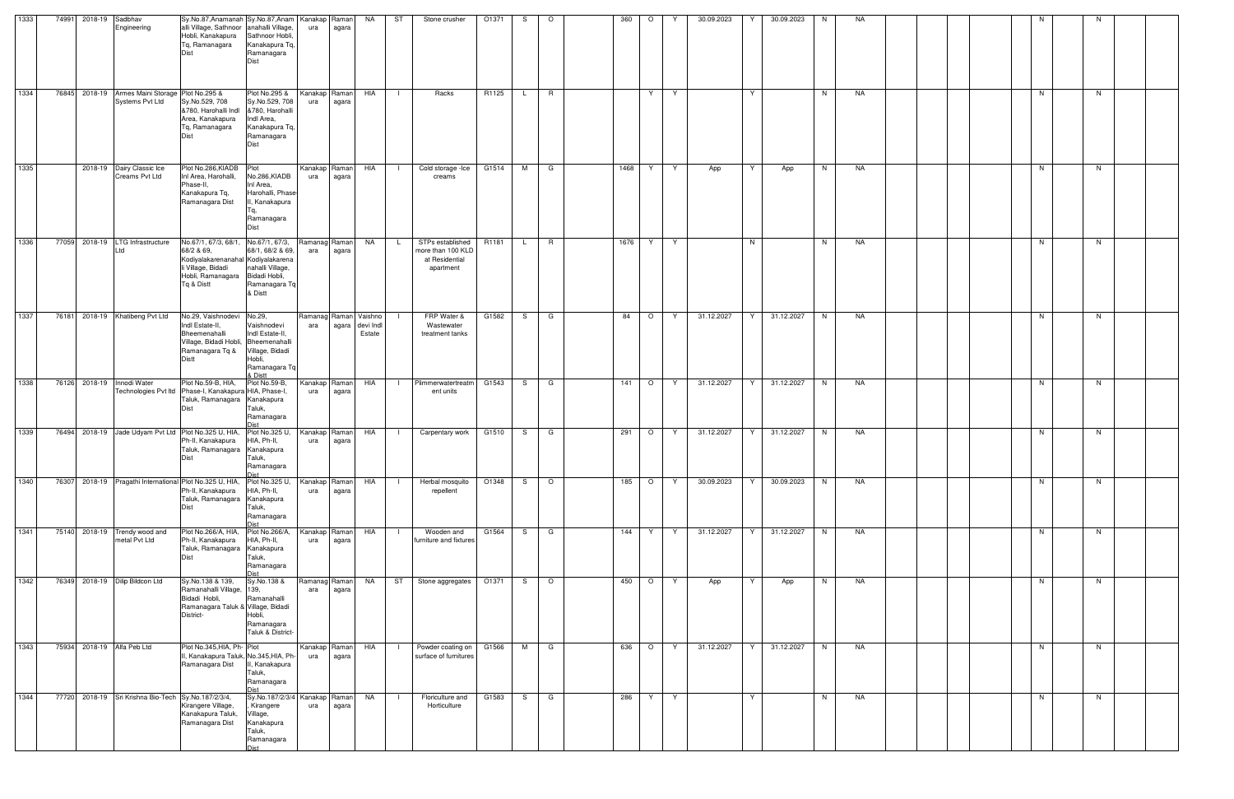| 1333 |       | 74991 2018-19 Sadbhav | Engineering                                                               | Sy.No.87, Anamanah Sy.No.87, Anam Kanakap Raman<br>alli Village, Sathnoor anahalli Village,<br>Hobli, Kanakapura<br>Tq, Ramanagara                             | Sathnoor Hobli,<br>Kanakapura Tq,<br>Ramanagara<br><b>Dist</b>                                              | ura                  | agara                  | NA                                                 | ST             | Stone crusher                                                        | O1371 | S. | $\circ$        | 360  | $\circ$        |    | 30.09.2023 | 30.09.2023      | N. | NA |  |    |    |  |
|------|-------|-----------------------|---------------------------------------------------------------------------|----------------------------------------------------------------------------------------------------------------------------------------------------------------|-------------------------------------------------------------------------------------------------------------|----------------------|------------------------|----------------------------------------------------|----------------|----------------------------------------------------------------------|-------|----|----------------|------|----------------|----|------------|-----------------|----|----|--|----|----|--|
| 1334 |       |                       | 76845 2018-19 Armes Maini Storage Plot No.295 &<br><b>Systems Pvt Ltd</b> | Sy.No.529, 708<br>&780, Harohalli Indl &780, Harohalli<br>Area, Kanakapura<br>Tg, Ramanagara                                                                   | Plot No.295 &<br>Sy.No.529, 708<br>Indl Area,<br>Kanakapura Tq,<br>Ramanagara<br>Dist                       | Kanakap Raman<br>ura | agara                  | HIA                                                | $\Box$         | Racks                                                                | R1125 | L. | R              |      | Y              | Y  |            | Y               | N  | NA |  | N  | N  |  |
| 1335 |       |                       | 2018-19 Dairy Classic Ice<br>Creams Pvt Ltd                               | Plot No.286, KIADB<br>Inl Area, Harohalli,<br>Phase-II.<br>Kanakapura Tq,<br>Ramanagara Dist                                                                   | Plot<br>No.286,KIADB<br>Inl Area,<br>Harohalli, Phase<br>II, Kanakapura<br>Ta.<br>Ramanagara<br><b>Dist</b> | ura                  | Kanakap Raman<br>agara | HIA                                                | $\Box$         | Cold storage -lce<br>creams                                          | G1514 | M  | G              | 1468 | Y              | Y  | App        | Y<br>App        | N  | NA |  | N  | N  |  |
| 1336 |       |                       | 77059 2018-19 LTG Infrastructure<br>td                                    | No.67/1, 67/3, 68/1, No.67/1, 67/3,<br>68/2 & 69,<br>Kodiyalakarenanahal Kodiyalakarena<br>li Village, Bidadi<br>Hobli, Ramanagara Bidadi Hobli,<br>Tg & Distt | 68/1, 68/2 & 69,<br>nahalli Village,<br>Ramanagara Tq<br>& Distt                                            | ara                  | Ramanag Raman<br>agara | NA                                                 | L.             | STPs established<br>more than 100 KLD<br>at Residential<br>apartment | R1181 |    | R.             | 1676 | Y.             | Y  |            | N               | N  | NA |  | N  | N. |  |
| 1337 |       |                       | 76181 2018-19 Khatibeng Pvt Ltd                                           | No.29, Vaishnodevi No.29,<br>Indl Estate-II,<br>Bheemenahalli<br>Village, Bidadi Hobli, Bheemenahalli<br>Ramanagara Tq &<br>Distt                              | Vaishnodevi<br>Indl Estate-II,<br>Village, Bidadi<br>Hobli,<br>Ramanagara Tq<br>& Distt                     | ara                  |                        | Ramanag Raman Vaishno<br>agara devi Indl<br>Estate |                | FRP Water &<br>Wastewater<br>treatment tanks                         | G1582 | S. | G              | 84   | $\circ$        | Y. | 31.12.2027 | 31.12.2027<br>Y | N  | NA |  | N. | N  |  |
| 1338 |       | 76126 2018-19         | Innodi Water                                                              | Plot No.59-B, HIA,<br>Technologies Pvt ltd Phase-I, Kanakapura HIA, Phase-I,<br>Taluk, Ramanagara Kanakapura                                                   | Plot No.59-B,<br>Taluk,<br>Ramanagara                                                                       | ura                  | Kanakap Raman<br>agara | HIA                                                | - 1            | Plimmerwatertreatm<br>ent units                                      | G1543 | S. | G              | 141  | $\circ$        | Y  | 31.12.2027 | 31.12.2027      | N  | NA |  | N  | N  |  |
| 1339 |       |                       |                                                                           | 76494 2018-19 Jade Udyam Pvt Ltd Plot No.325 U, HIA, Plot No.325 U,<br>Ph-II, Kanakapura<br>Taluk, Ramanagara Kanakapura<br>Dist                               | HIA, Ph-II,<br>Taluk,<br>Ramanagara                                                                         | ura                  | Kanakap Raman<br>agara | HIA                                                |                | Carpentary work                                                      | G1510 | S. | $\overline{G}$ | 291  | $\circ$        | Y  | 31.12.2027 | 31.12.2027<br>Y | N  | NA |  | N  | N  |  |
| 1340 | 76307 |                       |                                                                           | 2018-19 Pragathi International Plot No.325 U, HIA,<br>Ph-II, Kanakapura<br>Taluk, Ramanagara Kanakapura<br>Dist                                                | Plot No.325 U,<br>HIA, Ph-II,<br>Taluk,<br>Ramanagara                                                       | ura                  | Kanakap Raman<br>agara | HIA                                                | $\Box$         | Herbal mosquito<br>repellent                                         | O1348 | S. | $\circ$        | 185  | $\circ$        | Y  | 30.09.2023 | 30.09.2023<br>Y | N  | NA |  | N  | N. |  |
| 1341 |       |                       | 75140 2018-19 Trendy wood and<br>metal Pvt Ltd                            | Plot No.266/A, HIA,<br>Ph-II, Kanakapura<br>Taluk, Ramanagara Kanakapura<br>Dist                                                                               | Plot No.266/A,<br>HIA, Ph-II,<br>Taluk,<br>Ramanagara                                                       | Kanakap Raman<br>ura | agara                  | HIA                                                | $\Box$         | Wooden and<br>furniture and fixtures                                 | G1564 | S. | G              | 144  | Y.             | Y  | 31.12.2027 | Y<br>31.12.2027 | N  | NA |  | N  | N  |  |
| 1342 |       |                       | 76349 2018-19 Dilip Bildcon Ltd                                           | Sy.No.138 & 139,<br>Ramanahalli Village,<br>Bidadi Hobli,<br>Ramanagara Taluk & Village, Bidadi<br>District-                                                   | Sy.No.138 &<br>139,<br>Ramanahalli<br>Hobli,<br>Ramanagara<br>Taluk & District-                             | Ramanag Raman<br>ara | agara                  | <b>NA</b>                                          | ST             | Stone aggregates                                                     | O1371 | S. | $\circ$        | 450  | $\overline{O}$ | Y  | App        | Y<br>App        | N  | NA |  | N  | N  |  |
| 1343 |       |                       | 75934 2018-19 Alfa Peb Ltd                                                | Plot No.345, HIA, Ph-Plot<br>II, Kanakapura Taluk, No.345, HIA, Ph-<br>Ramanagara Dist                                                                         | II, Kanakapura<br>Taluk,<br>Ramanagara                                                                      | ura                  | Kanakap Raman<br>agara | HIA                                                |                | Powder coating on G1566<br>surface of furnitures                     |       | M  | G              | 636  | $\circ$        | Y  | 31.12.2027 | 31.12.2027<br>Y | N  | NA |  | N  | N. |  |
| 1344 |       |                       | 77720 2018-19 Sri Krishna Bio-Tech Sy.No.187/2/3/4,                       | Kirangere Village,<br>Kanakapura Taluk,<br>Ramanagara Dist                                                                                                     | Sy.No.187/2/3/4<br>Kirangere<br>Village,<br>Kanakapura<br>Taluk,<br>Ramanagara<br>∩iet                      | ura                  | Kanakap Raman<br>agara | NA                                                 | $\blacksquare$ | Floriculture and<br>Horticulture                                     | G1583 | S  | G              | 286  | Y              | Y  |            | Y               | N. | NA |  | N  | N  |  |